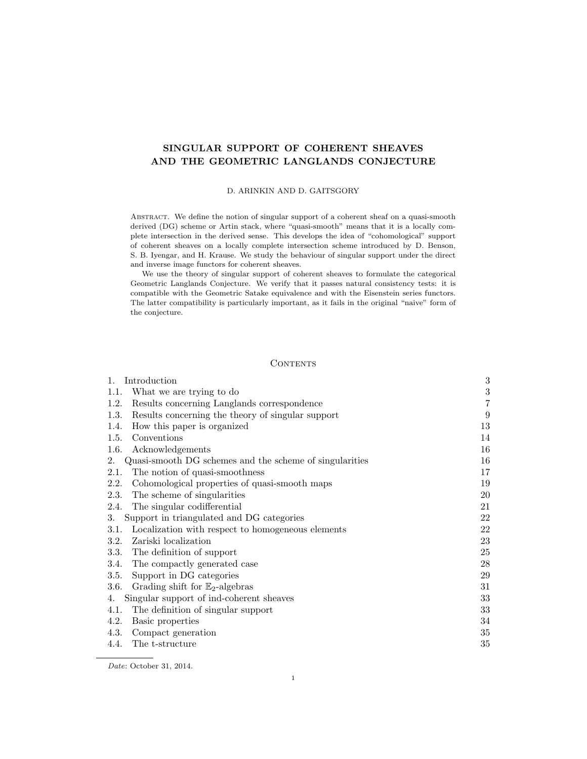# SINGULAR SUPPORT OF COHERENT SHEAVES AND THE GEOMETRIC LANGLANDS CONJECTURE

#### D. ARINKIN AND D. GAITSGORY

ABSTRACT. We define the notion of singular support of a coherent sheaf on a quasi-smooth derived (DG) scheme or Artin stack, where "quasi-smooth" means that it is a locally complete intersection in the derived sense. This develops the idea of "cohomological" support of coherent sheaves on a locally complete intersection scheme introduced by D. Benson, S. B. Iyengar, and H. Krause. We study the behaviour of singular support under the direct and inverse image functors for coherent sheaves.

We use the theory of singular support of coherent sheaves to formulate the categorical Geometric Langlands Conjecture. We verify that it passes natural consistency tests: it is compatible with the Geometric Satake equivalence and with the Eisenstein series functors. The latter compatibility is particularly important, as it fails in the original "naive" form of the conjecture.

## **CONTENTS**

| Introduction<br>1.                                            | $\boldsymbol{3}$ |
|---------------------------------------------------------------|------------------|
| What we are trying to do<br>1.1.                              | $\sqrt{3}$       |
| Results concerning Langlands correspondence<br>1.2.           | $\,7$            |
| Results concerning the theory of singular support<br>1.3.     | 9                |
| How this paper is organized<br>1.4.                           | 13               |
| Conventions<br>1.5.                                           | 14               |
| 1.6.<br>Acknowledgements                                      | 16               |
| Quasi-smooth DG schemes and the scheme of singularities<br>2. | 16               |
| The notion of quasi-smoothness<br>2.1.                        | 17               |
| Cohomological properties of quasi-smooth maps<br>2.2.         | 19               |
| 2.3.<br>The scheme of singularities                           | 20               |
| The singular codifferential<br>2.4.                           | 21               |
| Support in triangulated and DG categories<br>3.               | 22               |
| Localization with respect to homogeneous elements<br>3.1.     | 22               |
| Zariski localization<br>3.2.                                  | 23               |
| 3.3.<br>The definition of support                             | 25               |
| The compactly generated case<br>3.4.                          | 28               |
| Support in DG categories<br>3.5.                              | 29               |
| Grading shift for $\mathbb{E}_2$ -algebras<br>3.6.            | 31               |
| Singular support of ind-coherent sheaves<br>4.                | 33               |
| The definition of singular support<br>4.1.                    | 33               |
| 4.2.<br>Basic properties                                      | 34               |
| 4.3.<br>Compact generation                                    | 35               |
| 4.4.<br>The t-structure                                       | 35               |

Date: October 31, 2014.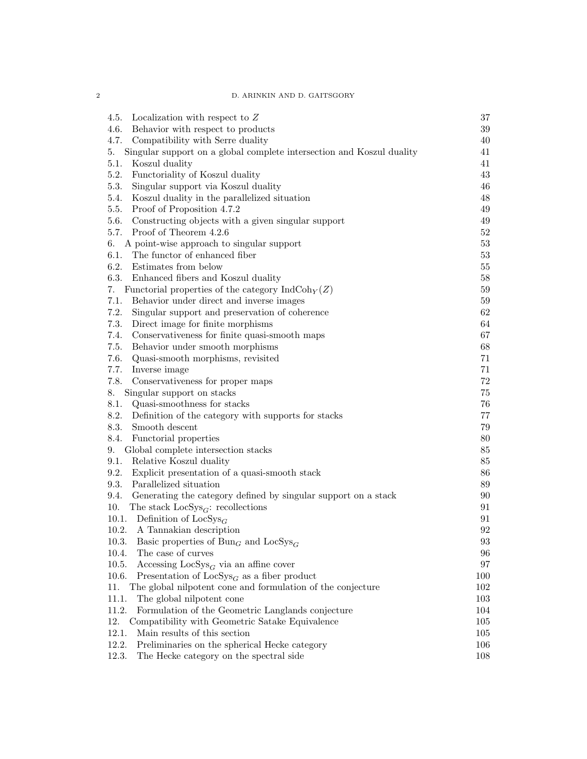2 D. ARINKIN AND D. GAITSGORY

| Localization with respect to $Z$<br>4.5.                                    | 37                |
|-----------------------------------------------------------------------------|-------------------|
| 4.6.<br>Behavior with respect to products                                   | 39                |
| 4.7.<br>Compatibility with Serre duality                                    | 40                |
| Singular support on a global complete intersection and Koszul duality<br>5. | 41                |
| 5.1.<br>Koszul duality                                                      | 41                |
| 5.2.<br>Functoriality of Koszul duality                                     | 43                |
| 5.3.<br>Singular support via Koszul duality                                 | 46                |
| 5.4.<br>Koszul duality in the parallelized situation                        | 48                |
| 5.5.<br>Proof of Proposition 4.7.2                                          | 49                |
| 5.6.<br>Constructing objects with a given singular support                  | 49                |
| 5.7.<br>Proof of Theorem 4.2.6                                              | $52\,$            |
| A point-wise approach to singular support<br>6.                             | $53\,$            |
| The functor of enhanced fiber<br>6.1.                                       | $53\,$            |
| 6.2.<br>Estimates from below                                                | 55                |
| 6.3.<br>Enhanced fibers and Koszul duality                                  | $58\,$            |
| Functorial properties of the category $\text{IndCoh}_Y(Z)$<br>7.            | $59\,$            |
| 7.1.<br>Behavior under direct and inverse images                            | $59\,$            |
| 7.2.<br>Singular support and preservation of coherence                      | 62                |
| 7.3.<br>Direct image for finite morphisms                                   | 64                |
| 7.4.<br>Conservativeness for finite quasi-smooth maps                       | 67                |
| 7.5.<br>Behavior under smooth morphisms                                     | 68                |
| 7.6.<br>Quasi-smooth morphisms, revisited                                   | 71                |
| 7.7.<br>Inverse image                                                       | $71\,$            |
| 7.8.<br>Conservativeness for proper maps                                    | $72\,$            |
| Singular support on stacks<br>8.                                            | 75                |
| 8.1.<br>Quasi-smoothness for stacks                                         | $76\,$            |
| 8.2.<br>Definition of the category with supports for stacks                 | $77\,$            |
| 8.3.<br>Smooth descent                                                      | 79                |
| 8.4.<br>Functorial properties                                               | $80\,$            |
| Global complete intersection stacks<br>9.                                   | $85\,$            |
| 9.1.<br>Relative Koszul duality                                             | $85\,$            |
| 9.2.<br>Explicit presentation of a quasi-smooth stack                       | 86                |
| 9.3.<br>Parallelized situation                                              | 89                |
| 9.4.<br>Generating the category defined by singular support on a stack      | 90                |
| 10.<br>The stack $\text{LocSys}_{G}$ : recollections                        | 91                |
| 10.1. Definition of $\text{LocSys}_G$                                       | 91                |
| 10.2.<br>A Tannakian description                                            | 92                |
| 10.3. Basic properties of $Bun_G$ and $LocSys_G$                            | $\boldsymbol{93}$ |
| 10.4.<br>The case of curves                                                 | 96                |
| 10.5.<br>Accessing $\text{LocSys}_G$ via an affine cover                    | 97                |
| 10.6.<br>Presentation of $\text{LocSys}_G$ as a fiber product               | 100               |
| The global nilpotent cone and formulation of the conjecture<br>11.          | 102               |
| 11.1.<br>The global nilpotent cone                                          | 103               |
| 11.2.<br>Formulation of the Geometric Langlands conjecture                  | 104               |
| 12.<br>Compatibility with Geometric Satake Equivalence                      | 105               |
| 12.1.<br>Main results of this section                                       | 105               |
| 12.2.<br>Preliminaries on the spherical Hecke category                      | 106               |
| 12.3.<br>The Hecke category on the spectral side                            | 108               |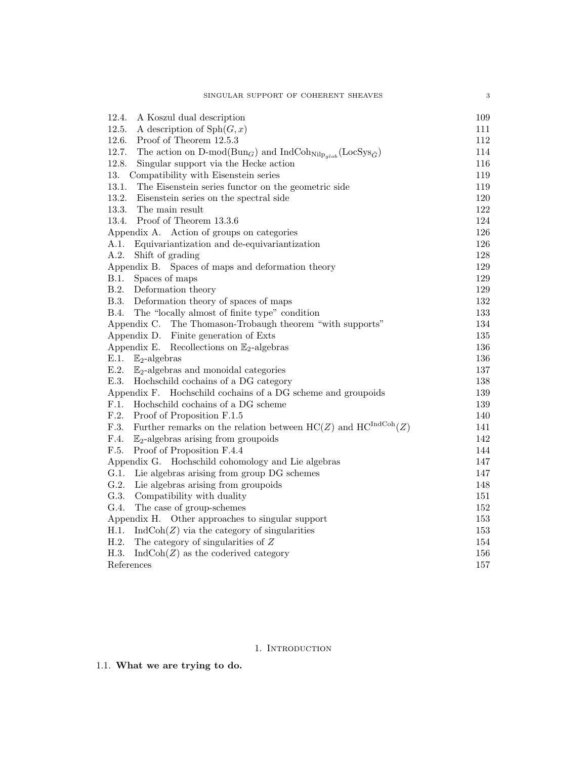| 12.4.<br>A Koszul dual description                                                                                         | 109 |
|----------------------------------------------------------------------------------------------------------------------------|-----|
| 12.5.<br>A description of $\mathrm{Sph}(G,x)$                                                                              | 111 |
| 12.6.<br>Proof of Theorem 12.5.3                                                                                           | 112 |
| 12.7.<br>The action on D-mod( $Bun_G$ ) and IndCoh <sub>Nilp<sub>alob</sub>(LocSys<sub><math>\check{G}</math></sub>)</sub> | 114 |
| 12.8.<br>Singular support via the Hecke action                                                                             | 116 |
| 13.<br>Compatibility with Eisenstein series                                                                                | 119 |
| 13.1.<br>The Eisenstein series functor on the geometric side                                                               | 119 |
| 13.2.<br>Eisenstein series on the spectral side                                                                            | 120 |
| 13.3.<br>The main result                                                                                                   | 122 |
| Proof of Theorem 13.3.6<br>13.4.                                                                                           | 124 |
| Appendix A. Action of groups on categories                                                                                 | 126 |
| A.1.<br>Equivariantization and de-equivariantization                                                                       | 126 |
| A.2.<br>Shift of grading                                                                                                   | 128 |
| Appendix B. Spaces of maps and deformation theory                                                                          | 129 |
| B.1.<br>Spaces of maps                                                                                                     | 129 |
| B.2.<br>Deformation theory                                                                                                 | 129 |
| <b>B.3.</b><br>Deformation theory of spaces of maps                                                                        | 132 |
| <b>B.4.</b><br>The "locally almost of finite type" condition                                                               | 133 |
| Appendix C. The Thomason-Trobaugh theorem "with supports"                                                                  | 134 |
| Appendix D. Finite generation of Exts                                                                                      | 135 |
| Appendix E.<br>Recollections on $\mathbb{E}_2$ -algebras                                                                   | 136 |
| E.1.<br>$\mathbb{E}_2$ -algebras                                                                                           | 136 |
| E.2.<br>$\mathbb{E}_2$ -algebras and monoidal categories                                                                   | 137 |
| E.3.<br>Hochschild cochains of a DG category                                                                               | 138 |
| Appendix F. Hochschild cochains of a DG scheme and groupoids                                                               | 139 |
| F.1.<br>Hochschild cochains of a DG scheme                                                                                 | 139 |
| F.2.<br>Proof of Proposition F.1.5                                                                                         | 140 |
| Further remarks on the relation between $\mathrm{HC}(Z)$ and $\mathrm{HC}^{\mathrm{IndCoh}}(Z)$<br>F.3.                    | 141 |
| F.4.<br>$\mathbb{E}_2$ -algebras arising from groupoids                                                                    | 142 |
| F.5.<br>Proof of Proposition F.4.4                                                                                         | 144 |
| Appendix G. Hochschild cohomology and Lie algebras                                                                         | 147 |
| G.1.<br>Lie algebras arising from group DG schemes                                                                         | 147 |
| G.2.<br>Lie algebras arising from groupoids                                                                                | 148 |
| G.3.<br>Compatibility with duality                                                                                         | 151 |
| G.4.<br>The case of group-schemes                                                                                          | 152 |
| Appendix H. Other approaches to singular support                                                                           | 153 |
| H.1.<br>$IndCoh(Z)$ via the category of singularities                                                                      | 153 |
| H.2.<br>The category of singularities of $\boldsymbol{Z}$                                                                  | 154 |
| H.3.<br>$IndCoh(Z)$ as the coderived category                                                                              | 156 |
| References                                                                                                                 | 157 |

# 1. INTRODUCTION

1.1. What we are trying to do.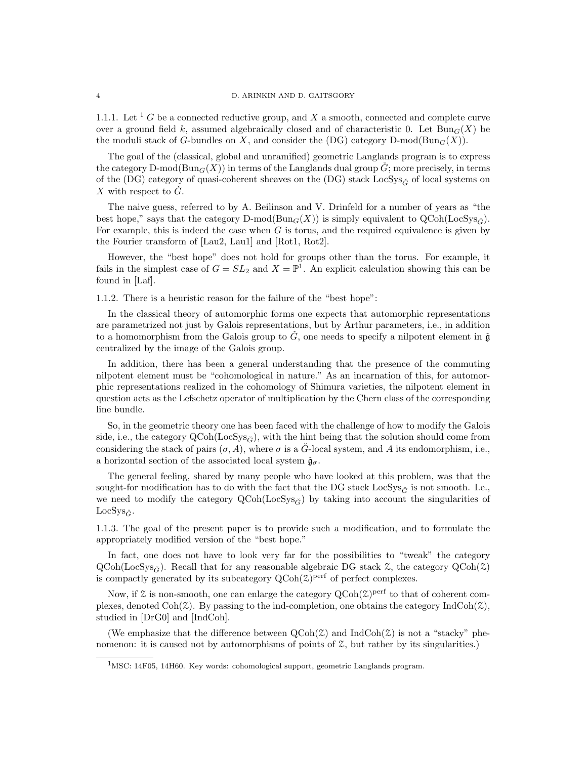1.1.1. Let <sup>1</sup> G be a connected reductive group, and X a smooth, connected and complete curve over a ground field k, assumed algebraically closed and of characteristic 0. Let  $Bun_G(X)$  be the moduli stack of G-bundles on X, and consider the  $(DG)$  category D-mod( $Bun_G(X)$ ).

The goal of the (classical, global and unramified) geometric Langlands program is to express the category D-mod( $\text{Bun}_G(X)$ ) in terms of the Langlands dual group  $\check{G}$ ; more precisely, in terms of the (DG) category of quasi-coherent sheaves on the (DG) stack  $\text{LocSys}_{\tilde{G}}$  of local systems on X with respect to  $\check{G}$ .

The naive guess, referred to by A. Beilinson and V. Drinfeld for a number of years as "the best hope," says that the category D-mod( $\text{Bun}_G(X)$ ) is simply equivalent to  $\text{QCoh}(\text{LocSys}_{\hat{G}})$ . For example, this is indeed the case when  $G$  is torus, and the required equivalence is given by the Fourier transform of [Lau2, Lau1] and [Rot1, Rot2].

However, the "best hope" does not hold for groups other than the torus. For example, it fails in the simplest case of  $G = SL_2$  and  $X = \mathbb{P}^1$ . An explicit calculation showing this can be found in [Laf].

1.1.2. There is a heuristic reason for the failure of the "best hope":

In the classical theory of automorphic forms one expects that automorphic representations are parametrized not just by Galois representations, but by Arthur parameters, i.e., in addition to a homomorphism from the Galois group to  $\check{G}$ , one needs to specify a nilpotent element in  $\check{g}$ centralized by the image of the Galois group.

In addition, there has been a general understanding that the presence of the commuting nilpotent element must be "cohomological in nature." As an incarnation of this, for automorphic representations realized in the cohomology of Shimura varieties, the nilpotent element in question acts as the Lefschetz operator of multiplication by the Chern class of the corresponding line bundle.

So, in the geometric theory one has been faced with the challenge of how to modify the Galois side, i.e., the category  $\text{QCoh}(\text{LocSys}_{\tilde{G}})$ , with the hint being that the solution should come from considering the stack of pairs  $(\sigma, A)$ , where  $\sigma$  is a  $\check{G}$ -local system, and A its endomorphism, i.e., a horizontal section of the associated local system  $\check{\mathfrak{g}}_{\sigma}$ .

The general feeling, shared by many people who have looked at this problem, was that the sought-for modification has to do with the fact that the DG stack LocSys<sub> $\tilde{C}$ </sub> is not smooth. I.e., we need to modify the category  $QCoh(LocSys_{\tilde{G}})$  by taking into account the singularities of LocSys $_{\check{G}}$ .

1.1.3. The goal of the present paper is to provide such a modification, and to formulate the appropriately modified version of the "best hope."

In fact, one does not have to look very far for the possibilities to "tweak" the category  $QCoh(LocSys_{\tilde{G}})$ . Recall that for any reasonable algebraic DG stack Z, the category  $QCoh(\tilde{Z})$ is compactly generated by its subcategory  $Q\text{Coh}(\mathcal{Z})^{\text{perf}}$  of perfect complexes.

Now, if  $\mathfrak X$  is non-smooth, one can enlarge the category  $Q\text{Coh}(\mathfrak X)^{\text{perf}}$  to that of coherent complexes, denoted  $\text{Coh}(\mathcal{Z})$ . By passing to the ind-completion, one obtains the category IndCoh( $\mathcal{Z}$ ), studied in [DrG0] and [IndCoh].

(We emphasize that the difference between  $\text{QCoh}(\mathcal{Z})$  and  $\text{IndCoh}(\mathcal{Z})$  is not a "stacky" phenomenon: it is caused not by automorphisms of points of  $\mathcal{Z}$ , but rather by its singularities.)

<sup>1</sup>MSC: 14F05, 14H60. Key words: cohomological support, geometric Langlands program.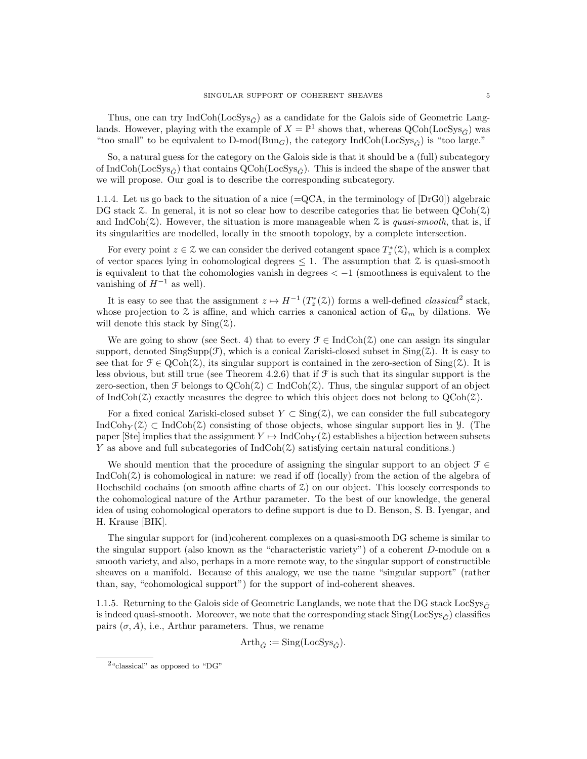Thus, one can try IndCoh(LocSys<sub>G</sub><sup> $\alpha$ </sup>) as a candidate for the Galois side of Geometric Langlands. However, playing with the example of  $X = \mathbb{P}^1$  shows that, whereas  $Q\text{Coh}(\text{LocSys}_{\tilde{G}})$  was "too small" to be equivalent to  $D\text{-mod}(Bun_G)$ , the category IndCoh(LocSys<sub>G</sub>) is "too large."

So, a natural guess for the category on the Galois side is that it should be a (full) subcategory of IndCoh(LocSys<sub> $\tilde{G}$ </sub>) that contains QCoh(LocSys<sub> $\tilde{G}$ </sub>). This is indeed the shape of the answer that we will propose. Our goal is to describe the corresponding subcategory.

1.1.4. Let us go back to the situation of a nice (=QCA, in the terminology of [DrG0]) algebraic DG stack  $\mathcal Z$ . In general, it is not so clear how to describe categories that lie between  $QCoh(\mathcal Z)$ and IndCoh( $\mathcal{Z}$ ). However, the situation is more manageable when  $\mathcal{Z}$  is quasi-smooth, that is, if its singularities are modelled, locally in the smooth topology, by a complete intersection.

For every point  $z \in \mathcal{Z}$  we can consider the derived cotangent space  $T_z^*(\mathcal{Z})$ , which is a complex of vector spaces lying in cohomological degrees  $\leq 1$ . The assumption that  $\zeta$  is quasi-smooth is equivalent to that the cohomologies vanish in degrees  $\lt -1$  (smoothness is equivalent to the vanishing of  $H^{-1}$  as well).

It is easy to see that the assignment  $z \mapsto H^{-1}(T_z^*(\mathcal{Z}))$  forms a well-defined *classical*<sup>2</sup> stack, whose projection to  $\mathcal Z$  is affine, and which carries a canonical action of  $\mathbb G_m$  by dilations. We will denote this stack by  $\text{Sing}(\mathcal{Z})$ .

We are going to show (see Sect. 4) that to every  $\mathcal{F} \in \text{IndCoh}(\mathcal{Z})$  one can assign its singular support, denoted  $\text{SingSupp}(\mathcal{F})$ , which is a conical Zariski-closed subset in  $\text{Sing}(\mathcal{Z})$ . It is easy to see that for  $\mathcal{F} \in \text{QCoh}(\mathcal{Z})$ , its singular support is contained in the zero-section of  $\text{Sing}(\mathcal{Z})$ . It is less obvious, but still true (see Theorem 4.2.6) that if  $\mathcal F$  is such that its singular support is the zero-section, then F belongs to  $\text{QCoh}(\mathcal{Z}) \subset \text{IndCoh}(\mathcal{Z})$ . Thus, the singular support of an object of IndCoh( $\mathcal{Z}$ ) exactly measures the degree to which this object does not belong to  $QCoh(\mathcal{Z})$ .

For a fixed conical Zariski-closed subset  $Y \subset Sing(z)$ , we can consider the full subcategory IndCoh $_Y(\mathcal{Z}) \subset \text{IndCoh}(\mathcal{Z})$  consisting of those objects, whose singular support lies in Y. (The paper [Ste] implies that the assignment  $Y \mapsto \text{IndCoh}_Y(\mathcal{Z})$  establishes a bijection between subsets Y as above and full subcategories of  $IndCoh(\mathcal{Z})$  satisfying certain natural conditions.)

We should mention that the procedure of assigning the singular support to an object  $\mathcal{F} \in$  $IndCoh(\mathcal{Z})$  is cohomological in nature: we read if off (locally) from the action of the algebra of Hochschild cochains (on smooth affine charts of  $\Sigma$ ) on our object. This loosely corresponds to the cohomological nature of the Arthur parameter. To the best of our knowledge, the general idea of using cohomological operators to define support is due to D. Benson, S. B. Iyengar, and H. Krause [BIK].

The singular support for (ind)coherent complexes on a quasi-smooth DG scheme is similar to the singular support (also known as the "characteristic variety") of a coherent D-module on a smooth variety, and also, perhaps in a more remote way, to the singular support of constructible sheaves on a manifold. Because of this analogy, we use the name "singular support" (rather than, say, "cohomological support") for the support of ind-coherent sheaves.

1.1.5. Returning to the Galois side of Geometric Langlands, we note that the DG stack LocSys $\tilde{C}$ is indeed quasi-smooth. Moreover, we note that the corresponding stack  $\text{Sing}(\text{LocSys}_{\hat{G}})$  classifies pairs  $(\sigma, A)$ , i.e., Arthur parameters. Thus, we rename

$$
Arth_{\check{G}} := \mathrm{Sing}(\mathrm{LocSys}_{\check{G}}).
$$

<sup>2</sup>"classical" as opposed to "DG"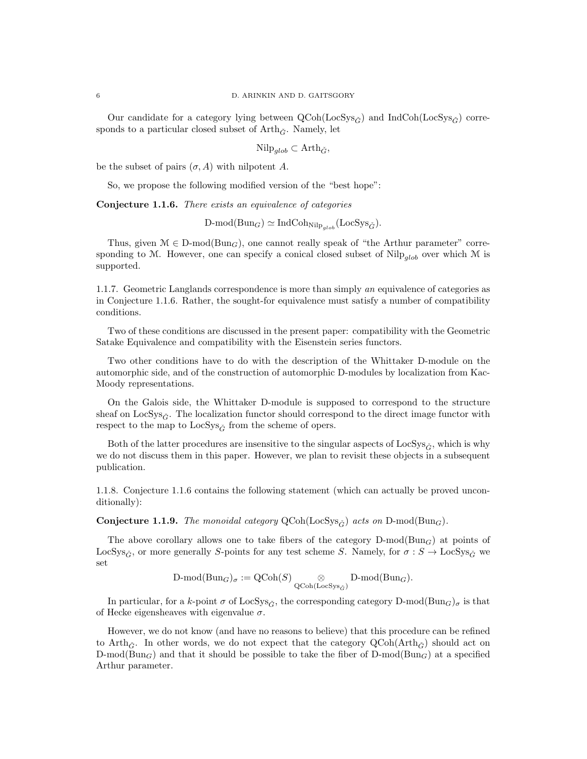Our candidate for a category lying between  $Q\text{Coh}(\text{LocSys}_{\hat{G}})$  and  $\text{IndCoh}(\text{LocSys}_{\hat{G}})$  corresponds to a particular closed subset of  $Arth_{\check{G}}$ . Namely, let

Nilp<sub>alob</sub> ⊂ Arth<sub> $\check{G}$ </sub>,

be the subset of pairs  $(\sigma, A)$  with nilpotent A.

So, we propose the following modified version of the "best hope":

Conjecture 1.1.6. There exists an equivalence of categories

 $D\text{-mod}(Bun_G) \simeq \text{IndCoh}_{\text{Nilp}_{alob}}(\text{LocSys}_{\check{G}}).$ 

Thus, given  $\mathcal{M} \in \mathcal{D}\text{-mod}(\text{Bun}_G)$ , one cannot really speak of "the Arthur parameter" corresponding to M. However, one can specify a conical closed subset of Nilp<sub>alob</sub> over which M is supported.

1.1.7. Geometric Langlands correspondence is more than simply an equivalence of categories as in Conjecture 1.1.6. Rather, the sought-for equivalence must satisfy a number of compatibility conditions.

Two of these conditions are discussed in the present paper: compatibility with the Geometric Satake Equivalence and compatibility with the Eisenstein series functors.

Two other conditions have to do with the description of the Whittaker D-module on the automorphic side, and of the construction of automorphic D-modules by localization from Kac-Moody representations.

On the Galois side, the Whittaker D-module is supposed to correspond to the structure sheaf on LocSys<sub> $\tilde{c}$ </sub>. The localization functor should correspond to the direct image functor with respect to the map to  $LocSys_{\check{G}}$  from the scheme of opers.

Both of the latter procedures are insensitive to the singular aspects of LocSys<sub> $\tilde{G}$ </sub>, which is why we do not discuss them in this paper. However, we plan to revisit these objects in a subsequent publication.

1.1.8. Conjecture 1.1.6 contains the following statement (which can actually be proved unconditionally):

**Conjecture 1.1.9.** The monoidal category  $QCoh(LocSys_{\tilde{G}})$  acts on  $D-mod(Bun_G)$ .

The above corollary allows one to take fibers of the category  $D\text{-mod}(Bun_G)$  at points of LocSys<sub> $\tilde{G}$ </sub>, or more generally S-points for any test scheme S. Namely, for  $\sigma : S \to \text{LocSys}_{\tilde{G}}$  we set

$$
\text{D-mod}(\text{Bun}_G)_{\sigma} := \text{QCoh}(S) \underset{\text{QCoh}(\text{LocSys}_{G})}{\otimes} \text{D-mod}(\text{Bun}_G).
$$

In particular, for a k-point  $\sigma$  of LocSys<sub> $\tilde{G}$ </sub>, the corresponding category D-mod( $Bun_G$ )<sub> $\sigma$ </sub> is that of Hecke eigensheaves with eigenvalue  $\sigma$ .

However, we do not know (and have no reasons to believe) that this procedure can be refined to Arth<sub>G</sub>. In other words, we do not expect that the category  $\text{QCoh}(\text{Arth}_G)$  should act on D-mod( $Bun_G$ ) and that it should be possible to take the fiber of D-mod( $Bun_G$ ) at a specified Arthur parameter.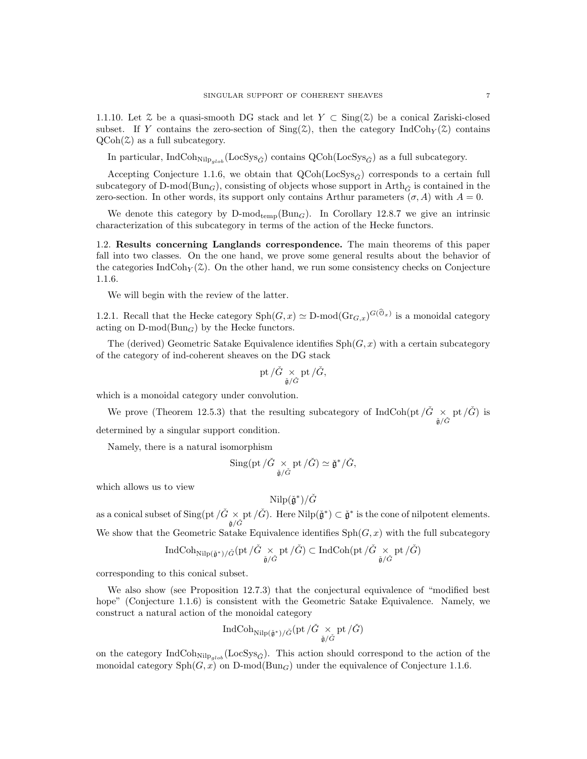1.1.10. Let  $\mathcal Z$  be a quasi-smooth DG stack and let  $Y \subset \text{Sing}(\mathcal Z)$  be a conical Zariski-closed subset. If Y contains the zero-section of  $\text{Sing}(\mathcal{Z})$ , then the category IndCoh<sub>Y</sub>( $\mathcal{Z}$ ) contains  $QCoh(\mathcal{Z})$  as a full subcategory.

In particular, IndCoh<sub>Nilp<sub>alob</sub> (LocSys<sub>Ğ</sub><sup>\*</sup>) contains QCoh(LocSys<sub>Ğ</sub><sup>\*</sup>) as a full subcategory.</sub>

Accepting Conjecture 1.1.6, we obtain that  $Q\text{Coh}(\text{LocSys}_{\tilde{G}})$  corresponds to a certain full subcategory of D-mod( $Bun_G$ ), consisting of objects whose support in Arth $\tilde{G}$  is contained in the zero-section. In other words, its support only contains Arthur parameters  $(\sigma, A)$  with  $A = 0$ .

We denote this category by  $D\text{-mod}_{temp}(Bun_G)$ . In Corollary 12.8.7 we give an intrinsic characterization of this subcategory in terms of the action of the Hecke functors.

1.2. Results concerning Langlands correspondence. The main theorems of this paper fall into two classes. On the one hand, we prove some general results about the behavior of the categories IndCoh $_Y(\mathcal{Z})$ . On the other hand, we run some consistency checks on Conjecture 1.1.6.

We will begin with the review of the latter.

1.2.1. Recall that the Hecke category  $\text{Sph}(G, x) \simeq D\text{-mod}(\text{Gr}_{G, x})^{G(\mathcal{O}_x)}$  is a monoidal category acting on  $D\text{-mod}(Bun_G)$  by the Hecke functors.

The (derived) Geometric Satake Equivalence identifies  $\text{Sph}(G, x)$  with a certain subcategory of the category of ind-coherent sheaves on the DG stack

$$
\operatorname{pt}/\check{G}\underset{\check{\mathfrak{g}}/\check{G}}{\times}\operatorname{pt}/\check{G},
$$

which is a monoidal category under convolution.

We prove (Theorem 12.5.3) that the resulting subcategory of  $\text{IndCoh}(\text{pt}/\check{G} \times \text{pt}/\check{G})$  is

determined by a singular support condition.

Namely, there is a natural isomorphism

$$
\mathop{\mathrm{Sing}}\nolimits(\mathrm{pt}/\check{G}\underset{\check{\mathfrak{g}}/\check{G}}{\times}\mathrm{pt}/\check{G})\simeq \check{\mathfrak{g}}^*/\check{G},
$$

which allows us to view

$$
\text{Nilp}(\check{\mathfrak{g}}^*)/\check{G}
$$

as a conical subset of  $\operatorname{Sing}(\text{pt}/\check{G} \times \text{pt}/\check{G})$ . Here  $\operatorname{Nilp}(\check{\mathfrak{g}}^*) \subset \check{\mathfrak{g}}^*$  is the cone of nilpotent elements. We show that the Geometric Satake Equivalence identifies  $\text{Sph}(G, x)$  with the full subcategory

$$
\operatorname{IndCoh}_{\operatorname{Nilp}({\check{\mathfrak g}}^*)/{\check{G}}}(pt/{\check{G}} \underset{{\check{\mathfrak g}}/{\check{G}}} \times pt/{\check{G}}) \subset \operatorname{IndCoh}(pt/{\check{G}} \underset{{\check{\mathfrak g}}/{\check{G}}} \times pt/{\check{G}})
$$

corresponding to this conical subset.

We also show (see Proposition 12.7.3) that the conjectural equivalence of "modified best hope" (Conjecture 1.1.6) is consistent with the Geometric Satake Equivalence. Namely, we construct a natural action of the monoidal category

$$
\operatorname{IndCoh}_{\operatorname{Nilp}({\check{\mathfrak g}}^*)/{\check{G}}}(\operatorname{pt}/\check{G}\underset{{\check{\mathfrak g}}/{\check{G}}} \times \operatorname{pt}/\check{G})
$$

on the category IndCoh<sub>Nilp<sub>alob</sub> (LocSys<sub> $\check{G}$ </sub>). This action should correspond to the action of the</sub> monoidal category  $\mathrm{Sph}(G, x)$  on D-mod $(\mathrm{Bun}_G)$  under the equivalence of Conjecture 1.1.6.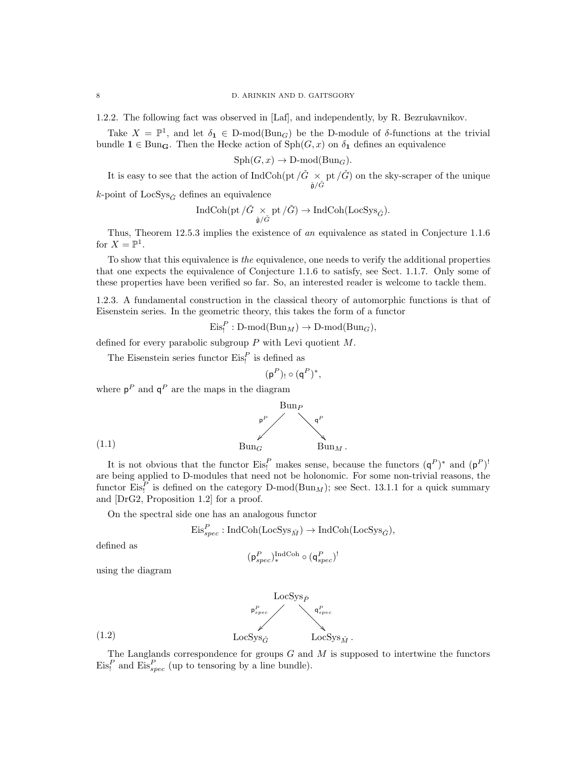1.2.2. The following fact was observed in [Laf], and independently, by R. Bezrukavnikov.

Take  $X = \mathbb{P}^1$ , and let  $\delta_1 \in \text{D-mod}(\text{Bun}_G)$  be the D-module of  $\delta$ -functions at the trivial bundle  $1 \in \text{Bun}_{\mathbf{G}}$ . Then the Hecke action of  $\text{Sph}(G, x)$  on  $\delta_1$  defines an equivalence

$$
\mathrm{Sph}(G, x) \to \mathrm{D\text{-}mod}(\mathrm{Bun}_G).
$$

It is easy to see that the action of  $\text{IndCoh}(\text{pt}/\check{G} \times \text{pt}/\check{G})$  on the sky-scraper of the unique

k-point of  $LocSys_{\check{G}}$  defines an equivalence

$$
\operatorname{IndCoh}(\operatorname{pt}/\check{G}\underset{\check{\mathfrak{g}}/\check{G}}{\times}\operatorname{pt}/\check{G})\rightarrow \operatorname{IndCoh}(\operatorname{LocSys}_{\check{G}}).
$$

Thus, Theorem 12.5.3 implies the existence of an equivalence as stated in Conjecture 1.1.6 for  $X=\mathbb{P}^1$ .

To show that this equivalence is the equivalence, one needs to verify the additional properties that one expects the equivalence of Conjecture 1.1.6 to satisfy, see Sect. 1.1.7. Only some of these properties have been verified so far. So, an interested reader is welcome to tackle them.

1.2.3. A fundamental construction in the classical theory of automorphic functions is that of Eisenstein series. In the geometric theory, this takes the form of a functor

 $\mathrm{Eis}_!^P : D\text{-mod}(Bun_M) \to D\text{-mod}(Bun_G),$ 

defined for every parabolic subgroup  $P$  with Levi quotient  $M$ .

The Eisenstein series functor  $\mathrm{Eis}^P_!$  is defined as

$$
(\mathsf{p}^P)_!\circ(\mathsf{q}^P)^*,
$$

where  $p^P$  and  $q^P$  are the maps in the diagram



It is not obvious that the functor  $\text{Eis}_!^P$  makes sense, because the functors  $(\mathsf{q}^P)^*$  and  $(\mathsf{p}^P)^!$ are being applied to D-modules that need not be holonomic. For some non-trivial reasons, the functor  $\text{Eis}_1^P$  is defined on the category D-mod( $\text{Bun}_M$ ); see Sect. 13.1.1 for a quick summary and [DrG2, Proposition 1.2] for a proof.

On the spectral side one has an analogous functor

$$
\mathrm{Eis}_{spec}^{P}:\mathrm{IndCoh}(\mathrm{LocSys}_{\check{M}})\to \mathrm{IndCoh}(\mathrm{LocSys}_{\check{G}}),
$$

defined as

$$
(\mathsf{p}_{spec}^P)_{*}^{\mathrm{IndCoh}} \circ (\mathsf{q}_{spec}^P)^!
$$

using the diagram



The Langlands correspondence for groups  $G$  and  $M$  is supposed to intertwine the functors  $\mathrm{Eis}_!^P$  and  $\mathrm{Eis}_{spec}^P$  (up to tensoring by a line bundle).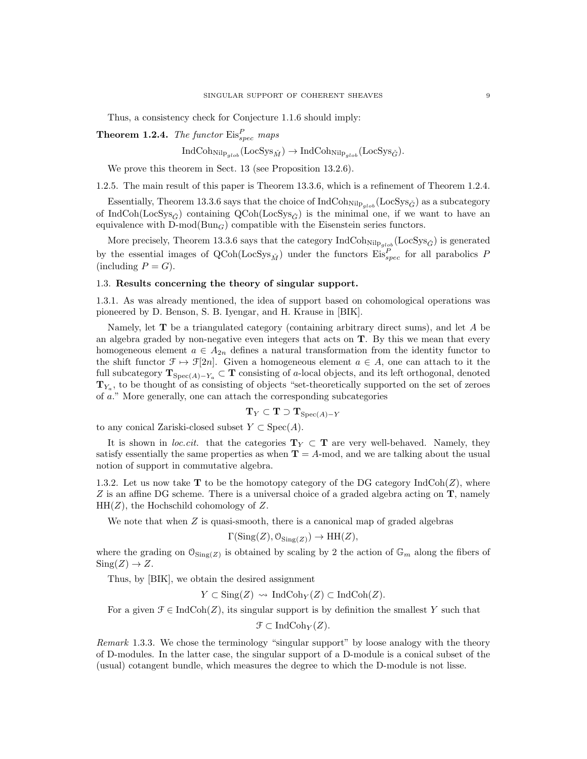Thus, a consistency check for Conjecture 1.1.6 should imply:

**Theorem 1.2.4.** The functor  $\text{Eis}_{spec}^P$  maps

 $IndCoh_{Nilp_{clob}}(LocSys_{\tilde{M}}) \rightarrow IndCoh_{Nilp_{clob}}(LocSys_{\tilde{G}}).$ 

We prove this theorem in Sect. 13 (see Proposition 13.2.6).

1.2.5. The main result of this paper is Theorem 13.3.6, which is a refinement of Theorem 1.2.4.

Essentially, Theorem 13.3.6 says that the choice of  $IndCoh_{Nilp_{olob}}(LocSys_{\check{G}})$  as a subcategory of IndCoh(LocSys<sub>G</sub><sup> $\alpha$ </sup>) containing QCoh(LocSys<sub>G</sub><sup> $\alpha$ </sup>) is the minimal one, if we want to have an equivalence with  $D\text{-mod}(Bun_G)$  compatible with the Eisenstein series functors.

More precisely, Theorem 13.3.6 says that the category  $\text{IndCoh}_{\text{Nilp}_{glob}}(\text{LocSys}_{\check{G}})$  is generated by the essential images of  $\text{QCoh}(\text{LocSys}_{\tilde{M}})$  under the functors  $\text{Eis}_{spec}^P$  for all parabolics P  $(including P = G).$ 

# 1.3. Results concerning the theory of singular support.

1.3.1. As was already mentioned, the idea of support based on cohomological operations was pioneered by D. Benson, S. B. Iyengar, and H. Krause in [BIK].

Namely, let T be a triangulated category (containing arbitrary direct sums), and let A be an algebra graded by non-negative even integers that acts on  $T$ . By this we mean that every homogeneous element  $a \in A_{2n}$  defines a natural transformation from the identity functor to the shift functor  $\mathcal{F} \mapsto \mathcal{F}[2n]$ . Given a homogeneous element  $a \in A$ , one can attach to it the full subcategory  $\mathbf{T}_{Spec(A)-Y_a} \subset \mathbf{T}$  consisting of a-local objects, and its left orthogonal, denoted  $T_{Y_a}$ , to be thought of as consisting of objects "set-theoretically supported on the set of zeroes of a." More generally, one can attach the corresponding subcategories

$$
\mathbf{T}_Y \subset \mathbf{T} \supset \mathbf{T}_{\mathrm{Spec}(A)-Y}
$$

to any conical Zariski-closed subset  $Y \subset \text{Spec}(A)$ .

It is shown in loc.cit. that the categories  $T_Y \subset T$  are very well-behaved. Namely, they satisfy essentially the same properties as when  $T = A$ -mod, and we are talking about the usual notion of support in commutative algebra.

1.3.2. Let us now take **T** to be the homotopy category of the DG category  $IndCoh(Z)$ , where  $Z$  is an affine DG scheme. There is a universal choice of a graded algebra acting on  $T$ , namely  $HH(Z)$ , the Hochschild cohomology of Z.

We note that when  $Z$  is quasi-smooth, there is a canonical map of graded algebras

$$
\Gamma(\text{Sing}(Z), \mathcal{O}_{\text{Sing}(Z)}) \to \text{HH}(Z),
$$

where the grading on  $\mathcal{O}_{\text{Sing}(Z)}$  is obtained by scaling by 2 the action of  $\mathbb{G}_m$  along the fibers of  $Sing(Z) \to Z$ .

Thus, by [BIK], we obtain the desired assignment

 $Y \subset \text{Sing}(Z) \rightsquigarrow \text{IndCoh}_Y(Z) \subset \text{IndCoh}(Z).$ 

For a given  $\mathcal{F} \in \text{IndCoh}(Z)$ , its singular support is by definition the smallest Y such that

 $\mathfrak{F} \subset \text{IndCoh}_Y(Z)$ .

Remark 1.3.3. We chose the terminology "singular support" by loose analogy with the theory of D-modules. In the latter case, the singular support of a D-module is a conical subset of the (usual) cotangent bundle, which measures the degree to which the D-module is not lisse.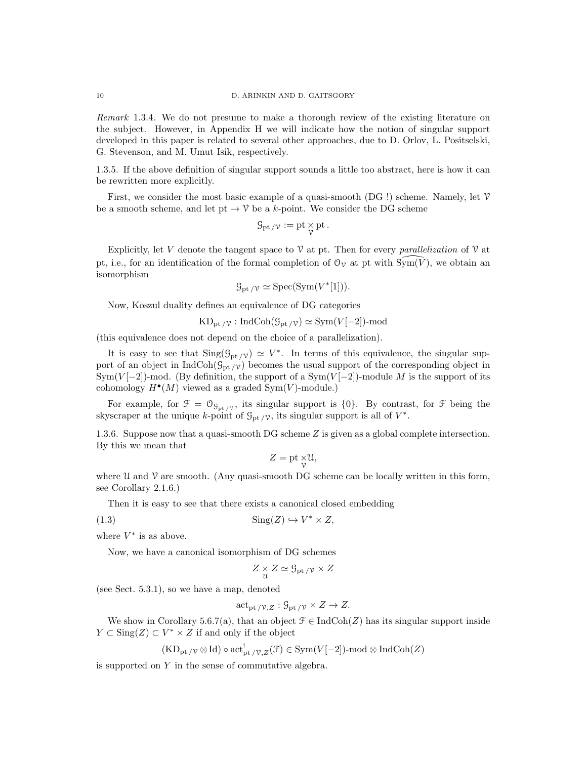Remark 1.3.4. We do not presume to make a thorough review of the existing literature on the subject. However, in Appendix H we will indicate how the notion of singular support developed in this paper is related to several other approaches, due to D. Orlov, L. Positselski, G. Stevenson, and M. Umut Isik, respectively.

1.3.5. If the above definition of singular support sounds a little too abstract, here is how it can be rewritten more explicitly.

First, we consider the most basic example of a quasi-smooth  $(DG!)$  scheme. Namely, let  $V$ be a smooth scheme, and let pt  $\rightarrow \mathcal{V}$  be a k-point. We consider the DG scheme

$$
\mathcal{G}_{\mathrm{pt}\,/\mathcal{V}}:=\mathrm{pt}\mathop{\times}_\mathcal{V}\mathrm{pt}\,.
$$

Explicitly, let V denote the tangent space to  $\mathcal V$  at pt. Then for every parallelization of  $\mathcal V$  at pt, i.e., for an identification of the formal completion of  $\mathcal{O}_{\gamma}$  at pt with  $\text{Sym}(\overline{V})$ , we obtain an isomorphism

$$
\mathcal{G}_{\mathrm{pt}/\mathcal{V}} \simeq \mathrm{Spec}(\mathrm{Sym}(V^*[1])).
$$

Now, Koszul duality defines an equivalence of DG categories

$$
KD_{\text{pt}/\mathcal{V}}:\text{IndCoh}(\mathcal{G}_{\text{pt}/\mathcal{V}})\simeq \text{Sym}(V[-2])\text{-mod}
$$

(this equivalence does not depend on the choice of a parallelization).

It is easy to see that  $\text{Sing}(\mathcal{G}_{pt}/v) \simeq V^*$ . In terms of this equivalence, the singular support of an object in  $IndCoh(\mathcal{G}_{pt}/\gamma)$  becomes the usual support of the corresponding object in  $Sym(V[-2])$ -mod. (By definition, the support of a  $Sym(V[-2])$ -module M is the support of its cohomology  $H^{\bullet}(M)$  viewed as a graded Sym $(V)$ -module.)

For example, for  $\mathcal{F} = \mathcal{O}_{\mathcal{G}_{\text{pt}}/\mathcal{V}}$ , its singular support is  $\{0\}$ . By contrast, for  $\mathcal{F}$  being the skyscraper at the unique k-point of  $\mathcal{G}_{\text{pt }/\mathcal{V}}$ , its singular support is all of  $V^*$ .

1.3.6. Suppose now that a quasi-smooth DG scheme Z is given as a global complete intersection. By this we mean that

$$
Z = \text{pt} \underset{\mathcal{V}}{\times} \mathfrak{U},
$$

where  $\mathcal U$  and  $\mathcal V$  are smooth. (Any quasi-smooth DG scheme can be locally written in this form, see Corollary 2.1.6.)

Then it is easy to see that there exists a canonical closed embedding

(1.3) Sing(Z) ,→ V <sup>∗</sup> × Z,

where  $V^*$  is as above.

Now, we have a canonical isomorphism of DG schemes

$$
Z \underset{\mathfrak{U}}{\times} Z \simeq \mathcal{G}_{\mathrm{pt}} / \mathfrak{v} \times Z
$$

(see Sect. 5.3.1), so we have a map, denoted

$$
\mathrm{act}_{\mathrm{pt}/\mathcal{V},Z} : \mathcal{G}_{\mathrm{pt}/\mathcal{V}} \times Z \to Z.
$$

We show in Corollary 5.6.7(a), that an object  $\mathcal{F} \in \text{IndCoh}(Z)$  has its singular support inside  $Y \subset \text{Sing}(Z) \subset V^* \times Z$  if and only if the object

$$
(KD_{\text{pt }/\mathcal{V}}\otimes \mathrm{Id})\circ \mathrm{act}_{\text{pt }/\mathcal{V},Z}^!(\mathcal{F})\in \mathrm{Sym}(V[-2])\text{-}\mathrm{mod}\otimes \mathrm{IndCoh}(Z)
$$

is supported on Y in the sense of commutative algebra.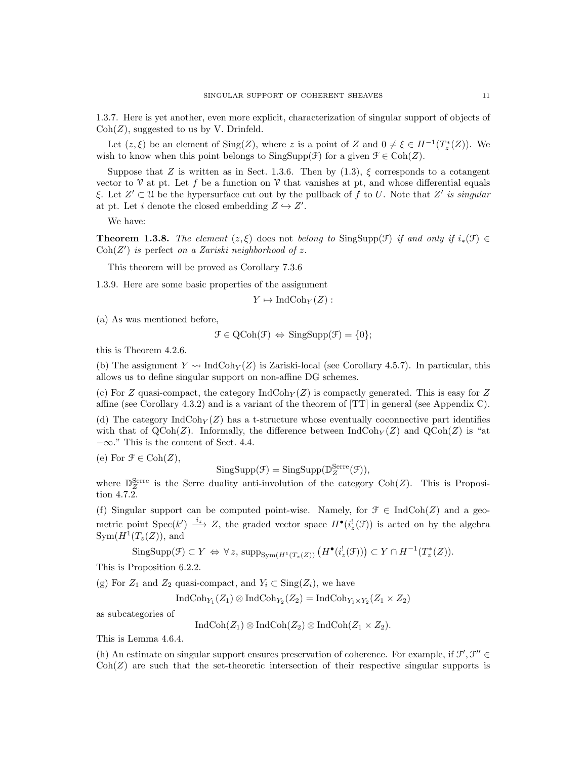1.3.7. Here is yet another, even more explicit, characterization of singular support of objects of  $Coh(Z)$ , suggested to us by V. Drinfeld.

Let  $(z, \xi)$  be an element of  $\text{Sing}(Z)$ , where z is a point of Z and  $0 \neq \xi \in H^{-1}(T_z^*(Z))$ . We wish to know when this point belongs to  $SingSupp(\mathcal{F})$  for a given  $\mathcal{F} \in \text{Coh}(Z)$ .

Suppose that Z is written as in Sect. 1.3.6. Then by  $(1.3)$ ,  $\xi$  corresponds to a cotangent vector to  $\mathcal V$  at pt. Let f be a function on  $\mathcal V$  that vanishes at pt, and whose differential equals ξ. Let  $Z' \subset U$  be the hypersurface cut out by the pullback of f to U. Note that  $Z'$  is singular at pt. Let i denote the closed embedding  $Z \hookrightarrow Z'$ .

We have:

**Theorem 1.3.8.** The element  $(z, \xi)$  does not belong to SingSupp(F) if and only if  $i_*(\mathcal{F}) \in$  $Coh(Z')$  is perfect on a Zariski neighborhood of z.

This theorem will be proved as Corollary 7.3.6

1.3.9. Here are some basic properties of the assignment

 $Y \mapsto \text{IndCoh}_Y(Z)$ :

(a) As was mentioned before,

$$
\mathcal{F} \in \mathrm{QCoh}(\mathcal{F}) \Leftrightarrow \mathrm{SingSupp}(\mathcal{F}) = \{0\};
$$

this is Theorem 4.2.6.

(b) The assignment  $Y \rightsquigarrow \text{IndCoh}_Y(Z)$  is Zariski-local (see Corollary 4.5.7). In particular, this allows us to define singular support on non-affine DG schemes.

(c) For Z quasi-compact, the category  $\text{IndCoh}_Y(Z)$  is compactly generated. This is easy for Z affine (see Corollary 4.3.2) and is a variant of the theorem of [TT] in general (see Appendix C).

(d) The category  $IndCoh_Y(Z)$  has a t-structure whose eventually coconnective part identifies with that of  $QCoh(Z)$ . Informally, the difference between IndCoh $_Y(Z)$  and  $QCoh(Z)$  is "at  $-\infty$ ." This is the content of Sect. 4.4.

(e) For  $\mathfrak{F} \in \text{Coh}(Z)$ ,

$$
\mathrm{SingSupp}(\mathcal{F}) = \mathrm{SingSupp}(\mathbb{D}_Z^{\mathrm{Serre}}(\mathcal{F})),
$$

where  $\mathbb{D}_{Z}^{\text{Serre}}$  is the Serre duality anti-involution of the category Coh(Z). This is Proposition 4.7.2.

(f) Singular support can be computed point-wise. Namely, for  $\mathcal{F} \in \text{IndCoh}(Z)$  and a geometric point Spec $(k') \stackrel{i_{z}}{\longrightarrow} Z$ , the graded vector space  $H^{\bullet}(i_{z}^{!}(\mathcal{F}))$  is acted on by the algebra  $Sym(H^{1}(T_{z}(Z)),$  and

$$
\mathrm{SingSupp}(\mathcal{F}) \subset Y \Leftrightarrow \forall z, \mathrm{supp}_{\mathrm{Sym}(H^1(T_z(Z)))} \left( H^{\bullet}(i_z^!(\mathcal{F})) \right) \subset Y \cap H^{-1}(T_z^*(Z)).
$$

This is Proposition 6.2.2.

(g) For  $Z_1$  and  $Z_2$  quasi-compact, and  $Y_i \subset \text{Sing}(Z_i)$ , we have

$$
\operatorname{IndCoh}_{Y_1}(Z_1)\otimes\operatorname{IndCoh}_{Y_2}(Z_2)=\operatorname{IndCoh}_{Y_1\times Y_2}(Z_1\times Z_2)
$$

as subcategories of

$$
IndCoh(Z_1) \otimes IndCoh(Z_2) \otimes IndCoh(Z_1 \times Z_2).
$$

This is Lemma 4.6.4.

(h) An estimate on singular support ensures preservation of coherence. For example, if  $\mathcal{F}', \mathcal{F}'' \in$  $\text{Coh}(Z)$  are such that the set-theoretic intersection of their respective singular supports is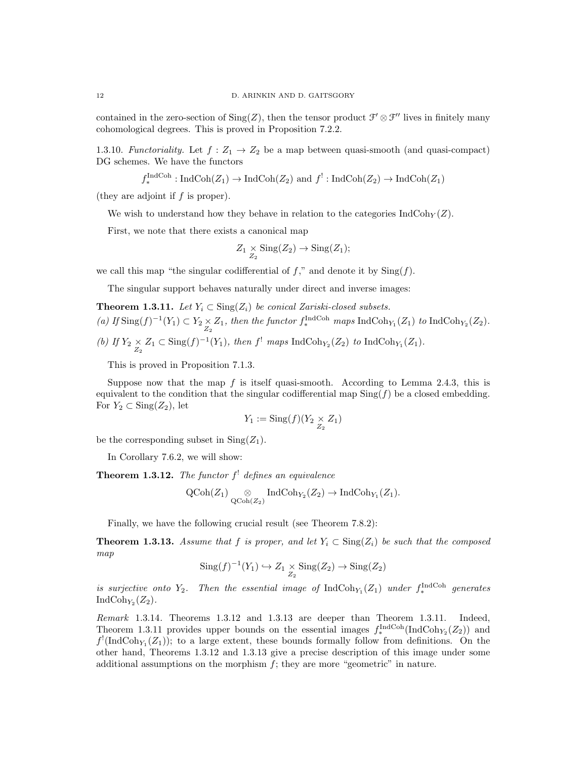contained in the zero-section of  $\text{Sing}(Z)$ , then the tensor product  $\mathcal{F}' \otimes \mathcal{F}''$  lives in finitely many cohomological degrees. This is proved in Proposition 7.2.2.

1.3.10. Functoriality. Let  $f: Z_1 \rightarrow Z_2$  be a map between quasi-smooth (and quasi-compact) DG schemes. We have the functors

$$
f_*^{\text{IndCoh}} : \text{IndCoh}(Z_1) \to \text{IndCoh}(Z_2)
$$
 and  $f': \text{IndCoh}(Z_2) \to \text{IndCoh}(Z_1)$ 

(they are adjoint if  $f$  is proper).

We wish to understand how they behave in relation to the categories  $\text{IndCoh}_Y(Z)$ .

First, we note that there exists a canonical map

$$
Z_1 \underset{Z_2}{\times} \operatorname{Sing}(Z_2) \to \operatorname{Sing}(Z_1);
$$

we call this map "the singular codifferential of  $f$ ," and denote it by  $\text{Sing}(f)$ .

The singular support behaves naturally under direct and inverse images:

**Theorem 1.3.11.** Let  $Y_i \subset \text{Sing}(Z_i)$  be conical Zariski-closed subsets. (a) If  $\text{Sing}(f)^{-1}(Y_1) \subset Y_2 \underset{Z_2}{\times} Z_1$ , then the functor  $f_*^{\text{IndCoh}}$  maps  $\text{IndCoh}_{Y_1}(Z_1)$  to  $\text{IndCoh}_{Y_2}(Z_2)$ . (b) If  $Y_2 \underset{Z_2}{\times} Z_1 \subset \text{Sing}(f)^{-1}(Y_1)$ , then  $f^!$  maps IndCoh<sub>Y<sub>2</sub></sub> $(Z_2)$  to IndCoh<sub>Y<sub>1</sub></sub> $(Z_1)$ .

This is proved in Proposition 7.1.3.

Suppose now that the map  $f$  is itself quasi-smooth. According to Lemma 2.4.3, this is equivalent to the condition that the singular codifferential map  $\text{Sing}(f)$  be a closed embedding. For  $Y_2 \subset \text{Sing}(Z_2)$ , let

$$
Y_1 := \operatorname{Sing}(f)(Y_2 \underset{Z_2}{\times} Z_1)
$$

be the corresponding subset in  $\text{Sing}(Z_1)$ .

In Corollary 7.6.2, we will show:

**Theorem 1.3.12.** The functor  $f^!$  defines an equivalence

$$
\operatorname{QCoh}(Z_1) \underset{\operatorname{QCoh}(Z_2)}{\otimes} \operatorname{IndCoh}_{Y_2}(Z_2) \to \operatorname{IndCoh}_{Y_1}(Z_1).
$$

Finally, we have the following crucial result (see Theorem 7.8.2):

**Theorem 1.3.13.** Assume that f is proper, and let  $Y_i \text{ }\subset \text{Sing}(Z_i)$  be such that the composed map

$$
Sing(f)^{-1}(Y_1) \hookrightarrow Z_1 \underset{Z_2}{\times} Sing(Z_2) \to Sing(Z_2)
$$

is surjective onto  $Y_2$ . Then the essential image of  $\text{IndCoh}_{Y_1}(Z_1)$  under  $f_*^{\text{IndCoh}}$  generates IndCoh<sub> $Y_2$ </sub> $(Z_2)$ .

Remark 1.3.14. Theorems 1.3.12 and 1.3.13 are deeper than Theorem 1.3.11. Indeed, Theorem 1.3.11 provides upper bounds on the essential images  $f_*^{\text{IndCoh}}(\text{IndCoh}_{Y_2}(Z_2))$  and  $f'(\text{IndCoh}_{Y_1}(Z_1))$ ; to a large extent, these bounds formally follow from definitions. On the other hand, Theorems 1.3.12 and 1.3.13 give a precise description of this image under some additional assumptions on the morphism  $f$ ; they are more "geometric" in nature.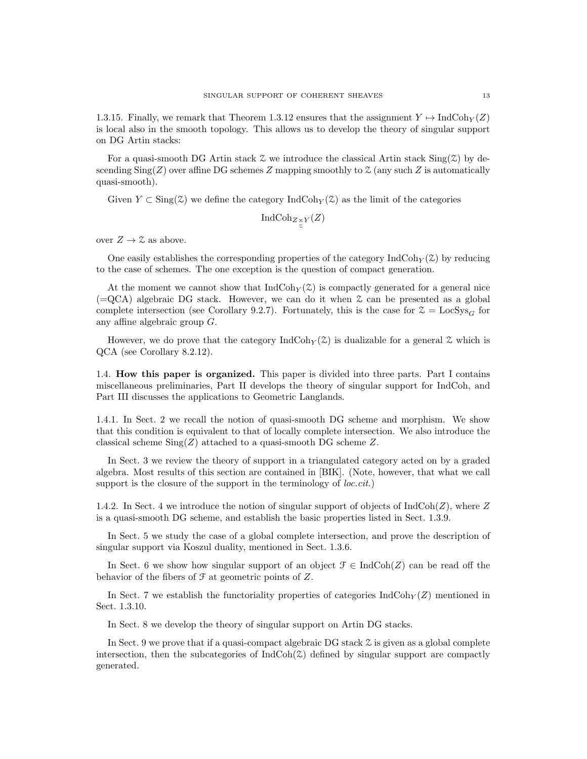1.3.15. Finally, we remark that Theorem 1.3.12 ensures that the assignment  $Y \mapsto \text{IndCoh}_Y(Z)$ is local also in the smooth topology. This allows us to develop the theory of singular support on DG Artin stacks:

For a quasi-smooth DG Artin stack  $\mathcal Z$  we introduce the classical Artin stack  $\text{Sing}(\mathcal Z)$  by descending  $\text{Sing}(Z)$  over affine DG schemes Z mapping smoothly to  $\mathfrak{Z}$  (any such Z is automatically quasi-smooth).

Given  $Y \subset Sing(\mathcal{Z})$  we define the category IndCoh $_Y(\mathcal{Z})$  as the limit of the categories

$$
\textup{IndCoh}_{Z_{\chi}^{\times}Y}(Z)
$$

over  $Z \rightarrow \mathcal{Z}$  as above.

One easily establishes the corresponding properties of the category  $\text{IndCoh}_Y(\mathcal{Z})$  by reducing to the case of schemes. The one exception is the question of compact generation.

At the moment we cannot show that  $\text{IndCoh}_{Y}(Z)$  is compactly generated for a general nice  $(=QCA)$  algebraic DG stack. However, we can do it when  $\mathcal Z$  can be presented as a global complete intersection (see Corollary 9.2.7). Fortunately, this is the case for  $\mathcal{Z} = \text{LocSys}_G$  for any affine algebraic group G.

However, we do prove that the category  $\text{IndCoh}_{Y}(\mathcal{Z})$  is dualizable for a general  $\mathcal Z$  which is QCA (see Corollary 8.2.12).

1.4. How this paper is organized. This paper is divided into three parts. Part I contains miscellaneous preliminaries, Part II develops the theory of singular support for IndCoh, and Part III discusses the applications to Geometric Langlands.

1.4.1. In Sect. 2 we recall the notion of quasi-smooth DG scheme and morphism. We show that this condition is equivalent to that of locally complete intersection. We also introduce the classical scheme  $\text{Sing}(Z)$  attached to a quasi-smooth DG scheme Z.

In Sect. 3 we review the theory of support in a triangulated category acted on by a graded algebra. Most results of this section are contained in [BIK]. (Note, however, that what we call support is the closure of the support in the terminology of *loc.cit.*)

1.4.2. In Sect. 4 we introduce the notion of singular support of objects of  $\text{IndCoh}(Z)$ , where Z is a quasi-smooth DG scheme, and establish the basic properties listed in Sect. 1.3.9.

In Sect. 5 we study the case of a global complete intersection, and prove the description of singular support via Koszul duality, mentioned in Sect. 1.3.6.

In Sect. 6 we show how singular support of an object  $\mathcal{F} \in \text{IndCoh}(Z)$  can be read off the behavior of the fibers of  $\mathcal F$  at geometric points of  $Z$ .

In Sect. 7 we establish the functoriality properties of categories  $\text{IndCoh}_Y(Z)$  mentioned in Sect. 1.3.10.

In Sect. 8 we develop the theory of singular support on Artin DG stacks.

In Sect. 9 we prove that if a quasi-compact algebraic DG stack Z is given as a global complete intersection, then the subcategories of  $IndCoh(\mathcal{Z})$  defined by singular support are compactly generated.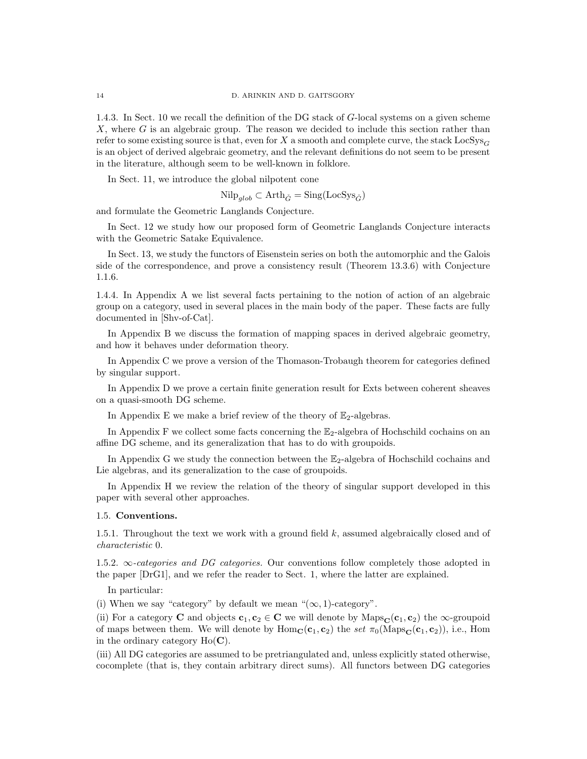1.4.3. In Sect. 10 we recall the definition of the DG stack of G-local systems on a given scheme X, where  $G$  is an algebraic group. The reason we decided to include this section rather than refer to some existing source is that, even for X a smooth and complete curve, the stack  $\text{LocSys}_G$ is an object of derived algebraic geometry, and the relevant definitions do not seem to be present in the literature, although seem to be well-known in folklore.

In Sect. 11, we introduce the global nilpotent cone

 $Nilp_{alob} ⊂ Arth_{\check{G}} = Sing(LocSys_{\check{G}})$ 

and formulate the Geometric Langlands Conjecture.

In Sect. 12 we study how our proposed form of Geometric Langlands Conjecture interacts with the Geometric Satake Equivalence.

In Sect. 13, we study the functors of Eisenstein series on both the automorphic and the Galois side of the correspondence, and prove a consistency result (Theorem 13.3.6) with Conjecture 1.1.6.

1.4.4. In Appendix A we list several facts pertaining to the notion of action of an algebraic group on a category, used in several places in the main body of the paper. These facts are fully documented in [Shv-of-Cat].

In Appendix B we discuss the formation of mapping spaces in derived algebraic geometry, and how it behaves under deformation theory.

In Appendix C we prove a version of the Thomason-Trobaugh theorem for categories defined by singular support.

In Appendix D we prove a certain finite generation result for Exts between coherent sheaves on a quasi-smooth DG scheme.

In Appendix E we make a brief review of the theory of  $\mathbb{E}_2$ -algebras.

In Appendix F we collect some facts concerning the  $\mathbb{E}_2$ -algebra of Hochschild cochains on an affine DG scheme, and its generalization that has to do with groupoids.

In Appendix G we study the connection between the  $\mathbb{E}_2$ -algebra of Hochschild cochains and Lie algebras, and its generalization to the case of groupoids.

In Appendix H we review the relation of the theory of singular support developed in this paper with several other approaches.

### 1.5. Conventions.

1.5.1. Throughout the text we work with a ground field  $k$ , assumed algebraically closed and of characteristic 0.

1.5.2.  $\infty$ -categories and DG categories. Our conventions follow completely those adopted in the paper [DrG1], and we refer the reader to Sect. 1, where the latter are explained.

In particular:

(i) When we say "category" by default we mean " $(\infty, 1)$ -category".

(ii) For a category C and objects  $c_1, c_2 \in C$  we will denote by  $\text{Maps}_{\mathbf{C}}(c_1, c_2)$  the  $\infty$ -groupoid of maps between them. We will denote by  $\text{Hom}_{\mathbf{C}}(\mathbf{c}_1, \mathbf{c}_2)$  the set  $\pi_0(\text{Maps}_{\mathbf{C}}(\mathbf{c}_1, \mathbf{c}_2))$ , i.e., Hom in the ordinary category  $Ho(\mathbf{C})$ .

(iii) All DG categories are assumed to be pretriangulated and, unless explicitly stated otherwise, cocomplete (that is, they contain arbitrary direct sums). All functors between DG categories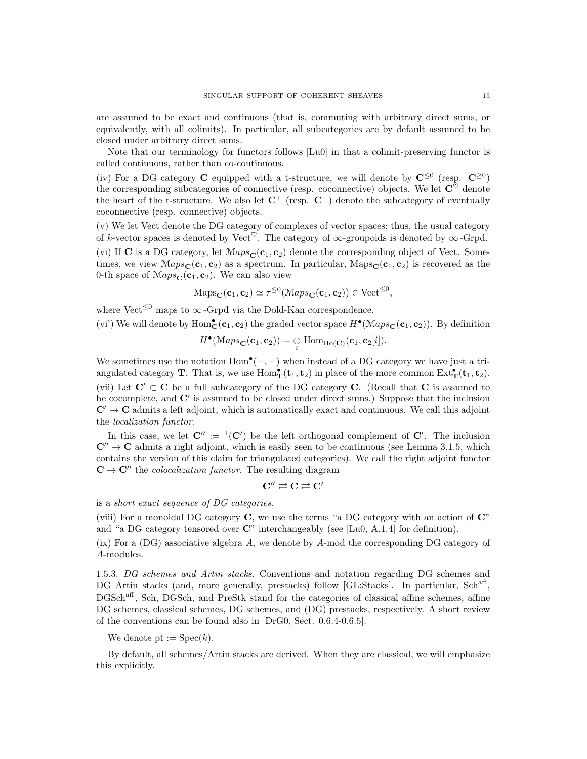are assumed to be exact and continuous (that is, commuting with arbitrary direct sums, or equivalently, with all colimits). In particular, all subcategories are by default assumed to be closed under arbitrary direct sums.

Note that our terminology for functors follows [Lu0] in that a colimit-preserving functor is called continuous, rather than co-continuous.

(iv) For a DG category **C** equipped with a t-structure, we will denote by  $\mathbf{C}^{\leq 0}$  (resp.  $\mathbf{C}^{\geq 0}$ ) the corresponding subcategories of connective (resp. coconnective) objects. We let  $\mathbf{C}^{\tilde{\heartsuit}}$  denote the heart of the t-structure. We also let  $\mathbb{C}^+$  (resp.  $\mathbb{C}^-$ ) denote the subcategory of eventually coconnective (resp. connective) objects.

(v) We let Vect denote the DG category of complexes of vector spaces; thus, the usual category of k-vector spaces is denoted by Vect<sup> $\heartsuit$ </sup>. The category of  $\infty$ -groupoids is denoted by  $\infty$ -Grpd. (vi) If C is a DG category, let  $Maps_{\mathbf{C}}(\mathbf{c}_1, \mathbf{c}_2)$  denote the corresponding object of Vect. Sometimes, we view  $Maps_{\mathbf{C}}(\mathbf{c}_1, \mathbf{c}_2)$  as a spectrum. In particular,  $Maps_{\mathbf{C}}(\mathbf{c}_1, \mathbf{c}_2)$  is recovered as the 0-th space of  $Maps_{\mathbf{C}}(\mathbf{c}_1, \mathbf{c}_2)$ . We can also view

 $\text{Maps}_{\mathbf{C}}(\mathbf{c}_1, \mathbf{c}_2) \simeq \tau^{\leq 0}(\text{Maps}_{\mathbf{C}}(\mathbf{c}_1, \mathbf{c}_2)) \in \text{Vect}^{\leq 0},$ 

where Vect<sup>≤0</sup> maps to  $\infty$ -Grpd via the Dold-Kan correspondence.

(vi') We will denote by  $Hom_C^{\bullet}({\bf c}_1, {\bf c}_2)$  the graded vector space  $H^{\bullet}(\mathcal{M}aps_{\mathbf{C}}({\bf c}_1, {\bf c}_2))$ . By definition

$$
H^{\bullet}(\operatorname{Maps}_{\mathbf{C}}(\mathbf{c}_1, \mathbf{c}_2)) = \bigoplus_i \operatorname{Hom}_{\operatorname{Ho}(\mathbf{C})}(\mathbf{c}_1, \mathbf{c}_2[i]).
$$

We sometimes use the notation  $Hom^{\bullet}(-, -)$  when instead of a DG category we have just a triangulated category **T**. That is, we use  $Hom_{\mathbf{T}}^{\bullet}(\mathbf{t}_1, \mathbf{t}_2)$  in place of the more common  $Ext_{\mathbf{T}}^{\bullet}(\mathbf{t}_1, \mathbf{t}_2)$ . (vii) Let  $\mathbf{C}' \subset \mathbf{C}$  be a full subcategory of the DG category **C**. (Recall that **C** is assumed to be cocomplete, and  $\mathbb{C}'$  is assumed to be closed under direct sums.) Suppose that the inclusion  $C' \rightarrow C$  admits a left adjoint, which is automatically exact and continuous. We call this adjoint the localization functor.

In this case, we let  $\mathbf{C}'' := {}^{\perp}(\mathbf{C}')$  be the left orthogonal complement of  $\mathbf{C}'$ . The inclusion  $\mathbb{C}^{\prime\prime} \rightarrow \mathbb{C}$  admits a right adjoint, which is easily seen to be continuous (see Lemma 3.1.5, which contains the version of this claim for triangulated categories). We call the right adjoint functor  $C \rightarrow C''$  the *colocalization functor*. The resulting diagram

$$
C'' \rightleftarrows C \rightleftarrows C'
$$

is a short exact sequence of DG categories.

(viii) For a monoidal DG category C, we use the terms "a DG category with an action of C" and "a DG category tensored over C" interchangeably (see [Lu0, A.1.4] for definition).

(ix) For a (DG) associative algebra A, we denote by A-mod the corresponding DG category of A-modules.

1.5.3. DG schemes and Artin stacks. Conventions and notation regarding DG schemes and DG Artin stacks (and, more generally, prestacks) follow [GL:Stacks]. In particular, Sch<sup>aff</sup>, DGSch<sup>aff</sup>, Sch, DGSch, and PreStk stand for the categories of classical affine schemes, affine DG schemes, classical schemes, DG schemes, and (DG) prestacks, respectively. A short review of the conventions can be found also in [DrG0, Sect. 0.6.4-0.6.5].

We denote pt :=  $Spec(k)$ .

By default, all schemes/Artin stacks are derived. When they are classical, we will emphasize this explicitly.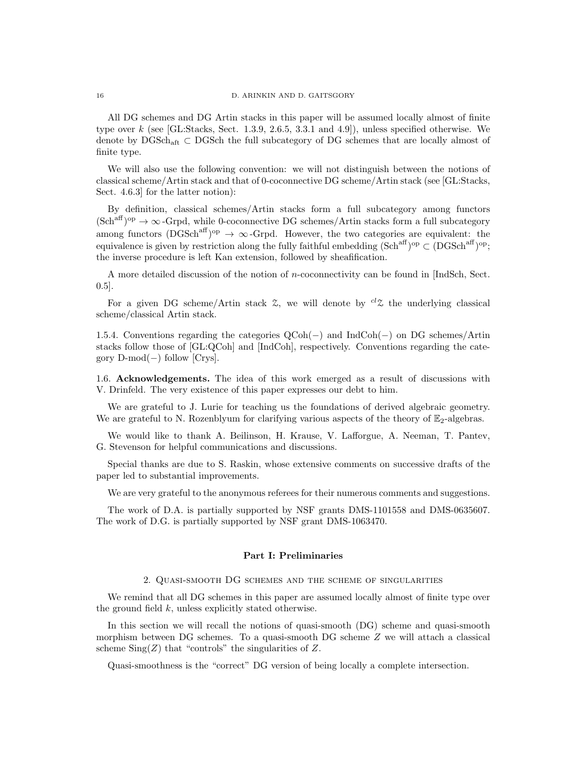All DG schemes and DG Artin stacks in this paper will be assumed locally almost of finite type over  $k$  (see [GL:Stacks, Sect. 1.3.9, 2.6.5, 3.3.1 and 4.9]), unless specified otherwise. We denote by DGSchaft ⊂ DGSch the full subcategory of DG schemes that are locally almost of finite type.

We will also use the following convention: we will not distinguish between the notions of classical scheme/Artin stack and that of 0-coconnective DG scheme/Artin stack (see [GL:Stacks, Sect. 4.6.3] for the latter notion):

By definition, classical schemes/Artin stacks form a full subcategory among functors  $(\text{Sch}^{\text{aff}})^{\text{op}} \to \infty$ -Grpd, while 0-coconnective DG schemes/Artin stacks form a full subcategory among functors  $(DGSch^{aff})^{op} \rightarrow \infty$ -Grpd. However, the two categories are equivalent: the equivalence is given by restriction along the fully faithful embedding  $(Sch^{aff})^{op} \subset (DGSch^{aff})^{op}$ ; the inverse procedure is left Kan extension, followed by sheafification.

A more detailed discussion of the notion of n-coconnectivity can be found in [IndSch, Sect. 0.5].

For a given DG scheme/Artin stack  $\mathcal{Z}$ , we will denote by  $^{cl}\mathcal{Z}$  the underlying classical scheme/classical Artin stack.

1.5.4. Conventions regarding the categories QCoh(−) and IndCoh(−) on DG schemes/Artin stacks follow those of [GL:QCoh] and [IndCoh], respectively. Conventions regarding the category D-mod(−) follow [Crys].

1.6. Acknowledgements. The idea of this work emerged as a result of discussions with V. Drinfeld. The very existence of this paper expresses our debt to him.

We are grateful to J. Lurie for teaching us the foundations of derived algebraic geometry. We are grateful to N. Rozenblyum for clarifying various aspects of the theory of  $\mathbb{E}_2$ -algebras.

We would like to thank A. Beilinson, H. Krause, V. Lafforgue, A. Neeman, T. Pantev, G. Stevenson for helpful communications and discussions.

Special thanks are due to S. Raskin, whose extensive comments on successive drafts of the paper led to substantial improvements.

We are very grateful to the anonymous referees for their numerous comments and suggestions.

The work of D.A. is partially supported by NSF grants DMS-1101558 and DMS-0635607. The work of D.G. is partially supported by NSF grant DMS-1063470.

### Part I: Preliminaries

#### 2. Quasi-smooth DG schemes and the scheme of singularities

We remind that all DG schemes in this paper are assumed locally almost of finite type over the ground field k, unless explicitly stated otherwise.

In this section we will recall the notions of quasi-smooth (DG) scheme and quasi-smooth morphism between DG schemes. To a quasi-smooth DG scheme Z we will attach a classical scheme  $\text{Sing}(Z)$  that "controls" the singularities of Z.

Quasi-smoothness is the "correct" DG version of being locally a complete intersection.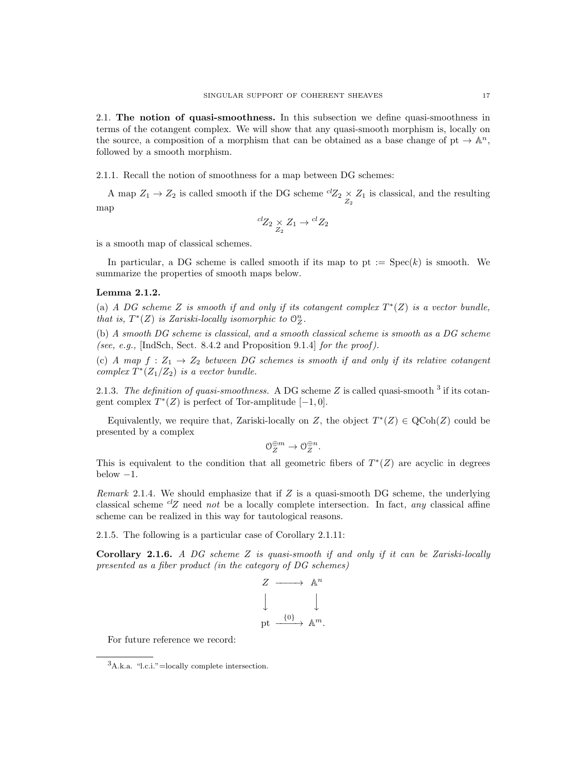2.1. The notion of quasi-smoothness. In this subsection we define quasi-smoothness in terms of the cotangent complex. We will show that any quasi-smooth morphism is, locally on the source, a composition of a morphism that can be obtained as a base change of pt  $\rightarrow \mathbb{A}^n$ , followed by a smooth morphism.

2.1.1. Recall the notion of smoothness for a map between DG schemes:

A map  $Z_1 \to Z_2$  is called smooth if the DG scheme  ${}^{cl}Z_2 \underset{Z_2}{\times} Z_1$  is classical, and the resulting map

$$
{}^{cl}Z_2 \underset{Z_2}{\times} Z_1 \to {}^{cl}Z_2
$$

is a smooth map of classical schemes.

In particular, a DG scheme is called smooth if its map to pt :=  $Spec(k)$  is smooth. We summarize the properties of smooth maps below.

#### Lemma 2.1.2.

(a) A DG scheme Z is smooth if and only if its cotangent complex  $T^*(Z)$  is a vector bundle, that is,  $T^*(Z)$  is Zariski-locally isomorphic to  $\mathcal{O}_Z^n$ .

(b) A smooth DG scheme is classical, and a smooth classical scheme is smooth as a DG scheme (see, e.g., [IndSch, Sect. 8.4.2 and Proposition 9.1.4] for the proof).

(c) A map  $f: Z_1 \to Z_2$  between DG schemes is smooth if and only if its relative cotangent complex  $T^*(Z_1/Z_2)$  is a vector bundle.

2.1.3. The definition of quasi-smoothness. A DG scheme Z is called quasi-smooth  $3$  if its cotangent complex  $T^*(Z)$  is perfect of Tor-amplitude  $[-1,0]$ .

Equivalently, we require that, Zariski-locally on Z, the object  $T^*(Z) \in \text{QCoh}(Z)$  could be presented by a complex

$$
\mathcal{O}_Z^{\oplus m} \to \mathcal{O}_Z^{\oplus n}.
$$

This is equivalent to the condition that all geometric fibers of  $T^*(Z)$  are acyclic in degrees below  $-1$ .

*Remark* 2.1.4. We should emphasize that if  $Z$  is a quasi-smooth DG scheme, the underlying classical scheme  ${}^{cl}Z$  need not be a locally complete intersection. In fact, any classical affine scheme can be realized in this way for tautological reasons.

2.1.5. The following is a particular case of Corollary 2.1.11:

**Corollary 2.1.6.** A DG scheme  $Z$  is quasi-smooth if and only if it can be Zariski-locally presented as a fiber product (in the category of DG schemes)

$$
\begin{array}{ccc}\nZ & \longrightarrow & \mathbb{A}^n \\
\downarrow & & \downarrow \\
\text{pt} & \xrightarrow{\{0\}} & \mathbb{A}^m.\n\end{array}
$$

For future reference we record:

 ${}^{3}$ A.k.a. "l.c.i."=locally complete intersection.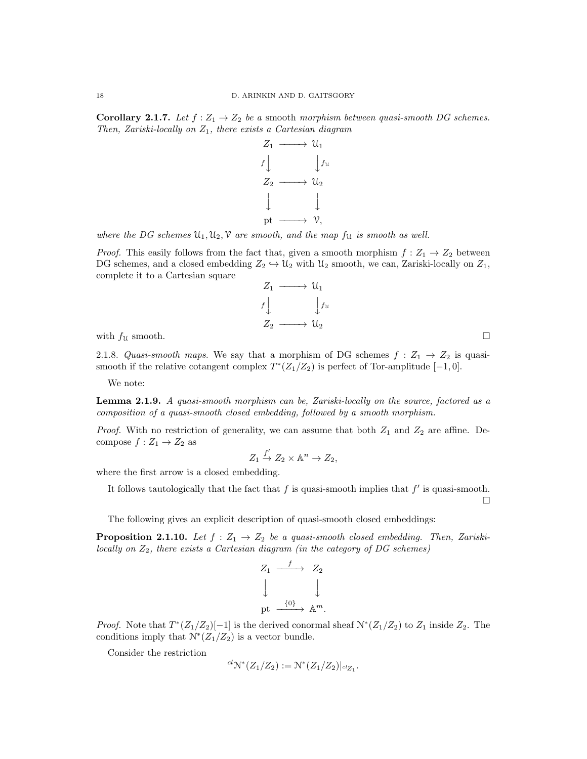**Corollary 2.1.7.** Let  $f : Z_1 \to Z_2$  be a smooth morphism between quasi-smooth DG schemes. Then, Zariski-locally on  $Z_1$ , there exists a Cartesian diagram



where the DG schemes  $\mathfrak{U}_1, \mathfrak{U}_2, \mathfrak{V}$  are smooth, and the map  $f_{\mathfrak{U}}$  is smooth as well.

*Proof.* This easily follows from the fact that, given a smooth morphism  $f: Z_1 \to Z_2$  between DG schemes, and a closed embedding  $Z_2 \hookrightarrow \mathcal{U}_2$  with  $\mathcal{U}_2$  smooth, we can, Zariski-locally on  $Z_1$ , complete it to a Cartesian square



with  $f_{\mathcal{U}}$  smooth.

2.1.8. Quasi-smooth maps. We say that a morphism of DG schemes  $f: Z_1 \rightarrow Z_2$  is quasismooth if the relative cotangent complex  $T^*(Z_1/Z_2)$  is perfect of Tor-amplitude [-1,0].

We note:

Lemma 2.1.9. A quasi-smooth morphism can be, Zariski-locally on the source, factored as a composition of a quasi-smooth closed embedding, followed by a smooth morphism.

*Proof.* With no restriction of generality, we can assume that both  $Z_1$  and  $Z_2$  are affine. Decompose  $f: Z_1 \to Z_2$  as

$$
Z_1 \stackrel{f'}{\to} Z_2 \times \mathbb{A}^n \to Z_2,
$$

where the first arrow is a closed embedding.

It follows tautologically that the fact that  $f$  is quasi-smooth implies that  $f'$  is quasi-smooth.  $\Box$ 

The following gives an explicit description of quasi-smooth closed embeddings:

**Proposition 2.1.10.** Let  $f : Z_1 \rightarrow Z_2$  be a quasi-smooth closed embedding. Then, Zariskilocally on  $Z_2$ , there exists a Cartesian diagram (in the category of DG schemes)

$$
Z_1 \xrightarrow{f} Z_2
$$
  

$$
\downarrow \qquad \qquad \downarrow
$$
  

$$
\text{pt} \xrightarrow{\{0\}} \mathbb{A}^m.
$$

*Proof.* Note that  $T^*(Z_1/Z_2)[-1]$  is the derived conormal sheaf  $\mathcal{N}^*(Z_1/Z_2)$  to  $Z_1$  inside  $Z_2$ . The conditions imply that  $\mathcal{N}^*(Z_1/Z_2)$  is a vector bundle.

Consider the restriction

$$
{}^{cl}\mathcal{N}^*(Z_1/Z_2) := \mathcal{N}^*(Z_1/Z_2)|_{\mathrm{cl}_{Z_1}}.
$$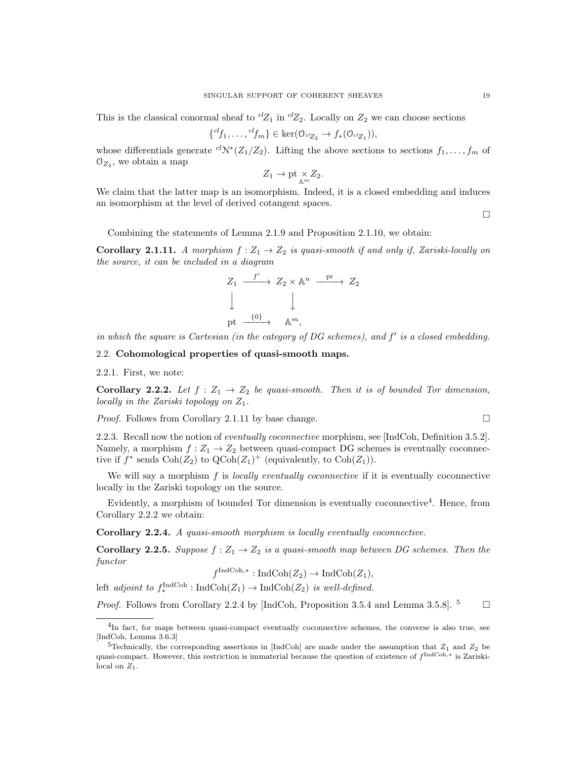This is the classical conormal sheaf to  ${}^{cl}Z_1$  in  ${}^{cl}Z_2$ . Locally on  $Z_2$  we can choose sections

$$
\{^{cl}f_1,\ldots,^{cl}f_m\}\in \ker(\mathcal{O}_{\mathrm{cl}_{Z_2}}\to f_*(\mathcal{O}_{\mathrm{cl}_{Z_1}})),
$$

whose differentials generate  ${}^{cl}\mathcal{N}^*(Z_1/Z_2)$ . Lifting the above sections to sections  $f_1, \ldots, f_m$  of  $O_{Z_2}$ , we obtain a map

$$
Z_1 \to \text{pt} \underset{\mathbb{A}^m}{\times} Z_2.
$$

We claim that the latter map is an isomorphism. Indeed, it is a closed embedding and induces an isomorphism at the level of derived cotangent spaces.

 $\Box$ 

Combining the statements of Lemma 2.1.9 and Proposition 2.1.10, we obtain:

**Corollary 2.1.11.** A morphism  $f: Z_1 \to Z_2$  is quasi-smooth if and only if, Zariski-locally on the source, it can be included in a diagram

$$
Z_1 \xrightarrow{f'} Z_2 \times \mathbb{A}^n \xrightarrow{\text{pr}} Z_2
$$
  
\n
$$
\downarrow \qquad \qquad \downarrow
$$
  
\npt 
$$
\xrightarrow{\{0\}} \mathbb{A}^m
$$
,

in which the square is Cartesian (in the category of  $DG$  schemes), and  $f'$  is a closed embedding.

### 2.2. Cohomological properties of quasi-smooth maps.

2.2.1. First, we note:

Corollary 2.2.2. Let  $f: Z_1 \rightarrow Z_2$  be quasi-smooth. Then it is of bounded Tor dimension, locally in the Zariski topology on  $Z_1$ .

*Proof.* Follows from Corollary 2.1.11 by base change.  $\square$ 

2.2.3. Recall now the notion of eventually coconnective morphism, see [IndCoh, Definition 3.5.2]. Namely, a morphism  $f: Z_1 \to Z_2$  between quasi-compact DG schemes is eventually coconnective if  $f^*$  sends  $\text{Coh}(Z_2)$  to  $\text{QCoh}(Z_1)^+$  (equivalently, to  $\text{Coh}(Z_1)$ ).

We will say a morphism f is *locally eventually coconnective* if it is eventually coconnective locally in the Zariski topology on the source.

Evidently, a morphism of bounded Tor dimension is eventually coconnective<sup>4</sup>. Hence, from Corollary 2.2.2 we obtain:

Corollary 2.2.4. A quasi-smooth morphism is locally eventually coconnective.

Corollary 2.2.5. Suppose  $f: Z_1 \rightarrow Z_2$  is a quasi-smooth map between DG schemes. Then the functor IndCoh,∗

$$
f^{\text{IndCoh},*}: \text{IndCoh}(Z_2) \to \text{IndCoh}(Z_1),
$$

left adjoint to  $f_*^{\text{IndCoh}}: \text{IndCoh}(Z_1) \to \text{IndCoh}(Z_2)$  is well-defined.

*Proof.* Follows from Corollary 2.2.4 by [IndCoh, Proposition 3.5.4 and Lemma 3.5.8].  $^5$   $\Box$ 

<sup>&</sup>lt;sup>4</sup>In fact, for maps between quasi-compact eventually coconnective schemes, the converse is also true, see [IndCoh, Lemma 3.6.3]

<sup>&</sup>lt;sup>5</sup>Technically, the corresponding assertions in [IndCoh] are made under the assumption that  $Z_1$  and  $Z_2$  be quasi-compact. However, this restriction is immaterial because the question of existence of  $f^{\text{IndCoh},*}$  is Zariskilocal on  $Z_1$ .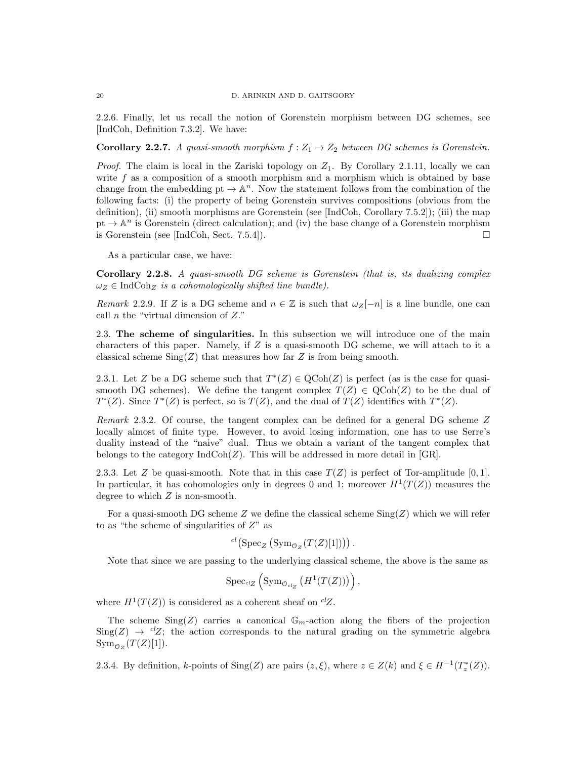2.2.6. Finally, let us recall the notion of Gorenstein morphism between DG schemes, see [IndCoh, Definition 7.3.2]. We have:

**Corollary 2.2.7.** A quasi-smooth morphism  $f : Z_1 \to Z_2$  between DG schemes is Gorenstein.

*Proof.* The claim is local in the Zariski topology on  $Z_1$ . By Corollary 2.1.11, locally we can write  $f$  as a composition of a smooth morphism and a morphism which is obtained by base change from the embedding  $pt \to \mathbb{A}^n$ . Now the statement follows from the combination of the following facts: (i) the property of being Gorenstein survives compositions (obvious from the definition), (ii) smooth morphisms are Gorenstein (see [IndCoh, Corollary 7.5.2]); (iii) the map pt  $\rightarrow \mathbb{A}^n$  is Gorenstein (direct calculation); and (iv) the base change of a Gorenstein morphism is Gorenstein (see [IndCoh, Sect. 7.5.4]).

As a particular case, we have:

Corollary 2.2.8. A quasi-smooth DG scheme is Gorenstein (that is, its dualizing complex  $\omega_Z \in \text{IndCoh}_Z$  is a cohomologically shifted line bundle).

Remark 2.2.9. If Z is a DG scheme and  $n \in \mathbb{Z}$  is such that  $\omega_Z[-n]$  is a line bundle, one can call  $n$  the "virtual dimension of  $Z$ ."

2.3. The scheme of singularities. In this subsection we will introduce one of the main characters of this paper. Namely, if  $Z$  is a quasi-smooth DG scheme, we will attach to it a classical scheme  $\text{Sing}(Z)$  that measures how far Z is from being smooth.

2.3.1. Let Z be a DG scheme such that  $T^*(Z) \in \text{QCoh}(Z)$  is perfect (as is the case for quasismooth DG schemes). We define the tangent complex  $T(Z) \in \text{QCoh}(Z)$  to be the dual of  $T^*(Z)$ . Since  $T^*(Z)$  is perfect, so is  $T(Z)$ , and the dual of  $T(Z)$  identifies with  $T^*(Z)$ .

Remark 2.3.2. Of course, the tangent complex can be defined for a general DG scheme Z locally almost of finite type. However, to avoid losing information, one has to use Serre's duality instead of the "naive" dual. Thus we obtain a variant of the tangent complex that belongs to the category  $IndCoh(Z)$ . This will be addressed in more detail in  $|GR|$ .

2.3.3. Let Z be quasi-smooth. Note that in this case  $T(Z)$  is perfect of Tor-amplitude [0, 1]. In particular, it has cohomologies only in degrees 0 and 1; moreover  $H^1(T(Z))$  measures the degree to which Z is non-smooth.

For a quasi-smooth DG scheme Z we define the classical scheme  $\text{Sing}(Z)$  which we will refer to as "the scheme of singularities of  $Z$ " as

$$
^{cl}(\mathrm{Spec}_{Z} ( \mathrm{Sym}_{\mathcal{O}_{Z}}(T(Z)[1])) ) .
$$

Note that since we are passing to the underlying classical scheme, the above is the same as

$$
{\rm Spec}_{\scriptscriptstyle\it{cl}_Z}\left({\rm Sym}_{\mathcal{O}_{\rm cl_Z}}\left(H^1(T(Z))\right)\right),
$$

where  $H^1(T(Z))$  is considered as a coherent sheaf on <sup>cl</sup>Z.

The scheme  $\text{Sing}(Z)$  carries a canonical  $\mathbb{G}_m$ -action along the fibers of the projection  $\text{Sing}(Z) \to {}^{cl}Z$ ; the action corresponds to the natural grading on the symmetric algebra  $\mathrm{Sym}_{\mathcal{O}_Z}(T(Z)[1]).$ 

2.3.4. By definition, k-points of  $\text{Sing}(Z)$  are pairs  $(z, \xi)$ , where  $z \in Z(k)$  and  $\xi \in H^{-1}(T_z^*(Z))$ .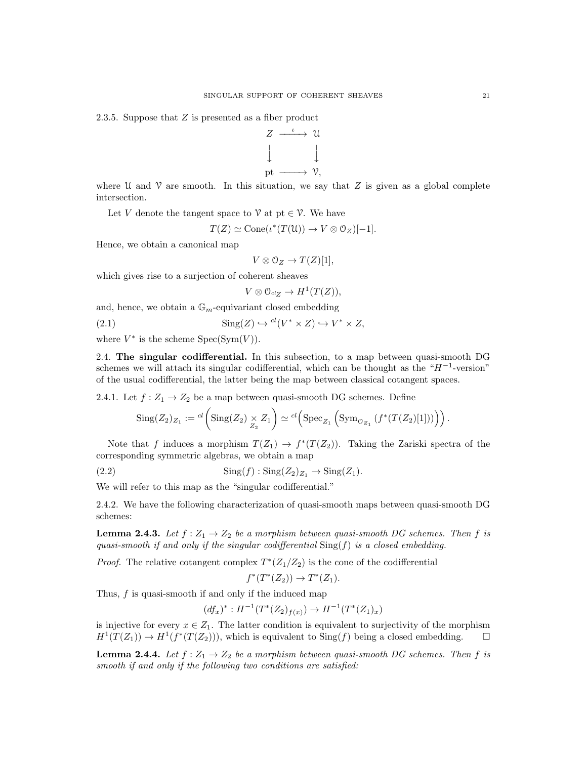2.3.5. Suppose that Z is presented as a fiber product



where U and V are smooth. In this situation, we say that  $Z$  is given as a global complete intersection.

Let V denote the tangent space to  $\mathcal V$  at pt  $\in \mathcal V$ . We have

$$
T(Z) \simeq \text{Cone}(\iota^*(T(\mathfrak{U})) \to V \otimes \mathfrak{O}_Z)[-1].
$$

Hence, we obtain a canonical map

$$
V \otimes \mathcal{O}_Z \to T(Z)[1],
$$

which gives rise to a surjection of coherent sheaves

 $V \otimes \mathcal{O}_{\mathrm{clZ}} \to H^1(T(Z)),$ 

and, hence, we obtain a  $\mathbb{G}_m$ -equivariant closed embedding

(2.1)  $\text{Sing}(Z) \hookrightarrow {}^{cl}(V^* \times Z) \hookrightarrow V^* \times Z,$ 

where  $V^*$  is the scheme  $Spec(Sym(V))$ .

2.4. The singular codifferential. In this subsection, to a map between quasi-smooth DG schemes we will attach its singular codifferential, which can be thought as the " $H^{-1}$ -version" of the usual codifferential, the latter being the map between classical cotangent spaces.

2.4.1. Let  $f: Z_1 \to Z_2$  be a map between quasi-smooth DG schemes. Define

$$
\mathrm{Sing}(Z_2)_{Z_1} := \mathrm{cl}\left(\mathrm{Sing}(Z_2) \underset{Z_2}{\times} Z_1\right) \simeq \mathrm{cl}\left(\mathrm{Spec}_{Z_1}\left(\mathrm{Sym}_{\mathcal{O}_{Z_1}}\left(f^*(T(Z_2)[1])\right)\right)\right).
$$

Note that f induces a morphism  $T(Z_1) \to f^*(T(Z_2))$ . Taking the Zariski spectra of the corresponding symmetric algebras, we obtain a map

$$
(2.2) \qquad \qquad \text{Sing}(f): \text{Sing}(Z_2)_{Z_1} \to \text{Sing}(Z_1).
$$

We will refer to this map as the "singular codifferential."

2.4.2. We have the following characterization of quasi-smooth maps between quasi-smooth DG schemes:

**Lemma 2.4.3.** Let  $f: Z_1 \to Z_2$  be a morphism between quasi-smooth DG schemes. Then f is quasi-smooth if and only if the singular codifferential  $\text{Sing}(f)$  is a closed embedding.

*Proof.* The relative cotangent complex  $T^*(Z_1/Z_2)$  is the cone of the codifferential

$$
f^*(T^*(Z_2)) \to T^*(Z_1).
$$

Thus, f is quasi-smooth if and only if the induced map

$$
(df_x)^* : H^{-1}(T^*(Z_2)_{f(x)}) \to H^{-1}(T^*(Z_1)_x)
$$

is injective for every  $x \in Z_1$ . The latter condition is equivalent to surjectivity of the morphism  $H^1(T(Z_1)) \to H^1(f^*(T(Z_2))),$  which is equivalent to  $\text{Sing}(f)$  being a closed embedding.  $\square$ 

**Lemma 2.4.4.** Let  $f: Z_1 \to Z_2$  be a morphism between quasi-smooth DG schemes. Then f is smooth if and only if the following two conditions are satisfied: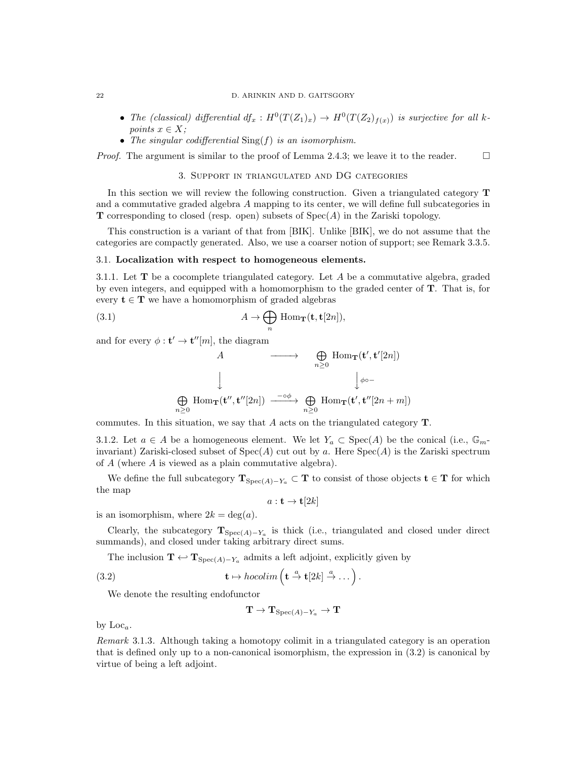- The (classical) differential  $df_x: H^0(T(Z_1)_x) \to H^0(T(Z_2)_{f(x)})$  is surjective for all kpoints  $x \in X$ ;
- The singular codifferential  $\text{Sing}(f)$  is an isomorphism.

*Proof.* The argument is similar to the proof of Lemma 2.4.3; we leave it to the reader.  $\square$ 

#### 3. Support in triangulated and DG categories

In this section we will review the following construction. Given a triangulated category T and a commutative graded algebra A mapping to its center, we will define full subcategories in **T** corresponding to closed (resp. open) subsets of  $Spec(A)$  in the Zariski topology.

This construction is a variant of that from [BIK]. Unlike [BIK], we do not assume that the categories are compactly generated. Also, we use a coarser notion of support; see Remark 3.3.5.

#### 3.1. Localization with respect to homogeneous elements.

3.1.1. Let  $\mathbf T$  be a cocomplete triangulated category. Let  $A$  be a commutative algebra, graded by even integers, and equipped with a homomorphism to the graded center of T. That is, for every  $t \in T$  we have a homomorphism of graded algebras

(3.1) 
$$
A \to \bigoplus_{n} \text{Hom}_{\mathbf{T}}(\mathbf{t}, \mathbf{t}[2n]),
$$

and for every  $\phi: \mathbf{t}' \to \mathbf{t}''[m],$  the diagram

A 
$$
\longrightarrow
$$
  $\bigoplus_{n\geq 0}$  Hom<sub>**T**</sub>(**t'**, **t'**[2n])  
 $\downarrow$   
 $\bigoplus_{n\geq 0}$  Hom<sub>**T**</sub>(**t''**, **t''**[2n])  $\xrightarrow{-\circ\phi}$   $\bigoplus_{n\geq 0}$  Hom<sub>**T**</sub>(**t'**, **t''**[2n + m])

commutes. In this situation, we say that A acts on the triangulated category T.

3.1.2. Let  $a \in A$  be a homogeneous element. We let  $Y_a \subset \text{Spec}(A)$  be the conical (i.e.,  $\mathbb{G}_m$ invariant) Zariski-closed subset of  $Spec(A)$  cut out by a. Here  $Spec(A)$  is the Zariski spectrum of A (where A is viewed as a plain commutative algebra).

We define the full subcategory  $\mathbf{T}_{Spec(A)-Y_a} \subset \mathbf{T}$  to consist of those objects  $\mathbf{t} \in \mathbf{T}$  for which the map

 $a: \mathbf{t} \to \mathbf{t}[2k]$ 

is an isomorphism, where  $2k = \deg(a)$ .

Clearly, the subcategory  $\mathbf{T}_{\text{Spec}(A)-Y_a}$  is thick (i.e., triangulated and closed under direct summands), and closed under taking arbitrary direct sums.

The inclusion  $\mathbf{T} \leftarrow \mathbf{T}_{\text{Spec}(A) - Y_a}$  admits a left adjoint, explicitly given by

(3.2) 
$$
\mathbf{t} \mapsto hocolim\left(\mathbf{t} \stackrel{a}{\to} \mathbf{t}[2k] \stackrel{a}{\to} \dots\right).
$$

We denote the resulting endofunctor

$$
\mathbf{T}\to\mathbf{T}_{\mathrm{Spec}(A)-Y_a}\to\mathbf{T}
$$

by  $Loc<sub>a</sub>$ .

Remark 3.1.3. Although taking a homotopy colimit in a triangulated category is an operation that is defined only up to a non-canonical isomorphism, the expression in (3.2) is canonical by virtue of being a left adjoint.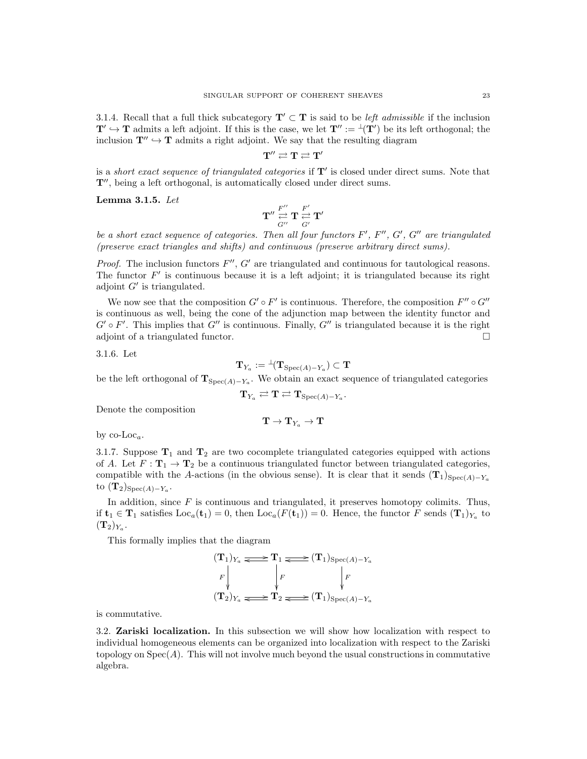3.1.4. Recall that a full thick subcategory  $\mathbf{T}' \subset \mathbf{T}$  is said to be *left admissible* if the inclusion  $T' \hookrightarrow T$  admits a left adjoint. If this is the case, we let  $T'' := \perp(T')$  be its left orthogonal; the inclusion  $\mathbf{T}^{\prime\prime} \hookrightarrow \mathbf{T}$  admits a right adjoint. We say that the resulting diagram

$$
\mathbf{T}'' \rightleftarrows \mathbf{T} \rightleftarrows \mathbf{T}'
$$

is a *short exact sequence of triangulated categories* if  $T'$  is closed under direct sums. Note that  $T''$ , being a left orthogonal, is automatically closed under direct sums.

Lemma 3.1.5. Let

$$
\mathbf{T}''\overset{F''}{\underset{G''}{\rightleftarrows}}\mathbf{T}\overset{F'}{\underset{G'}{\rightleftarrows}}\mathbf{T}'
$$

be a short exact sequence of categories. Then all four functors  $F', F'', G', G''$  are triangulated (preserve exact triangles and shifts) and continuous (preserve arbitrary direct sums).

*Proof.* The inclusion functors  $F''$ ,  $G'$  are triangulated and continuous for tautological reasons. The functor  $F'$  is continuous because it is a left adjoint; it is triangulated because its right adjoint  $G'$  is triangulated.

We now see that the composition  $G' \circ F'$  is continuous. Therefore, the composition  $F'' \circ G''$ is continuous as well, being the cone of the adjunction map between the identity functor and  $G' \circ F'$ . This implies that  $G''$  is continuous. Finally,  $G''$  is triangulated because it is the right adjoint of a triangulated functor.

3.1.6. Let

$$
\mathbf{T}_{Y_a} := {}^\perp\! (\mathbf{T}_{\mathrm{Spec}(A)-Y_a}) \subset \mathbf{T}
$$

be the left orthogonal of  $T_{Spec(A)-Y_a}$ . We obtain an exact sequence of triangulated categories

$$
\mathbf{T}_{Y_a} \rightleftarrows \mathbf{T} \rightleftarrows \mathbf{T}_{\mathrm{Spec}(A)-Y_a}.
$$

Denote the composition

 $\mathbf{T} \to \mathbf{T}_{Y_a} \to \mathbf{T}$ 

by  $\operatorname{co-Loc}_a$ .

3.1.7. Suppose  $T_1$  and  $T_2$  are two cocomplete triangulated categories equipped with actions of A. Let  $F: \mathbf{T}_1 \to \mathbf{T}_2$  be a continuous triangulated functor between triangulated categories, compatible with the A-actions (in the obvious sense). It is clear that it sends  $(T_1)_{Spec(A)-Y_a}$ to  $({\bf T}_2)_{\operatorname{Spec}(A)-Y_a}.$ 

In addition, since  $F$  is continuous and triangulated, it preserves homotopy colimits. Thus, if  $\mathbf{t}_1 \in \mathbf{T}_1$  satisfies  $\text{Loc}_a(\mathbf{t}_1) = 0$ , then  $\text{Loc}_a(F(\mathbf{t}_1)) = 0$ . Hence, the functor F sends  $(\mathbf{T}_1)_{Y_a}$  to  $(\mathbf{T}_2)_{Y_a}.$ 

This formally implies that the diagram

$$
\begin{array}{ccc}\n(\mathbf{T}_1)_{Y_a} & \xrightarrow{\bullet} & \mathbf{T}_1 \xrightarrow{\bullet} & (\mathbf{T}_1)_{\text{Spec}(A) - Y_a} \\
F \downarrow & & \downarrow F \\
(\mathbf{T}_2)_{Y_a} & \xrightarrow{\bullet} & \mathbf{T}_2 \xrightarrow{\bullet} & (\mathbf{T}_1)_{\text{Spec}(A) - Y_a}\n\end{array}
$$

is commutative.

3.2. Zariski localization. In this subsection we will show how localization with respect to individual homogeneous elements can be organized into localization with respect to the Zariski topology on  $Spec(A)$ . This will not involve much beyond the usual constructions in commutative algebra.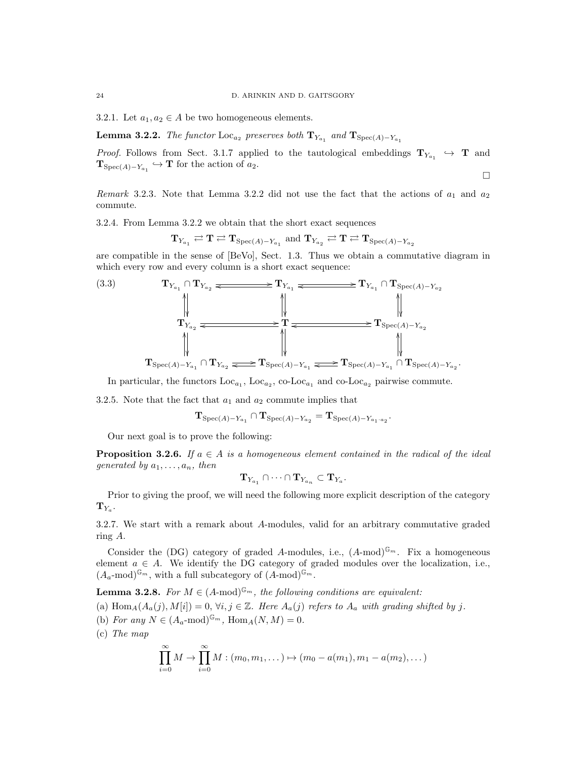3.2.1. Let  $a_1, a_2 \in A$  be two homogeneous elements.

**Lemma 3.2.2.** The functor  $\text{Loc}_{a_2}$  preserves both  $\mathbf{T}_{Y_{a_1}}$  and  $\mathbf{T}_{\text{Spec}(A)-Y_{a_1}}$ 

*Proof.* Follows from Sect. 3.1.7 applied to the tautological embeddings  $T_{Y_{a_1}} \hookrightarrow T$  and  ${\bf T}_{Spec(A)-Y_{a_1}} \hookrightarrow {\bf T}$  for the action of  $a_2$ .  $\Box$ 

Remark 3.2.3. Note that Lemma 3.2.2 did not use the fact that the actions of  $a_1$  and  $a_2$ commute.

3.2.4. From Lemma 3.2.2 we obtain that the short exact sequences

$$
\mathbf{T}_{Y_{a_1}} \rightleftarrows \mathbf{T} \rightleftarrows \mathbf{T}_{\mathrm{Spec}(A)-Y_{a_1}} \text{ and } \mathbf{T}_{Y_{a_2}} \rightleftarrows \mathbf{T} \rightleftarrows \mathbf{T}_{\mathrm{Spec}(A)-Y_{a_2}}
$$

are compatible in the sense of [BeVo], Sect. 1.3. Thus we obtain a commutative diagram in which every row and every column is a short exact sequence:

(3.3) 
$$
\mathbf{T}_{Y_{a_1}} \cap \mathbf{T}_{Y_{a_2}} \xrightarrow{\text{ }} \mathbf{T}_{Y_{a_1}} \xrightarrow{\text{ }} \mathbf{T}_{Y_{a_1}} \xrightarrow{\text{ }} \mathbf{T}_{Y_{a_1}} \cap \mathbf{T}_{\text{Spec}(A) - Y_{a_2}} \xrightarrow{\text{ }} \mathbf{T}_{Y_{a_2}} \xrightarrow{\text{ }} \mathbf{T}_{\text{Spec}(A) - Y_{a_2}} \xrightarrow{\text{ }} \mathbf{T}_{\text{Spec}(A) - Y_{a_2}} \xrightarrow{\text{ }} \mathbf{T}_{\text{Spec}(A) - Y_{a_1}} \xrightarrow{\text{ }} \mathbf{T}_{\text{Spec}(A) - Y_{a_1}} \cap \mathbf{T}_{\text{Spec}(A) - Y_{a_2}}.
$$

In particular, the functors  $Loc_{a_1}$ ,  $Loc_{a_2}$ ,  $co-Loc_{a_1}$  and  $co-Loc_{a_2}$  pairwise commute.

3.2.5. Note that the fact that  $a_1$  and  $a_2$  commute implies that

$$
\mathbf{T}_{\mathrm{Spec}(A)-Y_{a_1}}\cap\mathbf{T}_{\mathrm{Spec}(A)-Y_{a_2}}=\mathbf{T}_{\mathrm{Spec}(A)-Y_{a_1\cdot a_2}}.
$$

Our next goal is to prove the following:

**Proposition 3.2.6.** If  $a \in A$  is a homogeneous element contained in the radical of the ideal generated by  $a_1, \ldots, a_n$ , then

$$
\mathbf{T}_{Y_{a_1}}\cap\cdots\cap\mathbf{T}_{Y_{a_n}}\subset\mathbf{T}_{Y_a}.
$$

Prior to giving the proof, we will need the following more explicit description of the category  $\mathrm{T}_{Y_a}.$ 

3.2.7. We start with a remark about A-modules, valid for an arbitrary commutative graded ring A.

Consider the (DG) category of graded A-modules, i.e.,  $(A\text{-mod})^{\mathbb{G}_m}$ . Fix a homogeneous element  $a \in A$ . We identify the DG category of graded modules over the localization, i.e.,  $(A_a \text{-mod})^{\mathbb{G}_m}$ , with a full subcategory of  $(A \text{-mod})^{\mathbb{G}_m}$ .

**Lemma 3.2.8.** For  $M \in (A\text{-mod})^{\mathbb{G}_m}$ , the following conditions are equivalent:

(a)  $\text{Hom}_A(A_a(j), M[i]) = 0, \forall i, j \in \mathbb{Z}$ . Here  $A_a(j)$  refers to  $A_a$  with grading shifted by j.

- (b) For any  $N \in (A_a \text{-mod})^{\mathbb{G}_m}$ ,  $\text{Hom}_A(N, M) = 0$ .
- (c) The map

$$
\prod_{i=0}^{\infty} M \rightarrow \prod_{i=0}^{\infty} M : (m_0, m_1, \dots) \mapsto (m_0 - a(m_1), m_1 - a(m_2), \dots)
$$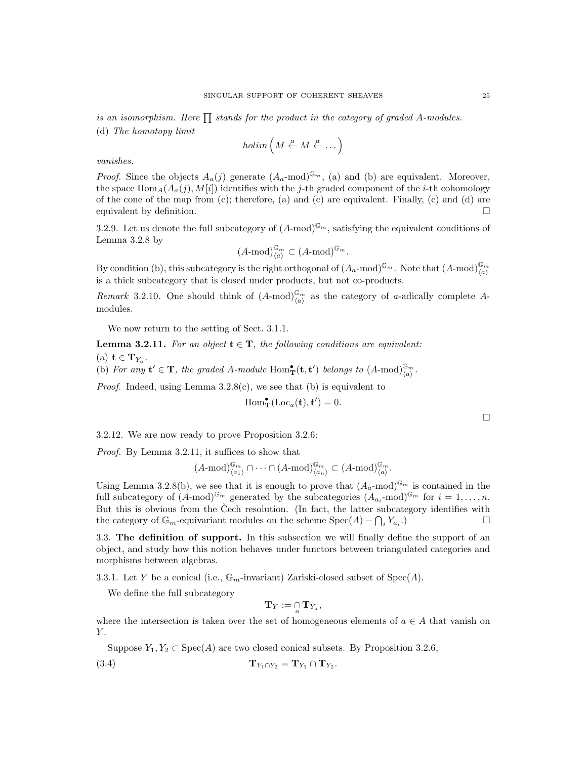$$
holim\left(M\stackrel{a}{\leftarrow} M\stackrel{a}{\leftarrow}\dots\right)
$$

vanishes.

*Proof.* Since the objects  $A_a(j)$  generate  $(A_a \text{-mod})^{\mathbb{G}_m}$ , (a) and (b) are equivalent. Moreover, the space  $\text{Hom}_{A}(A_{a}(j), M[i])$  identifies with the j-th graded component of the *i*-th cohomology of the cone of the map from (c); therefore, (a) and (c) are equivalent. Finally, (c) and (d) are equivalent by definition.  $\Box$ 

3.2.9. Let us denote the full subcategory of  $(A\text{-mod})^{\mathbb{G}_m}$ , satisfying the equivalent conditions of Lemma 3.2.8 by

$$
(A \text{-mod})^{\mathbb{G}_m}_{\langle a \rangle} \subset (A \text{-mod})^{\mathbb{G}_m}.
$$

By condition (b), this subcategory is the right orthogonal of  $(A_a$ -mod)<sup> $\mathbb{G}_m$ </sup>. Note that  $(A$ -mod) $\mathbb{G}_m$ is a thick subcategory that is closed under products, but not co-products.

Remark 3.2.10. One should think of  $(A\text{-mod})_{\langle a \rangle}^{\mathbb{G}_m}$  as the category of a-adically complete Amodules.

We now return to the setting of Sect. 3.1.1.

**Lemma 3.2.11.** For an object  $t \in T$ , the following conditions are equivalent:

(a)  $\mathbf{t} \in \mathbf{T}_{Y_a}.$ 

(b) For any  $\mathbf{t}' \in \mathbf{T}$ , the graded A-module  $\text{Hom}_{\mathbf{T}}^{\bullet}(\mathbf{t}, \mathbf{t}')$  belongs to  $(A\text{-mod})_{\langle a \rangle}^{\mathbb{G}_m}$ .

*Proof.* Indeed, using Lemma  $3.2.8(c)$ , we see that (b) is equivalent to

$$
\operatorname{Hom}_{\mathbf{T}}^{\bullet}(\operatorname{Loc}_{a}(\mathbf{t}), \mathbf{t}') = 0.
$$

3.2.12. We are now ready to prove Proposition 3.2.6:

Proof. By Lemma 3.2.11, it suffices to show that

$$
(A \text{-mod})^{\mathbb{G}_m}_{\langle a_1 \rangle} \cap \cdots \cap (A \text{-mod})^{\mathbb{G}_m}_{\langle a_n \rangle} \subset (A \text{-mod})^{\mathbb{G}_m}_{\langle a \rangle}.
$$

Using Lemma 3.2.8(b), we see that it is enough to prove that  $(A_a$ -mod)<sup> $\mathbb{G}_m$ </sup> is contained in the full subcategory of  $(A\text{-mod})^{\mathbb{G}_m}$  generated by the subcategories  $(A_{a_i}\text{-mod})^{\mathbb{G}_m}$  for  $i=1,\ldots,n$ . But this is obvious from the Čech resolution. (In fact, the latter subcategory identifies with the category of  $\mathbb{G}_m$ -equivariant modules on the scheme  $Spec(A) - \bigcap_i Y_{a_i}$ **.**) □

3.3. The definition of support. In this subsection we will finally define the support of an object, and study how this notion behaves under functors between triangulated categories and morphisms between algebras.

3.3.1. Let Y be a conical (i.e.,  $\mathbb{G}_m$ -invariant) Zariski-closed subset of Spec(A).

We define the full subcategory

$$
\mathbf{T}_Y:=\mathop{\cap}\limits_a \mathbf{T}_{Y_a},
$$

where the intersection is taken over the set of homogeneous elements of  $a \in A$  that vanish on  $Y$ .

Suppose  $Y_1, Y_2 \subset \text{Spec}(A)$  are two closed conical subsets. By Proposition 3.2.6,

$$
\mathbf{T}_{Y_1 \cap Y_2} = \mathbf{T}_{Y_1} \cap \mathbf{T}_{Y_2}.
$$

 $\Box$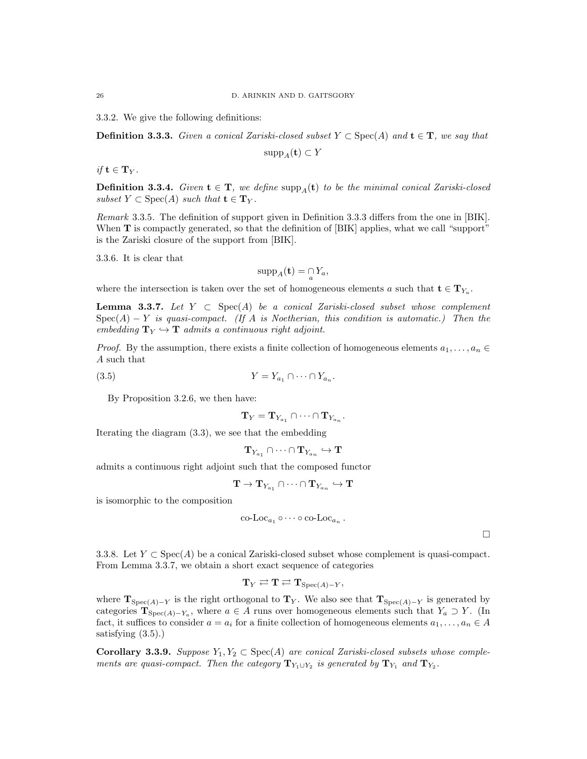3.3.2. We give the following definitions:

**Definition 3.3.3.** Given a conical Zariski-closed subset  $Y \subset \text{Spec}(A)$  and  $\mathbf{t} \in \mathbf{T}$ , we say that

 $\text{supp}_A(\mathbf{t}) \subset Y$ 

if  $\mathbf{t} \in \mathbf{T}_V$ .

**Definition 3.3.4.** Given  $\mathbf{t} \in \mathbf{T}$ , we define supp<sub>A</sub>( $\mathbf{t}$ ) to be the minimal conical Zariski-closed subset  $Y \subset \text{Spec}(A)$  such that  $\mathbf{t} \in \mathbf{T}_Y$ .

Remark 3.3.5. The definition of support given in Definition 3.3.3 differs from the one in [BIK]. When **T** is compactly generated, so that the definition of [BIK] applies, what we call "support" is the Zariski closure of the support from [BIK].

3.3.6. It is clear that

$$
\mathrm{supp}_A(\mathbf{t}) = \mathop{\cap}\limits_a Y_a,
$$

where the intersection is taken over the set of homogeneous elements a such that  $\mathbf{t} \in \mathbf{T}_{Y_a}$ .

Lemma 3.3.7. Let  $Y \subset Spec(A)$  be a conical Zariski-closed subset whose complement  $Spec(A) - Y$  is quasi-compact. (If A is Noetherian, this condition is automatic.) Then the embedding  $T_Y \hookrightarrow T$  admits a continuous right adjoint.

*Proof.* By the assumption, there exists a finite collection of homogeneous elements  $a_1, \ldots, a_n \in$ A such that

$$
(3.5) \t\t Y = Y_{a_1} \cap \dots \cap Y_{a_n}.
$$

By Proposition 3.2.6, we then have:

$$
\mathbf{T}_Y = \mathbf{T}_{Y_{a_1}} \cap \cdots \cap \mathbf{T}_{Y_{a_n}}.
$$

Iterating the diagram (3.3), we see that the embedding

$$
\mathbf{T}_{Y_{a_1}}\cap\cdots\cap \mathbf{T}_{Y_{a_n}}\hookrightarrow \mathbf{T}
$$

admits a continuous right adjoint such that the composed functor

$$
\mathbf{T}\to\mathbf{T}_{Y_{a_1}}\cap\cdots\cap\mathbf{T}_{Y_{a_n}}\hookrightarrow\mathbf{T}
$$

is isomorphic to the composition

$$
\operatorname{co-Loc}_{a_1} \circ \cdots \circ \operatorname{co-Loc}_{a_n}.
$$

 $\Box$ 

3.3.8. Let  $Y \subset \text{Spec}(A)$  be a conical Zariski-closed subset whose complement is quasi-compact. From Lemma 3.3.7, we obtain a short exact sequence of categories

$$
\mathbf{T}_Y \rightleftarrows \mathbf{T} \rightleftarrows \mathbf{T}_{\mathrm{Spec}(A)-Y},
$$

where  $\mathbf{T}_{\text{Spec}(A)-Y}$  is the right orthogonal to  $\mathbf{T}_Y$ . We also see that  $\mathbf{T}_{\text{Spec}(A)-Y}$  is generated by categories  $\mathbf{T}_{\text{Spec}(A)-Y_a}$ , where  $a \in A$  runs over homogeneous elements such that  $Y_a \supset Y$ . (In fact, it suffices to consider  $a = a_i$  for a finite collection of homogeneous elements  $a_1, \ldots, a_n \in A$ satisfying (3.5).)

**Corollary 3.3.9.** Suppose  $Y_1, Y_2 \subset \text{Spec}(A)$  are conical Zariski-closed subsets whose complements are quasi-compact. Then the category  $\mathbf{T}_{Y_1\cup Y_2}$  is generated by  $\mathbf{T}_{Y_1}$  and  $\mathbf{T}_{Y_2}$ .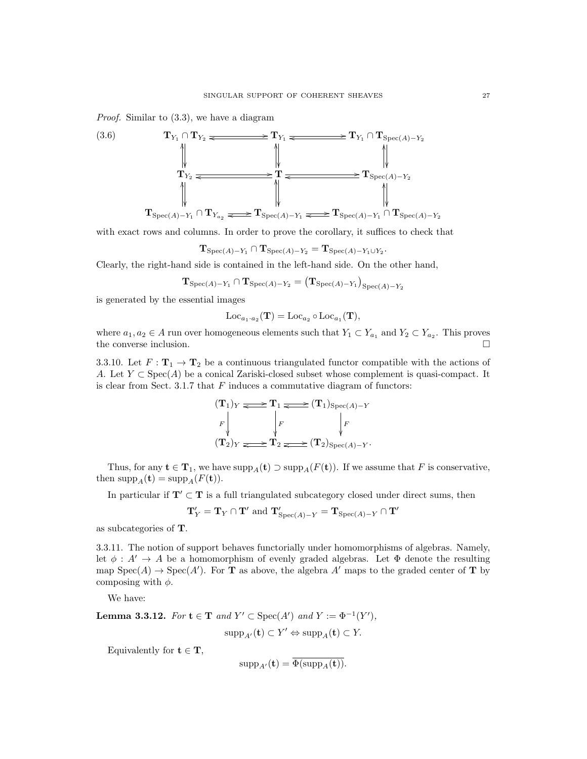Proof. Similar to (3.3), we have a diagram



with exact rows and columns. In order to prove the corollary, it suffices to check that

$$
\mathbf{T}_{\mathrm{Spec}(A)-Y_1}\cap \mathbf{T}_{\mathrm{Spec}(A)-Y_2}=\mathbf{T}_{\mathrm{Spec}(A)-Y_1\cup Y_2}.
$$

Clearly, the right-hand side is contained in the left-hand side. On the other hand,

$$
\mathbf{T}_{\mathrm{Spec}(A)-Y_1} \cap \mathbf{T}_{\mathrm{Spec}(A)-Y_2} = \big( \mathbf{T}_{\mathrm{Spec}(A)-Y_1} \big)_{\mathrm{Spec}(A)-Y_2}
$$

is generated by the essential images

$$
\mathrm{Loc}_{a_1 \cdot a_2}(\mathbf{T}) = \mathrm{Loc}_{a_2} \circ \mathrm{Loc}_{a_1}(\mathbf{T}),
$$

where  $a_1, a_2 \in A$  run over homogeneous elements such that  $Y_1 \subset Y_{a_1}$  and  $Y_2 \subset Y_{a_2}$ . This proves the converse inclusion.

3.3.10. Let  $F: \mathbf{T}_1 \to \mathbf{T}_2$  be a continuous triangulated functor compatible with the actions of A. Let  $Y \subset \text{Spec}(A)$  be a conical Zariski-closed subset whose complement is quasi-compact. It is clear from Sect. 3.1.7 that  $F$  induces a commutative diagram of functors:

$$
\begin{array}{ccc}\n(\mathbf{T}_1)_Y & \xrightarrow{\bullet} & \mathbf{T}_1 \xrightarrow{\bullet} & (\mathbf{T}_1)_{\text{Spec}(A)-Y} \\
F \downarrow & & \downarrow F \\
(\mathbf{T}_2)_Y & \xrightarrow{\bullet} & \mathbf{T}_2 \xrightarrow{\bullet} & (\mathbf{T}_2)_{\text{Spec}(A)-Y}.\n\end{array}
$$

Thus, for any  $\mathbf{t} \in \mathbf{T}_1$ , we have  $\text{supp}_A(\mathbf{t}) \supset \text{supp}_A(F(\mathbf{t}))$ . If we assume that F is conservative, then  $\text{supp}_A(\mathbf{t}) = \text{supp}_A(F(\mathbf{t})).$ 

In particular if  $T' \subset T$  is a full triangulated subcategory closed under direct sums, then

$$
\mathbf{T}_Y' = \mathbf{T}_Y \cap \mathbf{T}' \text{ and } \mathbf{T}_{\mathrm{Spec}(A)-Y}' = \mathbf{T}_{\mathrm{Spec}(A)-Y} \cap \mathbf{T}'
$$

as subcategories of T.

3.3.11. The notion of support behaves functorially under homomorphisms of algebras. Namely, let  $\phi : A' \to A$  be a homomorphism of evenly graded algebras. Let  $\Phi$  denote the resulting map  $Spec(A) \to Spec(A')$ . For **T** as above, the algebra A' maps to the graded center of **T** by composing with  $\phi$ .

We have:

**Lemma 3.3.12.** For  $\mathbf{t} \in \mathbf{T}$  and  $Y' \subset \text{Spec}(A')$  and  $Y := \Phi^{-1}(Y')$ ,

$$
supp_{A'}(\mathbf{t}) \subset Y' \Leftrightarrow supp_A(\mathbf{t}) \subset Y.
$$

Equivalently for  $t \in T$ ,

$$
\mathrm{supp}_{A'}(\mathbf{t}) = \Phi(\mathrm{supp}_A(\mathbf{t})).
$$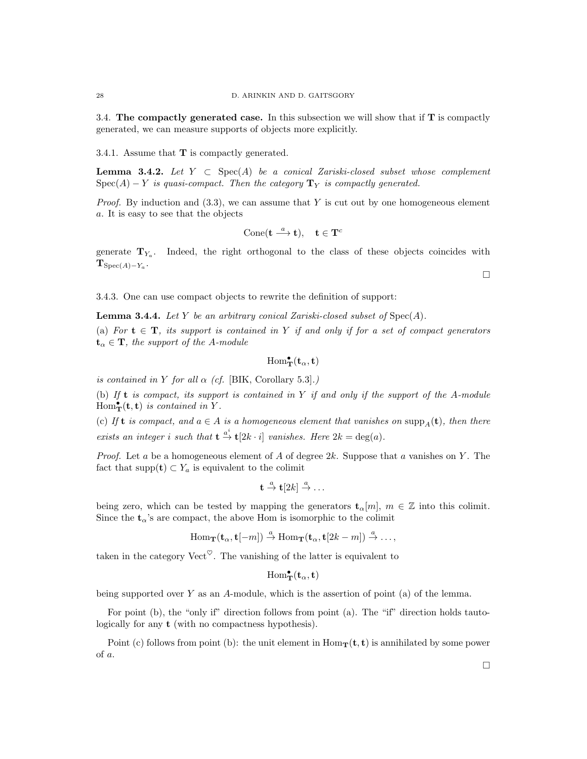3.4. The compactly generated case. In this subsection we will show that if T is compactly generated, we can measure supports of objects more explicitly.

3.4.1. Assume that T is compactly generated.

**Lemma 3.4.2.** Let  $Y \subset Spec(A)$  be a conical Zariski-closed subset whose complement  $Spec(A) - Y$  is quasi-compact. Then the category  $T_Y$  is compactly generated.

*Proof.* By induction and  $(3.3)$ , we can assume that Y is cut out by one homogeneous element a. It is easy to see that the objects

$$
\operatorname{Cone}(\mathbf{t} \xrightarrow{a} \mathbf{t}), \quad \mathbf{t} \in \mathbf{T}^c
$$

generate  $T_{Y_a}$ . Indeed, the right orthogonal to the class of these objects coincides with  ${\bf T}_{\operatorname{Spec}(A)-Y_a}.$ 

3.4.3. One can use compact objects to rewrite the definition of support:

**Lemma 3.4.4.** Let Y be an arbitrary conical Zariski-closed subset of  $Spec(A)$ .

(a) For  $t \in T$ , its support is contained in Y if and only if for a set of compact generators  $t_{\alpha} \in \mathbf{T}$ , the support of the A-module

$$
\mathrm{Hom}^\bullet_{\mathbf{T}}(\mathbf{t}_\alpha,\mathbf{t})
$$

is contained in Y for all  $\alpha$  (cf. [BIK, Corollary 5.3].)

(b) If  $t$  is compact, its support is contained in  $Y$  if and only if the support of the A-module  $Hom_{\bf T}^{\bullet}({\bf t},{\bf t})$  is contained in Y.

(c) If **t** is compact, and  $a \in A$  is a homogeneous element that vanishes on  $\text{supp}_A(\mathbf{t})$ , then there exists an integer i such that  $\mathbf{t} \stackrel{a^i}{\to} \mathbf{t}[2k \cdot i]$  vanishes. Here  $2k = \deg(a)$ .

*Proof.* Let a be a homogeneous element of A of degree  $2k$ . Suppose that a vanishes on Y. The fact that supp $(\mathbf{t}) \subset Y_a$  is equivalent to the colimit

$$
\mathbf{t} \stackrel{a}{\to} \mathbf{t}[2k] \stackrel{a}{\to} \dots
$$

being zero, which can be tested by mapping the generators  $\mathbf{t}_{\alpha}[m], m \in \mathbb{Z}$  into this colimit. Since the  $t_{\alpha}$ 's are compact, the above Hom is isomorphic to the colimit

$$
\operatorname{Hom}\nolimits_{\mathbf T}({\mathbf t}_\alpha, {\mathbf t}[-m]) \stackrel{a}{\rightarrow} \operatorname{Hom}\nolimits_{\mathbf T}({\mathbf t}_\alpha, {\mathbf t}[2k-m]) \stackrel{a}{\rightarrow} \dots,
$$

taken in the category Vect<sup> $\heartsuit$ </sup>. The vanishing of the latter is equivalent to

 $\mathrm{Hom}^\bullet_\mathbf{T}(\mathbf{t}_\alpha,\mathbf{t})$ 

being supported over  $Y$  as an  $A$ -module, which is the assertion of point (a) of the lemma.

For point (b), the "only if" direction follows from point (a). The "if" direction holds tautologically for any t (with no compactness hypothesis).

Point (c) follows from point (b): the unit element in  $Hom_{\mathbf{T}}(\mathbf{t}, \mathbf{t})$  is annihilated by some power of a.

 $\Box$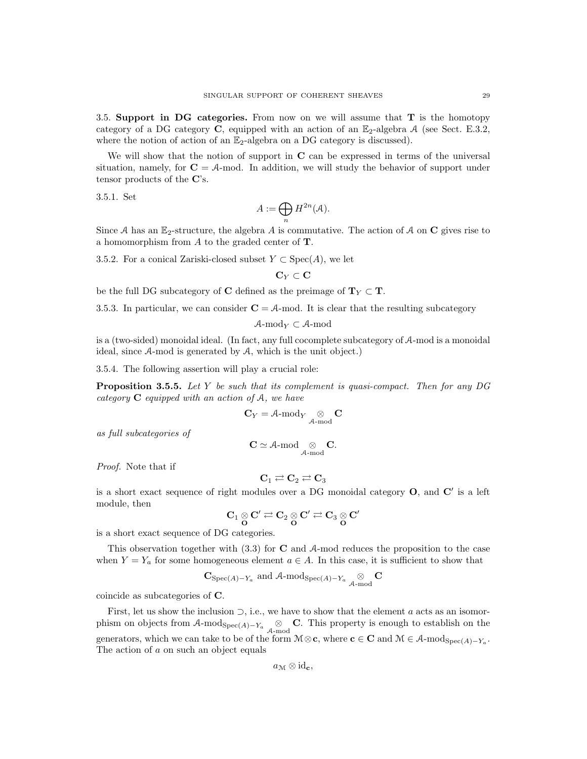3.5. Support in DG categories. From now on we will assume that  $T$  is the homotopy category of a DG category C, equipped with an action of an  $\mathbb{E}_2$ -algebra A (see Sect. E.3.2, where the notion of action of an  $\mathbb{E}_2$ -algebra on a DG category is discussed).

We will show that the notion of support in  $C$  can be expressed in terms of the universal situation, namely, for  $C = A$ -mod. In addition, we will study the behavior of support under tensor products of the C's.

3.5.1. Set

$$
A:=\bigoplus_n H^{2n}(\mathcal{A}).
$$

Since A has an  $\mathbb{E}_2$ -structure, the algebra A is commutative. The action of A on C gives rise to a homomorphism from  $A$  to the graded center of  $T$ .

3.5.2. For a conical Zariski-closed subset  $Y \subset \text{Spec}(A)$ , we let

$$
\mathbf{C}_Y \subset \mathbf{C}
$$

be the full DG subcategory of C defined as the preimage of  $T_Y \subset T$ .

3.5.3. In particular, we can consider  $C = A$ -mod. It is clear that the resulting subcategory

$$
\mathcal{A}\text{-mod}_Y\subset\mathcal{A}\text{-mod}
$$

is a (two-sided) monoidal ideal. (In fact, any full cocomplete subcategory of A-mod is a monoidal ideal, since A-mod is generated by A, which is the unit object.)

3.5.4. The following assertion will play a crucial role:

**Proposition 3.5.5.** Let Y be such that its complement is quasi-compact. Then for any  $DG$ category  $C$  equipped with an action of  $A$ , we have

$$
\mathbf{C}_Y = \mathcal{A}\text{-mod}_Y \underset{\mathcal{A}\text{-mod}}{\otimes} \mathbf{C}
$$

as full subcategories of

$$
C \simeq \text{A-mod} \underset{\mathcal{A}\text{-mod}}{\otimes} C.
$$

Proof. Note that if

$$
\mathbf{C}_1 \rightleftarrows \mathbf{C}_2 \rightleftarrows \mathbf{C}_3
$$

is a short exact sequence of right modules over a DG monoidal category  $O$ , and  $C'$  is a left module, then

$$
\mathbf{C}_1\underset{\mathbf{O}}{\otimes}\mathbf{C}'\rightleftarrows\mathbf{C}_2\underset{\mathbf{O}}{\otimes}\mathbf{C}'\rightleftarrows\mathbf{C}_3\underset{\mathbf{O}}{\otimes}\mathbf{C}'
$$

is a short exact sequence of DG categories.

This observation together with  $(3.3)$  for **C** and A-mod reduces the proposition to the case when  $Y = Y_a$  for some homogeneous element  $a \in A$ . In this case, it is sufficient to show that

$$
\mathbf{C}_{\mathrm{Spec}(A)-Y_a} \ \mathrm{and} \ \mathcal{A}\text{-}\mathrm{mod}_{\mathrm{Spec}(A)-Y_a} \underset{\mathcal{A}\text{-}\mathrm{mod}}{\otimes} \mathbf{C}
$$

coincide as subcategories of C.

First, let us show the inclusion  $\supset$ , i.e., we have to show that the element a acts as an isomorphism on objects from  $\mathcal{A}\text{-mod}_{Spec(A)-Y_a} \underset{\mathcal{A}\text{-mod}}{\otimes} \mathbf{C}$ . This property is enough to establish on the generators, which we can take to be of the form  $M \otimes \mathbf{c}$ , where  $\mathbf{c} \in \mathbf{C}$  and  $M \in \mathcal{A}$ -mod $_{Spec(A)-Y_a}$ . The action of a on such an object equals

 $a_{\mathcal{M}} \otimes id_{\mathbf{c}}$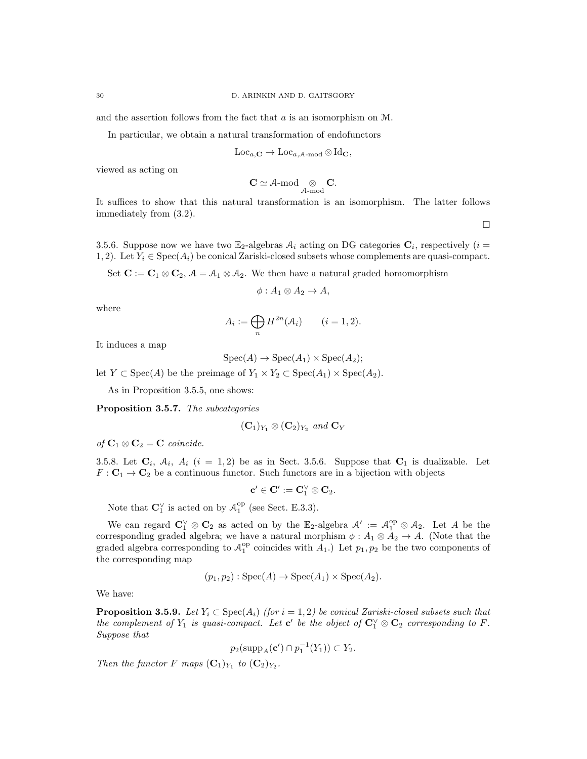and the assertion follows from the fact that a is an isomorphism on M.

In particular, we obtain a natural transformation of endofunctors

$$
\operatorname{Loc}_{a,\mathbf{C}} \to \operatorname{Loc}_{a,\mathcal{A}\text{-}\mathrm{mod}} \otimes \operatorname{Id}_\mathbf{C},
$$

viewed as acting on

$$
\mathbf{C} \simeq \text{A-mod} \underset{\mathcal{A}\text{-}\mathrm{mod}}{\otimes} \mathbf{C}.
$$

It suffices to show that this natural transformation is an isomorphism. The latter follows immediately from (3.2).

 $\Box$ 

3.5.6. Suppose now we have two  $\mathbb{E}_2$ -algebras  $\mathcal{A}_i$  acting on DG categories  $\mathbf{C}_i$ , respectively  $(i =$ 1, 2). Let  $Y_i \in \text{Spec}(A_i)$  be conical Zariski-closed subsets whose complements are quasi-compact.

Set  $\mathbf{C} := \mathbf{C}_1 \otimes \mathbf{C}_2$ ,  $\mathcal{A} = \mathcal{A}_1 \otimes \mathcal{A}_2$ . We then have a natural graded homomorphism

$$
\phi: A_1 \otimes A_2 \to A,
$$

where

$$
A_i := \bigoplus_n H^{2n}(\mathcal{A}_i) \qquad (i = 1, 2).
$$

It induces a map

$$
Spec(A) \to Spec(A_1) \times Spec(A_2);
$$

let  $Y \subset \text{Spec}(A)$  be the preimage of  $Y_1 \times Y_2 \subset \text{Spec}(A_1) \times \text{Spec}(A_2)$ .

As in Proposition 3.5.5, one shows:

Proposition 3.5.7. The subcategories

$$
(\mathbf{C}_1)_{Y_1}\otimes (\mathbf{C}_2)_{Y_2} \text{ and } \mathbf{C}_Y
$$

of  $C_1 \otimes C_2 = C$  coincide.

3.5.8. Let  $C_i$ ,  $A_i$ ,  $A_i$  (i = 1,2) be as in Sect. 3.5.6. Suppose that  $C_1$  is dualizable. Let  $F: \mathbf{C}_1 \to \mathbf{C}_2$  be a continuous functor. Such functors are in a bijection with objects

$$
\mathbf{c}'\in \mathbf{C}':=\mathbf{C}_1^\vee\otimes \mathbf{C}_2.
$$

Note that  $\mathbf{C}_1^{\vee}$  is acted on by  $\mathcal{A}_1^{\text{op}}$  (see Sect. E.3.3).

We can regard  $\mathbb{C}_1^{\vee} \otimes \mathbb{C}_2$  as acted on by the  $\mathbb{E}_2$ -algebra  $\mathcal{A}' := \mathcal{A}_1^{\text{op}} \otimes \mathcal{A}_2$ . Let A be the corresponding graded algebra; we have a natural morphism  $\phi: A_1 \otimes A_2 \to A$ . (Note that the graded algebra corresponding to  $\mathcal{A}_1^{\text{op}}$  coincides with  $A_1$ .) Let  $p_1, p_2$  be the two components of the corresponding map

$$
(p_1, p_2) : \text{Spec}(A) \to \text{Spec}(A_1) \times \text{Spec}(A_2).
$$

We have:

**Proposition 3.5.9.** Let  $Y_i \subset \text{Spec}(A_i)$  (for  $i = 1, 2$ ) be conical Zariski-closed subsets such that the complement of  $Y_1$  is quasi-compact. Let  $\mathbf{c}'$  be the object of  $\mathbf{C}_1^{\vee} \otimes \mathbf{C}_2$  corresponding to F. Suppose that

$$
p_2(\mathrm{supp}_A(\mathbf{c}') \cap p_1^{-1}(Y_1)) \subset Y_2.
$$

Then the functor F maps  $(C_1)_{Y_1}$  to  $(C_2)_{Y_2}$ .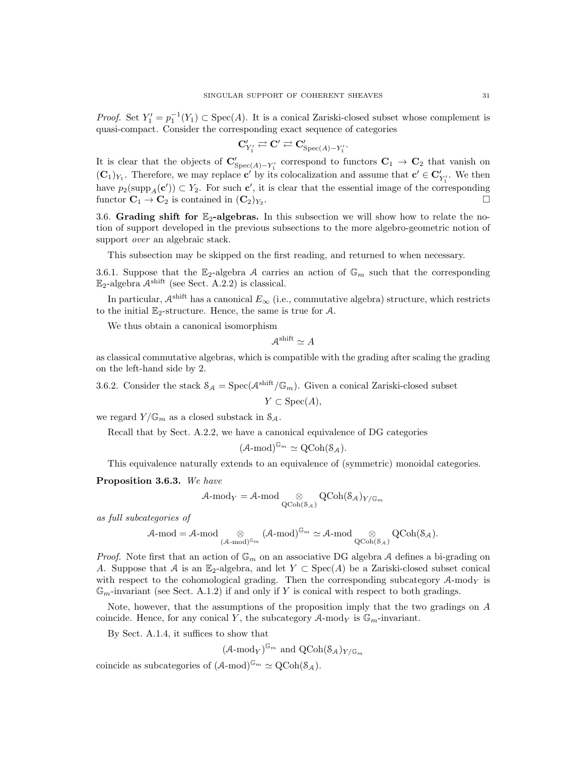*Proof.* Set  $Y_1' = p_1^{-1}(Y_1) \subset \text{Spec}(A)$ . It is a conical Zariski-closed subset whose complement is quasi-compact. Consider the corresponding exact sequence of categories

$$
\mathbf{C}'_{Y'_1} \rightleftarrows \mathbf{C}' \rightleftarrows \mathbf{C}'_{\mathrm{Spec}(A)-Y'_1}.
$$

It is clear that the objects of  $\mathbf{C}'_{Spec(A)-Y'_1}$  correspond to functors  $\mathbf{C}_1 \to \mathbf{C}_2$  that vanish on  $({\bf C}_1)_{Y_1}$ . Therefore, we may replace  ${\bf c}'$  by its colocalization and assume that  ${\bf c}' \in {\bf C}'_{Y'_1}$ . We then have  $p_2(\text{supp}_A(c')) \subset Y_2$ . For such c', it is clear that the essential image of the corresponding functor  $C_1 \rightarrow C_2$  is contained in  $(C_2)_{Y_2}$ . .

3.6. Grading shift for  $\mathbb{E}_2$ -algebras. In this subsection we will show how to relate the notion of support developed in the previous subsections to the more algebro-geometric notion of support *over* an algebraic stack.

This subsection may be skipped on the first reading, and returned to when necessary.

3.6.1. Suppose that the E<sub>2</sub>-algebra A carries an action of  $\mathbb{G}_m$  such that the corresponding  $\mathbb{E}_2$ -algebra  $\mathcal{A}^{\text{shift}}$  (see Sect. A.2.2) is classical.

In particular,  $\mathcal{A}^{\text{shift}}$  has a canonical  $E_{\infty}$  (i.e., commutative algebra) structure, which restricts to the initial  $\mathbb{E}_2$ -structure. Hence, the same is true for A.

We thus obtain a canonical isomorphism

 $\mathcal{A}^{\text{shift}} \simeq A$ 

as classical commutative algebras, which is compatible with the grading after scaling the grading on the left-hand side by 2.

3.6.2. Consider the stack  $S_A = \text{Spec}(\mathcal{A}^{\text{shift}}/\mathbb{G}_m)$ . Given a conical Zariski-closed subset

$$
Y \subset \text{Spec}(A),
$$

we regard  $Y/\mathbb{G}_m$  as a closed substack in  $\mathcal{S}_A$ .

Recall that by Sect. A.2.2, we have a canonical equivalence of DG categories

$$
(\mathcal{A}\text{-mod})^{\mathbb{G}_m} \simeq \mathrm{QCoh}(\mathcal{S}_{\mathcal{A}}).
$$

This equivalence naturally extends to an equivalence of (symmetric) monoidal categories.

Proposition 3.6.3. We have

$$
\mathcal{A}\text{-mod}_Y = \mathcal{A}\text{-mod}\underset{\mathrm{QCoh}(\mathcal{S}_\mathcal{A})}{\otimes} \mathrm{QCoh}(\mathcal{S}_\mathcal{A})_{Y/\mathbb{G}_m}
$$

as full subcategories of

$$
\mathcal{A}\text{-mod} = \mathcal{A}\text{-mod} \underset{(\mathcal{A}\text{-mod})^{\mathbb{G}_m}}{\otimes} (\mathcal{A}\text{-mod})^{\mathbb{G}_m} \simeq \mathcal{A}\text{-mod} \underset{Q\text{Coh}(\mathcal{S}_{\mathcal{A}})}{\otimes} QCoh(\mathcal{S}_{\mathcal{A}}).
$$

*Proof.* Note first that an action of  $\mathbb{G}_m$  on an associative DG algebra A defines a bi-grading on A. Suppose that A is an E<sub>2</sub>-algebra, and let  $Y \subset \text{Spec}(A)$  be a Zariski-closed subset conical with respect to the cohomological grading. Then the corresponding subcategory  $A\text{-mod}_Y$  is  $\mathbb{G}_m$ -invariant (see Sect. A.1.2) if and only if Y is conical with respect to both gradings.

Note, however, that the assumptions of the proposition imply that the two gradings on A coincide. Hence, for any conical Y, the subcategory  $A$ -mod<sub>Y</sub> is  $\mathbb{G}_m$ -invariant.

By Sect. A.1.4, it suffices to show that

 $(\mathcal{A}\text{-mod}_Y)^{\mathbb{G}_m}$  and  $\operatorname{QCoh}(\mathcal{S}_{\mathcal{A}})_{Y/\mathbb{G}_m}$ 

coincide as subcategories of  $(A\text{-mod})^{\mathbb{G}_m} \simeq \text{QCoh}(\mathcal{S}_A)$ .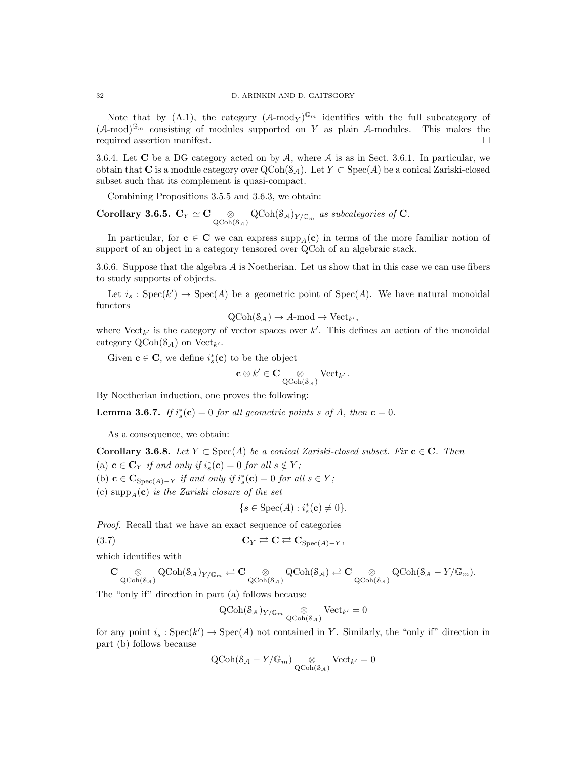Note that by (A.1), the category  $(A\text{-mod}_Y)^{\mathbb{G}_m}$  identifies with the full subcategory of  $(A\text{-mod})^{\mathbb{G}_m}$  consisting of modules supported on Y as plain A-modules. This makes the required assertion manifest.

3.6.4. Let  $C$  be a DG category acted on by  $A$ , where  $A$  is as in Sect. 3.6.1. In particular, we obtain that C is a module category over  $\text{QCoh}(S_{\mathcal{A}})$ . Let  $Y \subset \text{Spec}(A)$  be a conical Zariski-closed subset such that its complement is quasi-compact.

Combining Propositions 3.5.5 and 3.6.3, we obtain:

Corollary 3.6.5.  $\mathbf{C}_Y \simeq \mathbf{C} \underset{\text{QCoh}(S_{\mathcal{A}})}{\otimes} \text{QCoh}(S_{\mathcal{A}})_{Y/\mathbb{G}_m}$  as subcategories of C.

In particular, for  $c \in \mathbb{C}$  we can express supp<sub>A</sub>(c) in terms of the more familiar notion of support of an object in a category tensored over QCoh of an algebraic stack.

3.6.6. Suppose that the algebra A is Noetherian. Let us show that in this case we can use fibers to study supports of objects.

Let  $i_s : \text{Spec}(k') \to \text{Spec}(A)$  be a geometric point of  $\text{Spec}(A)$ . We have natural monoidal functors

$$
QCoh(\mathcal{S}_{\mathcal{A}}) \to A\text{-mod} \to Vect_{k'},
$$

where  $Vect_{k'}$  is the category of vector spaces over k'. This defines an action of the monoidal category  $\text{QCoh}(\mathcal{S}_{\mathcal{A}})$  on  $\text{Vect}_{k'}$ .

Given  $\mathbf{c} \in \mathbf{C}$ , we define  $i_s^*(\mathbf{c})$  to be the object

$$
\mathbf{c} \otimes k' \in \mathbf{C} \underset{\mathrm{QCoh}(\mathcal{S}_{\mathcal{A}})}{\otimes} \mathrm{Vect}_{k'} \, .
$$

By Noetherian induction, one proves the following:

**Lemma 3.6.7.** If  $i_s^*(c) = 0$  for all geometric points s of A, then  $c = 0$ .

As a consequence, we obtain:

Corollary 3.6.8. Let  $Y \subset \text{Spec}(A)$  be a conical Zariski-closed subset. Fix  $c \in C$ . Then (a)  $\mathbf{c} \in \mathbf{C}_Y$  if and only if  $i_s^*(\mathbf{c}) = 0$  for all  $s \notin Y$ ; (b)  $\mathbf{c} \in \mathbf{C}_{\text{Spec}(A)-Y}$  if and only if  $i_s^*(\mathbf{c}) = 0$  for all  $s \in Y$ ;

(c) supp<sub>A</sub>(c) is the Zariski closure of the set

$$
\{s\in \text{Spec}(A): i_s^*(\mathbf{c})\neq 0\}.
$$

Proof. Recall that we have an exact sequence of categories

$$
C_Y \rightleftarrows C \rightleftarrows C_{Spec(A)-Y},
$$

which identifies with

$$
\mathbf{C}\underset{\mathrm{QCoh}(\mathcal{S}_{\mathcal{A}})}{\otimes} \mathrm{QCoh}(\mathcal{S}_{\mathcal{A}})_{Y/\mathbb{G}_m} \rightleftarrows \mathbf{C}\underset{\mathrm{QCoh}(\mathcal{S}_{\mathcal{A}})}{\otimes} \mathrm{QCoh}(\mathcal{S}_{\mathcal{A}}) \rightleftarrows \mathbf{C}\underset{\mathrm{QCoh}(\mathcal{S}_{\mathcal{A}})}{\otimes} \mathrm{QCoh}(\mathcal{S}_{\mathcal{A}}-Y/\mathbb{G}_m).
$$

The "only if" direction in part (a) follows because

$$
\operatorname{QCoh}(\mathcal{S}_{\mathcal{A}})_{Y/\mathbb{G}_m} \underset{\operatorname{QCoh}(\mathcal{S}_{\mathcal{A}})}{\otimes} \operatorname{Vect}_{k'} = 0
$$

for any point  $i_s : \text{Spec}(k') \to \text{Spec}(A)$  not contained in Y. Similarly, the "only if" direction in part (b) follows because

$$
\operatorname{QCoh}(\mathcal{S}_{\mathcal{A}}-Y/\mathbb{G}_m) \underset{\operatorname{QCoh}(\mathcal{S}_{\mathcal{A}})}{\otimes} \operatorname{Vect}_{k'}=0
$$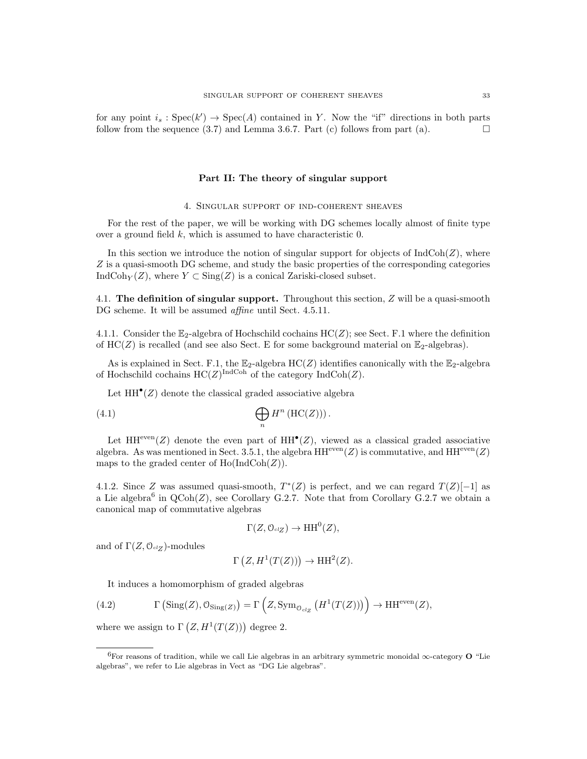for any point  $i_s : \text{Spec}(k') \to \text{Spec}(A)$  contained in Y. Now the "if" directions in both parts follow from the sequence (3.7) and Lemma 3.6.7. Part (c) follows from part (a).

# Part II: The theory of singular support

## 4. Singular support of ind-coherent sheaves

For the rest of the paper, we will be working with DG schemes locally almost of finite type over a ground field k, which is assumed to have characteristic 0.

In this section we introduce the notion of singular support for objects of  $\text{IndCoh}(Z)$ , where Z is a quasi-smooth DG scheme, and study the basic properties of the corresponding categories IndCoh<sub>Y</sub> $(Z)$ , where  $Y \subset \text{Sing}(Z)$  is a conical Zariski-closed subset.

4.1. The definition of singular support. Throughout this section,  $Z$  will be a quasi-smooth DG scheme. It will be assumed *affine* until Sect. 4.5.11.

4.1.1. Consider the  $\mathbb{E}_2$ -algebra of Hochschild cochains  $HC(Z)$ ; see Sect. F.1 where the definition of  $HC(Z)$  is recalled (and see also Sect. E for some background material on  $\mathbb{E}_2$ -algebras).

As is explained in Sect. F.1, the  $\mathbb{E}_2$ -algebra  $HC(Z)$  identifies canonically with the  $\mathbb{E}_2$ -algebra of Hochschild cochains  $HC(Z)^{\text{IndCoh}}$  of the category  $\text{IndCoh}(Z)$ .

Let  $HH^{\bullet}(Z)$  denote the classical graded associative algebra

(4.1) 
$$
\bigoplus_{n} H^{n} \left( \mathrm{HC}(Z) \right) \text{.}
$$

Let  $HH^{even}(Z)$  denote the even part of  $HH^{\bullet}(Z)$ , viewed as a classical graded associative algebra. As was mentioned in Sect. 3.5.1, the algebra  $HH^{even}(Z)$  is commutative, and  $HH^{even}(Z)$ maps to the graded center of  $Ho(IndCoh(Z)).$ 

4.1.2. Since Z was assumed quasi-smooth,  $T^*(Z)$  is perfect, and we can regard  $T(Z)[-1]$  as a Lie algebra<sup>6</sup> in  $QCoh(Z)$ , see Corollary G.2.7. Note that from Corollary G.2.7 we obtain a canonical map of commutative algebras

$$
\Gamma(Z, \mathcal{O}_{\mathit{cl}_Z}) \to HH^0(Z),
$$

and of  $\Gamma(Z, \mathcal{O}_{\mathrm{cl}_Z})$ -modules

$$
\Gamma(Z, H^1(T(Z))) \to HH^2(Z).
$$

It induces a homomorphism of graded algebras

(4.2) 
$$
\Gamma\left(\text{Sing}(Z),\mathcal{O}_{\text{Sing}(Z)}\right) = \Gamma\left(Z,\text{Sym}_{\mathcal{O}_{\text{cl}_Z}}\left(H^1(T(Z))\right)\right) \to \text{HH}^{\text{even}}(Z),
$$

where we assign to  $\Gamma(Z, H^1(T(Z)))$  degree 2.

 $^{6}$ For reasons of tradition, while we call Lie algebras in an arbitrary symmetric monoidal  $\infty$ -category O "Lie algebras", we refer to Lie algebras in Vect as "DG Lie algebras".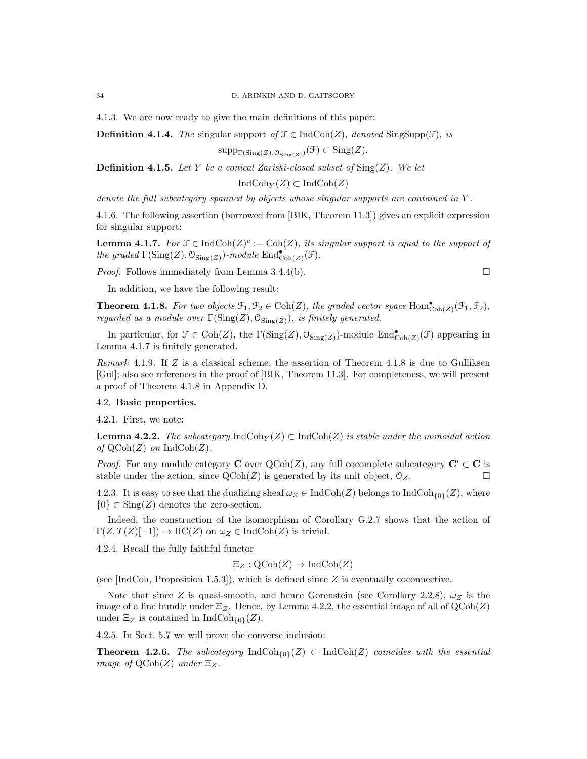4.1.3. We are now ready to give the main definitions of this paper:

**Definition 4.1.4.** The singular support of  $\mathcal{F} \in \text{IndCoh}(Z)$ , denoted  $\text{SingSupp}(\mathcal{F})$ , is

 $\text{supp}_{\Gamma(\text{Sing}(Z),\mathcal{O}_{\text{Sing}(Z)})}(\mathcal{F}) \subset \text{Sing}(Z).$ 

**Definition 4.1.5.** Let Y be a conical Zariski-closed subset of  $\text{Sing}(Z)$ . We let

 $\text{IndCoh}_Y(Z) \subset \text{IndCoh}(Z)$ 

denote the full subcategory spanned by objects whose singular supports are contained in Y.

4.1.6. The following assertion (borrowed from [BIK, Theorem 11.3]) gives an explicit expression for singular support:

**Lemma 4.1.7.** For  $\mathcal{F} \in \text{IndCoh}(Z)^c := \text{Coh}(Z)$ , its singular support is equal to the support of the graded  $\Gamma(\text{Sing}(Z), \mathcal{O}_{\text{Sing}(Z)})$ -module  $\text{End}^{\bullet}_{\text{Coh}(Z)}(\mathcal{F})$ .

*Proof.* Follows immediately from Lemma 3.4.4(b).  $\square$ 

In addition, we have the following result:

**Theorem 4.1.8.** For two objects  $\mathcal{F}_1, \mathcal{F}_2 \in \text{Coh}(Z)$ , the graded vector space  $\text{Hom}^{\bullet}_{\text{Coh}(Z)}(\mathcal{F}_1, \mathcal{F}_2)$ , regarded as a module over  $\Gamma(\mathrm{Sing}(Z),\mathcal{O}_{\mathrm{Sing}(Z)})$ , is finitely generated.

In particular, for  $\mathcal{F} \in \text{Coh}(Z)$ , the  $\Gamma(\text{Sing}(Z), \mathcal{O}_{\text{Sing}(Z)})$ -module  $\text{End}^{\bullet}_{\text{Coh}(Z)}(\mathcal{F})$  appearing in Lemma 4.1.7 is finitely generated.

Remark 4.1.9. If  $Z$  is a classical scheme, the assertion of Theorem 4.1.8 is due to Gulliksen [Gul]; also see references in the proof of [BIK, Theorem 11.3]. For completeness, we will present a proof of Theorem 4.1.8 in Appendix D.

# 4.2. Basic properties.

4.2.1. First, we note:

**Lemma 4.2.2.** The subcategory  $\text{IndCoh}_Y(Z) \subset \text{IndCoh}(Z)$  is stable under the monoidal action of  $\mathrm{QCoh}(Z)$  on Ind $\mathrm{Coh}(Z)$ .

*Proof.* For any module category **C** over  $Q\text{Coh}(Z)$ , any full cocomplete subcategory **C'**  $\subset$  **C** is stable under the action, since  $\text{QCoh}(Z)$  is generated by its unit object,  $\mathcal{O}_Z$ .

4.2.3. It is easy to see that the dualizing sheaf  $\omega_Z \in \text{IndCoh}(Z)$  belongs to  $\text{IndCoh}_{\{0\}}(Z)$ , where  ${0} \subset Sing(Z)$  denotes the zero-section.

Indeed, the construction of the isomorphism of Corollary G.2.7 shows that the action of  $\Gamma(Z, T(Z)[-1]) \to \mathrm{HC}(Z)$  on  $\omega_Z \in \mathrm{IndCoh}(Z)$  is trivial.

4.2.4. Recall the fully faithful functor

$$
\Xi_Z : \mathrm{QCoh}(Z) \to \mathrm{IndCoh}(Z)
$$

(see [IndCoh, Proposition 1.5.3]), which is defined since  $Z$  is eventually coconnective.

Note that since Z is quasi-smooth, and hence Gorenstein (see Corollary 2.2.8),  $\omega_Z$  is the image of a line bundle under  $\Xi_Z$ . Hence, by Lemma 4.2.2, the essential image of all of  $\text{QCoh}(Z)$ under  $\Xi_Z$  is contained in IndCoh<sub>{0}</sub>(Z).

4.2.5. In Sect. 5.7 we will prove the converse inclusion:

**Theorem 4.2.6.** The subcategory  $\text{IndCoh}_{\{0\}}(Z) \subset \text{IndCoh}(Z)$  coincides with the essential image of  $\text{QCoh}(Z)$  under  $\Xi_Z$ .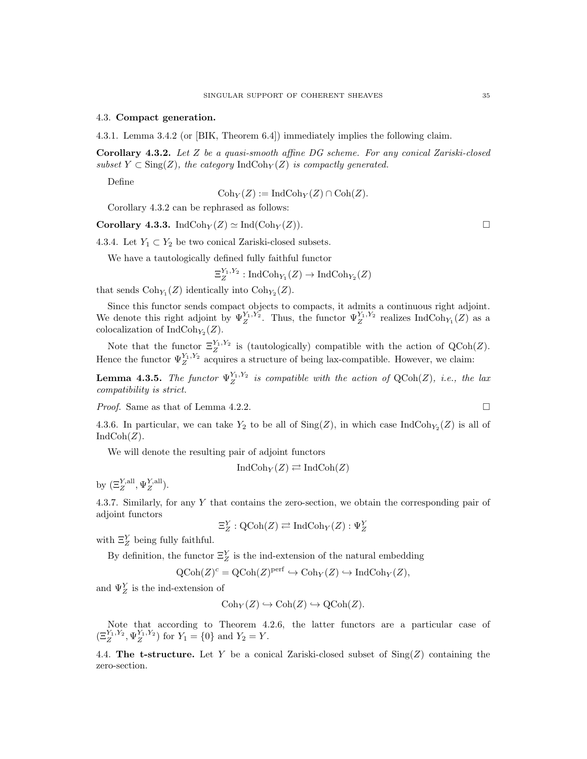#### 4.3. Compact generation.

4.3.1. Lemma 3.4.2 (or [BIK, Theorem 6.4]) immediately implies the following claim.

Corollary 4.3.2. Let Z be a quasi-smooth affine DG scheme. For any conical Zariski-closed subset  $Y \subset \text{Sing}(Z)$ , the category IndCoh<sub>Y</sub>(Z) is compactly generated.

Define

 $Coh_Y(Z) := IndCoh_Y(Z) \cap Coh(Z).$ 

Corollary 4.3.2 can be rephrased as follows:

Corollary 4.3.3. IndCoh<sub>Y</sub> $(Z) \simeq \text{Ind}(\text{Coh}_Y(Z)).$ 

4.3.4. Let  $Y_1 \subset Y_2$  be two conical Zariski-closed subsets.

We have a tautologically defined fully faithful functor

$$
\Xi_Z^{Y_1,Y_2} : \mathrm{IndCoh}_{Y_1}(Z) \to \mathrm{IndCoh}_{Y_2}(Z)
$$

that sends  $\text{Coh}_{Y_1}(Z)$  identically into  $\text{Coh}_{Y_2}(Z)$ .

Since this functor sends compact objects to compacts, it admits a continuous right adjoint. We denote this right adjoint by  $\Psi_Z^{Y_1,Y_2}$ . Thus, the functor  $\Psi_Z^{Y_1,Y_2}$  realizes IndCoh<sub>Y<sub>1</sub></sub>(Z) as a colocalization of  $\text{IndCoh}_{Y_2}(Z)$ .

Note that the functor  $\Xi_Z^{Y_1,Y_2}$  is (tautologically) compatible with the action of QCoh(Z). Hence the functor  $\Psi_Z^{Y_1, Y_2}$  acquires a structure of being lax-compatible. However, we claim:

**Lemma 4.3.5.** The functor  $\Psi_Z^{Y_1,Y_2}$  is compatible with the action of  $QCoh(Z)$ , i.e., the lax compatibility is strict.

*Proof.* Same as that of Lemma 4.2.2.

4.3.6. In particular, we can take  $Y_2$  to be all of  $\text{Sing}(Z)$ , in which case  $\text{IndCoh}_{Y_2}(Z)$  is all of  $IndCoh(Z).$ 

We will denote the resulting pair of adjoint functors

$$
IndCoh_Y(Z) \rightleftarrows IndCoh(Z)
$$

by  $(\Xi_Z^{Y, \text{all}}, \Psi_Z^{Y, \text{all}})$ .

4.3.7. Similarly, for any Y that contains the zero-section, we obtain the corresponding pair of adjoint functors

$$
\Xi^Y_Z : {\rm QCoh}(Z) \rightleftarrows {\rm IndCoh}_Y(Z) : \Psi^Y_Z
$$

with  $\Xi_Z^Y$  being fully faithful.

By definition, the functor  $\Xi_Z^Y$  is the ind-extension of the natural embedding

$$
\mathrm{QCoh}(Z)^c = \mathrm{QCoh}(Z)^{\mathrm{perf}} \hookrightarrow \mathrm{Coh}_Y(Z) \hookrightarrow \mathrm{IndCoh}_Y(Z),
$$

and  $\Psi_Z^Y$  is the ind-extension of

$$
Coh_Y(Z) \hookrightarrow Coh(Z) \hookrightarrow QCoh(Z).
$$

Note that according to Theorem 4.2.6, the latter functors are a particular case of  $(\Xi_Z^{Y_1,Y_2}, \Psi_Z^{Y_1,Y_2})$  for  $Y_1 = \{0\}$  and  $Y_2 = Y$ .

4.4. The t-structure. Let Y be a conical Zariski-closed subset of  $\text{Sing}(Z)$  containing the zero-section.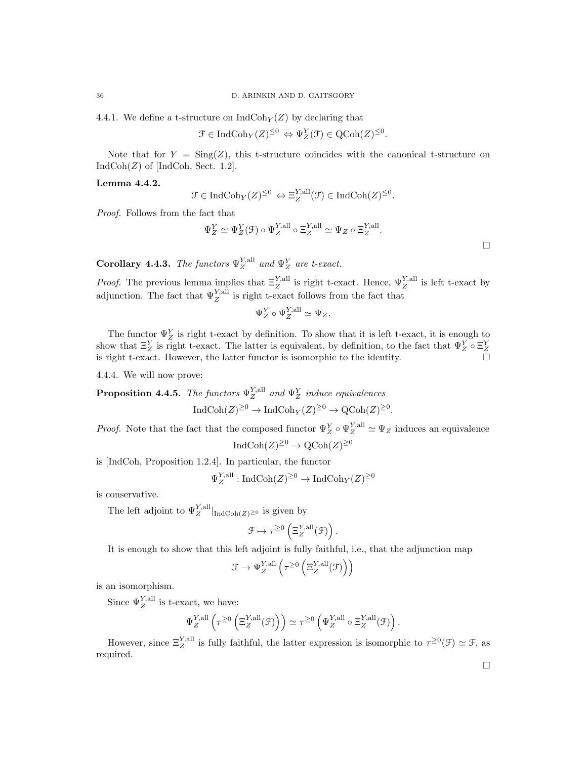4.4.1. We define a t-structure on  $\text{IndCoh}_Y(Z)$  by declaring that

$$
\mathcal{F}\in \mathrm{IndCoh}_Y(Z)^{\leq 0}\, \Leftrightarrow \Psi^Y_Z(\mathcal{F})\in \mathrm{QCoh}(Z)^{\leq 0}.
$$

Note that for  $Y = \text{Sing}(Z)$ , this t-structure coincides with the canonical t-structure on  $IndCoh(Z)$  of [IndCoh, Sect. 1.2].

#### Lemma 4.4.2.

$$
\mathcal{F} \in \mathrm{IndCoh}_Y(Z)^{\leq 0} \Leftrightarrow \Xi_Z^{Y, \mathrm{all}}(\mathcal{F}) \in \mathrm{IndCoh}(Z)^{\leq 0}.
$$

Proof. Follows from the fact that

$$
\Psi_Z^Y \simeq \Psi_Z^Y(\mathcal{F}) \circ \Psi_Z^{Y, \text{all}} \circ \Xi_Z^{Y, \text{all}} \simeq \Psi_Z \circ \Xi_Z^{Y, \text{all}}.
$$

**Corollary 4.4.3.** The functors  $\Psi_Z^{Y, \text{all}}$  and  $\Psi_Z^Y$  are t-exact.

*Proof.* The previous lemma implies that  $\Xi_Z^{Y, \text{all}}$  is right t-exact. Hence,  $\Psi_Z^{Y, \text{all}}$  is left t-exact by adjunction. The fact that  $\Psi_Z^{Y, \text{all}}$  is right t-exact follows from the fact that

$$
\Psi_Z^Y \circ \Psi_Z^{Y, \text{all}} \simeq \Psi_Z.
$$

The functor  $\Psi_Z^Y$  is right t-exact by definition. To show that it is left t-exact, it is enough to show that  $\Xi_Z^Y$  is right t-exact. The latter is equivalent, by definition, to the fact that  $\Psi_Z^Y \circ \Xi_Z^Y$ is right t-exact. However, the latter functor is isomorphic to the identity.

4.4.4. We will now prove:

**Proposition 4.4.5.** The functors  $\Psi_{Z}^{Y, \text{all}}$  and  $\Psi_{Z}^{Y}$  induce equivalences

$$
IndCoh(Z)^{\geq 0} \to IndCoh_Y(Z)^{\geq 0} \to QCoh(Z)^{\geq 0}.
$$

*Proof.* Note that the fact that the composed functor  $\Psi_Z^Y \circ \Psi_Z^{Y, \text{all}} \simeq \Psi_Z$  induces an equivalence

$$
IndCoh(Z)^{\geq 0} \to \mathrm{QCoh}(Z)^{\geq 0}
$$

is [IndCoh, Proposition 1.2.4]. In particular, the functor

$$
\Psi_Z^{Y, \text{all}} : \text{IndCoh}(Z)^{\geq 0} \to \text{IndCoh}_Y(Z)^{\geq 0}
$$

is conservative.

The left adjoint to  $\Psi_Z^{Y, \text{all}}|_{\text{IndCoh}(Z) \geq 0}$  is given by

$$
\mathcal{F} \mapsto \tau^{\geq 0}\left(\Xi_Z^{Y, \text{all}}(\mathcal{F})\right).
$$

It is enough to show that this left adjoint is fully faithful, i.e., that the adjunction map

$$
\mathcal{F} \rightarrow \Psi_Z^{Y, \text{all}} \left( \tau^{\geq 0} \left( \Xi_Z^{Y, \text{all}}(\mathcal{F}) \right) \right)
$$

is an isomorphism.

Since  $\Psi_Z^{Y, \text{all}}$  is t-exact, we have:

$$
\Psi_Z^{Y, \text{all}} \left( \tau^{\geq 0} \left( \Xi_Z^{Y, \text{all}} (\mathcal{F}) \right) \right) \simeq \tau^{\geq 0} \left( \Psi_Z^{Y, \text{all}} \circ \Xi_Z^{Y, \text{all}} (\mathcal{F}) \right).
$$

However, since  $\Xi_Z^{Y, \text{all}}$  is fully faithful, the latter expression is isomorphic to  $\tau^{\geq 0}(\mathcal{F}) \simeq \mathcal{F}$ , as required.

 $\Box$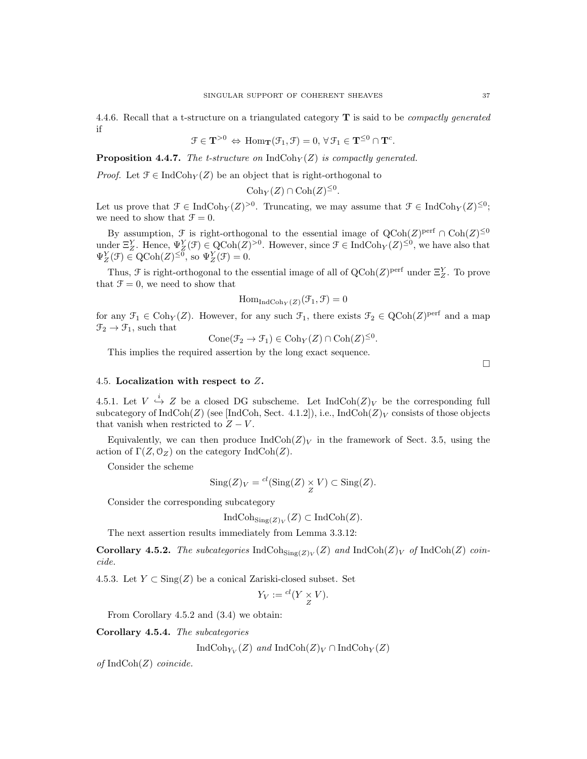4.4.6. Recall that a t-structure on a triangulated category  $\bf{T}$  is said to be *compactly generated* if

$$
\mathcal{F} \in \mathbf{T}^{>0} \Leftrightarrow \text{Hom}_{\mathbf{T}}(\mathcal{F}_1, \mathcal{F}) = 0, \,\forall \,\mathcal{F}_1 \in \mathbf{T}^{\leq 0} \cap \mathbf{T}^c.
$$

**Proposition 4.4.7.** The *t*-structure on  $\text{IndCoh}_Y(Z)$  is compactly generated.

*Proof.* Let  $\mathcal{F} \in \text{IndCoh}_{Y}(Z)$  be an object that is right-orthogonal to

$$
Coh_Y(Z) \cap Coh(Z)^{\leq 0}.
$$

Let us prove that  $\mathcal{F} \in \text{IndCoh}_Y(\mathbb{Z})^{>0}$ . Truncating, we may assume that  $\mathcal{F} \in \text{IndCoh}_Y(\mathbb{Z})^{\leq 0}$ ; we need to show that  $\mathcal{F} = 0$ .

By assumption,  $\mathcal F$  is right-orthogonal to the essential image of  $Q\text{Coh}(Z)^{\text{perf}} \cap \text{Coh}(Z)^{\leq 0}$ under  $\Xi_Z^Y$ . Hence,  $\Psi_Z^Y(\mathcal{F}) \in \mathrm{QCoh}(Z)^{>0}$ . However, since  $\mathcal{F} \in \mathrm{IndCoh}_Y(Z)^{\leq 0}$ , we have also that  $\Psi_Z^Y(\mathcal{F}) \in \mathrm{QCoh}(Z)^{\leq 0}$ , so  $\Psi_Z^Y(\mathcal{F}) = 0$ .

Thus,  $\mathcal F$  is right-orthogonal to the essential image of all of  $Q\text{Coh}(Z)^{\text{perf}}$  under  $\Xi_Z^Y$ . To prove that  $\mathcal{F} = 0$ , we need to show that

$$
\mathrm{Hom}_{\mathrm{IndCoh}_Y(Z)}(\mathcal{F}_1, \mathcal{F}) = 0
$$

for any  $\mathcal{F}_1 \in \text{Coh}_Y(Z)$ . However, for any such  $\mathcal{F}_1$ , there exists  $\mathcal{F}_2 \in \text{QCoh}(Z)^{\text{perf}}$  and a map  $\mathfrak{F}_2 \to \mathfrak{F}_1$ , such that

Cone( $\mathcal{F}_2 \to \mathcal{F}_1$ )  $\in \text{Coh}_Y(Z) \cap \text{Coh}(Z)^{\leq 0}$ .

This implies the required assertion by the long exact sequence.

 $\Box$ 

## 4.5. Localization with respect to Z.

4.5.1. Let  $V \stackrel{i}{\hookrightarrow} Z$  be a closed DG subscheme. Let  $\text{IndCoh}(Z)_V$  be the corresponding full subcategory of  $IndCoh(Z)$  (see [IndCoh, Sect. 4.1.2]), i.e.,  $IndCoh(Z)<sub>V</sub>$  consists of those objects that vanish when restricted to  $Z - V$ .

Equivalently, we can then produce  $\text{IndCoh}(Z)_V$  in the framework of Sect. 3.5, using the action of  $\Gamma(Z, \mathcal{O}_Z)$  on the category IndCoh(Z).

Consider the scheme

$$
Sing(Z)_V = {}^{cl}(\text{Sing}(Z) \underset{Z}{\times} V) \subset \text{Sing}(Z).
$$

Consider the corresponding subcategory

$$
\text{IndCoh}_{\text{Sing}(Z)_V}(Z) \subset \text{IndCoh}(Z).
$$

The next assertion results immediately from Lemma 3.3.12:

**Corollary 4.5.2.** The subcategories  $\text{IndCoh}_{\text{Sing}(Z)_V}(Z)$  and  $\text{IndCoh}(Z)_V$  of  $\text{IndCoh}(Z)$  coincide.

4.5.3. Let  $Y \subset \text{Sing}(Z)$  be a conical Zariski-closed subset. Set

$$
Y_V := {}^{cl}(Y \underset{Z}{\times} V).
$$

From Corollary 4.5.2 and (3.4) we obtain:

Corollary 4.5.4. The subcategories

IndCoh<sub>Yv</sub>(Z) and IndCoh(Z)<sub>V</sub> ∩ IndCoh<sub>Y</sub>(Z)

of  $IndCoh(Z)$  coincide.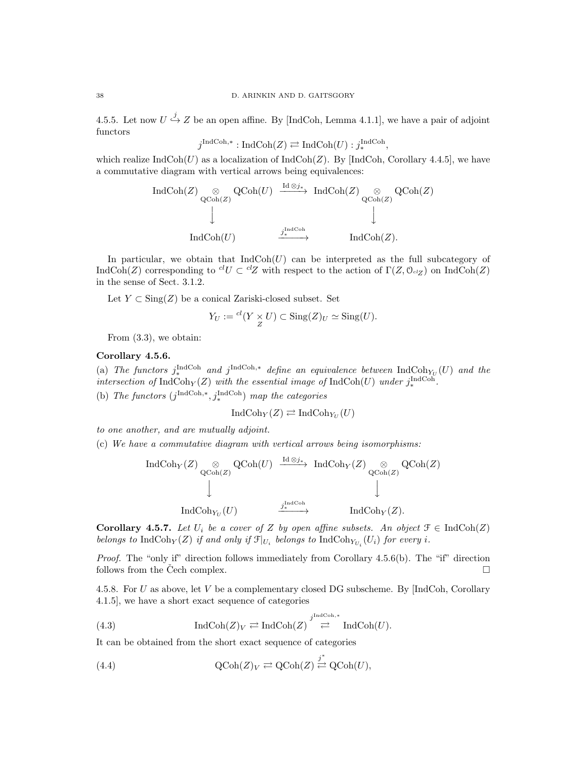4.5.5. Let now  $U \stackrel{j}{\hookrightarrow} Z$  be an open affine. By [IndCoh, Lemma 4.1.1], we have a pair of adjoint functors

$$
j^{\operatorname{IndCoh}, *} : \operatorname{IndCoh}(Z) \rightleftarrows \operatorname{IndCoh}(U) : j^{\operatorname{IndCoh}}_* ,
$$

which realize  $IndCoh(U)$  as a localization of  $IndCoh(Z)$ . By [IndCoh, Corollary 4.4.5], we have a commutative diagram with vertical arrows being equivalences:

$$
\operatorname{IndCoh}(Z) \underset{\text{QCoh}(Z)}{\otimes} \operatorname{QCoh}(U) \xrightarrow{\operatorname{Id} \otimes j_*} \operatorname{IndCoh}(Z) \underset{\text{QCoh}(Z)}{\otimes} \operatorname{QCoh}(Z)
$$
  
\n
$$
\downarrow \qquad \qquad \downarrow
$$
  
\n
$$
\operatorname{IndCoh}(U) \xrightarrow{j_*^{\operatorname{IndCoh}}} \operatorname{IndCoh}(Z).
$$

In particular, we obtain that  $IndCoh(U)$  can be interpreted as the full subcategory of IndCoh(Z) corresponding to  ${}^{cl}U \subset {}^{cl}Z$  with respect to the action of  $\Gamma(Z, \mathcal{O}_{\mathrm{cl}Z})$  on IndCoh(Z) in the sense of Sect. 3.1.2.

Let  $Y \subset \text{Sing}(Z)$  be a conical Zariski-closed subset. Set

$$
Y_U := {}^{cl}(Y \underset{Z}{\times} U) \subset \text{Sing}(Z)_U \simeq \text{Sing}(U).
$$

From (3.3), we obtain:

#### Corollary 4.5.6.

(a) The functors  $j^{\text{IndCoh}}_{*}$  and  $j^{\text{IndCoh},*}$  define an equivalence between  $\text{IndCoh}_{Y_{U}}(U)$  and the intersection of  $\text{IndCoh}_Y(Z)$  with the essential image of  $\text{IndCoh}(U)$  under  $j^{\text{IndCoh}}_*$ . (b) The functors  $(j^{\text{IndCoh},*}, j^{\text{IndCoh}}_*)$  map the categories

$$
\text{Ind}\text{Coh}_Y(Z) \rightleftarrows \text{Ind}\text{Coh}_{Y_U}(U)
$$

to one another, and are mutually adjoint.

(c) We have a commutative diagram with vertical arrows being isomorphisms:

$$
\operatorname{IndCoh}_{Y}(Z) \underset{\operatorname{QCoh}(Z)}{\otimes} \operatorname{QCoh}(U) \xrightarrow{\operatorname{Id} \otimes j_{*}} \operatorname{IndCoh}_{Y}(Z) \underset{\operatorname{QCoh}(Z)}{\otimes} \operatorname{QCoh}(Z)
$$
  

$$
\downarrow \qquad \qquad \downarrow
$$
  

$$
\operatorname{IndCoh}_{Y_{U}}(U) \xrightarrow{j_{*}^{\operatorname{IndCoh}}}{\xrightarrow{j_{*}^{\operatorname{IndCoh}}}} \operatorname{IndCoh}_{Y}(Z).
$$

Corollary 4.5.7. Let  $U_i$  be a cover of Z by open affine subsets. An object  $\mathcal{F} \in \text{IndCoh}(Z)$ belongs to  $\text{IndCoh}_Y(Z)$  if and only if  $\mathcal{F}|_{U_i}$  belongs to  $\text{IndCoh}_{Y_{U_i}}(U_i)$  for every i.

Proof. The "only if" direction follows immediately from Corollary 4.5.6(b). The "if" direction follows from the Čech complex.  $\Box$ 

4.5.8. For U as above, let V be a complementary closed DG subscheme. By [IndCoh, Corollary 4.1.5], we have a short exact sequence of categories

(4.3) 
$$
\operatorname{IndCoh}(Z)_V \rightleftarrows \operatorname{IndCoh}(Z) \stackrel{j^{\operatorname{IndCoh},*}}{\rightleftarrows} \operatorname{IndCoh}(U).
$$

It can be obtained from the short exact sequence of categories

(4.4) 
$$
\mathrm{QCoh}(Z)_V \rightleftarrows \mathrm{QCoh}(Z) \stackrel{j^*}{\rightleftarrows} \mathrm{QCoh}(U),
$$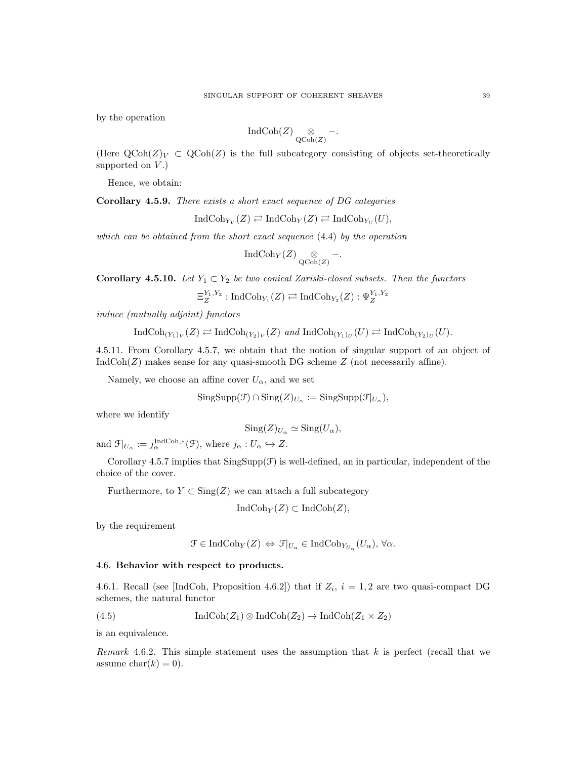by the operation

$$
\operatorname{IndCoh}(Z) \underset{\operatorname{QCoh}(Z)}{\otimes} \, - .
$$

(Here  $\text{QCoh}(Z)_V \subset \text{QCoh}(Z)$  is the full subcategory consisting of objects set-theoretically supported on  $V$ .)

Hence, we obtain:

Corollary 4.5.9. There exists a short exact sequence of DG categories

$$
\operatorname{IndCoh}_{Y_V}(Z) \rightleftarrows \operatorname{IndCoh}_Y(Z) \rightleftarrows \operatorname{IndCoh}_{Y_U}(U),
$$

which can be obtained from the short exact sequence (4.4) by the operation

$$
\operatorname{IndCoh}_Y(Z) \underset{\operatorname{QCoh}(Z)}{\otimes} -.
$$

Corollary 4.5.10. Let  $Y_1 \subset Y_2$  be two conical Zariski-closed subsets. Then the functors

$$
\Xi_Z^{Y_1,Y_2}:\mathrm{IndCoh}_{Y_1}(Z)\rightleftarrows \mathrm{IndCoh}_{Y_2}(Z):\Psi_Z^{Y_1,Y_2}
$$

induce (mutually adjoint) functors

$$
\operatorname{IndCoh}_{(Y_1)_V}(Z) \rightleftarrows \operatorname{IndCoh}_{(Y_2)_V}(Z) \text{ and } \operatorname{IndCoh}_{(Y_1)_U}(U) \rightleftarrows \operatorname{IndCoh}_{(Y_2)_U}(U).
$$

4.5.11. From Corollary 4.5.7, we obtain that the notion of singular support of an object of  $IndCoh(Z)$  makes sense for any quasi-smooth DG scheme  $Z$  (not necessarily affine).

Namely, we choose an affine cover  $U_{\alpha}$ , and we set

$$
\mathrm{SingSupp}(\mathcal{F}) \cap \mathrm{Sing}(Z)_{U_{\alpha}} := \mathrm{SingSupp}(\mathcal{F}|_{U_{\alpha}}),
$$

where we identify

$$
Sing(Z)_{U_{\alpha}} \simeq Sing(U_{\alpha}),
$$

and  $\mathcal{F}|_{U_{\alpha}} := j_{\alpha}^{\text{IndCoh},*}(\mathcal{F}),$  where  $j_{\alpha}: U_{\alpha} \hookrightarrow Z.$ 

Corollary 4.5.7 implies that  $\text{SingSupp}(\mathcal{F})$  is well-defined, an in particular, independent of the choice of the cover.

Furthermore, to  $Y \subset \text{Sing}(Z)$  we can attach a full subcategory

$$
IndCoh_Y(Z) \subset IndCoh(Z),
$$

by the requirement

$$
\mathcal{F} \in \mathrm{IndCoh}_{Y}(Z) \Leftrightarrow \mathcal{F}|_{U_{\alpha}} \in \mathrm{IndCoh}_{Y_{U_{\alpha}}}(U_{\alpha}), \forall \alpha.
$$

## 4.6. Behavior with respect to products.

4.6.1. Recall (see [IndCoh, Proposition 4.6.2]) that if  $Z_i$ ,  $i = 1, 2$  are two quasi-compact DG schemes, the natural functor

(4.5) 
$$
\operatorname{IndCoh}(Z_1) \otimes \operatorname{IndCoh}(Z_2) \to \operatorname{IndCoh}(Z_1 \times Z_2)
$$

is an equivalence.

Remark 4.6.2. This simple statement uses the assumption that  $k$  is perfect (recall that we assume  $char(k) = 0$ .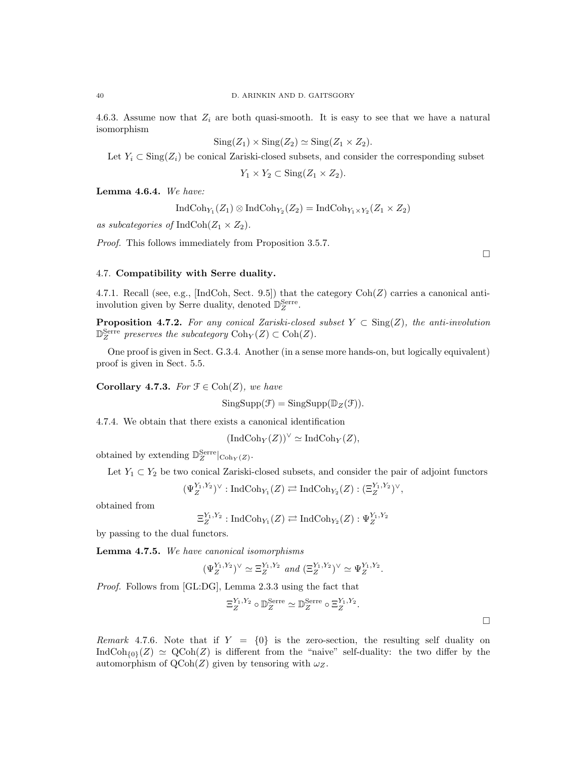4.6.3. Assume now that  $Z_i$  are both quasi-smooth. It is easy to see that we have a natural isomorphism

$$
Sing(Z_1) \times Sing(Z_2) \simeq Sing(Z_1 \times Z_2).
$$

Let  $Y_i \subset \text{Sing}(Z_i)$  be conical Zariski-closed subsets, and consider the corresponding subset

$$
Y_1 \times Y_2 \subset \text{Sing}(Z_1 \times Z_2).
$$

Lemma 4.6.4. We have:

$$
\operatorname{IndCoh}_{Y_1}(Z_1) \otimes \operatorname{IndCoh}_{Y_2}(Z_2) = \operatorname{IndCoh}_{Y_1 \times Y_2}(Z_1 \times Z_2)
$$

as subcategories of IndCoh $(Z_1 \times Z_2)$ .

Proof. This follows immediately from Proposition 3.5.7.

 $\Box$ 

 $\Box$ 

# 4.7. Compatibility with Serre duality.

4.7.1. Recall (see, e.g., [IndCoh, Sect. 9.5]) that the category  $\text{Coh}(Z)$  carries a canonical antiinvolution given by Serre duality, denoted  $\mathbb{D}_{Z}^{\text{Serre}}$ .

**Proposition 4.7.2.** For any conical Zariski-closed subset  $Y \subset Sing(Z)$ , the anti-involution  $\mathbb{D}_{Z}^{\text{Serre}}$  preserves the subcategory  $\text{Coh}_{Y}(Z) \subset \text{Coh}(Z)$ .

One proof is given in Sect. G.3.4. Another (in a sense more hands-on, but logically equivalent) proof is given in Sect. 5.5.

Corollary 4.7.3. For  $\mathfrak{F} \in \text{Coh}(Z)$ , we have

 $SingSupp(\mathcal{F}) = SingSupp(\mathbb{D}_Z(\mathcal{F}))$ .

4.7.4. We obtain that there exists a canonical identification

 $(\text{IndCoh}_Y(Z))^\vee \simeq \text{IndCoh}_Y(Z),$ 

obtained by extending  $\mathbb{D}_{Z}^{\text{Serre}}|_{\text{Coh}_Y(Z)}$ .

Let  $Y_1 \subset Y_2$  be two conical Zariski-closed subsets, and consider the pair of adjoint functors

$$
(\Psi_Z^{Y_1,Y_2})^{\vee} : \mathrm{IndCoh}_{Y_1}(Z) \rightleftarrows \mathrm{IndCoh}_{Y_2}(Z) : (\Xi_Z^{Y_1,Y_2})^{\vee},
$$

obtained from

$$
\Xi_Z^{Y_1,Y_2}:\mathrm{IndCoh}_{Y_1}(Z)\rightleftarrows \mathrm{IndCoh}_{Y_2}(Z):\Psi_Z^{Y_1,Y_2}
$$

by passing to the dual functors.

Lemma 4.7.5. We have canonical isomorphisms

$$
(\Psi^{Y_1,Y_2}_Z)^\vee \simeq \Xi^{Y_1,Y_2}_Z \text{ and } (\Xi^{Y_1,Y_2}_Z)^\vee \simeq \Psi^{Y_1,Y_2}_Z.
$$

Proof. Follows from [GL:DG], Lemma 2.3.3 using the fact that

$$
\Xi_Z^{Y_1,Y_2} \circ \mathbb{D}_Z^{\text{Serre}} \simeq \mathbb{D}_Z^{\text{Serre}} \circ \Xi_Z^{Y_1,Y_2}.
$$

Remark 4.7.6. Note that if  $Y = \{0\}$  is the zero-section, the resulting self duality on IndCoh<sub>{0}</sub>(Z)  $\simeq$  QCoh(Z) is different from the "naive" self-duality: the two differ by the automorphism of  $Q\text{Coh}(Z)$  given by tensoring with  $\omega_Z$ .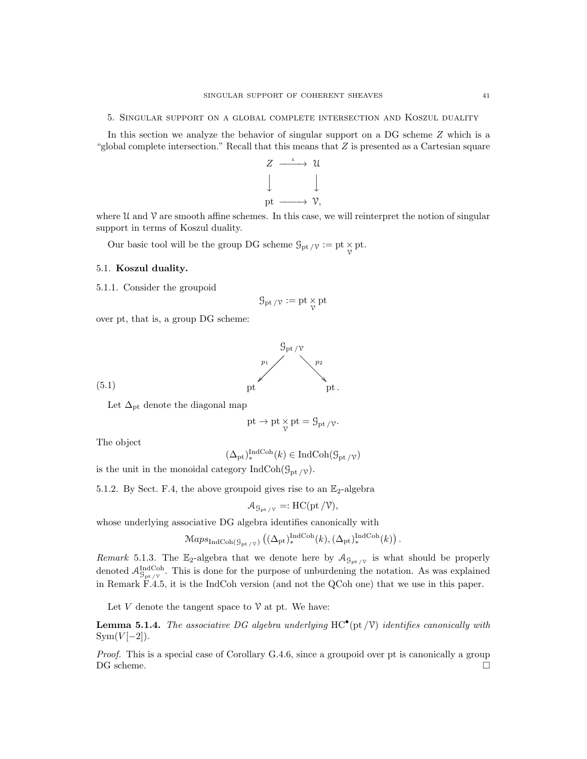5. Singular support on a global complete intersection and Koszul duality

In this section we analyze the behavior of singular support on a DG scheme Z which is a "global complete intersection." Recall that this means that  $Z$  is presented as a Cartesian square



where  $\mathcal U$  and  $\mathcal V$  are smooth affine schemes. In this case, we will reinterpret the notion of singular support in terms of Koszul duality.

Our basic tool will be the group DG scheme  $\mathcal{G}_{\mathrm{pt}}/\mathcal{V} := \mathrm{pt} \times_{\mathcal{V}} \mathrm{pt}$ .

## 5.1. Koszul duality.

5.1.1. Consider the groupoid

$$
\mathcal{G}_{\mathrm{pt}\,/\mathcal{V}}:=\mathrm{pt}\mathop{\times}_\mathcal{V}\mathrm{pt}
$$

over pt, that is, a group DG scheme:



(5.1)

Let  $\Delta_{\text{pt}}$  denote the diagonal map

$$
\mathrm{pt} \to \mathrm{pt} \underset{\gamma}{\times} \mathrm{pt} = \mathcal{G}_{\mathrm{pt}} / \gamma.
$$

The object

$$
(\Delta_{\rm pt})_*^{\rm IndCoh}(k) \in \rm IndCoh(\mathcal{G}_{\rm pt/\mathcal{V}})
$$

is the unit in the monoidal category IndCoh( $\mathcal{G}_{\text{pt}}/\gamma$ ).

5.1.2. By Sect. F.4, the above groupoid gives rise to an  $\mathbb{E}_2$ -algebra

$$
\mathcal{A}_{\mathcal{G}_{\mathrm{pt}}/\mathcal{V}} =: \mathrm{HC}(\mathrm{pt}/\mathcal{V}),
$$

whose underlying associative DG algebra identifies canonically with

$$
\mathrm{Maps}_{\mathrm{IndCoh}(\mathcal{G}_{\mathrm{pt}/\mathcal{V}})}\left((\Delta_{\mathrm{pt}})_*^{\mathrm{IndCoh}}(k), (\Delta_{\mathrm{pt}})_*^{\mathrm{IndCoh}}(k)\right).
$$

Remark 5.1.3. The  $\mathbb{E}_2$ -algebra that we denote here by  $\mathcal{A}_{\mathcal{G}_{pt}/\gamma}$  is what should be properly denoted  $\mathcal{A}_{\mathcal{G}_{\text{pt}}/\mathcal{V}}^{\text{IndCoh}}$ . This is done for the purpose of unburdening the notation. As was explained in Remark F.4.5, it is the IndCoh version (and not the QCoh one) that we use in this paper.

Let V denote the tangent space to  $\mathcal V$  at pt. We have:

**Lemma 5.1.4.** The associative DG algebra underlying  $HC^{\bullet}$  (pt  $/V$ ) identifies canonically with  $Sym(V[-2])$ .

Proof. This is a special case of Corollary G.4.6, since a groupoid over pt is canonically a group DG scheme.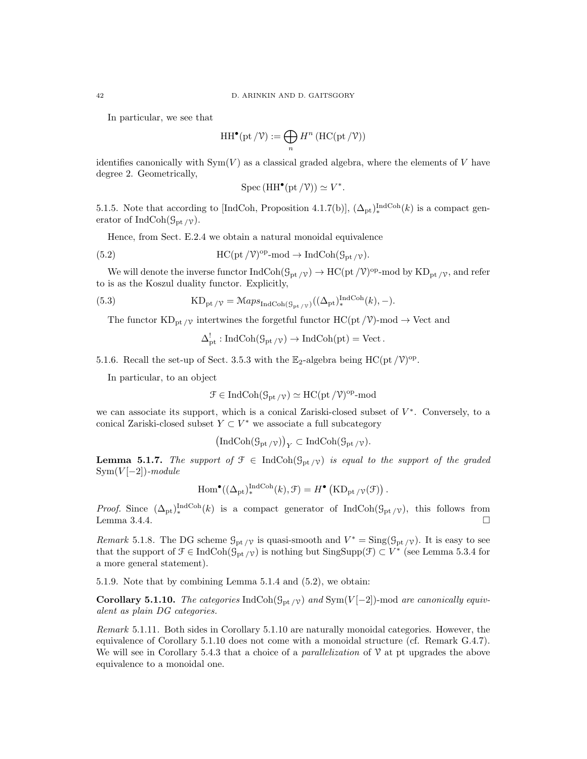In particular, we see that

$$
\operatorname{HH}^\bullet(\operatorname{pt}/\mathcal{V}) := \bigoplus_n H^n \left( \operatorname{HC}(\operatorname{pt}/\mathcal{V}) \right)
$$

identifies canonically with  $Sym(V)$  as a classical graded algebra, where the elements of V have degree 2. Geometrically,

$$
Spec (HH^{\bullet} (\text{pt } / \mathcal{V})) \simeq V^*.
$$

5.1.5. Note that according to [IndCoh, Proposition 4.1.7(b)],  $(\Delta_{pt})_*^{\text{IndCoh}}(k)$  is a compact generator of IndCoh( $\mathcal{G}_{\mathrm{pt}}/\mathcal{V}$ ).

Hence, from Sect. E.2.4 we obtain a natural monoidal equivalence

(5.2) 
$$
HC(pt/\mathcal{V})^{op}\text{-mod} \to IndCoh(\mathcal{G}_{pt/\mathcal{V}}).
$$

We will denote the inverse functor  $IndCoh(\mathcal{G}_{pt}/\nu) \to HC(pt/\mathcal{V})^{op}$ -mod by  $KD_{pt}/\nu$ , and refer to is as the Koszul duality functor. Explicitly,

(5.3) 
$$
KD_{pt/\gamma} = \mathcal{M}aps_{IndCoh(\mathcal{G}_{pt/\gamma})}((\Delta_{pt})_*^{IndCoh}(k), -).
$$

The functor  $KD_{pt}/\gamma$  intertwines the forgetful functor  $HC(pt/\gamma)$ -mod  $\rightarrow$  Vect and

$$
\Delta_{\rm pt}^! : \text{IndCoh}(\mathcal{G}_{\rm pt/\mathcal{V}}) \to \text{IndCoh}(\text{pt}) = \text{Vect}.
$$

5.1.6. Recall the set-up of Sect. 3.5.3 with the  $\mathbb{E}_2$ -algebra being HC(pt/ $V$ )<sup>op</sup>.

In particular, to an object

$$
\mathcal{F} \in \mathrm{IndCoh}(\mathcal{G}_{\mathrm{pt}}/\nu) \simeq \mathrm{HC}(\mathrm{pt}/\mathcal{V})^{\mathrm{op}}\text{-}\mathrm{mod}
$$

we can associate its support, which is a conical Zariski-closed subset of  $V^*$ . Conversely, to a conical Zariski-closed subset  $Y \subset V^*$  we associate a full subcategory

$$
(\mathrm{IndCoh}(\mathcal{G}_{\mathrm{pt}/\mathcal{V}}))_Y \subset \mathrm{IndCoh}(\mathcal{G}_{\mathrm{pt}/\mathcal{V}}).
$$

**Lemma 5.1.7.** The support of  $\mathcal{F} \in \text{IndCoh}(\mathcal{G}_{\text{pt}}/\mathcal{V})$  is equal to the support of the graded  $Sym(V[-2])$ -module

$$
\operatorname{Hom}^{\bullet}((\Delta_{\mathrm{pt}})^{\operatorname{IndCoh}}_{*}(k), \mathfrak{F}) = H^{\bullet}\left(\operatorname{KD}_{\mathrm{pt}/\mathcal{V}}(\mathfrak{F})\right).
$$

*Proof.* Since  $(\Delta_{pt})_*^{\text{IndCoh}}(k)$  is a compact generator of  $\text{IndCoh}(\mathcal{G}_{pt}/\nu)$ , this follows from Lemma 3.4.4. $\Box$ 

Remark 5.1.8. The DG scheme  $\mathcal{G}_{pt}/\nu$  is quasi-smooth and  $V^* = Sing(\mathcal{G}_{pt}/\nu)$ . It is easy to see that the support of  $\mathcal{F} \in \text{IndCoh}(\mathcal{G}_{pt}/v)$  is nothing but  $\text{SingSupp}(\mathcal{F}) \subset V^*$  (see Lemma 5.3.4 for a more general statement).

5.1.9. Note that by combining Lemma 5.1.4 and (5.2), we obtain:

Corollary 5.1.10. The categories IndCoh( $\mathcal{G}_{pt}$  /v) and Sym(V[-2])-mod are canonically equivalent as plain DG categories.

Remark 5.1.11. Both sides in Corollary 5.1.10 are naturally monoidal categories. However, the equivalence of Corollary 5.1.10 does not come with a monoidal structure (cf. Remark G.4.7). We will see in Corollary 5.4.3 that a choice of a *parallelization* of  $\mathcal V$  at pt upgrades the above equivalence to a monoidal one.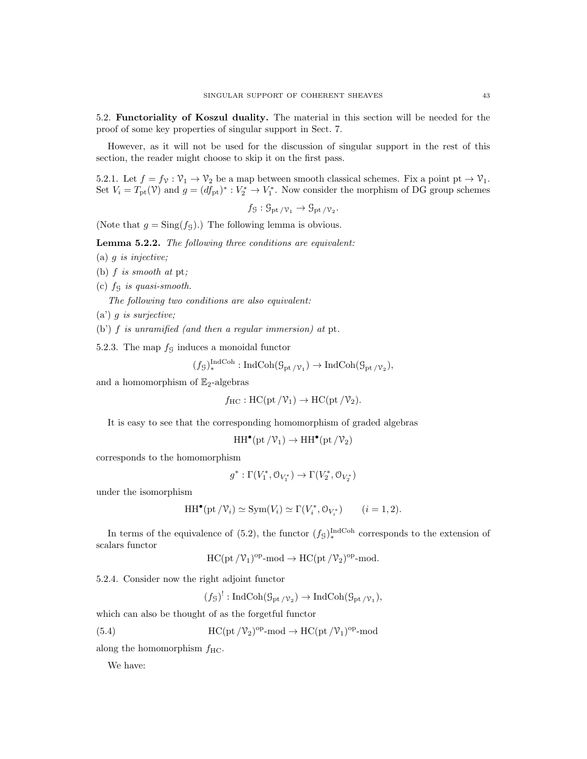5.2. Functoriality of Koszul duality. The material in this section will be needed for the proof of some key properties of singular support in Sect. 7.

However, as it will not be used for the discussion of singular support in the rest of this section, the reader might choose to skip it on the first pass.

5.2.1. Let  $f = f_v : \mathcal{V}_1 \to \mathcal{V}_2$  be a map between smooth classical schemes. Fix a point pt  $\to \mathcal{V}_1$ . Set  $V_i = T_{\text{pt}}(\mathcal{V})$  and  $g = (df_{\text{pt}})^* : V_2^* \to V_1^*$ . Now consider the morphism of DG group schemes

 $f_{\mathcal{G}}: \mathcal{G}_{\mathrm{pt}/\mathcal{V}_1} \to \mathcal{G}_{\mathrm{pt}/\mathcal{V}_2}.$ 

(Note that  $g = Sing(f<sub>G</sub>)$ .) The following lemma is obvious.

Lemma 5.2.2. The following three conditions are equivalent:

(a)  $q$  is injective;

(b)  $f$  is smooth at pt;

(c)  $f<sub>G</sub>$  is quasi-smooth.

The following two conditions are also equivalent:

 $(a') g$  is surjective;

(b') f is unramified (and then a regular immersion) at pt.

5.2.3. The map  $f<sub>G</sub>$  induces a monoidal functor

$$
(f_{\mathcal{G}})_{*}^{\text{IndCoh}} : \text{IndCoh}(\mathcal{G}_{\text{pt}}/v_{1}) \to \text{IndCoh}(\mathcal{G}_{\text{pt}}/v_{2}),
$$

and a homomorphism of  $\mathbb{E}_2$ -algebras

$$
f_{\text{HC}} : \text{HC}(\text{pt}/\mathcal{V}_1) \to \text{HC}(\text{pt}/\mathcal{V}_2).
$$

It is easy to see that the corresponding homomorphism of graded algebras

$$
\operatorname{HH}\nolimits^\bullet(\operatorname{pt}\nolimits/\mathcal{V}_1)\to \operatorname{HH}\nolimits^\bullet(\operatorname{pt}\nolimits/\mathcal{V}_2)
$$

corresponds to the homomorphism

$$
g^*:\Gamma(V_1^*,\mathcal{O}_{V_1^*})\rightarrow \Gamma(V_2^*,\mathcal{O}_{V_2^*})
$$

under the isomorphism

$$
\operatorname{HH}^{\bullet}(\operatorname{pt}/\mathcal{V}_i) \simeq \operatorname{Sym}(V_i) \simeq \Gamma(V_i^*, \mathcal{O}_{V_i^*}) \qquad (i = 1, 2).
$$

In terms of the equivalence of (5.2), the functor  $(f<sub>g</sub>)_*^{\text{IndCoh}}$  corresponds to the extension of scalars functor

$$
HC(pt\,/\mathcal V_1)^{op}\text{-}\mathrm{mod} \to HC(pt\,/\mathcal V_2)^{op}\text{-}\mathrm{mod}.
$$

5.2.4. Consider now the right adjoint functor

 $(f_{\mathcal{G}})^!: \text{IndCoh}(\mathcal{G}_{\text{pt}}/v_2) \to \text{IndCoh}(\mathcal{G}_{\text{pt}}/v_1),$ 

which can also be thought of as the forgetful functor

(5.4) 
$$
HC(pt / \mathcal{V}_2)^{op} \text{-mod} \to HC(pt / \mathcal{V}_1)^{op} \text{-mod}
$$

along the homomorphism  $f_{\text{HC}}$ .

We have: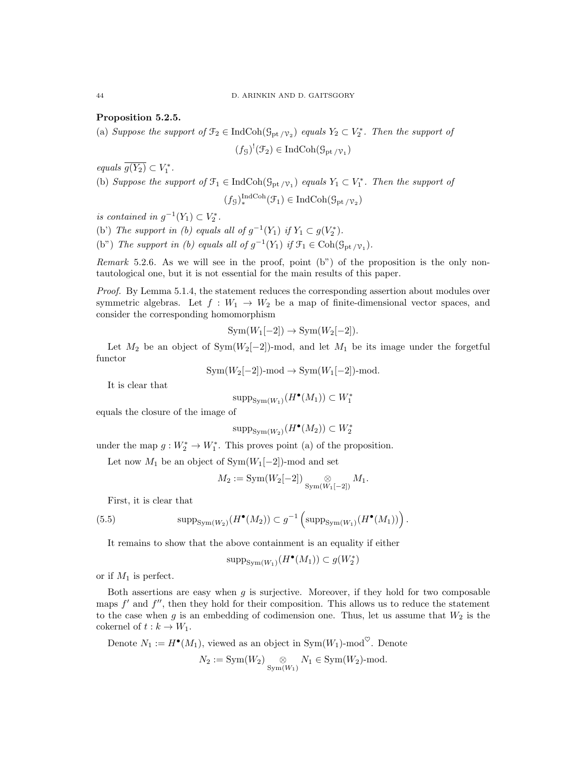## Proposition 5.2.5.

(a) Suppose the support of  $\mathcal{F}_2 \in \text{IndCoh}(\mathcal{G}_{pt} \setminus \mathcal{V}_2)$  equals  $Y_2 \subset V_2^*$ . Then the support of

$$
(f_{\mathcal{G}})^!(\mathcal{F}_2) \in \mathrm{IndCoh}(\mathcal{G}_{\mathrm{pt}}/\mathcal{V}_1)
$$

equals  $\overline{g(Y_2)} \subset V_1^*$ .

(b) Suppose the support of  $\mathcal{F}_1 \in \text{IndCoh}(\mathcal{G}_{pt} | \mathcal{V}_1)$  equals  $Y_1 \subset V_1^*$ . Then the support of

$$
(f_{\mathcal{G}})^{\text{IndCoh}}_{*}(\mathcal{F}_{1}) \in \text{IndCoh}(\mathcal{G}_{\text{pt}}/ \mathcal{V}_{2})
$$

is contained in  $g^{-1}(Y_1) \subset V_2^*$ .

(b') The support in (b) equals all of  $g^{-1}(Y_1)$  if  $Y_1 \subset g(V_2^*).$ (b") The support in (b) equals all of  $g^{-1}(Y_1)$  if  $\mathcal{F}_1 \in \text{Coh}(\mathcal{G}_{\text{pt}}/\mathcal{V}_1)$ .

Remark 5.2.6. As we will see in the proof, point (b") of the proposition is the only nontautological one, but it is not essential for the main results of this paper.

Proof. By Lemma 5.1.4, the statement reduces the corresponding assertion about modules over symmetric algebras. Let  $f : W_1 \to W_2$  be a map of finite-dimensional vector spaces, and consider the corresponding homomorphism

$$
Sym(W_1[-2]) \to Sym(W_2[-2]).
$$

Let  $M_2$  be an object of Sym( $W_2[-2]$ )-mod, and let  $M_1$  be its image under the forgetful functor

 $Sym(W_2[-2])$ -mod  $\rightarrow Sym(W_1[-2])$ -mod.

It is clear that

$$
\mathrm{supp}_{\mathrm{Sym}(W_1)}(H^\bullet(M_1)) \subset W_1^*
$$

equals the closure of the image of

$$
\mathrm{supp}_{\mathrm{Sym}(W_2)}(H^\bullet(M_2))\subset W_2^*
$$

under the map  $g: W_2^* \to W_1^*$ . This proves point (a) of the proposition.

Let now  $M_1$  be an object of Sym $(W_1[-2])$ -mod and set

$$
M_2 := \text{Sym}(W_2[-2]) \underset{\text{Sym}(W_1[-2])}{\otimes} M_1.
$$

First, it is clear that

(5.5) 
$$
\text{supp}_{\text{Sym}(W_2)}(H^{\bullet}(M_2)) \subset g^{-1}\left(\text{supp}_{\text{Sym}(W_1)}(H^{\bullet}(M_1))\right).
$$

It remains to show that the above containment is an equality if either

$$
\textup{supp}_{\textup{Sym}(W_1)}(H^\bullet(M_1))\subset g(W_2^*)
$$

or if  $M_1$  is perfect.

Both assertions are easy when  $q$  is surjective. Moreover, if they hold for two composable maps  $f'$  and  $f''$ , then they hold for their composition. This allows us to reduce the statement to the case when g is an embedding of codimension one. Thus, let us assume that  $W_2$  is the cokernel of  $t : k \to W_1$ .

Denote 
$$
N_1 := H^{\bullet}(M_1)
$$
, viewed as an object in  $\text{Sym}(W_1)$ -mod<sup>°</sup>. Denote  

$$
N_2 := \text{Sym}(W_2) \underset{\text{Sym}(W_1)}{\otimes} N_1 \in \text{Sym}(W_2)
$$
-mod.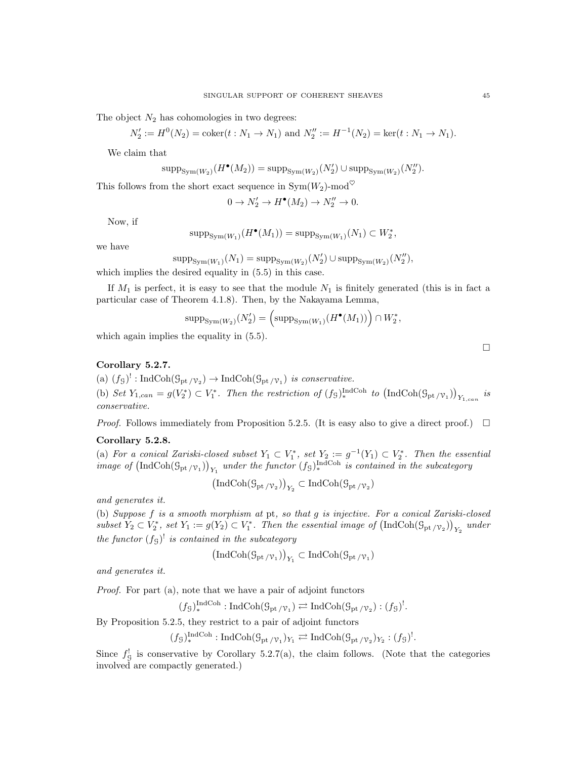The object  $N_2$  has cohomologies in two degrees:

$$
N'_2 := H^0(N_2) = \text{coker}(t : N_1 \to N_1) \text{ and } N''_2 := H^{-1}(N_2) = \text{ker}(t : N_1 \to N_1).
$$

We claim that

$$
\mathrm{supp}_{\mathrm{Sym}(W_2)}(H^{\bullet}(M_2)) = \mathrm{supp}_{\mathrm{Sym}(W_2)}(N'_2) \cup \mathrm{supp}_{\mathrm{Sym}(W_2)}(N''_2).
$$

This follows from the short exact sequence in  $Sym(W_2)$ -mod<sup> $\heartsuit$ </sup>

$$
0 \to N_2' \to H^{\bullet}(M_2) \to N_2'' \to 0.
$$

Now, if

$$
\operatorname{supp}_{\operatorname{Sym}(W_1)}(H^{\bullet}(M_1)) = \operatorname{supp}_{\operatorname{Sym}(W_1)}(N_1) \subset W_2^*,
$$

we have

$$
\text{supp}_{\text{Sym}(W_1)}(N_1) = \text{supp}_{\text{Sym}(W_2)}(N_2') \cup \text{supp}_{\text{Sym}(W_2)}(N_2''),
$$

which implies the desired equality in  $(5.5)$  in this case.

If  $M_1$  is perfect, it is easy to see that the module  $N_1$  is finitely generated (this is in fact a particular case of Theorem 4.1.8). Then, by the Nakayama Lemma,

$$
\operatorname{supp}_{\operatorname{Sym}(W_2)}(N'_2) = \left(\operatorname{supp}_{\operatorname{Sym}(W_1)}(H^{\bullet}(M_1))\right) \cap W_2^*,
$$

which again implies the equality in  $(5.5)$ .

# Corollary 5.2.7.

(a)  $(f_g)'$ : IndCoh( $\mathcal{G}_{pt}/\mathcal{V}_2$ )  $\rightarrow$  IndCoh( $\mathcal{G}_{pt}/\mathcal{V}_1$ ) is conservative. (b) Set  $Y_{1,can} = g(V_2^*) \subset V_1^*$ . Then the restriction of  $(f_3)_*^{\text{IndCoh}}$  to  $(\text{IndCoh}(\mathcal{G}_{pt}/\mathcal{V}_1))_{Y_{1,can}}$  is conservative.

*Proof.* Follows immediately from Proposition 5.2.5. (It is easy also to give a direct proof.)  $\Box$ 

## Corollary 5.2.8.

(a) For a conical Zariski-closed subset  $Y_1 \subset V_1^*$ , set  $Y_2 := g^{-1}(Y_1) \subset V_2^*$ . Then the essential image of  $(\text{IndCoh}(\mathcal{G}_{pt/\mathcal{V}_1}))_{Y_1}$  under the functor  $(f_S)_{*}^{\text{IndCoh}}$  is contained in the subcategory

$$
\left(\operatorname{IndCoh}(\mathcal{G}_{\mathrm{pt}}/\nu_2)\right)_{Y_2}\subset\operatorname{IndCoh}(\mathcal{G}_{\mathrm{pt}}/\nu_2)
$$

and generates it.

(b) Suppose f is a smooth morphism at pt, so that g is injective. For a conical Zariski-closed subset  $Y_2 \subset V_2^*$ , set  $Y_1 := g(Y_2) \subset V_1^*$ . Then the essential image of  $(\text{IndCoh}(\mathcal{G}_{pt}/\mathcal{V}_2))_{Y_2}$  under the functor  $(fg)^{!}$  is contained in the subcategory

$$
\left(\operatorname{IndCoh}(\mathcal{G}_{\mathrm{pt}}/ \nu_1)\right)_{Y_1} \subset \operatorname{IndCoh}(\mathcal{G}_{\mathrm{pt}}/ \nu_1)
$$

and generates it.

Proof. For part (a), note that we have a pair of adjoint functors

$$
(f_{\mathcal{G}})^{\text{IndCoh}}_{*}: \text{IndCoh}(\mathcal{G}_{\text{pt}/\mathcal{V}_{1}}) \rightleftarrows \text{IndCoh}(\mathcal{G}_{\text{pt}/\mathcal{V}_{2}}):(f_{\mathcal{G}})^{!}.
$$

By Proposition 5.2.5, they restrict to a pair of adjoint functors

$$
(f_{\mathcal{G}})^{\text{IndCoh}}_{*}: \text{IndCoh}(\mathcal{G}_{\text{pt}}/v_{1})_{Y_{1}} \rightleftarrows \text{IndCoh}(\mathcal{G}_{\text{pt}}/v_{2})_{Y_{2}}:(f_{\mathcal{G}})^{!}.
$$

Since  $f_{\mathcal{G}}^!$  is conservative by Corollary 5.2.7(a), the claim follows. (Note that the categories involved are compactly generated.)

 $\Box$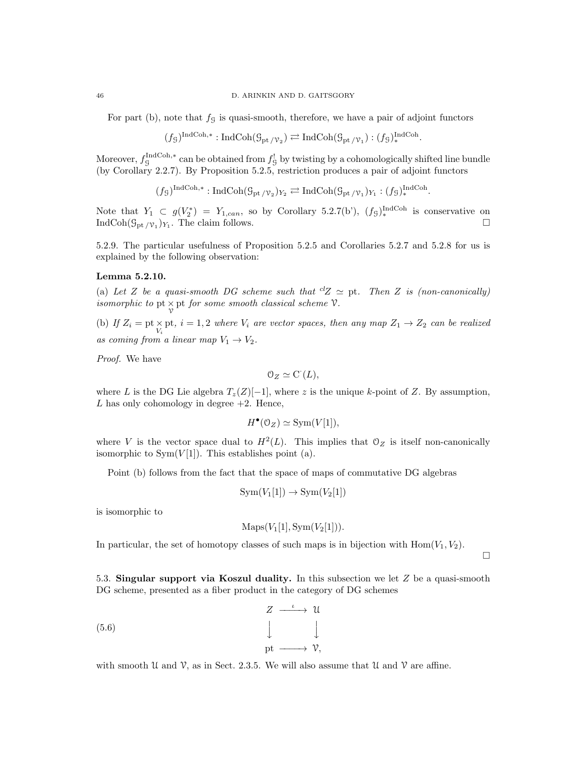For part (b), note that  $f<sub>G</sub>$  is quasi-smooth, therefore, we have a pair of adjoint functors

$$
(f_{\mathcal{G}})^{\text{IndCoh},*}: \text{IndCoh}(\mathcal{G}_{\text{pt}}/v_2) \rightleftarrows \text{IndCoh}(\mathcal{G}_{\text{pt}}/v_1) : (f_{\mathcal{G}})^{\text{IndCoh}}_*
$$

.

.

 $\Box$ 

Moreover,  $f_{\mathcal{G}}^{\text{IndCoh},*}$  can be obtained from  $f_{\mathcal{G}}^!$  by twisting by a cohomologically shifted line bundle (by Corollary 2.2.7). By Proposition 5.2.5, restriction produces a pair of adjoint functors

$$
(f_{\mathcal{G}})^{\text{IndCoh},*}: \text{IndCoh}(\mathcal{G}_{\text{pt}}/v_2)_{Y_2} \rightleftarrows \text{IndCoh}(\mathcal{G}_{\text{pt}}/v_1)_{Y_1} : (f_{\mathcal{G}})^{\text{IndCoh}}_*
$$

Note that  $Y_1 \subset g(V_2^*) = Y_{1,can}$ , so by Corollary 5.2.7(b'),  $(f_3)_*^{\text{IndCoh}}$  is conservative on IndCoh $(\mathcal{G}_{pt}/\mathcal{V}_1)_{Y_1}$ . The claim follows.

5.2.9. The particular usefulness of Proposition 5.2.5 and Corollaries 5.2.7 and 5.2.8 for us is explained by the following observation:

## Lemma 5.2.10.

(a) Let Z be a quasi-smooth DG scheme such that  ${}^{cl}Z \simeq$  pt. Then Z is (non-canonically) isomorphic to pt  $\times$  pt for some smooth classical scheme  $\mathcal V$ .

(b) If  $Z_i = \text{pt} \times \text{pt}$ ,  $i = 1, 2$  where  $V_i$  are vector spaces, then any map  $Z_1 \rightarrow Z_2$  can be realized as coming from a linear map  $V_1 \rightarrow V_2$ .

Proof. We have

$$
O_Z \simeq C(L),
$$

where L is the DG Lie algebra  $T_z(Z)[-1]$ , where z is the unique k-point of Z. By assumption,  $L$  has only cohomology in degree  $+2$ . Hence,

$$
H^{\bullet}(\mathcal{O}_Z) \simeq \text{Sym}(V[1]),
$$

where V is the vector space dual to  $H^2(L)$ . This implies that  $\mathcal{O}_Z$  is itself non-canonically isomorphic to  $Sym(V[1])$ . This establishes point (a).

Point (b) follows from the fact that the space of maps of commutative DG algebras

$$
Sym(V_1[1]) \to Sym(V_2[1])
$$

is isomorphic to

$$
Maps(V_1[1], Sym(V_2[1])).
$$

In particular, the set of homotopy classes of such maps is in bijection with  $Hom(V_1, V_2)$ .

5.3. Singular support via Koszul duality. In this subsection we let  $Z$  be a quasi-smooth DG scheme, presented as a fiber product in the category of DG schemes

$$
\begin{array}{ccc}\nZ & \xrightarrow{\iota} & \mathcal{U} \\
\downarrow & & \downarrow \\
\text{pt} & \xrightarrow{\mathcal{V}},\n\end{array}
$$
\n(5.6)

with smooth U and V, as in Sect. 2.3.5. We will also assume that U and V are affine.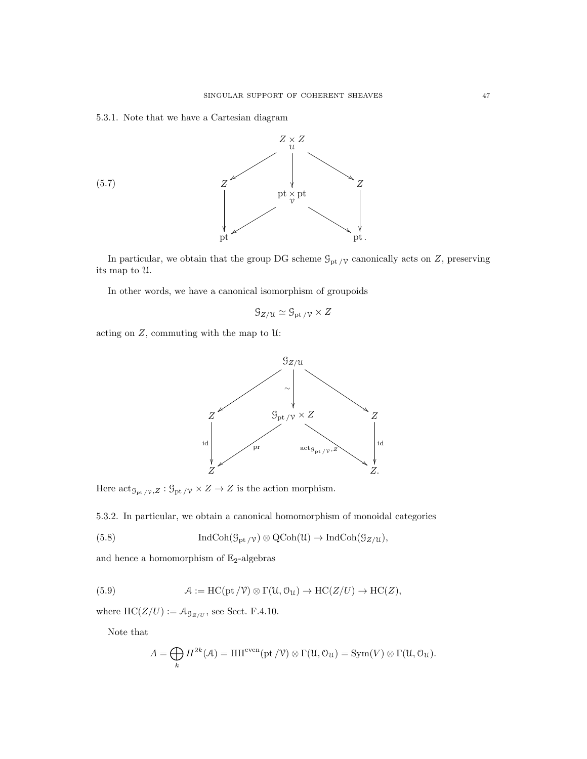## 5.3.1. Note that we have a Cartesian diagram



In particular, we obtain that the group DG scheme  $\mathcal{G}_{\mathrm{pt}\,/\mathcal{V}}$  canonically acts on  $Z,$  preserving its map to U.

In other words, we have a canonical isomorphism of groupoids

$$
\mathcal{G}_{Z/\mathfrak{U}} \simeq \mathcal{G}_{\mathrm{pt}/\mathfrak{V}} \times Z
$$

acting on  $Z$ , commuting with the map to  $\mathfrak U$ :



Here  $\mathrm{act}_{\mathcal{G}_{\mathrm{pt}}/\mathcal{V},Z}: \mathcal{G}_{\mathrm{pt}}/\mathcal{V} \times Z \to Z$  is the action morphism.

5.3.2. In particular, we obtain a canonical homomorphism of monoidal categories

(5.8) 
$$
\operatorname{IndCoh}(\mathcal{G}_{\mathrm{pt}/\mathcal{V}}) \otimes \operatorname{QCoh}(\mathcal{U}) \to \operatorname{IndCoh}(\mathcal{G}_{Z/\mathcal{U}}),
$$

and hence a homomorphism of  $\mathbb{E}_2\text{-algebras}$ 

(5.9) 
$$
\mathcal{A} := \mathrm{HC}(\mathrm{pt}/\mathcal{V}) \otimes \Gamma(\mathcal{U}, \mathcal{O}_{\mathcal{U}}) \to \mathrm{HC}(Z/U) \to \mathrm{HC}(Z),
$$

where  $HC(Z/U) := \mathcal{A}_{\mathcal{G}_{Z/U}}$ , see Sect. F.4.10.

Note that

$$
A = \bigoplus_{k} H^{2k}(\mathcal{A}) = HH^{even}(\mathrm{pt}/\mathcal{V}) \otimes \Gamma(\mathcal{U}, \mathcal{O}_{\mathcal{U}}) = \mathrm{Sym}(V) \otimes \Gamma(\mathcal{U}, \mathcal{O}_{\mathcal{U}}).
$$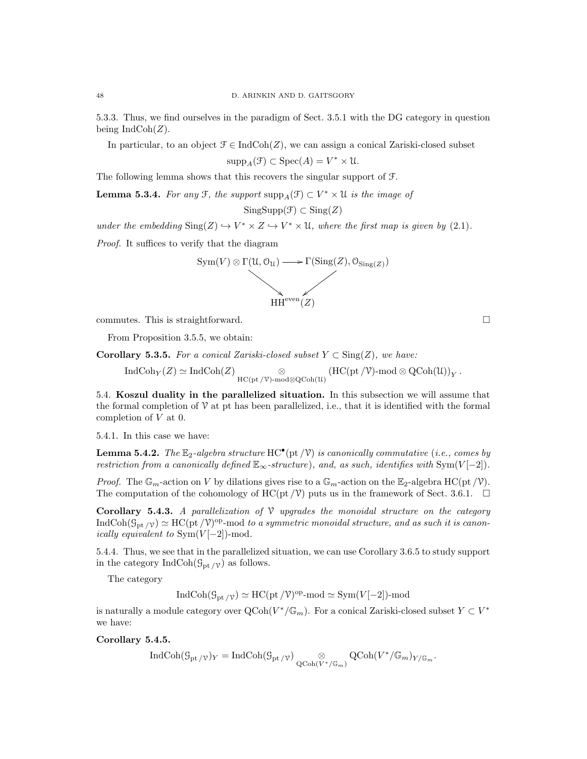5.3.3. Thus, we find ourselves in the paradigm of Sect. 3.5.1 with the DG category in question being  $\text{IndCoh}(Z)$ .

In particular, to an object  $\mathcal{F} \in \text{IndCoh}(Z)$ , we can assign a conical Zariski-closed subset

$$
\text{supp}_A(\mathcal{F}) \subset \text{Spec}(A) = V^* \times \mathcal{U}.
$$

The following lemma shows that this recovers the singular support of F.

**Lemma 5.3.4.** For any  $\mathcal{F}$ , the support  $\text{supp}_A(\mathcal{F}) \subset V^* \times \mathcal{U}$  is the image of

$$
SingSupp(\mathcal{F}) \subset Sing(Z)
$$

under the embedding  $\text{Sing}(Z) \hookrightarrow V^* \times Z \hookrightarrow V^* \times \mathfrak{U}$ , where the first map is given by (2.1).

Proof. It suffices to verify that the diagram



commutes. This is straightforward.  $\square$ 

From Proposition 3.5.5, we obtain:

Corollary 5.3.5. For a conical Zariski-closed subset  $Y \subset Sing(Z)$ , we have:

$$
\operatorname{IndCoh}_Y(Z) \simeq \operatorname{IndCoh}(Z) \underset{\operatorname{HC}(\operatorname{pt}/V)\operatorname{-mod} \otimes \operatorname{QCoh}(\mathfrak{U})}{\otimes} (\operatorname{HC}(\operatorname{pt}/V)\operatorname{-mod} \otimes \operatorname{QCoh}(\mathfrak{U}))_Y\,.
$$

5.4. Koszul duality in the parallelized situation. In this subsection we will assume that the formal completion of  $\mathcal V$  at pt has been parallelized, i.e., that it is identified with the formal completion of V at 0.

5.4.1. In this case we have:

**Lemma 5.4.2.** The  $\mathbb{E}_2$ -algebra structure HC<sup>•</sup>(pt  $/\mathcal{V}$ ) is canonically commutative (i.e., comes by restriction from a canonically defined  $\mathbb{E}_{\infty}$ -structure), and, as such, identifies with Sym $(V[-2])$ .

*Proof.* The  $\mathbb{G}_m$ -action on V by dilations gives rise to a  $\mathbb{G}_m$ -action on the  $\mathbb{E}_2$ -algebra HC(pt /V). The computation of the cohomology of HC(pt  $/\mathcal{V}$ ) puts us in the framework of Sect. 3.6.1.  $\Box$ 

Corollary 5.4.3. A parallelization of  $\mathcal V$  upgrades the monoidal structure on the category  $\text{IndCoh}(\mathcal{G}_{pt}/v) \simeq \text{HC}(pt/\mathcal{V})^{\text{op}}$ -mod to a symmetric monoidal structure, and as such it is canonically equivalent to  $Sym(V[-2])$ -mod.

5.4.4. Thus, we see that in the parallelized situation, we can use Corollary 3.6.5 to study support in the category IndCoh( $\mathcal{G}_{\text{pt}}/\gamma$ ) as follows.

The category

 $\text{IndCoh}(\mathcal{G}_{\text{pt}}/v) \simeq \text{HC}(\text{pt}/\mathcal{V})^{\text{op}}$ -mod  $\simeq \text{Sym}(V[-2])$ -mod

is naturally a module category over  $Q\text{Coh}(V^*/\mathbb{G}_m)$ . For a conical Zariski-closed subset  $Y \subset V^*$ we have:

Corollary 5.4.5.

$$
\operatorname{IndCoh}(\mathcal{G}_{\mathrm{pt}}_{/\mathbb{V}})_Y=\operatorname{IndCoh}(\mathcal{G}_{\mathrm{pt}}_{/\mathbb{V}}) \underset{\operatorname{QCoh}(V^*/\mathbb{G}_m)}{\otimes} \operatorname{QCoh}(V^*/\mathbb{G}_m)_{Y/\mathbb{G}_m}.
$$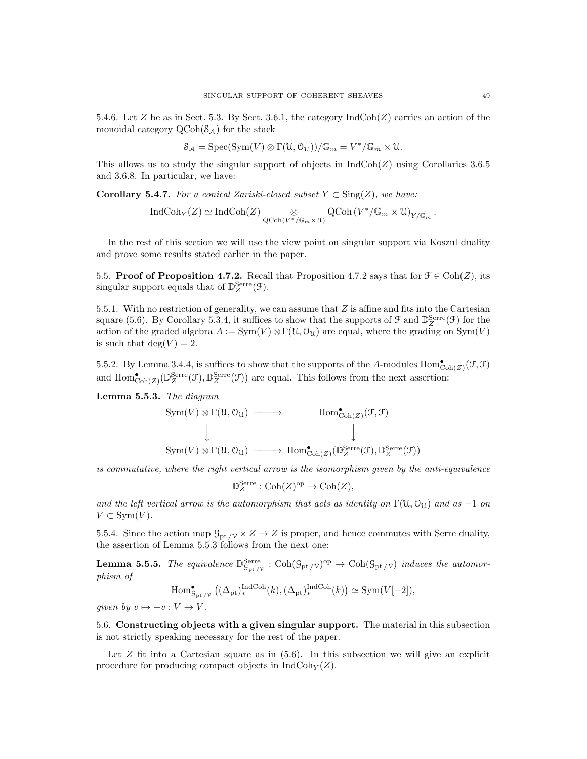5.4.6. Let Z be as in Sect. 5.3. By Sect. 3.6.1, the category  $\text{IndCoh}(Z)$  carries an action of the monoidal category  $\text{QCoh}(\mathcal{S}_A)$  for the stack

$$
\mathcal{S}_{\mathcal{A}} = \mathrm{Spec}(\mathrm{Sym}(V) \otimes \Gamma(\mathcal{U}, \mathcal{O}_{\mathcal{U}})) / \mathbb{G}_m = V^* / \mathbb{G}_m \times \mathcal{U}.
$$

This allows us to study the singular support of objects in  $IndCoh(Z)$  using Corollaries 3.6.5 and 3.6.8. In particular, we have:

**Corollary 5.4.7.** For a conical Zariski-closed subset  $Y \subset Sing(Z)$ , we have:

$$
\operatorname{IndCoh}_Y(Z) \simeq \operatorname{IndCoh}(Z) \underset{\operatorname{QCoh}(V^*/\mathbb{G}_m \times \mathfrak{U})}{\otimes} \operatorname{QCoh}(V^*/\mathbb{G}_m \times \mathfrak{U})_{Y/\mathbb{G}_m}\,.
$$

In the rest of this section we will use the view point on singular support via Koszul duality and prove some results stated earlier in the paper.

5.5. Proof of Proposition 4.7.2. Recall that Proposition 4.7.2 says that for  $\mathcal{F} \in \text{Coh}(Z)$ , its singular support equals that of  $\mathbb{D}_{Z}^{\text{Serre}}(\mathcal{F})$ .

5.5.1. With no restriction of generality, we can assume that  $Z$  is affine and fits into the Cartesian square (5.6). By Corollary 5.3.4, it suffices to show that the supports of  $\mathcal{F}$  and  $\mathbb{D}_{Z}^{\text{Serre}}(\mathcal{F})$  for the action of the graded algebra  $A := \text{Sym}(V) \otimes \Gamma(\mathfrak{U}, \mathfrak{O}_{\mathfrak{U}})$  are equal, where the grading on  $\text{Sym}(V)$ is such that  $deg(V) = 2$ .

5.5.2. By Lemma 3.4.4, is suffices to show that the supports of the A-modules  $Hom_{\text{Coh}(Z)}^{\bullet}(\mathcal{F},\mathcal{F})$ and  $\text{Hom}^{\bullet}_{\text{Coh}(Z)}(\mathbb{D}_{Z}^{\text{Serre}}(\mathcal{F}), \mathbb{D}_{Z}^{\text{Serre}}(\mathcal{F}))$  are equal. This follows from the next assertion:

Lemma 5.5.3. The diagram

$$
Sym(V) \otimes \Gamma(\mathcal{U}, \mathcal{O}_{\mathcal{U}}) \longrightarrow \text{Hom}^{\bullet}_{\text{Coh}(Z)}(\mathcal{F}, \mathcal{F})
$$
  

$$
\downarrow \qquad \qquad \downarrow
$$
  

$$
Sym(V) \otimes \Gamma(\mathcal{U}, \mathcal{O}_{\mathcal{U}}) \longrightarrow \text{Hom}^{\bullet}_{\text{Coh}(Z)}(\mathbb{D}_{Z}^{\text{Serre}}(\mathcal{F}), \mathbb{D}_{Z}^{\text{Serre}}(\mathcal{F}))
$$

is commutative, where the right vertical arrow is the isomorphism given by the anti-equivalence

$$
\mathbb{D}_{Z}^{\text{Serre}}: \text{Coh}(Z)^{\text{op}} \to \text{Coh}(Z),
$$

and the left vertical arrow is the automorphism that acts as identity on  $\Gamma(\mathfrak{U}, \mathfrak{O}_U)$  and as  $-1$  on  $V \subset Sym(V)$ .

5.5.4. Since the action map  $\mathcal{G}_{\text{pt}}/\mathcal{V} \times Z \to Z$  is proper, and hence commutes with Serre duality, the assertion of Lemma 5.5.3 follows from the next one:

**Lemma 5.5.5.** The equivalence  $\mathbb{D}_{\mathcal{S}_{\text{pt}}/\mathcal{V}}^{\text{Serre}}$  :  $\text{Coh}(\mathcal{G}_{\text{pt}}/\mathcal{V})^{\text{op}} \to \text{Coh}(\mathcal{G}_{\text{pt}}/\mathcal{V})$  induces the automorphism of

$$
\mathrm{Hom}^{\bullet}_{\mathcal{G}_{\mathrm{pt}/\mathbb{V}}} \left( (\Delta_{\mathrm{pt}})_{*}^{\mathrm{IndCoh}}(k), (\Delta_{\mathrm{pt}})_{*}^{\mathrm{IndCoh}}(k) \right) \simeq \mathrm{Sym}(V[-2]),
$$

given by  $v \mapsto -v : V \to V$ .

5.6. Constructing objects with a given singular support. The material in this subsection is not strictly speaking necessary for the rest of the paper.

Let  $Z$  fit into a Cartesian square as in  $(5.6)$ . In this subsection we will give an explicit procedure for producing compact objects in  $IndCoh<sub>Y</sub>(Z)$ .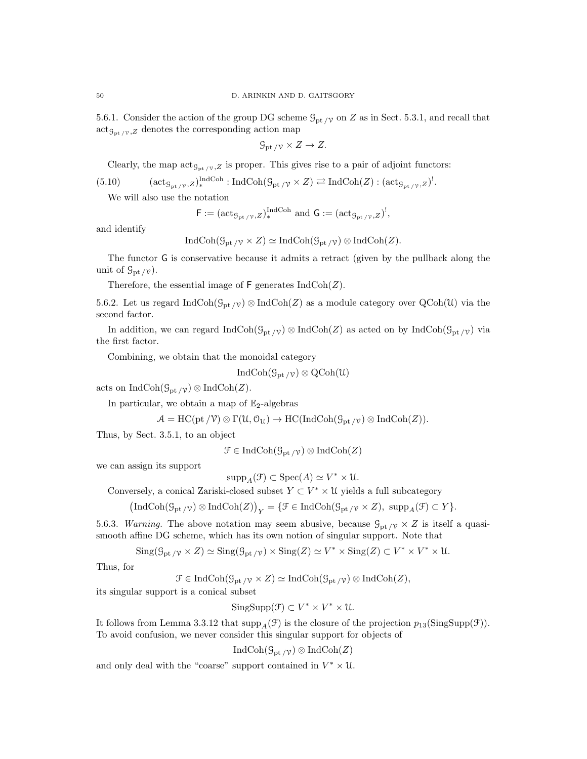5.6.1. Consider the action of the group DG scheme  $\mathcal{G}_{pt}$  on Z as in Sect. 5.3.1, and recall that  $\text{act}_{\mathcal{G}_{\text{pt}}/V,Z}$  denotes the corresponding action map

$$
\mathcal{G}_{\mathrm{pt}/\mathcal{V}} \times Z \to Z.
$$

Clearly, the map  $\operatorname{act}_{\mathcal{G}_{\text{pt}}/\gamma,Z}$  is proper. This gives rise to a pair of adjoint functors:

$$
(5.10) \qquad (\mathrm{act}_{\mathcal{G}_{\mathrm{pt}/\mathcal{V}},Z})_*^{\mathrm{IndCoh}} : \mathrm{IndCoh}(\mathcal{G}_{\mathrm{pt}/\mathcal{V}} \times Z) \rightleftarrows \mathrm{IndCoh}(Z) : (\mathrm{act}_{\mathcal{G}_{\mathrm{pt}/\mathcal{V}},Z})'.
$$

We will also use the notation

$$
\mathsf{F} := (\mathrm{act}_{\mathcal{G}_{\mathrm{pt}}/\mathcal{V},Z})_*^{\mathrm{IndCoh}} \text{ and } \mathsf{G} := (\mathrm{act}_{\mathcal{G}_{\mathrm{pt}}/\mathcal{V},Z})^!,
$$

and identify

$$
\operatorname{IndCoh}(\mathcal{G}_{\mathrm{pt}}/\mathcal{V} \times Z) \simeq \operatorname{IndCoh}(\mathcal{G}_{\mathrm{pt}}/\mathcal{V}) \otimes \operatorname{IndCoh}(Z).
$$

The functor G is conservative because it admits a retract (given by the pullback along the unit of  $\mathcal{G}_{\mathrm{pt}}/\gamma$ ).

Therefore, the essential image of  $\mathsf F$  generates  $\mathrm{IndCoh}(Z)$ .

5.6.2. Let us regard IndCoh( $\mathcal{G}_{\text{pt}}$  /v)  $\otimes \text{IndCoh}(Z)$  as a module category over  $\text{QCoh}(\mathcal{U})$  via the second factor.

In addition, we can regard  $IndCoh(\mathcal{G}_{pt} \gamma) \otimes IndCoh(Z)$  as acted on by  $IndCoh(\mathcal{G}_{pt} \gamma)$  via the first factor.

Combining, we obtain that the monoidal category

IndCoh $(\mathcal{G}_{\text{pt }/\mathcal{V}}) \otimes \text{QCoh}(\mathcal{U})$ 

acts on IndCoh( $\mathcal{G}_{\text{pt}}/\gamma$ ) ⊗ IndCoh(Z).

In particular, we obtain a map of  $\mathbb{E}_2$ -algebras

$$
\mathcal{A} = \text{HC}(\text{pt}/\mathcal{V}) \otimes \Gamma(\mathcal{U}, \mathcal{O}_{\mathcal{U}}) \to \text{HC}(\text{IndCoh}(\mathcal{G}_{\text{pt}}/\mathcal{V}) \otimes \text{IndCoh}(Z)).
$$

Thus, by Sect. 3.5.1, to an object

 $\mathcal{F} \in \text{IndCoh}(\mathcal{G}_{\text{pt }/\mathcal{V}}) \otimes \text{IndCoh}(Z)$ 

we can assign its support

$$
\mathrm{supp}_A(\mathcal{F}) \subset \mathrm{Spec}(A) \simeq V^* \times \mathcal{U}.
$$

Conversely, a conical Zariski-closed subset  $Y \subset V^* \times \mathfrak{U}$  yields a full subcategory

 $\left(\text{IndCoh}(\mathcal{G}_{pt}/\nu) \otimes \text{IndCoh}(Z)\right)_Y = \{ \mathcal{F} \in \text{IndCoh}(\mathcal{G}_{pt}/\nu \times Z), \text{ supp}_A(\mathcal{F}) \subset Y \}.$ 

5.6.3. Warning. The above notation may seem abusive, because  $\mathcal{G}_{\text{pt}}/\gamma \times Z$  is itself a quasismooth affine DG scheme, which has its own notion of singular support. Note that

 $\text{Sing}(\mathcal{G}_{\text{pt}}/\mathcal{V} \times Z) \simeq \text{Sing}(\mathcal{G}_{\text{pt}}/\mathcal{V}) \times \text{Sing}(Z) \simeq V^* \times \text{Sing}(Z) \subset V^* \times V^* \times \mathcal{U}.$ 

Thus, for

 $\mathcal{F} \in \text{IndCoh}(\mathcal{G}_{\text{pt}}/\gamma \times Z) \simeq \text{IndCoh}(\mathcal{G}_{\text{pt}}/\gamma) \otimes \text{IndCoh}(Z),$ 

its singular support is a conical subset

 $SingSupp(\mathcal{F}) \subset V^* \times V^* \times \mathcal{U}.$ 

It follows from Lemma 3.3.12 that  $\text{supp}_A(\mathcal{F})$  is the closure of the projection  $p_{13}(\text{SingSupp}(\mathcal{F}))$ . To avoid confusion, we never consider this singular support for objects of

 $\text{IndCoh}(\mathcal{G}_{\text{pt}}/\gamma) \otimes \text{IndCoh}(Z)$ 

and only deal with the "coarse" support contained in  $V^* \times \mathcal{U}$ .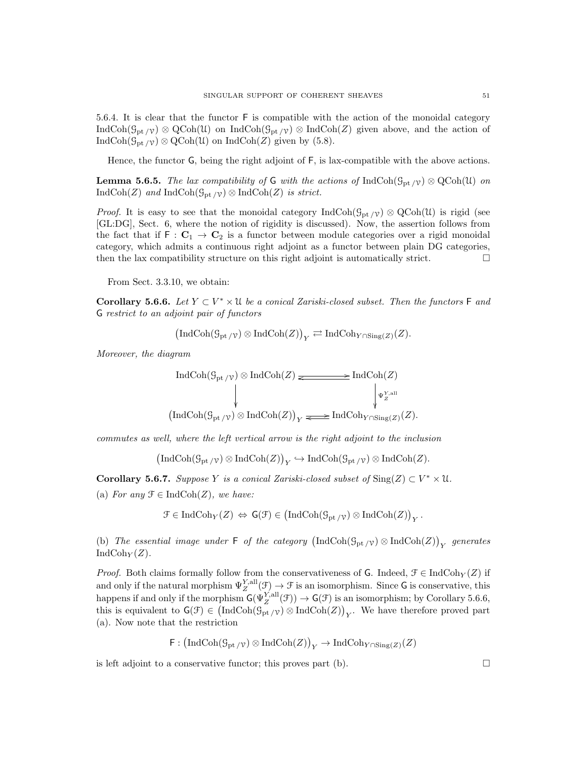5.6.4. It is clear that the functor F is compatible with the action of the monoidal category IndCoh( $\mathcal{G}_{\text{pt}}/\gamma$ ) ⊗ QCoh(U) on IndCoh( $\mathcal{G}_{\text{pt}}/\gamma$ ) ⊗ IndCoh(Z) given above, and the action of IndCoh( $\mathcal{G}_{\mathrm{pt}}/\mathcal{V}$ ) ⊗ QCoh(U) on IndCoh(Z) given by (5.8).

Hence, the functor G, being the right adjoint of F, is lax-compatible with the above actions.

**Lemma 5.6.5.** The lax compatibility of G with the actions of IndCoh( $\mathcal{G}_{pt}$  /v)  $\otimes$  QCoh(U) on IndCoh(Z) and IndCoh( $\mathcal{G}_{\mathrm{pt}}/\gamma$ ) ⊗ IndCoh(Z) is strict.

*Proof.* It is easy to see that the monoidal category  $IndCoh(\mathcal{G}_{pt}/\gamma) \otimes QCoh(\mathcal{U})$  is rigid (see [GL:DG], Sect. 6, where the notion of rigidity is discussed). Now, the assertion follows from the fact that if  $F: C_1 \to C_2$  is a functor between module categories over a rigid monoidal category, which admits a continuous right adjoint as a functor between plain DG categories, then the lax compatibility structure on this right adjoint is automatically strict.  $\Box$ 

From Sect. 3.3.10, we obtain:

Corollary 5.6.6. Let  $Y \subset V^* \times \mathfrak{U}$  be a conical Zariski-closed subset. Then the functors  $\mathsf F$  and G restrict to an adjoint pair of functors

$$
\left(\operatorname{IndCoh}(\mathcal{G}_{\mathrm{pt}}_{/\mathcal{V}}) \otimes \operatorname{IndCoh}(Z)\right)_Y \rightleftarrows \operatorname{IndCoh}_{Y \cap \operatorname{Sing}(Z)}(Z).
$$

Moreover, the diagram

$$
\text{IndCoh}(\mathcal{G}_{\text{pt}/\mathcal{V}}) \otimes \text{IndCoh}(Z) \xrightarrow{\qquad \qquad} \text{IndCoh}(Z)
$$
\n
$$
\downarrow^{\Psi_{Z}^{\text{Y,all}}}
$$
\n
$$
(\text{IndCoh}(\mathcal{G}_{\text{pt}/\mathcal{V}}) \otimes \text{IndCoh}(Z))_{Y} \xrightarrow{\qquad \qquad} \text{IndCoh}_{Y \cap \text{Sing}(Z)}(Z).
$$

commutes as well, where the left vertical arrow is the right adjoint to the inclusion

 $\left(\text{IndCoh}(\mathcal{G}_{\text{pt}}/v) \otimes \text{IndCoh}(Z)\right)_{Y} \hookrightarrow \text{IndCoh}(\mathcal{G}_{\text{pt}}/v) \otimes \text{IndCoh}(Z).$ 

Corollary 5.6.7. Suppose Y is a conical Zariski-closed subset of  $\text{Sing}(Z) \subset V^* \times \mathfrak{U}$ .

(a) For any  $\mathcal{F} \in \text{IndCoh}(Z)$ , we have:

$$
\mathcal{F}\in \operatorname{IndCoh}_Y(Z) \, \Leftrightarrow \, \mathsf{G}(\mathcal{F})\in \left(\operatorname{IndCoh}(\mathcal{G}_{\rm pt/\mathcal{V}})\otimes \operatorname{IndCoh}(Z)\right)_Y.
$$

(b) The essential image under  $\textsf{F}$  of the category  $\left(\text{IndCoh}(\mathcal{G}_{\text{pt}/\mathcal{V}}) \otimes \text{IndCoh}(Z)\right)_Y$  generates  $\text{IndCoh}_Y(Z)$ .

*Proof.* Both claims formally follow from the conservativeness of G. Indeed,  $\mathcal{F} \in \text{IndCoh}_{Y}(Z)$  if and only if the natural morphism  $\Psi_Z^{Y,all}(\mathcal{F}) \to \mathcal{F}$  is an isomorphism. Since G is conservative, this happens if and only if the morphism  $G(\Psi_Z^{Y,\text{all}}(\mathcal{F})) \to G(\mathcal{F})$  is an isomorphism; by Corollary 5.6.6, this is equivalent to  $\mathsf{G}(\mathcal{F}) \in (\text{IndCoh}(\mathcal{G}_{\text{pt}/\mathcal{V}}) \otimes \text{IndCoh}(Z))_Y$ . We have therefore proved part (a). Now note that the restriction

$$
\textsf{F}: \big( \textup{Ind}\textup{Coh}(\textup{S}_{\textup{pt}}{/\gamma}) \otimes \textup{Ind}\textup{Coh}(Z) \big)_Y \rightarrow \textup{Ind}\textup{Coh}_{Y \cap \textup{Sing}(Z)}(Z)
$$

is left adjoint to a conservative functor; this proves part  $(b)$ .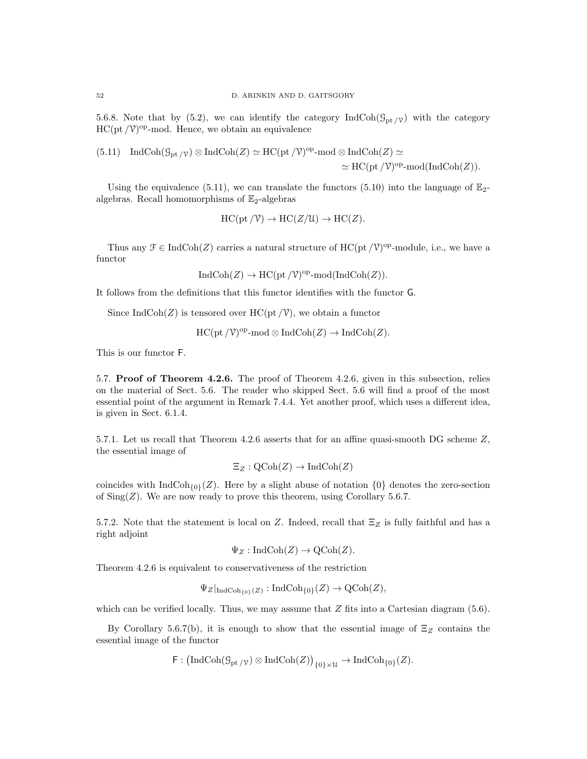5.6.8. Note that by (5.2), we can identify the category IndCoh( $\mathcal{G}_{pt}$  /v) with the category  $HC(pt / V)<sup>op</sup>$ -mod. Hence, we obtain an equivalence

(5.11) IndCoh
$$
(\mathcal{G}_{\mathrm{pt}}/\nu) \otimes \mathrm{IndCoh}(Z) \simeq \mathrm{HC}(\mathrm{pt}/\mathcal{V})^{\mathrm{op}} \text{-mod} \otimes \mathrm{IndCoh}(Z) \simeq
$$
  
 $\simeq \mathrm{HC}(\mathrm{pt}/\mathcal{V})^{\mathrm{op}} \text{-mod}(\mathrm{IndCoh}(Z)).$ 

Using the equivalence (5.11), we can translate the functors (5.10) into the language of  $\mathbb{E}_{2}$ algebras. Recall homomorphisms of  $\mathbb{E}_2$ -algebras

$$
HC(pt / V) \to HC(Z/U) \to HC(Z).
$$

Thus any  $\mathcal{F} \in \text{IndCoh}(Z)$  carries a natural structure of  $\text{HC}(\text{pt}/\mathcal{V})^{\text{op}}$ -module, i.e., we have a functor

$$
IndCoh(Z) \to HC(pt\,/\mathcal{V})^{op}\text{-mod}(IndCoh(Z)).
$$

It follows from the definitions that this functor identifies with the functor G.

Since IndCoh(Z) is tensored over HC(pt  $/V$ ), we obtain a functor

$$
\mathrm{HC}(\mathrm{pt}\,/\mathcal{V})^{\mathrm{op}}\text{-}\mathrm{mod}\otimes\mathrm{Ind}\mathrm{Coh}(Z)\to\mathrm{Ind}\mathrm{Coh}(Z).
$$

This is our functor F.

5.7. Proof of Theorem 4.2.6. The proof of Theorem 4.2.6, given in this subsection, relies on the material of Sect. 5.6. The reader who skipped Sect. 5.6 will find a proof of the most essential point of the argument in Remark 7.4.4. Yet another proof, which uses a different idea, is given in Sect. 6.1.4.

5.7.1. Let us recall that Theorem 4.2.6 asserts that for an affine quasi-smooth DG scheme Z, the essential image of

$$
\Xi_Z : \mathrm{QCoh}(Z) \to \mathrm{IndCoh}(Z)
$$

coincides with  $\text{IndCoh}_{\{0\}}(Z)$ . Here by a slight abuse of notation  $\{0\}$  denotes the zero-section of  $\text{Sing}(Z)$ . We are now ready to prove this theorem, using Corollary 5.6.7.

5.7.2. Note that the statement is local on Z. Indeed, recall that  $\Xi$ <sub>Z</sub> is fully faithful and has a right adjoint

$$
\Psi_Z: \mathrm{IndCoh}(Z) \to \mathrm{QCoh}(Z).
$$

Theorem 4.2.6 is equivalent to conservativeness of the restriction

$$
\Psi_Z|_{\mathrm{IndCoh}_{\{0\}}(Z)} : \mathrm{IndCoh}_{\{0\}}(Z) \to \mathrm{QCoh}(Z),
$$

which can be verified locally. Thus, we may assume that  $Z$  fits into a Cartesian diagram  $(5.6)$ .

By Corollary 5.6.7(b), it is enough to show that the essential image of  $\Xi_Z$  contains the essential image of the functor

 $\textsf{F}: (\textup{IndCoh}(\mathcal{G}_{\textup{pt}}/\nu) \otimes \textup{IndCoh}(Z))_{\{0\} \times \mathcal{U}} \to \textup{IndCoh}_{\{0\}}(Z).$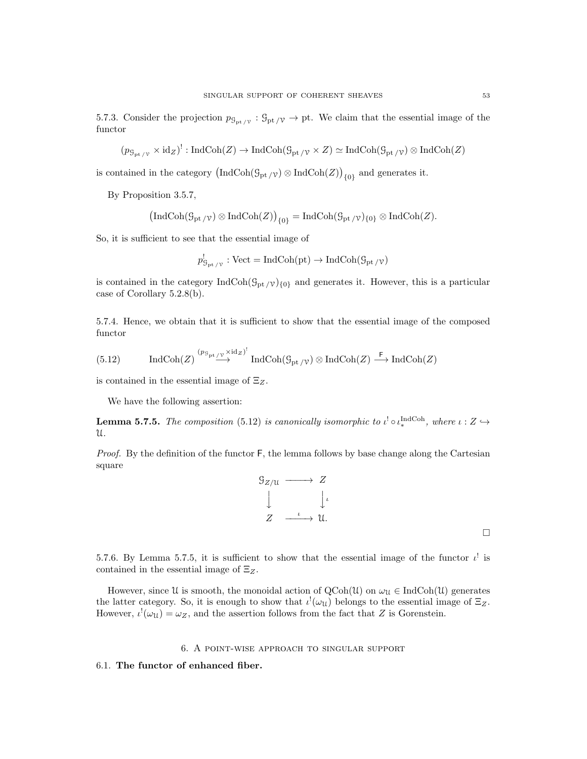5.7.3. Consider the projection  $p_{\mathcal{G}_{pt}/\mathcal{V}} : \mathcal{G}_{pt}/\mathcal{V} \to pt$ . We claim that the essential image of the functor

$$
(p_{\mathcal{G}_{\mathrm{pt}}/\mathcal{V}} \times \mathrm{id}_Z)^!: \mathrm{IndCoh}(Z) \to \mathrm{IndCoh}(\mathcal{G}_{\mathrm{pt}}/\mathcal{V} \times Z) \simeq \mathrm{IndCoh}(\mathcal{G}_{\mathrm{pt}}/\mathcal{V}) \otimes \mathrm{IndCoh}(Z)
$$

is contained in the category  $(\text{IndCoh}(\mathcal{G}_{pt}/\nu) \otimes \text{IndCoh}(Z))_{\{0\}}$  and generates it.

By Proposition 3.5.7,

$$
\left(\operatorname{IndCoh}(\mathcal{G}_{\rm pt/\mathcal{V}}) \otimes \operatorname{IndCoh}(Z)\right)_{\{0\}} = \operatorname{IndCoh}(\mathcal{G}_{\rm pt/\mathcal{V}})_{\{0\}} \otimes \operatorname{IndCoh}(Z).
$$

So, it is sufficient to see that the essential image of

$$
p^!_{\mathcal{G}_{\mathrm{pt}/\mathcal{V}}}: \mathrm{Vect} = \mathrm{IndCoh}(\mathrm{pt}) \to \mathrm{IndCoh}(\mathcal{G}_{\mathrm{pt}/\mathcal{V}})
$$

is contained in the category  $\text{IndCoh}(\mathcal{G}_{pt} / \mathcal{V})_{\{0\}}$  and generates it. However, this is a particular case of Corollary 5.2.8(b).

5.7.4. Hence, we obtain that it is sufficient to show that the essential image of the composed functor

(5.12) IndCoh(Z) 
$$
\stackrel{(p_{\mathcal{G}_{\text{pt}}/\mathcal{V}} \times \text{id}_Z)^!}{\longrightarrow}
$$
 IndCoh $(\mathcal{G}_{\text{pt}}/\mathcal{V}) \otimes$  IndCoh(Z)  $\stackrel{\mathsf{F}}{\longrightarrow}$  IndCoh(Z)

is contained in the essential image of  $\Xi_Z$ .

We have the following assertion:

**Lemma 5.7.5.** The composition (5.12) is canonically isomorphic to  $\iota^! \circ \iota^{\text{IndCoh}}_*$ , where  $\iota : Z \hookrightarrow$ U.

Proof. By the definition of the functor  $F$ , the lemma follows by base change along the Cartesian square

$$
\begin{array}{ccc}\nG_{Z/U} & \longrightarrow & Z \\
\downarrow & & \downarrow \\
Z & \xrightarrow{\iota} & \mathcal{U}.\n\end{array}
$$

 $\Box$ 

5.7.6. By Lemma 5.7.5, it is sufficient to show that the essential image of the functor  $\iota^!$  is contained in the essential image of  $\Xi_Z$ .

However, since U is smooth, the monoidal action of  $\text{QCoh}(\mathcal{U})$  on  $\omega_{\mathcal{U}} \in \text{IndCoh}(\mathcal{U})$  generates the latter category. So, it is enough to show that  $\iota^!(\omega_u)$  belongs to the essential image of  $\Xi_Z$ . However,  $\iota^! (\omega_{\mathfrak{U}}) = \omega_Z$ , and the assertion follows from the fact that Z is Gorenstein.

## 6. A point-wise approach to singular support

#### 6.1. The functor of enhanced fiber.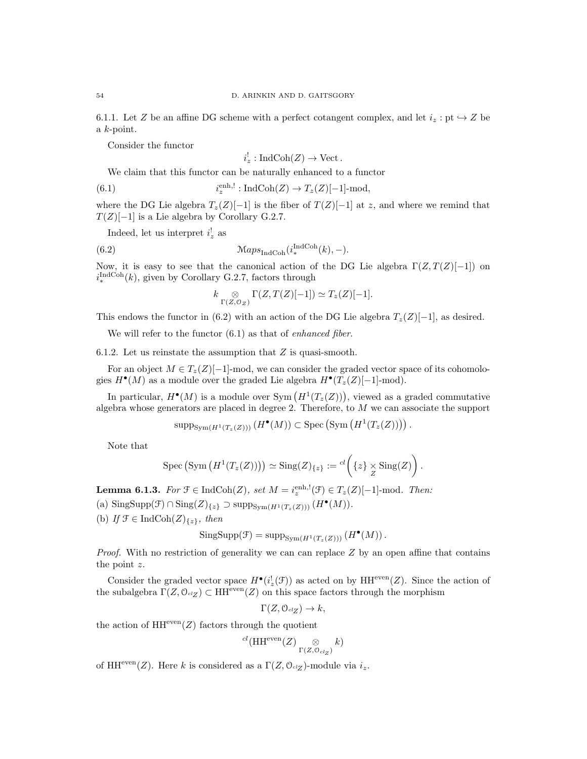6.1.1. Let Z be an affine DG scheme with a perfect cotangent complex, and let  $i_z : pt \rightarrow Z$  be a k-point.

Consider the functor

$$
i_z^!
$$
: IndCoh( $Z$ )  $\rightarrow$  Vect.

We claim that this functor can be naturally enhanced to a functor

(6.1) 
$$
i_z^{\text{enh},!} : \text{IndCoh}(Z) \to T_z(Z)[-1]\text{-mod},
$$

where the DG Lie algebra  $T_z(Z)[-1]$  is the fiber of  $T(Z)[-1]$  at z, and where we remind that  $T(Z)[-1]$  is a Lie algebra by Corollary G.2.7.

Indeed, let us interpret  $i_z^!$  as

(6.2) 
$$
\mathcal{M}aps_{\text{IndCoh}}(i_*^{\text{IndCoh}}(k), -).
$$

Now, it is easy to see that the canonical action of the DG Lie algebra  $\Gamma(Z, T(Z)[-1])$  on  $i_{\ast}^{\text{IndCoh}}(k)$ , given by Corollary G.2.7, factors through

$$
k \underset{\Gamma(Z,\mathcal{O}_Z)}{\otimes} \Gamma(Z,T(Z)[-1]) \simeq T_z(Z)[-1].
$$

This endows the functor in (6.2) with an action of the DG Lie algebra  $T_z(Z)[-1]$ , as desired.

We will refer to the functor  $(6.1)$  as that of *enhanced fiber*.

6.1.2. Let us reinstate the assumption that  $Z$  is quasi-smooth.

For an object  $M \in T_z(Z)[-1]$ -mod, we can consider the graded vector space of its cohomologies  $H^{\bullet}(M)$  as a module over the graded Lie algebra  $H^{\bullet}(T_z(Z)[-1]$ -mod).

In particular,  $H^{\bullet}(M)$  is a module over Sym  $(H^1(T_z(Z))),$  viewed as a graded commutative algebra whose generators are placed in degree 2. Therefore, to M we can associate the support

$$
\mathrm{supp}_{\mathrm{Sym}(H^1(T_z(Z)))}(H^{\bullet}(M)) \subset \mathrm{Spec}(\mathrm{Sym}(H^1(T_z(Z)))) .
$$

Note that

$$
Spec (Sym (H^1(T_z(Z)))) \simeq Sing(Z)_{\{z\}} := {}^{cl} \left( \{z\} \underset{Z}{\times} Sing(Z) \right).
$$

**Lemma 6.1.3.** For  $\mathcal{F} \in \text{IndCoh}(Z)$ , set  $M = i_z^{\text{enh},!}(\mathcal{F}) \in T_z(Z)[-1]$ -mod. Then:

(a)  $\operatorname{SingSupp}(\mathcal{F}) \cap \operatorname{Sing}(Z)_{\{z\}} \supset \operatorname{supp}_{\operatorname{Sym}(H^1(T_z(Z)))} (H^{\bullet}(M)).$ 

(b) If  $\mathcal{F} \in \text{IndCoh}(Z)_{\{z\}}$ , then

$$
\mathrm{SingSupp}(\mathcal{F}) = \mathrm{supp}_{\mathrm{Sym}(H^1(T_z(Z)))} \left( H^{\bullet}(M) \right).
$$

*Proof.* With no restriction of generality we can can replace  $Z$  by an open affine that contains the point z.

Consider the graded vector space  $H^{\bullet}(i_z^!(\mathcal{F}))$  as acted on by  $HH^{\text{even}}(Z)$ . Since the action of the subalgebra  $\Gamma(Z, \mathcal{O}_{\alpha Z}) \subset HH^{\text{even}}(Z)$  on this space factors through the morphism

$$
\Gamma(Z, \mathcal{O}_{\mathit{cl}_Z}) \to k,
$$

the action of  $HH^{even}(Z)$  factors through the quotient

$$
^{cl}(\operatorname{HH}^{\operatorname{even}}(Z) \underset{\Gamma(Z, \mathcal{O}_{cl_Z})}{\otimes} k)
$$

of HH<sup>even</sup>(Z). Here k is considered as a  $\Gamma(Z, \mathcal{O}_{\alpha Z})$ -module via  $i_z$ .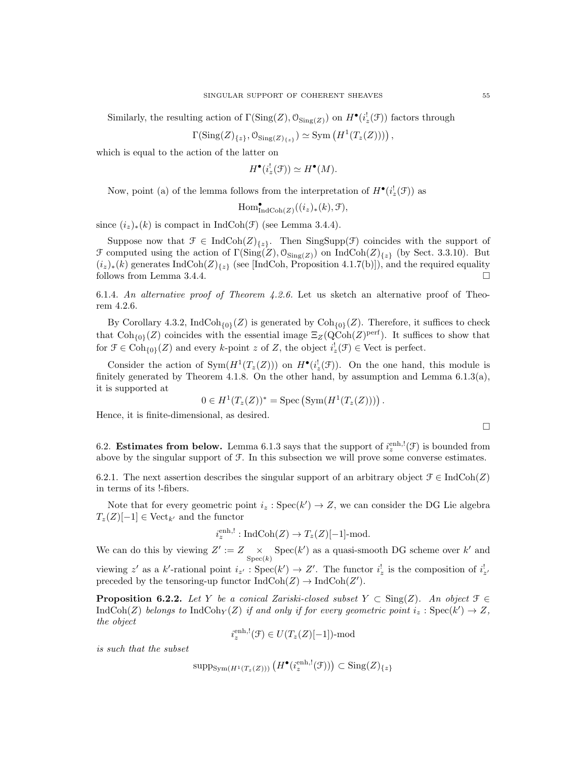Similarly, the resulting action of  $\Gamma(\text{Sing}(Z), \mathcal{O}_{\text{Sing}(Z)})$  on  $H^{\bullet}(i_z^!(\mathcal{F}))$  factors through

$$
\Gamma(\mathrm{Sing}(Z)_{\{z\}}, \mathcal{O}_{\mathrm{Sing}(Z)_{\{z\}}}) \simeq \mathrm{Sym}\left(H^1(T_z(Z)))\right),
$$

which is equal to the action of the latter on

$$
H^{\bullet}(i_z^!({\mathcal F})) \simeq H^{\bullet}(M).
$$

Now, point (a) of the lemma follows from the interpretation of  $H^{\bullet}(i_z^!(\mathcal{F}))$  as

$$
\operatorname{Hom}^{\bullet}_{\operatorname{IndCoh}(Z)}((i_z)_*(k), \mathcal{F}),
$$

since  $(i_z)_*(k)$  is compact in IndCoh(F) (see Lemma 3.4.4).

Suppose now that  $\mathcal{F} \in \text{IndCoh}(Z)_{\{z\}}$ . Then SingSupp(F) coincides with the support of  $\mathcal F$  computed using the action of  $\Gamma(\text{Sing}(Z), \mathcal O_{\text{Sing}(Z)})$  on IndCoh( $Z|_{\{z\}}$  (by Sect. 3.3.10). But  $(i_z)_*(k)$  generates IndCoh $(Z)_{\{z\}}$  (see [IndCoh, Proposition 4.1.7(b)]), and the required equality follows from Lemma 3.4.4.

6.1.4. An alternative proof of Theorem 4.2.6. Let us sketch an alternative proof of Theorem 4.2.6.

By Corollary 4.3.2,  $\text{IndCoh}_{\{0\}}(Z)$  is generated by  $\text{Coh}_{\{0\}}(Z)$ . Therefore, it suffices to check that  $\text{Coh}_{\{0\}}(Z)$  coincides with the essential image  $\Xi_Z(\text{QCoh}(Z)^{\text{perf}})$ . It suffices to show that for  $\mathcal{F} \in \text{Coh}_{\{0\}}(Z)$  and every k-point z of Z, the object  $i_z^{\dagger}(\mathcal{F}) \in \text{Vect}$  is perfect.

Consider the action of  $Sym(H^1(T_z(Z)))$  on  $H^{\bullet}(i_z^!(\mathcal{F}))$ . On the one hand, this module is finitely generated by Theorem 4.1.8. On the other hand, by assumption and Lemma  $6.1.3(a)$ , it is supported at

$$
0 \in H^1(T_z(Z))^* = \mathrm{Spec} \left( \mathrm{Sym}(H^1(T_z(Z))) \right).
$$

Hence, it is finite-dimensional, as desired.

 $\Box$ 

6.2. **Estimates from below.** Lemma 6.1.3 says that the support of  $i_z^{\text{enh},!}(\mathcal{F})$  is bounded from above by the singular support of F. In this subsection we will prove some converse estimates.

6.2.1. The next assertion describes the singular support of an arbitrary object  $\mathcal{F} \in \text{IndCoh}(Z)$ in terms of its !-fibers.

Note that for every geometric point  $i_z : \text{Spec}(k') \to Z$ , we can consider the DG Lie algebra  $T_z(Z)[-1] \in \text{Vect}_{k'}$  and the functor

$$
i_z^{\text{enh},!}: \text{IndCoh}(Z) \to T_z(Z)[-1]\text{-mod.}
$$

We can do this by viewing  $Z' := Z \underset{\text{Spec}(k)}{\times} \text{Spec}(k')$  as a quasi-smooth DG scheme over k' and viewing z' as a k'-rational point  $i_{z'} : \text{Spec}(k') \to Z'$ . The functor  $i_z^!$  is the composition of  $i_{z'}^!$ preceded by the tensoring-up functor  $\text{IndCoh}(Z) \to \text{IndCoh}(Z').$ 

**Proposition 6.2.2.** Let Y be a conical Zariski-closed subset  $Y \subset Sing(Z)$ . An object  $\mathcal{F} \in$ IndCoh(Z) belongs to IndCoh<sub>Y</sub>(Z) if and only if for every geometric point  $i_z : Spec(k') \rightarrow Z$ , the object

$$
i_z^{\text{enh},!}(\mathcal{F}) \in U(T_z(Z)[-1])\text{-mod}
$$

is such that the subset

$$
\mathrm{supp}_{\mathrm{Sym}(H^1(T_z(Z)))}\left(H^{\bullet}(i_z^{\mathrm{enh},!}(\mathcal{F}))\right) \subset \mathrm{Sing}(Z)_{\{z\}}
$$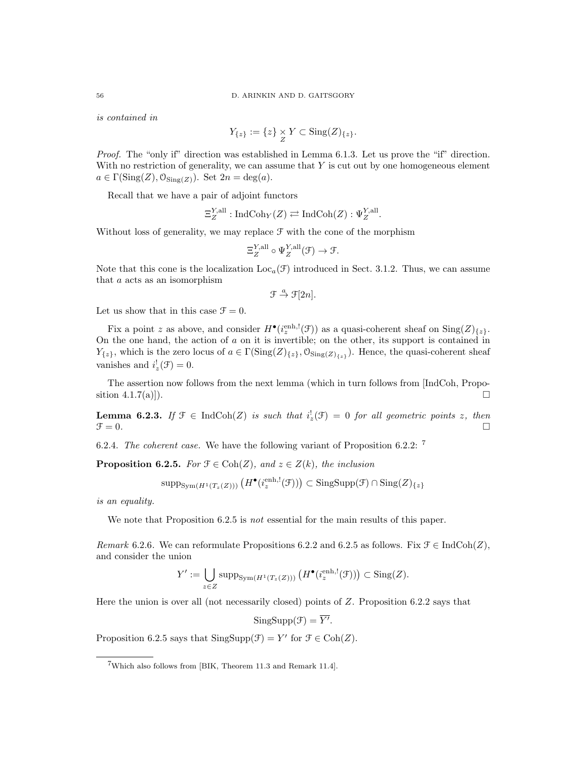is contained in

$$
Y_{\{z\}} := \{z\} \underset{Z}{\times} Y \subset \text{Sing}(Z)_{\{z\}}.
$$

Proof. The "only if" direction was established in Lemma 6.1.3. Let us prove the "if" direction. With no restriction of generality, we can assume that  $Y$  is cut out by one homogeneous element  $a \in \Gamma(\mathrm{Sing}(Z), \mathcal{O}_{\mathrm{Sing}(Z)})$ . Set  $2n = \deg(a)$ .

Recall that we have a pair of adjoint functors

$$
\Xi_Z^{Y, \text{all}} : \text{IndCoh}_Y(Z) \rightleftarrows \text{IndCoh}(Z) : \Psi_Z^{Y, \text{all}}.
$$

Without loss of generality, we may replace  $\mathcal F$  with the cone of the morphism

$$
\Xi_Z^{Y, \text{all}} \circ \Psi_Z^{Y, \text{all}}(\mathcal{F}) \to \mathcal{F}.
$$

Note that this cone is the localization  $Loc_{a}(\mathcal{F})$  introduced in Sect. 3.1.2. Thus, we can assume that a acts as an isomorphism

$$
\mathfrak{F} \stackrel{a}{\rightarrow} \mathfrak{F}[2n].
$$

Let us show that in this case  $\mathcal{F} = 0$ .

Fix a point z as above, and consider  $H^{\bullet}(i_z^{\text{enh},!}(\mathcal{F}))$  as a quasi-coherent sheaf on  $\text{Sing}(Z)_{\{z\}}$ . On the one hand, the action of a on it is invertible; on the other, its support is contained in  $Y_{\{z\}}$ , which is the zero locus of  $a \in \Gamma(\mathrm{Sing}(Z)_{\{z\}}, \mathcal{O}_{\mathrm{Sing}(Z)_{\{z\}}} )$ . Hence, the quasi-coherent sheaf vanishes and  $i_z^{\dagger}(\mathcal{F}) = 0$ .

The assertion now follows from the next lemma (which in turn follows from [IndCoh, Proposition  $4.1.7(a)$ ]).

**Lemma 6.2.3.** If  $\mathcal{F} \in \text{IndCoh}(Z)$  is such that  $i_z^{\dagger}(\mathcal{F}) = 0$  for all geometric points z, then  $\mathcal{F} = 0.$ 

6.2.4. The coherent case. We have the following variant of Proposition 6.2.2:  $^7$ 

**Proposition 6.2.5.** For  $\mathcal{F} \in \text{Coh}(Z)$ , and  $z \in Z(k)$ , the inclusion

$$
\mathrm{supp}_{\mathrm{Sym}(H^1(T_z(Z)))}\left(H^\bullet(i_z^{\mathrm{enh},!}(\mathcal{F}))\right) \subset \mathrm{Sing}\mathrm{Supp}(\mathcal{F}) \cap \mathrm{Sing}(Z)_{\{z\}}
$$

is an equality.

We note that Proposition 6.2.5 is not essential for the main results of this paper.

Remark 6.2.6. We can reformulate Propositions 6.2.2 and 6.2.5 as follows. Fix  $\mathcal{F} \in \text{IndCoh}(Z)$ , and consider the union

$$
Y' := \bigcup_{z \in Z} \operatorname{supp}_{\operatorname{Sym}(H^1(T_z(Z)))} \left( H^{\bullet}(\mathfrak{i}_z^{\operatorname{enh},!}(\mathcal{F})) \right) \subset \operatorname{Sing}(Z).
$$

Here the union is over all (not necessarily closed) points of Z. Proposition 6.2.2 says that

 $\text{SingSupp}(\mathcal{F}) = \overline{Y'}$ .

Proposition 6.2.5 says that  $\text{SingSupp}(\mathcal{F}) = Y'$  for  $\mathcal{F} \in \text{Coh}(Z)$ .

<sup>7</sup>Which also follows from [BIK, Theorem 11.3 and Remark 11.4].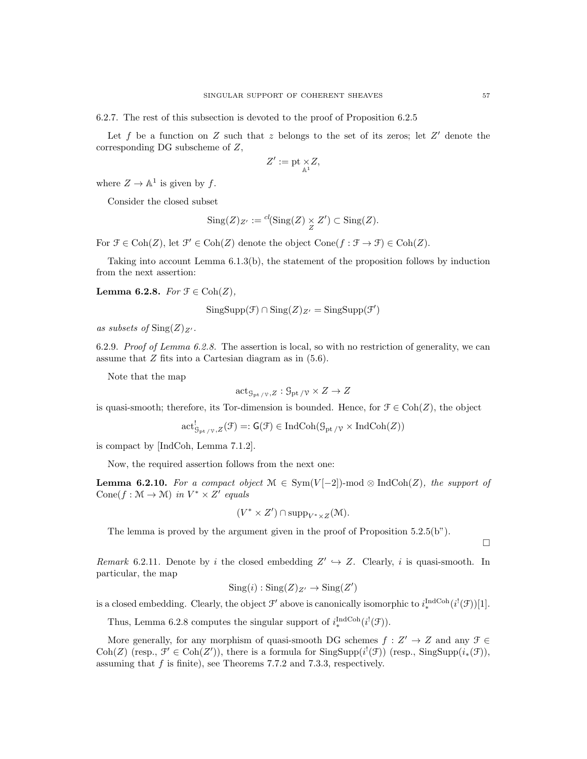6.2.7. The rest of this subsection is devoted to the proof of Proposition 6.2.5

Let f be a function on Z such that z belongs to the set of its zeros; let  $Z'$  denote the corresponding DG subscheme of Z,

$$
Z':=\operatorname{pt\,}_{\mathbb{A}^1} \!\!\!\times Z,
$$

where  $Z \to \mathbb{A}^1$  is given by f.

Consider the closed subset

$$
Sing(Z)_{Z'} := {}^{cl}(\mathrm{Sing}(Z) \underset{Z}{\times} Z') \subset \mathrm{Sing}(Z).
$$

For  $\mathcal{F} \in \text{Coh}(Z)$ , let  $\mathcal{F}' \in \text{Coh}(Z)$  denote the object  $\text{Cone}(f : \mathcal{F} \to \mathcal{F}) \in \text{Coh}(Z)$ .

Taking into account Lemma 6.1.3(b), the statement of the proposition follows by induction from the next assertion:

Lemma 6.2.8. For  $\mathfrak{F} \in \text{Coh}(Z)$ ,

$$
SingSupp(\mathcal{F}) \cap Sing(Z)_{Z'} = SingSupp(\mathcal{F}')
$$

as subsets of  $\text{Sing}(Z)_{Z'}$ .

6.2.9. Proof of Lemma 6.2.8. The assertion is local, so with no restriction of generality, we can assume that Z fits into a Cartesian diagram as in (5.6).

Note that the map

$$
\mathrm{act}_{\mathcal{G}_{\mathrm{pt}}/\mathcal{V},Z}:\mathcal{G}_{\mathrm{pt}}/\mathcal{V}\times Z\to Z
$$

is quasi-smooth; therefore, its Tor-dimension is bounded. Hence, for  $\mathcal{F} \in \text{Coh}(Z)$ , the object

$$
\operatorname{act}_{\mathcal{G}_{\operatorname{pt}}/\mathcal{V},Z}^!(\mathcal{F})=:\operatorname{\mathsf{G}}(\mathcal{F})\in\operatorname{IndCoh}(\mathcal{G}_{\operatorname{pt}}/\mathcal{V}\times\operatorname{IndCoh}(Z))
$$

is compact by [IndCoh, Lemma 7.1.2].

Now, the required assertion follows from the next one:

**Lemma 6.2.10.** For a compact object  $M \in Sym(V[-2])$ -mod ⊗ IndCoh(Z), the support of Cone(f:  $\mathcal{M} \to \mathcal{M}$ ) in  $V^* \times Z'$  equals

$$
(V^* \times Z') \cap \mathrm{supp}_{V^* \times Z}(\mathcal{M}).
$$

The lemma is proved by the argument given in the proof of Proposition 5.2.5(b").

Remark 6.2.11. Denote by i the closed embedding  $Z' \hookrightarrow Z$ . Clearly, i is quasi-smooth. In particular, the map

$$
Sing(i) : Sing(Z)_{Z'} \to Sing(Z')
$$

is a closed embedding. Clearly, the object  $\mathcal{F}'$  above is canonically isomorphic to  $i_*^{\text{IndCoh}}(i^!(\mathcal{F}))[1]$ .

Thus, Lemma 6.2.8 computes the singular support of  $i_*^{\text{IndCoh}}(i^!(\mathcal{F}))$ .

More generally, for any morphism of quasi-smooth DG schemes  $f: Z' \to Z$  and any  $\mathcal{F} \in$ Coh(Z) (resp.,  $\mathcal{F}' \in \text{Coh}(Z')$ ), there is a formula for  $\text{SingSupp}(i^!(\mathcal{F}))$  (resp.,  $\text{SingSupp}(i_*(\mathcal{F}))$ , assuming that  $f$  is finite), see Theorems 7.7.2 and 7.3.3, respectively.

 $\Box$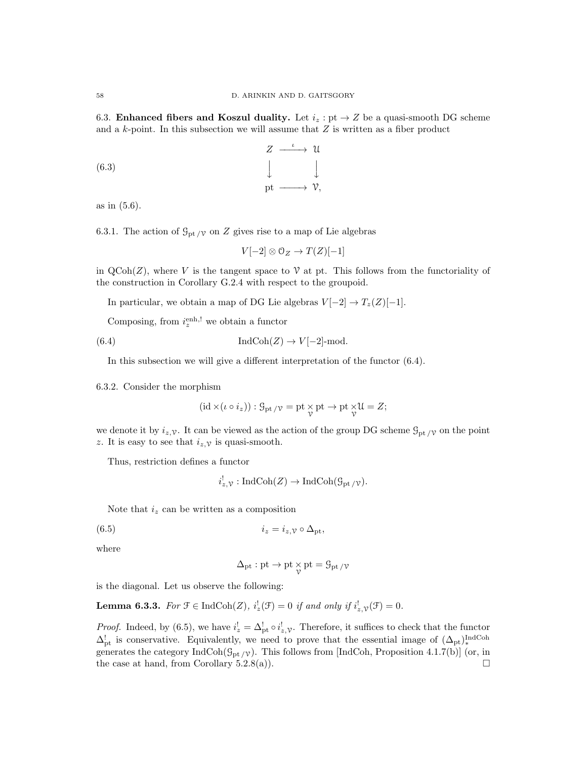6.3. Enhanced fibers and Koszul duality. Let  $i_z$ : pt  $\rightarrow$  Z be a quasi-smooth DG scheme and a  $k$ -point. In this subsection we will assume that  $Z$  is written as a fiber product

(6.3) 
$$
Z \longrightarrow U
$$

$$
\downarrow \qquad \qquad \downarrow
$$

$$
\text{pt} \longrightarrow V,
$$

as in (5.6).

6.3.1. The action of  $\mathcal{G}_{\mathrm{pt}}/\mathcal{V}$  on Z gives rise to a map of Lie algebras

$$
V[-2] \otimes \mathcal{O}_Z \to T(Z)[-1]
$$

in  $\mathrm{QCoh}(Z)$ , where V is the tangent space to V at pt. This follows from the functoriality of the construction in Corollary G.2.4 with respect to the groupoid.

In particular, we obtain a map of DG Lie algebras  $V[-2] \rightarrow T_z(Z)[-1]$ .

Composing, from  $i_z^{\text{enh},!}$  we obtain a functor

(6.4) 
$$
\operatorname{IndCoh}(Z) \to V[-2]\text{-mod}.
$$

In this subsection we will give a different interpretation of the functor (6.4).

6.3.2. Consider the morphism

$$
(\mathrm{id} \times (\iota \circ i_z)) : \mathcal{G}_{\mathrm{pt}} / \mathcal{V} = \mathrm{pt} \underset{\mathcal{V}}{\times} \mathrm{pt} \to \mathrm{pt} \underset{\mathcal{V}}{\times} \mathcal{U} = Z;
$$

we denote it by  $i_z, \gamma$ . It can be viewed as the action of the group DG scheme  $\mathcal{G}_{\text{pt}}/\gamma$  on the point z. It is easy to see that  $i_{z,\mathcal{V}}$  is quasi-smooth.

Thus, restriction defines a functor

$$
i^!_{z,\mathcal{V}}:\text{IndCoh}(Z)\to\text{IndCoh}(\mathcal{G}_{\text{pt}/\mathcal{V}}).
$$

Note that  $i_z$  can be written as a composition

$$
(6.5) \t\t\t i_z = i_z, \mathbf{v} \circ \Delta_{\mathrm{pt}},
$$

where

$$
\Delta_{\rm pt}: {\rm pt} \to {\rm pt} \mathop{\times}_\mathcal{V} {\rm pt} = \mathcal{G}_{\rm pt}\mathop{/}\nu
$$

is the diagonal. Let us observe the following:

**Lemma 6.3.3.** For  $\mathcal{F} \in \text{IndCoh}(Z)$ ,  $i_z^!(\mathcal{F}) = 0$  if and only if  $i_{z,\mathcal{V}}^!(\mathcal{F}) = 0$ .

*Proof.* Indeed, by (6.5), we have  $i_z^! = \Delta_{\text{pt}}^! \circ i_{z,\mathcal{V}}^!$ . Therefore, it suffices to check that the functor  $\Delta_{pt}^!$  is conservative. Equivalently, we need to prove that the essential image of  $(\Delta_{pt})_*^{\text{IndCoh}}$ generates the category  $IndCoh(\mathcal{G}_{pt/\mathcal{V}})$ . This follows from [IndCoh, Proposition 4.1.7(b)] (or, in the case at hand, from Corollary 5.2.8(a)).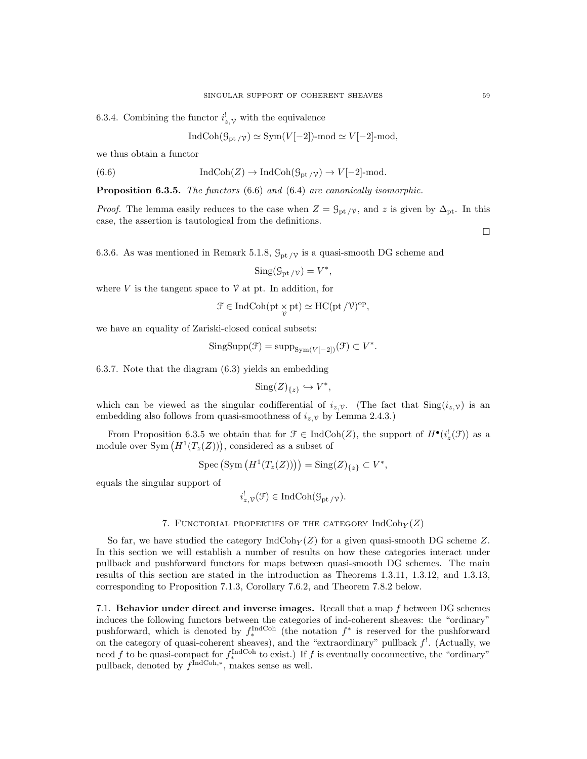6.3.4. Combining the functor  $i^!_{z,\mathcal{V}}$  with the equivalence

$$
\text{Ind}\text{Coh}(\mathcal{G}_{\text{pt}}/\gamma) \simeq \text{Sym}(V[-2])\text{-mod} \simeq V[-2]\text{-mod},
$$

we thus obtain a functor

(6.6) 
$$
\operatorname{IndCoh}(Z) \to \operatorname{IndCoh}(\mathcal{G}_{\mathrm{pt}/\mathcal{V}}) \to V[-2]\text{-mod}.
$$

Proposition 6.3.5. The functors (6.6) and (6.4) are canonically isomorphic.

*Proof.* The lemma easily reduces to the case when  $Z = \mathcal{G}_{\text{pt}}/\gamma$ , and z is given by  $\Delta_{\text{pt}}$ . In this case, the assertion is tautological from the definitions.

 $\Box$ 

6.3.6. As was mentioned in Remark 5.1.8,  $\mathcal{G}_{\text{pt}}/\gamma$  is a quasi-smooth DG scheme and

$$
Sing(\mathcal{G}_{\mathrm{pt}/\mathcal{V}})=V^*,
$$

where V is the tangent space to  $\mathcal V$  at pt. In addition, for

$$
\mathcal{F} \in \mathrm{IndCoh}(\mathrm{pt} \underset{\gamma}{\times} \mathrm{pt}) \simeq \mathrm{HC}(\mathrm{pt}/\mathcal{V})^{\mathrm{op}},
$$

we have an equality of Zariski-closed conical subsets:

$$
SingSupp(\mathcal{F}) = supp_{Sym(V[-2])}(\mathcal{F}) \subset V^*.
$$

6.3.7. Note that the diagram (6.3) yields an embedding

$$
Sing(Z)_{\{z\}} \hookrightarrow V^*,
$$

which can be viewed as the singular codifferential of  $i_z, \gamma$ . (The fact that  $\text{Sing}(i_z, \gamma)$  is an embedding also follows from quasi-smoothness of  $i_z$ ,  $\gamma$  by Lemma 2.4.3.)

From Proposition 6.3.5 we obtain that for  $\mathcal{F} \in \text{IndCoh}(Z)$ , the support of  $H^{\bullet}(i_z^!(\mathcal{F}))$  as a module over  $Sym(H^1(T_z(Z)))$ , considered as a subset of

$$
Spec (Sym (H^1(T_z(Z)))) = Sing(Z)_{\{z\}} \subset V^*,
$$

equals the singular support of

$$
i_{z,\mathcal{V}}^{!}(\mathcal{F}) \in \mathrm{IndCoh}(\mathcal{G}_{\mathrm{pt}/\mathcal{V}}).
$$

#### 7. FUNCTORIAL PROPERTIES OF THE CATEGORY  $\text{IndCoh}_Y(Z)$

So far, we have studied the category  $\text{IndCoh}_Y(Z)$  for a given quasi-smooth DG scheme Z. In this section we will establish a number of results on how these categories interact under pullback and pushforward functors for maps between quasi-smooth DG schemes. The main results of this section are stated in the introduction as Theorems 1.3.11, 1.3.12, and 1.3.13, corresponding to Proposition 7.1.3, Corollary 7.6.2, and Theorem 7.8.2 below.

7.1. Behavior under direct and inverse images. Recall that a map f between DG schemes induces the following functors between the categories of ind-coherent sheaves: the "ordinary" pushforward, which is denoted by  $f_*^{\text{IndCoh}}$  (the notation  $f^*$  is reserved for the pushforward on the category of quasi-coherent sheaves), and the "extraordinary" pullback  $f'$ . (Actually, we need f to be quasi-compact for  $f_*^{\text{IndCoh}}$  to exist.) If f is eventually coconnective, the "ordinary" pullback, denoted by  $f^{\text{IndCoh},*}$ , makes sense as well.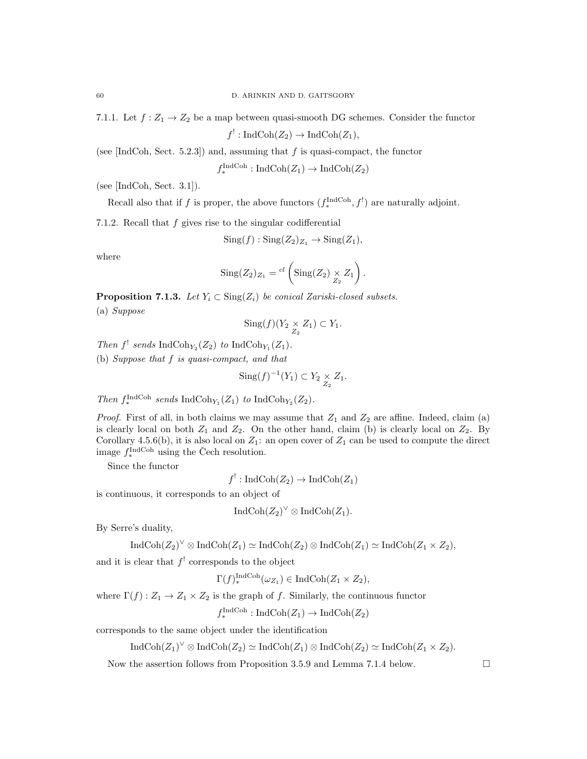7.1.1. Let  $f: Z_1 \to Z_2$  be a map between quasi-smooth DG schemes. Consider the functor

 $f^!: \text{IndCoh}(Z_2) \to \text{IndCoh}(Z_1),$ 

(see [IndCoh, Sect. 5.2.3]) and, assuming that  $f$  is quasi-compact, the functor

 $f_*^{\text{IndCoh}}: \text{IndCoh}(Z_1) \to \text{IndCoh}(Z_2)$ 

(see [IndCoh, Sect. 3.1]).

Recall also that if f is proper, the above functors  $(f_*^{\text{IndCoh}}, f')$  are naturally adjoint.

7.1.2. Recall that  $f$  gives rise to the singular codifferential

$$
Sing(f) : Sing(Z_2)_{Z_1} \to Sing(Z_1),
$$

where

$$
Sing(Z_2)_{Z_1} = {}^{cl} \left( Sing(Z_2) \underset{Z_2}{\times} Z_1 \right).
$$

**Proposition 7.1.3.** Let  $Y_i \subset \text{Sing}(Z_i)$  be conical Zariski-closed subsets. (a) Suppose

$$
Sing(f)(Y_2 \underset{Z_2}{\times} Z_1) \subset Y_1.
$$

Then  $f^!$  sends IndCoh<sub>Y2</sub>(Z<sub>2</sub>) to IndCoh<sub>Y<sub>1</sub></sub>(Z<sub>1</sub>).

(b) Suppose that f is quasi-compact, and that

$$
\text{Sing}(f)^{-1}(Y_1) \subset Y_2 \underset{Z_2}{\times} Z_1.
$$

Then  $f_*^{\text{IndCoh}}$  sends IndCoh<sub>Y<sub>1</sub></sub> $(Z_1)$  to IndCoh<sub>Y<sub>2</sub></sub> $(Z_2)$ .

*Proof.* First of all, in both claims we may assume that  $Z_1$  and  $Z_2$  are affine. Indeed, claim (a) is clearly local on both  $Z_1$  and  $Z_2$ . On the other hand, claim (b) is clearly local on  $Z_2$ . By Corollary 4.5.6(b), it is also local on  $Z_1$ : an open cover of  $Z_1$  can be used to compute the direct image  $f_*^{\text{IndCoh}}$  using the Čech resolution.

Since the functor

$$
f^!: \operatorname{IndCoh}(Z_2) \to \operatorname{IndCoh}(Z_1)
$$

is continuous, it corresponds to an object of

$$
IndCoh(Z_2)^{\vee} \otimes IndCoh(Z_1).
$$

By Serre's duality,

$$
\operatorname{IndCoh}(Z_2)^{\vee} \otimes \operatorname{IndCoh}(Z_1) \simeq \operatorname{IndCoh}(Z_2) \otimes \operatorname{IndCoh}(Z_1) \simeq \operatorname{IndCoh}(Z_1 \times Z_2),
$$

and it is clear that  $f'$  corresponds to the object

 $\Gamma(f)_{*}^{\text{IndCoh}}(\omega_{Z_1}) \in \text{IndCoh}(Z_1 \times Z_2),$ 

where  $\Gamma(f): Z_1 \to Z_1 \times Z_2$  is the graph of f. Similarly, the continuous functor

$$
f_*^{\text{IndCoh}} : \text{IndCoh}(Z_1) \to \text{IndCoh}(Z_2)
$$

corresponds to the same object under the identification

$$
IndCoh(Z_1)^{\vee} \otimes IndCoh(Z_2) \simeq IndCoh(Z_1) \otimes IndCoh(Z_2) \simeq IndCoh(Z_1 \times Z_2).
$$

Now the assertion follows from Proposition 3.5.9 and Lemma 7.1.4 below.  $\Box$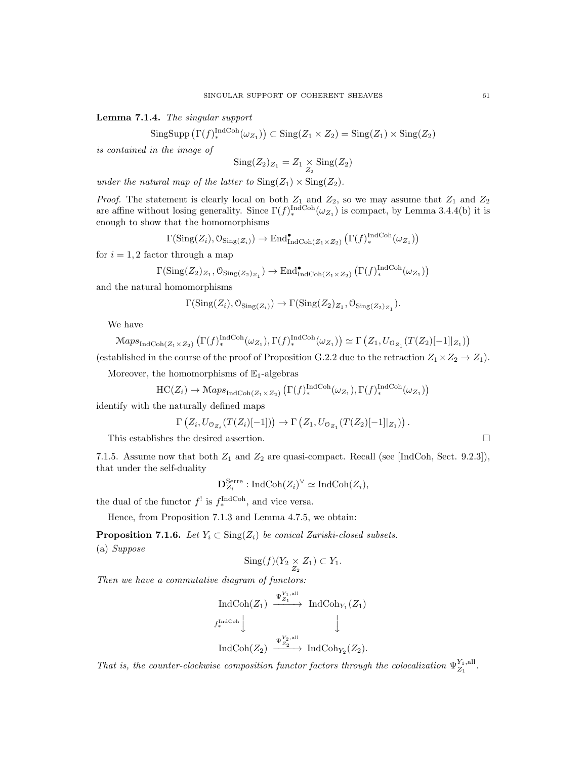Lemma 7.1.4. The singular support

 $\text{SingSupp}\left(\Gamma(f)\right)_*^{\text{IndCoh}}(\omega_{Z_1})\right) \subset \text{Sing}(Z_1 \times Z_2) = \text{Sing}(Z_1) \times \text{Sing}(Z_2)$ 

is contained in the image of

$$
Sing(Z_2)_{Z_1} = Z_1 \underset{Z_2}{\times} Sing(Z_2)
$$

under the natural map of the latter to  $\text{Sing}(Z_1) \times \text{Sing}(Z_2)$ .

*Proof.* The statement is clearly local on both  $Z_1$  and  $Z_2$ , so we may assume that  $Z_1$  and  $Z_2$ are affine without losing generality. Since  $\Gamma(f)_{*}^{\text{IndCoh}}(\omega_{Z_1})$  is compact, by Lemma 3.4.4(b) it is enough to show that the homomorphisms

$$
\Gamma(\mathrm{Sing}(Z_i),\mathcal{O}_{\mathrm{Sing}(Z_i)}) \to \mathrm{End}_{\mathrm{IndCoh}(Z_1 \times Z_2)}^{\bullet}(\Gamma(f)_{*}^{\mathrm{IndCoh}}(\omega_{Z_1}))
$$

for  $i = 1, 2$  factor through a map

$$
\Gamma(\text{Sing}(Z_2)_{Z_1}, \mathcal{O}_{\text{Sing}(Z_2)_{Z_1}}) \to \text{End}_{\text{IndCoh}(Z_1 \times Z_2)}^{\bullet}(\Gamma(f)_{*}^{\text{IndCoh}}(\omega_{Z_1}))
$$

and the natural homomorphisms

$$
\Gamma(\text{Sing}(Z_i), \mathcal{O}_{\text{Sing}(Z_i)}) \to \Gamma(\text{Sing}(Z_2)_{Z_1}, \mathcal{O}_{\text{Sing}(Z_2)_{Z_1}}).
$$

We have

$$
\mathrm{Maps}_{\mathrm{IndCoh}(Z_1 \times Z_2)} \left( \Gamma(f)_{*}^{\mathrm{IndCoh}}(\omega_{Z_1}), \Gamma(f)_{*}^{\mathrm{IndCoh}}(\omega_{Z_1}) \right) \simeq \Gamma \left( Z_1, U_{\mathcal{O}_{Z_1}} (T(Z_2)[-1]|_{Z_1}) \right)
$$

(established in the course of the proof of Proposition G.2.2 due to the retraction  $Z_1 \times Z_2 \to Z_1$ ).

Moreover, the homomorphisms of  $\mathbb{E}_1$ -algebras

$$
\mathrm{HC}(Z_i) \to \mathrm{Maps}_{\mathrm{IndCoh}(Z_1 \times Z_2)} (\Gamma(f)^{\mathrm{IndCoh}}_*(\omega_{Z_1}), \Gamma(f)^{\mathrm{IndCoh}}_*(\omega_{Z_1}))
$$

identify with the naturally defined maps

$$
\Gamma\left(Z_i, U_{\mathcal{O}_{Z_i}}(T(Z_i)[-1])\right) \to \Gamma\left(Z_1, U_{\mathcal{O}_{Z_1}}(T(Z_2)[-1]|_{Z_1})\right).
$$

This establishes the desired assertion.  $\hfill \square$ 

7.1.5. Assume now that both  $Z_1$  and  $Z_2$  are quasi-compact. Recall (see [IndCoh, Sect. 9.2.3]), that under the self-duality

$$
\mathbf{D}_{Z_i}^{\text{Serre}}: \text{IndCoh}(Z_i)^{\vee} \simeq \text{IndCoh}(Z_i),
$$

the dual of the functor  $f^!$  is  $f_*^{\text{IndCoh}}$ , and vice versa.

Hence, from Proposition 7.1.3 and Lemma 4.7.5, we obtain:

**Proposition 7.1.6.** Let  $Y_i \subset \text{Sing}(Z_i)$  be conical Zariski-closed subsets. (a) Suppose

$$
Sing(f)(Y_2 \underset{Z_2}{\times} Z_1) \subset Y_1.
$$

Then we have a commutative diagram of functors:

$$
\operatorname{IndCoh}(Z_1) \xrightarrow{\Psi_{Z_1}^{Y_1, \text{all}}} \operatorname{IndCoh}_{Y_1}(Z_1)
$$
  

$$
\downarrow^{\text{IndCoh}} \qquad \qquad \downarrow^{\text{IndCoh}_{Z_2}(\text{Z}_2)} \qquad \qquad \downarrow^{\text{IndCoh}_{Z_2}(Z_2).
$$

That is, the counter-clockwise composition functor factors through the colocalization  $\Psi_{Z_1}^{Y_1, \text{all}}$ .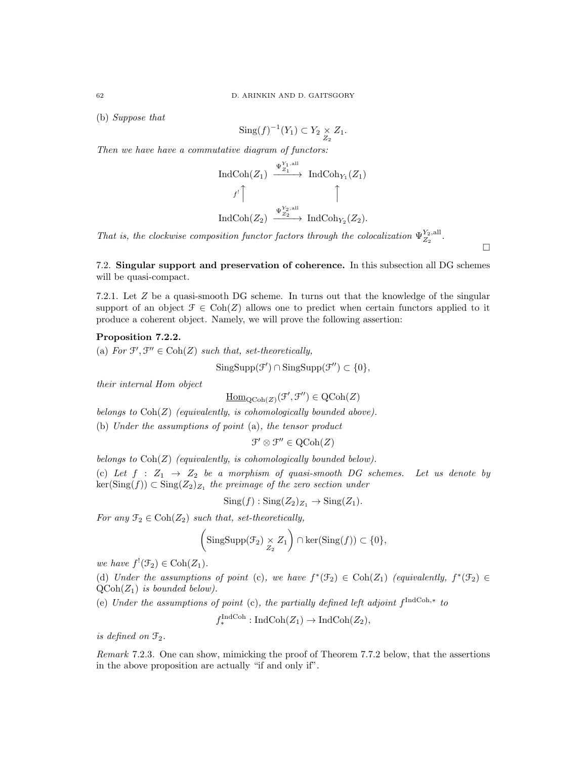(b) Suppose that

$$
\text{Sing}(f)^{-1}(Y_1) \subset Y_2 \underset{Z_2}{\times} Z_1.
$$

Then we have have a commutative diagram of functors:

$$
\operatorname{IndCoh}(Z_1) \xrightarrow{\Psi_{Z_1}^{Y_1, \text{all}}} \operatorname{IndCoh}_{Y_1}(Z_1)
$$
  
 $f' \uparrow \qquad \qquad \uparrow$   

$$
\operatorname{IndCoh}(Z_2) \xrightarrow{\Psi_{Z_2}^{Y_2, \text{all}}} \operatorname{IndCoh}_{Y_2}(Z_2).
$$

That is, the clockwise composition functor factors through the colocalization  $\Psi_{Z_2}^{Y_2, \text{all}}$ .

7.2. Singular support and preservation of coherence. In this subsection all DG schemes

 $\Box$ 

will be quasi-compact. 7.2.1. Let Z be a quasi-smooth DG scheme. In turns out that the knowledge of the singular

support of an object  $\mathcal{F} \in \text{Coh}(Z)$  allows one to predict when certain functors applied to it

# produce a coherent object. Namely, we will prove the following assertion:

Proposition 7.2.2.

(a) For  $\mathcal{F}', \mathcal{F}'' \in \text{Coh}(Z)$  such that, set-theoretically,

$$
SingSupp(\mathcal{F}') \cap SingSupp(\mathcal{F}'') \subset \{0\},\
$$

their internal Hom object

 $\underline{\mathrm{Hom}}_{\mathrm{QCoh}(Z)}(\mathcal{F}', \mathcal{F}'') \in \mathrm{QCoh}(Z)$ 

belongs to  $\text{Coh}(Z)$  (equivalently, is cohomologically bounded above).

(b) Under the assumptions of point (a), the tensor product

 $\mathcal{F}' \otimes \mathcal{F}'' \in \mathrm{QCoh}(Z)$ 

belongs to  $Coh(Z)$  (equivalently, is cohomologically bounded below). (c) Let  $f : Z_1 \rightarrow Z_2$  be a morphism of quasi-smooth DG schemes. Let us denote by  $\ker(\text{Sing}(f)) \subset \text{Sing}(Z_2)_{Z_1}$  the preimage of the zero section under

$$
Sing(f) : Sing(Z_2)_{Z_1} \to Sing(Z_1).
$$

For any  $\mathfrak{F}_2 \in \text{Coh}(Z_2)$  such that, set-theoretically,

$$
\left(\mathrm{SingSupp}(\mathcal{F}_2) \underset{Z_2}{\times} Z_1\right) \cap \ker(\mathrm{Sing}(f)) \subset \{0\},\
$$

we have  $f'(\mathcal{F}_2) \in \text{Coh}(Z_1)$ .

(d) Under the assumptions of point (c), we have  $f^*(\mathfrak{T}_2) \in \text{Coh}(Z_1)$  (equivalently,  $f^*(\mathfrak{T}_2) \in$  $\text{QCoh}(Z_1)$  is bounded below).

(e) Under the assumptions of point (c), the partially defined left adjoint  $f^{\text{IndCoh},*}$  to

$$
f_*^{\text{IndCoh}} : \text{IndCoh}(Z_1) \to \text{IndCoh}(Z_2),
$$

is defined on  $\mathfrak{F}_2$ .

Remark 7.2.3. One can show, mimicking the proof of Theorem 7.7.2 below, that the assertions in the above proposition are actually "if and only if".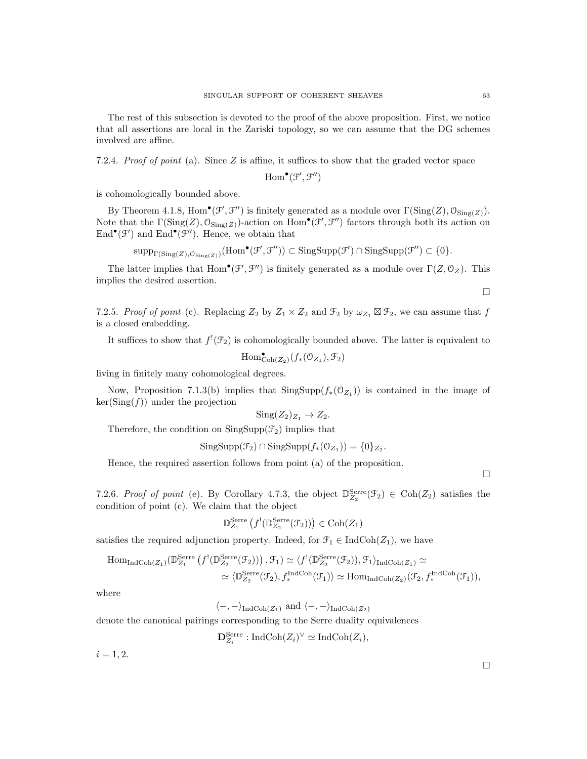The rest of this subsection is devoted to the proof of the above proposition. First, we notice that all assertions are local in the Zariski topology, so we can assume that the DG schemes involved are affine.

7.2.4. Proof of point (a). Since  $Z$  is affine, it suffices to show that the graded vector space

 $\mathrm{Hom}^{\bullet}(\mathcal{F}', \mathcal{F}'')$ 

is cohomologically bounded above.

By Theorem 4.1.8,  $\text{Hom}^{\bullet}(\mathcal{F}', \mathcal{F}'')$  is finitely generated as a module over  $\Gamma(\text{Sing}(Z), \mathcal{O}_{\text{Sing}(Z)})$ . Note that the  $\Gamma(\text{Sing}(Z), \mathcal{O}_{\text{Sing}(Z)})$ -action on  $\text{Hom}^{\bullet}(\mathcal{F}', \mathcal{F}'')$  factors through both its action on  $\text{End}^{\bullet}(\mathcal{F}')$  and  $\text{End}^{\bullet}(\mathcal{F}'')$ . Hence, we obtain that

 $\text{supp}_{\Gamma(\text{Sing}(Z),\mathcal{O}_{\text{Sing}(Z)})}(\text{Hom}^{\bullet}(\mathcal{F}', \mathcal{F}'')) \subset \text{Sing}\text{Supp}(\mathcal{F}') \cap \text{Sing}\text{Supp}(\mathcal{F}'') \subset \{0\}.$ 

The latter implies that  $Hom^{\bullet}(\mathcal{F}', \mathcal{F}'')$  is finitely generated as a module over  $\Gamma(Z, \mathcal{O}_Z)$ . This implies the desired assertion.

7.2.5. Proof of point (c). Replacing  $Z_2$  by  $Z_1 \times Z_2$  and  $\mathcal{F}_2$  by  $\omega_{Z_1} \boxtimes \mathcal{F}_2$ , we can assume that f is a closed embedding.

It suffices to show that  $f'(\mathcal{F}_2)$  is cohomologically bounded above. The latter is equivalent to

$$
\mathrm{Hom}^{\bullet}_{\mathrm{Coh}(Z_2)}(f_*(\mathcal{O}_{Z_1}), \mathcal{F}_2)
$$

living in finitely many cohomological degrees.

Now, Proposition 7.1.3(b) implies that  $SingSupp(f_*(0_{Z_1}))$  is contained in the image of  $\ker(\text{Sing}(f))$  under the projection

$$
Sing(Z_2)_{Z_1}\to Z_2.
$$

Therefore, the condition on  $SingSupp(\mathcal{F}_2)$  implies that

$$
SingSupp(\mathcal{F}_2) \cap SingSupp(f_*(\mathcal{O}_{Z_1})) = \{0\}_{Z_2}.
$$

Hence, the required assertion follows from point (a) of the proposition.

 $\Box$ 

 $\Box$ 

7.2.6. Proof of point (e). By Corollary 4.7.3, the object  $\mathbb{D}_{Z_2}^{\text{Serre}}(\mathcal{F}_2) \in \text{Coh}(Z_2)$  satisfies the condition of point (c). We claim that the object

$$
\mathbb{D}_{Z_1}^{\text{Serre}}\left(f^!(\mathbb{D}_{Z_2}^{\text{Serre}}(\mathcal{F}_2))\right) \in \text{Coh}(Z_1)
$$

satisfies the required adjunction property. Indeed, for  $\mathcal{F}_1 \in \text{IndCoh}(Z_1)$ , we have

$$
\text{Hom}_{\text{IndCoh}(Z_1)}(\mathbb{D}_{Z_1}^{\text{Serre}}(f^!(\mathbb{D}_{Z_2}^{\text{Serre}}(\mathcal{F}_2)))\,,\mathcal{F}_1)\simeq \langle f^!(\mathbb{D}_{Z_2}^{\text{Serre}}(\mathcal{F}_2)),\mathcal{F}_1\rangle_{\text{IndCoh}(Z_1)}\simeq
$$
  

$$
\simeq \langle \mathbb{D}_{Z_2}^{\text{Serre}}(\mathcal{F}_2),f_*^{\text{IndCoh}}(\mathcal{F}_1)\rangle \simeq \text{Hom}_{\text{IndCoh}(Z_2)}(\mathcal{F}_2,f_*^{\text{IndCoh}}(\mathcal{F}_1)),
$$

where

 $\langle -, - \rangle_{\text{IndCoh}(Z_1)}$  and  $\langle -, - \rangle_{\text{IndCoh}(Z_2)}$ 

denote the canonical pairings corresponding to the Serre duality equivalences

$$
\mathbf{D}_{Z_i}^{\text{Serre}}: \text{IndCoh}(Z_i)^{\vee} \simeq \text{IndCoh}(Z_i),
$$

 $i = 1, 2.$ 

 $\Box$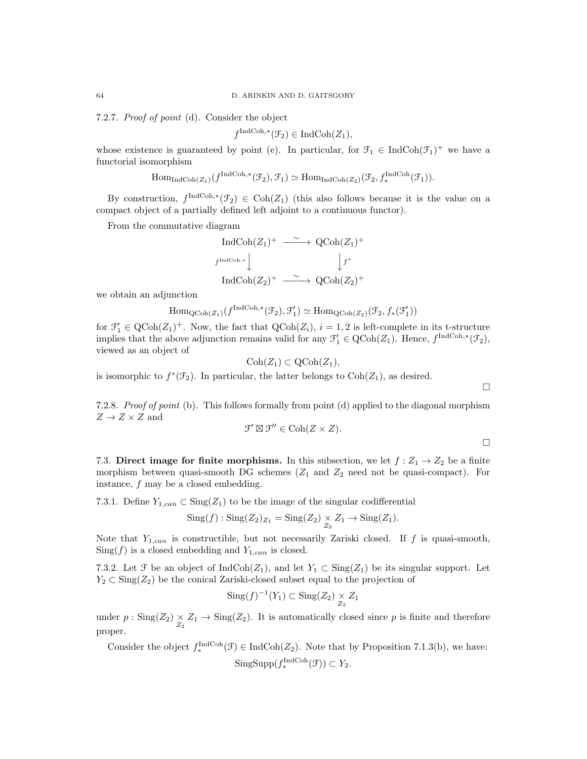7.2.7. Proof of point (d). Consider the object

$$
f^{\text{IndCoh},*}(\mathcal{F}_2) \in \text{IndCoh}(Z_1),
$$

whose existence is guaranteed by point (e). In particular, for  $\mathcal{F}_1 \in \text{IndCoh}(\mathcal{F}_1)^+$  we have a functorial isomorphism

$$
\mathrm{Hom}_{\mathrm{IndCoh}(Z_1)}(f^{\mathrm{IndCoh},*}(\mathcal{F}_2),\mathcal{F}_1)\simeq \mathrm{Hom}_{\mathrm{IndCoh}(Z_2)}(\mathcal{F}_2,f_*^{\mathrm{IndCoh}}(\mathcal{F}_1)).
$$

By construction,  $f^{\text{IndCoh},*}(\mathcal{F}_2) \in \text{Coh}(Z_1)$  (this also follows because it is the value on a compact object of a partially defined left adjoint to a continuous functor).

From the commutative diagram

$$
\begin{array}{ccc}\n\text{IndCoh}(Z_1)^+ & \xrightarrow{\sim} & \text{QCoh}(Z_1)^+ \\
\downarrow^{Ind\text{Coh},*} & & \downarrow^{f^*} \\
\text{IndCoh}(Z_2)^+ & \xrightarrow{\sim} & \text{QCoh}(Z_2)^+\n\end{array}
$$

we obtain an adjunction

$$
\mathrm{Hom}_{\mathrm{QCoh}(Z_1)}(f^{\mathrm{IndCoh},*}(\mathcal{F}_2),\mathcal{F}'_1)\simeq \mathrm{Hom}_{\mathrm{QCoh}(Z_2)}(\mathcal{F}_2,f_*(\mathcal{F}'_1))
$$

for  $\mathcal{F}'_1 \in \text{QCoh}(Z_1)^+$ . Now, the fact that  $\text{QCoh}(Z_i)$ ,  $i = 1, 2$  is left-complete in its t-structure implies that the above adjunction remains valid for any  $\mathcal{F}'_1 \in \text{QCoh}(Z_1)$ . Hence,  $f^{\text{IndCoh},*}(\mathcal{F}_2)$ , viewed as an object of

$$
\mathrm{Coh}(Z_1) \subset \mathrm{QCoh}(Z_1),
$$

is isomorphic to  $f^*(\mathcal{F}_2)$ . In particular, the latter belongs to  $Coh(Z_1)$ , as desired.

7.2.8. Proof of point (b). This follows formally from point (d) applied to the diagonal morphism  $Z \to Z \times Z$  and

$$
\mathcal{F}' \boxtimes \mathcal{F}'' \in \mathrm{Coh}(Z \times Z).
$$

7.3. Direct image for finite morphisms. In this subsection, we let  $f: Z_1 \rightarrow Z_2$  be a finite morphism between quasi-smooth DG schemes  $(Z_1 \text{ and } Z_2 \text{ need not be quasi-compact})$ . For instance, f may be a closed embedding.

7.3.1. Define  $Y_{1,can} \subset \text{Sing}(Z_1)$  to be the image of the singular codifferential

$$
Sing(f) : Sing(Z_2)_{Z_1} = Sing(Z_2) \underset{Z_2}{\times} Z_1 \to Sing(Z_1).
$$

Note that  $Y_{1,can}$  is constructible, but not necessarily Zariski closed. If f is quasi-smooth,  $Sing(f)$  is a closed embedding and  $Y_{1,can}$  is closed.

7.3.2. Let  $\mathcal F$  be an object of IndCoh( $Z_1$ ), and let  $Y_1 \subset \text{Sing}(Z_1)$  be its singular support. Let  $Y_2 \subset \text{Sing}(Z_2)$  be the conical Zariski-closed subset equal to the projection of

$$
\mathrm{Sing}(f)^{-1}(Y_1) \subset \mathrm{Sing}(Z_2) \underset{Z_2}{\times} Z_1
$$

under  $p : Sing(Z_2) \times Z_1 \to Sing(Z_2)$ . It is automatically closed since p is finite and therefore proper.

Consider the object  $f_*^{\text{IndCoh}}(\mathcal{F}) \in \text{IndCoh}(Z_2)$ . Note that by Proposition 7.1.3(b), we have:  $\text{SingSupp}(f_*^{\text{IndCoh}}(\mathcal{F})) \subset Y_2.$ 

 $\Box$ 

 $\Box$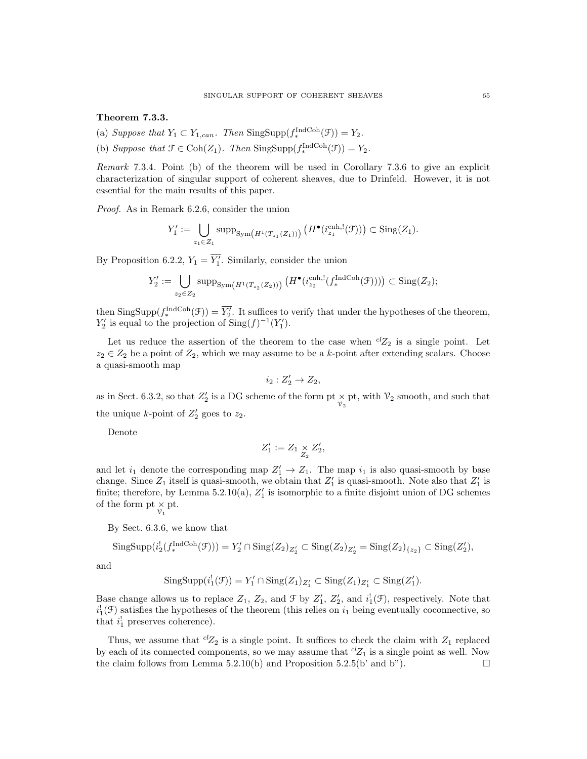Theorem 7.3.3.

- (a) Suppose that  $Y_1 \subset Y_{1,can}$ . Then  $\text{SingSupp}(f_*^{\text{IndCoh}}(\mathcal{F})) = Y_2$ .
- (b) Suppose that  $\mathcal{F} \in \text{Coh}(Z_1)$ . Then  $\text{SingSupp}(f_*^{\text{IndCoh}}(\mathcal{F})) = Y_2$ .

Remark 7.3.4. Point (b) of the theorem will be used in Corollary 7.3.6 to give an explicit characterization of singular support of coherent sheaves, due to Drinfeld. However, it is not essential for the main results of this paper.

Proof. As in Remark 6.2.6, consider the union

$$
Y_1' := \bigcup_{z_1 \in Z_1} \operatorname{supp}_{\operatorname{Sym}\left(H^1(T_{z_1}(Z_1))\right)} \left(H^{\bullet}(i_{z_1}^{\operatorname{enh},!}(\mathcal{F}))\right) \subset \operatorname{Sing}(Z_1).
$$

By Proposition 6.2.2,  $Y_1 = \overline{Y'_1}$ . Similarly, consider the union

$$
Y_2' := \bigcup_{z_2 \in Z_2} \operatorname{supp}_{\operatorname{Sym}\left(H^1(T_{z_2}(Z_2))\right)} \left(H^{\bullet}(i_{z_2}^{\operatorname{enh},!}(f^{\operatorname{IndCoh}}_*(\mathfrak{F})))\right) \subset \operatorname{Sing}(Z_2);
$$

then  $\text{SingSupp}(f^{\text{IndCoh}}_*(\mathcal{F})) = \overline{Y'_2}$ . It suffices to verify that under the hypotheses of the theorem,  $Y'_2$  is equal to the projection of  $\text{Sing}(f)^{-1}(Y'_1)$ .

Let us reduce the assertion of the theorem to the case when  ${}^{cl}Z_2$  is a single point. Let  $z_2 \in Z_2$  be a point of  $Z_2$ , which we may assume to be a k-point after extending scalars. Choose a quasi-smooth map

$$
i_2:Z_2'\to Z_2,
$$

as in Sect. 6.3.2, so that  $Z'_2$  is a DG scheme of the form pt  $\times$  pt, with  $\mathcal{V}_2$  smooth, and such that the unique *k*-point of  $Z'_2$  goes to  $z_2$ .

Denote

$$
Z_1' := Z_1 \underset{Z_2}{\times} Z_2',
$$

and let  $i_1$  denote the corresponding map  $Z'_1 \rightarrow Z_1$ . The map  $i_1$  is also quasi-smooth by base change. Since  $Z_1$  itself is quasi-smooth, we obtain that  $Z'_1$  is quasi-smooth. Note also that  $Z'_1$  is finite; therefore, by Lemma 5.2.10(a),  $Z'_{1}$  is isomorphic to a finite disjoint union of DG schemes of the form  $\mathop{\rm pt}\nolimits_{\mathop{\mathcal V}\nolimits_1}$   $\times$  pt.

By Sect. 6.3.6, we know that

$$
\mathrm{SingSupp}(i_2^!(f_*^{\mathrm{IndCoh}}(\mathcal{F}))) = Y_2' \cap \mathrm{Sing}(Z_2)_{Z_2'} \subset \mathrm{Sing}(Z_2)_{Z_2'} = \mathrm{Sing}(Z_2)_{\{z_2\}} \subset \mathrm{Sing}(Z_2'),
$$

and

$$
\mathrm{SingSupp}(i_1^!(\mathcal{F})) = Y'_1 \cap \mathrm{Sing}(Z_1)_{Z'_1} \subset \mathrm{Sing}(Z_1)_{Z'_1} \subset \mathrm{Sing}(Z'_1).
$$

Base change allows us to replace  $Z_1$ ,  $Z_2$ , and  $\mathcal{F}$  by  $Z'_1$ ,  $Z'_2$ , and  $i_1^1(\mathcal{F})$ , respectively. Note that  $i_1^{\dagger}(\mathcal{F})$  satisfies the hypotheses of the theorem (this relies on  $i_1$  being eventually coconnective, so that  $i_1^!$  preserves coherence).

Thus, we assume that  ${}^{cl}Z_2$  is a single point. It suffices to check the claim with  $Z_1$  replaced by each of its connected components, so we may assume that  ${}^{cl}Z_1$  is a single point as well. Now the claim follows from Lemma 5.2.10(b) and Proposition 5.2.5(b' and b").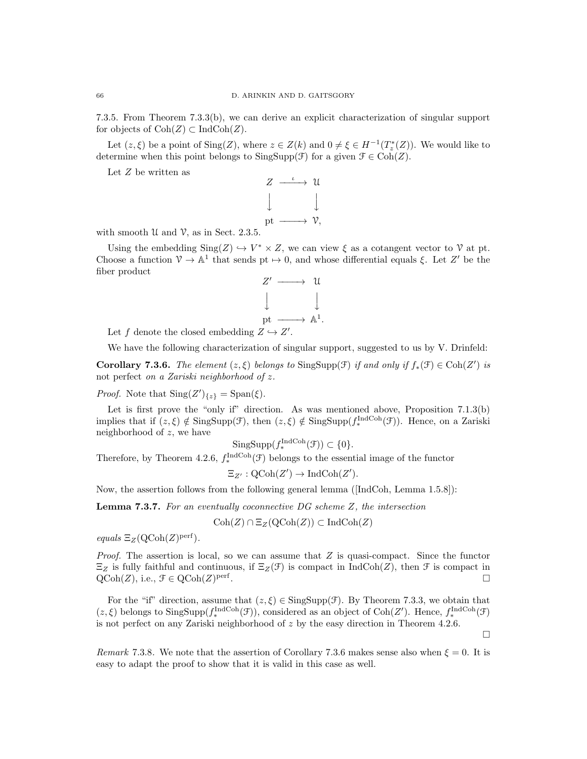7.3.5. From Theorem 7.3.3(b), we can derive an explicit characterization of singular support for objects of  $\text{Coh}(Z) \subset \text{IndCoh}(Z)$ .

Let  $(z, \xi)$  be a point of  $\text{Sing}(Z)$ , where  $z \in Z(k)$  and  $0 \neq \xi \in H^{-1}(T_z^*(Z))$ . We would like to determine when this point belongs to  $SingSupp(\mathcal{F})$  for a given  $\mathcal{F} \in \text{Coh}(Z)$ .

Let  $\mathbb Z$  be written as



with smooth  $U$  and  $V$ , as in Sect. 2.3.5.

Using the embedding  $\text{Sing}(Z) \hookrightarrow V^* \times Z$ , we can view  $\xi$  as a cotangent vector to  $\mathcal V$  at pt. Choose a function  $\mathcal{V} \to \mathbb{A}^1$  that sends pt  $\mapsto 0$ , and whose differential equals  $\xi$ . Let Z' be the fiber product



Let f denote the closed embedding  $Z \hookrightarrow Z'$ .

We have the following characterization of singular support, suggested to us by V. Drinfeld:

**Corollary 7.3.6.** The element  $(z, \xi)$  belongs to SingSupp( $\mathcal{F}$ ) if and only if  $f_*(\mathcal{F}) \in \text{Coh}(Z')$  is not perfect on a Zariski neighborhood of z.

*Proof.* Note that  $\text{Sing}(Z')_{\{z\}} = \text{Span}(\xi)$ .

Let is first prove the "only if" direction. As was mentioned above, Proposition 7.1.3(b) implies that if  $(z, \xi) \notin \text{SingSupp}(\mathcal{F})$ , then  $(z, \xi) \notin \text{SingSupp}(f_*^{\text{IndCoh}}(\mathcal{F}))$ . Hence, on a Zariski neighborhood of z, we have

$$
\mathrm{SingSupp}(f_*^{\mathrm{IndCoh}}(\mathcal{F})) \subset \{0\}.
$$

Therefore, by Theorem 4.2.6,  $f_*^{\text{IndCoh}}(\mathcal{F})$  belongs to the essential image of the functor

$$
\Xi_{Z'} : \mathrm{QCoh}(Z') \to \mathrm{IndCoh}(Z').
$$

Now, the assertion follows from the following general lemma ([IndCoh, Lemma 1.5.8]):

Lemma 7.3.7. For an eventually coconnective DG scheme Z, the intersection

 $\text{Coh}(Z) \cap \Xi_Z(\text{QCoh}(Z)) \subset \text{IndCoh}(Z)$ 

equals  $\Xi_Z(\mathrm{QCoh}(Z)^{\mathrm{perf}})$ .

*Proof.* The assertion is local, so we can assume that  $Z$  is quasi-compact. Since the functor  $\Xi_Z$  is fully faithful and continuous, if  $\Xi_Z(\mathcal{F})$  is compact in IndCoh(Z), then  $\mathcal F$  is compact in  $\mathrm{QCoh}(Z)$ , i.e.,  $\mathcal{F} \in \mathrm{QCoh}(Z)$ <sup>perf</sup> .

For the "if" direction, assume that  $(z, \xi) \in$  SingSupp(F). By Theorem 7.3.3, we obtain that  $(z, \xi)$  belongs to  $\text{SingSupp}(f_*^{\text{IndCoh}}(\mathcal{F}))$ , considered as an object of  $\text{Coh}(Z')$ . Hence,  $f_*^{\text{IndCoh}}(\mathcal{F})$ is not perfect on any Zariski neighborhood of z by the easy direction in Theorem 4.2.6.

 $\Box$ 

Remark 7.3.8. We note that the assertion of Corollary 7.3.6 makes sense also when  $\xi = 0$ . It is easy to adapt the proof to show that it is valid in this case as well.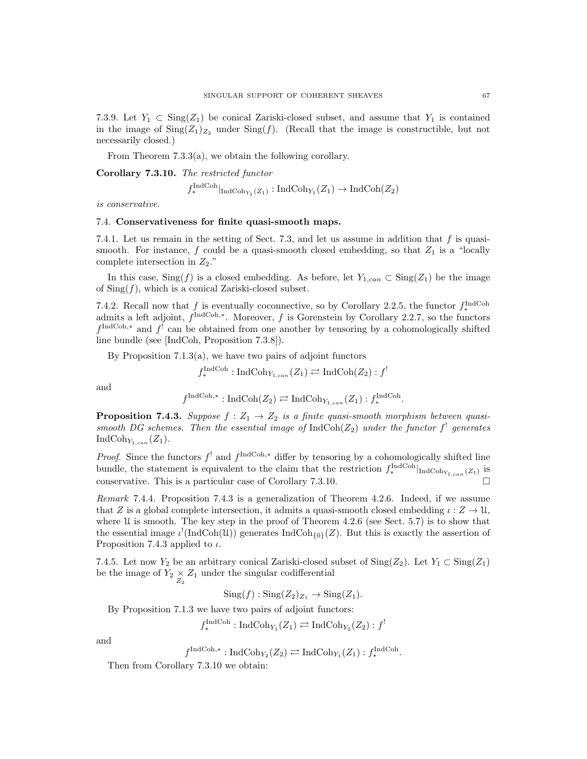7.3.9. Let  $Y_1 \subset \text{Sing}(Z_1)$  be conical Zariski-closed subset, and assume that  $Y_1$  is contained in the image of  $\text{Sing}(Z_1)_{Z_2}$  under  $\text{Sing}(f)$ . (Recall that the image is constructible, but not necessarily closed.)

From Theorem 7.3.3(a), we obtain the following corollary.

Corollary 7.3.10. The restricted functor

$$
f_*^{\text{IndCoh}}|_{\text{IndCoh}_{Y_1}(Z_1)}: \text{IndCoh}_{Y_1}(Z_1) \to \text{IndCoh}(Z_2)
$$

is conservative.

#### 7.4. Conservativeness for finite quasi-smooth maps.

7.4.1. Let us remain in the setting of Sect. 7.3, and let us assume in addition that  $f$  is quasismooth. For instance, f could be a quasi-smooth closed embedding, so that  $Z_1$  is a "locally complete intersection in  $Z_2$ ."

In this case,  $\text{Sing}(f)$  is a closed embedding. As before, let  $Y_{1,can} \subset \text{Sing}(Z_1)$  be the image of  $\text{Sing}(f)$ , which is a conical Zariski-closed subset.

7.4.2. Recall now that f is eventually coconnective, so by Corollary 2.2.5, the functor  $f_*^{\text{IndCoh}}$ admits a left adjoint,  $f^{\text{IndCoh},*}$ . Moreover, f is Gorenstein by Corollary 2.2.7, so the functors  $f^{\text{IndCoh},*}$  and  $f^!$  can be obtained from one another by tensoring by a cohomologically shifted line bundle (see [IndCoh, Proposition 7.3.8]).

By Proposition 7.1.3(a), we have two pairs of adjoint functors

$$
f_*^{\text{IndCoh}}: \text{IndCoh}_{Y_{1,can}}(Z_1) \rightleftarrows \text{IndCoh}(Z_2) : f^!
$$

and

$$
f^{\text{IndCoh},*}: \text{IndCoh}(Z_2) \rightleftarrows \text{IndCoh}_{Y_{1,can}}(Z_1): f_*^{\text{IndCoh}}.
$$

**Proposition 7.4.3.** Suppose  $f : Z_1 \to Z_2$  is a finite quasi-smooth morphism between quasismooth DG schemes. Then the essential image of  $\text{IndCoh}(Z_2)$  under the functor  $f^!$  generates IndCoh<sub>Y<sub>1,can</sub>(Z<sub>1</sub>).</sub>

*Proof.* Since the functors  $f^!$  and  $f^{\text{IndCoh},*}$  differ by tensoring by a cohomologically shifted line bundle, the statement is equivalent to the claim that the restriction  $f_*^{\text{IndCoh}}|_{\text{IndCoh}_{Y_{1,can}}(Z_1)}$  is conservative. This is a particular case of Corollary 7.3.10.

Remark 7.4.4. Proposition 7.4.3 is a generalization of Theorem 4.2.6. Indeed, if we assume that Z is a global complete intersection, it admits a quasi-smooth closed embedding  $\iota : Z \to \mathfrak{U}$ , where  $\mathfrak U$  is smooth. The key step in the proof of Theorem 4.2.6 (see Sect. 5.7) is to show that the essential image  $\iota^! (\text{IndCoh}(\mathcal{U}))$  generates  $\text{IndCoh}_{\{0\}}(Z)$ . But this is exactly the assertion of Proposition 7.4.3 applied to  $\iota$ .

7.4.5. Let now  $Y_2$  be an arbitrary conical Zariski-closed subset of  $\text{Sing}(Z_2)$ . Let  $Y_1 \subset \text{Sing}(Z_1)$ be the image of  $Y_2 \underset{Z_2}{\times} Z_1$  under the singular codifferential

 $\text{Sing}(f) : \text{Sing}(Z_2)_{Z_1} \to \text{Sing}(Z_1).$ 

By Proposition 7.1.3 we have two pairs of adjoint functors:

 $f_*^{\text{IndCoh}}: \text{IndCoh}_{Y_1}(Z_1) \rightleftarrows \text{IndCoh}_{Y_2}(Z_2) : f^!$ 

and

$$
f^{\text{IndCoh},*}: \text{IndCoh}_{Y_2}(Z_2) \rightleftarrows \text{IndCoh}_{Y_1}(Z_1): f_*^{\text{IndCoh}}.
$$

Then from Corollary 7.3.10 we obtain: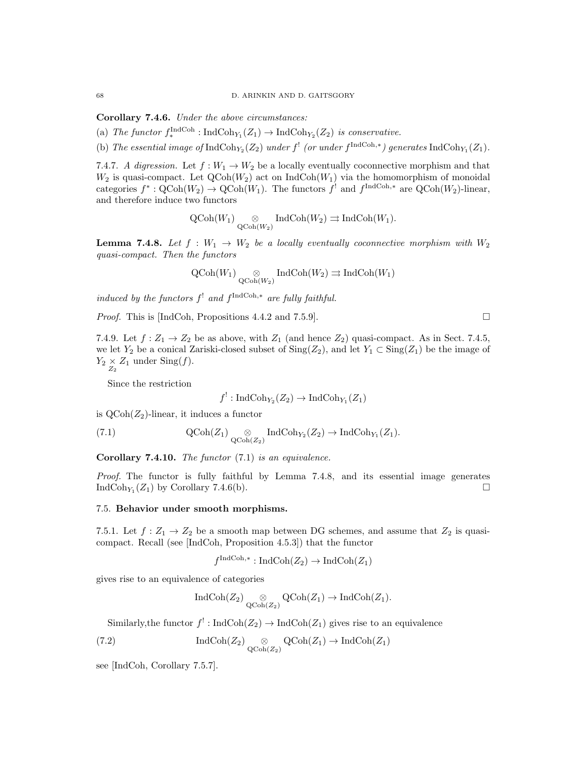Corollary 7.4.6. Under the above circumstances:

(a) The functor  $f_*^{\text{IndCoh}}: \text{IndCoh}_{Y_1}(Z_1) \to \text{IndCoh}_{Y_2}(Z_2)$  is conservative.

(b) The essential image of  $\text{IndCoh}_{Y_2}(Z_2)$  under  $f^!$  (or under  $f^{\text{IndCoh},*}$ ) generates  $\text{IndCoh}_{Y_1}(Z_1)$ .

7.4.7. A digression. Let  $f: W_1 \to W_2$  be a locally eventually coconnective morphism and that  $W_2$  is quasi-compact. Let  $\text{QCoh}(W_2)$  act on IndCoh $(W_1)$  via the homomorphism of monoidal categories  $f^*: \text{QCoh}(W_2) \to \text{QCoh}(W_1)$ . The functors  $f^!$  and  $f^{\text{IndCoh},*}$  are  $\text{QCoh}(W_2)$ -linear, and therefore induce two functors

$$
\operatorname{QCoh}(W_1) \underset{\operatorname{QCoh}(W_2)}{\otimes} \operatorname{IndCoh}(W_2) \rightrightarrows \operatorname{IndCoh}(W_1).
$$

**Lemma 7.4.8.** Let  $f : W_1 \to W_2$  be a locally eventually coconnective morphism with  $W_2$ quasi-compact. Then the functors

$$
\operatorname{QCoh}(W_1) \underset{\operatorname{QCoh}(W_2)}{\otimes} \operatorname{IndCoh}(W_2) \rightrightarrows \operatorname{IndCoh}(W_1)
$$

induced by the functors  $f^!$  and  $f^{\text{IndCoh},*}$  are fully faithful.

*Proof.* This is [IndCoh, Propositions 4.4.2 and 7.5.9].  $\Box$ 

7.4.9. Let  $f: Z_1 \to Z_2$  be as above, with  $Z_1$  (and hence  $Z_2$ ) quasi-compact. As in Sect. 7.4.5, we let  $Y_2$  be a conical Zariski-closed subset of  $\text{Sing}(Z_2)$ , and let  $Y_1 \subset \text{Sing}(Z_1)$  be the image of  $Y_2 \underset{Z_2}{\times} Z_1$  under  $\text{Sing}(f)$ .

Since the restriction

$$
f^!: \operatorname{IndCoh}_{Y_2}(Z_2) \to \operatorname{IndCoh}_{Y_1}(Z_1)
$$

is  $Q\text{Coh}(Z_2)$ -linear, it induces a functor

(7.1) 
$$
\operatorname{QCoh}(Z_1) \underset{\operatorname{QCoh}(Z_2)}{\otimes} \operatorname{IndCoh}_{Y_2}(Z_2) \to \operatorname{IndCoh}_{Y_1}(Z_1).
$$

**Corollary 7.4.10.** The functor  $(7.1)$  is an equivalence.

Proof. The functor is fully faithful by Lemma 7.4.8, and its essential image generates IndCoh<sub>Y1</sub> $(Z_1)$  by Corollary 7.4.6(b).

## 7.5. Behavior under smooth morphisms.

7.5.1. Let  $f: Z_1 \to Z_2$  be a smooth map between DG schemes, and assume that  $Z_2$  is quasicompact. Recall (see [IndCoh, Proposition 4.5.3]) that the functor

$$
f^{\text{IndCoh},*}: \text{IndCoh}(Z_2) \to \text{IndCoh}(Z_1)
$$

gives rise to an equivalence of categories

$$
\operatorname{IndCoh}(Z_2) \underset{\operatorname{QCoh}(Z_2)}{\otimes} \operatorname{QCoh}(Z_1) \to \operatorname{IndCoh}(Z_1).
$$

Similarly, the functor  $f' : \text{IndCoh}(Z_2) \to \text{IndCoh}(Z_1)$  gives rise to an equivalence

(7.2) 
$$
\operatorname{IndCoh}(Z_2) \underset{\operatorname{QCoh}(Z_2)}{\otimes} \operatorname{QCoh}(Z_1) \to \operatorname{IndCoh}(Z_1)
$$

see [IndCoh, Corollary 7.5.7].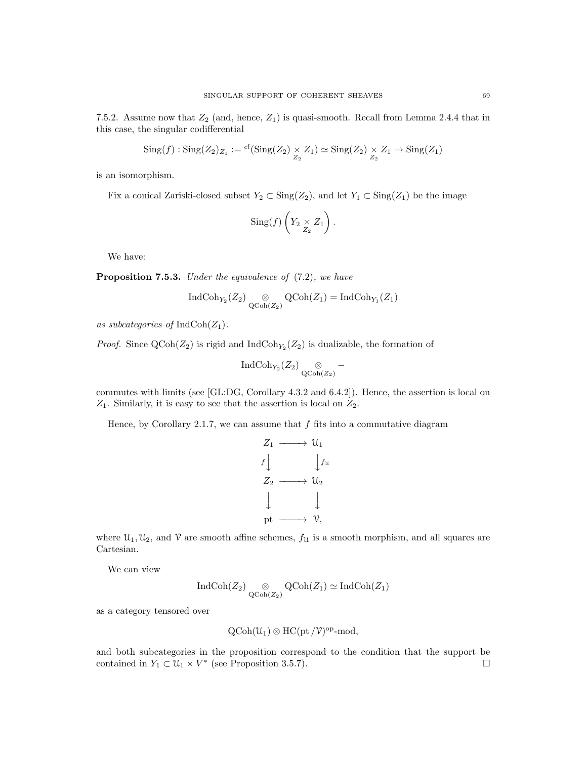7.5.2. Assume now that  $Z_2$  (and, hence,  $Z_1$ ) is quasi-smooth. Recall from Lemma 2.4.4 that in this case, the singular codifferential

$$
Sing(f) : Sing(Z_2)_{Z_1} := {}^{cl}(\text{Sing}(Z_2) \underset{Z_2}{\times} Z_1) \simeq Sing(Z_2) \underset{Z_2}{\times} Z_1 \to Sing(Z_1)
$$

is an isomorphism.

Fix a conical Zariski-closed subset  $Y_2 \subset Sing(Z_2)$ , and let  $Y_1 \subset Sing(Z_1)$  be the image

$$
\mathrm{Sing}(f)\left(Y_2 \underset{Z_2}{\times} Z_1\right).
$$

We have:

Proposition 7.5.3. Under the equivalence of  $(7.2)$ , we have

$$
\operatorname{IndCoh}_{Y_2}(Z_2) \underset{\operatorname{QCoh}(Z_2)}{\otimes} \operatorname{QCoh}(Z_1) = \operatorname{IndCoh}_{Y_1}(Z_1)
$$

as subcategories of  $\text{IndCoh}(Z_1)$ .

*Proof.* Since  $\text{QCoh}(Z_2)$  is rigid and  $\text{IndCoh}_{Y_2}(Z_2)$  is dualizable, the formation of

$$
\operatorname{IndCoh}_{Y_2}(Z_2) \underset{\operatorname{QCoh}(Z_2)}{\otimes} -
$$

commutes with limits (see [GL:DG, Corollary 4.3.2 and 6.4.2]). Hence, the assertion is local on  $Z_1$ . Similarly, it is easy to see that the assertion is local on  $Z_2$ .

Hence, by Corollary 2.1.7, we can assume that  $f$  fits into a commutative diagram



where  $\mathcal{U}_1, \mathcal{U}_2$ , and  $\mathcal V$  are smooth affine schemes,  $f_{\mathcal{U}}$  is a smooth morphism, and all squares are Cartesian.

We can view

$$
\operatorname{IndCoh}(Z_2) \underset{\operatorname{QCoh}(Z_2)}{\otimes} \operatorname{QCoh}(Z_1) \simeq \operatorname{IndCoh}(Z_1)
$$

as a category tensored over

$$
\text{QCoh}(\mathcal{U}_1) \otimes \text{HC}(\text{pt}/\mathcal{V})^{\text{op}}\text{-mod},
$$

and both subcategories in the proposition correspond to the condition that the support be contained in  $Y_1 \subset U_1 \times V^*$  (see Proposition 3.5.7).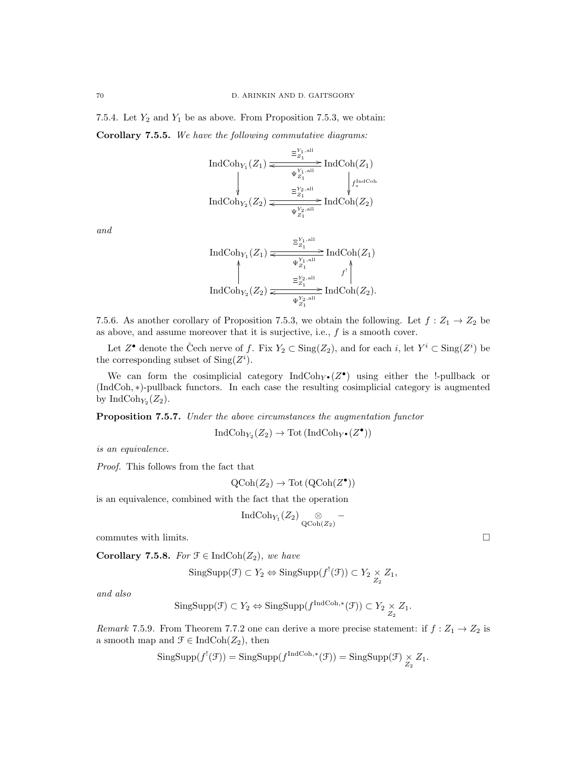7.5.4. Let  $Y_2$  and  $Y_1$  be as above. From Proposition 7.5.3, we obtain: Corollary 7.5.5. We have the following commutative diagrams:

> $\text{IndCoh}_{Y_1}(Z_1)$  $\frac{\Xi_{Z_1}^{Y_1,\text{all}}}{\Xi_{Z_1}}$  IndCoh $(Z_1)$ ľ  $\Psi_{Z_1}^{Y_1,\text{all}}$ o  $f^{\rm IndCoh}_*$ ľ.  $\operatorname{IndCoh}_{Y_2}(Z_2)$  $\frac{\Xi_{Z_1}^{Y_2,\text{all}}}{\Xi_{Z_1}^{Y_2}}$  IndCoh $(Z_2)$  $\Psi_{Z_1}^{Y_2,\text{all}}$ o

and

$$
\operatorname{IndCoh}_{Y_1}(Z_1) \xleftarrow{\Xi_{Z_1}^{Y_1, \text{all}}} \operatorname{IndCoh}(Z_1)
$$
\n
$$
\uparrow \qquad \qquad \downarrow \qquad \qquad \downarrow \qquad \downarrow \qquad \downarrow
$$
\n
$$
\operatorname{IndCoh}_{Y_2}(Z_2) \xleftarrow{\Xi_{Z_1}^{Y_2, \text{all}}} \operatorname{IndCoh}(Z_2).
$$

7.5.6. As another corollary of Proposition 7.5.3, we obtain the following. Let  $f: Z_1 \rightarrow Z_2$  be as above, and assume moreover that it is surjective, i.e.,  $f$  is a smooth cover.

Let  $Z^{\bullet}$  denote the Čech nerve of f. Fix  $Y_2 \subset Sing(Z_2)$ , and for each i, let  $Y^i \subset Sing(Z^i)$  be the corresponding subset of  $\text{Sing}(Z^i)$ .

We can form the cosimplicial category  $\text{IndCoh}_{Y^{\bullet}}(Z^{\bullet})$  using either the !-pullback or (IndCoh, ∗)-pullback functors. In each case the resulting cosimplicial category is augmented by IndCoh<sub>Y<sub>2</sub></sub> $(Z_2)$ .

Proposition 7.5.7. Under the above circumstances the augmentation functor

 $\text{IndCoh}_{Y_2}(Z_2) \to \text{Tot}(\text{IndCoh}_{Y^{\bullet}}(Z^{\bullet}))$ 

is an equivalence.

Proof. This follows from the fact that

$$
\operatorname{QCoh}(Z_2) \to \operatorname{Tot}\left( \operatorname{QCoh}(Z^{\bullet}) \right)
$$

is an equivalence, combined with the fact that the operation

$$
\operatorname{IndCoh}_{Y_1}(Z_2) \underset{\operatorname{QCoh}(Z_2)}{\otimes} -
$$

commutes with limits.  $\Box$ 

Corollary 7.5.8. For  $\mathfrak{F} \in \text{IndCoh}(Z_2)$ , we have

$$
\mathrm{SingSupp}(\mathcal{F}) \subset Y_2 \Leftrightarrow \mathrm{SingSupp}(f^!(\mathcal{F})) \subset Y_2 \underset{Z_2}{\times} Z_1,
$$

and also

$$
\mathrm{SingSupp}(\mathcal{F}) \subset Y_2 \Leftrightarrow \mathrm{SingSupp}(f^{\mathrm{IndCoh},*}(\mathcal{F})) \subset Y_2 \underset{Z_2}{\times} Z_1.
$$

Remark 7.5.9. From Theorem 7.7.2 one can derive a more precise statement: if  $f : Z_1 \to Z_2$  is a smooth map and  $\mathcal{F} \in \text{IndCoh}(Z_2)$ , then

$$
\mathrm{SingSupp}(f^{!}(\mathcal{F})) = \mathrm{SingSupp}(f^{\mathrm{IndCoh},*}(\mathcal{F})) = \mathrm{SingSupp}(\mathcal{F}) \underset{Z_2}{\times} Z_1.
$$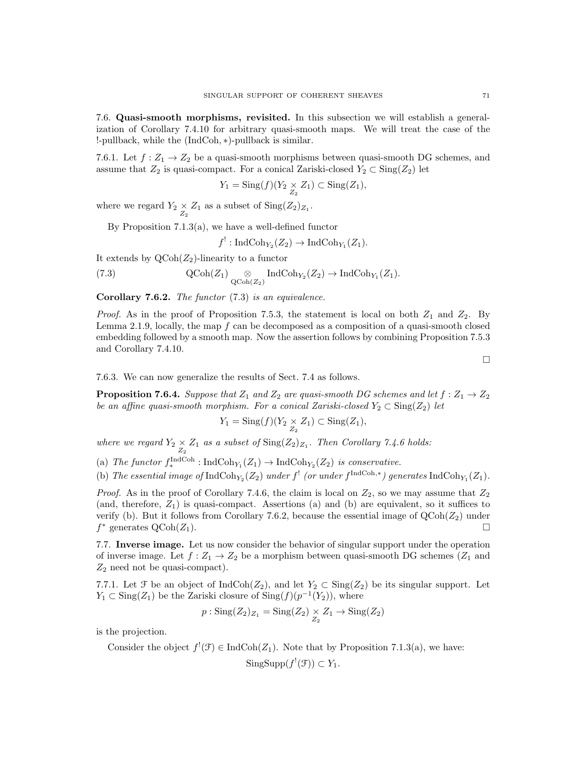7.6. Quasi-smooth morphisms, revisited. In this subsection we will establish a generalization of Corollary 7.4.10 for arbitrary quasi-smooth maps. We will treat the case of the !-pullback, while the (IndCoh, ∗)-pullback is similar.

7.6.1. Let  $f: Z_1 \to Z_2$  be a quasi-smooth morphisms between quasi-smooth DG schemes, and assume that  $Z_2$  is quasi-compact. For a conical Zariski-closed  $Y_2 \subset \text{Sing}(Z_2)$  let

$$
Y_1 = \operatorname{Sing}(f)(Y_2 \underset{Z_2}{\times} Z_1) \subset \operatorname{Sing}(Z_1),
$$

where we regard  $Y_2 \underset{Z_2}{\times} Z_1$  as a subset of  $\text{Sing}(Z_2)_{Z_1}$ .

By Proposition 7.1.3(a), we have a well-defined functor

 $f' : \text{IndCoh}_{Y_2}(Z_2) \to \text{IndCoh}_{Y_1}(Z_1).$ 

It extends by  $Q\text{Coh}(Z_2)$ -linearity to a functor

(7.3) 
$$
\operatorname{QCoh}(Z_1) \underset{\operatorname{QCoh}(Z_2)}{\otimes} \operatorname{IndCoh}_{Y_2}(Z_2) \to \operatorname{IndCoh}_{Y_1}(Z_1).
$$

Corollary 7.6.2. The functor  $(7.3)$  is an equivalence.

*Proof.* As in the proof of Proposition 7.5.3, the statement is local on both  $Z_1$  and  $Z_2$ . By Lemma 2.1.9, locally, the map  $f$  can be decomposed as a composition of a quasi-smooth closed embedding followed by a smooth map. Now the assertion follows by combining Proposition 7.5.3 and Corollary 7.4.10.

 $\Box$ 

7.6.3. We can now generalize the results of Sect. 7.4 as follows.

**Proposition 7.6.4.** Suppose that  $Z_1$  and  $Z_2$  are quasi-smooth DG schemes and let  $f : Z_1 \to Z_2$ be an affine quasi-smooth morphism. For a conical Zariski-closed  $Y_2 \subset Sing(Z_2)$  let

$$
Y_1 = \operatorname{Sing}(f)(Y_2 \times Z_1) \subset \operatorname{Sing}(Z_1),
$$

where we regard  $Y_2 \times Z_1$  as a subset of  $\text{Sing}(Z_2)_{Z_1}$ . Then Corollary 7.4.6 holds:

(a) The functor  $f_*^{\text{IndCoh}}: \text{IndCoh}_{Y_1}(Z_1) \to \text{IndCoh}_{Y_2}(Z_2)$  is conservative.

(b) The essential image of  $\text{IndCoh}_{Y_2}(Z_2)$  under  $f^!$  (or under  $f^{\text{IndCoh},*}$ ) generates  $\text{IndCoh}_{Y_1}(Z_1)$ .

*Proof.* As in the proof of Corollary 7.4.6, the claim is local on  $Z_2$ , so we may assume that  $Z_2$ (and, therefore,  $Z_1$ ) is quasi-compact. Assertions (a) and (b) are equivalent, so it suffices to verify (b). But it follows from Corollary 7.6.2, because the essential image of  $QCoh(Z_2)$  under  $f^*$  generates  $\text{QCoh}(Z_1)$ .

7.7. Inverse image. Let us now consider the behavior of singular support under the operation of inverse image. Let  $f: Z_1 \to Z_2$  be a morphism between quasi-smooth DG schemes ( $Z_1$  and  $Z_2$  need not be quasi-compact).

7.7.1. Let  $\mathcal F$  be an object of  $\text{IndCoh}(Z_2)$ , and let  $Y_2 \subset \text{Sing}(Z_2)$  be its singular support. Let  $Y_1 \subset \text{Sing}(Z_1)$  be the Zariski closure of  $\text{Sing}(f)(p^{-1}(Y_2))$ , where

$$
p: \mathrm{Sing}(Z_2)_{Z_1} = \mathrm{Sing}(Z_2) \underset{Z_2}{\times} Z_1 \to \mathrm{Sing}(Z_2)
$$

is the projection.

Consider the object  $f'(\mathcal{F}) \in \text{IndCoh}(Z_1)$ . Note that by Proposition 7.1.3(a), we have:

SingSupp $(f^{!}(\mathcal{F})) \subset Y_1$ .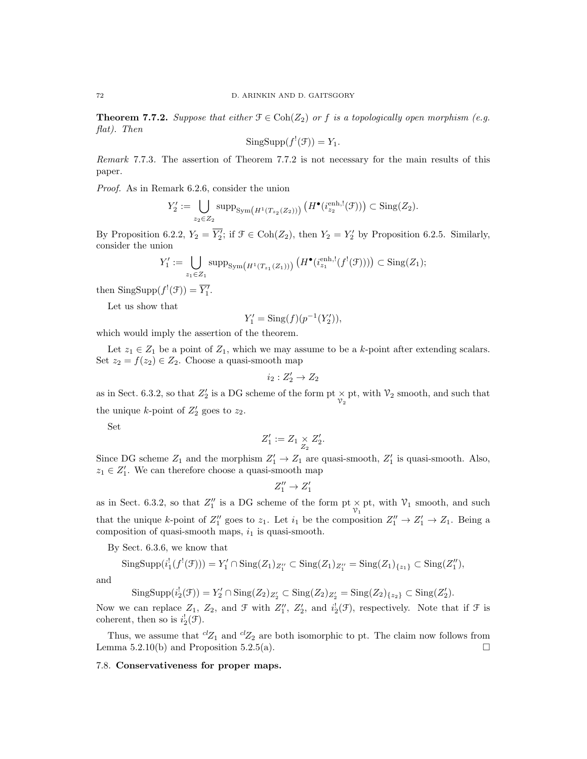**Theorem 7.7.2.** Suppose that either  $\mathcal{F} \in \text{Coh}(Z_2)$  or f is a topologically open morphism (e.g. flat). Then

$$
SingSupp(f^{!}(\mathcal{F}))=Y_{1}.
$$

Remark 7.7.3. The assertion of Theorem 7.7.2 is not necessary for the main results of this paper.

Proof. As in Remark 6.2.6, consider the union

$$
Y_2' := \bigcup_{z_2 \in Z_2} \operatorname{supp}_{\operatorname{Sym}\left(H^1(T_{z_2}(Z_2))\right)} \left(H^{\bullet}(\mathfrak{i}_{z_2}^{\operatorname{enh},!}(\mathcal{F}))\right) \subset \operatorname{Sing}(Z_2).
$$

By Proposition 6.2.2,  $Y_2 = \overline{Y_2'}$ ; if  $\mathcal{F} \in \text{Coh}(Z_2)$ , then  $Y_2 = Y_2'$  by Proposition 6.2.5. Similarly, consider the union

$$
Y_1' := \bigcup_{z_1 \in Z_1} \operatorname{supp}_{\operatorname{Sym}\left(H^1(T_{z_1}(Z_1))\right)} \left(H^{\bullet}(\widehat{\iota}_{z_1}^{\text{enh},!}(f^!(\mathcal{F})))\right) \subset \operatorname{Sing}(Z_1);
$$

then  $\text{SingSupp}(f^{!}(\mathcal{F})) = \overline{Y'_{1}}$ .

Let us show that

$$
Y_1' = \text{Sing}(f)(p^{-1}(Y_2')),
$$

which would imply the assertion of the theorem.

Let  $z_1 \in Z_1$  be a point of  $Z_1$ , which we may assume to be a k-point after extending scalars. Set  $z_2 = f(z_2) \in Z_2$ . Choose a quasi-smooth map

$$
i_2:Z_2'\to Z_2
$$

as in Sect. 6.3.2, so that  $Z'_2$  is a DG scheme of the form pt  $\times$  pt, with  $\mathcal{V}_2$  smooth, and such that the unique *k*-point of  $Z'_2$  goes to  $z_2$ .

Set

$$
Z_1' := Z_1 \underset{Z_2}{\times} Z_2'.
$$

Since DG scheme  $Z_1$  and the morphism  $Z'_1 \to Z_1$  are quasi-smooth,  $Z'_1$  is quasi-smooth. Also,  $z_1 \in Z'_1$ . We can therefore choose a quasi-smooth map

$$
Z''_1\to Z'_1
$$

as in Sect. 6.3.2, so that  $Z_1''$  is a DG scheme of the form  $\mathop{\rm pt}\nolimits_{\mathcal{V}_1}$  pt, with  $\mathcal{V}_1$  smooth, and such that the unique k-point of  $Z_1''$  goes to  $z_1$ . Let  $i_1$  be the composition  $Z_1'' \to Z_1' \to Z_1$ . Being a composition of quasi-smooth maps,  $i_1$  is quasi-smooth.

By Sect. 6.3.6, we know that

$$
\mathrm{SingSupp}(i_1^!(f^!(\mathcal{F}))) = Y'_1 \cap \mathrm{Sing}(Z_1)_{Z''_1} \subset \mathrm{Sing}(Z_1)_{Z''_1} = \mathrm{Sing}(Z_1)_{\{z_1\}} \subset \mathrm{Sing}(Z''_1),
$$

and

$$
\mathrm{SingSupp}(i_2^!(\mathcal{F})) = Y_2' \cap \mathrm{Sing}(Z_2)_{Z_2'} \subset \mathrm{Sing}(Z_2)_{Z_2'} = \mathrm{Sing}(Z_2)_{\{z_2\}} \subset \mathrm{Sing}(Z_2').
$$

Now we can replace  $Z_1$ ,  $Z_2$ , and  $\mathcal{F}$  with  $Z''_1$ ,  $Z'_2$ , and  $i_2^!(\mathcal{F})$ , respectively. Note that if  $\mathcal{F}$  is coherent, then so is  $i_2^!(\mathcal{F})$ .

Thus, we assume that  ${}^{cl}Z_1$  and  ${}^{cl}Z_2$  are both isomorphic to pt. The claim now follows from Lemma 5.2.10(b) and Proposition 5.2.5(a).  $\Box$ 

## 7.8. Conservativeness for proper maps.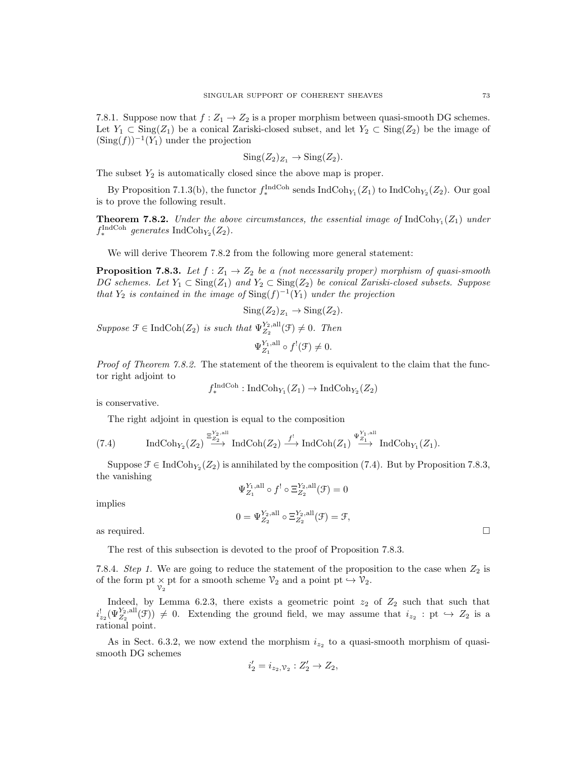7.8.1. Suppose now that  $f: Z_1 \to Z_2$  is a proper morphism between quasi-smooth DG schemes. Let  $Y_1 \subset \text{Sing}(Z_1)$  be a conical Zariski-closed subset, and let  $Y_2 \subset \text{Sing}(Z_2)$  be the image of  $(\mathrm{Sing}(f))^{-1}(Y_1)$  under the projection

$$
Sing(Z_2)_{Z_1}\to Sing(Z_2).
$$

The subset  $Y_2$  is automatically closed since the above map is proper.

By Proposition 7.1.3(b), the functor  $f_*^{\text{IndCoh}}$  sends  $\text{IndCoh}_{Y_1}(Z_1)$  to  $\text{IndCoh}_{Y_2}(Z_2)$ . Our goal is to prove the following result.

**Theorem 7.8.2.** Under the above circumstances, the essential image of  $\text{IndCoh}_{Y_1}(Z_1)$  under  $f_*^{\text{IndCoh}}$  generates IndCoh<sub>Y<sub>2</sub></sub> $(Z_2)$ .

We will derive Theorem 7.8.2 from the following more general statement:

**Proposition 7.8.3.** Let  $f : Z_1 \to Z_2$  be a (not necessarily proper) morphism of quasi-smooth DG schemes. Let  $Y_1 \subset \text{Sing}(Z_1)$  and  $Y_2 \subset \text{Sing}(Z_2)$  be conical Zariski-closed subsets. Suppose that  $Y_2$  is contained in the image of  $\text{Sing}(f)^{-1}(Y_1)$  under the projection

$$
Sing(Z_2)_{Z_1} \to Sing(Z_2).
$$

Suppose  $\mathcal{F} \in \text{IndCoh}(Z_2)$  is such that  $\Psi_{Z_2}^{Y_2,all}(\mathcal{F}) \neq 0$ . Then  $\Psi_{Z_1}^{Y_1, \text{all}} \circ f^{!}(\mathcal{F}) \neq 0.$ 

Proof of Theorem 7.8.2. The statement of the theorem is equivalent to the claim that the functor right adjoint to

 $f_*^{\text{IndCoh}}: \text{IndCoh}_{Y_1}(Z_1) \to \text{IndCoh}_{Y_2}(Z_2)$ 

is conservative.

The right adjoint in question is equal to the composition

(7.4) IndCoh<sub>Y<sub>2</sub></sub>(Z<sub>2</sub>) 
$$
\xrightarrow{\Xi_{Z_2}^{Y_2,\text{all}}}
$$
 IndCoh(Z<sub>2</sub>)  $\xrightarrow{f'}$  IndCoh(Z<sub>1</sub>)  $\xrightarrow{\Psi_{Z_1}^{Y_1,\text{all}}}$  IndCoh<sub>Y<sub>1</sub></sub>(Z<sub>1</sub>).

Suppose  $\mathcal{F} \in \text{IndCoh}_{Y_2}(Z_2)$  is annihilated by the composition (7.4). But by Proposition 7.8.3, the vanishing

$$
\Psi_{Z_1}^{Y_1,\text{all}}\circ f^!\circ \Xi_{Z_2}^{Y_2,\text{all}}(\mathcal{F})=0
$$

implies

$$
0 = \Psi_{Z_2}^{Y_2, \text{all}} \circ \Xi_{Z_2}^{Y_2, \text{all}}(\mathcal{F}) = \mathcal{F},
$$

as required.  $\Box$ 

The rest of this subsection is devoted to the proof of Proposition 7.8.3.

7.8.4. Step 1. We are going to reduce the statement of the proposition to the case when  $Z_2$  is of the form pt  $\times$  pt for a smooth scheme  $\mathcal{V}_2$  and a point pt  $\hookrightarrow \mathcal{V}_2$ .

Indeed, by Lemma 6.2.3, there exists a geometric point  $z_2$  of  $Z_2$  such that such that  $i'_{z_2}(\Psi_{Z_2}^{Y_2,all}(\mathcal{F})) \neq 0$ . Extending the ground field, we may assume that  $i_{z_2} : pt \hookrightarrow Z_2$  is a rational point.

As in Sect. 6.3.2, we now extend the morphism  $i_{z_2}$  to a quasi-smooth morphism of quasismooth DG schemes

$$
i_2' = i_{z_2, \mathcal{V}_2} : Z_2' \to Z_2,
$$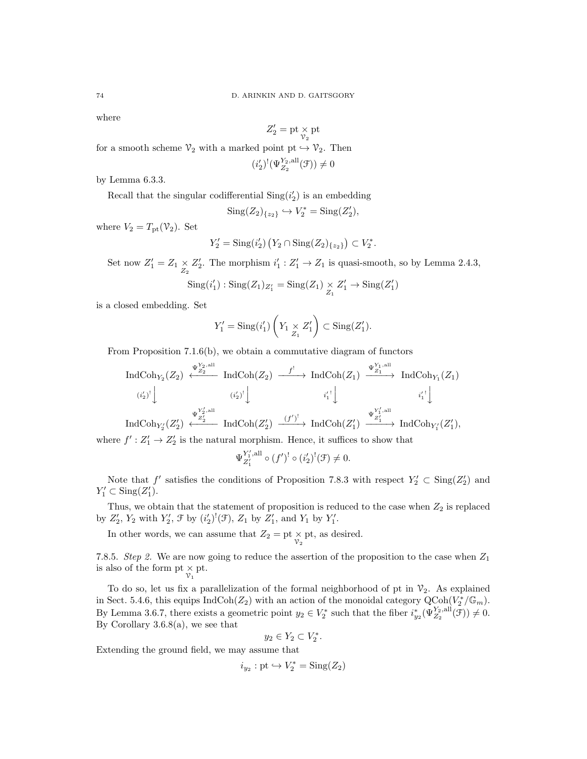where

$$
Z'_2=\mathrm{pt}\mathop{\times}\limits_{\mathcal{V}_2}\mathrm{pt}
$$

for a smooth scheme  $\mathcal{V}_2$  with a marked point pt  $\hookrightarrow \mathcal{V}_2$ . Then

$$
(i_2')^!(\Psi_{Z_2}^{Y_2,\text{all}}(\mathcal{F})) \neq 0
$$

by Lemma 6.3.3.

Recall that the singular codifferential  $\text{Sing}(i_2')$  is an embedding

$$
Sing(Z_2)_{\{z_2\}}\hookrightarrow V_2^*=\mathrm{Sing}(Z_2'),
$$

where  $V_2 = T_{\text{pt}}(\mathcal{V}_2)$ . Set

$$
Y_2' = \text{Sing}(i'_2) (Y_2 \cap \text{Sing}(Z_2)_{\{z_2\}}) \subset V_2^*.
$$

Set now  $Z'_1 = Z_1 \underset{Z_2}{\times} Z'_2$ . The morphism  $i'_1 : Z'_1 \to Z_1$  is quasi-smooth, so by Lemma 2.4.3,

$$
Sing(i'_1): Sing(Z_1)_{Z'_1} = Sing(Z_1) \underset{Z_1}{\times} Z'_1 \to Sing(Z'_1)
$$

is a closed embedding. Set

$$
Y_1' = \mathrm{Sing}(i'_1) \left( Y_1 \underset{Z_1}{\times} Z'_1 \right) \subset \mathrm{Sing}(Z'_1).
$$

From Proposition 7.1.6(b), we obtain a commutative diagram of functors

$$
\operatorname{IndCoh}_{Y_2}(Z_2) \stackrel{\Psi_{Z_2}^{Y_2,\text{all}}}{\longleftarrow} \operatorname{IndCoh}(Z_2) \stackrel{f^!}{\longrightarrow} \operatorname{IndCoh}(Z_1) \stackrel{\Psi_{Z_1}^{Y_1,\text{all}}}{\longrightarrow} \operatorname{IndCoh}_{Y_1}(Z_1)
$$
  
\n
$$
\xrightarrow{(\iota_2')^!} \downarrow \qquad \qquad \xrightarrow{i_1'^!} \downarrow \qquad \qquad \xrightarrow{i_1'^!} \downarrow \qquad \qquad \xrightarrow{i_1'^!} \downarrow
$$
  
\n
$$
\operatorname{IndCoh}_{Y_2'}(Z_2') \stackrel{\Psi_{Z_2}^{Y_2',\text{all}}}{\longleftarrow} \operatorname{IndCoh}(Z_2') \stackrel{(f')^!}{\longrightarrow} \operatorname{IndCoh}(Z_1') \stackrel{\Psi_{Z_1'}^{Y_1',\text{all}}}{\longrightarrow} \operatorname{IndCoh}_{Y_1'}(Z_1'),
$$

where  $f' : Z'_1 \to Z'_2$  is the natural morphism. Hence, it suffices to show that

$$
\Psi_{Z'_1}^{Y'_1, \text{all}} \circ (f')^! \circ (i'_2)^! (\mathcal{F}) \neq 0.
$$

Note that  $f'$  satisfies the conditions of Proposition 7.8.3 with respect  $Y'_2 \subset \text{Sing}(Z'_2)$  and  $Y'_1 \subset \text{Sing}(Z'_1).$ 

Thus, we obtain that the statement of proposition is reduced to the case when  $Z_2$  is replaced by  $Z'_2$ ,  $Y_2$  with  $Y'_2$ ,  $\mathcal{F}$  by  $(i'_2)^!(\mathcal{F})$ ,  $Z_1$  by  $Z'_1$ , and  $Y_1$  by  $Y'_1$ .

In other words, we can assume that  $Z_2 = \text{pt} \times_{\mathcal{V}_2} \text{pt}$ , as desired.

7.8.5. Step 2. We are now going to reduce the assertion of the proposition to the case when  $Z_1$ is also of the form pt  $\underset{\mathcal{V}_1}{\times}$  pt.

To do so, let us fix a parallelization of the formal neighborhood of pt in  $\mathcal{V}_2$ . As explained in Sect. 5.4.6, this equips  $\text{IndCoh}(Z_2)$  with an action of the monoidal category  $\text{QCoh}(V_2^*/\mathbb{G}_m)$ . By Lemma 3.6.7, there exists a geometric point  $y_2 \in V_2^*$  such that the fiber  $i_{y_2}^* (\Psi_{Z_2}^{Y_2,all}(\mathcal{F})) \neq 0$ . By Corollary  $3.6.8(a)$ , we see that

$$
y_2 \in Y_2 \subset V_2^*.
$$

Extending the ground field, we may assume that

 $i_{y_2}: \text{pt} \hookrightarrow V_2^* = \text{Sing}(Z_2)$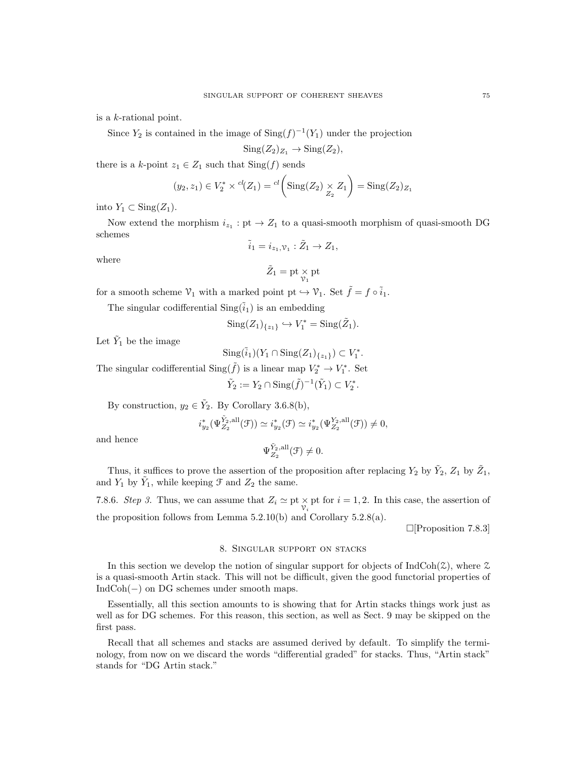is a k-rational point.

Since  $Y_2$  is contained in the image of  $\text{Sing}(f)^{-1}(Y_1)$  under the projection

$$
Sing(Z_2)_{Z_1} \to Sing(Z_2),
$$

there is a k-point  $z_1 \in Z_1$  such that  $\text{Sing}(f)$  sends

$$
(y_2, z_1) \in V_2^* \times {}^{cl}(Z_1) = {}^{cl}\left(\text{Sing}(Z_2) \times Z_1\right) = \text{Sing}(Z_2)_{Z_1}
$$

into  $Y_1 \subset Sing(Z_1)$ .

Now extend the morphism  $i_{z_1}:$  pt  $\rightarrow Z_1$  to a quasi-smooth morphism of quasi-smooth DG schemes

 $\tilde{i}_1 = i_{z_1,\mathcal{V}_1} : \tilde{Z}_1 \to Z_1,$ 

where

$$
\tilde{Z}_1=\mathrm{pt}\mathop{\times}\limits_{\mathcal{V}_1}\mathrm{pt}
$$

for a smooth scheme  $\mathcal{V}_1$  with a marked point pt  $\hookrightarrow \mathcal{V}_1.$  Set  $\tilde{f}=f\circ \tilde{i}_1.$ 

The singular codifferential  $\text{Sing}(\tilde{i}_1)$  is an embedding

$$
Sing(Z_1)_{\{z_1\}} \hookrightarrow V_1^* = Sing(\tilde{Z}_1).
$$

Let  $\tilde{Y}_1$  be the image

$$
\mathrm{Sing}(\tilde{i}_1)(Y_1 \cap \mathrm{Sing}(Z_1)_{\{z_1\}}) \subset V_1^*.
$$

The singular codifferential  $\text{Sing}(\tilde{f})$  is a linear map  $V_2^* \to V_1^*$ . Set

$$
\tilde{Y}_2 := Y_2 \cap \text{Sing}(\tilde{f})^{-1}(\tilde{Y}_1) \subset V_2^*.
$$

By construction,  $y_2 \in \tilde{Y}_2$ . By Corollary 3.6.8(b),

$$
i_{y_2}^*(\Psi_{Z_2}^{\tilde Y_2,\text{all}}(\mathcal F))\simeq i_{y_2}^*(\mathcal F)\simeq i_{y_2}^*(\Psi_{Z_2}^{Y_2,\text{all}}(\mathcal F))\neq 0,
$$

and hence

$$
\Psi_{Z_2}^{\tilde Y_2,\text{all}}(\mathcal F)\neq 0.
$$

Thus, it suffices to prove the assertion of the proposition after replacing  $Y_2$  by  $\tilde{Y}_2$ ,  $Z_1$  by  $\tilde{Z}_1$ , and  $Y_1$  by  $\tilde{Y}_1$ , while keeping  $\mathcal F$  and  $Z_2$  the same.

7.8.6. Step 3. Thus, we can assume that  $Z_i \simeq \text{pt} \times_{\mathcal{V}_i} \text{pt}$  for  $i = 1, 2$ . In this case, the assertion of the proposition follows from Lemma 5.2.10(b) and Corollary 5.2.8(a).

 $\Box$ [Proposition 7.8.3]

# 8. Singular support on stacks

In this section we develop the notion of singular support for objects of  $IndCoh(\mathcal{Z})$ , where  $\mathcal Z$ is a quasi-smooth Artin stack. This will not be difficult, given the good functorial properties of IndCoh(−) on DG schemes under smooth maps.

Essentially, all this section amounts to is showing that for Artin stacks things work just as well as for DG schemes. For this reason, this section, as well as Sect. 9 may be skipped on the first pass.

Recall that all schemes and stacks are assumed derived by default. To simplify the terminology, from now on we discard the words "differential graded" for stacks. Thus, "Artin stack" stands for "DG Artin stack."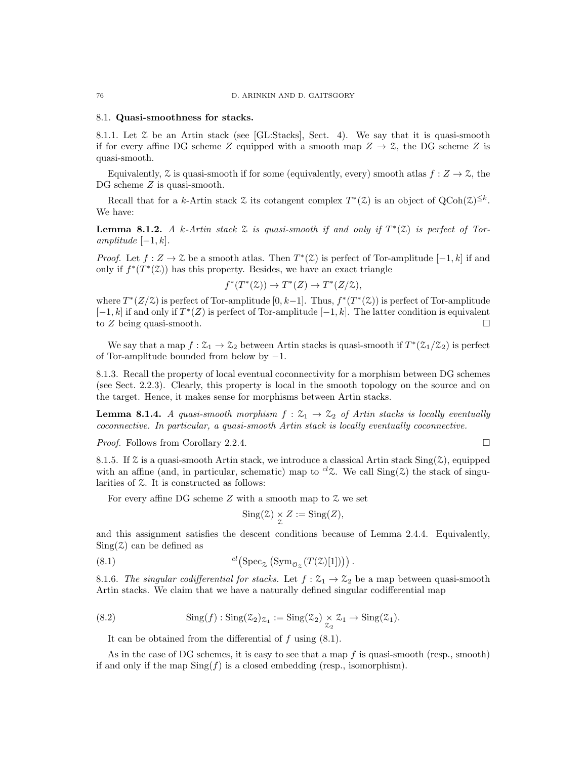#### 8.1. Quasi-smoothness for stacks.

8.1.1. Let  $\mathcal Z$  be an Artin stack (see [GL:Stacks], Sect. 4). We say that it is quasi-smooth if for every affine DG scheme Z equipped with a smooth map  $Z \to \mathcal{Z}$ , the DG scheme Z is quasi-smooth.

Equivalently,  $\mathcal Z$  is quasi-smooth if for some (equivalently, every) smooth atlas  $f: Z \to \mathcal Z$ , the DG scheme Z is quasi-smooth.

Recall that for a k-Artin stack  $\mathfrak X$  its cotangent complex  $T^*(\mathfrak X)$  is an object of  $Q\text{Coh}(\mathfrak X)^{\leq k}$ . We have:

**Lemma 8.1.2.** A k-Artin stack  $\mathcal Z$  is quasi-smooth if and only if  $T^*(\mathcal Z)$  is perfect of Toramplitude  $[-1, k]$ .

*Proof.* Let  $f: Z \to \mathcal{Z}$  be a smooth atlas. Then  $T^*(\mathcal{Z})$  is perfect of Tor-amplitude  $[-1, k]$  if and only if  $f^*(T^*(\mathcal{Z}))$  has this property. Besides, we have an exact triangle

$$
f^*(T^*(\mathcal{Z})) \to T^*(Z) \to T^*(Z/\mathcal{Z}),
$$

where  $T^{*}(Z/\mathcal{Z})$  is perfect of Tor-amplitude  $[0, k-1]$ . Thus,  $f^{*}(T^{*}(\mathcal{Z}))$  is perfect of Tor-amplitude  $[-1, k]$  if and only if  $T^*(Z)$  is perfect of Tor-amplitude  $[-1, k]$ . The latter condition is equivalent to Z being quasi-smooth.  $\square$ 

We say that a map  $f: \mathcal{Z}_1 \to \mathcal{Z}_2$  between Artin stacks is quasi-smooth if  $T^*(\mathcal{Z}_1/\mathcal{Z}_2)$  is perfect of Tor-amplitude bounded from below by −1.

8.1.3. Recall the property of local eventual coconnectivity for a morphism between DG schemes (see Sect. 2.2.3). Clearly, this property is local in the smooth topology on the source and on the target. Hence, it makes sense for morphisms between Artin stacks.

**Lemma 8.1.4.** A quasi-smooth morphism  $f: \mathcal{Z}_1 \to \mathcal{Z}_2$  of Artin stacks is locally eventually coconnective. In particular, a quasi-smooth Artin stack is locally eventually coconnective.

Proof. Follows from Corollary 2.2.4.

8.1.5. If  $\mathcal Z$  is a quasi-smooth Artin stack, we introduce a classical Artin stack  $\text{Sing}(\mathcal Z)$ , equipped with an affine (and, in particular, schematic) map to <sup>cl</sup>Z. We call  $\text{Sing}(\mathcal{Z})$  the stack of singularities of Z. It is constructed as follows:

For every affine DG scheme  $Z$  with a smooth map to  $\mathcal Z$  we set

$$
Sing(\mathcal{Z}) \underset{\mathcal{Z}}{\times} Z := Sing(Z),
$$

and this assignment satisfies the descent conditions because of Lemma 2.4.4. Equivalently,  $Sing(\mathcal{Z})$  can be defined as

(8.1) 
$$
^{cl}(\text{Spec}_{\mathcal{Z}} (Sym_{\mathcal{O}_{\mathcal{Z}}}(T(\mathcal{Z})[1]))).
$$

8.1.6. The singular codifferential for stacks. Let  $f: \mathcal{Z}_1 \to \mathcal{Z}_2$  be a map between quasi-smooth Artin stacks. We claim that we have a naturally defined singular codifferential map

(8.2) 
$$
\operatorname{Sing}(f): \operatorname{Sing}(\mathcal{Z}_2)_{\mathcal{Z}_1} := \operatorname{Sing}(\mathcal{Z}_2) \underset{\mathcal{Z}_2}{\times} \mathcal{Z}_1 \to \operatorname{Sing}(\mathcal{Z}_1).
$$

It can be obtained from the differential of f using (8.1).

As in the case of DG schemes, it is easy to see that a map  $f$  is quasi-smooth (resp., smooth) if and only if the map  $\text{Sing}(f)$  is a closed embedding (resp., isomorphism).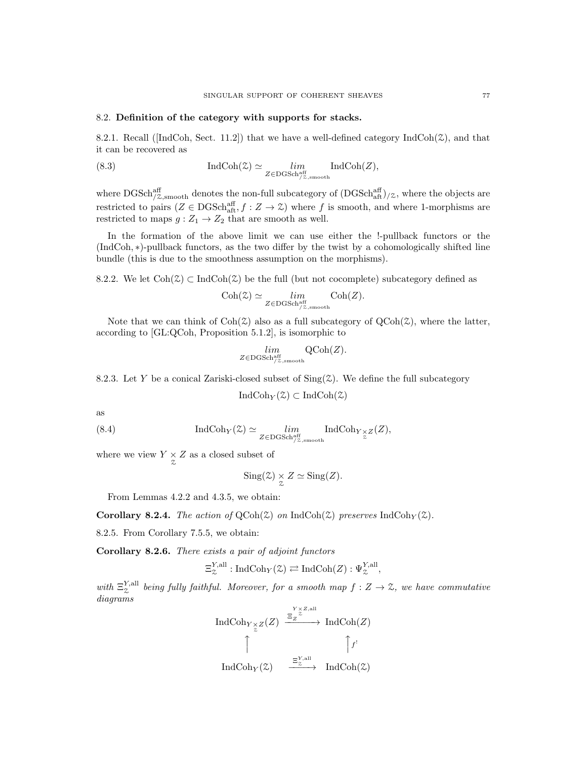## 8.2. Definition of the category with supports for stacks.

8.2.1. Recall ( $\lceil \text{IndCoh}, \text{Sect.} \rceil$  11.2) that we have a well-defined category  $\text{IndCoh}(\mathcal{Z})$ , and that it can be recovered as

(8.3) 
$$
\operatorname{IndCoh}(\mathcal{Z}) \simeq \lim_{Z \in \text{DGSch}_{/Z,\text{smooth}}^{\text{aff}}} \operatorname{IndCoh}(Z),
$$

where  $\text{DGSch}_{/Z,\text{smooth}}^{\text{aff}}$  denotes the non-full subcategory of  $(\text{DGSch}_{\text{aff}}^{\text{aff}})_{/Z}$ , where the objects are restricted to pairs  $(Z \in \text{DGSch}^{\text{aff}}_{\text{aff}}, f : Z \to \mathcal{Z})$  where f is smooth, and where 1-morphisms are restricted to maps  $g: Z_1 \to Z_2$  that are smooth as well.

In the formation of the above limit we can use either the !-pullback functors or the (IndCoh, ∗)-pullback functors, as the two differ by the twist by a cohomologically shifted line bundle (this is due to the smoothness assumption on the morphisms).

8.2.2. We let  $\text{Coh}(\mathcal{Z}) \subset \text{IndCoh}(\mathcal{Z})$  be the full (but not cocomplete) subcategory defined as

$$
\mathrm{Coh}(\mathcal{Z}) \simeq \lim_{Z \in \mathrm{DGSch}_{/\mathcal{Z},\mathrm{smooth}}^{\mathrm{aff}}} \mathrm{Coh}(Z).
$$

Note that we can think of  $\text{Coh}(\mathcal{Z})$  also as a full subcategory of  $\text{QCoh}(\mathcal{Z})$ , where the latter, according to [GL:QCoh, Proposition 5.1.2], is isomorphic to

$$
\lim_{Z \in \text{DGSch}_{/Z, \text{smooth}}^{\text{aff}}} \text{QCoh}(Z).
$$

8.2.3. Let Y be a conical Zariski-closed subset of  $\text{Sing}(\mathcal{Z})$ . We define the full subcategory

$$
\mathrm{IndCoh}_Y(\mathcal{Z}) \subset \mathrm{IndCoh}(\mathcal{Z})
$$

as

(8.4) 
$$
\operatorname{IndCoh}_{Y}(Z) \simeq \lim_{Z \in \text{DGSch}_{Z, \text{smooth}}^{\text{aff}}} \operatorname{IndCoh}_{Y \underset{Z}{\times} Z}(Z),
$$

where we view  $Y \underset{\mathcal{Z}}{\times} Z$  as a closed subset of

$$
Sing(\mathcal{Z}) \underset{\mathcal{Z}}{\times} Z \simeq Sing(Z).
$$

From Lemmas 4.2.2 and 4.3.5, we obtain:

**Corollary 8.2.4.** The action of  $QCoh(\mathcal{Z})$  on IndCoh( $\mathcal{Z}$ ) preserves IndCoh<sub>Y</sub>( $\mathcal{Z}$ ).

8.2.5. From Corollary 7.5.5, we obtain:

Corollary 8.2.6. There exists a pair of adjoint functors

$$
\Xi^{Y, \text{all}}_{\mathcal{Z}} : \text{IndCoh}_{Y}(\mathcal{Z}) \rightleftarrows \text{IndCoh}(Z) : \Psi_{\mathcal{Z}}^{Y, \text{all}},
$$

with  $\Xi_{\chi}^{Y, \text{all}}$  being fully faithful. Moreover, for a smooth map  $f: Z \to \mathcal{Z}$ , we have commutative diagrams

$$
\operatorname{IndCoh}_{Y \underset{\sim}{\times} Z}(Z) \xrightarrow{\Xi_Z^{\underset{\sim}{\times} Z, \text{all}}} \operatorname{IndCoh}(Z)
$$
  

$$
\uparrow \qquad \qquad \uparrow f^!
$$
  

$$
\operatorname{IndCoh}_Y(\mathbb{Z}) \xrightarrow{\Xi_Z^{\underset{\sim}{\times}, \text{all}}} \operatorname{IndCoh}(\mathbb{Z})
$$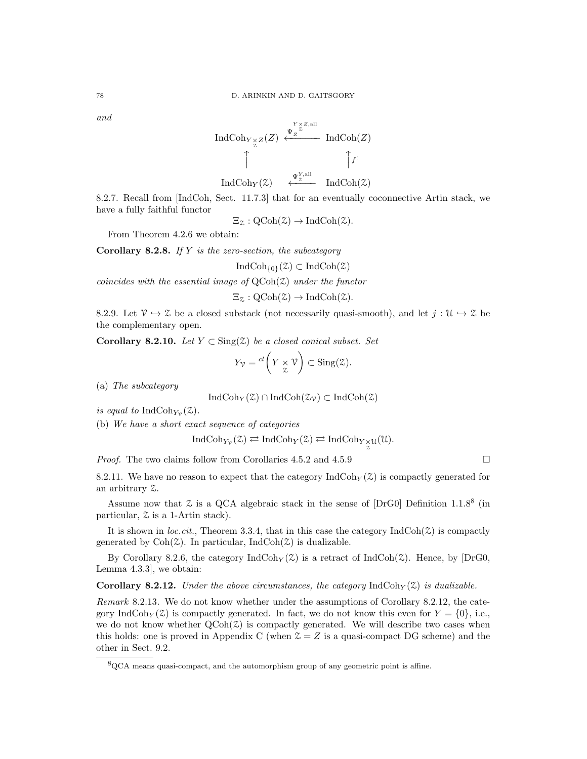and

$$
\operatorname{IndCoh}_{Y \underset{\sim}{\times} Z}(Z) \xleftarrow{\Psi_Z^{\underset{\sim}{\times} Z, \text{all}}}\operatorname{IndCoh}(Z)
$$
\n
$$
\uparrow \qquad \qquad \uparrow f^!
$$
\n
$$
\operatorname{IndCoh}_Y(\mathcal{Z}) \xleftarrow{\Psi_Z^{\underset{\sim}{\times}, \text{all}}}\operatorname{IndCoh}(\mathcal{Z})
$$

8.2.7. Recall from [IndCoh, Sect. 11.7.3] that for an eventually coconnective Artin stack, we have a fully faithful functor

 $\Xi_{\mathcal{Z}}:\text{QCoh}(\mathcal{Z})\to\text{IndCoh}(\mathcal{Z}).$ 

From Theorem 4.2.6 we obtain:

**Corollary 8.2.8.** If  $Y$  is the zero-section, the subcategory

 $\text{IndCoh}_{\{0\}}(\mathcal{Z}) \subset \text{IndCoh}(\mathcal{Z})$ 

coincides with the essential image of  $QCoh(\mathcal{Z})$  under the functor

 $\Xi_{\mathcal{Z}}:\mathrm{QCoh}(\mathcal{Z})\to \mathrm{IndCoh}(\mathcal{Z}).$ 

8.2.9. Let  $\mathcal{V} \to \mathcal{Z}$  be a closed substack (not necessarily quasi-smooth), and let  $j : \mathcal{U} \to \mathcal{Z}$  be the complementary open.

Corollary 8.2.10. Let  $Y \subset Sing(2)$  be a closed conical subset. Set

$$
Y_{\mathcal{V}} = {}^{cl} \left( Y \underset{\mathcal{Z}}{\times} \mathcal{V} \right) \subset \text{Sing}(\mathcal{Z}).
$$

(a) The subcategory

$$
IndCoh_Y(\mathcal{Z}) \cap IndCoh(\mathcal{Z}_\mathcal{V}) \subset IndCoh(\mathcal{Z})
$$

is equal to  $\text{IndCoh}_{Y_{\mathcal{V}}}(\mathcal{Z})$ .

(b) We have a short exact sequence of categories

$$
\operatorname{IndCoh}_{Y_{\mathcal{V}}}(\mathcal{Z}) \rightleftarrows \operatorname{IndCoh}_Y(\mathcal{Z}) \rightleftarrows \operatorname{IndCoh}_{Y_{\mathcal{Z}}^{\times}} u(\mathcal{U}).
$$

*Proof.* The two claims follow from Corollaries 4.5.2 and 4.5.9

8.2.11. We have no reason to expect that the category  $\text{IndCoh}_Y(\mathcal{Z})$  is compactly generated for an arbitrary Z.

Assume now that  $\mathcal Z$  is a QCA algebraic stack in the sense of [DrG0] Definition 1.1.8<sup>8</sup> (in particular, Z is a 1-Artin stack).

It is shown in *loc.cit.*, Theorem 3.3.4, that in this case the category  $\text{IndCoh}(\mathcal{Z})$  is compactly generated by  $\text{Coh}(\mathcal{Z})$ . In particular, Ind $\text{Coh}(\mathcal{Z})$  is dualizable.

By Corollary 8.2.6, the category  $\text{IndCoh}_{Y}(Z)$  is a retract of  $\text{IndCoh}(Z)$ . Hence, by  $[\text{DrG0},$ Lemma 4.3.3], we obtain:

**Corollary 8.2.12.** Under the above circumstances, the category  $IndCoh_Y(\mathcal{Z})$  is dualizable.

Remark 8.2.13. We do not know whether under the assumptions of Corollary 8.2.12, the category IndCoh<sub>Y</sub>( $\mathcal{Z}$ ) is compactly generated. In fact, we do not know this even for  $Y = \{0\}$ , i.e., we do not know whether  $\text{QCoh}(\mathcal{Z})$  is compactly generated. We will describe two cases when this holds: one is proved in Appendix C (when  $\mathcal{Z} = Z$  is a quasi-compact DG scheme) and the other in Sect. 9.2.

<sup>8</sup>QCA means quasi-compact, and the automorphism group of any geometric point is affine.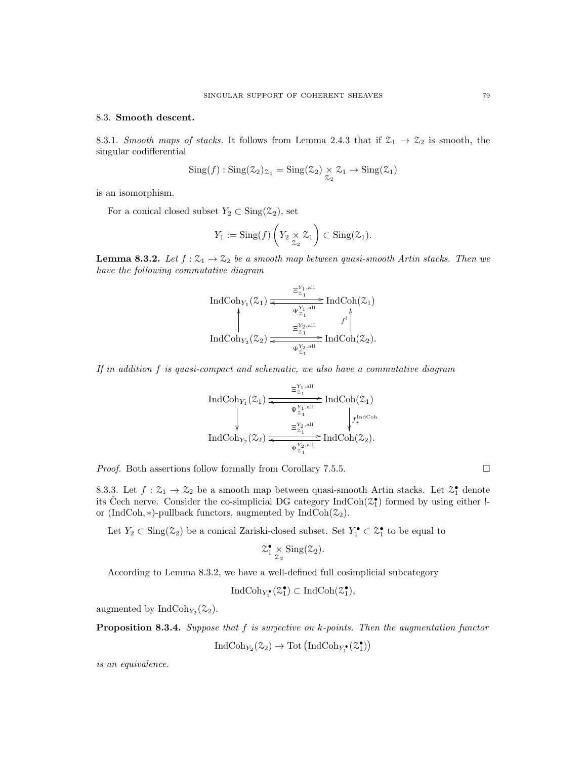### 8.3. Smooth descent.

8.3.1. Smooth maps of stacks. It follows from Lemma 2.4.3 that if  $\mathcal{Z}_1 \rightarrow \mathcal{Z}_2$  is smooth, the singular codifferential

$$
Sing(f) : Sing(\mathcal{Z}_2)_{\mathcal{Z}_1} = Sing(\mathcal{Z}_2) \underset{\mathcal{Z}_2}{\times} \mathcal{Z}_1 \to Sing(\mathcal{Z}_1)
$$

is an isomorphism.

For a conical closed subset  $Y_2 \subset \text{Sing}(\mathcal{Z}_2)$ , set

$$
Y_1 := \mathrm{Sing}(f) \left( Y_2 \underset{\mathcal{Z}_2}{\times} \mathcal{Z}_1 \right) \subset \mathrm{Sing}(\mathcal{Z}_1).
$$

**Lemma 8.3.2.** Let  $f : \mathcal{Z}_1 \to \mathcal{Z}_2$  be a smooth map between quasi-smooth Artin stacks. Then we have the following commutative diagram

$$
\operatorname{IndCoh}_{Y_1}(\mathcal{Z}_1) \xleftarrow{\Xi_{\mathcal{Z}_1}^{Y_1, \text{all}}} \operatorname{IndCoh}(\mathcal{Z}_1)
$$
\n
$$
\uparrow \qquad \qquad \downarrow \qquad \qquad \downarrow \qquad \qquad \downarrow \qquad \downarrow \qquad \downarrow \qquad \downarrow \qquad \downarrow \qquad \downarrow \qquad \downarrow \qquad \downarrow \qquad \downarrow \qquad \downarrow \qquad \downarrow \qquad \downarrow \qquad \downarrow \qquad \downarrow \qquad \downarrow \qquad \downarrow \qquad \downarrow \qquad \downarrow \qquad \downarrow \qquad \downarrow \qquad \downarrow \qquad \downarrow \qquad \downarrow \qquad \downarrow \qquad \downarrow \qquad \downarrow \qquad \downarrow \qquad \downarrow \qquad \downarrow \qquad \downarrow \qquad \downarrow \qquad \downarrow \qquad \downarrow \qquad \downarrow \qquad \downarrow \qquad \downarrow \qquad \downarrow \qquad \downarrow \qquad \downarrow \qquad \downarrow \qquad \downarrow \qquad \downarrow \qquad \downarrow \qquad \downarrow \qquad \downarrow \qquad \downarrow \qquad \downarrow \qquad \downarrow \qquad \downarrow \qquad \downarrow \qquad \downarrow \qquad \downarrow \qquad \downarrow \qquad \downarrow \qquad \downarrow \qquad \downarrow \qquad \downarrow \qquad \downarrow \qquad \downarrow \qquad \downarrow \qquad \downarrow \qquad \downarrow \qquad \downarrow \qquad \downarrow \qquad \downarrow \qquad \downarrow \qquad \downarrow \qquad \downarrow \qquad \downarrow \qquad \downarrow \qquad \downarrow \qquad \downarrow \qquad \downarrow \qquad \downarrow \qquad \downarrow \qquad \downarrow \qquad \downarrow \qquad \downarrow \qquad \downarrow \qquad \downarrow \qquad \downarrow \qquad \downarrow \qquad \downarrow \qquad \downarrow \qquad \downarrow \qquad \downarrow \qquad \downarrow \qquad \downarrow \qquad \downarrow \qquad \downarrow \qquad \downarrow \qquad \downarrow \qquad \downarrow \qquad \downarrow \qquad \downarrow \qquad \downarrow \qquad \downarrow \qquad \downarrow \qquad \downarrow \qquad \downarrow \qquad \downarrow \qquad \downarrow \qquad \downarrow \qquad \downarrow \qquad \downarrow \qquad \downarrow \qquad \downarrow \qquad \downarrow \qquad \downarrow \qquad \downarrow \qquad \downarrow \
$$

If in addition f is quasi-compact and schematic, we also have a commutative diagram

IndCohY<sup>1</sup> (Z1) Ξ Y1,all <sup>Z</sup><sup>1</sup> / IndCoh(Z1) Ψ Y1,all Z1 o f IndCoh ∗ IndCohY<sup>2</sup> (Z2) Ξ Y2,all <sup>Z</sup><sup>1</sup> / IndCoh(Z2). Ψ Y2,all Z1 o

*Proof.* Both assertions follow formally from Corollary 7.5.5.

8.3.3. Let  $f: \mathfrak{L}_1 \to \mathfrak{L}_2$  be a smooth map between quasi-smooth Artin stacks. Let  $\mathfrak{L}_1^{\bullet}$  denote its Čech nerve. Consider the co-simplicial DG category  $\text{IndCoh}(\mathcal{Z}_1^{\bullet})$  formed by using either !or (IndCoh,  $\ast$ )-pullback functors, augmented by IndCoh( $\mathfrak{L}_2$ ).

Let  $Y_2 \subset Sing(\mathcal{Z}_2)$  be a conical Zariski-closed subset. Set  $Y_1^{\bullet} \subset \mathcal{Z}_1^{\bullet}$  to be equal to

$$
\mathcal{Z}_1^{\bullet} \underset{\mathcal{Z}_2}{\times} Sing(\mathcal{Z}_2).
$$

According to Lemma 8.3.2, we have a well-defined full cosimplicial subcategory

$$
\operatorname{IndCoh}_{Y_1^{\bullet}}(\mathbb{Z}_1^{\bullet}) \subset \operatorname{IndCoh}(\mathbb{Z}_1^{\bullet}),
$$

augmented by  $\text{IndCoh}_{Y_2}(\mathcal{Z}_2)$ .

**Proposition 8.3.4.** Suppose that  $f$  is surjective on  $k$ -points. Then the augmentation functor

$$
\operatorname{IndCoh}_{Y_2}(\mathbb{Z}_2)\to\operatorname{Tot}\left(\operatorname{IndCoh}_{Y_1^{\bullet}}(\mathbb{Z}_1^{\bullet})\right)
$$

is an equivalence.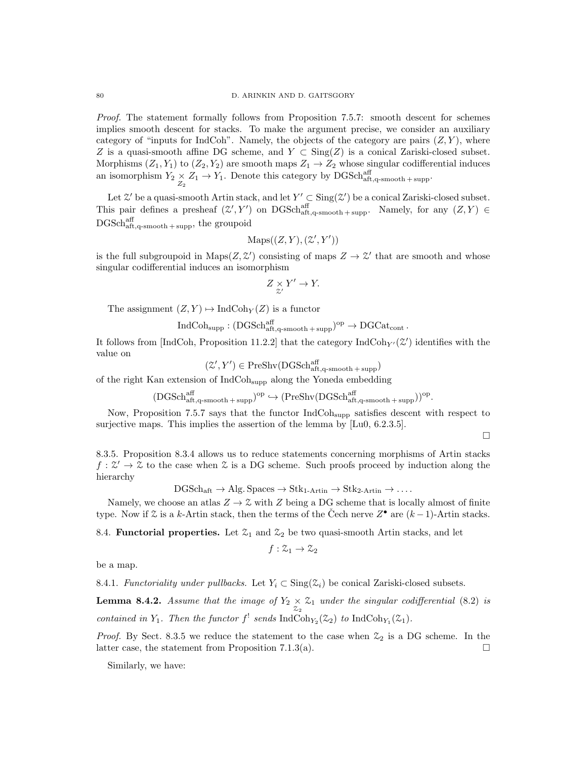Proof. The statement formally follows from Proposition 7.5.7: smooth descent for schemes implies smooth descent for stacks. To make the argument precise, we consider an auxiliary category of "inputs for IndCoh". Namely, the objects of the category are pairs  $(Z, Y)$ , where Z is a quasi-smooth affine DG scheme, and  $Y \subset Sing(Z)$  is a conical Zariski-closed subset. Morphisms  $(Z_1, Y_1)$  to  $(Z_2, Y_2)$  are smooth maps  $Z_1 \rightarrow Z_2$  whose singular codifferential induces an isomorphism  $Y_2 \underset{Z_2}{\times} Z_1 \to Y_1$ . Denote this category by DGSchaff<sub>1,q-smooth+supp</sub>.

Let  $\mathcal{Z}'$  be a quasi-smooth Artin stack, and let  $Y' \subset \text{Sing}(\mathcal{Z}')$  be a conical Zariski-closed subset. This pair defines a presheaf  $(\mathcal{Z}', Y')$  on DGSch<sub>aft,q-smooth+supp</sub>. Namely, for any  $(Z, Y) \in$  $\mathrm{DGSch}^{\mathrm{aff}}_{\mathrm{aff},\mathrm{q-smooth+supp}},$  the groupoid

$$
Maps((Z, Y), (Z', Y'))
$$

is the full subgroupoid in Maps $(Z, \mathcal{Z}')$  consisting of maps  $Z \to \mathcal{Z}'$  that are smooth and whose singular codifferential induces an isomorphism

$$
Z \underset{\mathcal{Z}'}{\times} Y' \to Y.
$$

The assignment  $(Z, Y) \mapsto \text{IndCoh}_Y(Z)$  is a functor

$$
\operatorname{IndCoh}_{{\operatorname{supp}}} : (\operatorname{DGSch}^{\operatorname{aff}}_{{\operatorname{aff}},q\text{-smooth}+\operatorname{supp}})^{\operatorname{op}} \to \operatorname{DGCat}_{\operatorname{cont}}.
$$

It follows from [IndCoh, Proposition 11.2.2] that the category  $\text{IndCoh}_{Y'}(\mathcal{Z}')$  identifies with the value on

$$
(\mathcal{Z}', Y') \in \mathrm{PreShv}(\mathrm{DGSch}^{\mathrm{aff}}_{\mathrm{aff},\mathrm{q\text{-}smooth + supp}})
$$

of the right Kan extension of IndCohsupp along the Yoneda embedding

$$
(\mathrm{DGSch}^{\mathrm{aff}}_{\mathrm{aft},q\text{-smooth}+\mathrm{supp}})^\mathrm{op}\hookrightarrow(\mathrm{PreShv}(\mathrm{DGSch}^{\mathrm{aff}}_{\mathrm{aft},q\text{-smooth}+\mathrm{supp}}))^\mathrm{op}.
$$

Now, Proposition 7.5.7 says that the functor IndCohsupp satisfies descent with respect to surjective maps. This implies the assertion of the lemma by  $[Lu0, 6.2.3.5]$ .

 $\Box$ 

8.3.5. Proposition 8.3.4 allows us to reduce statements concerning morphisms of Artin stacks  $f: \mathcal{Z}' \to \mathcal{Z}$  to the case when  $\mathcal{Z}$  is a DG scheme. Such proofs proceed by induction along the hierarchy

 $DGSch_{\text{aft}} \to Alg. Spaces \to Stk_{1-Artin} \to Stk_{2-Artin} \to \ldots$ 

Namely, we choose an atlas  $Z \to \mathcal{Z}$  with Z being a DG scheme that is locally almost of finite type. Now if  $\mathcal Z$  is a k-Artin stack, then the terms of the Čech nerve  $Z^{\bullet}$  are  $(k-1)$ -Artin stacks.

8.4. **Functorial properties.** Let  $\mathcal{Z}_1$  and  $\mathcal{Z}_2$  be two quasi-smooth Artin stacks, and let

$$
f:\mathcal{Z}_1\to\mathcal{Z}_2
$$

be a map.

8.4.1. Functoriality under pullbacks. Let  $Y_i \subset \text{Sing}(\mathcal{Z}_i)$  be conical Zariski-closed subsets.

**Lemma 8.4.2.** Assume that the image of  $Y_2 \times Z_1$  under the singular codifferential (8.2) is contained in  $Y_1$ . Then the functor  $f^!$  sends IndCoh<sub>Y<sub>2</sub></sub>( $\mathfrak{Z}_2$ ) to IndCoh<sub>Y<sub>1</sub></sub>( $\mathfrak{Z}_1$ ).

*Proof.* By Sect. 8.3.5 we reduce the statement to the case when  $\mathcal{Z}_2$  is a DG scheme. In the latter case, the statement from Proposition 7.1.3(a).  $\Box$ 

Similarly, we have: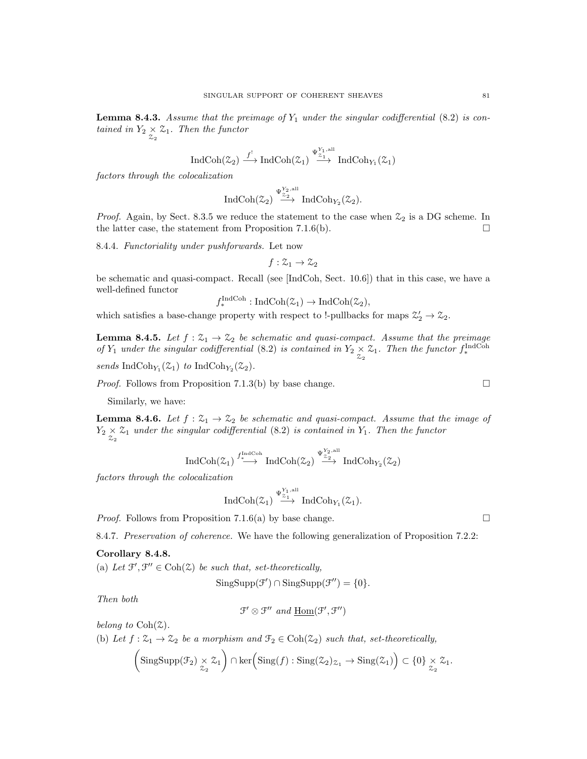**Lemma 8.4.3.** Assume that the preimage of  $Y_1$  under the singular codifferential (8.2) is contained in  $Y_2 \underset{z_2}{\times} \mathcal{Z}_1$ . Then the functor

$$
\operatorname{IndCoh}(\mathcal{Z}_2)\stackrel{f^!}\longrightarrow \operatorname{IndCoh}(\mathcal{Z}_1)\stackrel{\Psi_{\mathcal{Z}_1}^{Y_1, \operatorname{all}}}{\longrightarrow}\operatorname{IndCoh}_{Y_1}(\mathcal{Z}_1)
$$

factors through the colocalization

$$
\operatorname{IndCoh}(\mathcal{Z}_{2}) \stackrel{\Psi_{\mathcal{Z}_{2}}^{Y_{2},\operatorname{all}}}{\longrightarrow} \operatorname{IndCoh}_{Y_{2}}(\mathcal{Z}_{2}).
$$

*Proof.* Again, by Sect. 8.3.5 we reduce the statement to the case when  $\mathcal{Z}_2$  is a DG scheme. In the latter case, the statement from Proposition 7.1.6(b).  $\Box$ 

8.4.4. Functoriality under pushforwards. Let now

$$
f:\mathcal{Z}_1\to\mathcal{Z}_2
$$

be schematic and quasi-compact. Recall (see [IndCoh, Sect. 10.6]) that in this case, we have a well-defined functor

$$
f_*^{\text{IndCoh}} : \text{IndCoh}(\mathcal{Z}_1) \to \text{IndCoh}(\mathcal{Z}_2),
$$

which satisfies a base-change property with respect to !-pullbacks for maps  $\mathcal{Z}'_2 \to \mathcal{Z}_2$ .

**Lemma 8.4.5.** Let  $f : \mathcal{Z}_1 \to \mathcal{Z}_2$  be schematic and quasi-compact. Assume that the preimage of  $Y_1$  under the singular codifferential (8.2) is contained in  $Y_2 \underset{Z_2}{\times} Z_1$ . Then the functor  $f_*^{\text{IndCoh}}$ 

sends IndCoh<sub>Y<sub>1</sub></sub> $(\mathcal{Z}_1)$  to IndCoh<sub>Y<sub>2</sub></sub> $(\mathcal{Z}_2)$ .

*Proof.* Follows from Proposition 7.1.3(b) by base change.  $\square$ 

Similarly, we have:

**Lemma 8.4.6.** Let  $f : \mathcal{Z}_1 \to \mathcal{Z}_2$  be schematic and quasi-compact. Assume that the image of  $Y_2 \times \mathcal{Z}_1$  under the singular codifferential (8.2) is contained in  $Y_1$ . Then the functor

$$
\operatorname{IndCoh}(\mathcal{Z}_1)\stackrel{f^{\operatorname{IndCoh}}_{*}}{\longrightarrow}\operatorname{IndCoh}(\mathcal{Z}_2)\stackrel{\Psi^{{Y_2},\operatorname{all}}_{\mathcal{Z}_2}}{\longrightarrow}\operatorname{IndCoh}_{Y_2}(\mathcal{Z}_2)
$$

factors through the colocalization

$$
\operatorname{IndCoh}(\mathcal{Z}_1) \stackrel{\Psi_{\mathcal{Z}_1}^{Y_1, \mathrm{all}}}{\longrightarrow} \operatorname{IndCoh}_{Y_1}(\mathcal{Z}_1).
$$

*Proof.* Follows from Proposition 7.1.6(a) by base change.

8.4.7. Preservation of coherence. We have the following generalization of Proposition 7.2.2:

# Corollary 8.4.8.

(a) Let  $\mathcal{F}', \mathcal{F}'' \in \text{Coh}(\mathcal{Z})$  be such that, set-theoretically,

$$
SingSupp(\mathcal{F}') \cap SingSupp(\mathcal{F}'') = \{0\}.
$$

Then both

$$
\mathcal{F}' \otimes \mathcal{F}'' \text{ and } \underline{Hom}(\mathcal{F}', \mathcal{F}'')
$$

belong to  $Coh(\mathcal{Z})$ .

(b) Let  $f: \mathcal{Z}_1 \to \mathcal{Z}_2$  be a morphism and  $\mathcal{F}_2 \in \text{Coh}(\mathcal{Z}_2)$  such that, set-theoretically,

$$
\left(\mathrm{SingSupp}(\mathcal{F}_2) \underset{\mathcal{Z}_2}{\times} \mathcal{Z}_1\right) \cap \ker\left(\mathrm{Sing}(f) : \mathrm{Sing}(\mathcal{Z}_2)_{\mathcal{Z}_1} \to \mathrm{Sing}(\mathcal{Z}_1)\right) \subset \{0\} \underset{\mathcal{Z}_2}{\times} \mathcal{Z}_1.
$$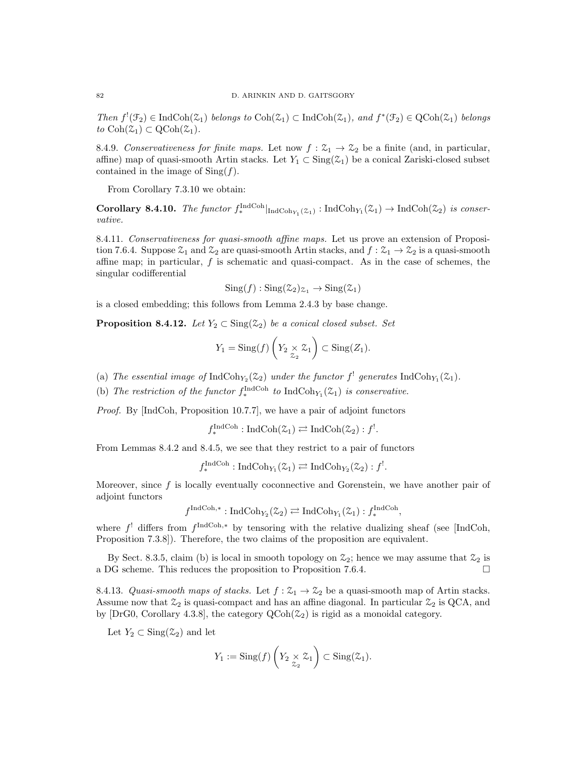Then  $f'(\mathcal{F}_2) \in \text{IndCoh}(\mathcal{Z}_1)$  belongs to  $\text{Coh}(\mathcal{Z}_1) \subset \text{IndCoh}(\mathcal{Z}_1)$ , and  $f^*(\mathcal{F}_2) \in \text{QCoh}(\mathcal{Z}_1)$  belongs to  $\text{Coh}(\mathcal{Z}_1) \subset \text{QCoh}(\mathcal{Z}_1)$ .

8.4.9. Conservativeness for finite maps. Let now  $f : \mathcal{Z}_1 \to \mathcal{Z}_2$  be a finite (and, in particular, affine) map of quasi-smooth Artin stacks. Let  $Y_1 \subset \text{Sing}(\mathcal{Z}_1)$  be a conical Zariski-closed subset contained in the image of  $\operatorname{Sing}(f)$ .

From Corollary 7.3.10 we obtain:

Corollary 8.4.10. The functor  $f_*^{\text{IndCoh}}|_{\text{IndCoh}_{Y_1}(\mathcal{Z}_1)}: \text{IndCoh}_{Y_1}(\mathcal{Z}_1) \to \text{IndCoh}(\mathcal{Z}_2)$  is conservative.

8.4.11. Conservativeness for quasi-smooth affine maps. Let us prove an extension of Proposition 7.6.4. Suppose  $\mathfrak{Z}_1$  and  $\mathfrak{Z}_2$  are quasi-smooth Artin stacks, and  $f : \mathfrak{Z}_1 \to \mathfrak{Z}_2$  is a quasi-smooth affine map; in particular, f is schematic and quasi-compact. As in the case of schemes, the singular codifferential

$$
Sing(f) : Sing(\mathcal{Z}_2)_{\mathcal{Z}_1} \to Sing(\mathcal{Z}_1)
$$

is a closed embedding; this follows from Lemma 2.4.3 by base change.

**Proposition 8.4.12.** Let  $Y_2 \text{ } \subset \text{Sing}(\mathcal{Z}_2)$  be a conical closed subset. Set

$$
Y_1 = \operatorname{Sing}(f) \left( Y_2 \underset{\mathcal{Z}_2}{\times} \mathcal{Z}_1 \right) \subset \operatorname{Sing}(Z_1).
$$

(a) The essential image of  $\text{IndCoh}_{Y_2}(\mathcal{Z}_2)$  under the functor  $f^!$  generates  $\text{IndCoh}_{Y_1}(\mathcal{Z}_1)$ .

(b) The restriction of the functor  $f_*^{\text{IndCoh}}$  to  $\text{IndCoh}_{Y_1}(\mathcal{Z}_1)$  is conservative.

Proof. By [IndCoh, Proposition 10.7.7], we have a pair of adjoint functors

$$
f_*^{\text{IndCoh}} : \text{IndCoh}(\mathcal{Z}_1) \rightleftarrows \text{IndCoh}(\mathcal{Z}_2) : f^!.
$$

From Lemmas 8.4.2 and 8.4.5, we see that they restrict to a pair of functors

$$
f_*^{\text{IndCoh}}: \text{IndCoh}_{Y_1}(\mathcal{Z}_1) \rightleftarrows \text{IndCoh}_{Y_2}(\mathcal{Z}_2): f^!.
$$

Moreover, since  $f$  is locally eventually coconnective and Gorenstein, we have another pair of adjoint functors

$$
f^{\text{IndCoh},*}: \text{IndCoh}_{Y_2}(\mathcal{Z}_2) \rightleftarrows \text{IndCoh}_{Y_1}(\mathcal{Z}_1): f_*^{\text{IndCoh}},
$$

where  $f^!$  differs from  $f^{\text{IndCoh},*}$  by tensoring with the relative dualizing sheaf (see [IndCoh, Proposition 7.3.8]). Therefore, the two claims of the proposition are equivalent.

By Sect. 8.3.5, claim (b) is local in smooth topology on  $\mathfrak{Z}_2$ ; hence we may assume that  $\mathfrak{Z}_2$  is a DG scheme. This reduces the proposition to Proposition 7.6.4.

8.4.13. Quasi-smooth maps of stacks. Let  $f: \mathcal{Z}_1 \to \mathcal{Z}_2$  be a quasi-smooth map of Artin stacks. Assume now that  $\mathcal{Z}_2$  is quasi-compact and has an affine diagonal. In particular  $\mathcal{Z}_2$  is QCA, and by  $[DrG0, Corollary 4.3.8]$ , the category  $QCoh(\mathcal{Z}_2)$  is rigid as a monoidal category.

Let  $Y_2 \subset \text{Sing}(\mathcal{Z}_2)$  and let

$$
Y_1 := \operatorname{Sing}(f) \left( Y_2 \underset{\mathcal{Z}_2}{\times} \mathcal{Z}_1 \right) \subset \operatorname{Sing}(\mathcal{Z}_1).
$$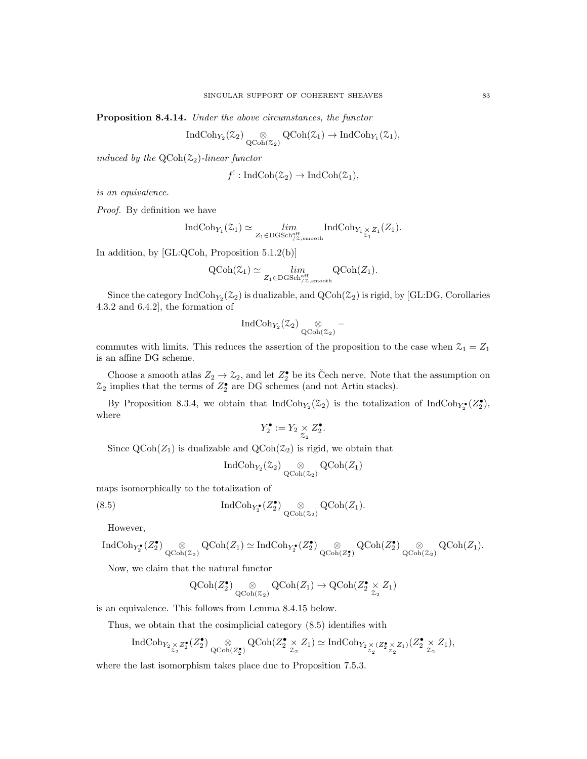Proposition 8.4.14. Under the above circumstances, the functor

$$
\operatorname{IndCoh}_{Y_2}(\mathcal{Z}_2) \underset{\operatorname{QCoh}(\mathcal{Z}_2)}{\otimes} \operatorname{QCoh}(\mathcal{Z}_1) \to \operatorname{IndCoh}_{Y_1}(\mathcal{Z}_1),
$$

induced by the  $QCoh(\mathcal{Z}_2)$ -linear functor

$$
f^!: \operatorname{IndCoh}(\mathcal{Z}_2) \to \operatorname{IndCoh}(\mathcal{Z}_1),
$$

is an equivalence.

Proof. By definition we have

$$
\operatorname{IndCoh}_{Y_1}(\mathcal{Z}_1) \simeq \lim_{Z_1 \in \operatorname{DGSch}_{/Z,\operatorname{smooth}}^{\operatorname{aff}}} \operatorname{IndCoh}_{Y_1 \underset{\mathcal{Z}_1}{\times} Z_1}(Z_1).
$$

In addition, by [GL:QCoh, Proposition 5.1.2(b)]

$$
\mathrm{QCoh}(\mathcal{Z}_1) \simeq \lim_{Z_1 \in \mathrm{DGSch}_{/Z,\mathrm{smooth}}^{\mathrm{aff}}} \mathrm{QCoh}(Z_1).
$$

Since the category  ${\rm IndCoh}_{Y_2}(\mathcal{Z}_2)$  is dualizable, and  ${\rm QCoh}(\mathcal{Z}_2)$  is rigid, by [GL:DG, Corollaries 4.3.2 and 6.4.2], the formation of

$$
\operatorname{IndCoh}_{Y_2}(\mathbb{Z}_2) \underset{\operatorname{QCoh}(\mathbb{Z}_2)}{\otimes} -
$$

commutes with limits. This reduces the assertion of the proposition to the case when  $\mathcal{Z}_1 = Z_1$ is an affine DG scheme.

Choose a smooth atlas  $Z_2 \to \mathcal{Z}_2$ , and let  $Z_2^{\bullet}$  be its Čech nerve. Note that the assumption on  $\mathfrak{Z}_2$  implies that the terms of  $Z_2^{\bullet}$  are DG schemes (and not Artin stacks).

By Proposition 8.3.4, we obtain that  $\text{IndCoh}_{Y_2}(\mathcal{Z}_2)$  is the totalization of  $\text{IndCoh}_{Y_2}(\mathcal{Z}_2)$ , where

$$
Y_2^\bullet:=Y_2\mathop{\times}\limits_{\mathcal{Z}_2} Z_2^\bullet.
$$

Since  $\text{QCoh}(Z_1)$  is dualizable and  $\text{QCoh}(\mathcal{Z}_2)$  is rigid, we obtain that

$$
\operatorname{IndCoh}_{Y_2}(\mathcal{Z}_2) \underset{\operatorname{QCoh}(\mathcal{Z}_2)}{\otimes} \operatorname{QCoh}(Z_1)
$$

maps isomorphically to the totalization of

(8.5) 
$$
\operatorname{IndCoh}_{Y_2^{\bullet}}(Z_2^{\bullet})\underset{\operatorname{QCoh}(Z_2)}{\otimes}\operatorname{QCoh}(Z_1).
$$

However,

$$
\operatorname{IndCoh}_{Y_2^\bullet}(Z_2^\bullet) \underset{\operatorname{QCoh}(\mathbb{Z}_2)}{\otimes} \operatorname{QCoh}(Z_1) \simeq \operatorname{IndCoh}_{Y_2^\bullet}(Z_2^\bullet) \underset{\operatorname{QCoh}(Z_2^\bullet)}{\otimes} \operatorname{QCoh}(Z_2^\bullet) \underset{\operatorname{QCoh}(\mathbb{Z}_2)}{\otimes} \operatorname{QCoh}(Z_1).
$$

Now, we claim that the natural functor

$$
\operatorname{QCoh}(Z_2^\bullet) \underset{\operatorname{QCoh}(\mathbb{Z}_2)}{\otimes} \operatorname{QCoh}(Z_1) \to \operatorname{QCoh}(Z_2^\bullet \underset{\mathbb{Z}_2}{\times} Z_1)
$$

is an equivalence. This follows from Lemma 8.4.15 below.

Thus, we obtain that the cosimplicial category (8.5) identifies with

$$
\operatorname{IndCoh}_{Y_2\underset{\mathbb{Z}_2}{\times}Z_2^\bullet}(Z_2^\bullet)\underset{\operatorname{QCoh}(Z_2^\bullet)}{\otimes}\operatorname{QCoh}(Z_2^\bullet\times Z_1)\simeq\operatorname{IndCoh}_{Y_2\underset{\mathbb{Z}_2}{\times}(Z_2^\bullet\times Z_1)}(Z_2^\bullet\times Z_1),
$$

where the last isomorphism takes place due to Proposition 7.5.3.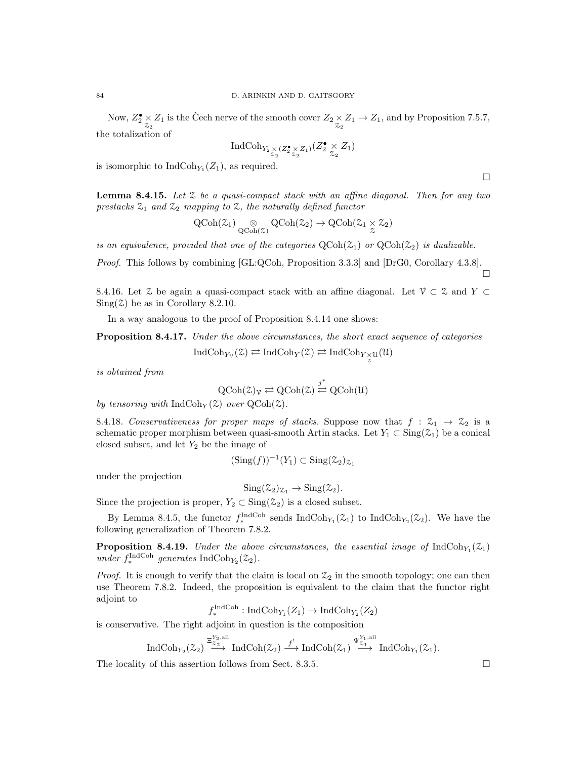Now,  $Z_2^{\bullet} \times Z_1$  is the Čech nerve of the smooth cover  $Z_2 \times Z_1 \to Z_1$ , and by Proposition 7.5.7, the totalization of

$$
\operatorname{IndCoh}_{Y_2 \underset{\mathcal{Z}_2}{\times} (Z_2^{\bullet} \underset{\mathcal{Z}_2}{\times} Z_1)}(Z_2^{\bullet} \underset{\mathcal{Z}_2}{\times} Z_1)
$$

is isomorphic to  $\text{IndCoh}_{Y_1}(Z_1)$ , as required.

 $\Box$ 

П

**Lemma 8.4.15.** Let  $\mathcal{Z}$  be a quasi-compact stack with an affine diagonal. Then for any two prestacks  $\mathfrak{Z}_1$  and  $\mathfrak{Z}_2$  mapping to  $\mathfrak{Z}$ , the naturally defined functor

$$
\operatorname{QCoh}(\mathcal{Z}_1) \underset{\operatorname{QCoh}(\mathcal{Z})}{\otimes} \operatorname{QCoh}(\mathcal{Z}_2) \to \operatorname{QCoh}(\mathcal{Z}_1 \underset{\mathcal{Z}}{\times} \mathcal{Z}_2)
$$

is an equivalence, provided that one of the categories  $\text{QCoh}(\mathcal{Z}_1)$  or  $\text{QCoh}(\mathcal{Z}_2)$  is dualizable.

Proof. This follows by combining [GL:QCoh, Proposition 3.3.3] and [DrG0, Corollary 4.3.8].

8.4.16. Let  $\mathcal{Z}$  be again a quasi-compact stack with an affine diagonal. Let  $\mathcal{V} \subset \mathcal{Z}$  and  $Y \subset \mathcal{Z}$  $Sing(\mathcal{Z})$  be as in Corollary 8.2.10.

In a way analogous to the proof of Proposition 8.4.14 one shows:

Proposition 8.4.17. Under the above circumstances, the short exact sequence of categories

$$
\operatorname{IndCoh}_{Y_{\mathcal{V}}}(\mathcal{Z}) \rightleftarrows \operatorname{IndCoh}_{Y}(\mathcal{Z}) \rightleftarrows \operatorname{IndCoh}_{Y_{\mathcal{Z}}^{\times}}\mathfrak{u}(\mathcal{U})
$$

is obtained from

$$
\mathrm{QCoh}(\mathcal{Z})_\mathcal{V} \rightleftarrows \mathrm{QCoh}(\mathcal{Z}) \stackrel{j^*}{\rightleftarrows} \mathrm{QCoh}(\mathcal{U})
$$

by tensoring with  $\text{IndCoh}_Y(\mathcal{Z})$  over  $\text{QCoh}(\mathcal{Z})$ .

8.4.18. Conservativeness for proper maps of stacks. Suppose now that  $f: \mathcal{Z}_1 \to \mathcal{Z}_2$  is a schematic proper morphism between quasi-smooth Artin stacks. Let  $Y_1 \subset Sing(\mathcal{Z}_1)$  be a conical closed subset, and let  $Y_2$  be the image of

$$
(\mathrm{Sing}(f))^{-1}(Y_1) \subset \mathrm{Sing}(\mathcal{Z}_2)_{\mathcal{Z}_1}
$$

under the projection

$$
Sing(\mathcal{Z}_2)_{\mathcal{Z}_1} \to Sing(\mathcal{Z}_2).
$$

Since the projection is proper,  $Y_2 \subset \text{Sing}(\mathcal{Z}_2)$  is a closed subset.

By Lemma 8.4.5, the functor  $f_*^{\text{IndCoh}}$  sends  $\text{IndCoh}_{Y_1}(\mathcal{Z}_1)$  to  $\text{IndCoh}_{Y_2}(\mathcal{Z}_2)$ . We have the following generalization of Theorem 7.8.2.

**Proposition 8.4.19.** Under the above circumstances, the essential image of  $IndCoh_{Y_1}(\mathcal{Z}_1)$ under  $f_*^{\text{IndCoh}}$  generates IndCoh<sub>Y<sub>2</sub></sub>( $\mathfrak{Z}_2$ ).

*Proof.* It is enough to verify that the claim is local on  $\mathcal{Z}_2$  in the smooth topology; one can then use Theorem 7.8.2. Indeed, the proposition is equivalent to the claim that the functor right adjoint to

$$
f_*^{\text{IndCoh}} : \text{IndCoh}_{Y_1}(Z_1) \to \text{IndCoh}_{Y_2}(Z_2)
$$

is conservative. The right adjoint in question is the composition

$$
\operatorname{IndCoh}_{Y_{2}}(\mathcal{Z}_{2})\stackrel{\Xi_{\mathcal{Z}_{2}}^{Y_{2},\operatorname{all}}}{\longrightarrow}\operatorname{IndCoh}(\mathcal{Z}_{2})\stackrel{f^{!}}{\longrightarrow}\operatorname{IndCoh}(\mathcal{Z}_{1})\stackrel{\Psi_{\mathcal{Z}_{1}}^{Y_{1},\operatorname{all}}}{\longrightarrow}\operatorname{IndCoh}_{Y_{1}}(\mathcal{Z}_{1}).
$$

The locality of this assertion follows from Sect. 8.3.5.  $\Box$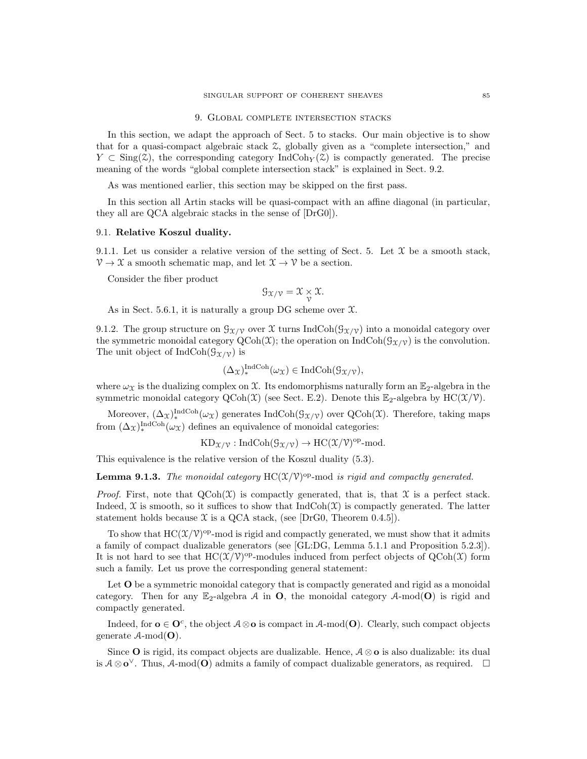#### 9. Global complete intersection stacks

In this section, we adapt the approach of Sect. 5 to stacks. Our main objective is to show that for a quasi-compact algebraic stack Z, globally given as a "complete intersection," and  $Y \subset \text{Sing}(\mathcal{Z})$ , the corresponding category IndCoh<sub>Y</sub>( $\mathcal{Z}$ ) is compactly generated. The precise meaning of the words "global complete intersection stack" is explained in Sect. 9.2.

As was mentioned earlier, this section may be skipped on the first pass.

In this section all Artin stacks will be quasi-compact with an affine diagonal (in particular, they all are QCA algebraic stacks in the sense of [DrG0]).

## 9.1. Relative Koszul duality.

9.1.1. Let us consider a relative version of the setting of Sect. 5. Let  $\mathfrak X$  be a smooth stack,  $\mathcal{V} \to \mathcal{X}$  a smooth schematic map, and let  $\mathcal{X} \to \mathcal{V}$  be a section.

Consider the fiber product

$$
\mathcal{G}_{\mathfrak{X}/\mathfrak{V}}=\mathfrak{X}\underset{\mathcal{V}}{\times}\mathfrak{X}.
$$

As in Sect. 5.6.1, it is naturally a group DG scheme over  $\mathfrak{X}$ .

9.1.2. The group structure on  $\mathcal{G}_{\mathfrak{X}/\mathfrak{Y}}$  over X turns IndCoh( $\mathcal{G}_{\mathfrak{X}/\mathfrak{Y}}$ ) into a monoidal category over the symmetric monoidal category  $\text{QCoh}(\mathcal{X})$ ; the operation on IndCoh( $\mathcal{G}_{\mathcal{X}/\mathcal{V}}$ ) is the convolution. The unit object of  $IndCoh(\mathcal{G}_{\mathfrak{X}/\mathfrak{Y}})$  is

$$
(\Delta_{\mathfrak{X}})^{\mathrm{IndCoh}}_{*}(\omega_{\mathfrak{X}}) \in \mathrm{IndCoh}(\mathfrak{G}_{\mathfrak{X}/\mathfrak{Y}}),
$$

where  $\omega_X$  is the dualizing complex on X. Its endomorphisms naturally form an  $\mathbb{E}_2$ -algebra in the symmetric monoidal category  $QCoh(\mathcal{X})$  (see Sect. E.2). Denote this  $\mathbb{E}_2$ -algebra by  $HC(\mathcal{X}/\mathcal{V})$ .

Moreover,  $(\Delta_{\mathcal{X}})_{*}^{\text{IndCoh}}(\omega_{\mathcal{X}})$  generates  $\text{IndCoh}(\mathcal{G}_{\mathcal{X}/\mathcal{V}})$  over  $\text{QCoh}(\mathcal{X})$ . Therefore, taking maps from  $(\Delta_{\mathcal{X}})^{\text{IndCoh}}_{*}(\omega_{\mathcal{X}})$  defines an equivalence of monoidal categories:

$$
KD_{\mathfrak{X}/\mathfrak{V}}: \mathrm{IndCoh}(\mathcal{G}_{\mathfrak{X}/\mathfrak{V}}) \to \mathrm{HC}(\mathfrak{X}/\mathfrak{V})^{\mathrm{op}}\text{-}\mathrm{mod}.
$$

This equivalence is the relative version of the Koszul duality (5.3).

**Lemma 9.1.3.** The monoidal category  $HC(X/V)^{op}$ -mod is rigid and compactly generated.

*Proof.* First, note that  $QCoh(\mathcal{X})$  is compactly generated, that is, that  $\mathcal X$  is a perfect stack. Indeed,  $X$  is smooth, so it suffices to show that  $IndCoh(X)$  is compactly generated. The latter statement holds because  $\mathfrak X$  is a QCA stack, (see  $|DFG0, T$ heorem 0.4.5).

To show that  $HC(X/V)^{op}$ -mod is rigid and compactly generated, we must show that it admits a family of compact dualizable generators (see [GL:DG, Lemma 5.1.1 and Proposition 5.2.3]). It is not hard to see that  $HC(X/Y)^{op}$ -modules induced from perfect objects of  $QCoh(\mathcal{X})$  form such a family. Let us prove the corresponding general statement:

Let **O** be a symmetric monoidal category that is compactly generated and rigid as a monoidal category. Then for any  $\mathbb{E}_2$ -algebra A in **O**, the monoidal category A-mod(**O**) is rigid and compactly generated.

Indeed, for  $o \in O^c$ , the object  $A \otimes o$  is compact in  $A$ -mod $(O)$ . Clearly, such compact objects generate  $A$ -mod $(O)$ .

Since O is rigid, its compact objects are dualizable. Hence,  $A \otimes \mathbf{o}$  is also dualizable: its dual is  $A \otimes \mathbf{o}^{\vee}$ . Thus, A-mod( $\mathbf{O}$ ) admits a family of compact dualizable generators, as required.  $\Box$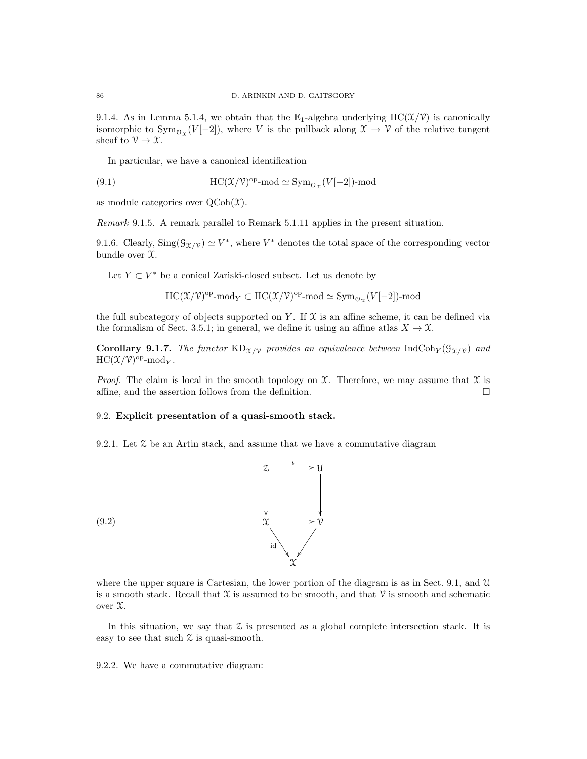9.1.4. As in Lemma 5.1.4, we obtain that the  $\mathbb{E}_1$ -algebra underlying  $HC(\mathcal{X}/\mathcal{V})$  is canonically isomorphic to  $\text{Sym}_{\mathcal{O}_{\mathfrak{X}}}(V[-2])$ , where V is the pullback along  $\mathfrak{X} \to \mathfrak{Y}$  of the relative tangent sheaf to  $\mathcal{V} \to \mathcal{X}$ .

In particular, we have a canonical identification

(9.1) 
$$
HC(\mathcal{X}/\mathcal{V})^{\text{op}}\text{-}\mathrm{mod} \simeq \mathrm{Sym}_{\mathcal{O}_{\mathcal{X}}}(V[-2])\text{-}\mathrm{mod}
$$

as module categories over  $\mathrm{QCoh}(\mathfrak{X})$ .

Remark 9.1.5. A remark parallel to Remark 5.1.11 applies in the present situation.

9.1.6. Clearly,  $\text{Sing}(\mathcal{G}_{\mathcal{X}/\mathcal{V}}) \simeq V^*$ , where  $V^*$  denotes the total space of the corresponding vector bundle over X.

Let  $Y \subset V^*$  be a conical Zariski-closed subset. Let us denote by

$$
\mathrm{HC}({\mathfrak X}/{\mathcal V})^{\mathrm{op}}\text{-}\mathrm{mod}_Y\subset\mathrm{HC}({\mathfrak X}/{\mathcal V})^{\mathrm{op}}\text{-}\mathrm{mod}\simeq\mathrm{Sym}_{\mathcal{O}_{\mathfrak X}}(V[-2])\text{-}\mathrm{mod}
$$

the full subcategory of objects supported on Y. If  $\mathfrak X$  is an affine scheme, it can be defined via the formalism of Sect. 3.5.1; in general, we define it using an affine atlas  $X \to \mathfrak{X}$ .

**Corollary 9.1.7.** The functor  $KD_{X/V}$  provides an equivalence between IndCoh<sub>Y</sub>( $\mathcal{G}_{X/V}$ ) and  $\mathrm{HC}(\mathfrak{X}/\mathfrak{V})^{\mathrm{op}}$ -mod<sub>Y</sub>.

*Proof.* The claim is local in the smooth topology on  $\mathfrak{X}$ . Therefore, we may assume that  $\mathfrak{X}$  is affine, and the assertion follows from the definition.  $\Box$ 

# 9.2. Explicit presentation of a quasi-smooth stack.

9.2.1. Let  $\mathcal Z$  be an Artin stack, and assume that we have a commutative diagram



where the upper square is Cartesian, the lower portion of the diagram is as in Sect. 9.1, and U is a smooth stack. Recall that  $\mathcal X$  is assumed to be smooth, and that  $\mathcal V$  is smooth and schematic over X.

In this situation, we say that  $\mathcal Z$  is presented as a global complete intersection stack. It is easy to see that such Z is quasi-smooth.

9.2.2. We have a commutative diagram: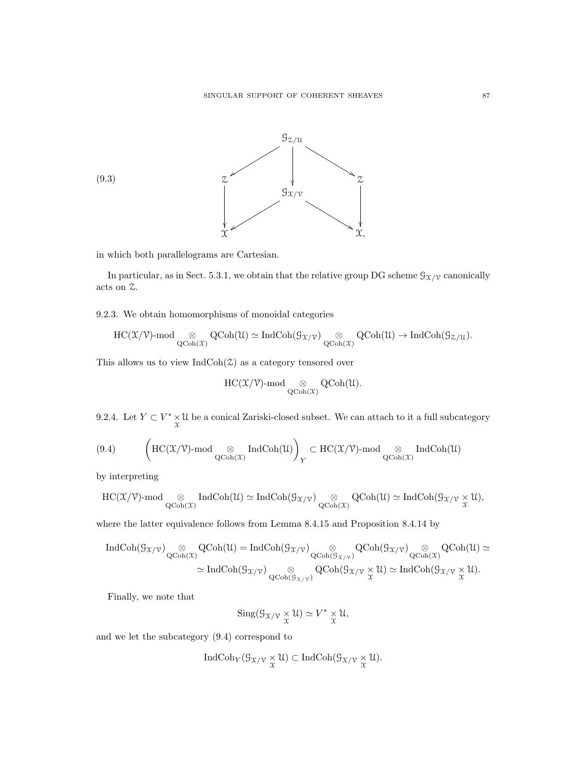

in which both parallelograms are Cartesian.

In particular, as in Sect. 5.3.1, we obtain that the relative group DG scheme  $\mathcal{G}_{\mathcal{X}/\mathcal{V}}$  canonically acts on Z.

9.2.3. We obtain homomorphisms of monoidal categories

$$
\mathrm{HC}(\mathfrak{X}/\mathbb{V})\text{-}\mathrm{mod}\underset{\mathrm{QCoh}(\mathfrak{X})}{\otimes}\mathrm{QCoh}(\mathfrak{U})\simeq \mathrm{IndCoh}(\mathfrak{G}_{\mathfrak{X}/\mathbb{V}})\underset{\mathrm{QCoh}(\mathfrak{X})}{\otimes}\mathrm{QCoh}(\mathfrak{U})\to \mathrm{IndCoh}(\mathfrak{G}_{\mathbb{Z}/\mathfrak{U}}).
$$

This allows us to view  $\text{IndCoh}(\mathcal{Z})$  as a category tensored over

$$
\operatorname{HC}({\mathfrak X}/{\mathcal V})\text{-}\mathrm{mod}\underset{\operatorname{QCoh}({\mathfrak X})}{\otimes}\operatorname{QCoh}({\mathfrak U}).
$$

9.2.4. Let  $Y \subset V^* \times \mathcal{U}$  be a conical Zariski-closed subset. We can attach to it a full subcategory

$$
(9.4)\qquad\quad \left(\mathrm{HC}(\mathfrak{X}/\mathfrak{V})\text{-}\mathrm{mod}\underset{\mathrm{QCoh}(\mathfrak{X})}{\otimes}\mathrm{IndCoh}(\mathfrak{U})\right)_Y\subset \mathrm{HC}(\mathfrak{X}/\mathfrak{V})\text{-}\mathrm{mod}\underset{\mathrm{QCoh}(\mathfrak{X})}{\otimes}\mathrm{IndCoh}(\mathfrak{U})
$$

by interpreting

$$
\mathrm{HC}(\mathfrak{X}/\mathfrak{V})\text{-}\mathrm{mod}\underset{\mathrm{QCoh}(\mathfrak{X})}{\otimes}\mathrm{IndCoh}(\mathfrak{U})\simeq \mathrm{IndCoh}(\mathfrak{G}_{\mathfrak{X}/\mathfrak{V}})\underset{\mathrm{QCoh}(\mathfrak{X})}{\otimes}\mathrm{QCoh}(\mathfrak{U})\simeq \mathrm{IndCoh}(\mathfrak{G}_{\mathfrak{X}/\mathfrak{V}}\underset{\mathfrak{X}}{\times}\mathfrak{U}),
$$

where the latter equivalence follows from Lemma 8.4.15 and Proposition 8.4.14 by

$$
\begin{array}{ll}\mathrm{IndCoh}(\mathcal{G}_{\mathfrak{X}/\mathcal{V}}) \underset{\mathrm{QCoh}(\mathfrak{X})}{\otimes} \mathrm{QCoh}(\mathfrak{U}) = \mathrm{IndCoh}(\mathcal{G}_{\mathfrak{X}/\mathcal{V}}) \underset{\mathrm{QCoh}(\mathcal{G}_{\mathfrak{X}/\mathcal{V}})}{\otimes} \mathrm{QCoh}(\mathcal{G}_{\mathfrak{X}/\mathcal{V}}) } \underset{\mathrm{QCoh}(\mathcal{G}_{\mathfrak{X}/\mathcal{V}})}{\otimes} \mathrm{QCoh}(\mathfrak{U}) \simeq\\ &\simeq \mathrm{IndCoh}(\mathcal{G}_{\mathfrak{X}/\mathcal{V}}) \underset{\mathrm{QCoh}(\mathcal{G}_{\mathfrak{X}/\mathcal{V}})}{\otimes} \mathrm{QCoh}(\mathcal{G}_{\mathfrak{X}/\mathcal{V}} \underset{\mathfrak{X}}{\times} \mathfrak{U}) \simeq \mathrm{IndCoh}(\mathcal{G}_{\mathfrak{X}/\mathcal{V}} \underset{\mathfrak{X}}{\times} \mathfrak{U}).\end{array}
$$

Finally, we note that

$$
\mathrm{Sing}(\mathcal{G}_{\mathfrak{X}/\mathfrak{V}} \underset{\mathfrak{X}}{\times} \mathfrak{U}) \simeq V^* \underset{\mathfrak{X}}{\times} \mathfrak{U},
$$

and we let the subcategory (9.4) correspond to

$$
\operatorname{IndCoh}_{Y}(\mathcal{G}_{\mathfrak{X}/\mathfrak{V}}\underset{\mathfrak{X}}{\times}\mathfrak{U})\subset\operatorname{IndCoh}(\mathcal{G}_{\mathfrak{X}/\mathfrak{V}}\underset{\mathfrak{X}}{\times}\mathfrak{U}).
$$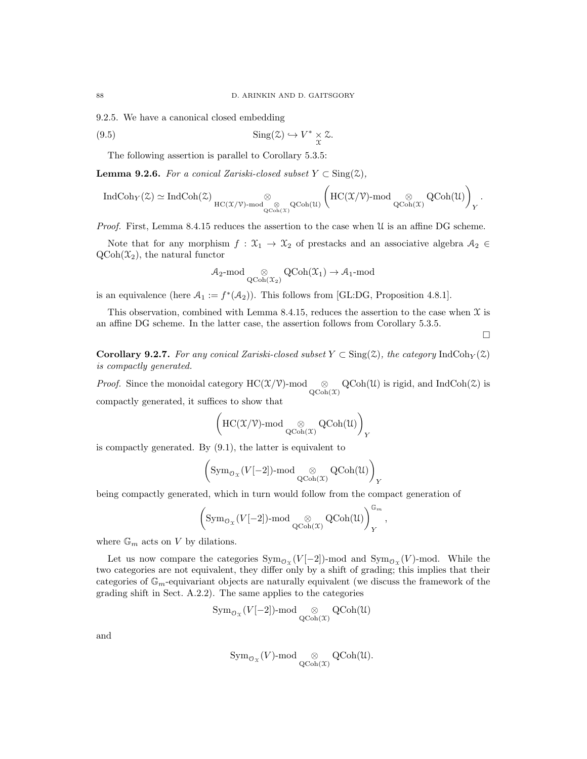9.2.5. We have a canonical closed embedding

(9.5) 
$$
\operatorname{Sing}(\mathcal{Z}) \hookrightarrow V^* \underset{\mathcal{X}}{\times} \mathcal{Z}.
$$

The following assertion is parallel to Corollary 5.3.5:

**Lemma 9.2.6.** For a conical Zariski-closed subset  $Y \subset Sing(\mathcal{Z})$ ,

$$
\operatorname{IndCoh}_Y(\mathbb{Z})\simeq \operatorname{IndCoh}(\mathbb{Z})\underset{\operatorname{HC}(\mathbb{X}/\mathbb{V})\operatorname{-mod}^\otimes}{\otimes}\operatorname{QCoh}(\mathfrak{U})\left(\operatorname{HC}(\mathbb{X}/\mathbb{V})\operatorname{-mod}^\otimes\operatorname{QCoh}(\mathfrak{U})\right)_Y.
$$

Proof. First, Lemma 8.4.15 reduces the assertion to the case when U is an affine DG scheme.

Note that for any morphism  $f : \mathfrak{X}_1 \to \mathfrak{X}_2$  of prestacks and an associative algebra  $\mathcal{A}_2 \in$  $QCoh(\mathcal{X}_2)$ , the natural functor

$$
\mathcal{A}_2\text{-mod} \underset{\mathrm{QCoh}(\mathfrak{X}_2)}{\otimes} \mathrm{QCoh}(\mathfrak{X}_1) \to \mathcal{A}_1\text{-mod}
$$

is an equivalence (here  $A_1 := f^*(A_2)$ ). This follows from [GL:DG, Proposition 4.8.1].

This observation, combined with Lemma 8.4.15, reduces the assertion to the case when  $\mathfrak X$  is an affine DG scheme. In the latter case, the assertion follows from Corollary 5.3.5.

 $\Box$ 

**Corollary 9.2.7.** For any conical Zariski-closed subset  $Y \subset Sing(2)$ , the category IndCoh $_Y(2)$ is compactly generated.

*Proof.* Since the monoidal category  $HC(X/V)$ -mod  $\underset{Q\text{Coh}(X)}{\otimes} QCoh(\mathcal{U})$  is rigid, and IndCoh( $\mathcal{Z}$ ) is compactly generated, it suffices to show that

$$
\left(\mathrm{HC}(\mathfrak{X}/\mathbb{V})\text{-}\mathrm{mod}\underset{\mathrm{QCoh}(\mathfrak{X})}{\otimes}\mathrm{QCoh}(\mathfrak{U})\right)_Y
$$

is compactly generated. By (9.1), the latter is equivalent to

$$
\left(\operatorname{Sym}\nolimits_{{\mathcal{O}}_{{\mathfrak{X}}}}(V[-2])\text{-mod}\mathop{\otimes}\nolimits_{{\operatorname{QCoh}}({\mathfrak{X}})}\operatorname{QCoh}({\mathfrak{U}})\right)_Y
$$

being compactly generated, which in turn would follow from the compact generation of

$$
\left(\text{Sym}_{\mathcal{O}_{\mathfrak{X}}}(V[-2])\text{-mod}\underset{\text{QCoh}(\mathfrak{X})}{\otimes}\text{QCoh}(\mathfrak{U})\right)_{Y}^{\mathbb{G}_m},
$$

where  $\mathbb{G}_m$  acts on V by dilations.

Let us now compare the categories  $Sym_{\mathcal{O}_{\mathfrak{X}}}(V[-2])$ -mod and  $Sym_{\mathcal{O}_{\mathfrak{X}}}(V)$ -mod. While the two categories are not equivalent, they differ only by a shift of grading; this implies that their categories of  $\mathbb{G}_m$ -equivariant objects are naturally equivalent (we discuss the framework of the grading shift in Sect. A.2.2). The same applies to the categories

$$
\operatorname{Sym}_{\mathcal{O}_{\mathfrak{X}}}(V[-2])\text{-mod}\underset{\operatorname{QCoh}(\mathfrak{X})}{\otimes}\operatorname{QCoh}(\mathfrak{U})
$$

and

$$
\operatorname{Sym}\nolimits_{\mathcal{O}_{\mathfrak{X}}}(V)\text{-mod}\underset{\operatorname{QCoh}\nolimits(\mathfrak{X})}{\otimes}\operatorname{QCoh}\nolimits(\mathfrak{U}).
$$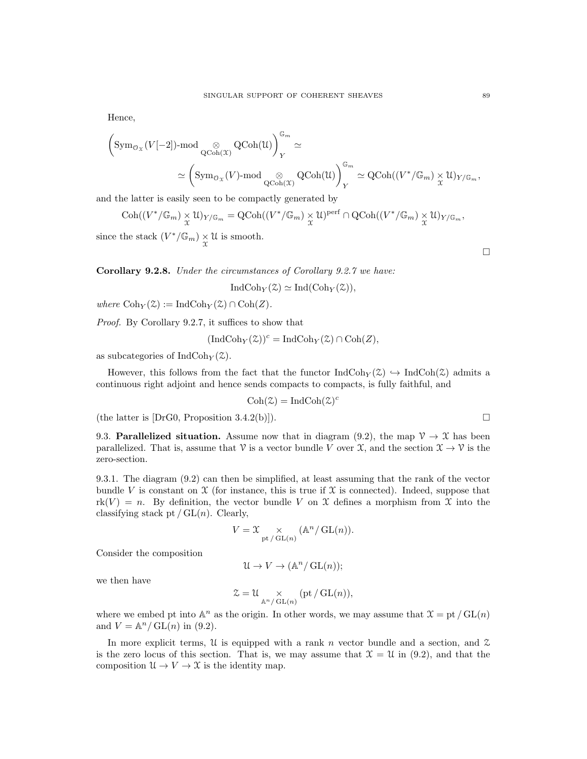Hence,

$$
\begin{aligned} \bigg(\mathrm{Sym}_{\mathcal{O}_{\mathfrak{X}}}(V[-2])\text{-mod} \underset{\mathrm{QCoh}(\mathfrak{X})}{\otimes} \mathrm{QCoh}(\mathfrak{U})\bigg)^{\mathbb{G}_m}_{Y} &\simeq \\ &\simeq \bigg(\mathrm{Sym}_{\mathcal{O}_{\mathfrak{X}}}(V)\text{-mod} \underset{\mathrm{QCoh}(\mathfrak{X})}{\otimes} \mathrm{QCoh}(\mathfrak{U})\bigg)^{\mathbb{G}_m}_{Y} &\simeq \mathrm{QCoh}((V^*/\mathbb{G}_m)\underset{\mathfrak{X}}{\times}\mathfrak{U})_{Y/\mathbb{G}_m}, \end{aligned}
$$

and the latter is easily seen to be compactly generated by

$$
\mathrm{Coh}((V^*/\mathbb{G}_m)\times \mathcal{U})_{Y/\mathbb{G}_m}=\mathrm{QCoh}((V^*/\mathbb{G}_m)\times \mathcal{U})^{\mathrm{perf}}\cap \mathrm{QCoh}((V^*/\mathbb{G}_m)\times \mathcal{U})_{Y/\mathbb{G}_m},
$$

since the stack  $(V^*/\mathbb{G}_m) \underset{\mathcal{X}}{\times} \mathcal{U}$  is smooth.

Corollary 9.2.8. Under the circumstances of Corollary 9.2.7 we have:

$$
IndCoh_Y(\mathcal{Z}) \simeq Ind(Coh_Y(\mathcal{Z})),
$$

where  $\mathrm{Coh}_Y(\mathcal{Z}) := \mathrm{IndCoh}_Y(\mathcal{Z}) \cap \mathrm{Coh}(Z)$ .

Proof. By Corollary 9.2.7, it suffices to show that

$$
(\mathrm{IndCoh}_Y(\mathcal{Z}))^c = \mathrm{IndCoh}_Y(\mathcal{Z}) \cap \mathrm{Coh}(Z),
$$

as subcategories of  $\text{IndCoh}_Y(\mathcal{Z})$ .

However, this follows from the fact that the functor  $IndCoh_Y(\mathcal{Z}) \hookrightarrow IndCoh(\mathcal{Z})$  admits a continuous right adjoint and hence sends compacts to compacts, is fully faithful, and

$$
Coh(\mathcal{Z}) = IndCoh(\mathcal{Z})^c
$$

(the latter is  $[DrG0, Proposition 3.4.2(b)]$ ).

9.3. **Parallelized situation.** Assume now that in diagram (9.2), the map  $\mathcal{V} \to \mathcal{X}$  has been parallelized. That is, assume that  $\mathcal V$  is a vector bundle V over  $\mathcal X$ , and the section  $\mathcal X \to \mathcal V$  is the zero-section.

9.3.1. The diagram (9.2) can then be simplified, at least assuming that the rank of the vector bundle V is constant on  $\mathfrak X$  (for instance, this is true if  $\mathfrak X$  is connected). Indeed, suppose that  $rk(V) = n$ . By definition, the vector bundle V on X defines a morphism from X into the classifying stack pt  $/\operatorname{GL}(n)$ . Clearly,

$$
V = \mathfrak{X} \underset{\mathrm{pt}\, / \, \mathrm{GL}(n)}{\times} (\mathbb{A}^n / \, \mathrm{GL}(n)).
$$

Consider the composition

$$
\mathcal{U} \to V \to (\mathbb{A}^n / GL(n));
$$

we then have

$$
\mathcal{Z} = \mathcal{U} \underset{\mathbb{A}^n/\operatorname{GL}(n)}{\times} (\operatorname{pt}/\operatorname{GL}(n)),
$$

where we embed pt into  $\mathbb{A}^n$  as the origin. In other words, we may assume that  $\mathfrak{X} = \text{pt } / \text{GL}(n)$ and  $V = \mathbb{A}^n / GL(n)$  in (9.2).

In more explicit terms, U is equipped with a rank n vector bundle and a section, and  $\mathcal Z$ is the zero locus of this section. That is, we may assume that  $\mathcal{X} = \mathcal{U}$  in (9.2), and that the composition  $\mathcal{U} \to V \to \mathcal{X}$  is the identity map.

 $\Box$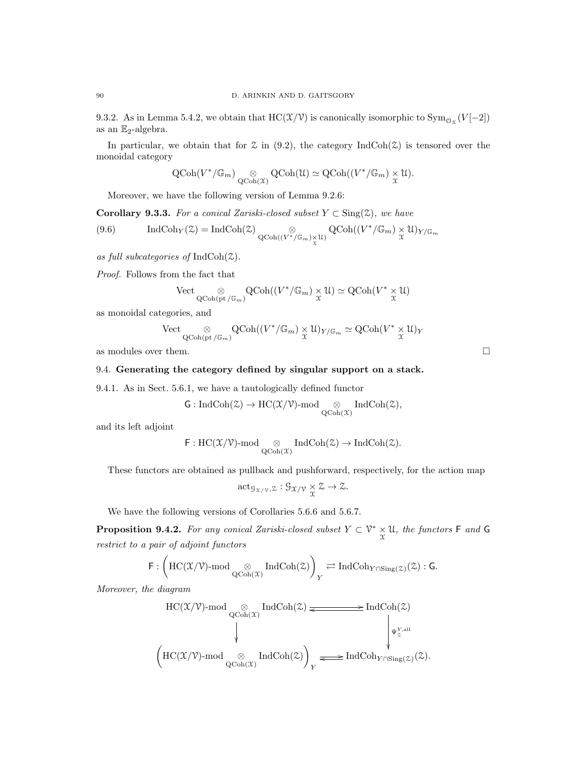9.3.2. As in Lemma 5.4.2, we obtain that HC( $\mathfrak{X}(\mathcal{V})$  is canonically isomorphic to  $\text{Sym}_{\mathcal{O}_{\mathfrak{X}}}(V[-2])$ as an  $\mathbb{E}_2$ -algebra.

In particular, we obtain that for  $\mathfrak X$  in (9.2), the category IndCoh( $\mathfrak X$ ) is tensored over the monoidal category

$$
\operatorname{QCoh}(V^*/\mathbb{G}_m) \underset{\operatorname{QCoh}(\mathfrak{X})}{\otimes} \operatorname{QCoh}(\mathfrak{U}) \simeq \operatorname{QCoh}((V^*/\mathbb{G}_m) \underset{\mathfrak{X}}{\times} \mathfrak{U}).
$$

Moreover, we have the following version of Lemma 9.2.6:

Corollary 9.3.3. For a conical Zariski-closed subset  $Y \subset Sing(\mathcal{Z})$ , we have

(9.6) IndCoh<sub>Y</sub>(
$$
\mathscr{Z}
$$
) = IndCoh $(\mathscr{Z})$   
\n $_{QCoh((V^*/\mathbb{G}_m)\underset{\mathscr{X}}{\times}U)} QCoh((V^*/\mathbb{G}_m)\underset{\mathscr{X}}{\times}U)_{Y/\mathbb{G}_m}$ 

as full subcategories of  $IndCoh(\mathcal{Z})$ .

Proof. Follows from the fact that

$$
\mathrm{Vect}\underset{\mathrm{QCoh}(\mathrm{pt}/\mathbb{G}_m)}{\otimes}\mathrm{QCoh}((V^*/\mathbb{G}_m)\underset{\chi}{\times}\mathfrak{U})\simeq \mathrm{QCoh}(V^*\underset{\chi}{\times}\mathfrak{U})
$$

as monoidal categories, and

$$
\mathrm{Vect}\underset{\mathrm{QCoh}(\mathrm{pt}\,/\mathbb{G}_m)}{\otimes}\mathrm{QCoh}((V^*/\mathbb{G}_m)\times\mathfrak{U})_{Y/\mathbb{G}_m}\simeq\mathrm{QCoh}(V^*\times\mathfrak{U})_Y
$$

as modules over them.  $\Box$ 

# 9.4. Generating the category defined by singular support on a stack.

9.4.1. As in Sect. 5.6.1, we have a tautologically defined functor

$$
\mathsf{G}: \operatorname{IndCoh}(\mathbb{Z}) \rightarrow \operatorname{HC}(\mathfrak{X}/\mathbb{V})\text{-}\mathrm{mod} \underset{\operatorname{QCoh}(\mathfrak{X})}{\otimes} \operatorname{IndCoh}(\mathbb{Z}),
$$

and its left adjoint

$$
\mathsf{F}: \mathrm{HC}(\mathfrak{X}/\mathfrak{V})\text{-}\mathrm{mod}\underset{\mathrm{QCoh}(\mathfrak{X})}{\otimes}\mathrm{IndCoh}(\mathfrak{Z})\to \mathrm{IndCoh}(\mathfrak{Z}).
$$

These functors are obtained as pullback and pushforward, respectively, for the action map

$$
\mathrm{act}_{\mathcal{G}_{\mathfrak{X}/\mathfrak{V}},\mathcal{Z}}:\mathcal{G}_{\mathfrak{X}/\mathfrak{V}}\underset{\mathfrak{X}}{\times}\mathcal{Z}\to\mathcal{Z}.
$$

We have the following versions of Corollaries 5.6.6 and 5.6.7.

**Proposition 9.4.2.** For any conical Zariski-closed subset  $Y \subset \mathcal{V}^* \times \mathcal{U}$ , the functors  $\mathsf{F}$  and  $\mathsf{G}$ restrict to a pair of adjoint functors

$$
\textsf{F}: \left(\textsf{HC}(\mathfrak{X}/\mathfrak{V})\textsf{-mod}_{\textsf{QCoh}(\mathfrak{X})}\textsf{IndCoh}(\mathfrak{Z})\right)_Y\rightleftarrows \textsf{IndCoh}_{Y\cap \textsf{Sing}(\mathfrak{Z})}(\mathfrak{Z}): \textsf{G}.
$$

Moreover, the diagram

$$
\begin{CD} \mathrm{HC}(\mathfrak{X}/\mathfrak{V})\text{-mod} \underset{\mathrm{QCoh}(\mathfrak{X})}{\otimes} \mathrm{IndCoh}(\mathfrak{Z}) \xrightarrow{\qquad \qquad} \mathrm{IndCoh}(\mathfrak{Z}) \\ \downarrow \qquad \qquad \downarrow \qquad \qquad \downarrow \qquad \qquad \downarrow \qquad \downarrow \qquad \downarrow \qquad \downarrow \qquad \downarrow \qquad \downarrow \qquad \downarrow \qquad \downarrow \qquad \downarrow \qquad \downarrow \qquad \downarrow \qquad \downarrow \qquad \downarrow \qquad \downarrow \qquad \downarrow \qquad \downarrow \qquad \downarrow \qquad \downarrow \qquad \downarrow \qquad \downarrow \qquad \downarrow \qquad \downarrow \qquad \downarrow \qquad \downarrow \qquad \downarrow \qquad \downarrow \qquad \downarrow \qquad \downarrow \qquad \downarrow \qquad \downarrow \qquad \downarrow \qquad \downarrow \qquad \downarrow \qquad \downarrow \qquad \downarrow \qquad \downarrow \qquad \downarrow \qquad \downarrow \qquad \downarrow \qquad \downarrow \qquad \downarrow \qquad \downarrow \qquad \downarrow \qquad \downarrow \qquad \downarrow \qquad \downarrow \qquad \downarrow \qquad \downarrow \qquad \downarrow \qquad \downarrow \qquad \downarrow \qquad \downarrow \qquad \downarrow \qquad \downarrow \qquad \downarrow \qquad \downarrow \qquad \downarrow \qquad \downarrow \qquad \downarrow \qquad \downarrow \qquad \downarrow \qquad \downarrow \qquad \downarrow \qquad \downarrow \qquad \downarrow \qquad \downarrow \qquad \downarrow \qquad \downarrow \qquad \downarrow \qquad \downarrow \qquad \downarrow \qquad \downarrow \qquad \downarrow \qquad \downarrow \qquad \downarrow \qquad \downarrow \qquad \downarrow \qquad \downarrow \qquad \downarrow \qquad \downarrow \qquad \downarrow \qquad \downarrow \qquad \downarrow \qquad \downarrow \qquad \downarrow \qquad \downarrow \qquad \downarrow \qquad \downarrow \qquad \downarrow \qquad \downarrow \qquad \downarrow \qquad \downarrow \qquad \downarrow \qquad \downarrow \qquad \downarrow \qquad \downarrow \qquad \downarrow \qquad \downarrow \qquad \downarrow \qquad \downarrow \qquad \downarrow \qquad \downarrow \qquad \downarrow \qquad \downarrow \qquad \downarrow \qquad \downarrow \qquad \downarrow \qquad \down
$$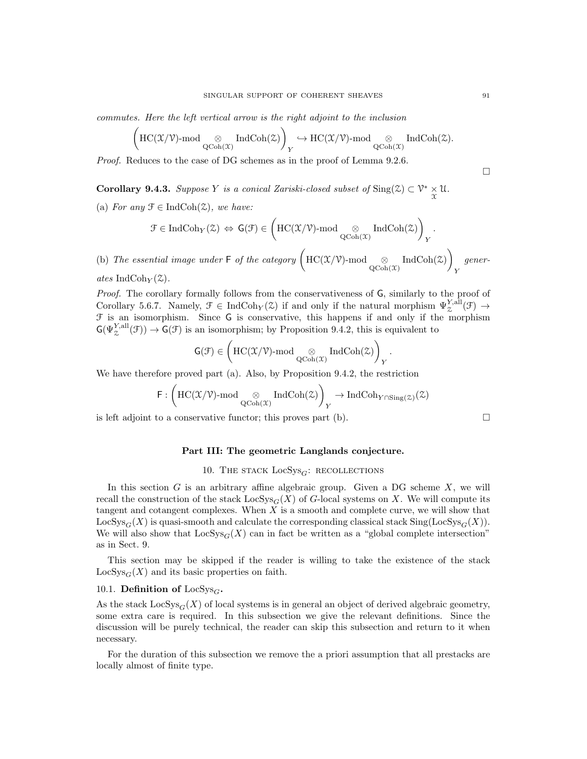commutes. Here the left vertical arrow is the right adjoint to the inclusion

$$
\left(\mathrm{HC}(\mathfrak{X}/\mathfrak{V})\text{-}\mathrm{mod}\underset{\mathrm{QCoh}(\mathfrak{X})}{\otimes}\mathrm{IndCoh}(\mathfrak{X})\right)_Y\hookrightarrow \mathrm{HC}(\mathfrak{X}/\mathfrak{V})\text{-}\mathrm{mod}\underset{\mathrm{QCoh}(\mathfrak{X})}{\otimes}\mathrm{IndCoh}(\mathfrak{X}).
$$

Proof. Reduces to the case of DG schemes as in the proof of Lemma 9.2.6.

**Corollary 9.4.3.** Suppose Y is a conical Zariski-closed subset of  $\text{Sing}(\mathcal{Z}) \subset \mathcal{V}^* \times \mathcal{U}$ .

(a) For any  $\mathcal{F} \in \text{IndCoh}(\mathcal{Z})$ , we have:

$$
\mathcal{F}\in \mathrm{IndCoh}_Y(\mathbb{Z}) \, \Leftrightarrow \, \textsf{G}(\mathcal{F})\in \left(\mathrm{HC}(\mathfrak{X}/\mathcal{V})\text{-}\mathrm{mod}\underset{\mathrm{QCoh}(\mathfrak{X})}{\otimes} \mathrm{IndCoh}(\mathbb{Z})\right)_Y.
$$

(b) The essential image under  $\mathsf{F}$  of the category  $\left(\text{HC}(\mathfrak{X}/\mathfrak{V})\text{-mod}\underset{\text{QCoh}(\mathfrak{X})}{\otimes}\text{IndCoh}(\mathfrak{X})\right)$ Y generates IndCoh $_Y(\mathcal{Z})$ .

Proof. The corollary formally follows from the conservativeness of G, similarly to the proof of Corollary 5.6.7. Namely,  $\mathcal{F} \in \text{IndCoh}_{Y}(\mathcal{Z})$  if and only if the natural morphism  $\Psi_{\mathcal{Z}}^{Y, \text{all}}(\mathcal{F}) \to$  $F$  is an isomorphism. Since G is conservative, this happens if and only if the morphism  $\mathsf{G}(\Psi_\mathcal{Z}^{Y,\text{all}}(\mathcal{F})) \to \mathsf{G}(\mathcal{F})$  is an isomorphism; by Proposition 9.4.2, this is equivalent to

$$
\mathsf{G}(\mathcal{F}) \in \left(\mathrm{HC}(\mathfrak{X}/\mathfrak{V})\text{-}\mathrm{mod}\underset{\mathrm{QCoh}(\mathfrak{X})}{\otimes} \mathrm{IndCoh}(\mathfrak{X})\right)_Y.
$$

We have therefore proved part (a). Also, by Proposition 9.4.2, the restriction

$$
\textsf{F}:\left(\textsf{HC}(\mathfrak{X}/\mathfrak{V})\textsf{-mod}_{\textsf{QCoh}(\mathfrak{X})}\textsf{IndCoh}(\textsf{Z})\right)_Y\to\textsf{IndCoh}_{Y\cap\textsf{Sing}(\textsf{Z})}(\textsf{Z})
$$

is left adjoint to a conservative functor; this proves part  $(b)$ .

Part III: The geometric Langlands conjecture.

## 10. THE STACK  $LocSys_G$ : RECOLLECTIONS

In this section G is an arbitrary affine algebraic group. Given a DG scheme  $X$ , we will recall the construction of the stack  $\text{LocSys}_G(X)$  of G-local systems on X. We will compute its tangent and cotangent complexes. When X is a smooth and complete curve, we will show that  $LocSys_G(X)$  is quasi-smooth and calculate the corresponding classical stack  $Sing(LocSys_G(X))$ . We will also show that  $LocSys<sub>G</sub>(X)$  can in fact be written as a "global complete intersection" as in Sect. 9.

This section may be skipped if the reader is willing to take the existence of the stack  $LocSys<sub>G</sub>(X)$  and its basic properties on faith.

# 10.1. Definition of  $\text{LocSys}_G$ .

As the stack  $\text{LocSys}_G(X)$  of local systems is in general an object of derived algebraic geometry, some extra care is required. In this subsection we give the relevant definitions. Since the discussion will be purely technical, the reader can skip this subsection and return to it when necessary.

For the duration of this subsection we remove the a priori assumption that all prestacks are locally almost of finite type.

 $\Box$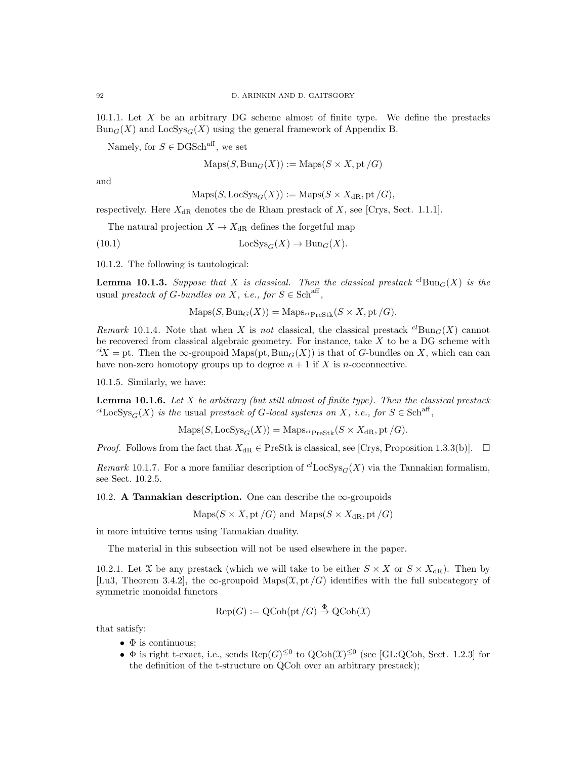10.1.1. Let X be an arbitrary DG scheme almost of finite type. We define the prestacks  $Bun_G(X)$  and  $LocSys_G(X)$  using the general framework of Appendix B.

Namely, for  $S \in \text{DGSch}^{\text{aff}}$ , we set

$$
Maps(S, Bun_G(X)) := Maps(S \times X, pt/G)
$$

and

$$
\operatorname{Maps}(S, \operatorname{LocSys}_G(X)) := \operatorname{Maps}(S \times X_{\mathrm{dR}}, \operatorname{pt}/G),
$$

respectively. Here  $X_{\text{dR}}$  denotes the de Rham prestack of X, see [Crys, Sect. 1.1.1].

The natural projection  $X \to X_{\text{dR}}$  defines the forgetful map

(10.1) 
$$
LocSys_G(X) \to Bun_G(X).
$$

10.1.2. The following is tautological:

**Lemma 10.1.3.** Suppose that X is classical. Then the classical prestack <sup>cl</sup>Bun<sub>G</sub>(X) is the usual prestack of G-bundles on X, i.e., for  $S \in \text{Sch}^{\text{aff}}$ ,

 $\text{Maps}(S, \text{Bun}_G(X)) = \text{Maps}_{\text{clPrestk}}(S \times X, \text{pt}/G).$ 

Remark 10.1.4. Note that when X is not classical, the classical prestack  ${}^{cl}$ Bun $_G(X)$  cannot be recovered from classical algebraic geometry. For instance, take X to be a DG scheme with  $c^lX =$  pt. Then the  $\infty$ -groupoid Maps(pt, Bun<sub>G</sub>(X)) is that of G-bundles on X, which can can have non-zero homotopy groups up to degree  $n + 1$  if X is *n*-coconnective.

10.1.5. Similarly, we have:

**Lemma 10.1.6.** Let X be arbitrary (but still almost of finite type). Then the classical prestack <sup>cl</sup>LocSys<sub>G</sub>(X) is the usual prestack of G-local systems on X, i.e., for  $S \in \text{Sch}^{\text{aff}}$ ,

$$
Maps(S, LocSysG(X)) = MapsclPrestk(S \times XdR, pt/G).
$$

*Proof.* Follows from the fact that  $X_{\text{dR}} \in \text{PreStk}$  is classical, see [Crys, Proposition 1.3.3(b)].  $\Box$ 

Remark 10.1.7. For a more familiar description of <sup>cl</sup>LocSys<sub>G</sub>(X) via the Tannakian formalism, see Sect. 10.2.5.

10.2. A Tannakian description. One can describe the  $\infty$ -groupoids

$$
Maps(S \times X, pt/G) \text{ and } Maps(S \times X_{dR}, pt/G)
$$

in more intuitive terms using Tannakian duality.

The material in this subsection will not be used elsewhere in the paper.

10.2.1. Let X be any prestack (which we will take to be either  $S \times X$  or  $S \times X_{\text{dR}}$ ). Then by [Lu3, Theorem 3.4.2], the  $\infty$ -groupoid Maps( $\mathfrak{X}, \mathsf{pt}/G$ ) identifies with the full subcategory of symmetric monoidal functors

$$
Rep(G) := QCoh(pt/G) \stackrel{\Phi}{\to} QCoh(\mathfrak{X})
$$

that satisfy:

- $\bullet$   $\Phi$  is continuous;
- $\Phi$  is right t-exact, i.e., sends  $\text{Rep}(G)^{\leq 0}$  to  $\text{QCoh}(\mathfrak{X})^{\leq 0}$  (see [GL:QCoh, Sect. 1.2.3] for the definition of the t-structure on QCoh over an arbitrary prestack);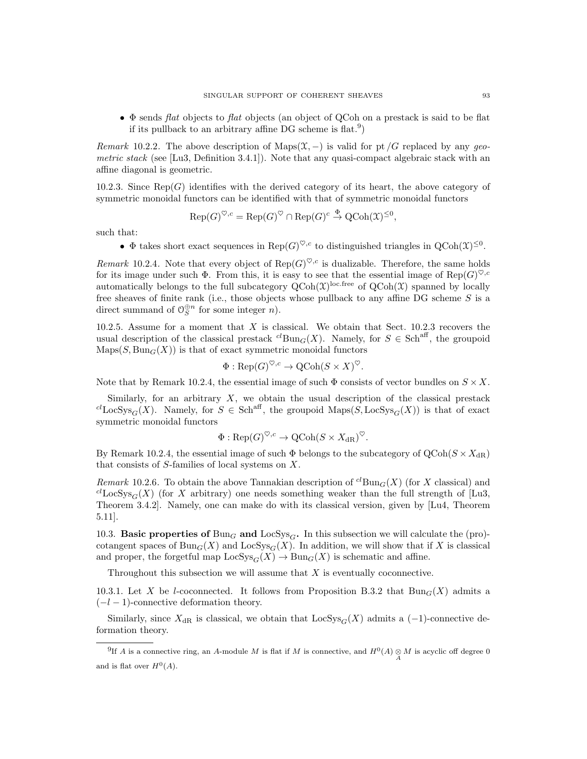$\bullet$   $\Phi$  sends flat objects to flat objects (an object of QCoh on a prestack is said to be flat if its pullback to an arbitrary affine DG scheme is flat.<sup>9</sup>)

Remark 10.2.2. The above description of Maps( $\mathfrak{X}, -$ ) is valid for pt /G replaced by any geometric stack (see [Lu3, Definition 3.4.1]). Note that any quasi-compact algebraic stack with an affine diagonal is geometric.

10.2.3. Since  $\text{Rep}(G)$  identifies with the derived category of its heart, the above category of symmetric monoidal functors can be identified with that of symmetric monoidal functors

$$
\operatorname{Rep}(G)^{\heartsuit,c} = \operatorname{Rep}(G)^{\heartsuit} \cap \operatorname{Rep}(G)^c \stackrel{\Phi}{\to} \operatorname{QCoh}(\mathfrak{X})^{\leq 0},
$$

such that:

•  $\Phi$  takes short exact sequences in  $\text{Rep}(G)^{\heartsuit,c}$  to distinguished triangles in  $\text{QCoh}(\mathfrak{X})^{\leq 0}$ .

Remark 10.2.4. Note that every object of  $\text{Rep}(G)^{\heartsuit,c}$  is dualizable. Therefore, the same holds for its image under such  $\Phi$ . From this, it is easy to see that the essential image of  $\text{Rep}(G)^{\heartsuit,c}$ automatically belongs to the full subcategory  $Q\text{Coh}(\mathfrak{X})^{\text{loc-free}}$  of  $Q\text{Coh}(\mathfrak{X})$  spanned by locally free sheaves of finite rank (i.e., those objects whose pullback to any affine DG scheme  $S$  is a direct summand of  $\mathcal{O}_S^{\oplus n}$  for some integer *n*).

10.2.5. Assume for a moment that  $X$  is classical. We obtain that Sect. 10.2.3 recovers the usual description of the classical prestack  ${}^{cl}$ Bun ${}_{G}(X)$ . Namely, for  $S \in Sch$ <sup>aff</sup>, the groupoid  $\text{Maps}(S, \text{Bun}_G(X))$  is that of exact symmetric monoidal functors

$$
\Phi: \text{Rep}(G)^{\heartsuit,c} \to \text{QCoh}(S \times X)^{\heartsuit}.
$$

Note that by Remark 10.2.4, the essential image of such  $\Phi$  consists of vector bundles on  $S \times X$ .

Similarly, for an arbitrary  $X$ , we obtain the usual description of the classical prestack  ${}^{cl}$ LocSys<sub>G</sub>(X). Namely, for  $S \in Sch^{aff}$ , the groupoid Maps(S, LocSys<sub>G</sub>(X)) is that of exact symmetric monoidal functors

$$
\Phi: \text{Rep}(G)^{\heartsuit,c} \to \text{QCoh}(S \times X_{\text{dR}})^{\heartsuit}.
$$

By Remark 10.2.4, the essential image of such  $\Phi$  belongs to the subcategory of  $Q\text{Coh}(S \times X_{\text{dR}})$ that consists of S-families of local systems on X.

Remark 10.2.6. To obtain the above Tannakian description of <sup>cl</sup>Bun<sub>G</sub>(X) (for X classical) and  $^{cl}$ LocSys<sub>G</sub>(X) (for X arbitrary) one needs something weaker than the full strength of [Lu3, Theorem 3.4.2]. Namely, one can make do with its classical version, given by [Lu4, Theorem 5.11].

10.3. Basic properties of  $Bun<sub>G</sub>$  and  $LocSys<sub>G</sub>$ . In this subsection we will calculate the (pro)cotangent spaces of  $Bun_G(X)$  and  $LocSys_G(X)$ . In addition, we will show that if X is classical and proper, the forgetful map  $\text{LocSys}_G(X) \to \text{Bun}_G(X)$  is schematic and affine.

Throughout this subsection we will assume that  $X$  is eventually coconnective.

10.3.1. Let X be l-coconnected. It follows from Proposition B.3.2 that  $Bun_G(X)$  admits a  $(-l-1)$ -connective deformation theory.

Similarly, since  $X_{\text{dR}}$  is classical, we obtain that  $\text{LocSys}_G(X)$  admits a (-1)-connective deformation theory.

<sup>&</sup>lt;sup>9</sup>If A is a connective ring, an A-module M is flat if M is connective, and  $H^0(A) \underset{A}{\otimes} M$  is acyclic off degree 0 and is flat over  $H^0(A)$ .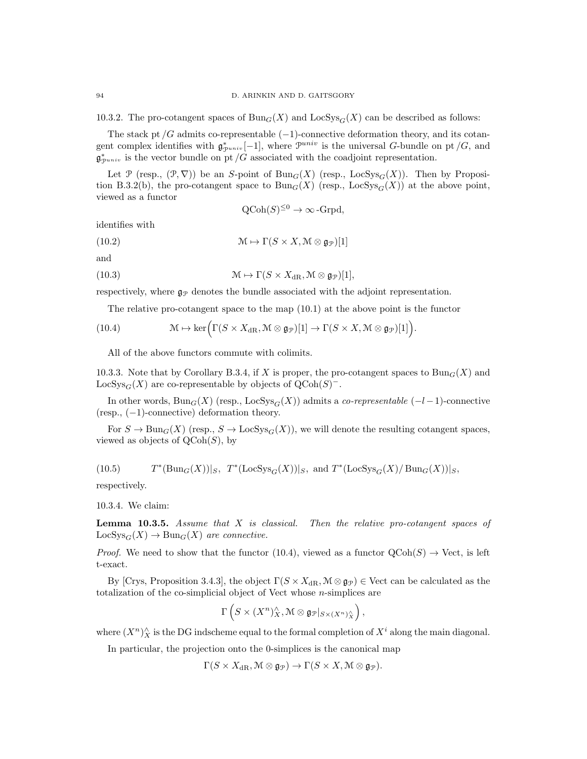10.3.2. The pro-cotangent spaces of  $Bun_G(X)$  and  $LocSys_G(X)$  can be described as follows:

The stack pt  $/G$  admits co-representable  $(-1)$ -connective deformation theory, and its cotangent complex identifies with  $\mathfrak{g}_{\mathcal{P}^{univ}}^*[-1]$ , where  $\mathcal{P}^{univ}$  is the universal G-bundle on pt /G, and  $\mathfrak{g}^*_{\mathcal{P}^{univ}}$  is the vector bundle on pt /G associated with the coadjoint representation.

Let P (resp.,  $(\mathcal{P}, \nabla)$ ) be an S-point of Bun<sub>G</sub>(X) (resp., LocSys<sub>G</sub>(X)). Then by Proposition B.3.2(b), the pro-cotangent space to  $Bun_G(X)$  (resp., LocSys<sub>G</sub>(X)) at the above point, viewed as a functor

$$
Q\text{Coh}(S)^{\leq 0} \to \infty\text{-Grpd},
$$

identifies with

(10.2) 
$$
\mathcal{M} \mapsto \Gamma(S \times X, \mathcal{M} \otimes \mathfrak{g}_{\mathcal{P}})[1]
$$

and

(10.3) 
$$
\mathfrak{M} \mapsto \Gamma(S \times X_{\mathrm{dR}}, \mathfrak{M} \otimes \mathfrak{g}_{\mathcal{P}})[1],
$$

respectively, where  $\mathfrak{g}_{\mathcal{P}}$  denotes the bundle associated with the adjoint representation.

The relative pro-cotangent space to the map (10.1) at the above point is the functor

(10.4) 
$$
\mathcal{M} \mapsto \ker \Big( \Gamma(S \times X_{\mathrm{dR}}, \mathcal{M} \otimes \mathfrak{g}_{\mathcal{P}})[1] \to \Gamma(S \times X, \mathcal{M} \otimes \mathfrak{g}_{\mathcal{P}})[1] \Big).
$$

All of the above functors commute with colimits.

10.3.3. Note that by Corollary B.3.4, if X is proper, the pro-cotangent spaces to  $\text{Bun}_G(X)$  and LocSys<sub>G</sub>(X) are co-representable by objects of  $Q\text{Coh}(S)^-$ .

In other words,  $Bun_G(X)$  (resp., LocSys<sub>G</sub>(X)) admits a *co-representable* ( $-l-1$ )-connective (resp., (−1)-connective) deformation theory.

For  $S \to \text{Bun}_G(X)$  (resp.,  $S \to \text{LocSys}_G(X)$ ), we will denote the resulting cotangent spaces, viewed as objects of  $\text{QCoh}(S)$ , by

(10.5) 
$$
T^*(Bun_G(X))|_S
$$
,  $T^*(LocSys_G(X))|_S$ , and  $T^*(LocSys_G(X)/Bun_G(X))|_S$ ,

respectively.

10.3.4. We claim:

**Lemma 10.3.5.** Assume that  $X$  is classical. Then the relative pro-cotangent spaces of  $\text{LocSys}_{G}(X) \to \text{Bun}_G(X)$  are connective.

*Proof.* We need to show that the functor (10.4), viewed as a functor  $QCoh(S) \rightarrow$  Vect, is left t-exact.

By [Crys, Proposition 3.4.3], the object  $\Gamma(S \times X_{\text{dR}}, \mathcal{M} \otimes \mathfrak{g}_{\mathcal{P}}) \in \text{Vect}$  can be calculated as the totalization of the co-simplicial object of Vect whose  $n$ -simplices are

$$
\Gamma\left(S\times(X^n)^\wedge_X,{\mathcal{M}}\otimes{\mathfrak{g}}_{{\mathcal{P}}}|_{S\times(X^n)^\wedge_X}\right),
$$

where  $(X^n)^\wedge_X$  is the DG indscheme equal to the formal completion of  $X^i$  along the main diagonal.

In particular, the projection onto the 0-simplices is the canonical map

$$
\Gamma(S \times X_{\mathrm{dR}}, \mathcal{M} \otimes \mathfrak{g}_{\mathcal{P}}) \to \Gamma(S \times X, \mathcal{M} \otimes \mathfrak{g}_{\mathcal{P}}).
$$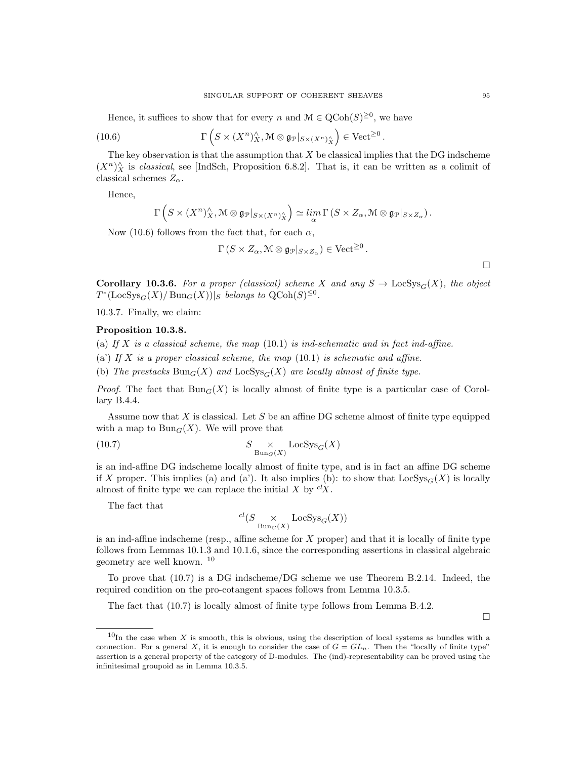Hence, it suffices to show that for every n and  $\mathcal{M} \in \text{QCoh}(S)^{\geq 0}$ , we have

(10.6) 
$$
\Gamma\left(S \times (X^n)^\wedge_X, \mathcal{M} \otimes \mathfrak{g}_{\mathcal{P}}|_{S \times (X^n)^\wedge_X}\right) \in \mathrm{Vect}^{\geq 0}.
$$

The key observation is that the assumption that  $X$  be classical implies that the DG indscheme  $(X<sup>n</sup>)<sup>^</sup><sub>X</sub>$  is *classical*, see [IndSch, Proposition 6.8.2]. That is, it can be written as a colimit of classical schemes  $Z_{\alpha}$ .

Hence,

$$
\Gamma\left(S\times (X^n)_X^\wedge,\mathcal{M}\otimes \mathfrak{g}_{\mathcal{P}}|_{S\times (X^n)_X^\wedge}\right)\simeq \lim_\alpha \Gamma\left(S\times Z_\alpha,\mathcal{M}\otimes \mathfrak{g}_{\mathcal{P}}|_{S\times Z_\alpha}\right).
$$

Now (10.6) follows from the fact that, for each  $\alpha$ ,

$$
\Gamma(S \times Z_{\alpha}, \mathcal{M} \otimes \mathfrak{g}_{\mathcal{P}}|_{S \times Z_{\alpha}}) \in \text{Vect}^{\geq 0}.
$$

 $\Box$ 

 $\Box$ 

Corollary 10.3.6. For a proper (classical) scheme X and any  $S \to \text{LocSys}_G(X)$ , the object  $T^*(\text{LocSys}_G(X)/\text{Bun}_G(X))|_S$  belongs to  $\text{QCoh}(S)^{\leq 0}$ .

10.3.7. Finally, we claim:

# Proposition 10.3.8.

- (a) If X is a classical scheme, the map  $(10.1)$  is ind-schematic and in fact ind-affine.
- (a') If X is a proper classical scheme, the map  $(10.1)$  is schematic and affine.
- (b) The prestacks  $Bun_G(X)$  and  $LocSys_G(X)$  are locally almost of finite type.

*Proof.* The fact that  $Bun_G(X)$  is locally almost of finite type is a particular case of Corollary B.4.4.

Assume now that  $X$  is classical. Let  $S$  be an affine DG scheme almost of finite type equipped with a map to  $Bun_G(X)$ . We will prove that

(10.7) 
$$
S \underset{\text{Bun}_G(X)}{\times} \text{LocSys}_G(X)
$$

is an ind-affine DG indscheme locally almost of finite type, and is in fact an affine DG scheme if X proper. This implies (a) and (a'). It also implies (b): to show that  $\text{LocSys}_G(X)$  is locally almost of finite type we can replace the initial  $X$  by  ${}^{cl}X$ .

The fact that

$$
^{cl}(S\underset{\operatorname{Bun}_G(X)}{\times}\operatorname{LocSys}_G(X))
$$

is an ind-affine indscheme (resp., affine scheme for  $X$  proper) and that it is locally of finite type follows from Lemmas 10.1.3 and 10.1.6, since the corresponding assertions in classical algebraic geometry are well known. <sup>10</sup>

To prove that (10.7) is a DG indscheme/DG scheme we use Theorem B.2.14. Indeed, the required condition on the pro-cotangent spaces follows from Lemma 10.3.5.

The fact that (10.7) is locally almost of finite type follows from Lemma B.4.2.

 $10$ In the case when X is smooth, this is obvious, using the description of local systems as bundles with a connection. For a general X, it is enough to consider the case of  $G = GL_n$ . Then the "locally of finite type" assertion is a general property of the category of D-modules. The (ind)-representability can be proved using the infinitesimal groupoid as in Lemma 10.3.5.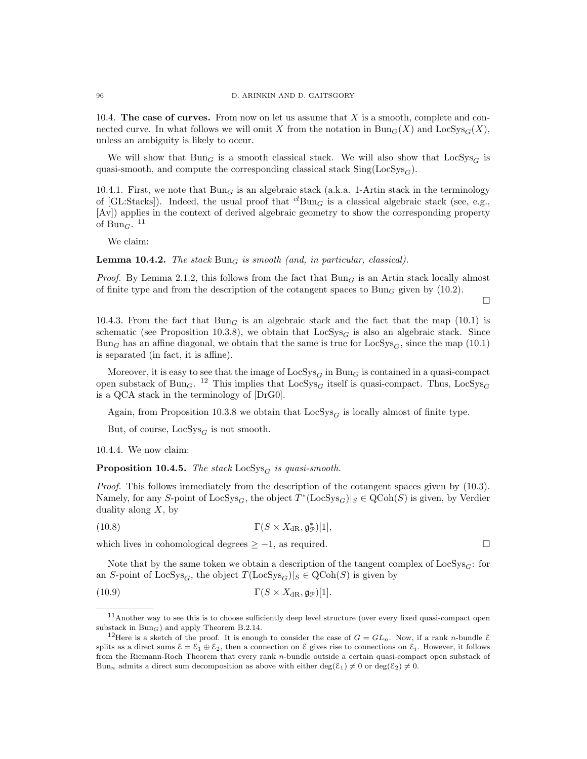10.4. The case of curves. From now on let us assume that  $X$  is a smooth, complete and connected curve. In what follows we will omit X from the notation in  $\text{Bun}_G(X)$  and  $\text{LocSys}_G(X)$ , unless an ambiguity is likely to occur.

We will show that  $Bun_G$  is a smooth classical stack. We will also show that  $LocSys_G$  is quasi-smooth, and compute the corresponding classical stack  $\text{Sing}(\text{LocSys}_G)$ .

10.4.1. First, we note that  $Bun_G$  is an algebraic stack (a.k.a. 1-Artin stack in the terminology of [GL:Stacks]). Indeed, the usual proof that  ${}^{cl}$ Bun<sub>G</sub> is a classical algebraic stack (see, e.g., [Av]) applies in the context of derived algebraic geometry to show the corresponding property of Bun<sub>G</sub>.  $^{11}$ 

We claim:

**Lemma 10.4.2.** The stack  $Bun_G$  is smooth (and, in particular, classical).

*Proof.* By Lemma 2.1.2, this follows from the fact that  $Bun<sub>G</sub>$  is an Artin stack locally almost of finite type and from the description of the cotangent spaces to  $Bun_G$  given by (10.2).

10.4.3. From the fact that  $Bun_G$  is an algebraic stack and the fact that the map (10.1) is schematic (see Proposition 10.3.8), we obtain that  $LocSys_G$  is also an algebraic stack. Since Bun<sub>G</sub> has an affine diagonal, we obtain that the same is true for  $LocSys<sub>G</sub>$ , since the map (10.1) is separated (in fact, it is affine).

Moreover, it is easy to see that the image of  $\text{LocSys}_G$  in  $\text{Bun}_G$  is contained in a quasi-compact open substack of Bun<sub>G</sub>. <sup>12</sup> This implies that  $\text{LocSys}_{G}$  itself is quasi-compact. Thus,  $\text{LocSys}_{G}$ is a QCA stack in the terminology of [DrG0].

Again, from Proposition 10.3.8 we obtain that  $LocSys_G$  is locally almost of finite type.

But, of course,  $LocSys_G$  is not smooth.

10.4.4. We now claim:

**Proposition 10.4.5.** The stack  $\text{LocSys}_G$  is quasi-smooth.

Proof. This follows immediately from the description of the cotangent spaces given by (10.3). Namely, for any S-point of  $\text{LocSys}_G$ , the object  $T^*(\text{LocSys}_G)|_S \in \text{QCoh}(S)$  is given, by Verdier duality along  $X$ , by

(10.8)  $\Gamma(S \times X_{\text{dR}}, \mathfrak{g}_{\mathcal{P}}^*)[1],$ 

which lives in cohomological degrees  $\geq -1$ , as required.

Note that by the same token we obtain a description of the tangent complex of  $LocSys_G$ : for an S-point of LocSys<sub>G</sub>, the object  $T(\text{LocSys}_G)|_S \in \text{QCoh}(S)$  is given by

(10.9) 
$$
\Gamma(S \times X_{\mathrm{dR}}, \mathfrak{g}_{\mathcal{P}})[1].
$$

 $\Box$ 

<sup>11</sup>Another way to see this is to choose sufficiently deep level structure (over every fixed quasi-compact open substack in  $Bun_G$ ) and apply Theorem B.2.14.

<sup>&</sup>lt;sup>12</sup>Here is a sketch of the proof. It is enough to consider the case of  $G = GL_n$ . Now, if a rank *n*-bundle  $\mathcal{E}$ splits as a direct sums  $\mathcal{E} = \mathcal{E}_1 \oplus \mathcal{E}_2$ , then a connection on  $\mathcal{E}$  gives rise to connections on  $\mathcal{E}_i$ . However, it follows from the Riemann-Roch Theorem that every rank n-bundle outside a certain quasi-compact open substack of Bun<sub>n</sub> admits a direct sum decomposition as above with either deg( $\mathcal{E}_1$ )  $\neq 0$  or deg( $\mathcal{E}_2$ )  $\neq 0$ .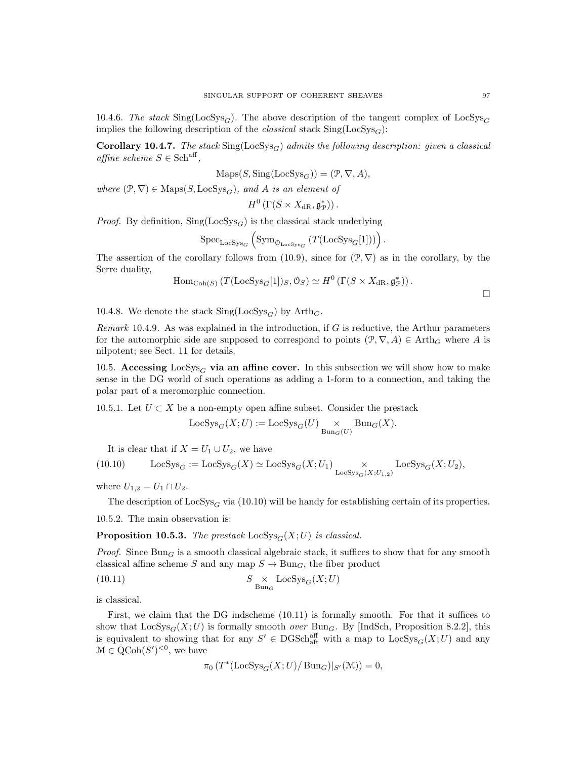10.4.6. The stack  $\text{Sing}(\text{LocSys}_G)$ . The above description of the tangent complex of  $\text{LocSys}_G$ implies the following description of the *classical* stack  $\text{Sing}(\text{LocSys}_G)$ :

Corollary 10.4.7. The stack  $\text{Sing}(\text{LocSys}_G)$  admits the following description: given a classical affine scheme  $S \in \text{Sch}^{\text{aff}}$ ,

$$
Maps(S, Sing(LocSysG)) = (\mathcal{P}, \nabla, A),
$$

where  $(\mathcal{P}, \nabla) \in \text{Maps}(S, \text{LocSys}_G)$ , and A is an element of

$$
H^0\left(\Gamma(S\times X_{\mathrm{dR}},\mathfrak{g}^*_{\mathcal{P}})\right).
$$

*Proof.* By definition,  $\text{Sing}(\text{LocSys}_G)$  is the classical stack underlying

$$
{\rm Spec}_{\rm LocSys_G} \left( {\rm Sym}_{\mathfrak{O}_{\rm LocSys_G}} \left( T({\rm LocSys_G}[1]) \right) \right).
$$

The assertion of the corollary follows from (10.9), since for  $(\mathcal{P}, \nabla)$  as in the corollary, by the Serre duality,

$$
\mathrm{Hom}_{\mathrm{Coh}(S)}\left(T(\mathrm{LocSys}_{G}[1])_{S}, 0_{S}\right) \simeq H^{0}\left(\Gamma(S \times X_{\mathrm{dR}}, \mathfrak{g}_{\mathcal{P}}^{*})\right).
$$

10.4.8. We denote the stack  $\text{Sing}(\text{LocSys}_G)$  by  $\text{Arth}_G$ .

Remark 10.4.9. As was explained in the introduction, if  $G$  is reductive, the Arthur parameters for the automorphic side are supposed to correspond to points  $(\mathcal{P}, \nabla, A) \in \text{Arth}_G$  where A is nilpotent; see Sect. 11 for details.

10.5. Accessing  $LocSys_G$  via an affine cover. In this subsection we will show how to make sense in the DG world of such operations as adding a 1-form to a connection, and taking the polar part of a meromorphic connection.

10.5.1. Let  $U \subset X$  be a non-empty open affine subset. Consider the prestack

$$
\operatorname{LocSys}_G(X;U) := \operatorname{LocSys}_G(U) \underset{\operatorname{Bun}_G(U)}{\times} \operatorname{Bun}_G(X).
$$

It is clear that if  $X = U_1 \cup U_2$ , we have

(10.10) 
$$
\operatorname{LocSys}_{G} := \operatorname{LocSys}_{G}(X) \simeq \operatorname{LocSys}_{G}(X; U_1) \underset{\operatorname{LocSys}_{G}(X; U_{1,2})}{\times} \operatorname{LocSys}_{G}(X; U_2),
$$

where  $U_{1,2} = U_1 \cap U_2$ .

The description of  $\text{LocSys}_G$  via (10.10) will be handy for establishing certain of its properties.

10.5.2. The main observation is:

**Proposition 10.5.3.** The prestack  $\text{LocSys}_G(X;U)$  is classical.

*Proof.* Since  $Bun_G$  is a smooth classical algebraic stack, it suffices to show that for any smooth classical affine scheme S and any map  $S \to \text{Bun}_G$ , the fiber product

(10.11) 
$$
S \underset{\text{Bun}_G}{\times} \text{LocSys}_G(X;U)
$$

is classical.

First, we claim that the DG indscheme (10.11) is formally smooth. For that it suffices to show that  $LocSys_G(X;U)$  is formally smooth *over* Bun<sub>G</sub>. By [IndSch, Proposition 8.2.2], this is equivalent to showing that for any  $S' \in DGSch_{\text{aff}}^{\text{aff}}$  with a map to  $LocSys_G(X;U)$  and any  $\mathcal{M} \in \mathrm{QCoh}(S')^{<0}$ , we have

$$
\pi_0(T^*(\text{LocSys}_G(X;U)/\text{Bun}_G)|_{S'}(\mathcal{M}))=0,
$$

 $\Box$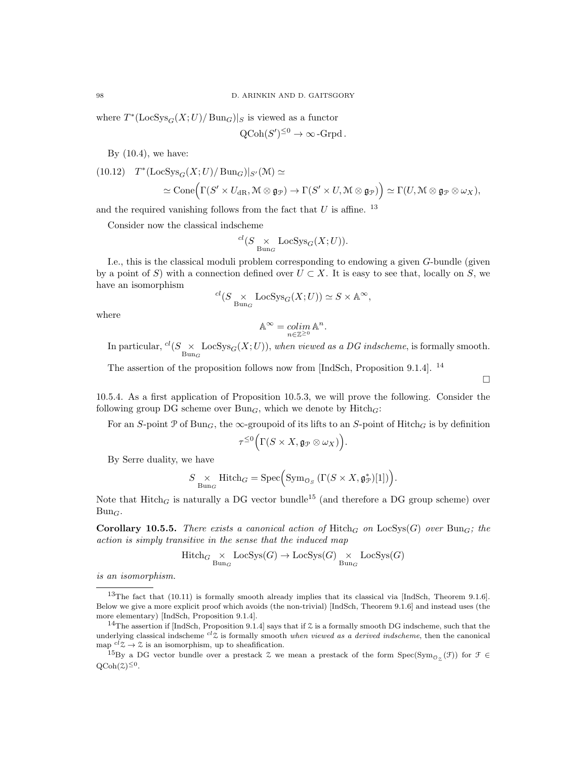where  $T^*(\text{LocSys}_G(X; U)/\text{Bun}_G)|_S$  is viewed as a functor

$$
Q\text{Coh}(S')^{\leq 0} \to \infty\text{-Grpd}.
$$

By  $(10.4)$ , we have:

(10.12) 
$$
T^*(\text{LocSys}_G(X; U) / \text{Bun}_G)|_{S'}(\mathcal{M}) \simeq
$$
  
\n $\simeq \text{Cone}(\Gamma(S' \times U_{dR}, \mathcal{M} \otimes \mathfrak{g}_{\mathcal{P}}) \to \Gamma(S' \times U, \mathcal{M} \otimes \mathfrak{g}_{\mathcal{P}})) \simeq \Gamma(U, \mathcal{M} \otimes \mathfrak{g}_{\mathcal{P}} \otimes \omega_X),$ 

and the required vanishing follows from the fact that  $U$  is affine. <sup>13</sup>

Consider now the classical indscheme

$$
^{cl}(S\underset{\mathrm{Bun}_G}{\times}\mathrm{LocSys}_G(X;U)).
$$

I.e., this is the classical moduli problem corresponding to endowing a given G-bundle (given by a point of S) with a connection defined over  $U \subset X$ . It is easy to see that, locally on S, we have an isomorphism

$$
{}^{cl}(S \underset{\text{Bun}_G}{\times} \text{LocSys}_G(X;U)) \simeq S \times \mathbb{A}^{\infty},
$$

where

$$
\mathbb{A}^\infty = \operatornamewithlimits{colim}_{n\in\mathbb{Z}^{\ge 0}} \mathbb{A}^n.
$$

In particular,  ${}^{cl}(S \times_{\text{Bun}_G} \text{LocSys}_G(X;U))$ , when viewed as a DG indscheme, is formally smooth.

 $\Box$ 

The assertion of the proposition follows now from [IndSch, Proposition 9.1.4]. <sup>14</sup>

10.5.4. As a first application of Proposition 10.5.3, we will prove the following. Consider the following group DG scheme over  $Bun<sub>G</sub>$ , which we denote by  $Hitch<sub>G</sub>$ :

For an S-point P of  $Bun_G$ , the  $\infty$ -groupoid of its lifts to an S-point of Hitch<sub>G</sub> is by definition

$$
\tau^{\leq 0}\Big(\Gamma(S\times X,\mathfrak{g}_{\mathcal{P}}\otimes\omega_X)\Big).
$$

By Serre duality, we have

$$
S \underset{\text{Bun}_G}{\times} \text{Hitch}_G = \text{Spec} \Big( \text{Sym}_{\mathcal{O}_S} \big( \Gamma(S \times X, \mathfrak{g}_{\mathcal{P}}^*)[1] \big) \Big).
$$

Note that  $Hitch_G$  is naturally a DG vector bundle<sup>15</sup> (and therefore a DG group scheme) over  $Bun_G$ .

Corollary 10.5.5. There exists a canonical action of Hitch<sub>G</sub> on LocSys(G) over Bun<sub>G</sub>; the action is simply transitive in the sense that the induced map

$$
\mathrm{Hitch}_{G}\underset{\mathrm{Bun}_{G}}{\times}\mathrm{LocSys}(G)\rightarrow\mathrm{LocSys}(G)\underset{\mathrm{Bun}_{G}}{\times}\mathrm{LocSys}(G)
$$

is an isomorphism.

 $13$ The fact that (10.11) is formally smooth already implies that its classical via [IndSch, Theorem 9.1.6]. Below we give a more explicit proof which avoids (the non-trivial) [IndSch, Theorem 9.1.6] and instead uses (the more elementary) [IndSch, Proposition 9.1.4].

<sup>&</sup>lt;sup>14</sup>The assertion if [IndSch, Proposition 9.1.4] says that if  $\zeta$  is a formally smooth DG indscheme, such that the underlying classical indscheme  $^{cl}Z$  is formally smooth when viewed as a derived indscheme, then the canonical map  ${}^{cl}Z \rightarrow \mathcal{Z}$  is an isomorphism, up to sheafification.

<sup>&</sup>lt;sup>15</sup>By a DG vector bundle over a prestack  $\lambda$  we mean a prestack of the form  $Spec(Sym_{\mathcal{O}_{\mathcal{Z}}}(\mathcal{F}))$  for  $\mathcal{F} \in$  $QCoh(\mathcal{Z})^{\leq 0}$ .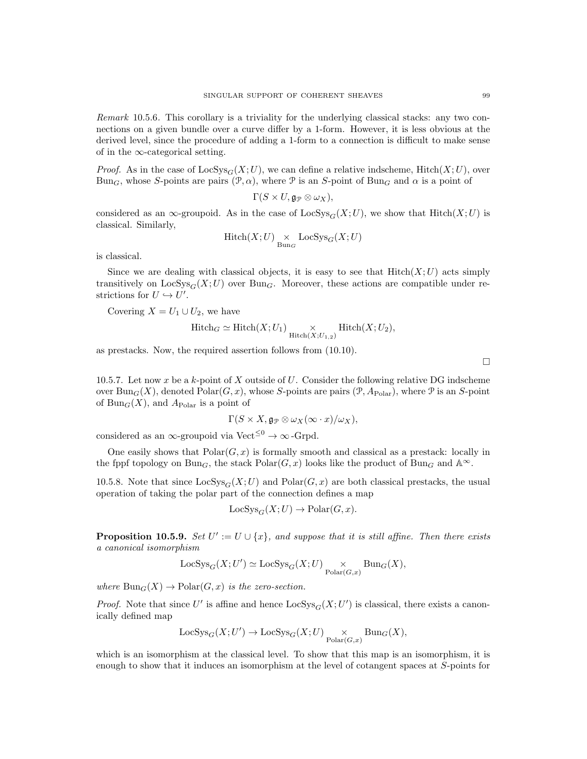Remark 10.5.6. This corollary is a triviality for the underlying classical stacks: any two connections on a given bundle over a curve differ by a 1-form. However, it is less obvious at the derived level, since the procedure of adding a 1-form to a connection is difficult to make sense of in the  $\infty$ -categorical setting.

*Proof.* As in the case of  $\text{LocSys}_{G}(X;U)$ , we can define a relative indscheme, Hitch $(X;U)$ , over Bun<sub>G</sub>, whose S-points are pairs  $(\mathcal{P}, \alpha)$ , where  $\mathcal P$  is an S-point of Bun<sub>G</sub> and  $\alpha$  is a point of

$$
\Gamma(S \times U, \mathfrak{g}_{\mathcal{P}} \otimes \omega_X),
$$

considered as an ∞-groupoid. As in the case of LocSys<sub>G</sub>(X;U), we show that Hitch(X;U) is classical. Similarly,

$$
\mathrm{Hitch}(X;U) \underset{\mathrm{Bun}_G}{\times} \mathrm{LocSys}_G(X;U)
$$

is classical.

Since we are dealing with classical objects, it is easy to see that  $Hitch(X;U)$  acts simply transitively on  $LocSys_G(X;U)$  over Bung. Moreover, these actions are compatible under restrictions for  $U \hookrightarrow U'.$ 

Covering  $X = U_1 \cup U_2$ , we have

$$
Hitch_G \simeq Hitch(X; U_1) \underset{Hitch(X; U_{1,2})}{\times} Hitch(X; U_2),
$$

as prestacks. Now, the required assertion follows from (10.10).

10.5.7. Let now x be a k-point of X outside of  $U$ . Consider the following relative DG indscheme over Bun<sub>G</sub>(X), denoted Polar(G, x), whose S-points are pairs (P,  $A_{\text{Polar}}$ ), where P is an S-point of  $Bun_G(X)$ , and  $A_{\text{Polar}}$  is a point of

$$
\Gamma(S \times X, \mathfrak{g}_{\mathcal{P}} \otimes \omega_X(\infty \cdot x)/\omega_X),
$$

considered as an ∞-groupoid via Vect<sup> $\leq 0 \rightarrow \infty$ </sup>-Grpd.

One easily shows that  $Polar(G, x)$  is formally smooth and classical as a prestack: locally in the fppf topology on Bun<sub>G</sub>, the stack Polar $(G, x)$  looks like the product of Bun<sub>G</sub> and  $\mathbb{A}^{\infty}$ .

10.5.8. Note that since  $\text{LocSys}_{G}(X;U)$  and  $\text{Polar}(G, x)$  are both classical prestacks, the usual operation of taking the polar part of the connection defines a map

$$
LocSys_G(X; U) \to Polar(G, x).
$$

**Proposition 10.5.9.** Set  $U' := U \cup \{x\}$ , and suppose that it is still affine. Then there exists a canonical isomorphism

$$
LocSys_G(X; U') \simeq LocSys_G(X; U) \underset{\text{Polar}(G,x)}{\times} Bun_G(X),
$$

where  $Bun_G(X) \to \mathrm{Polar}(G, x)$  is the zero-section.

*Proof.* Note that since U' is affine and hence  $\text{LocSys}_G(X; U')$  is classical, there exists a canonically defined map

$$
\operatorname{LocSys}_G(X;U') \to \operatorname{LocSys}_G(X;U) \underset{\operatorname{Polar}(G,x)}{\times} \operatorname{Bun}_G(X),
$$

which is an isomorphism at the classical level. To show that this map is an isomorphism, it is enough to show that it induces an isomorphism at the level of cotangent spaces at S-points for

 $\Box$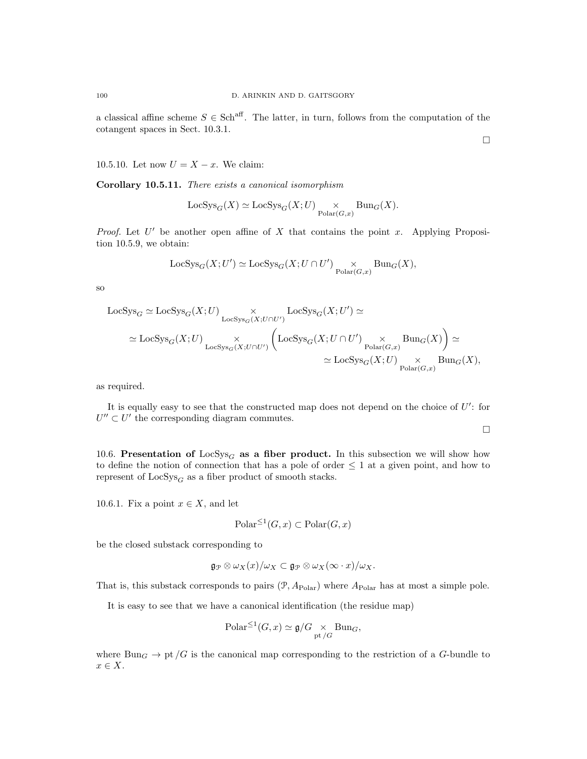a classical affine scheme  $S \in Sch^{aff}$ . The latter, in turn, follows from the computation of the cotangent spaces in Sect. 10.3.1.

10.5.10. Let now  $U = X - x$ . We claim:

Corollary 10.5.11. There exists a canonical isomorphism

$$
\mathsf{LocSys}_G(X)\simeq \mathsf{LocSys}_G(X;U)\underset{\mathsf{Polar}(G,x)}{\times}\mathsf{Bun}_G(X).
$$

*Proof.* Let  $U'$  be another open affine of  $X$  that contains the point  $x$ . Applying Proposition 10.5.9, we obtain:

$$
\mathbf{Loc} {\rm Sys}_G(X;U') \simeq \mathbf{Loc} {\rm Sys}_G(X;U\cap U') \underset{\mathbf{Polar}(G,x)}{\times} \mathbf{Bun}_G(X),
$$

so

$$
\begin{aligned} \text{LocSys}_G &\simeq \text{LocSys}_G(X;U) \underset{\text{LocSys}_G(X;U \cap U')}{\times} \text{LocSys}_G(X;U') \simeq \\ &\simeq \text{LocSys}_G(X;U) \underset{\text{LocSys}_G(X;U \cap U')}{\times} \left( \text{LocSys}_G(X;U \cap U') \underset{\text{Polar}(G,x)}{\times} \text{Bun}_G(X) \right) \simeq \\ &\simeq \text{LocSys}_G(X;U) \underset{\text{Polar}(G,x)}{\times} \text{Bun}_G(X), \end{aligned}
$$

as required.

It is equally easy to see that the constructed map does not depend on the choice of  $U'$ : for  $U'' \subset U'$  the corresponding diagram commutes.

 $\Box$ 

10.6. Presentation of LocSys<sub>G</sub> as a fiber product. In this subsection we will show how to define the notion of connection that has a pole of order  $\leq 1$  at a given point, and how to represent of  $LocSys_G$  as a fiber product of smooth stacks.

10.6.1. Fix a point  $x \in X$ , and let

$$
\text{Polar}^{\leq 1}(G, x) \subset \text{Polar}(G, x)
$$

be the closed substack corresponding to

$$
\mathfrak{g}_{\mathcal{P}} \otimes \omega_X(x)/\omega_X \subset \mathfrak{g}_{\mathcal{P}} \otimes \omega_X(\infty \cdot x)/\omega_X.
$$

That is, this substack corresponds to pairs  $(\mathcal{P}, A_{\text{Polar}})$  where  $A_{\text{Polar}}$  has at most a simple pole.

It is easy to see that we have a canonical identification (the residue map)

$$
\mathrm{Polar}^{\leq 1}(G, x) \simeq \mathfrak{g}/G \underset{\mathrm{pt}/G}{\times} \mathrm{Bun}_G,
$$

where Bun<sub>G</sub>  $\rightarrow$  pt /G is the canonical map corresponding to the restriction of a G-bundle to  $x \in X$ .

 $\Box$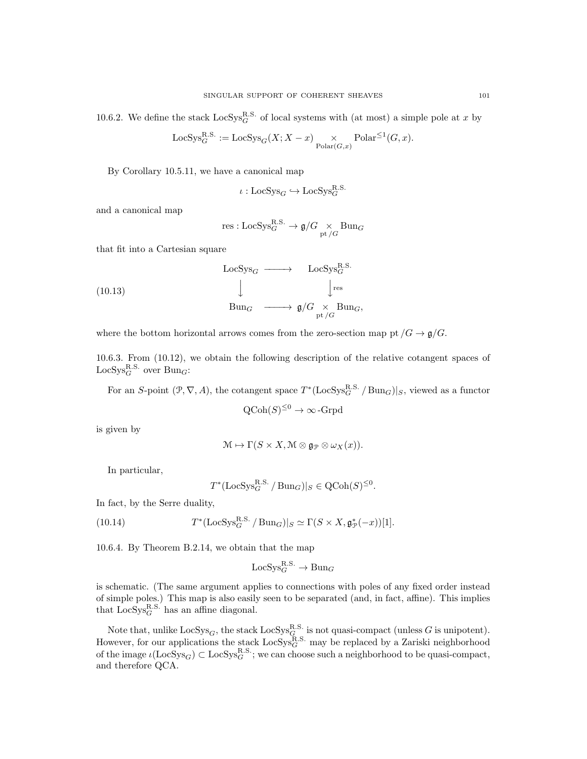10.6.2. We define the stack  $\text{LocSys}_{G}^{\text{R.S.}}$  of local systems with (at most) a simple pole at x by

$$
LocSys_G^{R.S.} := LocSys_G(X; X - x) \underset{Polar(G, x)}{\times} Polar^{\leq 1}(G, x).
$$

By Corollary 10.5.11, we have a canonical map

$$
\iota : \text{LocSys}_{G} \hookrightarrow \text{LocSys}_{G}^{\text{R.S.}}
$$

and a canonical map

$$
\mathrm{res}:\mathrm{LocSys}_G^{\mathrm{R.S.}}\rightarrow \mathfrak{g}/G\underset{\mathrm{pt}\,/ G}{\times}\mathrm{Bun}_G
$$

that fit into a Cartesian square

(10.13) 
$$
\begin{array}{ccc}\n\text{LocSys}_{G} & \longrightarrow & \text{LocSys}_{G}^{\text{R.S.}} \\
\downarrow & & \downarrow^{\text{res}} \\
\text{Bun}_{G} & \longrightarrow & \mathfrak{g}/G \underset{\text{pt}/G}{\times} \text{Bun}_{G},\n\end{array}
$$

where the bottom horizontal arrows comes from the zero-section map pt  $/G \to \mathfrak{g}/G$ .

10.6.3. From (10.12), we obtain the following description of the relative cotangent spaces of  $\operatorname{LocSys}_G^{\text{R.S.}}$  over  $\operatorname{Bun}_G$ :

For an S-point  $(\mathcal{P}, \nabla, A)$ , the cotangent space  $T^*$ (LocSys $_G^{\text{R.S.}}$  / Bun<sub>G</sub>)|<sub>S</sub>, viewed as a functor

$$
\mathrm{QCoh}(S)^{\leq 0} \to \infty\text{-}\mathrm{Grpd}
$$

is given by

$$
\mathcal{M} \mapsto \Gamma(S \times X, \mathcal{M} \otimes \mathfrak{g}_{\mathcal{P}} \otimes \omega_X(x)).
$$

In particular,

$$
T^*(\mathrm{LocSys}_G^{\mathrm{R.S.}} / \mathrm{Bun}_G)|_S \in \mathrm{QCoh}(S)^{\leq 0}.
$$

In fact, by the Serre duality,

(10.14) 
$$
T^*(\text{LocSys}_G^{\text{R.S.}} / \text{Bun}_G)|_S \simeq \Gamma(S \times X, \mathfrak{g}_\mathcal{P}^*(-x))[1].
$$

10.6.4. By Theorem B.2.14, we obtain that the map

$$
\mathrm{LocSys}_{G}^{\mathrm{R.S.}} \to \mathrm{Bun}_{G}
$$

is schematic. (The same argument applies to connections with poles of any fixed order instead of simple poles.) This map is also easily seen to be separated (and, in fact, affine). This implies that  $LocSys_G^{R.S.}$  has an affine diagonal.

Note that, unlike  $LocSys_G$ , the stack  $LocSys_G^{R.S.}$  is not quasi-compact (unless G is unipotent). However, for our applications the stack  $\text{LocSys}_{G}^{\text{R.S.}}$  may be replaced by a Zariski neighborhood of the image  $\iota(\text{LocSys}_G) \subset \text{LocSys}_G^{\text{R.S.}}$ ; we can choose such a neighborhood to be quasi-compact, and therefore QCA.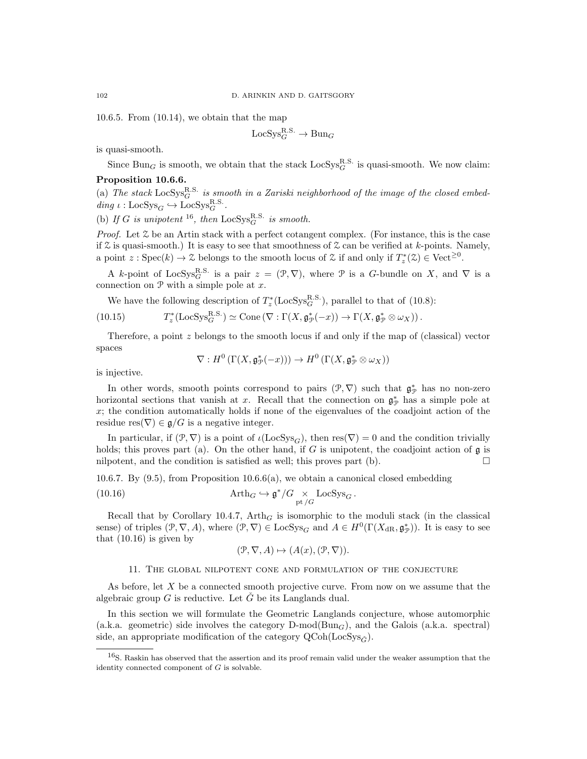10.6.5. From (10.14), we obtain that the map

$$
\mathrm{LocSys}_{G}^{\mathrm{R.S.}} \to \mathrm{Bun}_{G}
$$

is quasi-smooth.

Since  $\text{Bun}_G$  is smooth, we obtain that the stack  $\text{LocSys}_G^{\text{R.S.}}$  is quasi-smooth. We now claim: Proposition 10.6.6.

(a) The stack  $\text{LocSys}_{G}^{\text{R.S.}}$  is smooth in a Zariski neighborhood of the image of the closed embed- $\text{diag } \iota : \text{LocSys}_{G} \hookrightarrow \text{LocSys}_{G}^{\text{R.S.}}.$ 

(b) If G is unipotent <sup>16</sup>, then  $LocSys_G^{R.S.}$  is smooth.

*Proof.* Let  $\mathcal Z$  be an Artin stack with a perfect cotangent complex. (For instance, this is the case if  $\mathcal Z$  is quasi-smooth.) It is easy to see that smoothness of  $\mathcal Z$  can be verified at k-points. Namely, a point  $z:Spec(k) \to \mathcal{Z}$  belongs to the smooth locus of  $\mathcal{Z}$  if and only if  $T_z^*(\mathcal{Z}) \in Vect^{\geq 0}$ .

A k-point of LocSys<sub>G</sub><sup>R.S.</sup> is a pair  $z = (\mathcal{P}, \nabla)$ , where  $\mathcal P$  is a G-bundle on X, and  $\nabla$  is a connection on  $P$  with a simple pole at  $x$ .

We have the following description of  $T_z^*(\text{LocSys}_G^{\text{R.S.}})$ , parallel to that of (10.8):

(10.15) 
$$
T_z^*(\text{LocSys}_G^{\text{R.S.}}) \simeq \text{Cone}(\nabla : \Gamma(X, \mathfrak{g}_{\mathcal{P}}^*(-x)) \to \Gamma(X, \mathfrak{g}_{\mathcal{P}}^* \otimes \omega_X)).
$$

Therefore, a point z belongs to the smooth locus if and only if the map of (classical) vector spaces

$$
\nabla: H^0\left(\Gamma(X,\mathfrak{g}^*_\mathcal{P}(-x))\right)\rightarrow H^0\left(\Gamma(X,\mathfrak{g}^*_\mathcal{P}\otimes\omega_X)\right)
$$

is injective.

In other words, smooth points correspond to pairs  $(\mathcal{P}, \nabla)$  such that  $\mathfrak{g}_{\mathcal{P}}^*$  has no non-zero horizontal sections that vanish at x. Recall that the connection on  $\mathfrak{g}_{\mathcal{P}}^*$  has a simple pole at  $x$ ; the condition automatically holds if none of the eigenvalues of the coadjoint action of the residue res $(\nabla) \in \mathfrak{g}/G$  is a negative integer.

In particular, if  $(\mathcal{P}, \nabla)$  is a point of  $\iota(\text{LocSys}_G)$ , then  $res(\nabla) = 0$  and the condition trivially holds; this proves part (a). On the other hand, if G is unipotent, the coadjoint action of  $\mathfrak g$  is nilpotent, and the condition is satisfied as well; this proves part (b).  $\Box$ 

10.6.7. By  $(9.5)$ , from Proposition 10.6.6(a), we obtain a canonical closed embedding

(10.16) 
$$
\operatorname{Arth}_{G} \hookrightarrow \mathfrak{g}^*/G \underset{\text{pt }/G}{\times} \operatorname{LocSys}_{G}.
$$

Recall that by Corollary 10.4.7,  $Arth_G$  is isomorphic to the moduli stack (in the classical sense) of triples  $(\mathcal{P}, \nabla, A)$ , where  $(\mathcal{P}, \nabla) \in \text{LocSys}_G$  and  $A \in H^0(\Gamma(X_{\text{dR}}, \mathfrak{g}_{\mathcal{P}}^*))$ . It is easy to see that  $(10.16)$  is given by

$$
(\mathcal{P}, \nabla, A) \mapsto (A(x), (\mathcal{P}, \nabla)).
$$

### 11. The global nilpotent cone and formulation of the conjecture

As before, let X be a connected smooth projective curve. From now on we assume that the algebraic group  $G$  is reductive. Let  $\tilde{G}$  be its Langlands dual.

In this section we will formulate the Geometric Langlands conjecture, whose automorphic (a.k.a. geometric) side involves the category  $D\text{-mod}(Bun_G)$ , and the Galois (a.k.a. spectral) side, an appropriate modification of the category  $\mathrm{QCoh}(\mathrm{LocSys}_{\check{C}})$ .

<sup>16</sup>S. Raskin has observed that the assertion and its proof remain valid under the weaker assumption that the identity connected component of  $G$  is solvable.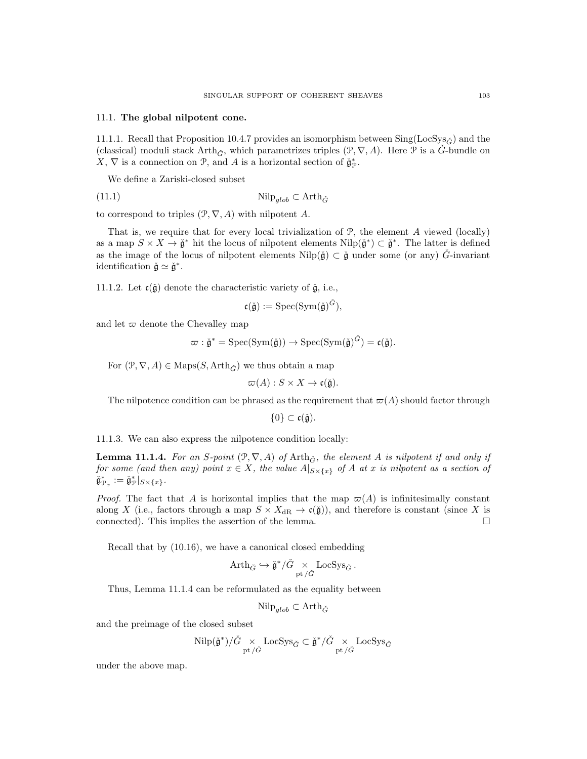### 11.1. The global nilpotent cone.

11.1.1. Recall that Proposition 10.4.7 provides an isomorphism between  $\text{Sing}(\text{LocSys}_{\check{G}})$  and the (classical) moduli stack Arth<sub> $\tilde{G}$ </sub>, which parametrizes triples ( $\mathcal{P}, \nabla, A$ ). Here  $\mathcal{P}$  is a  $\tilde{G}$ -bundle on X,  $\nabla$  is a connection on  $\mathcal{P}$ , and A is a horizontal section of  $\check{\mathfrak{g}}_{\mathcal{P}}^*$ .

We define a Zariski-closed subset

$$
\text{(11.1)} \quad \text{Nilp}_{glob} \subset \text{Arth}_{\check{G}}
$$

to correspond to triples  $(\mathcal{P}, \nabla, A)$  with nilpotent A.

That is, we require that for every local trivialization of  $P$ , the element A viewed (locally) as a map  $S \times X \to \check{\mathfrak{g}}^*$  hit the locus of nilpotent elements  $\text{Nilp}(\check{\mathfrak{g}}^*) \subset \check{\mathfrak{g}}^*$ . The latter is defined as the image of the locus of nilpotent elements  $Nilp(\tilde{\mathfrak{g}}) \subset \tilde{\mathfrak{g}}$  under some (or any)  $\tilde{G}$ -invariant identification  $\check{\mathfrak{g}} \simeq \check{\mathfrak{g}}^*$ .

11.1.2. Let  $c(\check{g})$  denote the characteristic variety of  $\check{g}$ , i.e.,

$$
\mathfrak{c}(\check{\mathfrak{g}}):=\mathrm{Spec}(\mathrm{Sym}(\check{\mathfrak{g}})^{\check{G}}),
$$

and let  $\varpi$  denote the Chevalley map

$$
\varpi : \check{\mathfrak{g}}^* = \mathrm{Spec}(\mathrm{Sym}(\check{\mathfrak{g}})) \to \mathrm{Spec}(\mathrm{Sym}(\check{\mathfrak{g}})^{\check{G}}) = \mathfrak{c}(\check{\mathfrak{g}}).
$$

For  $(\mathcal{P}, \nabla, A) \in \text{Maps}(S, \text{Arth}_{\tilde{C}})$  we thus obtain a map

$$
\varpi(A): S \times X \to \mathfrak{c}(\check{\mathfrak{g}}).
$$

The nilpotence condition can be phrased as the requirement that  $\varpi(A)$  should factor through

$$
\{0\} \subset \mathfrak{c}(\check{\mathfrak{g}}).
$$

11.1.3. We can also express the nilpotence condition locally:

**Lemma 11.1.4.** For an S-point  $(\mathcal{P}, \nabla, A)$  of Arth $_{\tilde{G}}$ , the element A is nilpotent if and only if for some (and then any) point  $x \in X$ , the value  $A|_{S \times \{x\}}$  of A at x is nilpotent as a section of  $\check{\mathfrak{g}}^*_{\mathcal{P}_x} := \check{\mathfrak{g}}^*_{\mathcal{P}}|_{S \times \{x\}}.$ 

*Proof.* The fact that A is horizontal implies that the map  $\pi(A)$  is infinitesimally constant along X (i.e., factors through a map  $S \times X_{\text{dR}} \to \mathfrak{c}(\mathfrak{g})$ ), and therefore is constant (since X is connected). This implies the assertion of the lemma.  $\Box$ 

Recall that by (10.16), we have a canonical closed embedding

$$
\mathrm{Arth}_{\check{G}} \hookrightarrow \check{\mathfrak{g}}^*/\check{G} \underset{\mathrm{pt}}{\times} \mathrm{LocSys}_{\check{G}}.
$$

Thus, Lemma 11.1.4 can be reformulated as the equality between

$$
\mathrm{Nilp}_{glob} \subset \mathrm{Arth}_{\check{G}}
$$

and the preimage of the closed subset

$$
\mathrm{Nilp}(\check{\mathfrak{g}}^*)/\check{G} \underset{\mathrm{pt}\,/\check{G}}{\times} \mathrm{LocSys}_{\check{G}} \subset \check{\mathfrak{g}}^*/\check{G} \underset{\mathrm{pt}\,/\check{G}}{\times} \mathrm{LocSys}_{\check{G}}
$$

under the above map.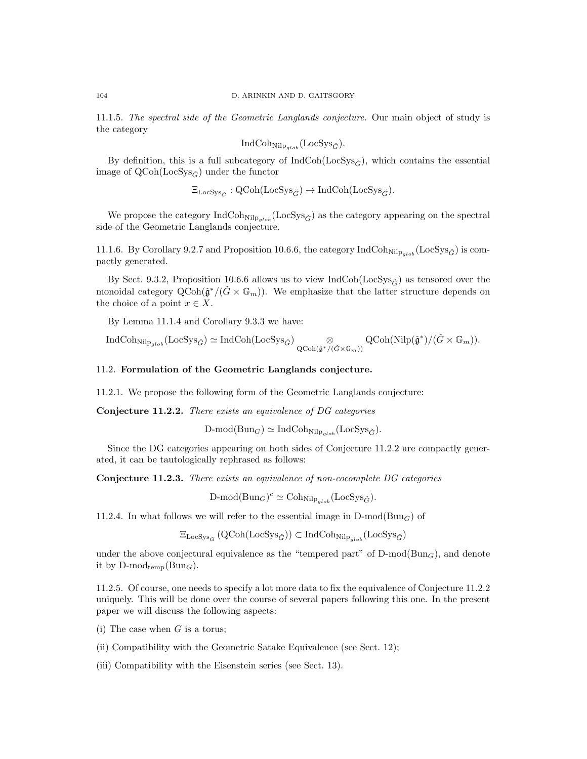11.1.5. The spectral side of the Geometric Langlands conjecture. Our main object of study is the category

$$
IndCoh_{Nilp_{glob}}(LocSys_{\check{G}}).
$$

By definition, this is a full subcategory of  $IndCoh(LocSys_{\tilde{G}})$ , which contains the essential image of  $QCoh(LocSys_{\tilde{C}})$  under the functor

 $\Xi_{\text{LocSys}_{\check{G}}} : \text{QCoh}(\text{LocSys}_{\check{G}}) \to \text{IndCoh}(\text{LocSys}_{\check{G}}).$ 

We propose the category  $IndCoh_{Nilp_{glob}}(LocSys_{\check{G}})$  as the category appearing on the spectral side of the Geometric Langlands conjecture.

11.1.6. By Corollary 9.2.7 and Proposition 10.6.6, the category IndCoh<sub>Nilp<sub>alob</sub> (LocSys<sub> $\tilde{G}$ </sub>) is com-</sub> pactly generated.

By Sect. 9.3.2, Proposition 10.6.6 allows us to view IndCoh(LocSys<sub> $\tilde{G}$ </sub>) as tensored over the monoidal category  $\operatorname{QCoh}(\check{\mathfrak{g}}^*/(\check{G} \times \mathbb{G}_m))$ . We emphasize that the latter structure depends on the choice of a point  $x \in X$ .

By Lemma 11.1.4 and Corollary 9.3.3 we have:

$$
\text{IndCoh}_{\text{Nilp}_{glob}}(\text{LocSys}_{\check{G}}) \simeq \text{IndCoh}(\text{LocSys}_{\check{G}}) \underset{\text{QCoh}(\check{\mathfrak{g}}^*/(\check{G} \times \mathbb{G}_m))}{\otimes} \text{QCoh}(\text{Nilp}(\check{\mathfrak{g}}^*)/(\check{G} \times \mathbb{G}_m)).
$$

# 11.2. Formulation of the Geometric Langlands conjecture.

11.2.1. We propose the following form of the Geometric Langlands conjecture:

Conjecture 11.2.2. There exists an equivalence of DG categories

 $D\text{-mod}(Bun_G) \simeq \text{IndCoh}_{\text{Nilp}_{alob}}(\text{LocSys}_{\check{G}}).$ 

Since the DG categories appearing on both sides of Conjecture 11.2.2 are compactly generated, it can be tautologically rephrased as follows:

Conjecture 11.2.3. There exists an equivalence of non-cocomplete DG categories

 $\text{D-mod}(\text{Bun}_G)^c \simeq \text{Coh}_{\text{Nilp}_{glob}}(\text{LocSys}_{\check{G}}).$ 

11.2.4. In what follows we will refer to the essential image in  $D\text{-mod}(Bun_G)$  of

 $\Xi_{\text{LocSys}_{\check{G}}}(\text{QCoh}(\text{LocSys}_{\check{G}})) \subset \text{IndCoh}_{\text{Nilp}_{glob}}(\text{LocSys}_{\check{G}})$ 

under the above conjectural equivalence as the "tempered part" of  $D\text{-mod}(Bun_G)$ , and denote it by  $D\text{-mod}_{temp}(Bun_G)$ .

11.2.5. Of course, one needs to specify a lot more data to fix the equivalence of Conjecture 11.2.2 uniquely. This will be done over the course of several papers following this one. In the present paper we will discuss the following aspects:

(i) The case when  $G$  is a torus;

(ii) Compatibility with the Geometric Satake Equivalence (see Sect. 12);

(iii) Compatibility with the Eisenstein series (see Sect. 13).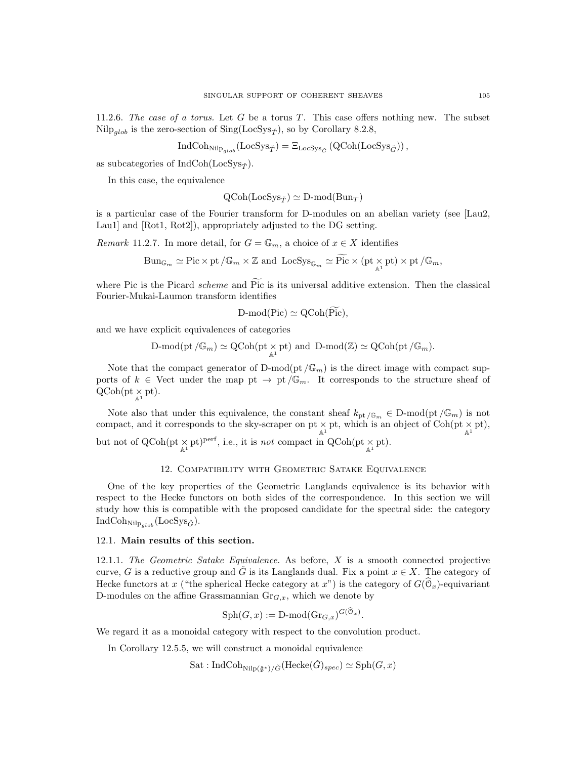11.2.6. The case of a torus. Let G be a torus T. This case offers nothing new. The subset Nilp<sub>alob</sub> is the zero-section of Sing(LocSys<sub> $\check{\tau}$ </sub>), so by Corollary 8.2.8,

$$
\operatorname{IndCoh}_{\operatorname{Nilp}_{glob}}(\operatorname{LocSys}_{\check{T}}) = \Xi_{\operatorname{LocSys}_{\check{G}}}(\operatorname{QCoh}(\operatorname{LocSys}_{\check{G}})),
$$

as subcategories of IndCoh(LocSys<sub> $\tilde{T}$ </sub>).

In this case, the equivalence

$$
\mathrm{QCoh}(\mathrm{LocSys}_{\check{T}}) \simeq \mathrm{D-mod}(\mathrm{Bun}_{T})
$$

is a particular case of the Fourier transform for D-modules on an abelian variety (see [Lau2, Lau1] and [Rot1, Rot2]), appropriately adjusted to the DG setting.

*Remark* 11.2.7. In more detail, for  $G = \mathbb{G}_m$ , a choice of  $x \in X$  identifies

$$
\mathrm{Bun}_{\mathbb{G}_m} \simeq \mathrm{Pic} \times \mathrm{pt} \, / \mathbb{G}_m \times \mathbb{Z} \text{ and } \mathrm{Loc} \mathrm{Sys}_{\mathbb{G}_m} \simeq \widetilde{\mathrm{Pic}} \times (\mathrm{pt} \, \underset{\mathbb{A}^1}{\times} \mathrm{pt}) \times \mathrm{pt} \, / \mathbb{G}_m,
$$

where Pic is the Picard scheme and Pic is its universal additive extension. Then the classical Fourier-Mukai-Laumon transform identifies

$$
D\text{-mod}(Pic) \simeq \mathrm{QCoh}(Pic),
$$

and we have explicit equivalences of categories

$$
\text{$D$-mod}(\text{pt}/\mathbb{G}_m)\simeq \text{QCoh}(\text{pt}\times_{\mathbb{A}^1}\text{pt})\text{ and $D$-mod}(\mathbb{Z})\simeq \text{QCoh}(\text{pt}/\mathbb{G}_m)$}.
$$

Note that the compact generator of  $D\text{-mod}(\text{pt}/\mathbb{G}_m)$  is the direct image with compact supports of  $k \in$  Vect under the map pt  $\rightarrow$  pt  $/\mathbb{G}_m$ . It corresponds to the structure sheaf of  $QCoh(pt \underset{\mathbb{A}^1}{\times} pt).$ 

Note also that under this equivalence, the constant sheaf  $k_{\text{pt}}/G_m \in D\text{-mod}(\text{pt}/\mathbb{G}_m)$  is not compact, and it corresponds to the sky-scraper on  $pt \times_{\mathbb{A}^1} pt$ , which is an object of Coh( $pt \times_{\mathbb{A}^1} pt$ ), but not of  $QCoh(pt \times_{\mathbb{A}^1} pt)^{perf}$ , i.e., it is *not* compact in  $QCoh(pt \times_{\mathbb{A}^1} pt)$ .

## 12. Compatibility with Geometric Satake Equivalence

One of the key properties of the Geometric Langlands equivalence is its behavior with respect to the Hecke functors on both sides of the correspondence. In this section we will study how this is compatible with the proposed candidate for the spectral side: the category  $IndCoh_{Nilp_{glob}}(LocSys_{\check{G}}).$ 

### 12.1. Main results of this section.

12.1.1. The Geometric Satake Equivalence. As before,  $X$  is a smooth connected projective curve, G is a reductive group and G is its Langlands dual. Fix a point  $x \in X$ . The category of Hecke functors at x ("the spherical Hecke category at x") is the category of  $G(\mathcal{O}_x)$ -equivariant D-modules on the affine Grassmannian  $\text{Gr}_{G,x}$ , which we denote by

$$
\mathrm{Sph}(G, x) := \mathrm{D-mod}(\mathrm{Gr}_{G, x})^{G(\mathcal{O}_x)}.
$$

We regard it as a monoidal category with respect to the convolution product.

In Corollary 12.5.5, we will construct a monoidal equivalence

 $\text{Sat}: \text{IndCoh}_{\text{Niln}(\check{\mathfrak{a}}^*)/\check{G}}(\text{Hecke}(\check{G})_{spec}) \simeq \text{Sph}(G, x)$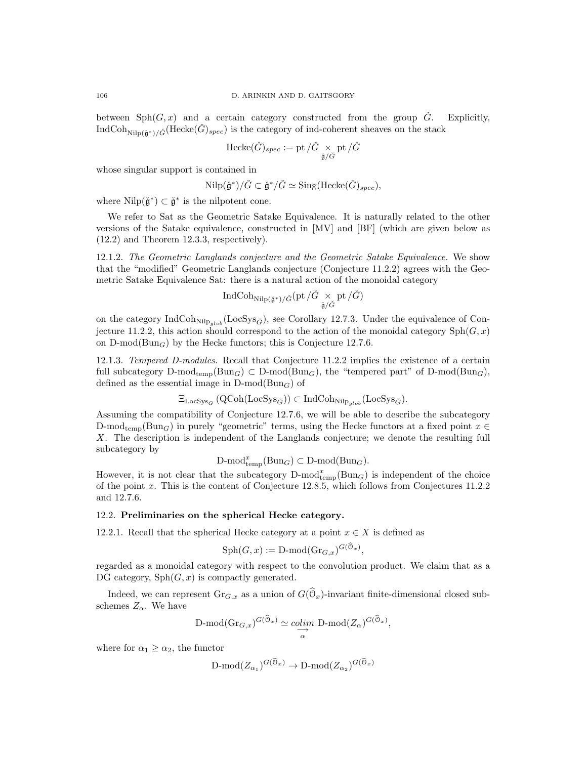between  $Sph(G, x)$  and a certain category constructed from the group  $\tilde{G}$ . Explicitly, IndCoh<sub>Nilp( $\check{\alpha}^*$ )/ $\check{G}$ (Hecke $(\check{G})_{spec}$ ) is the category of ind-coherent sheaves on the stack</sub>

$$
\text{Hecke}(\check{G})_{spec} := \text{pt} \, / \check{G} \underset{\check{\mathfrak{g}}/\check{G}}{\times} \text{pt} \, / \check{G}
$$

whose singular support is contained in

$$
\mathrm{Nilp}(\check{\mathfrak{g}}^*)/\check{G} \subset \check{\mathfrak{g}}^*/\check{G} \simeq \mathrm{Sing}(\mathrm{Hecke}(\check{G})_{spec}),
$$

where  $\text{Nilp}(\check{\mathfrak{g}}^*) \subset \check{\mathfrak{g}}^*$  is the nilpotent cone.

We refer to Sat as the Geometric Satake Equivalence. It is naturally related to the other versions of the Satake equivalence, constructed in [MV] and [BF] (which are given below as (12.2) and Theorem 12.3.3, respectively).

12.1.2. The Geometric Langlands conjecture and the Geometric Satake Equivalence. We show that the "modified" Geometric Langlands conjecture (Conjecture 11.2.2) agrees with the Geometric Satake Equivalence Sat: there is a natural action of the monoidal category

$$
\operatorname{IndCoh}_{\operatorname{Nilp}({\check{\mathfrak g}}^*)/{\check{G}}}(\operatorname{pt}/\check{G}\underset{{\check{\mathfrak g}}/{\check{G}}} \times \operatorname{pt}/\check{G})
$$

on the category IndCoh<sub>Nilp<sub>qlob</sub> (LocSys<sub> $\check{G}$ </sub>), see Corollary 12.7.3. Under the equivalence of Con-</sub> jecture 11.2.2, this action should correspond to the action of the monoidal category  $\text{Sph}(G, x)$ on  $D\text{-mod}(Bun_G)$  by the Hecke functors; this is Conjecture 12.7.6.

12.1.3. Tempered D-modules. Recall that Conjecture 11.2.2 implies the existence of a certain full subcategory D-mod<sub>temp</sub>(Bun<sub>G</sub>) ⊂ D-mod(Bun<sub>G</sub>), the "tempered part" of D-mod(Bun<sub>G</sub>), defined as the essential image in  $D\text{-mod}(Bun_G)$  of

$$
\Xi_{\text{LocSys}_{\check{G}}}(\text{QCoh}(\text{LocSys}_{\check{G}})) \subset \text{IndCoh}_{\text{Nilp}_{glob}}(\text{LocSys}_{\check{G}}).
$$

Assuming the compatibility of Conjecture 12.7.6, we will be able to describe the subcategory D-mod<sub>temp</sub>(Bun<sub>G</sub>) in purely "geometric" terms, using the Hecke functors at a fixed point  $x \in$ X. The description is independent of the Langlands conjecture; we denote the resulting full subcategory by

$$
\text{D-mod}_{\text{temp}}^x(\text{Bun}_G) \subset \text{D-mod}(\text{Bun}_G).
$$

However, it is not clear that the subcategory  $D\text{-mod}_{temp}^x(Bun_G)$  is independent of the choice of the point x. This is the content of Conjecture 12.8.5, which follows from Conjectures 11.2.2 and 12.7.6.

## 12.2. Preliminaries on the spherical Hecke category.

12.2.1. Recall that the spherical Hecke category at a point  $x \in X$  is defined as

$$
\mathrm{Sph}(G, x) := \mathrm{D\text{-}mod}(\mathrm{Gr}_{G, x})^{G(\widehat{\mathcal{O}}_x)},
$$

regarded as a monoidal category with respect to the convolution product. We claim that as a DG category,  $Sph(G, x)$  is compactly generated.

Indeed, we can represent  $\text{Gr}_{G,x}$  as a union of  $G(\mathcal{O}_x)$ -invariant finite-dimensional closed subschemes  $Z_{\alpha}$ . We have

$$
\mathrm{D-mod}(\mathrm{Gr}_{G,x})^{G(\mathcal{O}_x)} \simeq \underset{\alpha}{\mathrm{colim}} \mathrm{D-mod}(Z_{\alpha})^{G(\mathcal{O}_x)},
$$

where for  $\alpha_1 \geq \alpha_2$ , the functor

$$
\mathrm{D\text{-}mod}(Z_{\alpha_1})^{G(\mathfrak{O}_x)} \to \mathrm{D\text{-}mod}(Z_{\alpha_2})^{G(\mathfrak{O}_x)}
$$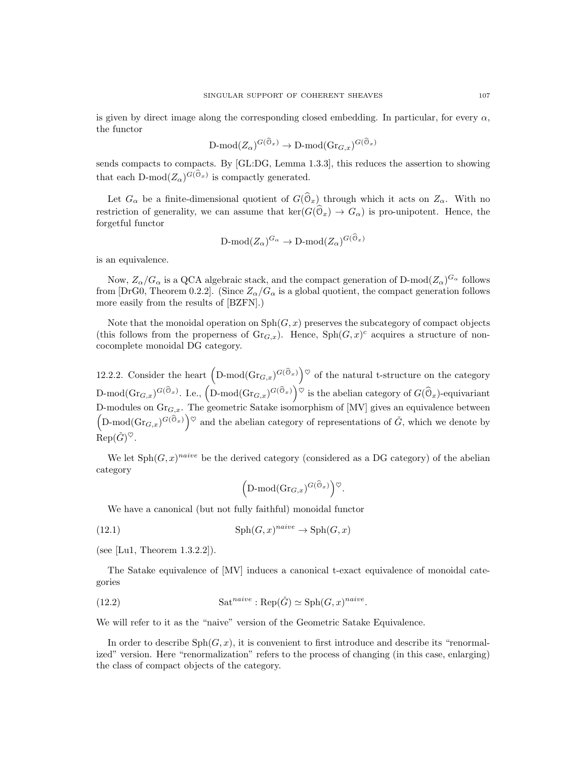is given by direct image along the corresponding closed embedding. In particular, for every  $\alpha$ , the functor

$$
\mathrm{D\text{-}mod}(Z_{\alpha})^{G(\mathfrak{O}_x)} \to \mathrm{D\text{-}mod}(\mathrm{Gr}_{G,x})^{G(\mathfrak{O}_x)}
$$

sends compacts to compacts. By [GL:DG, Lemma 1.3.3], this reduces the assertion to showing that each D-mod $(Z_{\alpha})^{G(\mathcal{O}_x)}$  is compactly generated.

Let  $G_{\alpha}$  be a finite-dimensional quotient of  $G(\mathbb{O}_x)$  through which it acts on  $Z_{\alpha}$ . With no restriction of generality, we can assume that  $\ker(G(\mathcal{O}_x) \to G_\alpha)$  is pro-unipotent. Hence, the forgetful functor

$$
\mathrm{D\text{-}mod}(Z_\alpha)^{G_\alpha}\to\mathrm{D\text{-}mod}(Z_\alpha)^{G(\mathbb{O}_x)}
$$

is an equivalence.

Now,  $Z_\alpha/G_\alpha$  is a QCA algebraic stack, and the compact generation of D-mod $(Z_\alpha)^{G_\alpha}$  follows from [DrG0, Theorem 0.2.2]. (Since  $Z_{\alpha}/G_{\alpha}$  is a global quotient, the compact generation follows more easily from the results of [BZFN].)

Note that the monoidal operation on  $\mathrm{Sph}(G, x)$  preserves the subcategory of compact objects (this follows from the properness of  $\mathrm{Gr}_{G,x}$ ). Hence,  $\mathrm{Sph}(G,x)^c$  acquires a structure of noncocomplete monoidal DG category.

12.2.2. Consider the heart  $(D\text{-mod}(Gr_{G,x})^{G(\widehat{\mathbb{O}}_x)})^{\heartsuit}$  of the natural t-structure on the category  $D\text{-mod}(\text{Gr}_{G,x})^{G(\widehat{\mathbb{O}}_x)}$ . I.e.,  $\left(D\text{-mod}(\text{Gr}_{G,x})^{G(\widehat{\mathbb{O}}_x)}\right)^\heartsuit$  is the abelian category of  $G(\widehat{\mathbb{O}}_x)$ -equivariant D-modules on  $\text{Gr}_{G,x}$ . The geometric Satake isomorphism of [MV] gives an equivalence between  $(D\text{-mod}(Gr_{G,x})^{G(\widehat{\mathcal{O}}_x)})^{\heartsuit}$  and the abelian category of representations of  $\check{G}$ , which we denote by  $\operatorname{Rep}(\check G)^\heartsuit.$ 

We let  $\text{Sph}(G, x)^{naive}$  be the derived category (considered as a DG category) of the abelian category

$$
\left(\mathrm{D\text{-}mod}(\mathrm{Gr}_{G,x})^{G(\widehat{\mathbb{O}}_x)}\right)^\heartsuit.
$$

We have a canonical (but not fully faithful) monoidal functor

(12.1) 
$$
\mathrm{Sph}(G, x)^{naive} \to \mathrm{Sph}(G, x)
$$

(see [Lu1, Theorem 1.3.2.2]).

The Satake equivalence of [MV] induces a canonical t-exact equivalence of monoidal categories

(12.2) 
$$
\text{Sat}^{naive} : \text{Rep}(\check{G}) \simeq \text{Sph}(G, x)^{naive}.
$$

We will refer to it as the "naive" version of the Geometric Satake Equivalence.

In order to describe  $Sph(G, x)$ , it is convenient to first introduce and describe its "renormalized" version. Here "renormalization" refers to the process of changing (in this case, enlarging) the class of compact objects of the category.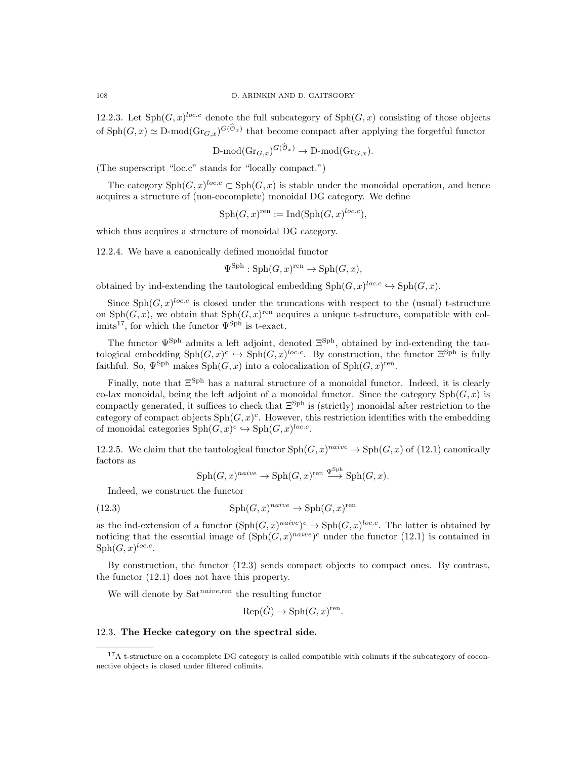12.2.3. Let  $\text{Sph}(G, x)^{loc.c}$  denote the full subcategory of  $\text{Sph}(G, x)$  consisting of those objects of  $\text{Sph}(G, x) \simeq D\text{-mod}(\text{Gr}_{G, x})^{G(\mathcal{O}_x)}$  that become compact after applying the forgetful functor

$$
\mathrm{D-mod}(\mathrm{Gr}_{G,x})^{G(\mathcal{O}_x)} \to \mathrm{D-mod}(\mathrm{Gr}_{G,x}).
$$

(The superscript "loc.c" stands for "locally compact.")

The category  $\text{Sph}(G, x)^{loc.c} \subset \text{Sph}(G, x)$  is stable under the monoidal operation, and hence acquires a structure of (non-cocomplete) monoidal DG category. We define

$$
Sph(G, x)^{ren} := Ind(Sph(G, x)^{loc.c}),
$$

which thus acquires a structure of monoidal DG category.

12.2.4. We have a canonically defined monoidal functor

$$
\Psi^{\text{Sph}}: \text{Sph}(G, x)^{\text{ren}} \to \text{Sph}(G, x),
$$

obtained by ind-extending the tautological embedding  $\text{Sph}(G, x)^{loc.c} \hookrightarrow \text{Sph}(G, x)$ .

Since  $\text{Sph}(G, x)^{loc.c}$  is closed under the truncations with respect to the (usual) t-structure on  $Sph(G, x)$ , we obtain that  $Sph(G, x)$ <sup>ren</sup> acquires a unique t-structure, compatible with colimits<sup>17</sup>, for which the functor  $\Psi^{\text{Sph}}$  is t-exact.

The functor  $\Psi^{\text{Sph}}$  admits a left adjoint, denoted  $\Xi^{\text{Sph}}$ , obtained by ind-extending the tautological embedding  $\text{Sph}(G, x)^c \hookrightarrow \text{Sph}(G, x)^{loc.c}$ . By construction, the functor  $\Xi^{\text{Sph}}$  is fully faithful. So,  $\Psi^{\text{Sph}}$  makes  $\text{Sph}(G, x)$  into a colocalization of  $\text{Sph}(G, x)$ <sup>ren</sup>.

Finally, note that  $\Xi^{\text{Sph}}$  has a natural structure of a monoidal functor. Indeed, it is clearly co-lax monoidal, being the left adjoint of a monoidal functor. Since the category  $\text{Sph}(G, x)$  is compactly generated, it suffices to check that  $\Xi^{\text{Sph}}$  is (strictly) monoidal after restriction to the category of compact objects  $\text{Sph}(G, x)^c$ . However, this restriction identifies with the embedding of monoidal categories  $\text{Sph}(G, x)^c \hookrightarrow \text{Sph}(G, x)^{loc.c}$ .

12.2.5. We claim that the tautological functor  $\text{Sph}(G, x)^{naive} \to \text{Sph}(G, x)$  of (12.1) canonically factors as

$$
\mathrm{Sph}(G,x)^{naive} \to \mathrm{Sph}(G,x)^{\mathrm{ren}} \xrightarrow{\Psi^{\mathrm{Sph}}} \mathrm{Sph}(G,x).
$$

Indeed, we construct the functor

(12.3) 
$$
\mathrm{Sph}(G, x)^{naive} \to \mathrm{Sph}(G, x)^{ren}
$$

as the ind-extension of a functor  $(\text{Sph}(G, x)^{naive})^c \to \text{Sph}(G, x)^{loc.c}$ . The latter is obtained by noticing that the essential image of  $(\text{Sph}(G, x)^{naive})^c$  under the functor  $(12.1)$  is contained in  $\mathrm{Sph}(G,x)^{loc.c}.$ 

By construction, the functor (12.3) sends compact objects to compact ones. By contrast, the functor (12.1) does not have this property.

We will denote by  $Sat^{naive,ren}$  the resulting functor

 $Rep(\check{G}) \to Sph(G, x)^{ren}.$ 

## 12.3. The Hecke category on the spectral side.

<sup>&</sup>lt;sup>17</sup>A t-structure on a cocomplete DG category is called compatible with colimits if the subcategory of coconnective objects is closed under filtered colimits.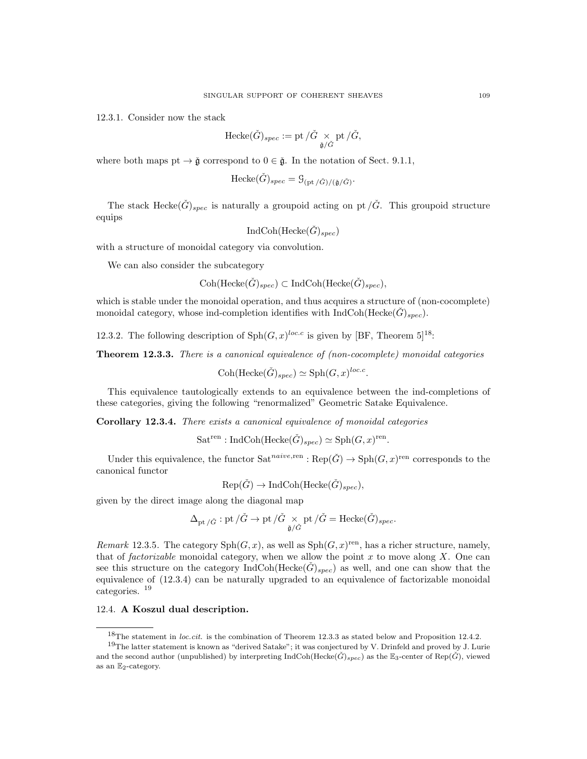12.3.1. Consider now the stack

$$
\text{Hecke}(\check{G})_{spec} := \text{pt} \, / \check{G} \underset{\check{\mathfrak{g}}/\check{G}}{\times} \text{pt} \, / \check{G},
$$

where both maps pt  $\rightarrow \check{g}$  correspond to  $0 \in \check{g}$ . In the notation of Sect. 9.1.1,

$$
\text{Hecke}(\check{G})_{spec} = \mathcal{G}_{\left(\text{pt}/\check{G}\right)/\left(\check{\mathfrak{g}}/\check{G}\right)}.
$$

The stack Hecke $(\check{G})_{spec}$  is naturally a groupoid acting on pt  $/\check{G}$ . This groupoid structure equips

$$
\operatorname{IndCoh}(\operatorname{Hecke}(\check{G})_{spec})
$$

with a structure of monoidal category via convolution.

We can also consider the subcategory

$$
Coh(\text{Hecke}(\check{G})_{spec}) \subset \text{IndCoh}(\text{Hecke}(\check{G})_{spec}),
$$

which is stable under the monoidal operation, and thus acquires a structure of (non-cocomplete) monoidal category, whose ind-completion identifies with  $IndCoh(Hecke(G)_{spec})$ .

12.3.2. The following description of  $\text{Sph}(G, x)^{loc.c}$  is given by [BF, Theorem 5]<sup>18</sup>:

Theorem 12.3.3. There is a canonical equivalence of (non-cocomplete) monoidal categories

Coh(Hecke $(\check{G})_{spec}$ )  $\simeq$  Sph $(G, x)^{loc.c}$ .

This equivalence tautologically extends to an equivalence between the ind-completions of these categories, giving the following "renormalized" Geometric Satake Equivalence.

Corollary 12.3.4. There exists a canonical equivalence of monoidal categories

$$
Sat^{ren}: IndCoh(Hecke(\check{G})_{spec}) \simeq \mathrm{Sph}(G, x)^{ren}
$$

.

Under this equivalence, the functor  $Sat^{naive,ren} : \text{Rep}(\check{G}) \to \text{Sph}(G, x)^{ren}$  corresponds to the canonical functor

$$
Rep(\check{G}) \to IndCoh(Hecke(\check{G})_{spec}),
$$

given by the direct image along the diagonal map

$$
\Delta_{\mathrm{pt}\,/\check{G}}:\mathrm{pt}\,/\check{G}\to\mathrm{pt}\,/\check{G}\underset{\check{\mathfrak{g}}/\check{G}}{\times}\mathrm{pt}\,/\check{G}=\mathrm{Hecke}(\check{G})_{spec}.
$$

Remark 12.3.5. The category  $\text{Sph}(G, x)$ , as well as  $\text{Sph}(G, x)$ <sup>ren</sup>, has a richer structure, namely, that of *factorizable* monoidal category, when we allow the point  $x$  to move along  $X$ . One can see this structure on the category  $IndCoh(Hecke(\check{G})_{spec})$  as well, and one can show that the equivalence of (12.3.4) can be naturally upgraded to an equivalence of factorizable monoidal categories. <sup>19</sup>

#### 12.4. A Koszul dual description.

<sup>&</sup>lt;sup>18</sup>The statement in *loc.cit.* is the combination of Theorem 12.3.3 as stated below and Proposition 12.4.2.

<sup>19</sup>The latter statement is known as "derived Satake"; it was conjectured by V. Drinfeld and proved by J. Lurie and the second author (unpublished) by interpreting IndCoh(Hecke $(\check{G})_{spec}$ ) as the  $\mathbb{E}_3$ -center of Rep( $\check{G}$ ), viewed as an  $\mathbb{E}_2$ -category.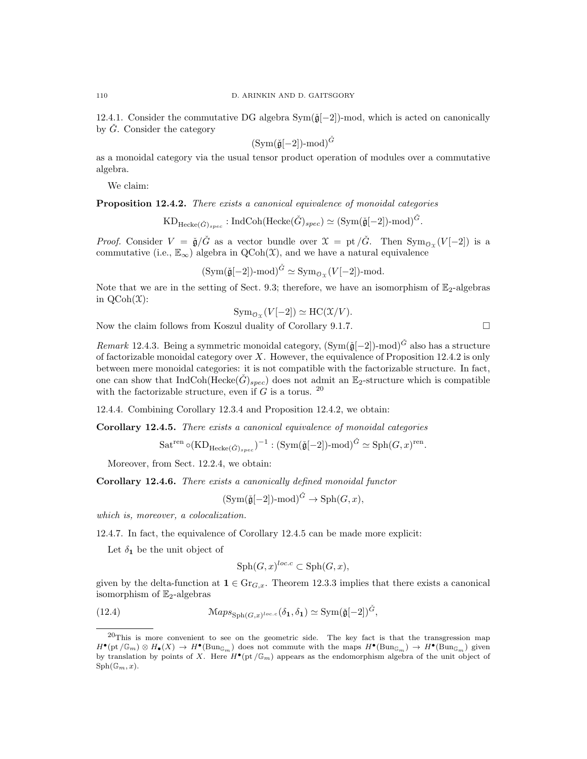12.4.1. Consider the commutative DG algebra Sym( $\check{g}[-2]$ )-mod, which is acted on canonically by  $\check{G}$ . Consider the category

$$
(Sym(\check{\mathfrak{g}}[-2])\text{-mod})^{\check{G}}
$$

as a monoidal category via the usual tensor product operation of modules over a commutative algebra.

We claim:

Proposition 12.4.2. There exists a canonical equivalence of monoidal categories

$$
\mathrm{KD}_{\mathrm{Hecke}(\check{G})_{spec}}: \mathrm{IndCoh}(\mathrm{Hecke}(\check{G})_{spec}) \simeq (\mathrm{Sym}(\check{\mathfrak{g}}[-2])\text{-mod})^{\check{G}}.
$$

*Proof.* Consider  $V = \check{\mathfrak{g}}/\check{G}$  as a vector bundle over  $\mathfrak{X} = \text{pt}/\check{G}$ . Then  $\text{Sym}_{\mathcal{O}_{\mathfrak{X}}}(V[-2])$  is a commutative (i.e.,  $\mathbb{E}_{\infty}$ ) algebra in QCoh(X), and we have a natural equivalence

 $(\text{Sym}(\check{\mathfrak{g}}[-2])\text{-mod})^{\check{G}} \simeq \text{Sym}_{\mathcal{O}_{\mathfrak{X}}}(V[-2])\text{-mod}.$ 

Note that we are in the setting of Sect. 9.3; therefore, we have an isomorphism of  $\mathbb{E}_2$ -algebras in  $QCoh(\mathfrak{X})$ :

$$
\operatorname{Sym}_{\mathcal{O}_{\mathfrak{X}}}(V[-2]) \simeq \operatorname{HC}(\mathfrak{X}/V).
$$

Now the claim follows from Koszul duality of Corollary 9.1.7.  $\Box$ 

Remark 12.4.3. Being a symmetric monoidal category,  $(Sym(\tilde{g}[-2])$ -mod $)^{\tilde{G}}$  also has a structure of factorizable monoidal category over  $X$ . However, the equivalence of Proposition 12.4.2 is only between mere monoidal categories: it is not compatible with the factorizable structure. In fact, one can show that  $IndCoh(Hecke(\hat{G})_{spec})$  does not admit an  $\mathbb{E}_2$ -structure which is compatible with the factorizable structure, even if G is a torus.  $20$ 

12.4.4. Combining Corollary 12.3.4 and Proposition 12.4.2, we obtain:

Corollary 12.4.5. There exists a canonical equivalence of monoidal categories

$$
\operatorname{Sat}^{\operatorname{ren}}\circ(\operatorname{KD}_{\operatorname{Hecke}(\check{G})_{spec}})^{-1} : (\operatorname{Sym}(\check{\mathfrak{g}}[-2])\text{-mod})^{\check{G}} \simeq \operatorname{Sph}(G,x)^{\operatorname{ren}}.
$$

Moreover, from Sect. 12.2.4, we obtain:

Corollary 12.4.6. There exists a canonically defined monoidal functor

$$
(\operatorname{Sym}(\check{\mathfrak{g}}[-2])\text{-mod})^{\check{G}} \to \operatorname{Sph}(G, x),
$$

which is, moreover, a colocalization.

12.4.7. In fact, the equivalence of Corollary 12.4.5 can be made more explicit:

Let  $\delta_1$  be the unit object of

$$
\mathrm{Sph}(G, x)^{loc.c} \subset \mathrm{Sph}(G, x),
$$

given by the delta-function at  $1 \in \text{Gr}_{G,x}$ . Theorem 12.3.3 implies that there exists a canonical isomorphism of  $\mathbb{E}_2$ -algebras

(12.4) 
$$
\mathcal{M}aps_{\mathrm{Sph}(G,x)^{loc.c}}(\delta_1, \delta_1) \simeq \mathrm{Sym}(\check{\mathfrak{g}}[-2])^{\check{G}},
$$

<sup>20</sup>This is more convenient to see on the geometric side. The key fact is that the transgression map  $H^{\bullet}(\mathrm{pt}/\mathbb{G}_m) \otimes H_{\bullet}(X) \to H^{\bullet}(\mathrm{Bun}_{\mathbb{G}_m})$  does not commute with the maps  $H^{\bullet}(\mathrm{Bun}_{\mathbb{G}_m}) \to H^{\bullet}(\mathrm{Bun}_{\mathbb{G}_m})$  given by translation by points of X. Here  $H^{\bullet}(\text{pt}/\mathbb{G}_m)$  appears as the endomorphism algebra of the unit object of  $Sph(\mathbb{G}_m, x)$ .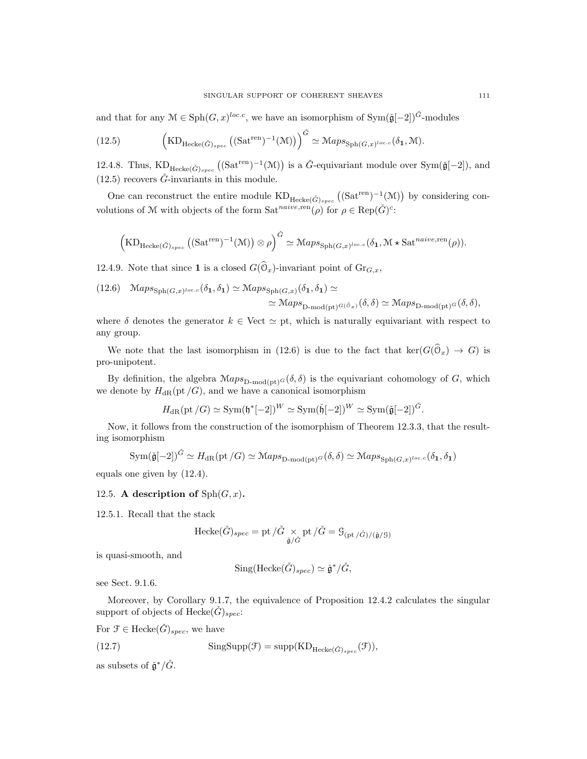and that for any  $\mathcal{M} \in \text{Sph}(G, x)^{loc.c}$ , we have an isomorphism of  $\text{Sym}(\check{\mathfrak{g}}[-2])^{\check{G}}$ -modules

(12.5) 
$$
\left(\text{KD}_{\text{Hecke}(\check{G})_{spec}}\left((\text{Sat}^{\text{ren}})^{-1}(\mathcal{M})\right)\right)^{\check{G}} \simeq \mathcal{M}aps_{\text{Sph}(G,x)^{loc.c}}(\delta_1, \mathcal{M}).
$$

12.4.8. Thus,  $\text{KD}_{\text{Hecke}(\check{G})_{spec}}((\text{Sat}^{\text{ren}})^{-1}(\mathcal{M}))$  is a  $\check{G}$ -equivariant module over  $\text{Sym}(\check{\mathfrak{g}}[-2])$ , and  $(12.5)$  recovers  $\check{G}$ -invariants in this module.

One can reconstruct the entire module  $KD_{Hecke(\check{G})_{spec}}((Sat^{ren})^{-1}(\mathcal{M}))$  by considering convolutions of M with objects of the form  $Sat^{naive,ren}(\rho)$  for  $\rho \in \text{Rep}(\check{G})^c$ :

$$
\left(\mathrm{KD}_{\mathrm{Hecke}(\check{G})_{spec}}\left((\mathrm{Sat}^{\mathrm{ren}})^{-1}(\mathcal{M})\right)\otimes \rho\right)^{\check{G}} \simeq \mathrm{Maps}_{\mathrm{Sph}(G,x)^{loc.c}}(\delta_1,\mathcal{M}\star \mathrm{Sat}^{naive,\mathrm{ren}}(\rho)).
$$

12.4.9. Note that since **1** is a closed  $G(\mathcal{O}_x)$ -invariant point of  $\mathrm{Gr}_{G,x}$ ,

(12.6) 
$$
\mathcal{M}aps_{\text{Sph}(G,x)^{loc.c}}(\delta_1, \delta_1) \simeq \mathcal{M}aps_{\text{Sph}(G,x)}(\delta_1, \delta_1) \simeq
$$
  
 $\simeq \mathcal{M}aps_{\text{D-mod}(\text{pt})^{G(\mathfrak{S}_x)}}(\delta, \delta) \simeq \mathcal{M}aps_{\text{D-mod}(\text{pt})^G}(\delta, \delta),$ 

where  $\delta$  denotes the generator  $k \in$  Vect  $\simeq$  pt, which is naturally equivariant with respect to any group.

We note that the last isomorphism in (12.6) is due to the fact that  $\ker(G(\mathcal{O}_x) \to G)$  is pro-unipotent.

By definition, the algebra  $\mathcal{M}ap s_{\text{D-mod}(\text{pt})G}(\delta,\delta)$  is the equivariant cohomology of G, which we denote by  $H_{\rm dR}(\text{pt }/G)$ , and we have a canonical isomorphism

$$
H_{\rm dR}(\mathrm{pt}\,/G) \simeq \mathrm{Sym}(\mathfrak{h}^*[-2])^W \simeq \mathrm{Sym}(\check{\mathfrak{h}}[-2])^W \simeq \mathrm{Sym}(\check{\mathfrak{g}}[-2])^{\check{G}}.
$$

Now, it follows from the construction of the isomorphism of Theorem 12.3.3, that the resulting isomorphism

$$
\mathrm{Sym}(\check{\mathfrak{g}}[-2])^{\check{G}} \simeq H_{\mathrm{dR}}(\mathrm{pt}/G) \simeq \mathrm{Maps}_{\mathrm{D-mod}(\mathrm{pt})^G}(\delta, \delta) \simeq \mathrm{Maps}_{\mathrm{Sph}(G,x)^{loc,c}}(\delta_1, \delta_1)
$$

equals one given by (12.4).

## 12.5. A description of  $Sph(G, x)$ .

12.5.1. Recall that the stack

$$
\mathrm{Hecke}(\check{G})_{spec}=\mathrm{pt}\,/\check{G}\,\times_{\check{\mathfrak{g}}/\check{G}}\mathrm{pt}\,/\check{G}=\mathcal{G}_{(\mathrm{pt}\,/\check{G})/(\check{\mathfrak{g}}/ \mathcal{G})}
$$

is quasi-smooth, and

$$
\mathrm{Sing}(\mathrm{Hecke}(\check{G})_{spec})\simeq \check{\mathfrak{g}}^*/\check{G},
$$

see Sect. 9.1.6.

Moreover, by Corollary 9.1.7, the equivalence of Proposition 12.4.2 calculates the singular support of objects of Hecke $(\check{G})_{spec}$ :

For  $\mathcal{F} \in \text{Hecke}(\check{G})_{spec}$ , we have

(12.7) 
$$
SingSupp(\mathcal{F}) = supp(KD_{Hecke(\check{G})_{spec}}(\mathcal{F})),
$$

as subsets of  $\check{\mathfrak{g}}^*/\check{G}$ .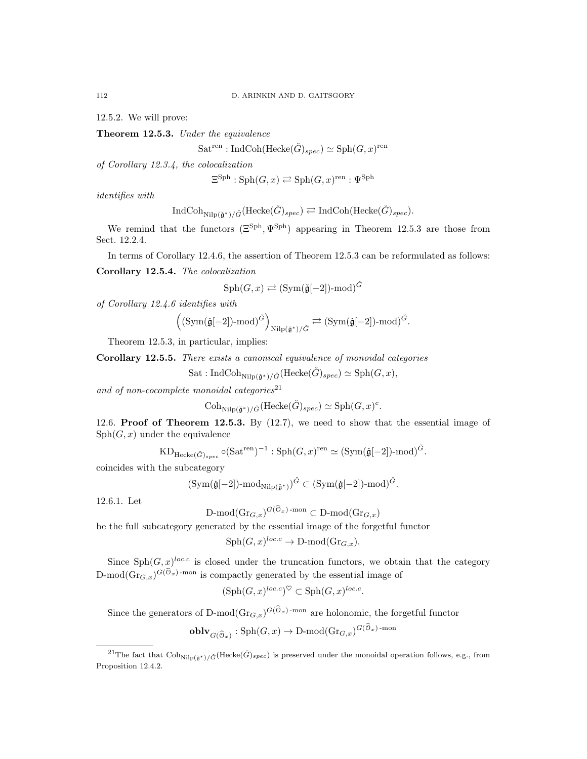12.5.2. We will prove:

Theorem 12.5.3. Under the equivalence

 $\text{Sat}^{\text{ren}}: \text{IndCoh}(\text{Hecke}(\check{G})_{spec}) \simeq \text{Sph}(G, x)^{\text{ren}}$ 

of Corollary 12.3.4, the colocalization

$$
\Xi^{\mathrm{Sph}} : \mathrm{Sph}(G, x) \rightleftarrows \mathrm{Sph}(G, x)^{\mathrm{ren}} : \Psi^{\mathrm{Sph}}
$$

identifies with

$$
\text{IndCoh}_{\text{Nilp}(\check{\mathfrak{g}}^*)/\check{G}}(\text{Hecke}(\check{G})_{spec}) \rightleftarrows \text{IndCoh}(\text{Hecke}(\check{G})_{spec}).
$$

We remind that the functors  $(\Xi^{\text{Sph}}, \Psi^{\text{Sph}})$  appearing in Theorem 12.5.3 are those from Sect. 12.2.4.

In terms of Corollary 12.4.6, the assertion of Theorem 12.5.3 can be reformulated as follows:

Corollary 12.5.4. The colocalization

$$
\mathrm{Sph}(G, x) \rightleftarrows (\mathrm{Sym}(\check{\mathfrak{g}}[-2])\text{-mod})^{\check{G}}
$$

of Corollary 12.4.6 identifies with

$$
\left((\mathrm{Sym}(\check{\mathfrak{g}}[-2])\text{-}\mathrm{mod}\right)^{\check{G}}\right)_{\mathrm{Nilp}(\check{\mathfrak{g}}^*)/\check{G}}\rightleftarrows (\mathrm{Sym}(\check{\mathfrak{g}}[-2])\text{-}\mathrm{mod}\right)^{\check{G}}.
$$

Theorem 12.5.3, in particular, implies:

Corollary 12.5.5. There exists a canonical equivalence of monoidal categories

Sat : IndCoh<sub>Nilp(ğ\*)/G</sub>(Hecke(
$$
\check{G}
$$
)<sub>spec</sub>)  $\simeq$  Sph(*G*, x),

and of non-cocomplete monoidal categories $^{21}$ 

$$
\mathrm{Coh}_{\mathrm{Nilp}(\check{\mathfrak{g}}^*)/\check{G}}(\mathrm{Hecke}(\check{G})_{spec}) \simeq \mathrm{Sph}(G,x)^c.
$$

12.6. Proof of Theorem 12.5.3. By  $(12.7)$ , we need to show that the essential image of  $Sph(G, x)$  under the equivalence

$$
\text{KD}_{\text{Hecke}(\check{G})_{spec}} \circ (\text{Sat}^{\text{ren}})^{-1} : \text{Sph}(G, x)^{\text{ren}} \simeq (\text{Sym}(\check{\mathfrak{g}}[-2])\text{-mod})^{\check{G}}.
$$

coincides with the subcategory

$$
(\mathrm{Sym}(\check{\mathfrak g}[-2])\text{-}\mathrm{mod}_{\mathrm{Nilp}(\check{\mathfrak g}^*)})^{\check{G}}\subset (\mathrm{Sym}(\check{\mathfrak g}[-2])\text{-}\mathrm{mod})^{\check{G}}.
$$

12.6.1. Let

$$
\mathrm{D\text{-}mod}(\mathrm{Gr}_{G,x})^{G(\mathfrak{O}_x)\text{-}{\mathrm{mon}}}\subset \mathrm{D\text{-}mod}(\mathrm{Gr}_{G,x})
$$

be the full subcategory generated by the essential image of the forgetful functor

$$
\mathrm{Sph}(G, x)^{loc.c} \to \mathrm{D-mod}(\mathrm{Gr}_{G,x}).
$$

Since  $Sph(G, x)^{loc.c}$  is closed under the truncation functors, we obtain that the category D-mod( $\text{Gr}_{G,x}$ )<sup> $G(\mathcal{O}_x)$ -mon is compactly generated by the essential image of</sup>

$$
(\mathrm{Sph}(G, x)^{loc.c})^{\heartsuit} \subset \mathrm{Sph}(G, x)^{loc.c}
$$

.

Since the generators of D-mod $(\text{Gr}_{G,x})^{G(\mathcal{O}_x)$ -mon are holonomic, the forgetful functor

$$
\mathbf{oblv}_{G(\widehat{\mathcal{O}}_{x})}: \mathrm{Sph}(G, x) \to \mathrm{D-mod}(\mathrm{Gr}_{G, x})^{G(\mathcal{O}_{x})\text{-mon}}
$$

<sup>&</sup>lt;sup>21</sup>The fact that  $\mathrm{Coh}_{\mathrm{Nilp}(\tilde{\mathfrak{g}}^*)/\check{G}}(\mathrm{Hecke}(\check{G})_{spec})$  is preserved under the monoidal operation follows, e.g., from Proposition 12.4.2.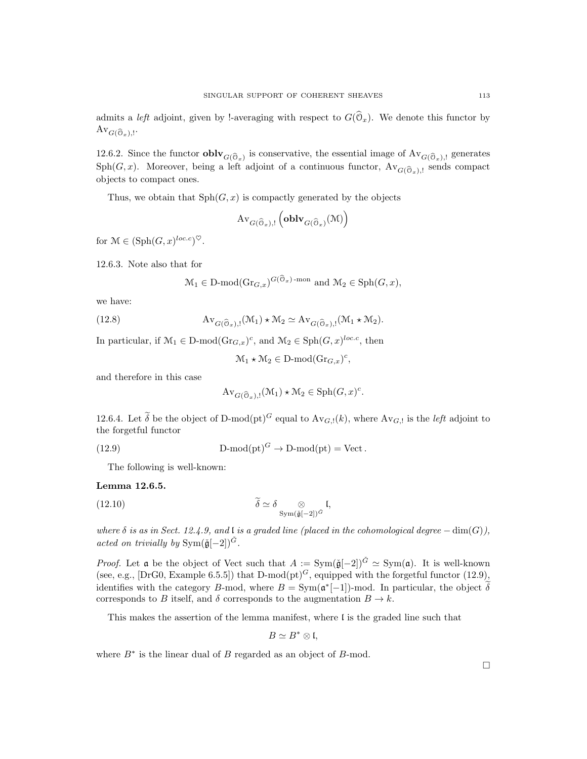admits a *left* adjoint, given by !-averaging with respect to  $G(\mathcal{O}_x)$ . We denote this functor by  $\operatorname{Av}_{G(\widehat{\mathbb{O}}_x),!}.$ 

12.6.2. Since the functor **obly**  $G(\widehat{\mathbb{G}}_x)$  is conservative, the essential image of  $\text{Av}_{G(\widehat{\mathbb{G}}_x),!}$  generates  $Sph(G, x)$ . Moreover, being a left adjoint of a continuous functor,  $Av_{G(\widehat{O}_x),!}$  sends compact objects to compact ones.

Thus, we obtain that  $\text{Sph}(G, x)$  is compactly generated by the objects

$$
\mathrm{Av}_{G(\widehat{\mathbb{O}}_x),!}\left(\mathbf{oblv}_{G(\widehat{\mathbb{O}}_x)}(\mathfrak{M})\right)
$$

for  $\mathcal{M} \in (\text{Sph}(G, x)^{loc.c})^{\heartsuit}.$ 

12.6.3. Note also that for

$$
\mathcal{M}_1 \in \mathcal{D}\text{-mod}(\text{Gr}_{G,x})^{G(\mathcal{O}_x)\text{-mon}}
$$
 and  $\mathcal{M}_2 \in \text{Sph}(G,x)$ ,

we have:

(12.8) 
$$
Av_{G(\widehat{\mathcal{O}}_x),!}(\mathcal{M}_1) \star \mathcal{M}_2 \simeq Av_{G(\widehat{\mathcal{O}}_x),!}(\mathcal{M}_1 \star \mathcal{M}_2).
$$

In particular, if  $\mathcal{M}_1 \in \mathcal{D}\text{-mod}(\text{Gr}_{G,x})^c$ , and  $\mathcal{M}_2 \in \text{Sph}(G,x)^{loc.c}$ , then

 $\mathcal{M}_1 \star \mathcal{M}_2 \in \mathcal{D}\text{-mod}(\text{Gr}_{G,x})^c,$ 

and therefore in this case

$$
\mathrm{Av}_{G(\widehat{\mathcal{O}}_x),!}(\mathcal{M}_1) \star \mathcal{M}_2 \in \mathrm{Sph}(G,x)^c.
$$

12.6.4. Let  $\tilde{\delta}$  be the object of D-mod(pt)<sup>G</sup> equal to  $Av_{G,!}(k)$ , where  $Av_{G,!}$  is the *left* adjoint to the forgetful functor

(12.9) 
$$
D\text{-mod}(\text{pt})^G \to D\text{-mod}(\text{pt}) = \text{Vect}.
$$

The following is well-known:

### Lemma 12.6.5.

(12.10) 
$$
\widetilde{\delta} \simeq \delta \underset{\text{Sym}(\widetilde{\mathfrak{g}}[-2])^{\check{G}}}{\otimes} \mathfrak{l},
$$

where  $\delta$  is as in Sect. 12.4.9, and l is a graded line (placed in the cohomological degree  $-\dim(G)$ ), acted on trivially by  $\text{Sym}(\check{\mathfrak{g}}[-2])^{\check{G}}$ .

*Proof.* Let a be the object of Vect such that  $A := \text{Sym}(\check{\mathfrak{g}}[-2])^{\check{G}} \simeq \text{Sym}(\mathfrak{a})$ . It is well-known (see, e.g., [DrG0, Example 6.5.5]) that D-mod(pt)<sup>G</sup>, equipped with the forgetful functor (12.9), identifies with the category B-mod, where  $B = \text{Sym}(\mathfrak{a}^*[-1])$ -mod. In particular, the object  $\delta$ corresponds to B itself, and  $\delta$  corresponds to the augmentation  $B \to k$ .

This makes the assertion of the lemma manifest, where l is the graded line such that

$$
B \simeq B^* \otimes \mathfrak{l},
$$

where  $B^*$  is the linear dual of  $B$  regarded as an object of  $B$ -mod.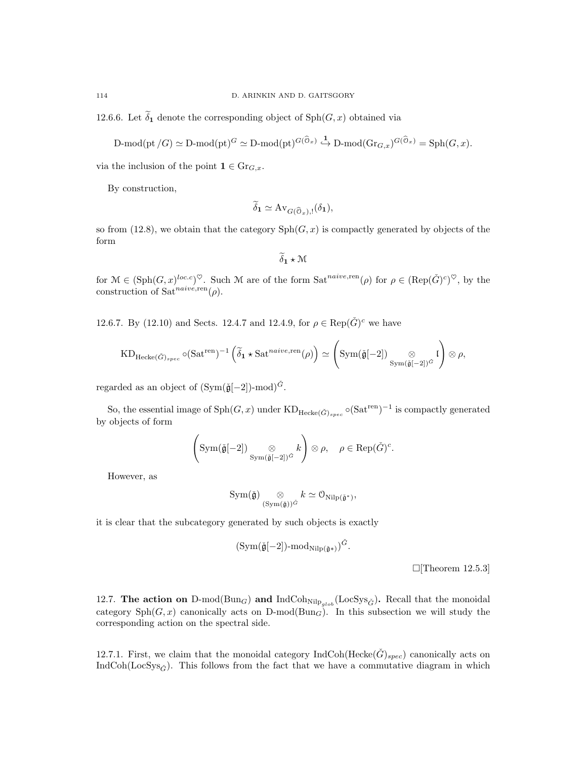12.6.6. Let  $\widetilde{\delta}_1$  denote the corresponding object of  $\mathrm{Sph}(G, x)$  obtained via

$$
\text{$D$-mod}(\text{pt}/G) \simeq \text{$D$-mod}(\text{pt})^G \simeq \text{$D$-mod}(\text{pt})^{G(\widehat{\mathbb{O}}_x)} \xrightarrow{1} \text{$D$-mod}(\text{Gr}_{G,x})^{G(\widehat{\mathbb{O}}_x)} = \text{Sph}(G,x).
$$

via the inclusion of the point  $\mathbf{1} \in \mathrm{Gr}_{G,x}$ .

By construction,

$$
\widetilde{\delta}_{\mathbf{1}} \simeq \mathrm{Av}_{G(\widehat{\mathbb{O}}_x),!}(\delta_{\mathbf{1}}),
$$

so from (12.8), we obtain that the category  $\mathrm{Sph}(G, x)$  is compactly generated by objects of the form

$$
\delta_1 \star \mathcal{M}
$$

for  $\mathcal{M} \in (\text{Sph}(G, x)^{loc.c})^{\heartsuit}$ . Such M are of the form  $\text{Sat}^{naive, \text{ren}}(\rho)$  for  $\rho \in (\text{Rep}(\check{G})^c)^{\heartsuit}$ , by the construction of  $Sat^{naive,ren}(\rho)$ .

12.6.7. By (12.10) and Sects. 12.4.7 and 12.4.9, for  $\rho \in \text{Rep}(\check{G})^c$  we have

$$
\mathrm{KD}_{\mathrm{Hecke}(\check{G})_{spec}} \circ (\mathrm{Sat}^{\mathrm{ren}})^{-1} \left( \widetilde{\delta}_1 \star \mathrm{Sat}^{naive,\mathrm{ren}}(\rho) \right) \simeq \left( \mathrm{Sym}(\check{\mathfrak{g}}[-2]) \underset{\mathrm{Sym}(\check{\mathfrak{g}}[-2])}{\otimes} I \right) \otimes \rho,
$$

regarded as an object of  $(Sym(\check{\mathfrak{g}}[-2])$ -mod $)^{\check{G}}$ .

So, the essential image of  $\text{Sph}(G, x)$  under  $\text{KD}_{\text{Hecke}(\check{G})_{spec}} \circ (\text{Sat}^{\text{ren}})^{-1}$  is compactly generated by objects of form

$$
\left(\text{Sym}(\check{\mathfrak{g}}[-2]) \underset{\text{Sym}(\check{\mathfrak{g}}[-2])^{\check{G}}} \otimes \rho, \quad \rho \in \text{Rep}(\check{G})^c.
$$

However, as

$$
\mathrm{Sym}(\check{\mathfrak{g}}) \underset{(\mathrm{Sym}(\check{\mathfrak{g}}))^{\check{G}}}{\otimes} k \simeq \mathcal{O}_{\mathrm{Nilp}(\check{\mathfrak{g}}^*)},
$$

it is clear that the subcategory generated by such objects is exactly

$$
(\mathrm{Sym}(\check{\mathfrak{g}}[-2])\text{-mod}_{\mathrm{Nilp}(\check{\mathfrak{g}}*)})^{\check{G}}.
$$

 $\Box$ [Theorem 12.5.3]

12.7. The action on D-mod( $\text{Bun}_G$ ) and IndCoh<sub>Nilp<sub>glob</sub> (LocSys<sub> $\check{G}$ </sub>). Recall that the monoidal</sub> category  $Sph(G, x)$  canonically acts on D-mod( $Bun_G$ ). In this subsection we will study the corresponding action on the spectral side.

12.7.1. First, we claim that the monoidal category IndCoh(Hecke $(\check{G})_{spec}$ ) canonically acts on IndCoh(LocSys<sub>G</sub>). This follows from the fact that we have a commutative diagram in which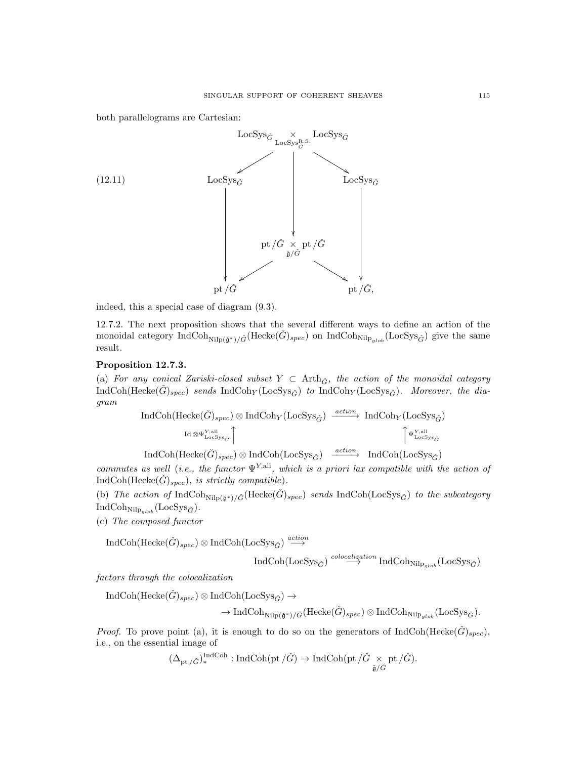both parallelograms are Cartesian:



indeed, this a special case of diagram (9.3).

12.7.2. The next proposition shows that the several different ways to define an action of the monoidal category IndCoh<sub>Nilp( $\check{\sigma}^*$ )/ $\check{G}$ (Hecke $(\check{G})_{spec}$ ) on IndCoh<sub>Nilp<sub>alob</sub> (LocSys<sub> $\check{G}$ </sub>) give the same</sub></sub> result.

## Proposition 12.7.3.

(a) For any conical Zariski-closed subset  $Y \subset$  Arth<sub> $\check{G}$ </sub>, the action of the monoidal category  $IndCoh(Hecke(\check{G})_{spec})$  sends  $IndCoh_Y (LocSys_{\check{G}})$  to  $IndCoh_Y (LocSys_{\check{G}})$ . Moreover, the diagram

$$
\begin{array}{ll}\text{IndCoh}(\text{Hecke}(\check{G})_{spec})\otimes\text{IndCoh}_{Y}(\text{LocSys}_{\check{G}})\xrightarrow{action}\text{IndCoh}_{Y}(\text{LocSys}_{\check{G}})\\ \text{Id}\otimes \Psi_{\text{LocSys}_{\check{G}}}^{\text{Y,all}}\Big\uparrow\text{IndCoh}_{Y}\Big(\text{LocSys}_{\check{G}}\Big)\\ \end{array}
$$

 $\text{IndCoh}(\text{Hecke}(\check{G})_{spec}) \otimes \text{IndCoh}(\text{LocSys}_{\check{G}}) \xrightarrow{action} \text{IndCoh}(\text{LocSys}_{\check{G}})$ 

commutes as well (i.e., the functor  $\Psi^{Y,\text{all}}$ , which is a priori lax compatible with the action of  $IndCoh(Hecke(\check{G})_{spec}),$  is strictly compatible).

(b) The action of IndCoh<sub>Nilp( $\check{g}^*$ )/ $\check{G}$ (Hecke $(\check{G})_{spec}$ ) sends IndCoh(LocSys $\check{G}$ ) to the subcategory</sub>  $IndCoh_{Nilp_{glob}}(LocSys_{\check{G}}).$ 

(c) The composed functor

 $\text{IndCoh}(\text{Hecke}(\check{G})_{spec})\otimes \text{IndCoh}(\text{LocSys}_{\check{G}})\stackrel{action}{\longrightarrow}$ 

$$
\operatorname{IndCoh}(\operatorname{LocSys}_{\check G}) \overset{colocalization}{\longrightarrow} \operatorname{IndCoh}_{\operatorname{Nilp}_{glob}}(\operatorname{LocSys}_{\check G})
$$

factors through the colocalization

 $IndCoh(Hecke(\check{G})_{spec}) \otimes IndCoh(LocSys_{\check{G}}) \rightarrow$ 

 $\rightarrow \text{IndCoh}_{\text{Nilp}(\tilde{\mathfrak{a}}^*)/\check{G}}(\text{Hecke}(\check{G})_{spec}) \otimes \text{IndCoh}_{\text{Nilp}_{alob}}(\text{LocSys}_{\check{G}}).$ 

*Proof.* To prove point (a), it is enough to do so on the generators of  $IndCoh(Hecke(G)_{spec})$ , i.e., on the essential image of

$$
(\Delta_{\mathrm{pt}\,/\check{G}})_{*}^{\mathrm{Ind}\mathrm{Coh}}:\mathrm{Ind}\mathrm{Coh}(\mathrm{pt}\,/\check{G})\rightarrow \mathrm{Ind}\mathrm{Coh}(\mathrm{pt}\,/\check{G}\underset{\check{\mathfrak{g}}/\check{G}}{\times}\mathrm{pt}\,/\check{G}).
$$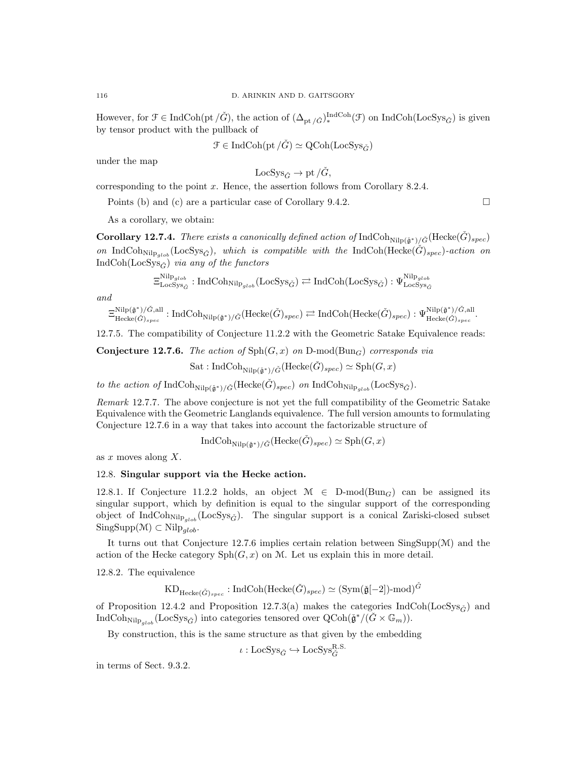However, for  $\mathcal{F} \in \text{IndCoh}(\text{pt}/\check{G})$ , the action of  $(\Delta_{\text{pt}/\check{G}})^{\text{IndCoh}}_{*}(\mathcal{F})$  on IndCoh(LocSys<sub> $\check{G}$ </sub>) is given by tensor product with the pullback of

 $\mathcal{F} \in \text{IndCoh}(\text{pt}/\check{G}) \simeq \text{QCoh}(\text{LocSvs}_{\check{G}})$ 

under the map

$$
LocSys_{\check{G}} \to pt/\check{G},
$$

corresponding to the point  $x$ . Hence, the assertion follows from Corollary 8.2.4.

Points (b) and (c) are a particular case of Corollary 9.4.2.

As a corollary, we obtain:

**Corollary 12.7.4.** There exists a canonically defined action of  $IndCoh_{Nilp(\tilde{\mathfrak{g}}^*)/\tilde{G}}(Hecke(\tilde{G})_{spec})$ on IndCoh<sub>Nilp<sub>alob</sub> (LocSys<sub>G</sub><sup>\*</sup>), which is compatible with the IndCoh(Hecke( $\hat{G}$ )<sub>spec</sub>)-action on</sub> IndCoh(LocSys $_{\check{G}}$ ) via any of the functors

$$
\Xi_{\mathrm{LocSys}_{\check{G}}}^{\mathrm{Nilp}_{glob}}:\mathrm{IndCoh}_{\mathrm{Nilp}_{glob}}(\mathrm{LocSys}_{\check{G}})\rightleftarrows\mathrm{IndCoh}(\mathrm{LocSys}_{\check{G}}):\Psi_{\mathrm{LocSys}_{\check{G}}}^{\mathrm{Nilp}_{glob}}
$$

and

$$
\Xi_{\mathrm{Hecke}(\check{G})_{spec}}^{\mathrm{Nilp}(\check{\mathfrak{g}}^*)/\check{G},\mathrm{all}}:\mathrm{IndCoh}_{\mathrm{Nilp}(\check{\mathfrak{g}}^*)/\check{G}}(\mathrm{Hecke}(\check{G})_{spec})\rightleftarrows\mathrm{IndCoh}(\mathrm{Hecke}(\check{G})_{spec}):\Psi_{\mathrm{Hecke}(\check{G})_{spec}}^{\mathrm{Nilp}(\check{\mathfrak{g}}^*)/\check{G},\mathrm{all}}.
$$

12.7.5. The compatibility of Conjecture 11.2.2 with the Geometric Satake Equivalence reads:

**Conjecture 12.7.6.** The action of  $\text{Sph}(G, x)$  on  $D\text{-mod}(\text{Bun}_G)$  corresponds via

Sat : IndCoh<sub>Nilp( $\check{\alpha}^*$ )/ $\check{G}$ (Hecke $(\check{G})_{spec}$ )  $\simeq$  Sph $(G, x)$ </sub>

to the action of  $\text{IndCoh}_{\text{Nilp}(\tilde{\mathfrak{a}}^*)/\tilde{G}}(\text{Hecke}(\tilde{G})_{spec})$  on  $\text{IndCoh}_{\text{Nilp}{}_{cloh}}(\text{LocSys}_{\tilde{G}})$ .

Remark 12.7.7. The above conjecture is not yet the full compatibility of the Geometric Satake Equivalence with the Geometric Langlands equivalence. The full version amounts to formulating Conjecture 12.7.6 in a way that takes into account the factorizable structure of

$$
\text{IndCoh}_{\text{Nilp}(\check{\mathfrak{g}}^*)/\check{G}}(\text{Hecke}(\check{G})_{spec}) \simeq \text{Sph}(G, x)
$$

as  $x$  moves along  $X$ .

## 12.8. Singular support via the Hecke action.

12.8.1. If Conjecture 11.2.2 holds, an object  $\mathcal{M} \in D\text{-mod}(Bun_G)$  can be assigned its singular support, which by definition is equal to the singular support of the corresponding object of IndCoh<sub>Nilp<sub>alob</sub> (LocSys<sub> $\check{G}$ </sub>). The singular support is a conical Zariski-closed subset</sub>  $SingSupp(\mathcal{M}) \subset Nilp_{glob}.$ 

It turns out that Conjecture 12.7.6 implies certain relation between  $\text{SingSupp}(\mathcal{M})$  and the action of the Hecke category  $\mathrm{Sph}(G, x)$  on M. Let us explain this in more detail.

12.8.2. The equivalence

$$
\mathrm{KD}_{\mathrm{Hecke}(\check{G})_{spec}}: \mathrm{IndCoh}(\mathrm{Hecke}(\check{G})_{spec}) \simeq (\mathrm{Sym}(\check{\mathfrak{g}}[-2])\text{-mod})^{\check{G}}
$$

of Proposition 12.4.2 and Proposition 12.7.3(a) makes the categories IndCoh(LocSys<sub> $\tilde{G}$ </sub>) and IndCoh<sub>Nilp<sub>glob</sub></sub>(LocSys<sub> $\check{G}$ </sub>) into categories tensored over  $Q\text{Coh}(\check{\mathfrak{g}}^*/(\check{G} \times \mathbb{G}_m))$ .

By construction, this is the same structure as that given by the embedding

 $\iota : \text{LocSys}_{\check{G}} \hookrightarrow \text{LocSys}_{\check{G}}^{\text{R.S.}}.$ 

in terms of Sect. 9.3.2.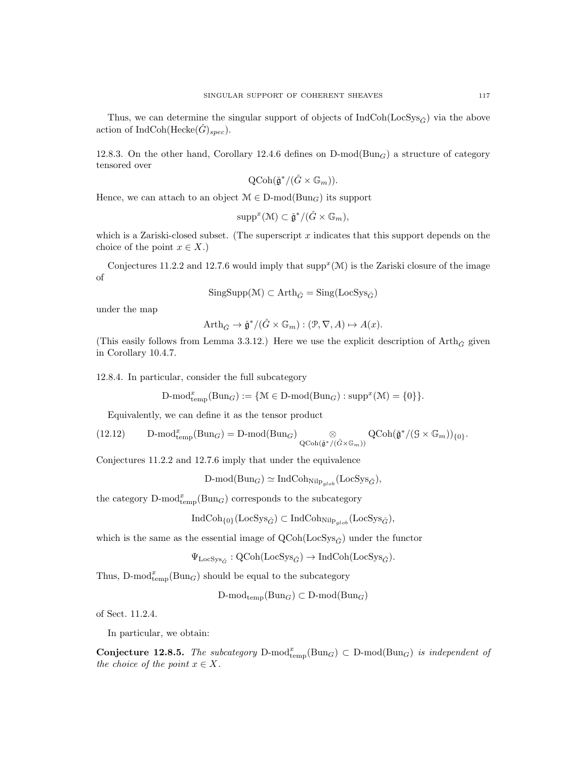Thus, we can determine the singular support of objects of  $IndCoh(LocSys_{\tilde{C}})$  via the above action of IndCoh(Hecke $(G)_{spec}$ ).

12.8.3. On the other hand, Corollary 12.4.6 defines on  $D\text{-mod}(Bun_G)$  a structure of category tensored over

$$
\text{QCoh}(\check{\mathfrak{g}}^*/(\check{G}\times \mathbb{G}_m)).
$$

Hence, we can attach to an object  $M \in D\text{-mod}(Bun_G)$  its support

$$
\operatorname{supp}^x(\mathcal{M}) \subset \check{\mathfrak{g}}^*/(\check{G} \times \mathbb{G}_m),
$$

which is a Zariski-closed subset. (The superscript  $x$  indicates that this support depends on the choice of the point  $x \in X$ .)

Conjectures 11.2.2 and 12.7.6 would imply that  $\text{supp}^x(\mathcal{M})$  is the Zariski closure of the image of

$$
\mathrm{SingSupp}(\mathcal{M})\subset \mathrm{Arth}_{\check{G}}=\mathrm{Sing}(\mathrm{LocSys}_{\check{G}})
$$

under the map

$$
\operatorname{Arth}_{\check{G}} \to \check{\mathfrak{g}}^*/(\check{G} \times \mathbb{G}_m) : (\mathcal{P}, \nabla, A) \mapsto A(x).
$$

(This easily follows from Lemma 3.3.12.) Here we use the explicit description of  $\mathrm{Arth}_{\check{G}}$  given in Corollary 10.4.7.

12.8.4. In particular, consider the full subcategory

$$
\text{$D$-mod}_{temp}^x(\text{Bun}_G) := \{ \mathcal{M} \in \text{$D$-mod}(\text{Bun}_G) : \text{supp}^x(\mathcal{M}) = \{0\} \}.
$$

Equivalently, we can define it as the tensor product

(12.12) 
$$
\text{D-mod}_{temp}^x(\text{Bun}_G) = \text{D-mod}(\text{Bun}_G) \underset{\text{QCoh}(\tilde{\mathfrak{g}}^*/(\tilde{G} \times \mathbb{G}_m))}{\otimes} \text{QCoh}(\tilde{\mathfrak{g}}^*/(\mathfrak{g} \times \mathbb{G}_m))_{\{0\}}.
$$

Conjectures 11.2.2 and 12.7.6 imply that under the equivalence

$$
\text{D-mod}(\text{Bun}_G) \simeq \text{IndCoh}_{\text{Nilp}_{glob}}(\text{LocSys}_{\check{G}}),
$$

the category  $D\text{-mod}_{\text{temp}}^x(Bun_G)$  corresponds to the subcategory

$$
\operatorname{IndCoh}_{\{0\}}(\operatorname{LocSys}_{\check{G}}) \subset \operatorname{IndCoh}_{\operatorname{Nilp}_{glob}}(\operatorname{LocSys}_{\check{G}}),
$$

which is the same as the essential image of  $QCoh(LocSys_{\tilde{C}})$  under the functor

$$
\Psi_{\mathrm{LocSys}_{\check{G}}} : \mathrm{QCoh}(\mathrm{LocSys}_{\check{G}}) \to \mathrm{IndCoh}(\mathrm{LocSys}_{\check{G}}).
$$

Thus,  $D\text{-mod}_{temp}^x(Bun_G)$  should be equal to the subcategory

 $D\text{-mod}_{temp}(Bun_G) \subset D\text{-mod}(Bun_G)$ 

of Sect. 11.2.4.

In particular, we obtain:

**Conjecture 12.8.5.** The subcategory  $D\text{-mod}_{temp}(Bun_G) \subset D\text{-mod}(Bun_G)$  is independent of the choice of the point  $x \in X$ .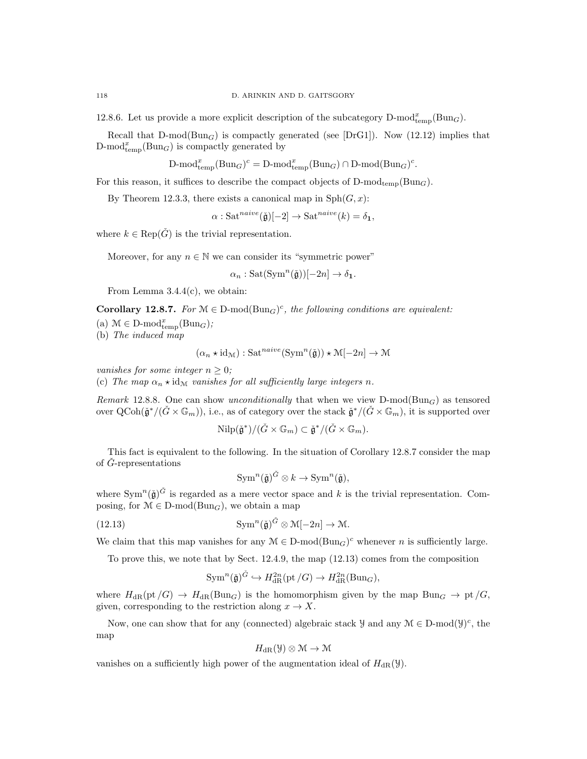12.8.6. Let us provide a more explicit description of the subcategory  $D\text{-mod}_{temp}^x(Bun_G)$ .

Recall that  $D\text{-mod}(Bun_G)$  is compactly generated (see [DrG1]). Now (12.12) implies that  $\text{D-mod}_{\text{temp}}^x(\text{Bun}_G)$  is compactly generated by

$$
\text{D-mod}_{\text{temp}}^x(\text{Bun}_G)^c = \text{D-mod}_{\text{temp}}^x(\text{Bun}_G) \cap \text{D-mod}(\text{Bun}_G)^c.
$$

For this reason, it suffices to describe the compact objects of  $D\text{-mod}_{temp}(Bun_G)$ .

By Theorem 12.3.3, there exists a canonical map in  $\text{Sph}(G, x)$ :

 $\alpha$ : Sat<sup>naive</sup>( $\check{g}$ )[−2]  $\rightarrow$  Sat<sup>naive</sup>(k) =  $\delta_1$ ,

where  $k \in \text{Rep}(\check{G})$  is the trivial representation.

Moreover, for any  $n \in \mathbb{N}$  we can consider its "symmetric power"

$$
\alpha_n : \mathrm{Sat}(\mathrm{Sym}^n(\check{\mathfrak{g}}))[-2n] \to \delta_1.
$$

From Lemma 3.4.4(c), we obtain:

**Corollary 12.8.7.** For  $M \in D\text{-mod}(Bun_G)^c$ , the following conditions are equivalent:

(a)  $\mathcal{M} \in \mathbf{D}\text{-mod}_{\text{temp}}^x(\text{Bun}_G);$ 

(b) The induced map

$$
(\alpha_n \star \mathrm{id}_{\mathcal{M}}) : \mathrm{Sat}^{naive}(\mathrm{Sym}^n(\check{\mathfrak{g}})) \star \mathcal{M}[-2n] \to \mathcal{M}
$$

vanishes for some integer  $n > 0$ ;

(c) The map  $\alpha_n \star id_M$  vanishes for all sufficiently large integers n.

Remark 12.8.8. One can show unconditionally that when we view  $D\text{-mod}(Bun_G)$  as tensored over  $Q\text{Coh}(\check{\mathfrak{g}}^*/(\check{G}\times \mathbb{G}_m))$ , i.e., as of category over the stack  $\check{\mathfrak{g}}^*/(\check{G}\times \mathbb{G}_m)$ , it is supported over

$$
\mathrm{Nilp}(\check{\mathfrak{g}}^*)/(\check{G}\times \mathbb{G}_m)\subset \check{\mathfrak{g}}^*/(\check{G}\times \mathbb{G}_m).
$$

This fact is equivalent to the following. In the situation of Corollary 12.8.7 consider the map of  $\dot{G}$ -representations

$$
\operatorname{Sym}^n(\check{\mathfrak g})^{\check{G}} \otimes k \to \operatorname{Sym}^n(\check{\mathfrak g}),
$$

where  $\text{Sym}^n(\check{\mathfrak{g}})^{\check{G}}$  is regarded as a mere vector space and k is the trivial representation. Composing, for  $\mathcal{M} \in \mathcal{D}\text{-mod}(\text{Bun}_G)$ , we obtain a map

(12.13) 
$$
\text{Sym}^n(\check{\mathfrak{g}})^{\check{G}} \otimes \mathcal{M}[-2n] \to \mathcal{M}.
$$

We claim that this map vanishes for any  $M \in D\text{-mod}(Bun_G)^c$  whenever n is sufficiently large.

To prove this, we note that by Sect. 12.4.9, the map (12.13) comes from the composition

$$
\mathrm{Sym}^n(\mathfrak{\check{g}})^{\check{G}}\hookrightarrow H^{2n}_{\mathrm{dR}}(\mathrm{pt}\, /G)\rightarrow H^{2n}_{\mathrm{dR}}(\mathrm{Bun}_G),
$$

where  $H_{\rm dR}(\text{pt}/G) \to H_{\rm dR}(\text{Bun}_G)$  is the homomorphism given by the map  $\text{Bun}_G \to \text{pt}/G$ , given, corresponding to the restriction along  $x \to X$ .

Now, one can show that for any (connected) algebraic stack  $\mathcal{Y}$  and any  $\mathcal{M} \in \mathcal{D}\text{-mod}(\mathcal{Y})^c$ , the map

$$
H_{\rm dR}(\mathcal{Y})\otimes \mathcal{M}\to \mathcal{M}
$$

vanishes on a sufficiently high power of the augmentation ideal of  $H_{\rm dR}(\mathcal{Y})$ .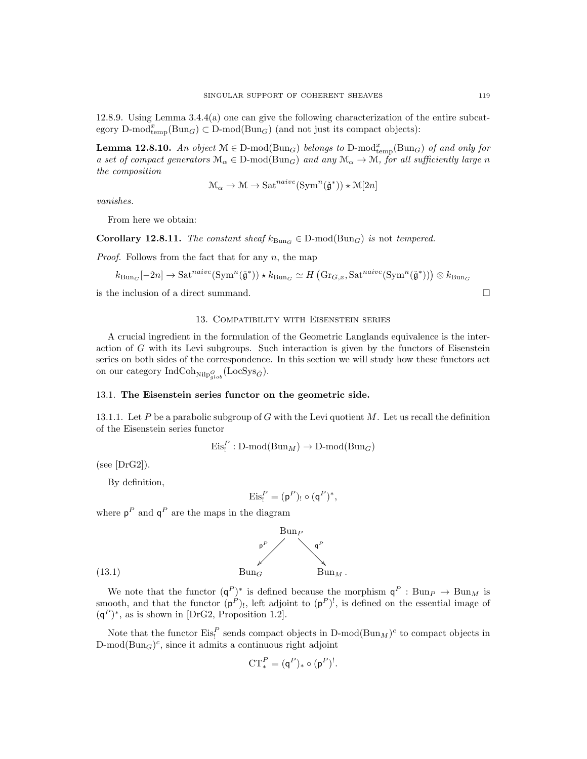12.8.9. Using Lemma 3.4.4(a) one can give the following characterization of the entire subcategory D-mod $\dim_{\text{temp}}(\text{Bun}_G) \subset \text{D-mod}(\text{Bun}_G)$  (and not just its compact objects):

**Lemma 12.8.10.** An object  $M \in D$ -mod $(Bun_G)$  belongs to  $D$ -mod $_{temp}^x(Bun_G)$  of and only for a set of compact generators  $\mathcal{M}_{\alpha} \in \mathcal{D}\text{-mod}(\text{Bun}_G)$  and any  $\mathcal{M}_{\alpha} \to \mathcal{M}$ , for all sufficiently large n the composition

$$
\mathcal{M}_{\alpha} \to \mathcal{M} \to \mathrm{Sat}^{naive}(\mathrm{Sym}^n(\check{\mathfrak{g}}^*)) \star \mathcal{M}[2n]
$$

vanishes.

From here we obtain:

Corollary 12.8.11. The constant sheaf  $k_{\text{Bun}_G} \in D\text{-mod}(\text{Bun}_G)$  is not tempered.

*Proof.* Follows from the fact that for any  $n$ , the map

$$
k_{\text{Bun}_G}[-2n] \to \text{Sat}^{naive}(\text{Sym}^n(\check{\mathfrak{g}}^*)) \star k_{\text{Bun}_G} \simeq H\left(\text{Gr}_{G,x}, \text{Sat}^{naive}(\text{Sym}^n(\check{\mathfrak{g}}^*))\right) \otimes k_{\text{Bun}_G}
$$

is the inclusion of a direct summand.

## 13. Compatibility with Eisenstein series

A crucial ingredient in the formulation of the Geometric Langlands equivalence is the interaction of  $G$  with its Levi subgroups. Such interaction is given by the functors of Eisenstein series on both sides of the correspondence. In this section we will study how these functors act on our category  $\operatorname{IndCoh}_{\operatorname{Nilp}^G_{glob}}(\operatorname{LocSys}_{\check{G}})$ .

## 13.1. The Eisenstein series functor on the geometric side.

13.1.1. Let P be a parabolic subgroup of G with the Levi quotient M. Let us recall the definition of the Eisenstein series functor

$$
\mathrm{Eis}^P_!: \mathrm{D\text{-}mod}(\mathrm{Bun}_M) \to \mathrm{D\text{-}mod}(\mathrm{Bun}_G)
$$

 $(see [DrG2]).$ 

By definition,

$$
\mathrm{Eis}_{!}^{P}=(p^{P})_{!}\circ(q^{P})^{*},
$$

where  $p^P$  and  $q^P$  are the maps in the diagram



We note that the functor  $(q^P)^*$  is defined because the morphism  $q^P : Bun_P \to Bun_M$  is smooth, and that the functor  $(p^P)$ , left adjoint to  $(p^P)$ <sup>!</sup>, is defined on the essential image of  $(q<sup>P</sup>)^*$ , as is shown in [DrG2, Proposition 1.2].

Note that the functor  $\mathrm{Eis}^P_i$  sends compact objects in D-mod $(\mathrm{Bun}_M)^c$  to compact objects in  $D\text{-mod}(Bun_G)^c$ , since it admits a continuous right adjoint

$$
\mathrm{CT}_{*}^{P}=(\mathsf{q}^{P})_{*}\circ(\mathsf{p}^{P})^!.
$$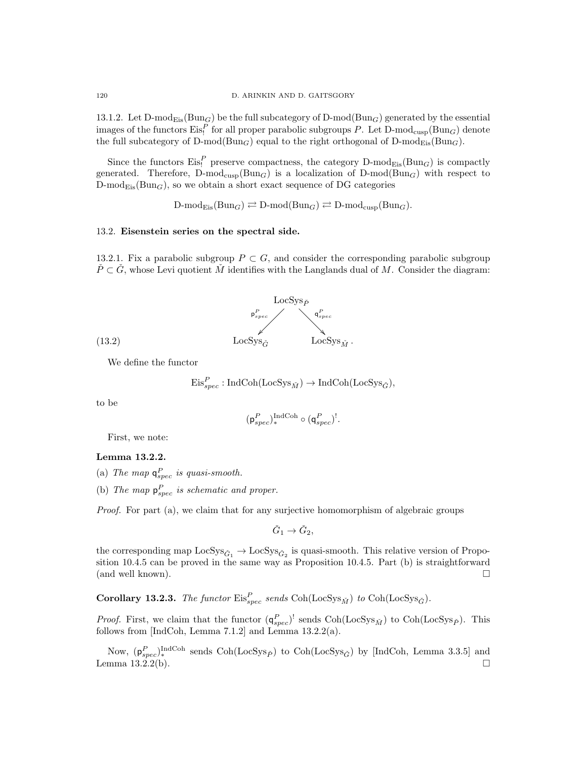13.1.2. Let  $D\text{-mod}_{Eis}(Bun_G)$  be the full subcategory of  $D\text{-mod}(Bun_G)$  generated by the essential images of the functors  $\text{Eis}_1^P$  for all proper parabolic subgroups P. Let D-mod<sub>cusp</sub>(Bun<sub>G</sub>) denote the full subcategory of  $D\text{-mod}(Bun_G)$  equal to the right orthogonal of  $D\text{-mod}_{Eis}(Bun_G)$ .

Since the functors  $\mathrm{Eis}_!^P$  preserve compactness, the category D-mod<sub>Eis</sub>(Bun<sub>G</sub>) is compactly generated. Therefore,  $D\text{-mod}_{\text{cusp}}(Bun_G)$  is a localization of  $D\text{-mod}(Bun_G)$  with respect to  $D\text{-mod}_{\text{Eis}}(\text{Bun}_G)$ , so we obtain a short exact sequence of DG categories

 $D\text{-mod}_{Eis}(Bun_G) \rightleftarrows D\text{-mod}(Bun_G) \rightleftarrows D\text{-mod}_{cusp}(Bun_G).$ 

### 13.2. Eisenstein series on the spectral side.

13.2.1. Fix a parabolic subgroup  $P \subset G$ , and consider the corresponding parabolic subgroup  $P\subset G$ , whose Levi quotient M identifies with the Langlands dual of M. Consider the diagram:



We define the functor

$$
\mathrm{Eis}_{spec}^{P}:\mathrm{IndCoh}(\mathrm{LocSys}_{\check{M}})\to \mathrm{IndCoh}(\mathrm{LocSys}_{\check{G}}),
$$

to be

$$
(\mathsf{p}_{spec}^P)^{\text{IndCoh}}_{*} \circ (\mathsf{q}_{spec}^P)^!
$$

First, we note:

## Lemma 13.2.2.

- (a) The map  $q_{spec}^P$  is quasi-smooth.
- (b) The map  $p_{spec}^P$  is schematic and proper.

Proof. For part (a), we claim that for any surjective homomorphism of algebraic groups

$$
\check{G}_1 \to \check{G}_2,
$$

the corresponding map  $LocSys_{\check{G}_1} \rightarrow LocSys_{\check{G}_2}$  is quasi-smooth. This relative version of Proposition 10.4.5 can be proved in the same way as Proposition 10.4.5. Part (b) is straightforward (and well known).  $\Box$ 

**Corollary 13.2.3.** The functor  $\text{Eis}_{spec}^P$  sends  $\text{Coh}(\text{LocSys}_{\check{M}})$  to  $\text{Coh}(\text{LocSys}_{\check{G}})$ .

*Proof.* First, we claim that the functor  $(q_{spec}^P)'$  sends  $Coh(LocSys_{\check{M}})$  to  $Coh(LocSys_{\check{P}})$ . This follows from [IndCoh, Lemma 7.1.2] and Lemma 13.2.2(a).

Now,  $(p_{spec}^P)_{*}^{\text{IndCoh}}$  sends  $\text{Coh}(\text{LocSys}_{\check{P}})$  to  $\text{Coh}(\text{LocSys}_{\check{G}})$  by [IndCoh, Lemma 3.3.5] and Lemma  $13.2.2(b)$ .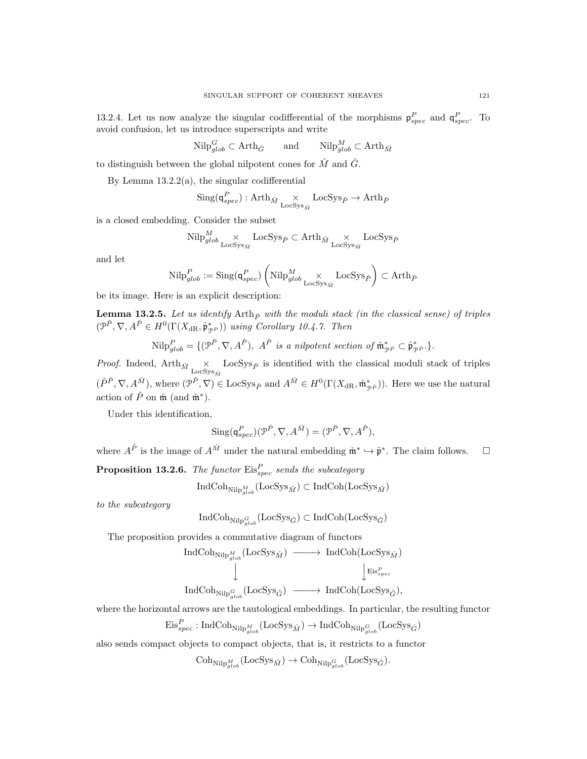13.2.4. Let us now analyze the singular codifferential of the morphisms  $p_{spec}^P$  and  $q_{spec}^P$ . To avoid confusion, let us introduce superscripts and write

$$
\text{Nilp}_{glob}^G \subset \text{Arth}_{\check{G}} \qquad \text{and} \qquad \text{Nilp}_{glob}^M \subset \text{Arth}_{\check{M}}
$$

to distinguish between the global nilpotent cones for  $\tilde{M}$  and  $\tilde{G}$ .

By Lemma  $13.2.2(a)$ , the singular codifferential

$$
\mathrm{Sing}(\mathsf{q}^P_{spec}):\mathrm{Arth}_{\check{M}} {\underset {\mathrm{Loc} \mathrm{Sys}_{\check{M}}}{\times}} \mathrm{Loc} \mathrm{Sys}_{\check{P}} \to \mathrm{Arth}_{\check{P}}
$$

is a closed embedding. Consider the subset

$$
\mathrm{Nilp}_{glob}^M \underset{\mathrm{LocSys}_{\check{M}}}{\times} \mathrm{LocSys}_{\check{P}} \subset \mathrm{Arth}_{\check{M}} \underset{\mathrm{LocSys}_{\check{M}}}{\times} \mathrm{LocSys}_{\check{P}}
$$

and let

$$
\textup{Nilp}^P_{glob} := \textup{Sing}(\mathsf{q}^P_{spec}) \left(\textup{Nilp}^M_{glob} \underset{\textup{LocSys}_{\check{M}}}{\times} \textup{LocSys}_{\check{P}} \right) \subset \textup{Arth}_{\check{P}}
$$

be its image. Here is an explicit description:

**Lemma 13.2.5.** Let us identify  $\text{Arth}_{\tilde{P}}$  with the moduli stack (in the classical sense) of triples  $(\mathcal{P}^{\check{P}}, \nabla, A^{\check{P}} \in H^0(\Gamma(X_{\mathrm{dR}}, \check{\mathfrak{p}}_{\mathcal{P}^P}))$  using Corollary 10.4.7. Then

 $\text{Nilp}_{glob}^P = \{(\mathcal{P}^{\check{P}}, \nabla, A^{\check{P}}), \ A^{\check{P}} \text{ is a nilpotent section of } \mathfrak{m}_{\mathcal{P}^{\check{P}}}^* \subset \check{\mathfrak{p}}_{\mathcal{P}^{\check{P}}}^* \}.$ 

*Proof.* Indeed,  $Arth_{\tilde{M}} \times_{\text{LocSys}_{\tilde{M}}} \text{LocSys}_{\tilde{P}}$  is identified with the classical moduli stack of triples  $(\check{P}^{\check{P}}, \nabla, A^{\check{M}})$ , where  $(\mathcal{P}^{\check{P}}, \nabla) \in \text{LocSys}_{\check{P}}$  and  $A^{\check{M}} \in H^0(\Gamma(X_{\text{dR}}, \mathfrak{m}^*_{\mathcal{P}^{\check{P}}}))$ . Here we use the natural action of  $\check{P}$  on  $\check{\mathfrak{m}}$  (and  $\check{\mathfrak{m}}^*$ ).

Under this identification,

$$
\text{Sing}(\mathsf{q}_{spec}^P)(\mathcal{P}^{\check{P}}, \nabla, A^{\check{M}}) = (\mathcal{P}^{\check{P}}, \nabla, A^{\check{P}}),
$$

where  $A^{\check{P}}$  is the image of  $A^{\check{M}}$  under the natural embedding  $\check{\mathfrak{m}}^* \hookrightarrow \check{\mathfrak{p}}^*$ . The claim follows.  $\Box$ **Proposition 13.2.6.** The functor  $\mathrm{Eis}_{spec}^P$  sends the subcategory

$$
\operatorname{IndCoh}_{\operatorname{Nilp}^{\hat{M}}_{glob}}(\operatorname{LocSys}_{\check{M}}) \subset \operatorname{IndCoh}(\operatorname{LocSys}_{\check{M}})
$$

to the subcategory

$$
\operatorname{IndCoh}_{\operatorname{Nilp}_{glob}^G}(\operatorname{LocSys}_{\check{G}}) \subset \operatorname{IndCoh}(\operatorname{LocSys}_{\check{G}})
$$

The proposition provides a commutative diagram of functors

$$
\begin{array}{ccc}\n\text{IndCoh}_{\text{Nilp}_{glob}^M}(\text{LocSys}_{\check{M}}) & \longrightarrow & \text{IndCoh}(\text{LocSys}_{\check{M}}) \\
\downarrow & & \downarrow & \downarrow \\
\text{IndCoh}_{\text{Nilp}_{glob}^G}(\text{LocSys}_{\check{G}}) & \longrightarrow & \text{IndCoh}(\text{LocSys}_{\check{G}}),\n\end{array}
$$

where the horizontal arrows are the tautological embeddings. In particular, the resulting functor

$$
\mathrm{Eis}_{spec}^{P}:\mathrm{IndCoh}_{\mathrm{Nilp}^{M}_{glob}}(\mathrm{LocSys}_{\check{M}})\rightarrow \mathrm{IndCoh}_{\mathrm{Nilp}^{G}_{glob}}(\mathrm{LocSys}_{\check{G}})
$$

also sends compact objects to compact objects, that is, it restricts to a functor

 $\mathrm{Coh}_{\mathrm{Nilp}^M_{glob}}(\mathrm{LocSys}_{\check{M}}) \rightarrow \mathrm{Coh}_{\mathrm{Nilp}^G_{glob}}(\mathrm{LocSys}_{\check{G}}).$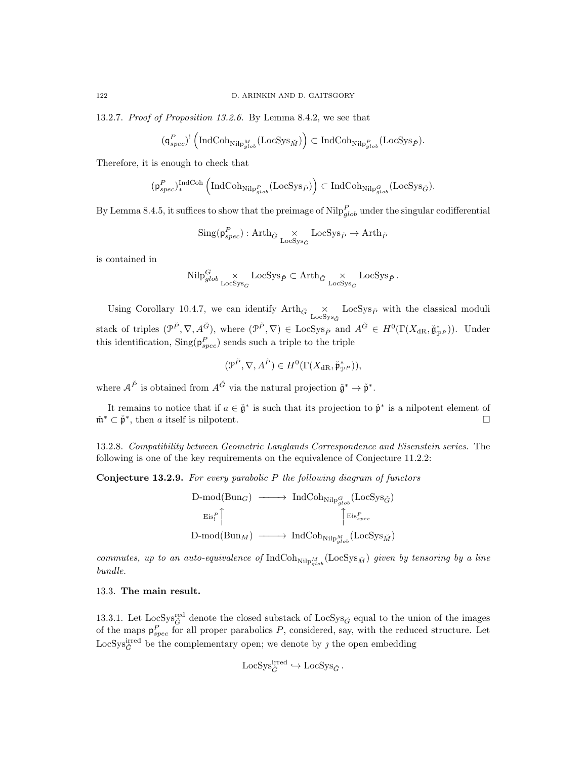13.2.7. Proof of Proposition 13.2.6. By Lemma 8.4.2, we see that

$$
(\mathsf{q}_{spec}^P)^!\left(\mathrm{IndCoh}_{\mathrm{Nilp}_{glob}^M}(\mathrm{LocSys}_{\check{M}})\right)\subset \mathrm{IndCoh}_{\mathrm{Nilp}_{glob}^P}(\mathrm{LocSys}_{\check{P}}).
$$

Therefore, it is enough to check that

$$
(\mathfrak{p}^P_{spec})_\ast^{\mathrm{IndCoh}}\left(\mathrm{IndCoh}_{\mathrm{Nilp}^P_{glob}}(\mathrm{LocSys}_{\check{P}})\right)\subset \mathrm{IndCoh}_{\mathrm{Nilp}^G_{glob}}(\mathrm{LocSys}_{\check{G}}).
$$

By Lemma 8.4.5, it suffices to show that the preimage of  $\text{Nilp}_{glob}^P$  under the singular codifferential

$$
\mathrm{Sing}(\mathsf{p}_{spec}^P) : \mathrm{Arth}_{\check{G}} \underset{\mathrm{LocSys}_{\check{G}}}{\times} \mathrm{LocSys}_{\check{P}} \to \mathrm{Arth}_{\check{P}}
$$

is contained in

$$
\mathrm{Nilp}_{glob}^G \underset{\mathrm{LocSys}_{\check{G}}}{\times} \mathrm{LocSys}_{\check{P}} \subset \mathrm{Arth}_{\check{G}} \underset{\mathrm{LocSys}_{\check{G}}}{\times} \mathrm{LocSys}_{\check{P}}.
$$

Using Corollary 10.4.7, we can identify  $Arth_{\tilde{G}} \times_{\text{LocSys}_{\tilde{G}}} \text{LocSys}_{\tilde{P}}$  with the classical moduli stack of triples  $(\mathcal{P}^{\check{P}}, \nabla, A_{-}^{\check{G}})$ , where  $(\mathcal{P}^{\check{P}}, \nabla) \in \text{LocSys}_{\check{P}}$  and  $A^{\check{G}} \in H^0(\Gamma(X_{\text{dR}}, \check{\mathfrak{g}}_{\mathcal{P}^{\check{P}}}))$ . Under this identification,  $\text{Sing}(\mathsf{p}_{spec}^P)$  sends such a triple to the triple

$$
(\mathcal{P}^{\check{P}}, \nabla, A^{\check{P}}) \in H^0(\Gamma(X_{\mathrm{dR}}, \check{\mathfrak{p}}_{\mathcal{P}^P}^*)),
$$

where  $A^{\check{P}}$  is obtained from  $A^{\check{G}}$  via the natural projection  $\check{\mathfrak{g}}^* \to \check{\mathfrak{p}}^*$ .

It remains to notice that if  $a \in \check{\mathfrak{g}}^*$  is such that its projection to  $\check{\mathfrak{p}}^*$  is a nilpotent element of  $\check{\mathfrak{m}}^* \subset \check{\mathfrak{p}}^*$ , then a itself is nilpotent.

13.2.8. Compatibility between Geometric Langlands Correspondence and Eisenstein series. The following is one of the key requirements on the equivalence of Conjecture 11.2.2:

Conjecture 13.2.9. For every parabolic P the following diagram of functors

$$
\begin{array}{ccc}\n\text{D-mod(Bun}_G) & \longrightarrow & \text{IndCoh}_{\text{Nilp}_{glob}^G}(\text{LocSys}_{\check{G}}) \\
& \longrightarrow & \text{Eis}_{\text{rel}}^P \uparrow \qquad \qquad \uparrow & \text{Eis}_{\text{spec}}^P \\
\text{D-mod(Bun}_M) & \longrightarrow & \text{IndCoh}_{\text{Nilp}_{glob}^M}(\text{LocSys}_{\check{M}})\n\end{array}
$$

commutes, up to an auto-equivalence of  $\text{IndCoh}_{\text{Nilp}_{glob}^M}(\text{LocSys}_{\check{M}})$  given by tensoring by a line bundle.

### 13.3. The main result.

13.3.1. Let LocSys<sup>red</sup> denote the closed substack of LocSys<sub> $\check{G}$ </sub> equal to the union of the images of the maps  $p_{spec}^P$  for all proper parabolics P, considered, say, with the reduced structure. Let LocSys $\zeta^{\text{irred}}$  be the complementary open; we denote by  $\jmath$  the open embedding

$$
\mathrm{LocSys}_{\check{G}}^{\mathrm{irred}} \hookrightarrow \mathrm{LocSys}_{\check{G}}.
$$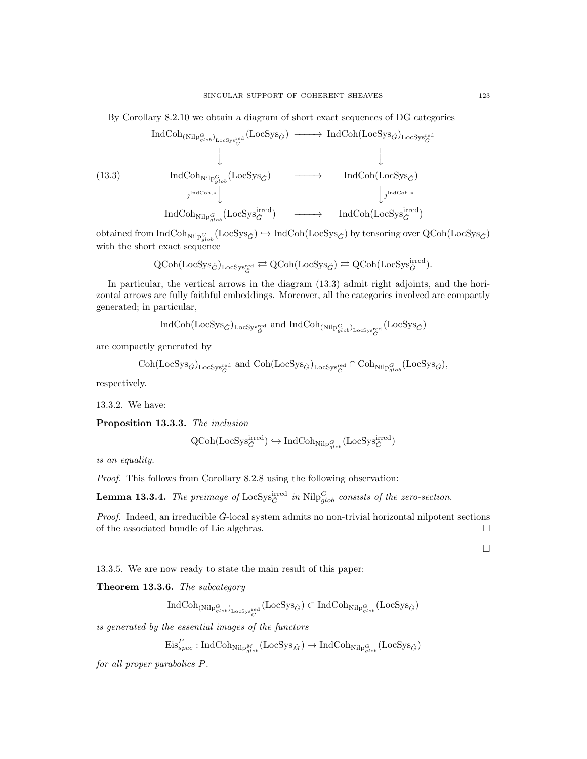By Corollary 8.2.10 we obtain a diagram of short exact sequences of DG categories

$$
\text{IndCoh}_{(\text{Nilp}_{glob}^G)}_{\text{LocSys}_{\check{G}}^{\text{red}}}(\text{LocSys}_{\check{G}}) \longrightarrow \text{IndCoh}(\text{LocSys}_{\check{G}})_{\text{LocSys}_{\check{G}}^{\text{red}}}
$$
\n
$$
\downarrow \qquad \qquad \downarrow
$$
\n
$$
(13.3) \qquad \text{IndCoh}_{\text{Nilp}_{glob}^G}(\text{LocSys}_{\check{G}}) \longrightarrow \text{IndCoh}(\text{LocSys}_{\check{G}})
$$
\n
$$
\downarrow \qquad \qquad \downarrow
$$
\n
$$
\text{IndCoh}_{\text{Nilp}_{glob}^G}(\text{LocSys}_{\check{G}}^{\text{irred}}) \longrightarrow \text{IndCoh}(\text{LocSys}_{\check{G}}^{\text{irred}})
$$

 $\mathrm{obtained\ from\ IndCoh}_{\mathrm{Nilp}^G_{glob}}(\mathrm{LocSys}_{\check{G}}) \hookrightarrow \mathrm{IndCoh}(\mathrm{LocSys}_{\check{G}})$  by tensoring over  $\mathrm{QCoh}(\mathrm{LocSys}_{\check{G}})$ with the short exact sequence

$$
\text{QCoh}(\text{LocSys}_{\check{G}})_{\text{LocSys}_{\check{G}}^{\text{red}}} \rightleftarrows \text{QCoh}(\text{LocSys}_{\check{G}}) \rightleftarrows \text{QCoh}(\text{LocSys}_{\check{G}}^{\text{irred}}).
$$

In particular, the vertical arrows in the diagram (13.3) admit right adjoints, and the horizontal arrows are fully faithful embeddings. Moreover, all the categories involved are compactly generated; in particular,

$$
\operatorname{IndCoh}(\mathrm{LocSys}_{\check G})_{\mathrm{LocSys}^{\mathrm{red}}_{\check G}} \text{ and } \operatorname{IndCoh}_{(\mathrm{Nilp}^G_{glob})_{\mathrm{LocSys}^{\mathrm{red}}_{\check G}}}(\mathrm{LocSys}_{\check G})
$$

are compactly generated by

$$
\mathrm{Coh}(\mathrm{LocSys}_{\check{G}})_{\mathrm{LocSys}_{\check{G}}^{\mathrm{red}}} \text{ and } \mathrm{Coh}(\mathrm{LocSys}_{\check{G}})_{\mathrm{LocSys}_{\check{G}}^{\mathrm{red}}} \cap \mathrm{Coh}_{\mathrm{Nilp}^G_{glob}}(\mathrm{LocSys}_{\check{G}}),
$$

respectively.

13.3.2. We have:

Proposition 13.3.3. The inclusion

$$
\text{QCoh}(\text{LocSys}_{\check{G}}^{\text{irred}}) \hookrightarrow \text{IndCoh}_{\text{Nilp}^G_{glob}}(\text{LocSys}_{\check{G}}^{\text{irred}})
$$

is an equality.

Proof. This follows from Corollary 8.2.8 using the following observation:

**Lemma 13.3.4.** The preimage of  $\text{LocSys}_{\check{G}}^{\text{irred}}$  in  $\text{Nilp}_{glob}^G$  consists of the zero-section.

*Proof.* Indeed, an irreducible  $\check{G}$ -local system admits no non-trivial horizontal nilpotent sections of the associated bundle of Lie algebras.

 $\Box$ 

13.3.5. We are now ready to state the main result of this paper:

Theorem 13.3.6. The subcategory

 ${\rm IndCoh}_{({\rm NilP}^G_{glob})_{{\rm LocSys}^{\rm red}_G}}({\rm LocSys}_{\check G})\subset {\rm IndCoh}_{{\rm NilP}^G_{glob}}({\rm LocSys}_{\check G})$ 

is generated by the essential images of the functors

$$
\mathrm{Eis}_{spec}^{P}:\mathrm{IndCoh}_{\mathrm{Nilp}_{glob}^{M}}(\mathrm{LocSys}_{\check{M}})\rightarrow \mathrm{IndCoh}_{\mathrm{Nilp}_{glob}^{G}}(\mathrm{LocSys}_{\check{G}})
$$

for all proper parabolics P.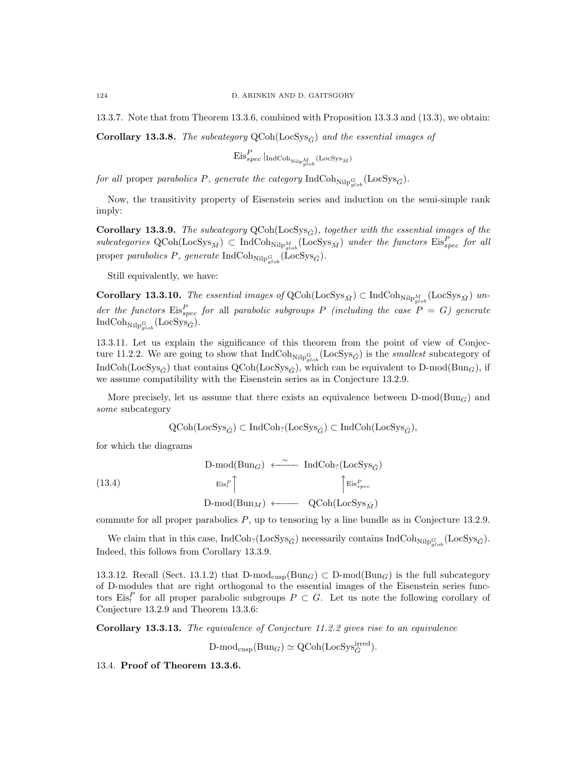13.3.7. Note that from Theorem 13.3.6, combined with Proposition 13.3.3 and (13.3), we obtain:

Corollary 13.3.8. The subcategory  $QCoh(LocSys_{\tilde{G}})$  and the essential images of

$$
\mathrm{Eis}_{spec}^{P}\left.\right|_{\mathrm{IndCoh}_{\mathrm{Nilp}^{M}_{glob}}(\mathrm{LocSys}_{\check{M}})}
$$

for all proper parabolics P, generate the category  $\text{IndCoh}_{\text{Nilp}_{glob}^G}(\text{LocSys}_{\check{G}})$ .

Now, the transitivity property of Eisenstein series and induction on the semi-simple rank imply:

Corollary 13.3.9. The subcategory  $QCoh(LocSys_{\tilde{G}})$ , together with the essential images of the subcategories  $QCoh(LocSys_{\tilde{M}}) \subset IndCoh_{Nilp_{glob}}(LocSys_{\tilde{M}})$  under the functors  $Eis_{spec}^P$  for all proper parabolics P, generate  $\text{IndCoh}_{\text{Nilp}^G_{glob}}(\text{LocSys}_{\check{G}})$ .

Still equivalently, we have:

**Corollary 13.3.10.** The essential images of  $QCoh(LocSys_{\check{M}}) \subset IndCoh_{Nilp_{glob}^M}(LocSys_{\check{M}})$  under the functors  $\mathrm{Eis}_{spec}^P$  for all parabolic subgroups P (including the case  $P = G$ ) generate  $\operatorname{IndCoh}_{\operatorname{Nilp}^G_{glob}}(\operatorname{LocSys}_{\check G}).$ 

13.3.11. Let us explain the significance of this theorem from the point of view of Conjecture 11.2.2. We are going to show that  $\text{IndCoh}_{\text{Nilp}^G_{glob}}(\text{LocSys}_{\check{G}})$  is the *smallest* subcategory of IndCoh(LocSys<sub>G</sub><sup>\*</sup>) that contains  $QCoh(LocSys<sub>G</sub>^*)$ , which can be equivalent to D-mod(Bun<sub>G</sub>), if we assume compatibility with the Eisenstein series as in Conjecture 13.2.9.

More precisely, let us assume that there exists an equivalence between  $D\text{-mod}(Bun_G)$  and some subcategory

$$
\operatorname{QCoh}(\operatorname{LocSys}_{\check{G}}) \subset \operatorname{IndCoh}_{?}(\operatorname{LocSys}_{\check{G}}) \subset \operatorname{IndCoh}(\operatorname{LocSys}_{\check{G}}),
$$

for which the diagrams

(13.4)  
\n
$$
\begin{array}{ccc}\n\text{D-mod(Bun}_G) & \xleftarrow{\sim} \text{IndCoh}_?(\text{LocSys}_{\check{G}}) \\
& \text{Eis}_!^P \uparrow & \uparrow \text{Eis}_{spec}^P \\
& \text{D-mod(Bun}_M) & \longleftarrow & \text{QCoh}(\text{LocSys}_{\check{M}})\n\end{array}
$$

commute for all proper parabolics P, up to tensoring by a line bundle as in Conjecture 13.2.9.

We claim that in this case,  $\text{IndCoh}_{?}(\text{LocSys}_{\check{G}})$  necessarily contains  $\text{IndCoh}_{\text{Nilp}_{glob}^G}(\text{LocSys}_{\check{G}})$ . Indeed, this follows from Corollary 13.3.9.

13.3.12. Recall (Sect. 13.1.2) that  $D\text{-mod}_{\text{cusp}}(Bun_G) \subset D\text{-mod}(Bun_G)$  is the full subcategory of D-modules that are right orthogonal to the essential images of the Eisenstein series functors Eis<sup>p</sup> for all proper parabolic subgroups  $P \subset G$ . Let us note the following corollary of Conjecture 13.2.9 and Theorem 13.3.6:

Corollary 13.3.13. The equivalence of Conjecture 11.2.2 gives rise to an equivalence

 $D\text{-mod}_{\text{cusp}}(\text{Bun}_G) \simeq \text{QCoh}(\text{LocSys}_{\check{G}}^{\text{irred}}).$ 

13.4. Proof of Theorem 13.3.6.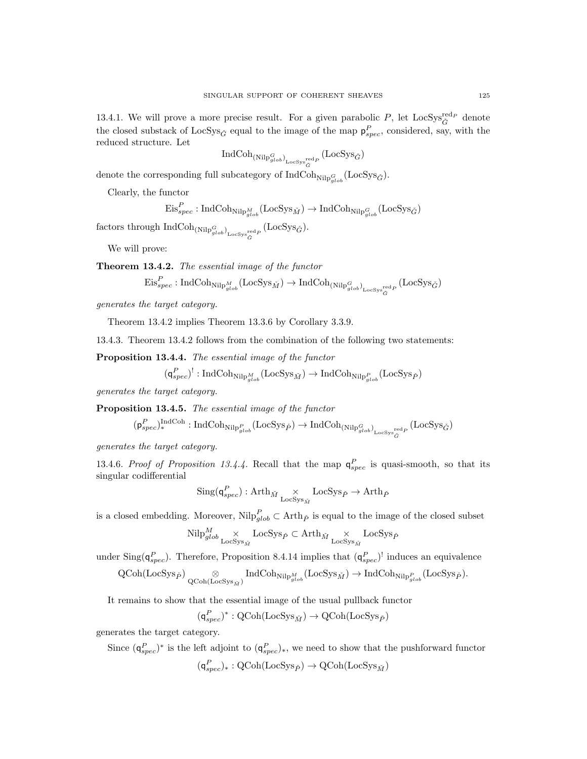13.4.1. We will prove a more precise result. For a given parabolic  $P$ , let  $LocSys_{\check{G}}^{red_P}$  denote the closed substack of LocSys<sub>G</sub><sup>\*</sup> equal to the image of the map  $p_{spec}^P$ , considered, say, with the reduced structure. Let

$$
\operatorname{IndCoh}_{(\operatorname{Nilp}^G_{glob})_{\operatorname{LocSys}_{\check{G}}^{\operatorname{red} _P}}}( \operatorname{LocSys}_{\check{G}})
$$

denote the corresponding full subcategory of  $\text{IndCoh}_{\text{Nilp}^G_{glob}}(\text{LocSys}_{\check{G}})$ .

Clearly, the functor

$$
\mathrm{Eis}_{spec}^{P}: \mathrm{IndCoh}_{\mathrm{Nilp}^M_{glob}}(\mathrm{LocSys}_{\check{M}}) \to \mathrm{IndCoh}_{\mathrm{Nilp}^G_{glob}}(\mathrm{LocSys}_{\check{G}})
$$

 $\operatorname{factors}$  through  $\operatorname{IndCoh}_{(\operatorname{Nilp}_{glob}^G)_{\operatorname{LoCSys}^{\operatorname{red}}_G}}(\operatorname{LocSys}_{\check{G}}).$ 

We will prove:

Theorem 13.4.2. The essential image of the functor

$$
\mathrm{Eis}_{spec}^P: \mathrm{IndCoh}_{\mathrm{Nilp}^M_{glob}}(\mathrm{LocSys}_{\check{M}}) \to \mathrm{IndCoh}_{(\mathrm{Nilp}^G_{glob})_{\mathrm{LocSys}_{\check{G}}^{\mathrm{red}_P}}}(\mathrm{LocSys}_{\check{G}})
$$

generates the target category.

Theorem 13.4.2 implies Theorem 13.3.6 by Corollary 3.3.9.

13.4.3. Theorem 13.4.2 follows from the combination of the following two statements:

Proposition 13.4.4. The essential image of the functor

$$
(\mathsf{q}_{spec}^P)^!: \mathsf{IndCoh}_{\mathsf{Nilp}_{glob}^M}(\mathsf{LocSys}_{\check{M}}) \to \mathsf{IndCoh}_{\mathsf{Nilp}_{glob}^P}(\mathsf{LocSys}_{\check{P}})
$$

generates the target category.

Proposition 13.4.5. The essential image of the functor

$$
(\mathsf{p}_{spec}^P)^{\operatorname{IndCoh}}_*: \operatorname{IndCoh}_{\operatorname{Nilp}_{glob}^P}(\mathrm{LocSys}_{\check{P}}) \to \operatorname{IndCoh}_{(\operatorname{Nilp}_{glob}^G)_{\mathrm{LocSys}_{\check{G}}^{\mathrm{red}}}}(\mathrm{LocSys}_{\check{G}})
$$

generates the target category.

13.4.6. Proof of Proposition 13.4.4. Recall that the map  $q_{spec}^P$  is quasi-smooth, so that its singular codifferential

$$
\mathrm{Sing}(\mathsf{q}^P_{spec}): \mathrm{Arth}_{\check{M}} {\underset{\mathrm{Loc} \mathrm{Sys}_{\check{M}}}{\times}} \mathrm{Loc} \mathrm{Sys}_{\check{P}} \rightarrow \mathrm{Arth}_{\check{P}}
$$

is a closed embedding. Moreover,  $\text{Nilp}_{glob}^P \subset \text{Arth}_{\tilde{P}}$  is equal to the image of the closed subset

$$
\mathrm{Nilp}_{glob}^M \underset{\mathrm{LocSys}_{\tilde{M}}}{\times} \mathrm{LocSys}_{\check{P}} \subset \mathrm{Arth}_{\check{M}} \underset{\mathrm{LocSys}_{\check{M}}}{\times} \mathrm{LocSys}_{\check{P}}
$$

under Sing( $\mathsf{q}_{spec}^P$ ). Therefore, Proposition 8.4.14 implies that  $(\mathsf{q}_{spec}^P)^!$  induces an equivalence

$$
\operatorname{QCoh}(\operatorname{LocSys}_{\check{P}}) \underset{\operatorname{QCoh}(\operatorname{LocSys}_{\check{M}})}{\otimes} \operatorname{IndCoh}_{\operatorname{Nilp}^M_{glob}}(\operatorname{LocSys}_{\check{M}}) \to \operatorname{IndCoh}_{\operatorname{Nilp}^P_{glob}}(\operatorname{LocSys}_{\check{P}}).
$$

It remains to show that the essential image of the usual pullback functor

$$
(\mathsf{q}_{spec}^P)^* : \text{QCoh}(\text{LocSys}_{\check{M}}) \to \text{QCoh}(\text{LocSys}_{\check{P}})
$$

generates the target category.

Since  $(\mathsf{q}_{spec}^P)^*$  is the left adjoint to  $(\mathsf{q}_{spec}^P)_*$ , we need to show that the pushforward functor  $(\mathsf{q}_{spec}^P)_*: \operatorname{QCoh}(\mathrm{LocSys}_{\check{P}}) \to \operatorname{QCoh}(\mathrm{LocSys}_{\check{M}})$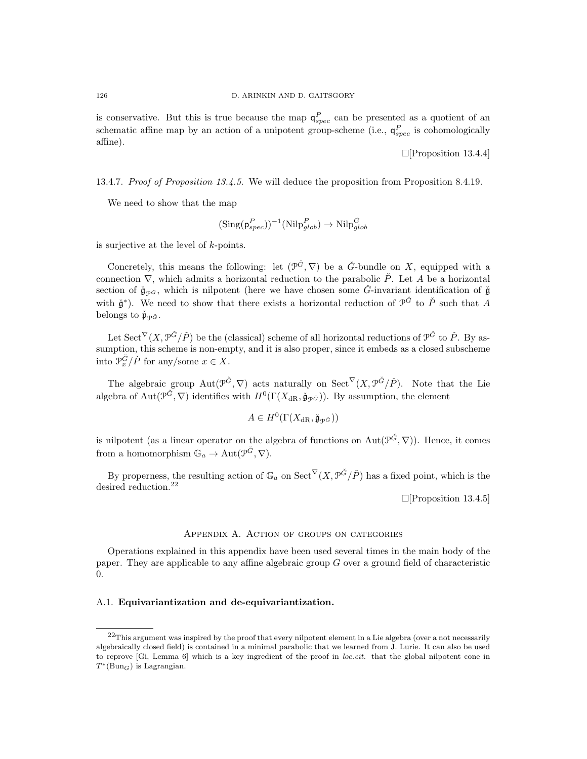is conservative. But this is true because the map  $\mathsf{q}_{spec}^P$  can be presented as a quotient of an schematic affine map by an action of a unipotent group-scheme (i.e.,  $q_{spec}^P$  is cohomologically affine).

[Proposition 13.4.4]

13.4.7. Proof of Proposition 13.4.5. We will deduce the proposition from Proposition 8.4.19.

We need to show that the map

$$
(\text{Sing}(\mathsf{p}_{spec}^P))^{-1}(\text{Nilp}_{glob}^P) \to \text{Nilp}_{glob}^G
$$

is surjective at the level of k-points.

Concretely, this means the following: let  $(\mathcal{P}^{\check{G}}, \nabla)$  be a  $\check{G}$ -bundle on X, equipped with a connection  $\nabla$ , which admits a horizontal reduction to the parabolic  $\check{P}$ . Let A be a horizontal section of  $\check{\mathfrak{g}}_{\mathcal{P}\check{G}}$ , which is nilpotent (here we have chosen some  $\check{G}$ -invariant identification of  $\check{\mathfrak{g}}$ with  $\check{\mathfrak{g}}^*$ ). We need to show that there exists a horizontal reduction of  $\mathfrak{P}^{\check{G}}$  to  $\check{P}$  such that A belongs to  $\check{\mathfrak{p}}_{\Phi \check{G}}$ .

Let  $\operatorname{Sect}^{\nabla}(X, \mathcal{P}^{\check{G}}/P)$  be the (classical) scheme of all horizontal reductions of  $\mathcal{P}^{\check{G}}$  to  $\check{P}$ . By assumption, this scheme is non-empty, and it is also proper, since it embeds as a closed subscheme into  $\mathcal{P}_{x}^{\check{G}}/\check{P}$  for any/some  $x \in X$ .

The algebraic group  $\text{Aut}(\mathcal{P}^{\tilde{G}},\nabla)$  acts naturally on  $\text{Sect}^{\nabla}(X,\mathcal{P}^{\tilde{G}}/\tilde{P})$ . Note that the Lie algebra of Aut $(\mathcal{P}^{\check{G}}, \nabla)$  identifies with  $H^0(\Gamma(X_{\mathrm{dR}}, \check{\mathfrak{g}}_{\mathcal{P}^{\check{G}}}))$ . By assumption, the element

$$
A \in H^0(\Gamma(X_{\mathrm{dR}}, \check{\mathfrak{g}}_{\mathcal{P}^{\check{G}}}))
$$

is nilpotent (as a linear operator on the algebra of functions on  $Aut(\mathcal{P}^{\check{G}}, \nabla)$ ). Hence, it comes from a homomorphism  $\mathbb{G}_a \to \text{Aut}(\mathcal{P}^{\check{G}}, \nabla).$ 

By properness, the resulting action of  $\mathbb{G}_a$  on  $\mathrm{Sect}^{\nabla}(X, \mathcal{P}^{\tilde{G}}/P)$  has a fixed point, which is the desired reduction.<sup>22</sup>

 $\Box$ [Proposition 13.4.5]

#### Appendix A. Action of groups on categories

Operations explained in this appendix have been used several times in the main body of the paper. They are applicable to any affine algebraic group G over a ground field of characteristic  $\theta$ .

## A.1. Equivariantization and de-equivariantization.

<sup>&</sup>lt;sup>22</sup>This argument was inspired by the proof that every nilpotent element in a Lie algebra (over a not necessarily algebraically closed field) is contained in a minimal parabolic that we learned from J. Lurie. It can also be used to reprove [Gi, Lemma 6] which is a key ingredient of the proof in loc.cit. that the global nilpotent cone in  $T^*(Bun_G)$  is Lagrangian.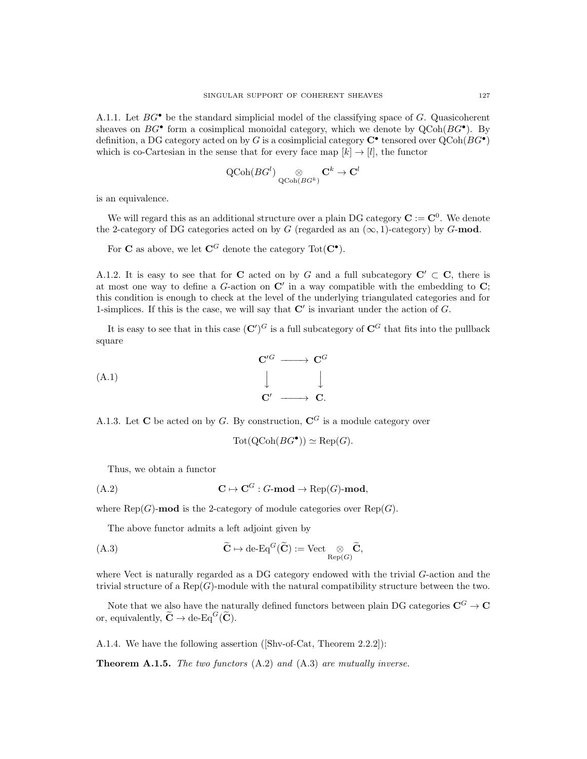A.1.1. Let  $BG^{\bullet}$  be the standard simplicial model of the classifying space of G. Quasicoherent sheaves on  $BG^{\bullet}$  form a cosimplical monoidal category, which we denote by  $QCoh(BG^{\bullet})$ . By definition, a DG category acted on by G is a cosimplicial category  $C^{\bullet}$  tensored over  $QCoh(BG^{\bullet})$ which is co-Cartesian in the sense that for every face map  $[k] \rightarrow [l]$ , the functor

$$
\operatorname{QCoh}(BG^l) \underset{\operatorname{QCoh}(BG^k)}{\otimes} \mathbf{C}^k \to \mathbf{C}^l
$$

is an equivalence.

We will regard this as an additional structure over a plain DG category  $\mathbf{C} := \mathbf{C}^0$ . We denote the 2-category of DG categories acted on by G (regarded as an  $(\infty, 1)$ -category) by G-mod.

For C as above, we let  $\mathbf{C}^G$  denote the category  $\text{Tot}(\mathbf{C}^{\bullet}).$ 

A.1.2. It is easy to see that for C acted on by G and a full subcategory  $C' \subset C$ , there is at most one way to define a G-action on  $\mathbb{C}'$  in a way compatible with the embedding to  $\mathbb{C}$ ; this condition is enough to check at the level of the underlying triangulated categories and for 1-simplices. If this is the case, we will say that  $\mathbb{C}'$  is invariant under the action of  $G$ .

It is easy to see that in this case  $({\bf C}')^G$  is a full subcategory of  ${\bf C}^G$  that fits into the pullback square

$$
\begin{array}{ccc}\n\mathbf{C}'^G & \longrightarrow & \mathbf{C}^G \\
\downarrow & & \downarrow \\
\mathbf{C}' & \longrightarrow & \mathbf{C}.\n\end{array}
$$

A.1.3. Let C be acted on by G. By construction,  $\mathbb{C}^G$  is a module category over

$$
Tot(QCoh(BG^{\bullet})) \simeq Rep(G).
$$

Thus, we obtain a functor

$$
C \mapsto C^G : G\text{-mod} \to \text{Rep}(G)\text{-mod},
$$

where  $\text{Rep}(G)$ -mod is the 2-category of module categories over  $\text{Rep}(G)$ .

The above functor admits a left adjoint given by

(A.3) 
$$
\widetilde{\mathbf{C}} \mapsto \mathrm{de}\text{-}\mathrm{Eq}^G(\widetilde{\mathbf{C}}) := \mathrm{Vect}_{\mathrm{Rep}(G)} \widetilde{\mathbf{C}},
$$

where Vect is naturally regarded as a DG category endowed with the trivial G-action and the trivial structure of a  $\text{Rep}(G)$ -module with the natural compatibility structure between the two.

Note that we also have the naturally defined functors between plain DG categories  $\mathbf{C}^G \to \mathbf{C}$ or, equivalently,  $\widetilde{\mathbf{C}} \to \text{de-Eq}^G(\widetilde{\mathbf{C}})$ .

A.1.4. We have the following assertion ([Shv-of-Cat, Theorem 2.2.2]):

Theorem A.1.5. The two functors (A.2) and (A.3) are mutually inverse.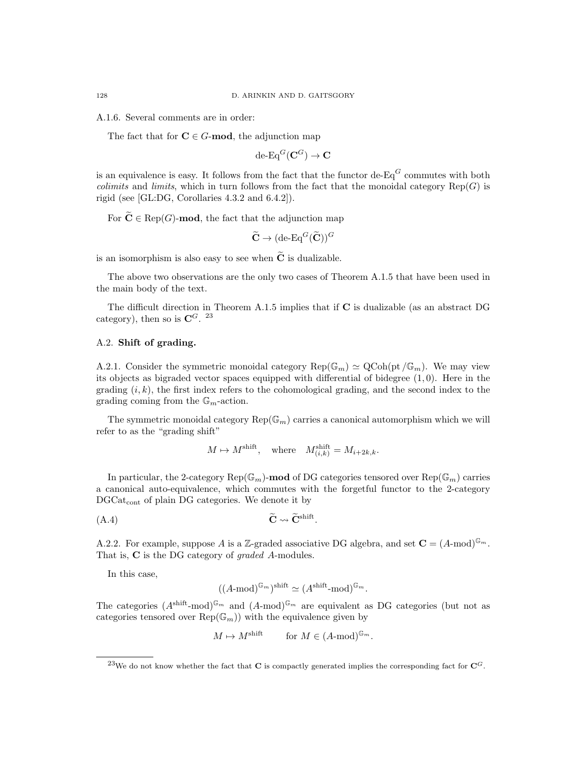A.1.6. Several comments are in order:

The fact that for  $C \in G$ -mod, the adjunction map

$$
\mathrm{de}\text{-}\mathrm{Eq}^G(\mathbf{C}^G)\rightarrow\mathbf{C}
$$

is an equivalence is easy. It follows from the fact that the functor de- $Eq^G$  commutes with both *colimits* and *limits*, which in turn follows from the fact that the monoidal category  $\text{Rep}(G)$  is rigid (see [GL:DG, Corollaries 4.3.2 and 6.4.2]).

For  $\widetilde{\mathbf{C}} \in \text{Rep}(G)$ -mod, the fact that the adjunction map

$$
\widetilde{\mathbf{C}} \to (\text{de-Eq}^G(\widetilde{\mathbf{C}}))^G
$$

is an isomorphism is also easy to see when  $\tilde{C}$  is dualizable.

The above two observations are the only two cases of Theorem A.1.5 that have been used in the main body of the text.

The difficult direction in Theorem A.1.5 implies that if C is dualizable (as an abstract DG category), then so is  $\mathbf{C}^{G}$ . <sup>23</sup>

# A.2. Shift of grading.

A.2.1. Consider the symmetric monoidal category  $\text{Rep}(\mathbb{G}_m) \simeq \text{QCoh}(\text{pt }/\mathbb{G}_m)$ . We may view its objects as bigraded vector spaces equipped with differential of bidegree  $(1, 0)$ . Here in the grading  $(i, k)$ , the first index refers to the cohomological grading, and the second index to the grading coming from the  $\mathbb{G}_m$ -action.

The symmetric monoidal category  $\text{Rep}(\mathbb{G}_m)$  carries a canonical automorphism which we will refer to as the "grading shift"

 $M \mapsto M^{\text{shift}}$ , where  $M_{(i,k)}^{\text{shift}} = M_{i+2k,k}$ .

In particular, the 2-category Rep( $\mathbb{G}_m$ )-mod of DG categories tensored over Rep( $\mathbb{G}_m$ ) carries a canonical auto-equivalence, which commutes with the forgetful functor to the 2-category DGCat<sub>cont</sub> of plain DG categories. We denote it by

$$
\widetilde{\mathbf{C}} \rightsquigarrow \widetilde{\mathbf{C}}^{\text{shift}}.
$$

A.2.2. For example, suppose A is a Z-graded associative DG algebra, and set  $\mathbf{C} = (A \text{-mod})^{\mathbb{G}_m}$ . That is, **C** is the DG category of *graded A*-modules.

In this case,

$$
((A\text{-mod})^{\mathbb{G}_m})^{\text{shift}} \simeq (A^{\text{shift}}\text{-mod})^{\mathbb{G}_m}.
$$

The categories  $(A^{\text{shift}}\text{-mod})^{\mathbb{G}_m}$  and  $(A\text{-mod})^{\mathbb{G}_m}$  are equivalent as DG categories (but not as categories tensored over  $\text{Rep}(\mathbb{G}_m)$  with the equivalence given by

$$
M \mapsto M^{\text{shift}}
$$
 for  $M \in (A \text{-mod})^{\mathbb{G}_m}$ .

<sup>&</sup>lt;sup>23</sup>We do not know whether the fact that **C** is compactly generated implies the corresponding fact for  $\mathbb{C}^{G}$ .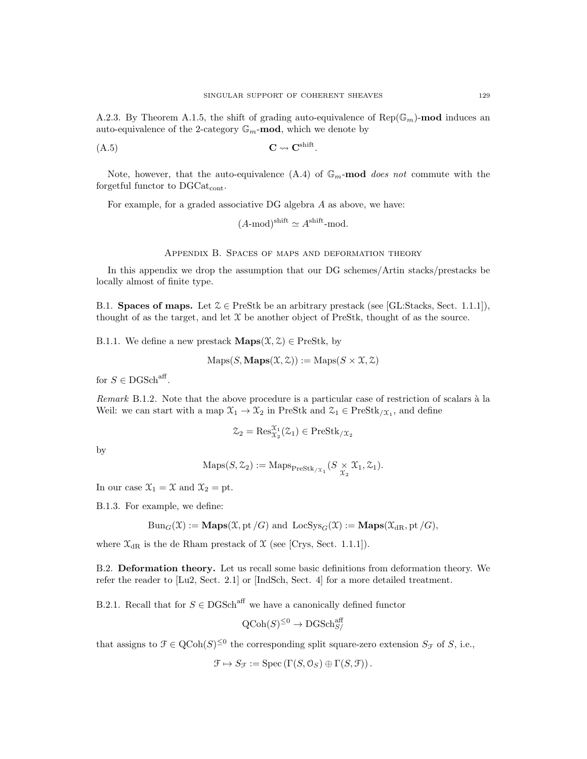A.2.3. By Theorem A.1.5, the shift of grading auto-equivalence of  $\text{Rep}(\mathbb{G}_m)$ -mod induces an auto-equivalence of the 2-category  $\mathbb{G}_m$ -mod, which we denote by

$$
C \rightsquigarrow C^{\text{shift}}.
$$

Note, however, that the auto-equivalence  $(A.4)$  of  $\mathbb{G}_m$ -mod does not commute with the forgetful functor to DGCat<sub>cont</sub>.

For example, for a graded associative DG algebra A as above, we have:

$$
(A\text{-mod})^{\text{shift}} \simeq A^{\text{shift}}\text{-mod}.
$$

Appendix B. Spaces of maps and deformation theory

In this appendix we drop the assumption that our DG schemes/Artin stacks/prestacks be locally almost of finite type.

B.1. Spaces of maps. Let  $\mathcal{Z} \in \text{PreStk}$  be an arbitrary prestack (see [GL:Stacks, Sect. 1.1.1]), thought of as the target, and let  $X$  be another object of PreStk, thought of as the source.

B.1.1. We define a new prestack  $\mathbf{Maps}(\mathcal{X}, \mathcal{Z}) \in \text{PreStk}, \text{ by }$ 

$$
Maps(S, \mathbf{Maps}(\mathcal{X}, \mathcal{Z})) := Maps(S \times \mathcal{X}, \mathcal{Z})
$$

for  $S \in \text{DGSch}^{\text{aff}}$ .

Remark B.1.2. Note that the above procedure is a particular case of restriction of scalars à la Weil: we can start with a map  $\mathfrak{X}_1 \to \mathfrak{X}_2$  in PreStk and  $\mathfrak{X}_1 \in \text{PreStk}_{/\mathfrak{X}_1}$ , and define

$$
\mathcal{Z}_2 = \text{Res}_{\mathcal{X}_2}^{\mathcal{X}_1}(\mathcal{Z}_1) \in \text{PreStk}_{/\mathcal{X}_2}
$$

by

$$
\mathrm{Maps}(S, \mathcal{Z}_2) := \mathrm{Maps}_{\mathrm{PreStk}_{/\mathcal{X}_1}}(S \underset{\mathcal{X}_2}{\times} \mathcal{X}_1, \mathcal{Z}_1).
$$

In our case  $\mathfrak{X}_1 = \mathfrak{X}$  and  $\mathfrak{X}_2 =$  pt.

B.1.3. For example, we define:

$$
Bun_G(\mathfrak{X}) := \mathbf{Maps}(\mathfrak{X}, \mathrm{pt}/G) \text{ and } \mathrm{LocSys}_G(\mathfrak{X}) := \mathbf{Maps}(\mathfrak{X}_{dR}, \mathrm{pt}/G),
$$

where  $\mathfrak{X}_{\text{dR}}$  is the de Rham prestack of  $\mathfrak{X}$  (see [Crys, Sect. 1.1.1]).

B.2. Deformation theory. Let us recall some basic definitions from deformation theory. We refer the reader to [Lu2, Sect. 2.1] or [IndSch, Sect. 4] for a more detailed treatment.

B.2.1. Recall that for  $S \in \text{DGSch}^{\text{aff}}$  we have a canonically defined functor

$$
\mathrm{QCoh}(S)^{\leq 0} \to \mathrm{DGSch}_{S/}^{\mathrm{aff}}
$$

that assigns to  $\mathcal{F} \in \text{QCoh}(S)^{\leq 0}$  the corresponding split square-zero extension  $S_{\mathcal{F}}$  of S, i.e.,

$$
\mathcal{F} \mapsto S_{\mathcal{F}} := \mathrm{Spec} \left( \Gamma(S, \mathcal{O}_S) \oplus \Gamma(S, \mathcal{F}) \right).
$$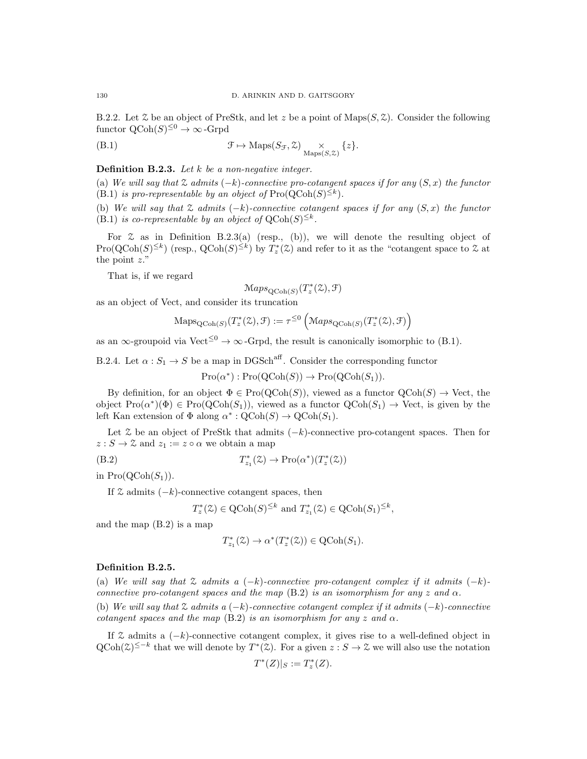B.2.2. Let  $\mathcal Z$  be an object of PreStk, and let z be a point of Maps $(S, \mathcal Z)$ . Consider the following functor  $\mathrm{QCoh}(S)^{\leq 0} \to \infty$ -Grpd

(B.1) 
$$
\mathcal{F} \mapsto \mathrm{Maps}(S_{\mathcal{F}}, \mathcal{Z}) \underset{\mathrm{Maps}(S, \mathcal{Z})}{\times} \{z\}.
$$

**Definition B.2.3.** Let  $k$  be a non-negative integer.

(a) We will say that  $\mathfrak X$  admits  $(-k)$ -connective pro-cotangent spaces if for any  $(S, x)$  the functor (B.1) is pro-representable by an object of  $\text{Pro}(\text{QCoh}(S)^{\leq k})$ .

(b) We will say that  $\mathcal Z$  admits  $(-k)$ -connective cotangent spaces if for any  $(S, x)$  the functor (B.1) is co-representable by an object of  $QCoh(S)^{\leq k}$ .

For  $\mathfrak X$  as in Definition B.2.3(a) (resp., (b)), we will denote the resulting object of  $\text{Pro}(\text{QCoh}(S)^{\leq k})$  (resp.,  $\text{QCoh}(S)^{\leq k}$ ) by  $T_z^*(\mathcal{Z})$  and refer to it as the "cotangent space to  $\mathcal Z$  at the point  $z$ ."

That is, if we regard

$$
\mathrm{Maps}_{\mathrm{QCoh}(S)}(T^*_z(\mathcal{Z}), \mathcal{F})
$$

as an object of Vect, and consider its truncation

$$
\mathrm{Maps}_{\mathrm{QCoh}(S)}(T_z^*(\mathcal{Z}), \mathcal{F}) := \tau^{\leq 0} \left( \mathrm{Maps}_{\mathrm{QCoh}(S)}(T_z^*(\mathcal{Z}), \mathcal{F}) \right)
$$

as an  $\infty$ -groupoid via Vect<sup>≤0</sup>  $\rightarrow \infty$ -Grpd, the result is canonically isomorphic to (B.1).

B.2.4. Let  $\alpha: S_1 \to S$  be a map in DGSch<sup>aff</sup>. Consider the corresponding functor

$$
Pro(\alpha^*) : Pro(QCoh(S)) \to Pro(QCoh(S_1)).
$$

By definition, for an object  $\Phi \in \text{Pro}(\text{QCoh}(S))$ , viewed as a functor  $\text{QCoh}(S) \to \text{Vect}$ , the object  $\text{Pro}(\alpha^*)(\Phi) \in \text{Pro}(\text{QCoh}(S_1))$ , viewed as a functor  $\text{QCoh}(S_1) \to \text{Vect}$ , is given by the left Kan extension of  $\Phi$  along  $\alpha^* : \mathrm{QCoh}(S) \to \mathrm{QCoh}(S_1)$ .

Let  $\mathcal Z$  be an object of PreStk that admits  $(-k)$ -connective pro-cotangent spaces. Then for  $z : S \to \mathcal{Z}$  and  $z_1 := z \circ \alpha$  we obtain a map

(B.2) 
$$
T_{z_1}^*(\mathcal{Z}) \to \mathrm{Pro}(\alpha^*)(T_z^*(\mathcal{Z}))
$$

in  $Pro(QCoh(S_1)).$ 

If  $\mathcal Z$  admits  $(-k)$ -connective cotangent spaces, then

$$
T_z^*(\mathcal{Z}) \in \mathrm{QCoh}(S)^{\leq k}
$$
 and  $T_{z_1}^*(\mathcal{Z}) \in \mathrm{QCoh}(S_1)^{\leq k}$ ,

and the map (B.2) is a map

$$
T^*_{z_1}(\mathcal{Z})\to \alpha^*(T^*_z(\mathcal{Z}))\in \operatorname{QCoh}(S_1).
$$

### Definition B.2.5.

(a) We will say that  $\mathfrak X$  admits a  $(-k)$ -connective pro-cotangent complex if it admits  $(-k)$ connective pro-cotangent spaces and the map (B.2) is an isomorphism for any z and  $\alpha$ . (b) We will say that  $\mathfrak X$  admits a  $(-k)$ -connective cotangent complex if it admits  $(-k)$ -connective cotangent spaces and the map (B.2) is an isomorphism for any z and  $\alpha$ .

If  $\mathcal Z$  admits a  $(-k)$ -connective cotangent complex, it gives rise to a well-defined object in  $QCoh(\mathcal{Z})^{\leq -k}$  that we will denote by  $T^*(\mathcal{Z})$ . For a given  $z : S \to \mathcal{Z}$  we will also use the notation

$$
T^*(Z)|_S:=T_z^*(Z).
$$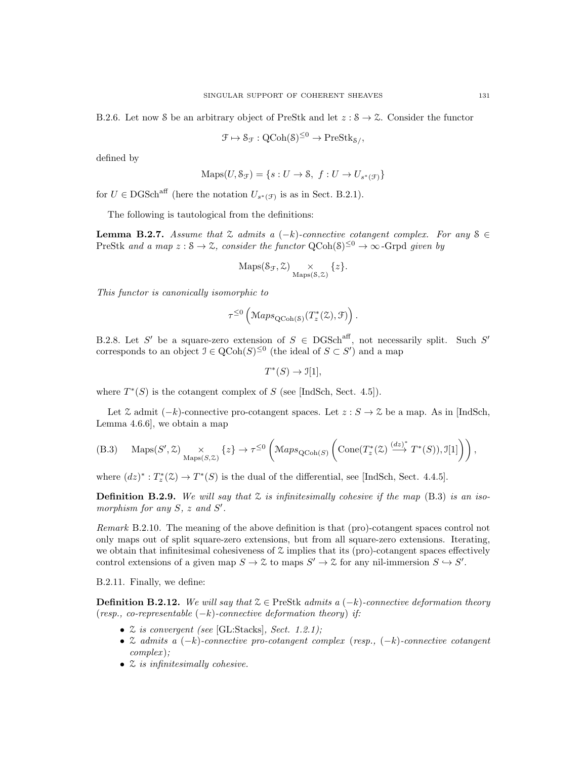B.2.6. Let now S be an arbitrary object of PreStk and let  $z : S \to \mathcal{Z}$ . Consider the functor

$$
\mathcal{F} \mapsto \mathcal{S}_{\mathcal{F}} : \mathrm{QCoh}(\mathcal{S})^{\leq 0} \to \mathrm{PreStk}_{\mathcal{S}/},
$$

defined by

$$
\text{Maps}(U, \mathcal{S}_{\mathcal{F}}) = \{ s : U \to \mathcal{S}, f : U \to U_{s^*(\mathcal{F})} \}
$$

for  $U \in \text{DGSch}^{\text{aff}}$  (here the notation  $U_{s^*(\mathcal{F})}$  is as in Sect. B.2.1).

The following is tautological from the definitions:

**Lemma B.2.7.** Assume that  $\mathcal{Z}$  admits a (-k)-connective cotangent complex. For any  $S \in$ PreStk and a map  $z : S \to \mathcal{Z}$ , consider the functor  $\text{QCoh}(S)^{\leq 0} \to \infty$ -Grpd given by

$$
\mathrm{Maps}(\mathcal{S}_{\mathcal{F}}, \mathcal{Z}) \underset{\mathrm{Maps}(\mathcal{S}, \mathcal{Z})}{\times} \{z\}.
$$

This functor is canonically isomorphic to

$$
\tau^{\leq 0}\left(\operatorname{Maps}_{\operatorname{QCoh}(\mathcal{S})}(T^*_{z}(\mathcal{Z}), \mathcal{F})\right).
$$

B.2.8. Let S' be a square-zero extension of  $S \in DGSch<sup>aff</sup>$ , not necessarily split. Such S' corresponds to an object  $\mathcal{I} \in \text{QCoh}(S)^{\leq 0}$  (the ideal of  $S \subset S'$ ) and a map

 $T^*(S) \to \mathcal{I}[1],$ 

where  $T^*(S)$  is the cotangent complex of S (see [IndSch, Sect. 4.5]).

Let  $\mathcal Z$  admit  $(-k)$ -connective pro-cotangent spaces. Let  $z : S \to \mathcal Z$  be a map. As in [IndSch, Lemma 4.6.6], we obtain a map

(B.3) 
$$
\text{Maps}(S', \mathcal{Z}) \underset{\text{Maps}(S, \mathcal{Z})}{\times} \{z\} \to \tau^{\leq 0} \left( \text{Maps}_{\text{QCoh}(S)} \left( \text{Cone}(T_z^*(\mathcal{Z}) \stackrel{(dz)^*}{\longrightarrow} T^*(S)), \mathcal{I}[1] \right) \right),
$$

where  $(dz)^* : T_z^*(\mathcal{Z}) \to T^*(S)$  is the dual of the differential, see [IndSch, Sect. 4.4.5].

**Definition B.2.9.** We will say that  $\mathcal Z$  is infinitesimally cohesive if the map (B.3) is an isomorphism for any  $S$ ,  $z$  and  $S'$ .

Remark B.2.10. The meaning of the above definition is that (pro)-cotangent spaces control not only maps out of split square-zero extensions, but from all square-zero extensions. Iterating, we obtain that infinitesimal cohesiveness of  $\mathfrak X$  implies that its (pro)-cotangent spaces effectively control extensions of a given map  $S \to \mathcal{Z}$  to maps  $S' \to \mathcal{Z}$  for any nil-immersion  $S \hookrightarrow S'$ .

B.2.11. Finally, we define:

**Definition B.2.12.** We will say that  $\mathcal{Z} \in \text{PreStk }$  admits a  $(-k)$ -connective deformation theory (resp., co-representable  $(-k)$ -connective deformation theory) if:

- $\mathcal Z$  is convergent (see [GL:Stacks], Sect. 1.2.1);
- Z admits a (−k)-connective pro-cotangent complex (resp., (−k)-connective cotangent complex );
- $\mathcal Z$  is infinitesimally cohesive.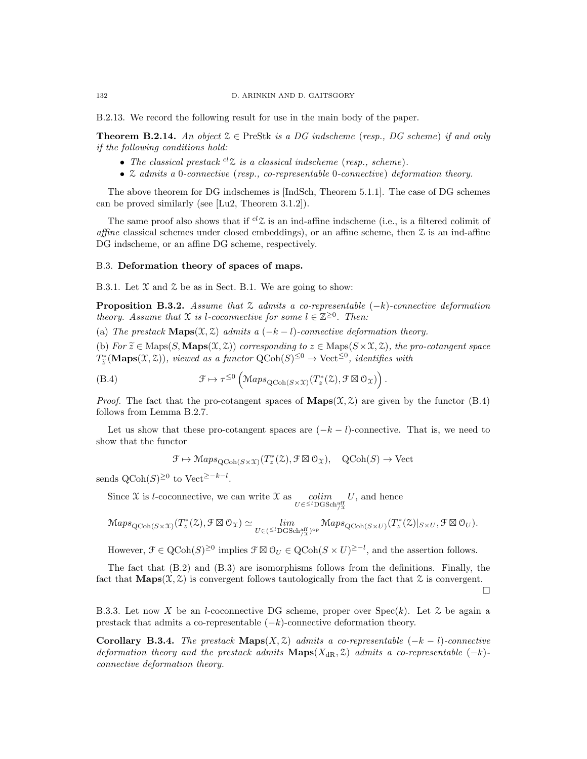B.2.13. We record the following result for use in the main body of the paper.

**Theorem B.2.14.** An object  $\mathcal{Z} \in \text{PreStk}$  is a DG indscheme (resp., DG scheme) if and only if the following conditions hold:

- The classical prestack  ${}^{cl}Z$  is a classical indscheme (resp., scheme).
- Z admits a 0-connective (resp., co-representable 0-connective) deformation theory.

The above theorem for DG indschemes is [IndSch, Theorem 5.1.1]. The case of DG schemes can be proved similarly (see [Lu2, Theorem 3.1.2]).

The same proof also shows that if  ${}^{cl}Z$  is an ind-affine indscheme (i.e., is a filtered colimit of affine classical schemes under closed embeddings), or an affine scheme, then  $\mathfrak X$  is an ind-affine DG indscheme, or an affine DG scheme, respectively.

#### B.3. Deformation theory of spaces of maps.

B.3.1. Let  $\mathfrak X$  and  $\mathfrak Z$  be as in Sect. B.1. We are going to show:

**Proposition B.3.2.** Assume that  $\mathcal{Z}$  admits a co-representable  $(-k)$ -connective deformation theory. Assume that  $\mathfrak X$  is l-coconnective for some  $l \in \mathbb Z^{\geq 0}$ . Then:

(a) The prestack  $\mathbf{Maps}(\mathfrak{X}, \mathfrak{Z})$  admits a  $(-k-l)$ -connective deformation theory.

(b) For  $\widetilde{z} \in \text{Maps}(S, \textbf{Maps}(\mathfrak{X}, \mathfrak{Z}))$  corresponding to  $z \in \text{Maps}(S \times \mathfrak{X}, \mathfrak{Z})$ , the pro-cotangent space  $T_{\tilde{z}}^*(\mathbf{Maps}(\mathfrak{X}, \mathfrak{Z}))$ , viewed as a functor  $\mathrm{QCoh}(S)^{\leq 0} \to \mathrm{Vect}^{\leq 0}$ , identifies with

(B.4) 
$$
\mathcal{F} \mapsto \tau^{\leq 0} \left( \operatorname{Maps}_{\operatorname{QCoh}(S \times \mathfrak{X})} (T_z^*(\mathcal{Z}), \mathcal{F} \boxtimes \mathcal{O}_{\mathfrak{X}}) \right).
$$

*Proof.* The fact that the pro-cotangent spaces of  $\mathbf{Maps}(\mathcal{X}, \mathcal{Z})$  are given by the functor (B.4) follows from Lemma B.2.7.

Let us show that these pro-cotangent spaces are  $(-k - l)$ -connective. That is, we need to show that the functor

$$
\mathcal{F} \mapsto \mathcal{M}aps_{\mathrm{QCoh}(S \times \mathcal{X})}(T^*_{z}(\mathcal{Z}), \mathcal{F} \boxtimes \mathcal{O}_{\mathcal{X}}), \quad \mathrm{QCoh}(S) \to \mathrm{Vect}
$$

sends QCoh(S)<sup>≥0</sup> to Vect<sup>≥-k-l</sup>.

Since X is l-coconnective, we can write X as  $\underset{U \in \leq^l \text{DGSch}^{\text{aff}}_{/X}}{\text{colim}}$  $U$ , and hence

$$
\mathrm{Maps}_{\mathrm{QCoh}(S \times \mathfrak{X})}(T^*_z(\mathbb{Z}), \mathcal{F} \boxtimes \mathcal{O}_{\mathfrak{X}}) \simeq \lim_{U \in (\frac{\leq l}{\mathrm{DGSch}(\mathfrak{X})}^{\mathrm{aff}})^{\mathrm{op}}} \mathrm{Maps}_{\mathrm{QCoh}(S \times U)}(T^*_z(\mathbb{Z})|_{S \times U}, \mathcal{F} \boxtimes \mathcal{O}_U).
$$

However,  $\mathcal{F} \in \mathrm{QCoh}(S)^{\geq 0}$  implies  $\mathcal{F} \boxtimes \mathcal{O}_U \in \mathrm{QCoh}(S \times U)^{\geq -l}$ , and the assertion follows.

The fact that (B.2) and (B.3) are isomorphisms follows from the definitions. Finally, the fact that  $\mathbf{Maps}(\mathcal{X}, \mathcal{Z})$  is convergent follows tautologically from the fact that  $\mathcal Z$  is convergent.

 $\Box$ 

B.3.3. Let now X be an l-coconnective DG scheme, proper over  $Spec(k)$ . Let  $\mathcal Z$  be again a prestack that admits a co-representable  $(-k)$ -connective deformation theory.

Corollary B.3.4. The prestack Maps(X,  $\mathfrak{Z}$ ) admits a co-representable (-k – l)-connective deformation theory and the prestack admits  $\mathbf{Maps}(X_{\mathrm{dR}}, \mathcal{Z})$  admits a co-representable  $(-k)$ connective deformation theory.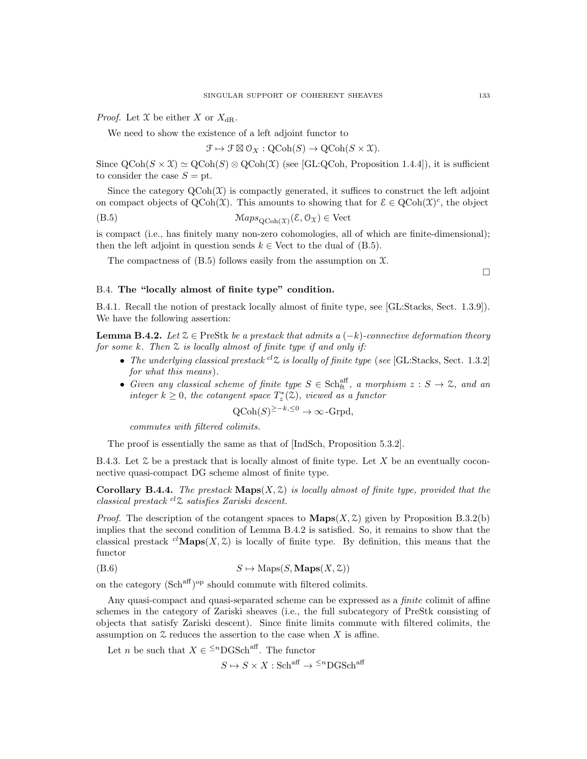*Proof.* Let  $X$  be either  $X$  or  $X_{\text{dR}}$ .

We need to show the existence of a left adjoint functor to

$$
\mathcal{F} \mapsto \mathcal{F} \boxtimes \mathcal{O}_X : \text{QCoh}(S) \to \text{QCoh}(S \times \mathfrak{X}).
$$

Since  $\text{QCoh}(S \times \mathcal{X}) \simeq \text{QCoh}(S) \otimes \text{QCoh}(\mathcal{X})$  (see [GL:QCoh, Proposition 1.4.4]), it is sufficient to consider the case  $S = pt$ .

Since the category  $\text{QCoh}(\mathcal{X})$  is compactly generated, it suffices to construct the left adjoint on compact objects of  $QCoh(\mathcal{X})$ . This amounts to showing that for  $\mathcal{E} \in QCoh(\mathcal{X})^c$ , the object

(B.5) MapsQCoh(X) (E, OX) ∈ Vect

is compact (i.e., has finitely many non-zero cohomologies, all of which are finite-dimensional); then the left adjoint in question sends  $k \in$  Vect to the dual of (B.5).

The compactness of  $(B.5)$  follows easily from the assumption on  $\mathfrak{X}$ .

 $\Box$ 

## B.4. The "locally almost of finite type" condition.

B.4.1. Recall the notion of prestack locally almost of finite type, see [GL:Stacks, Sect. 1.3.9]). We have the following assertion:

**Lemma B.4.2.** Let  $\mathcal{Z} \in \text{PreStk}$  be a prestack that admits a  $(-k)$ -connective deformation theory for some k. Then  $\mathfrak X$  is locally almost of finite type if and only if:

- The underlying classical prestack  ${}^{cl}Z$  is locally of finite type (see [GL:Stacks, Sect. 1.3.2] for what this means).
- Given any classical scheme of finite type  $S \in \text{Sch}^{\text{aff}}_{\text{ft}}$ , a morphism  $z : S \to \mathcal{Z}$ , and an integer  $k \geq 0$ , the cotangent space  $T_z^*(2)$ , viewed as a functor

$$
Q\text{Coh}(S)^{\geq -k, \leq 0} \to \infty\text{-Grpd},
$$

commutes with filtered colimits.

The proof is essentially the same as that of [IndSch, Proposition 5.3.2].

B.4.3. Let  $\mathcal Z$  be a prestack that is locally almost of finite type. Let X be an eventually coconnective quasi-compact DG scheme almost of finite type.

**Corollary B.4.4.** The prestack  $\mathbf{Maps}(X, \mathcal{Z})$  is locally almost of finite type, provided that the classical prestack  ${}^{cl}Z$  satisfies Zariski descent.

*Proof.* The description of the cotangent spaces to  $\mathbf{Maps}(X, \mathcal{Z})$  given by Proposition B.3.2(b) implies that the second condition of Lemma B.4.2 is satisfied. So, it remains to show that the classical prestack <sup>cl</sup>Maps(X, Z) is locally of finite type. By definition, this means that the functor

$$
(B.6) \tS \mapsto \text{Maps}(S, \text{Maps}(X, \mathcal{Z}))
$$

on the category  $(Sch<sup>aff</sup>)<sup>op</sup>$  should commute with filtered colimits.

Any quasi-compact and quasi-separated scheme can be expressed as a *finite* colimit of affine schemes in the category of Zariski sheaves (i.e., the full subcategory of PreStk consisting of objects that satisfy Zariski descent). Since finite limits commute with filtered colimits, the assumption on  $\mathfrak X$  reduces the assertion to the case when X is affine.

Let *n* be such that  $X \in \frac{1}{n} \text{DGSch}^{\text{aff}}$ . The functor

 $S \mapsto S \times X : \mathbf{Sch}^{\text{aff}} \to {}^{\leq n} \mathbf{DGSch}^{\text{aff}}$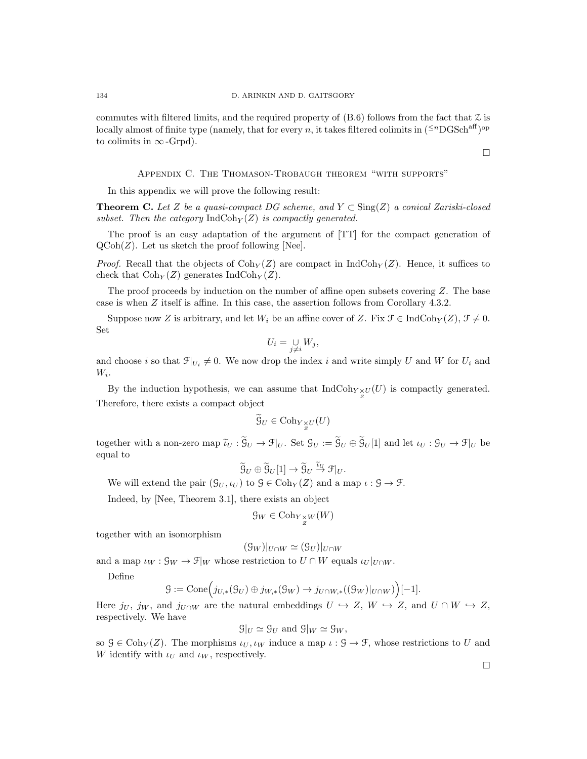commutes with filtered limits, and the required property of  $(B.6)$  follows from the fact that  $\mathcal Z$  is locally almost of finite type (namely, that for every n, it takes filtered colimits in  $({}^{\leq n}DGSch^{aff})^{\rm op}$ to colimits in  $\infty$ -Grpd).

### Appendix C. The Thomason-Trobaugh theorem "with supports"

In this appendix we will prove the following result:

**Theorem C.** Let Z be a quasi-compact DG scheme, and  $Y \subset Sing(Z)$  a conical Zariski-closed subset. Then the category  $\text{IndCoh}_Y(Z)$  is compactly generated.

The proof is an easy adaptation of the argument of [TT] for the compact generation of  $QCoh(Z)$ . Let us sketch the proof following [Nee].

*Proof.* Recall that the objects of  $Coh_Y(Z)$  are compact in IndCoh<sub>Y</sub>(Z). Hence, it suffices to check that  $Coh<sub>Y</sub>(Z)$  generates IndCoh<sub>Y</sub> $(Z)$ .

The proof proceeds by induction on the number of affine open subsets covering  $Z$ . The base case is when Z itself is affine. In this case, the assertion follows from Corollary 4.3.2.

Suppose now Z is arbitrary, and let  $W_i$  be an affine cover of Z. Fix  $\mathcal{F} \in \text{IndCoh}_Y(Z)$ ,  $\mathcal{F} \neq 0$ . Set

$$
U_i = \bigcup_{j \neq i} W_j,
$$

and choose i so that  $\mathcal{F}|_{U_i} \neq 0$ . We now drop the index i and write simply U and W for  $U_i$  and  $W_i$ .

By the induction hypothesis, we can assume that  $\text{IndCoh}_{Y \underset{Z}{\times} U}(U)$  is compactly generated. Therefore, there exists a compact object

$$
\widetilde{\mathcal{G}}_U \in \text{Coh}_{Y \underset{Z}{\times} U}(U)
$$

together with a non-zero map  $\tilde{u}_U : \mathcal{G}_U \to \mathcal{F}|_U$ . Set  $\mathcal{G}_U := \mathcal{G}_U \oplus \mathcal{G}_U[1]$  and let  $\iota_U : \mathcal{G}_U \to \mathcal{F}|_U$  be counter equal to

$$
\widetilde{\mathcal{G}}_U \oplus \widetilde{\mathcal{G}}_U[1] \to \widetilde{\mathcal{G}}_U \stackrel{\widetilde{\iota}_U}{\to} \mathcal{F}|_U.
$$

We will extend the pair  $(\mathcal{G}_U, \iota_U)$  to  $\mathcal{G} \in \text{Coh}_Y(Z)$  and a map  $\iota : \mathcal{G} \to \mathcal{F}$ .

Indeed, by [Nee, Theorem 3.1], there exists an object

$$
\mathcal{G}_W \in \text{Coh}_{Y \underset{Z}{\times} W}(W)
$$

together with an isomorphism

$$
(\mathcal{G}_W)|_{U \cap W} \simeq (\mathcal{G}_U)|_{U \cap W}
$$

and a map  $\iota_W : \mathcal{G}_W \to \mathcal{F}|_W$  whose restriction to  $U \cap W$  equals  $\iota_U|_{U \cap W}$ .

Define

$$
\mathcal{G} := \mathrm{Cone}\Big(j_{U,*}(\mathcal{G}_U) \oplus j_{W,*}(\mathcal{G}_W) \to j_{U \cap W,*}((\mathcal{G}_W)|_{U \cap W})\Big)[-1].
$$

Here  $j_U$ ,  $j_W$ , and  $j_{U\cap W}$  are the natural embeddings  $U \hookrightarrow Z$ ,  $W \hookrightarrow Z$ , and  $U \cap W \hookrightarrow Z$ , respectively. We have

$$
\mathcal{G}|_U \simeq \mathcal{G}_U
$$
 and  $\mathcal{G}|_W \simeq \mathcal{G}_W$ ,

so  $\mathcal{G} \in \text{Coh}_Y(Z)$ . The morphisms  $\iota_U, \iota_W$  induce a map  $\iota : \mathcal{G} \to \mathcal{F}$ , whose restrictions to U and W identify with  $\iota_U$  and  $\iota_W$ , respectively.

 $\Box$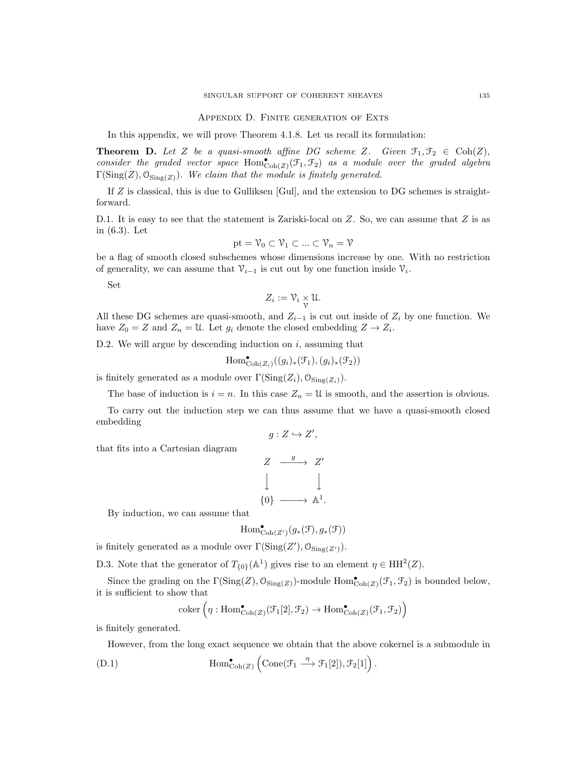Appendix D. Finite generation of Exts

In this appendix, we will prove Theorem 4.1.8. Let us recall its formulation:

**Theorem D.** Let Z be a quasi-smooth affine DG scheme Z. Given  $\mathcal{F}_1, \mathcal{F}_2 \in \text{Coh}(Z)$ , consider the graded vector space  $Hom_{\text{Coh}(Z)}^{\bullet}(\mathcal{F}_{1}, \mathcal{F}_{2})$  as a module over the graded algebra  $\Gamma(\mathrm{Sing}(Z),\mathcal{O}_{\mathrm{Sing}(Z)})$ . We claim that the module is finitely generated.

If  $Z$  is classical, this is due to Gulliksen [Gul], and the extension to DG schemes is straightforward.

D.1. It is easy to see that the statement is Zariski-local on  $Z$ . So, we can assume that  $Z$  is as in (6.3). Let

$$
\mathrm{pt}=\mathcal{V}_0\subset\mathcal{V}_1\subset...\subset\mathcal{V}_n=\mathcal{V}
$$

be a flag of smooth closed subschemes whose dimensions increase by one. With no restriction of generality, we can assume that  $\mathcal{V}_{i-1}$  is cut out by one function inside  $\mathcal{V}_i$ .

Set

$$
Z_i := \mathcal{V}_i \underset{\mathcal{V}}{\times} \mathcal{U}.
$$

All these DG schemes are quasi-smooth, and  $Z_{i-1}$  is cut out inside of  $Z_i$  by one function. We have  $Z_0 = Z$  and  $Z_n = \mathfrak{U}$ . Let  $g_i$  denote the closed embedding  $Z \to Z_i$ .

D.2. We will argue by descending induction on  $i$ , assuming that

$$
\operatorname{Hom}^{\bullet}_{\operatorname{Coh}(Z_{i})}((g_{i})_{*}(\mathcal{F}_{1}),(g_{i})_{*}(\mathcal{F}_{2}))
$$

is finitely generated as a module over  $\Gamma(\mathrm{Sing}(Z_i), \mathcal{O}_{\mathrm{Sing}(Z_i)})$ .

The base of induction is  $i = n$ . In this case  $Z_n = \mathfrak{U}$  is smooth, and the assertion is obvious.

To carry out the induction step we can thus assume that we have a quasi-smooth closed embedding

$$
g: Z \hookrightarrow Z',
$$

that fits into a Cartesian diagram

$$
Z \xrightarrow{g} Z'
$$
  

$$
\downarrow \qquad \qquad \downarrow
$$
  

$$
\{0\} \xrightarrow{g} \mathbb{A}^1.
$$

By induction, we can assume that

$$
\mathrm{Hom}^\bullet_{\mathrm{Coh}(Z')}(g_*(\mathfrak{F}), g_*(\mathfrak{F}))
$$

is finitely generated as a module over  $\Gamma(\mathrm{Sing}(Z'), \mathcal{O}_{\mathrm{Sing}(Z')}).$ 

D.3. Note that the generator of  $T_{\{0\}}(\mathbb{A}^1)$  gives rise to an element  $\eta \in HH^2(Z)$ .

Since the grading on the  $\Gamma(\text{Sing}(Z), \mathcal{O}_{\text{Sing}(Z)})$ -module  $\text{Hom}^{\bullet}_{\text{Coh}(Z)}(\mathcal{F}_1, \mathcal{F}_2)$  is bounded below, it is sufficient to show that

$$
coker\left(\eta: \mathrm{Hom}^{\bullet}_{\mathrm{Coh}(Z)}(\mathcal{F}_1[2], \mathcal{F}_2) \to \mathrm{Hom}^{\bullet}_{\mathrm{Coh}(Z)}(\mathcal{F}_1, \mathcal{F}_2)\right)
$$

is finitely generated.

However, from the long exact sequence we obtain that the above cokernel is a submodule in

(D.1) 
$$
\text{Hom}^{\bullet}_{\text{Coh}(Z)} \left( \text{Cone}(\mathcal{F}_1 \stackrel{\eta}{\longrightarrow} \mathcal{F}_1[2]), \mathcal{F}_2[1] \right).
$$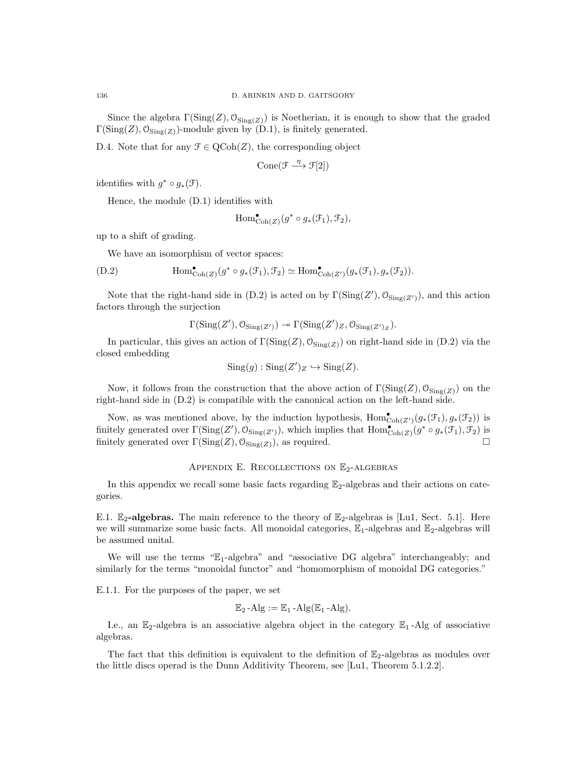Since the algebra  $\Gamma(\text{Sing}(Z), \mathcal{O}_{\text{Sing}(Z)})$  is Noetherian, it is enough to show that the graded  $\Gamma(\text{Sing}(Z), \mathcal{O}_{\text{Sing}(Z)})$ -module given by (D.1), is finitely generated.

D.4. Note that for any  $\mathcal{F} \in \text{QCoh}(Z)$ , the corresponding object

$$
Cone(\mathcal{F} \xrightarrow{\eta} \mathcal{F}[2])
$$

identifies with  $g^* \circ g_*(\mathcal{F})$ .

Hence, the module (D.1) identifies with

$$
\mathrm{Hom}^{\bullet}_{\mathrm{Coh}(Z)}(g^*\circ g_*(\mathfrak{F}_1), \mathfrak{F}_2),
$$

up to a shift of grading.

We have an isomorphism of vector spaces:

(D.2) 
$$
\text{Hom}_{\text{Coh}(Z)}^{\bullet}(g^* \circ g_*(\mathcal{F}_1), \mathcal{F}_2) \simeq \text{Hom}_{\text{Coh}(Z')}^{\bullet}(g_*(\mathcal{F}_1), g_*(\mathcal{F}_2)).
$$

Note that the right-hand side in (D.2) is acted on by  $\Gamma(\text{Sing}(Z'), \mathcal{O}_{\text{Sing}(Z')})$ , and this action factors through the surjection

$$
\Gamma(\mathrm{Sing}(Z'), \mathcal{O}_{\mathrm{Sing}(Z')}) \to \Gamma(\mathrm{Sing}(Z')_Z, \mathcal{O}_{\mathrm{Sing}(Z')_Z}).
$$

In particular, this gives an action of  $\Gamma(\text{Sing}(Z), \mathcal{O}_{\text{Sing}(Z)})$  on right-hand side in (D.2) via the closed embedding

$$
Sing(g) : Sing(Z')_Z \hookrightarrow Sing(Z).
$$

Now, it follows from the construction that the above action of  $\Gamma(\text{Sing}(Z), \mathcal{O}_{\text{Sing}(Z)})$  on the right-hand side in (D.2) is compatible with the canonical action on the left-hand side.

Now, as was mentioned above, by the induction hypothesis,  $\text{Hom}^{\bullet}_{\text{Coh}(Z')}(g_*(\mathcal{F}_1), g_*(\mathcal{F}_2))$  is finitely generated over  $\Gamma(\text{Sing}(Z'), \mathcal{O}_{\text{Sing}(Z')}),$  which implies that  $\text{Hom}^{\bullet}_{\text{Coh}(Z)}(g^* \circ g_*(\mathcal{F}_1), \mathcal{F}_2)$  is finitely generated over  $\Gamma(\text{Sing}(Z), \mathcal{O}_{\text{Sing}(Z)})$ , as required.

### APPENDIX E. RECOLLECTIONS ON  $\mathbb{E}_2$ -ALGEBRAS

In this appendix we recall some basic facts regarding  $\mathbb{E}_2$ -algebras and their actions on categories.

E.1.  $\mathbb{E}_2$ -algebras. The main reference to the theory of  $\mathbb{E}_2$ -algebras is [Lu1, Sect. 5.1]. Here we will summarize some basic facts. All monoidal categories,  $\mathbb{E}_1$ -algebras and  $\mathbb{E}_2$ -algebras will be assumed unital.

We will use the terms " $E_1$ -algebra" and "associative DG algebra" interchangeably; and similarly for the terms "monoidal functor" and "homomorphism of monoidal DG categories."

E.1.1. For the purposes of the paper, we set

$$
\mathbb{E}_2\text{-Alg} := \mathbb{E}_1\text{-Alg}(\mathbb{E}_1\text{-Alg}).
$$

I.e., an  $\mathbb{E}_2$ -algebra is an associative algebra object in the category  $\mathbb{E}_1$ -Alg of associative algebras.

The fact that this definition is equivalent to the definition of  $\mathbb{E}_2$ -algebras as modules over the little discs operad is the Dunn Additivity Theorem, see [Lu1, Theorem 5.1.2.2].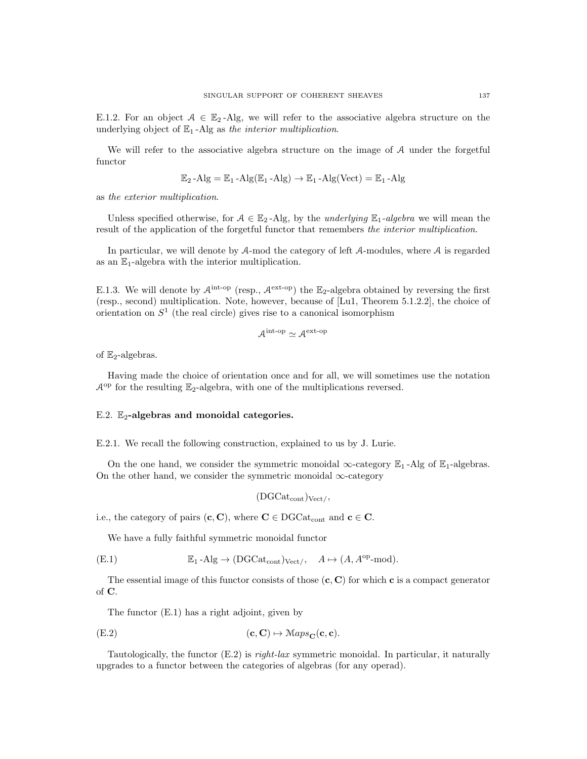E.1.2. For an object  $A \in \mathbb{E}_2$ -Alg, we will refer to the associative algebra structure on the underlying object of  $\mathbb{E}_1$ -Alg as the interior multiplication.

We will refer to the associative algebra structure on the image of A under the forgetful functor

$$
\mathbb{E}_2\text{-Alg} = \mathbb{E}_1\text{-Alg}(\mathbb{E}_1\text{-Alg}) \to \mathbb{E}_1\text{-Alg}(\text{Vect}) = \mathbb{E}_1\text{-Alg}
$$

as the exterior multiplication.

Unless specified otherwise, for  $A \in \mathbb{E}_2$ -Alg, by the *underlying*  $\mathbb{E}_1$ -algebra we will mean the result of the application of the forgetful functor that remembers the interior multiplication.

In particular, we will denote by A-mod the category of left A-modules, where A is regarded as an  $\mathbb{E}_1$ -algebra with the interior multiplication.

E.1.3. We will denote by  $\mathcal{A}^{\text{int-op}}$  (resp.,  $\mathcal{A}^{\text{ext-op}}$ ) the  $\mathbb{E}_2$ -algebra obtained by reversing the first (resp., second) multiplication. Note, however, because of [Lu1, Theorem 5.1.2.2], the choice of orientation on  $S<sup>1</sup>$  (the real circle) gives rise to a canonical isomorphism

$$
\mathcal{A}^{\rm int-op} \simeq \mathcal{A}^{\rm ext-op}
$$

of  $\mathbb{E}_2$ -algebras.

Having made the choice of orientation once and for all, we will sometimes use the notation  $\mathcal{A}^{\text{op}}$  for the resulting  $\mathbb{E}_2$ -algebra, with one of the multiplications reversed.

## E.2.  $\mathbb{E}_2$ -algebras and monoidal categories.

E.2.1. We recall the following construction, explained to us by J. Lurie.

On the one hand, we consider the symmetric monoidal  $\infty$ -category  $\mathbb{E}_1$ -Alg of  $\mathbb{E}_1$ -algebras. On the other hand, we consider the symmetric monoidal  $\infty$ -category

$$
(DGCat_{cont})_{Vect}/\langle
$$

i.e., the category of pairs  $(c, C)$ , where  $C \in DGCat_{cont}$  and  $c \in C$ .

We have a fully faithful symmetric monoidal functor

(E.1) 
$$
\mathbb{E}_1 - \text{Alg} \to (\text{DGCat}_{cont})_{\text{Vect}/}, \quad A \mapsto (A, A^{\text{op}} \text{-mod}).
$$

The essential image of this functor consists of those  $(c, C)$  for which c is a compact generator of C.

The functor (E.1) has a right adjoint, given by

$$
(E.2) \t\t (c, C) \mapsto \mathcal{M}aps_{\mathbf{C}}(\mathbf{c}, \mathbf{c}).
$$

Tautologically, the functor  $(E.2)$  is *right-lax* symmetric monoidal. In particular, it naturally upgrades to a functor between the categories of algebras (for any operad).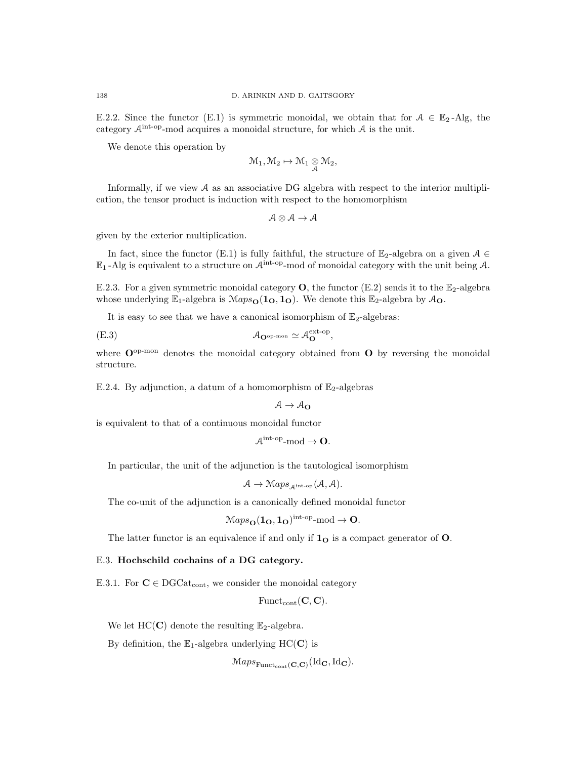E.2.2. Since the functor (E.1) is symmetric monoidal, we obtain that for  $A \in \mathbb{E}_2$ -Alg, the category  $A^{\text{int-op}}$ -mod acquires a monoidal structure, for which  $A$  is the unit.

We denote this operation by

$$
\mathcal{M}_1, \mathcal{M}_2 \mapsto \mathcal{M}_1 \underset{\mathcal{A}}{\otimes} \mathcal{M}_2,
$$

Informally, if we view A as an associative DG algebra with respect to the interior multiplication, the tensor product is induction with respect to the homomorphism

 $A \otimes A \rightarrow A$ 

given by the exterior multiplication.

In fact, since the functor (E.1) is fully faithful, the structure of  $\mathbb{E}_2$ -algebra on a given  $\mathcal{A} \in$  $\mathbb{E}_1$ -Alg is equivalent to a structure on  $\mathcal{A}^{\rm int-op}\text{-mod}$  of monoidal category with the unit being  $\mathcal{A}$ .

E.2.3. For a given symmetric monoidal category  $\mathbf{O}$ , the functor (E.2) sends it to the  $\mathbb{E}_2$ -algebra whose underlying  $\mathbb{E}_1$ -algebra is  $Maps_0(1_0, 1_0)$ . We denote this  $\mathbb{E}_2$ -algebra by  $\mathcal{A}_0$ .

It is easy to see that we have a canonical isomorphism of  $\mathbb{E}_2$ -algebras:

$$
\mathcal{A}_{\mathbf{O}^{\mathrm{op}\text{-}mon}} \simeq \mathcal{A}_{\mathbf{O}}^{\mathrm{ext}\text{-}op},
$$

where  $O^{op-mon}$  denotes the monoidal category obtained from  $O$  by reversing the monoidal structure.

E.2.4. By adjunction, a datum of a homomorphism of  $\mathbb{E}_2$ -algebras

$$
\mathcal{A}\rightarrow \mathcal{A}_{\mathbf{O}}
$$

is equivalent to that of a continuous monoidal functor

$$
\mathcal{A}^{\mathrm{int-op}}\text{-}\mathrm{mod} \to \mathbf{O}.
$$

In particular, the unit of the adjunction is the tautological isomorphism

$$
A \to \operatorname{Maps}_{\mathcal{A}^{\text{int-op}}}(\mathcal{A}, \mathcal{A}).
$$

The co-unit of the adjunction is a canonically defined monoidal functor

$$
\mathcal{M}aps_{\mathbf{O}}(\mathbf{1}_{\mathbf{O}},\mathbf{1}_{\mathbf{O}})^{\text{int-op}}\text{-mod}\to\mathbf{O}.
$$

The latter functor is an equivalence if and only if  $1<sub>O</sub>$  is a compact generator of O.

#### E.3. Hochschild cochains of a DG category.

E.3.1. For  $C \in \text{DGCat}_{\text{cont}}$ , we consider the monoidal category

$$
\mathrm{Funct}_{\mathrm{cont}}(\mathbf{C},\mathbf{C}).
$$

We let HC(C) denote the resulting  $\mathbb{E}_2$ -algebra.

By definition, the  $\mathbb{E}_1$ -algebra underlying HC(C) is

 $\mathcal{M}aps_{\mathrm{Funct}_{\mathrm{cont}}(\mathbf{C},\mathbf{C})}(\mathrm{Id}_{\mathbf{C}},\mathrm{Id}_{\mathbf{C}}).$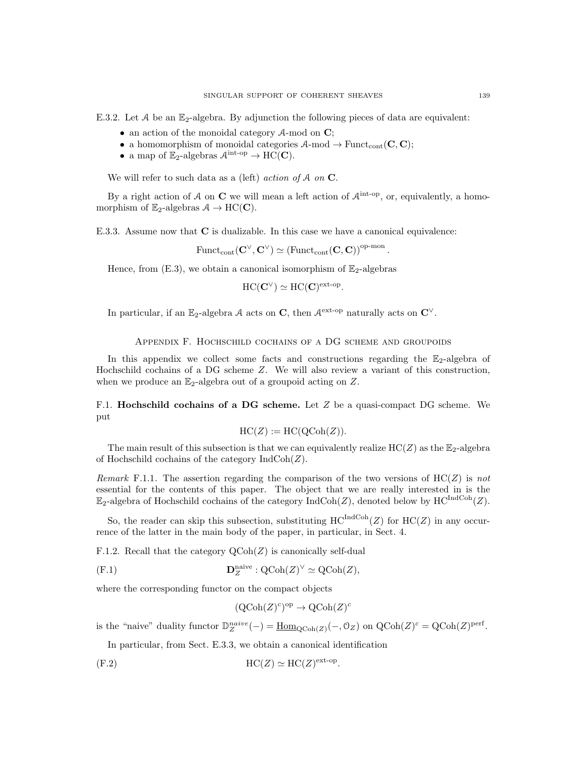E.3.2. Let A be an  $\mathbb{E}_2$ -algebra. By adjunction the following pieces of data are equivalent:

- an action of the monoidal category  $A$ -mod on  $C$ ;
- a homomorphism of monoidal categories  $A$ -mod  $\rightarrow$  Funct<sub>cont</sub> (**C**, **C**);
- a map of  $\mathbb{E}_2$ -algebras  $\mathcal{A}^{\text{int-op}} \to \widetilde{HC}(\mathbf{C})$ .

We will refer to such data as a (left) *action of A on*  $\mathbb{C}$ .

By a right action of A on C we will mean a left action of  $\mathcal{A}^{\text{int-op}}$ , or, equivalently, a homomorphism of  $\mathbb{E}_2$ -algebras  $\mathcal{A} \to \text{HC}(\mathbf{C})$ .

E.3.3. Assume now that C is dualizable. In this case we have a canonical equivalence:

 $\mathrm{Funct}_{\mathrm{cont}}(\mathbf{C}^{\vee},\mathbf{C}^{\vee}) \simeq \left(\mathrm{Funct}_{\mathrm{cont}}(\mathbf{C},\mathbf{C})\right)^{\mathrm{op-mon}}.$ 

Hence, from  $(E.3)$ , we obtain a canonical isomorphism of  $\mathbb{E}_2$ -algebras

$$
\mathrm{HC}(\mathbf{C}^\vee) \simeq \mathrm{HC}(\mathbf{C})^{\mathrm{ext-op}}.
$$

In particular, if an E<sub>2</sub>-algebra A acts on C, then  $\mathcal{A}^{\text{ext-op}}$  naturally acts on  $\mathbb{C}^{\vee}$ .

#### Appendix F. Hochschild cochains of a DG scheme and groupoids

In this appendix we collect some facts and constructions regarding the  $\mathbb{E}_2$ -algebra of Hochschild cochains of a DG scheme Z. We will also review a variant of this construction, when we produce an  $\mathbb{E}_2$ -algebra out of a groupoid acting on Z.

F.1. Hochschild cochains of a DG scheme. Let  $Z$  be a quasi-compact DG scheme. We put

$$
HC(Z) := HC(QCoh(Z)).
$$

The main result of this subsection is that we can equivalently realize  $HC(Z)$  as the  $\mathbb{E}_2$ -algebra of Hochschild cochains of the category  $\text{IndCoh}(Z)$ .

Remark F.1.1. The assertion regarding the comparison of the two versions of  $HC(Z)$  is not essential for the contents of this paper. The object that we are really interested in is the  $\mathbb{E}_2$ -algebra of Hochschild cochains of the category  $\mathrm{IndCoh}(Z)$ , denoted below by  $\mathrm{HC}^{\mathrm{IndCoh}}(Z)$ .

So, the reader can skip this subsection, substituting  $HC^{IndCoh}(Z)$  for  $HC(Z)$  in any occurrence of the latter in the main body of the paper, in particular, in Sect. 4.

F.1.2. Recall that the category  $\text{QCoh}(Z)$  is canonically self-dual

$$
(\text{F.1}) \qquad \qquad \mathbf{D}_Z^{\text{naive}} : \text{QCoh}(Z)^\vee \simeq \text{QCoh}(Z),
$$

where the corresponding functor on the compact objects

$$
(\mathrm{QCoh}(Z)^c)^{\mathrm{op}} \to \mathrm{QCoh}(Z)^c
$$

is the "naive" duality functor  $\mathbb{D}_{Z}^{naive}(-) = \underline{\text{Hom}}_{\text{QCoh}(Z)}(-, \mathbb{O}_{Z})$  on  $\text{QCoh}(Z)^{c} = \text{QCoh}(Z)^{\text{perf}}$ .

In particular, from Sect. E.3.3, we obtain a canonical identification

$$
(F.2) \t\t HC(Z) \simeq HC(Z)^{ext-op}.
$$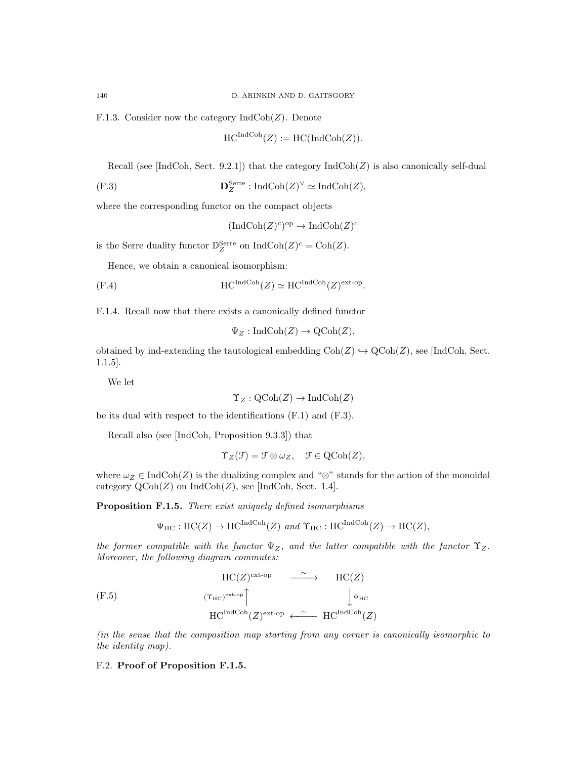F.1.3. Consider now the category  $\text{IndCoh}(Z)$ . Denote

$$
HC^{\text{IndCoh}}(Z) := \text{HC}(\text{IndCoh}(Z)).
$$

Recall (see [IndCoh, Sect. 9.2.1]) that the category  $\text{IndCoh}(Z)$  is also canonically self-dual

$$
(\text{F.3}) \qquad \qquad \mathbf{D}_Z^{\text{Serre}}: \text{IndCoh}(Z)^\vee \simeq \text{IndCoh}(Z),
$$

where the corresponding functor on the compact objects

$$
(\mathrm{IndCoh}(Z)^c)^{\mathrm{op}} \to \mathrm{IndCoh}(Z)^c
$$

is the Serre duality functor  $\mathbb{D}_{Z}^{\text{Serre}}$  on  $\text{IndCoh}(Z)^{c} = \text{Coh}(Z)$ .

Hence, we obtain a canonical isomorphism:

$$
(F.4) \t\t HCIndCoh(Z) \simeq HCIndCoh(Z)ext-op.
$$

F.1.4. Recall now that there exists a canonically defined functor

$$
\Psi_Z: \mathrm{IndCoh}(Z) \to \mathrm{QCoh}(Z),
$$

obtained by ind-extending the tautological embedding  $Coh(Z) \hookrightarrow \text{QCoh}(Z)$ , see [IndCoh, Sect. 1.1.5].

We let

$$
\Upsilon_Z : \mathrm{QCoh}(Z) \to \mathrm{IndCoh}(Z)
$$

be its dual with respect to the identifications (F.1) and (F.3).

Recall also (see [IndCoh, Proposition 9.3.3]) that

$$
\Upsilon_Z(\mathcal{F}) = \mathcal{F} \otimes \omega_Z, \quad \mathcal{F} \in \mathrm{QCoh}(Z),
$$

where  $\omega_Z \in \text{IndCoh}(Z)$  is the dualizing complex and "⊗" stands for the action of the monoidal category  $\text{QCoh}(Z)$  on  $\text{IndCoh}(Z)$ , see [IndCoh, Sect. 1.4].

Proposition F.1.5. There exist uniquely defined isomorphisms

$$
\Psi_{\text{HC}} : \text{HC}(Z) \to \text{HC}^{\text{IndCoh}}(Z) \text{ and } \Upsilon_{\text{HC}} : \text{HC}^{\text{IndCoh}}(Z) \to \text{HC}(Z),
$$

the former compatible with the functor  $\Psi_Z$ , and the latter compatible with the functor  $\Upsilon_Z$ . Moreover, the following diagram commutes:

(F.5)  
\n
$$
HC(Z)^{ext-op}
$$
\n
$$
HC(Z)^{ext-op}
$$
\n
$$
HC^{int\text{op}}
$$
\n
$$
HC^{IndCoh}(Z)^{ext-op}
$$
\n
$$
HC^{IndCoh}(Z)
$$
\n
$$
HC^{IndCoh}(Z)
$$

(in the sense that the composition map starting from any corner is canonically isomorphic to the identity map).

### F.2. Proof of Proposition F.1.5.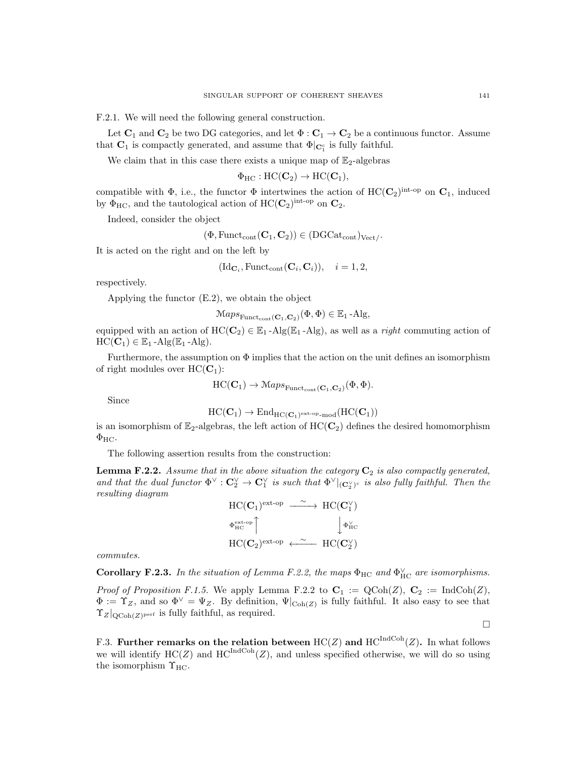F.2.1. We will need the following general construction.

Let  $\mathbf{C}_1$  and  $\mathbf{C}_2$  be two DG categories, and let  $\Phi : \mathbf{C}_1 \to \mathbf{C}_2$  be a continuous functor. Assume that  $\mathbf{C}_1$  is compactly generated, and assume that  $\Phi|_{\mathbf{C}_1^c}$  is fully faithful.

We claim that in this case there exists a unique map of  $\mathbb{E}_2$ -algebras

$$
\Phi_{HC}: \mathrm{HC}({\mathbf C}_2) \to \mathrm{HC}({\mathbf C}_1),
$$

compatible with  $\Phi$ , i.e., the functor  $\Phi$  intertwines the action of  $HC(\mathbf{C}_2)^{int-op}$  on  $\mathbf{C}_1$ , induced by  $\Phi_{\text{HC}}$ , and the tautological action of  $\text{HC}(\mathbf{C}_2)^{\text{int-op}}$  on  $\mathbf{C}_2$ .

Indeed, consider the object

$$
(\Phi, \mathrm{Funct}_{\mathrm{cont}}(\mathbf{C}_1, \mathbf{C}_2)) \in (\mathrm{DGCat}_{\mathrm{cont}})_{\mathrm{Vect}}.
$$

It is acted on the right and on the left by

$$
(\mathrm{Id}_{\mathbf{C}_i}, \mathrm{Funct}_{\mathrm{cont}}(\mathbf{C}_i, \mathbf{C}_i)), \quad i = 1, 2,
$$

respectively.

Applying the functor (E.2), we obtain the object

$$
MapsFunction(c1, C2)}(\Phi, \Phi) \in \mathbb{E}1-Alg,
$$

equipped with an action of  $HC(C_2) \in \mathbb{E}_1$ -Alg $(\mathbb{E}_1$ -Alg), as well as a *right* commuting action of  $HC(\mathbf{C}_1) \in \mathbb{E}_1$  -Alg $(\mathbb{E}_1$  -Alg).

Furthermore, the assumption on  $\Phi$  implies that the action on the unit defines an isomorphism of right modules over  $HC(C_1)$ :

$$
\mathrm{HC}(\mathbf{C}_1) \to \mathrm{Maps}_{\mathrm{Funct}_{\mathrm{cont}}(\mathbf{C}_1, \mathbf{C}_2)}(\Phi, \Phi).
$$

Since

$$
\mathrm{HC}({\mathbf C}_1) \to \mathrm{End}_{\mathrm{HC}({\mathbf C}_1)^{\mathrm{ext-op}}\text{-}\mathrm{mod}}(\mathrm{HC}({\mathbf C}_1))
$$

is an isomorphism of  $\mathbb{E}_2$ -algebras, the left action of  $HC(\mathbf{C}_2)$  defines the desired homomorphism  $\Phi_{HC}.$ 

The following assertion results from the construction:

**Lemma F.2.2.** Assume that in the above situation the category  $\mathbf{C}_2$  is also compactly generated, and that the dual functor  $\Phi^{\vee}: \mathbf{C}_2^{\vee} \to \mathbf{C}_1^{\vee}$  is such that  $\Phi^{\vee}|_{(\mathbf{C}_2^{\vee})^c}$  is also fully faithful. Then the resulting diagram



commutes.

**Corollary F.2.3.** In the situation of Lemma F.2.2, the maps  $\Phi_{HC}$  and  $\Phi_{HC}^{\vee}$  are isomorphisms. *Proof of Proposition F.1.5.* We apply Lemma F.2.2 to  $C_1 := QCoh(Z), C_2 := IndCoh(Z),$  $\Phi := \Upsilon_Z$ , and so  $\Phi^{\vee} = \Psi_Z$ . By definition,  $\Psi|_{\text{Coh}(Z)}$  is fully faithful. It also easy to see that  $\Upsilon_Z|_{\text{QCoh}(Z)^\text{perf}}$  is fully faithful, as required.

F.3. Further remarks on the relation between  $HC(Z)$  and  $HC^{IndCoh}(Z)$ . In what follows we will identify  $HC(Z)$  and  $HC^{\text{IndCoh}}(Z)$ , and unless specified otherwise, we will do so using the isomorphism  $\Upsilon_{HC}$ .

 $\Box$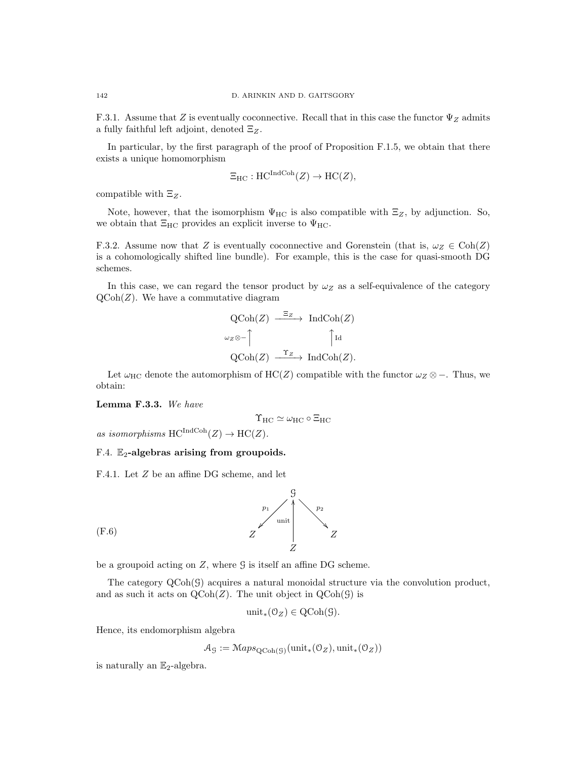F.3.1. Assume that Z is eventually coconnective. Recall that in this case the functor  $\Psi_Z$  admits a fully faithful left adjoint, denoted  $\Xi_Z$ .

In particular, by the first paragraph of the proof of Proposition F.1.5, we obtain that there exists a unique homomorphism

$$
\Xi_{\mathrm{HC}} : \mathrm{HC}^{\mathrm{IndCoh}}(Z) \to \mathrm{HC}(Z),
$$

compatible with  $\Xi_Z$ .

Note, however, that the isomorphism  $\Psi_{\rm HC}$  is also compatible with  $\Xi_Z$ , by adjunction. So, we obtain that  $\Xi_{HC}$  provides an explicit inverse to  $\Psi_{HC}$ .

F.3.2. Assume now that Z is eventually coconnective and Gorenstein (that is,  $\omega_Z \in \text{Coh}(Z)$ is a cohomologically shifted line bundle). For example, this is the case for quasi-smooth DG schemes.

In this case, we can regard the tensor product by  $\omega_Z$  as a self-equivalence of the category  $\text{QCoh}(Z)$ . We have a commutative diagram

$$
QCoh(Z) \xrightarrow{\Xi_Z} IndCoh(Z)
$$
  

$$
\omega_Z \otimes \text{-} \uparrow \qquad \qquad \uparrow \text{Id}
$$
  

$$
QCoh(Z) \xrightarrow{\Upsilon_Z} IndCoh(Z).
$$

Let  $\omega_{\text{HC}}$  denote the automorphism of HC(Z) compatible with the functor  $\omega_Z \otimes -$ . Thus, we obtain:

Lemma F.3.3. We have

$$
\Upsilon_{\rm HC}\simeq \omega_{\rm HC}\circ \Xi_{\rm HC}
$$

as isomorphisms  $HC^{IndCoh}(Z) \to HC(Z)$ .

## F.4.  $\mathbb{E}_2$ -algebras arising from groupoids.

F.4.1. Let Z be an affine DG scheme, and let



(F.6)

be a groupoid acting on  $Z$ , where  $\mathcal G$  is itself an affine DG scheme.

The category QCoh(G) acquires a natural monoidal structure via the convolution product, and as such it acts on  $\text{QCoh}(Z)$ . The unit object in  $\text{QCoh}(\mathcal{G})$  is

$$
\text{unit}_*(\mathcal{O}_Z) \in \text{QCoh}(\mathcal{G}).
$$

Hence, its endomorphism algebra

$$
\mathcal{A}_{\mathcal{G}} := \mathcal{M}aps_{\mathrm{QCoh}(\mathcal{G})}(\mathrm{unit}_*(\mathcal{O}_Z),\mathrm{unit}_*(\mathcal{O}_Z))
$$

is naturally an  $\mathbb{E}_2$ -algebra.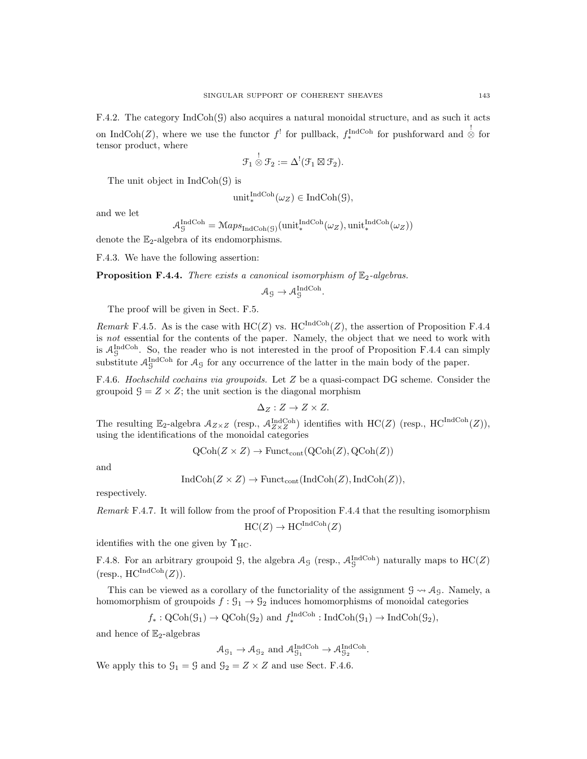F.4.2. The category  $IndCoh(\mathcal{G})$  also acquires a natural monoidal structure, and as such it acts on IndCoh(Z), where we use the functor  $f^!$  for pullback,  $f_*^{\text{IndCoh}}$  for pushforward and  $\stackrel{!}{\otimes}$  for tensor product, where

$$
\mathcal{F}_1 \overset{!}{\otimes} \mathcal{F}_2 := \Delta^!(\mathcal{F}_1 \boxtimes \mathcal{F}_2).
$$

The unit object in  $IndCoh(\mathcal{G})$  is

$$
\operatorname{unit}^{\operatorname{IndCoh}}_*(\omega_Z) \in \operatorname{IndCoh}(\mathcal{G}),
$$

and we let

$$
A_{\mathcal{G}}^{\text{IndCoh}} = \mathcal{M}aps_{\text{IndCoh}(\mathcal{G})}(\text{unit}_{*}^{\text{IndCoh}}(\omega_Z), \text{unit}_{*}^{\text{IndCoh}}(\omega_Z))
$$

denote the  $\mathbb{E}_2$ -algebra of its endomorphisms.

F.4.3. We have the following assertion:

**Proposition F.4.4.** There exists a canonical isomorphism of  $\mathbb{E}_2$ -algebras.

$$
\mathcal{A}_{\mathcal{G}} \to \mathcal{A}_{\mathcal{G}}^{\text{IndCoh}}.
$$

The proof will be given in Sect. F.5.

Remark F.4.5. As is the case with  $HC(Z)$  vs.  $HC^{IndCoh}(Z)$ , the assertion of Proposition F.4.4 is not essential for the contents of the paper. Namely, the object that we need to work with is  $A_{\mathcal{G}}^{\text{IndCoh}}$ . So, the reader who is not interested in the proof of Proposition F.4.4 can simply substitute  $\mathcal{A}_{\mathcal{G}}^{\text{IndCoh}}$  for  $\mathcal{A}_{\mathcal{G}}$  for any occurrence of the latter in the main body of the paper.

F.4.6. Hochschild cochains via groupoids. Let Z be a quasi-compact DG scheme. Consider the groupoid  $\mathcal{G} = Z \times Z$ ; the unit section is the diagonal morphism

$$
\Delta_Z:Z\to Z\times Z.
$$

The resulting  $\mathbb{E}_2$ -algebra  $\mathcal{A}_{Z\times Z}$  (resp.,  $\mathcal{A}_{Z\times Z}^{\text{IndCoh}}$ ) identifies with  $HC(Z)$  (resp.,  $HC^{\text{IndCoh}}(Z)$ ), using the identifications of the monoidal categories

$$
QCoh(Z \times Z) \rightarrow
$$
 Funct<sub>cont</sub> $(QCoh(Z), QCoh(Z))$ 

and

$$
IndCoh(Z \times Z) \to Funct_{cont}(IndCoh(Z), IndCoh(Z)),
$$

respectively.

Remark F.4.7. It will follow from the proof of Proposition F.4.4 that the resulting isomorphism

$$
HC(Z) \to HC^{IndCoh}(Z)
$$

identifies with the one given by  $\Upsilon_{\text{HC}}$ .

F.4.8. For an arbitrary groupoid  $\mathcal{G}$ , the algebra  $\mathcal{A}_{\mathcal{G}}$  (resp.,  $\mathcal{A}_{\mathcal{G}}^{\text{IndCoh}}$ ) naturally maps to  $\text{HC}(Z)$  $(\text{resp., } \text{HC}^{\text{IndCoh}}(Z)).$ 

This can be viewed as a corollary of the functoriality of the assignment  $\mathcal{G} \rightarrow \mathcal{A}_{\mathcal{G}}$ . Namely, a homomorphism of groupoids  $f: \mathcal{G}_1 \to \mathcal{G}_2$  induces homomorphisms of monoidal categories

$$
f_*: \mathrm{QCoh}(\mathcal{G}_1) \to \mathrm{QCoh}(\mathcal{G}_2)
$$
 and  $f_*^{\mathrm{IndCoh}}: \mathrm{IndCoh}(\mathcal{G}_1) \to \mathrm{IndCoh}(\mathcal{G}_2)$ ,

and hence of  $\mathbb{E}_2$ -algebras

 $\mathcal{A}_{\mathcal{G}_1} \to \mathcal{A}_{\mathcal{G}_2}$  and  $\mathcal{A}_{\mathcal{G}_1}^{\text{IndCoh}} \to \mathcal{A}_{\mathcal{G}_2}^{\text{IndCoh}}$ .

We apply this to  $\mathcal{G}_1 = \mathcal{G}$  and  $\mathcal{G}_2 = Z \times Z$  and use Sect. F.4.6.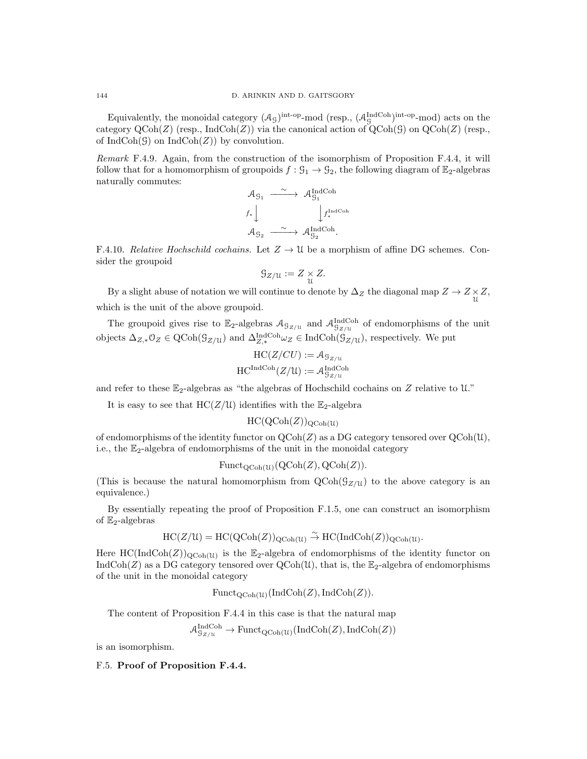Equivalently, the monoidal category  $(\mathcal{A}_{\mathcal{G}})^{\text{int-op}}$ -mod (resp.,  $(\mathcal{A}_{\mathcal{G}}^{\text{IndCoh}})^{\text{int-op}}$ -mod) acts on the category  $\text{QCoh}(Z)$  (resp., IndCoh(Z)) via the canonical action of  $\text{QCoh}(G)$  on  $\text{QCoh}(Z)$  (resp., of  $IndCoh(\mathcal{G})$  on  $IndCoh(Z)$  by convolution.

Remark F.4.9. Again, from the construction of the isomorphism of Proposition F.4.4, it will follow that for a homomorphism of groupoids  $f: \mathfrak{G}_1 \to \mathfrak{G}_2$ , the following diagram of  $\mathbb{E}_2$ -algebras naturally commutes:

$$
\begin{array}{ccc}\n\mathcal{A}_{\mathcal{G}_1} & \xrightarrow{\sim} & \mathcal{A}_{\mathcal{G}_1}^{\mathrm{IndCoh}} \\
f_*\downarrow & & \downarrow f_*^{\mathrm{IndCoh}} \\
\mathcal{A}_{\mathcal{G}_2} & \xrightarrow{\sim} & \mathcal{A}_{\mathcal{G}_2}^{\mathrm{IndCoh}}.\n\end{array}
$$

F.4.10. Relative Hochschild cochains. Let  $Z \to \mathcal{U}$  be a morphism of affine DG schemes. Consider the groupoid

$$
\mathcal{G}_{Z/\mathfrak{U}} := Z \underset{\mathfrak{U}}{\times} Z.
$$

By a slight abuse of notation we will continue to denote by  $\Delta_Z$  the diagonal map  $Z \to Z \times Z$ ,  $\frac{1}{u}$ which is the unit of the above groupoid.

The groupoid gives rise to  $\mathbb{E}_2$ -algebras  $\mathcal{A}_{\mathcal{G}_{Z/U}}$  and  $\mathcal{A}_{\mathcal{G}_{Z/U}}^{\text{IndCoh}}$  of endomorphisms of the unit objects  $\Delta_{Z,*} 0_Z \in \text{QCoh}(\mathcal{G}_{Z/\mathcal{U}})$  and  $\Delta_{Z,*}^{\text{IndCoh}} \omega_Z \in \text{IndCoh}(\mathcal{G}_{Z/\mathcal{U}})$ , respectively. We put

$$
HC(Z/CU) := \mathcal{A}_{\mathcal{G}_{Z/U}}
$$

$$
HC^{\text{IndCoh}}(Z/\mathcal{U}) := \mathcal{A}_{\mathcal{G}_{Z/U}}^{\text{IndCoh}}
$$

and refer to these  $\mathbb{E}_2$ -algebras as "the algebras of Hochschild cochains on Z relative to U."

It is easy to see that  $HC(Z/U)$  identifies with the  $\mathbb{E}_2$ -algebra

 $HC(QCoh(Z))_{QCoh(U)}$ 

of endomorphisms of the identity functor on  $\text{QCoh}(Z)$  as a DG category tensored over  $\text{QCoh}(\mathfrak{U})$ , i.e., the  $\mathbb{E}_2$ -algebra of endomorphisms of the unit in the monoidal category

$$
\mathrm{Funct}_{\mathrm{QCoh}(\mathcal{U})}(\mathrm{QCoh}(Z), \mathrm{QCoh}(Z)).
$$

(This is because the natural homomorphism from  $QCoh(\mathcal{G}_{Z/U})$  to the above category is an equivalence.)

By essentially repeating the proof of Proposition F.1.5, one can construct an isomorphism of  $\mathbb{E}_2$ -algebras

$$
HC(Z/\mathcal{U}) = HC(QCoh(Z))_{QCoh(\mathcal{U})} \overset{\sim}{\to} HC(IndCoh(Z))_{QCoh(\mathcal{U})}.
$$

Here  $HC(IndCoh(Z))_{QCoh(U)}$  is the  $\mathbb{E}_2$ -algebra of endomorphisms of the identity functor on IndCoh(Z) as a DG category tensored over  $\text{QCoh}(\mathcal{U})$ , that is, the  $\mathbb{E}_2$ -algebra of endomorphisms of the unit in the monoidal category

$$
\mathrm{Funct}_{\mathrm{QCoh}(\mathcal{U})}(\mathrm{IndCoh}(Z), \mathrm{IndCoh}(Z)).
$$

The content of Proposition F.4.4 in this case is that the natural map

$$
\mathcal{A}_{\mathcal{G}_{Z/\mathfrak{U}}}^{\mathrm{IndCoh}} \to \mathrm{Funct}_{\mathrm{QCoh}(\mathfrak{U})}(\mathrm{IndCoh}(Z), \mathrm{IndCoh}(Z))
$$

is an isomorphism.

#### F.5. Proof of Proposition F.4.4.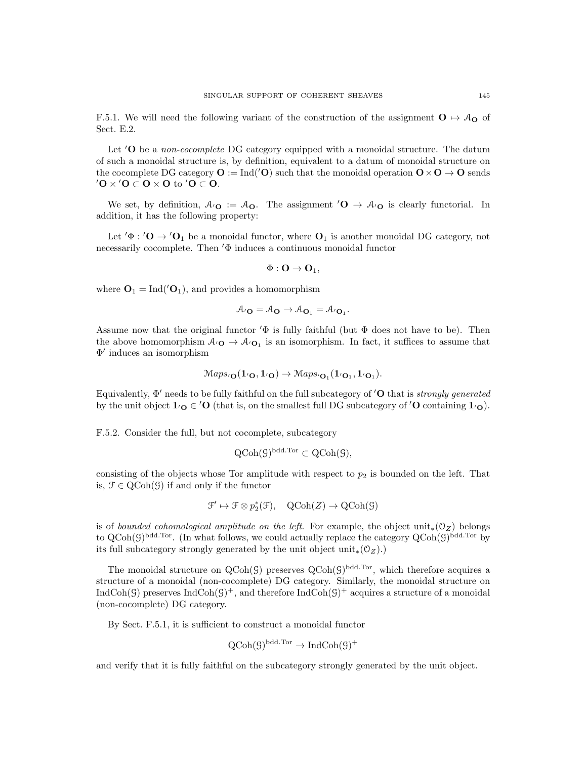F.5.1. We will need the following variant of the construction of the assignment  $O \rightarrow \mathcal{A}_O$  of Sect. E.2.

Let  $'O$  be a *non-cocomplete* DG category equipped with a monoidal structure. The datum of such a monoidal structure is, by definition, equivalent to a datum of monoidal structure on the cocomplete DG category  $\mathbf{O} := \text{Ind}'(\mathbf{O})$  such that the monoidal operation  $\mathbf{O} \times \mathbf{O} \to \mathbf{O}$  sends  $\mathbf{O} \times \mathbf{O} \subset \mathbf{O} \times \mathbf{O}$  to  $\mathbf{O} \subset \mathbf{O}$ .

We set, by definition,  $A_O := A_O$ . The assignment  $'O \to A_O$  is clearly functorial. In addition, it has the following property:

Let  $\Phi : \mathcal{O} \to \mathcal{O}_1$  be a monoidal functor, where  $\mathcal{O}_1$  is another monoidal DG category, not necessarily cocomplete. Then  $\Phi$  induces a continuous monoidal functor

$$
\Phi: {\bf O} \to {\bf O}_1,
$$

where  $\mathbf{O}_1 = \text{Ind}(\prime \mathbf{O}_1)$ , and provides a homomorphism

$$
\mathcal{A}_{^{\prime}}\mathbf{O}=\mathcal{A}_{\mathbf{O}}\rightarrow\mathcal{A}_{\mathbf{O}_{1}}=\mathcal{A}_{^{\prime}}\mathbf{O}_{1}.
$$

Assume now that the original functor  $\Phi$  is fully faithful (but  $\Phi$  does not have to be). Then the above homomorphism  $A_{\mathcal{O}} \to A_{\mathcal{O}_1}$  is an isomorphism. In fact, it suffices to assume that Φ 0 induces an isomorphism

$$
\mathcal{M}aps_0(\mathbf{1}_{\mathcal{O}},\mathbf{1}_{\mathcal{O}})\rightarrow \mathcal{M}aps_0(\mathbf{1}_{\mathcal{O}_1},\mathbf{1}_{\mathcal{O}_1}).
$$

Equivalently,  $\Phi'$  needs to be fully faithful on the full subcategory of  $'O$  that is *strongly generated* by the unit object  $1_{\mathcal{O}} \in \mathcal{O}$  (that is, on the smallest full DG subcategory of  $\mathcal{O}$  containing  $1_{\mathcal{O}}$ ).

F.5.2. Consider the full, but not cocomplete, subcategory

$$
QCoh(\mathcal{G})^{bdd.Tor} \subset QCoh(\mathcal{G}),
$$

consisting of the objects whose Tor amplitude with respect to  $p_2$  is bounded on the left. That is,  $\mathfrak{F} \in \mathrm{QCoh}(\mathcal{G})$  if and only if the functor

$$
\mathcal{F}' \mapsto \mathcal{F} \otimes p_2^*(\mathcal{F}), \quad \text{QCoh}(Z) \to \text{QCoh}(\mathcal{G})
$$

is of bounded cohomological amplitude on the left. For example, the object unit<sub>\*</sub>( $\mathcal{O}_Z$ ) belongs to  $Q\text{Coh}(\mathcal{G})^{\text{bdd.Tor}}$ . (In what follows, we could actually replace the category  $Q\text{Coh}(\mathcal{G})^{\text{bdd.Tor}}$  by its full subcategory strongly generated by the unit object  $unit_*(0_Z)$ .)

The monoidal structure on  $\text{QCoh}(\mathcal{G})$  preserves  $\text{QCoh}(\mathcal{G})^{\text{bdd.Tor}}$ , which therefore acquires a structure of a monoidal (non-cocomplete) DG category. Similarly, the monoidal structure on IndCoh(G) preserves IndCoh(G)<sup>+</sup>, and therefore IndCoh(G)<sup>+</sup> acquires a structure of a monoidal (non-cocomplete) DG category.

By Sect. F.5.1, it is sufficient to construct a monoidal functor

$$
QCoh(\mathcal{G})^{bdd.Tor} \to IndCoh(\mathcal{G})^+
$$

and verify that it is fully faithful on the subcategory strongly generated by the unit object.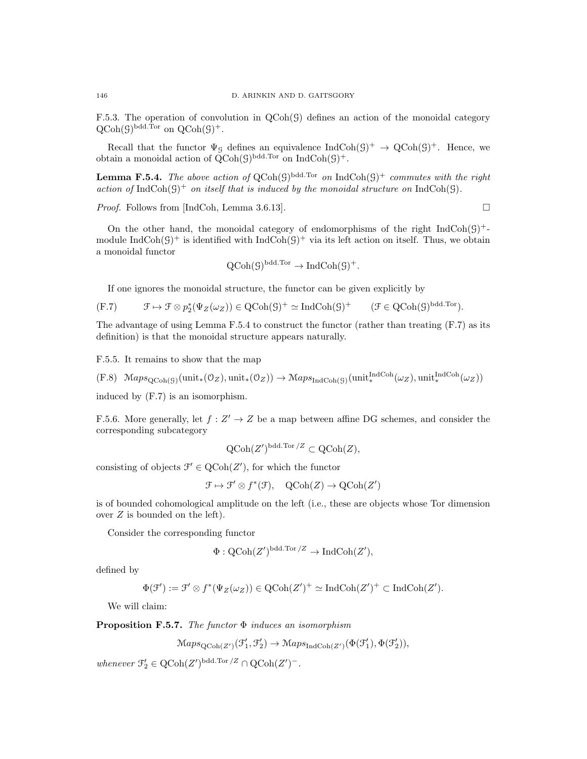F.5.3. The operation of convolution in  $QCoh(\mathcal{G})$  defines an action of the monoidal category  $\mathrm{QCoh}(\mathcal{G})^{\mathrm{bdd. Tor}}$  on  $\mathrm{QCoh}(\mathcal{G})^+$ .

Recall that the functor  $\Psi_{\mathcal{G}}$  defines an equivalence  $\text{IndCoh}(\mathcal{G})^+ \to \text{QCoh}(\mathcal{G})^+$ . Hence, we obtain a monoidal action of  $QCoh(\mathcal{G})^{\text{bdd-Tor}}$  on  $\text{IndCoh}(\mathcal{G})^+$ .

**Lemma F.5.4.** The above action of  $QCoh(\mathcal{G})^{\text{bdd.Tor}}$  on  $IndCoh(\mathcal{G})^+$  commutes with the right action of IndCoh( $\mathcal{G}$ )<sup>+</sup> on itself that is induced by the monoidal structure on IndCoh( $\mathcal{G}$ ).

*Proof.* Follows from [IndCoh, Lemma 3.6.13].  $\square$ 

On the other hand, the monoidal category of endomorphisms of the right  $IndCoh(\mathcal{G})^+$ module IndCoh( $\mathcal{G}$ )<sup>+</sup> is identified with IndCoh( $\mathcal{G}$ )<sup>+</sup> via its left action on itself. Thus, we obtain a monoidal functor

$$
QCoh(\mathcal{G})^{\text{bdd.Tor}} \to \text{IndCoh}(\mathcal{G})^+.
$$

If one ignores the monoidal structure, the functor can be given explicitly by

(F.7) F 7→ F ⊗ p ∗ 2 (ΨZ(ωZ)) ∈ QCoh(G) + ' IndCoh(G) <sup>+</sup> (F ∈ QCoh(G) bdd.Tor).

The advantage of using Lemma F.5.4 to construct the functor (rather than treating (F.7) as its definition) is that the monoidal structure appears naturally.

F.5.5. It remains to show that the map

 $(F.8)$   $\mathcal{M}aps_{\text{QCoh}(\mathcal{G})}(\text{unit}_*(\mathcal{O}_Z), \text{unit}_*(\mathcal{O}_Z)) \to \mathcal{M}aps_{\text{IndCoh}(\mathcal{G})}(\text{unit}_*^{\text{IndCoh}}(\omega_Z), \text{unit}_*^{\text{IndCoh}}(\omega_Z))$ 

induced by (F.7) is an isomorphism.

F.5.6. More generally, let  $f: Z' \to Z$  be a map between affine DG schemes, and consider the corresponding subcategory

$$
Q\text{Coh}(Z')^{\text{bdd.Tor}/Z} \subset Q\text{Coh}(Z),
$$

consisting of objects  $\mathcal{F}' \in \mathrm{QCoh}(Z')$ , for which the functor

$$
\mathcal{F} \mapsto \mathcal{F}' \otimes f^*(\mathcal{F}), \quad \text{QCoh}(Z) \to \text{QCoh}(Z')
$$

is of bounded cohomological amplitude on the left (i.e., these are objects whose Tor dimension over  $Z$  is bounded on the left).

Consider the corresponding functor

$$
\Phi: \mathrm{QCoh}(Z')^{\mathrm{bdd.Tor}/Z} \to \mathrm{IndCoh}(Z'),
$$

defined by

$$
\Phi(\mathcal{F}') := \mathcal{F}' \otimes f^*(\Psi_Z(\omega_Z)) \in \mathrm{QCoh}(Z')^+ \simeq \mathrm{IndCoh}(Z')^+ \subset \mathrm{IndCoh}(Z').
$$

We will claim:

**Proposition F.5.7.** The functor  $\Phi$  induces an isomorphism

$$
\mathrm{Maps}_{\mathrm{QCoh}(Z')}(\mathcal{F}'_1, \mathcal{F}'_2) \to \mathrm{Maps}_{\mathrm{IndCoh}(Z')}(\Phi(\mathcal{F}'_1), \Phi(\mathcal{F}'_2)),
$$

whenever  $\mathcal{F}'_2 \in \mathrm{QCoh}(Z')^{\mathrm{bdd. Tor}/Z} \cap \mathrm{QCoh}(Z')^-.$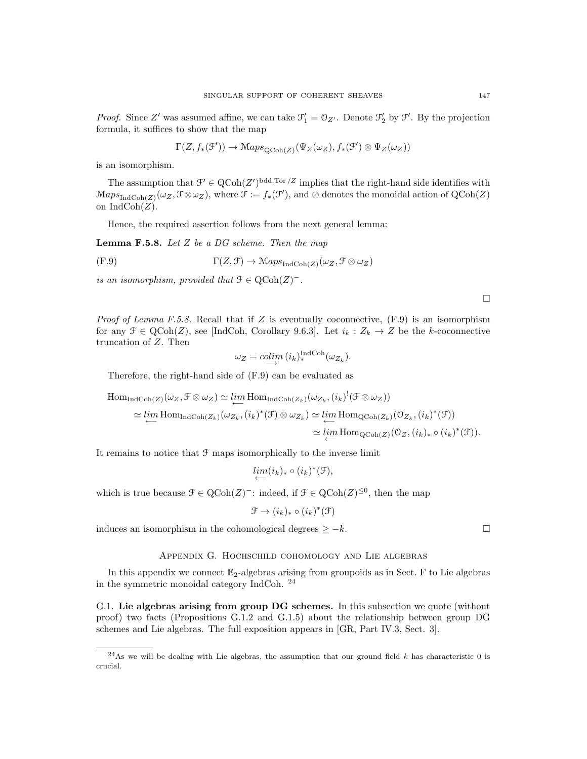*Proof.* Since Z' was assumed affine, we can take  $\mathcal{F}'_1 = \mathcal{O}_{Z'}$ . Denote  $\mathcal{F}'_2$  by  $\mathcal{F}'$ . By the projection formula, it suffices to show that the map

$$
\Gamma(Z, f_*(\mathcal{F}')) \to \mathrm{Maps}_{\mathrm{QCoh}(Z)}(\Psi_Z(\omega_Z), f_*(\mathcal{F}') \otimes \Psi_Z(\omega_Z))
$$

is an isomorphism.

The assumption that  $\mathcal{F}' \in \mathrm{QCoh}(Z')^{\mathrm{bdd.Tor}/Z}$  implies that the right-hand side identifies with  $\operatorname{Maps}_{\operatorname{IndCoh}(Z)}(\omega_Z, \mathcal{F} \otimes \omega_Z)$ , where  $\mathcal{F} := f_*(\mathcal{F}')$ , and  $\otimes$  denotes the monoidal action of  $\operatorname{QCoh}(Z)$ on  $IndCoh(Z)$ .

Hence, the required assertion follows from the next general lemma:

**Lemma F.5.8.** Let  $Z$  be a DG scheme. Then the map

$$
\Gamma(Z, \mathcal{F}) \to \mathrm{Maps}_{\mathrm{IndCoh}(Z)}(\omega_Z, \mathcal{F} \otimes \omega_Z)
$$

is an isomorphism, provided that  $\mathcal{F} \in \text{QCoh}(Z)^-$ .

*Proof of Lemma F.5.8.* Recall that if Z is eventually coconnective,  $(F.9)$  is an isomorphism for any  $\mathcal{F} \in \text{QCoh}(Z)$ , see [IndCoh, Corollary 9.6.3]. Let  $i_k : Z_k \to Z$  be the k-coconnective truncation of Z. Then

$$
\omega_Z = \operatorname{colim}_{\longrightarrow} (i_k)_*^{\operatorname{IndCoh}}(\omega_{Z_k}).
$$

Therefore, the right-hand side of (F.9) can be evaluated as

$$
\text{Hom}_{\text{IndCoh}(Z)}(\omega_Z, \mathcal{F} \otimes \omega_Z) \simeq \lim_{\leftarrow} \text{Hom}_{\text{IndCoh}(Z_k)}(\omega_{Z_k}, (i_k)^!(\mathcal{F} \otimes \omega_Z))
$$
\n
$$
\simeq \lim_{\leftarrow} \text{Hom}_{\text{IndCoh}(Z_k)}(\omega_{Z_k}, (i_k)^*(\mathcal{F}) \otimes \omega_{Z_k}) \simeq \lim_{\leftarrow} \text{Hom}_{\text{QCoh}(Z_k)}(\mathcal{O}_{Z_k}, (i_k)^*(\mathcal{F}))
$$
\n
$$
\simeq \lim_{\leftarrow} \text{Hom}_{\text{QCoh}(Z)}(\mathcal{O}_Z, (i_k)_* \circ (i_k)^*(\mathcal{F})).
$$

It remains to notice that  $\mathcal F$  maps isomorphically to the inverse limit

$$
\underset{\longleftarrow}{\lim}(i_k)_*\circ (i_k)^*(\mathcal{F}),
$$

which is true because  $\mathcal{F} \in \text{QCoh}(Z)^{-}$ : indeed, if  $\mathcal{F} \in \text{QCoh}(Z)^{\leq 0}$ , then the map

$$
\mathcal{F} \to (i_k)_* \circ (i_k)^*(\mathcal{F})
$$

induces an isomorphism in the cohomological degrees  $\geq -k$ .

# Appendix G. Hochschild cohomology and Lie algebras

In this appendix we connect  $\mathbb{E}_2$ -algebras arising from groupoids as in Sect. F to Lie algebras in the symmetric monoidal category IndCoh. <sup>24</sup>

G.1. Lie algebras arising from group DG schemes. In this subsection we quote (without proof) two facts (Propositions G.1.2 and G.1.5) about the relationship between group DG schemes and Lie algebras. The full exposition appears in [GR, Part IV.3, Sect. 3].

 $\Box$ 

<sup>&</sup>lt;sup>24</sup>As we will be dealing with Lie algebras, the assumption that our ground field k has characteristic 0 is crucial.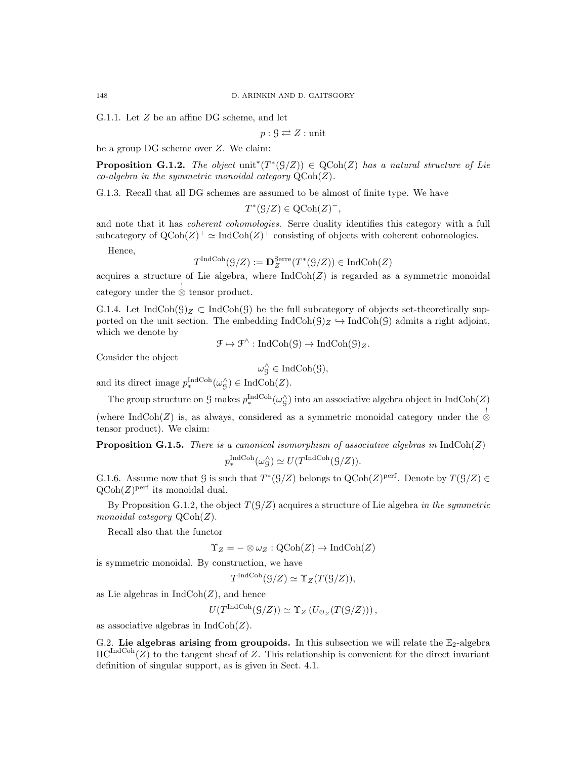G.1.1. Let Z be an affine DG scheme, and let

$$
p:\mathcal{G}\rightleftarrows Z:\text{unit}
$$

be a group DG scheme over Z. We claim:

**Proposition G.1.2.** The object  $\text{unit}^*(T^*(\mathcal{G}/Z)) \in \text{QCoh}(Z)$  has a natural structure of Lie co-algebra in the symmetric monoidal category  $\mathrm{QCoh}(Z)$ .

G.1.3. Recall that all DG schemes are assumed to be almost of finite type. We have

$$
T^*(\mathcal{G}/Z) \in \mathrm{QCoh}(Z)^-,
$$

and note that it has *coherent cohomologies*. Serre duality identifies this category with a full subcategory of  $QCoh(Z)^{+} \simeq IndCoh(Z)^{+}$  consisting of objects with coherent cohomologies.

Hence,

$$
T^{\text{IndCoh}}(\mathcal G/Z):=\mathbf{D}_Z^{\text{Serre}}(T^*(\mathcal G/Z))\in \text{IndCoh}(Z)
$$

acquires a structure of Lie algebra, where  $IndCoh(Z)$  is regarded as a symmetric monoidal category under the  $\stackrel{!}{\otimes}$  tensor product.

G.1.4. Let IndCoh( $\mathcal{G})_Z \subset \text{IndCoh}(\mathcal{G})$  be the full subcategory of objects set-theoretically supported on the unit section. The embedding  $IndCoh(\mathcal{G})_Z \hookrightarrow IndCoh(\mathcal{G})$  admits a right adjoint, which we denote by

$$
\mathcal{F} \mapsto \mathcal{F}^{\wedge} : \mathrm{IndCoh}(\mathcal{G}) \to \mathrm{IndCoh}(\mathcal{G})_{Z}.
$$

Consider the object

$$
\omega^{\wedge}_\mathcal{G} \in \mathrm{IndCoh}(\mathcal{G}),
$$

and its direct image  $p_*^{\text{IndCoh}}(\omega_{\mathcal{G}}^{\wedge}) \in \text{IndCoh}(Z)$ .

The group structure on  $\mathcal G$  makes  $p_*^{\text{IndCoh}}(\omega_{\mathcal G}^{\wedge})$  into an associative algebra object in  $\text{IndCoh}(Z)$ 

(where IndCoh(Z) is, as always, considered as a symmetric monoidal category under the ⊗ tensor product). We claim:

**Proposition G.1.5.** There is a canonical isomorphism of associative algebras in  $IndCoh(Z)$  $p_*^{\text{IndCoh}}(\omega_S^{\wedge}) \simeq U(T^{\text{IndCoh}}(\mathcal{G}/Z)).$ 

G.1.6. Assume now that  $\mathcal{G}$  is such that  $T^*(\mathcal{G}/Z)$  belongs to  $\mathrm{QCoh}(Z)^\mathrm{perf}$ . Denote by  $T(\mathcal{G}/Z) \in$  $\mathrm{QCoh}(Z)$ <sup>perf</sup> its monoidal dual.

By Proposition G.1.2, the object  $T(\mathcal{G}/Z)$  acquires a structure of Lie algebra in the symmetric monoidal category  $\mathrm{QCoh}(Z)$ .

Recall also that the functor

 $\Upsilon_Z = -\otimes \omega_Z : \mathrm{QCoh}(Z) \to \mathrm{IndCoh}(Z)$ 

is symmetric monoidal. By construction, we have

$$
T^{\text{IndCoh}}(\mathcal{G}/Z) \simeq \Upsilon_Z(T(\mathcal{G}/Z)),
$$

as Lie algebras in  $\text{IndCoh}(Z)$ , and hence

$$
U(T^{\text{IndCoh}}(\mathcal{G}/Z)) \simeq \Upsilon_Z(U_{\mathcal{O}_Z}(T(\mathcal{G}/Z))),
$$

as associative algebras in  $\text{IndCoh}(Z)$ .

G.2. Lie algebras arising from groupoids. In this subsection we will relate the  $\mathbb{E}_2$ -algebra  $HC^{\text{IndCoh}}(Z)$  to the tangent sheaf of Z. This relationship is convenient for the direct invariant definition of singular support, as is given in Sect. 4.1.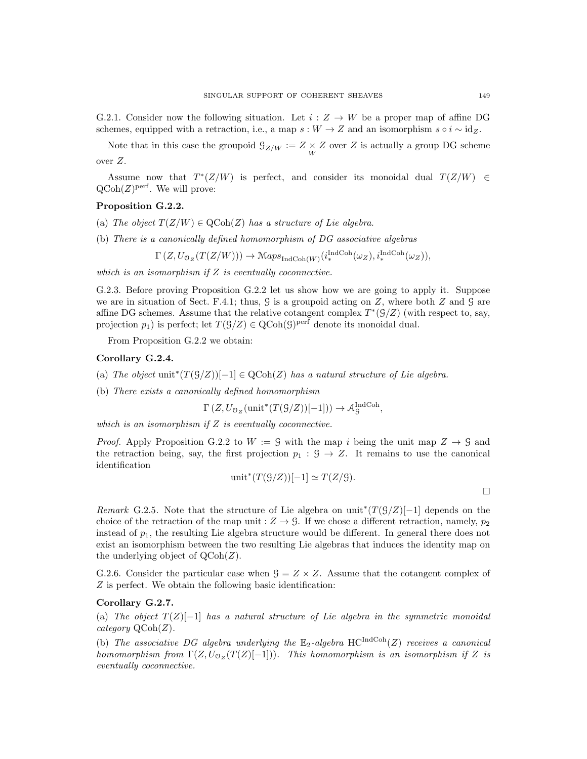G.2.1. Consider now the following situation. Let  $i: Z \to W$  be a proper map of affine DG schemes, equipped with a retraction, i.e., a map  $s : W \to Z$  and an isomorphism  $s \circ i \sim id_Z$ .

Note that in this case the groupoid  $\mathcal{G}_{Z/W} := Z \times Z$  over Z is actually a group DG scheme over Z.

Assume now that  $T^*(Z/W)$  is perfect, and consider its monoidal dual  $T(Z/W) \in$  $\mathrm{QCoh}(Z)^\mathrm{perf}$ . We will prove:

# Proposition G.2.2.

- (a) The object  $T(Z/W) \in \text{QCoh}(Z)$  has a structure of Lie algebra.
- (b) There is a canonically defined homomorphism of DG associative algebras

$$
\Gamma\left(Z, U_{\mathcal{O}_Z}(T(Z/W))\right) \to \mathcal{M}aps_{\mathrm{IndCoh}(W)}(i_*^{\mathrm{IndCoh}}(\omega_Z), i_*^{\mathrm{IndCoh}}(\omega_Z)),
$$

which is an isomorphism if  $Z$  is eventually coconnective.

G.2.3. Before proving Proposition G.2.2 let us show how we are going to apply it. Suppose we are in situation of Sect. F.4.1; thus,  $\hat{G}$  is a groupoid acting on  $Z$ , where both  $Z$  and  $\hat{G}$  are affine DG schemes. Assume that the relative cotangent complex  $T^*(\mathcal{G}/Z)$  (with respect to, say, projection  $p_1$ ) is perfect; let  $T(\mathcal{G}/Z) \in \text{QCoh}(\mathcal{G})^{\text{perf}}$  denote its monoidal dual.

From Proposition G.2.2 we obtain:

#### Corollary G.2.4.

- (a) The object unit<sup>\*</sup>(T(S/Z))[-1]  $\in \text{QCoh}(Z)$  has a natural structure of Lie algebra.
- (b) There exists a canonically defined homomorphism

$$
\Gamma\left(Z, U_{\mathcal{O}_Z}(\text{unit}^*(T(\mathcal{G}/Z))[-1])\right) \to \mathcal{A}_{\mathcal{G}}^{\text{IndCoh}},
$$

which is an isomorphism if  $Z$  is eventually coconnective.

*Proof.* Apply Proposition G.2.2 to  $W := \mathcal{G}$  with the map i being the unit map  $Z \to \mathcal{G}$  and the retraction being, say, the first projection  $p_1 : \mathcal{G} \to \mathbb{Z}$ . It remains to use the canonical identification

$$
\text{unit}^*(T(\mathcal{G}/Z))[-1] \simeq T(Z/\mathcal{G}).
$$

Remark G.2.5. Note that the structure of Lie algebra on unit<sup>\*</sup>( $T(\mathcal{G}/Z)[-1]$  depends on the choice of the retraction of the map unit :  $Z \rightarrow \mathcal{G}$ . If we chose a different retraction, namely,  $p_2$ instead of  $p_1$ , the resulting Lie algebra structure would be different. In general there does not exist an isomorphism between the two resulting Lie algebras that induces the identity map on the underlying object of  $\text{QCoh}(Z)$ .

G.2.6. Consider the particular case when  $G = Z \times Z$ . Assume that the cotangent complex of Z is perfect. We obtain the following basic identification:

#### Corollary G.2.7.

(a) The object  $T(Z)[-1]$  has a natural structure of Lie algebra in the symmetric monoidal category  $\mathrm{QCoh}(Z)$ .

(b) The associative DG algebra underlying the  $\mathbb{E}_2$ -algebra  $HC^{IndCoh}(Z)$  receives a canonical homomorphism from  $\Gamma(Z, U_{\mathcal{O}_Z}(T(Z)[-1]))$ . This homomorphism is an isomorphism if Z is eventually coconnective.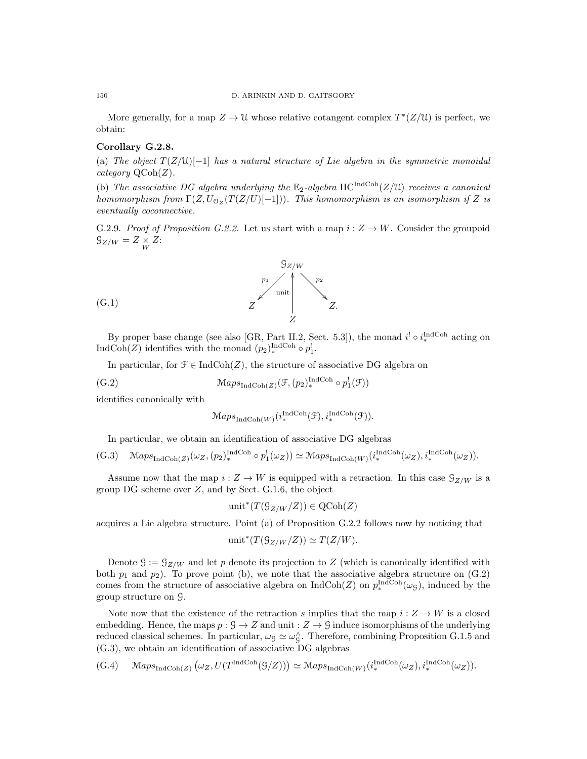More generally, for a map  $Z \to \mathcal{U}$  whose relative cotangent complex  $T^*(Z/\mathcal{U})$  is perfect, we obtain:

### Corollary G.2.8.

(a) The object  $T(Z/\mathfrak{U})[-1]$  has a natural structure of Lie algebra in the symmetric monoidal category  $\mathrm{QCoh}(Z)$ .

(b) The associative DG algebra underlying the  $\mathbb{E}_2$ -algebra HC<sup>IndCoh</sup>(Z/U) receives a canonical homomorphism from  $\Gamma(Z, U_{\mathcal{O}_Z}(T(Z/U)[-1]))$ . This homomorphism is an isomorphism if Z is eventually coconnective.

G.2.9. Proof of Proposition G.2.2. Let us start with a map  $i: Z \to W$ . Consider the groupoid  $\mathcal{G}_{Z/W} = Z \underset{W}{\times} Z$ :



By proper base change (see also [GR, Part II.2, Sect. 5.3]), the monad  $i^! \circ i_*^{\text{IndCoh}}$  acting on IndCoh(Z) identifies with the monad  $(p_2)_{*}^{\text{IndCoh}} \circ p_1^!$ .

In particular, for  $\mathcal{F} \in \text{IndCoh}(Z)$ , the structure of associative DG algebra on

$$
(G.2) \qquad \qquad \mathcal{M}aps_{\mathrm{IndCoh}(Z)}(\mathcal{F}, (p_2)^{\mathrm{IndCoh}}_{*} \circ p_1^!(\mathcal{F}))
$$

identifies canonically with

$$
\mathcal{M}aps_{\mathrm{IndCoh}(W)}(i_*^{\mathrm{IndCoh}}(\mathcal{F}), i_*^{\mathrm{IndCoh}}(\mathcal{F})).
$$

In particular, we obtain an identification of associative DG algebras

$$
(G.3) \quad \mathcal{M}aps_{\mathrm{IndCoh}(Z)}(\omega_Z, (p_2)^{\mathrm{IndCoh}}_*) \circ p_1^!(\omega_Z)) \simeq \mathcal{M}aps_{\mathrm{IndCoh}(W)}(i_*^{\mathrm{IndCoh}}(\omega_Z), i_*^{\mathrm{IndCoh}}(\omega_Z)).
$$

Assume now that the map  $i: Z \to W$  is equipped with a retraction. In this case  $\mathcal{G}_{Z/W}$  is a group  $DG$  scheme over  $Z$ , and by Sect.  $G.1.6$ , the object

$$
\text{unit}^*(T(\mathcal{G}_{Z/W}/Z)) \in \text{QCoh}(Z)
$$

acquires a Lie algebra structure. Point (a) of Proposition G.2.2 follows now by noticing that

$$
unit^*(T(\mathcal{G}_{Z/W}/Z)) \simeq T(Z/W).
$$

Denote  $\mathcal{G} := \mathcal{G}_{Z/W}$  and let p denote its projection to Z (which is canonically identified with both  $p_1$  and  $p_2$ ). To prove point (b), we note that the associative algebra structure on  $(G.2)$ comes from the structure of associative algebra on  $\text{IndCoh}(Z)$  on  $p_*^{\text{IndCoh}}(\omega_S)$ , induced by the group structure on G.

Note now that the existence of the retraction s implies that the map  $i: Z \to W$  is a closed embedding. Hence, the maps  $p : \mathcal{G} \to Z$  and unit  $: Z \to \mathcal{G}$  induce isomorphisms of the underlying reduced classical schemes. In particular,  $\omega_g \simeq \omega_g^{\wedge}$ . Therefore, combining Proposition G.1.5 and (G.3), we obtain an identification of associative DG algebras

$$
(G.4) \qquad \mathcal{M}aps_{\text{IndCoh}(Z)}\left(\omega_Z, U(T^{\text{IndCoh}}(\mathcal{G}/Z))\right) \simeq \mathcal{M}aps_{\text{IndCoh}(W)}(i_*^{\text{IndCoh}}(\omega_Z), i_*^{\text{IndCoh}}(\omega_Z)).
$$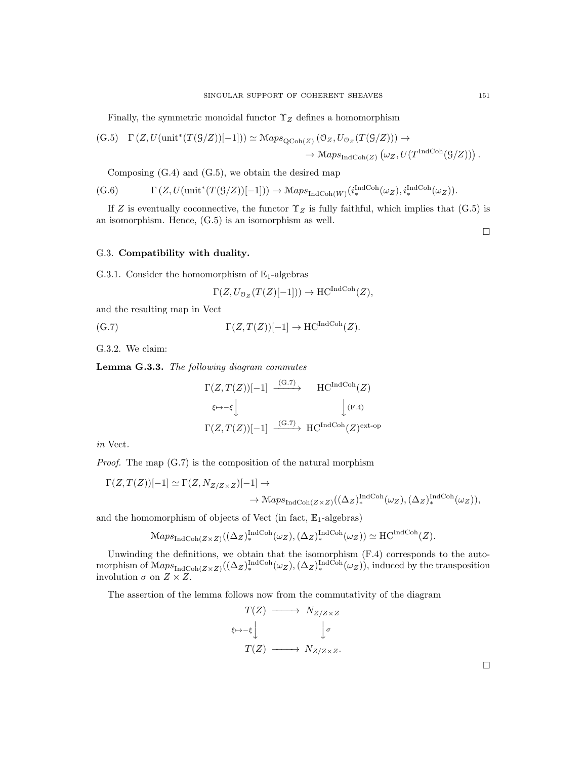Finally, the symmetric monoidal functor  $\Upsilon_Z$  defines a homomorphism

$$
(G.5) \quad \Gamma(Z, U(\text{unit}^*(T(\mathcal{G}/Z))[-1])) \simeq \mathcal{M}aps_{\text{QCoh}(Z)}(\mathcal{O}_Z, U_{\mathcal{O}_Z}(T(\mathcal{G}/Z))) \to
$$

$$
\rightarrow \mathcal{M}aps_{\text{IndCoh}(Z)}(\omega_Z, U(T^{\text{IndCoh}}(\mathcal{G}/Z))).
$$

Composing (G.4) and (G.5), we obtain the desired map

 $(G.6)$   $\Gamma(Z, U(\text{unit}^*(T(S/Z))[-1])) \to \text{Maps}_{\text{IndCoh}(W)}(i_*^{\text{IndCoh}}(\omega_Z), i_*^{\text{IndCoh}}(\omega_Z)).$ 

If Z is eventually coconnective, the functor  $\Upsilon_Z$  is fully faithful, which implies that (G.5) is an isomorphism. Hence, (G.5) is an isomorphism as well.

 $\Box$ 

# G.3. Compatibility with duality.

G.3.1. Consider the homomorphism of  $\mathbb{E}_1$ -algebras

$$
\Gamma(Z, U_{\mathcal{O}_Z}(T(Z)[-1])) \to \mathrm{HC}^{\mathrm{IndCoh}}(Z),
$$

and the resulting map in Vect

$$
\Gamma(Z, T(Z))[-1] \to \mathrm{HC}^{\mathrm{IndCoh}}(Z).
$$

G.3.2. We claim:

Lemma G.3.3. The following diagram commutes

$$
\Gamma(Z, T(Z))[-1] \xrightarrow{(G.7)} \text{HC}^{\text{IndCoh}}(Z)
$$
  

$$
\longleftrightarrow -\xi \downarrow \qquad \qquad \downarrow (F.4)
$$
  

$$
\Gamma(Z, T(Z))[-1] \xrightarrow{(G.7)} \text{HC}^{\text{IndCoh}}(Z)^{\text{ext-op}}
$$

in Vect.

Proof. The map (G.7) is the composition of the natural morphism

$$
\Gamma(Z,T(Z))[-1] \simeq \Gamma(Z,N_{Z/Z \times Z})[-1] \to
$$
  

$$
\rightarrow \text{Maps}_{\text{IndCoh}(Z \times Z)}((\Delta_Z)_{*}^{\text{IndCoh}}(\omega_Z),(\Delta_Z)_{*}^{\text{IndCoh}}(\omega_Z)),
$$

and the homomorphism of objects of Vect (in fact,  $\mathbb{E}_1$ -algebras)

$$
\mathrm{Maps}_{\mathrm{IndCoh}(Z\times Z)}((\Delta_Z)_*^{\mathrm{IndCoh}}(\omega_Z), (\Delta_Z)_*^{\mathrm{IndCoh}}(\omega_Z)) \simeq \mathrm{HC}^{\mathrm{IndCoh}}(Z).
$$

Unwinding the definitions, we obtain that the isomorphism (F.4) corresponds to the automorphism of  $\operatorname{Maps}_{\operatorname{IndCoh}(Z \times Z)}((\Delta_Z)_*^{\operatorname{IndCoh}}(\omega_Z), (\Delta_Z)_*^{\operatorname{IndCoh}}(\omega_Z)),$  induced by the transposition involution  $\sigma$  on  $Z \times Z$ .

The assertion of the lemma follows now from the commutativity of the diagram

$$
T(Z) \longrightarrow N_{Z/Z \times Z}
$$

$$
\longleftrightarrow \bigcup_{\tau \in \mathcal{F}} \bigcup_{\tau \in \mathcal{F}} \mathcal{F}(Z) \longrightarrow N_{Z/Z \times Z}.
$$

 $\Box$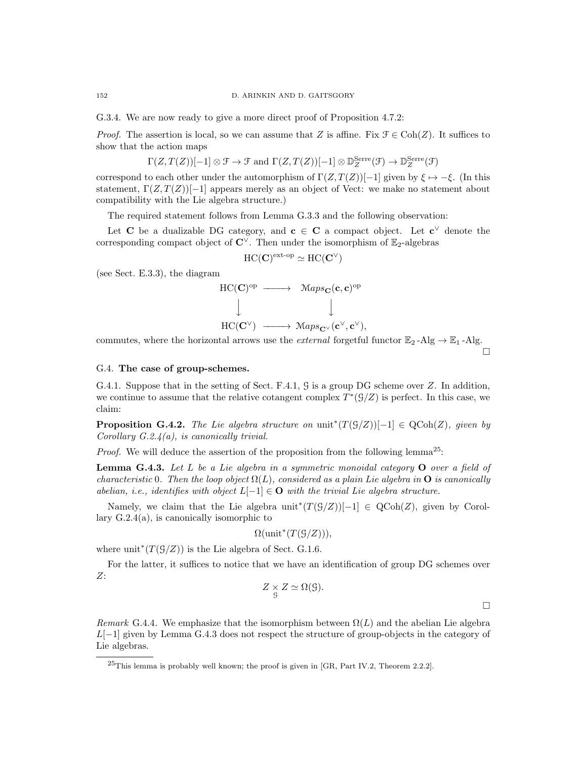G.3.4. We are now ready to give a more direct proof of Proposition 4.7.2:

*Proof.* The assertion is local, so we can assume that Z is affine. Fix  $\mathcal{F} \in \text{Coh}(Z)$ . It suffices to show that the action maps

$$
\Gamma(Z,T(Z))[-1] \otimes \mathcal{F} \to \mathcal{F}
$$
 and  $\Gamma(Z,T(Z))[-1] \otimes \mathbb{D}_{Z}^{\text{Serre}}(\mathcal{F}) \to \mathbb{D}_{Z}^{\text{Serre}}(\mathcal{F})$ 

correspond to each other under the automorphism of  $\Gamma(Z, T(Z))[-1]$  given by  $\xi \mapsto -\xi$ . (In this statement,  $\Gamma(Z, T(Z))[-1]$  appears merely as an object of Vect: we make no statement about compatibility with the Lie algebra structure.)

The required statement follows from Lemma G.3.3 and the following observation:

Let C be a dualizable DG category, and  $c \in C$  a compact object. Let  $c^{\vee}$  denote the corresponding compact object of  $\mathbb{C}^{\vee}$ . Then under the isomorphism of E<sub>2</sub>-algebras

$$
\mathrm{HC}(\mathbf{C})^{\mathrm{ext-op}} \simeq \mathrm{HC}(\mathbf{C}^\vee)
$$

(see Sect. E.3.3), the diagram

$$
\begin{array}{ccc}\n\text{HC}(\mathbf{C})^{\text{op}} & \longrightarrow & \text{Maps}_{\mathbf{C}}(\mathbf{c}, \mathbf{c})^{\text{op}} \\
\downarrow & & \downarrow \\
\text{HC}(\mathbf{C}^{\vee}) & \longrightarrow & \text{Maps}_{\mathbf{C}^{\vee}}(\mathbf{c}^{\vee}, \mathbf{c}^{\vee}),\n\end{array}
$$

commutes, where the horizontal arrows use the *external* forgetful functor  $\mathbb{E}_2$ -Alg  $\rightarrow \mathbb{E}_1$ -Alg.

 $\Box$ 

 $\Box$ 

# G.4. The case of group-schemes.

G.4.1. Suppose that in the setting of Sect. F.4.1, G is a group DG scheme over Z. In addition, we continue to assume that the relative cotangent complex  $T^*(\mathcal{G}/Z)$  is perfect. In this case, we claim:

**Proposition G.4.2.** The Lie algebra structure on unit<sup>\*</sup> $(T(\mathcal{G}/Z))[-1] \in \text{QCoh}(Z)$ , given by Corollary  $G.2.4(a)$ , is canonically trivial.

*Proof.* We will deduce the assertion of the proposition from the following lemma<sup>25</sup>:

**Lemma G.4.3.** Let  $L$  be a Lie algebra in a symmetric monoidal category  $O$  over a field of characteristic 0. Then the loop object  $\Omega(L)$ , considered as a plain Lie algebra in **O** is canonically abelian, i.e., identifies with object  $L[-1] \in \mathbf{O}$  with the trivial Lie algebra structure.

Namely, we claim that the Lie algebra  $unit^*(T(\mathcal{G}/Z))[-1] \in \text{QCoh}(Z)$ , given by Corollary  $G.2.4(a)$ , is canonically isomorphic to

$$
\Omega(\text{unit}^*(T(\mathcal{G}/Z))),
$$

where  $unit^*(T(\mathcal{G}/Z))$  is the Lie algebra of Sect. G.1.6.

For the latter, it suffices to notice that we have an identification of group DG schemes over  $Z:$ 

$$
Z \underset{g}{\times} Z \simeq \Omega(g).
$$

Remark G.4.4. We emphasize that the isomorphism between  $\Omega(L)$  and the abelian Lie algebra  $L[-1]$  given by Lemma G.4.3 does not respect the structure of group-objects in the category of Lie algebras.

 $^{25}$ This lemma is probably well known; the proof is given in [GR, Part IV.2, Theorem 2.2.2].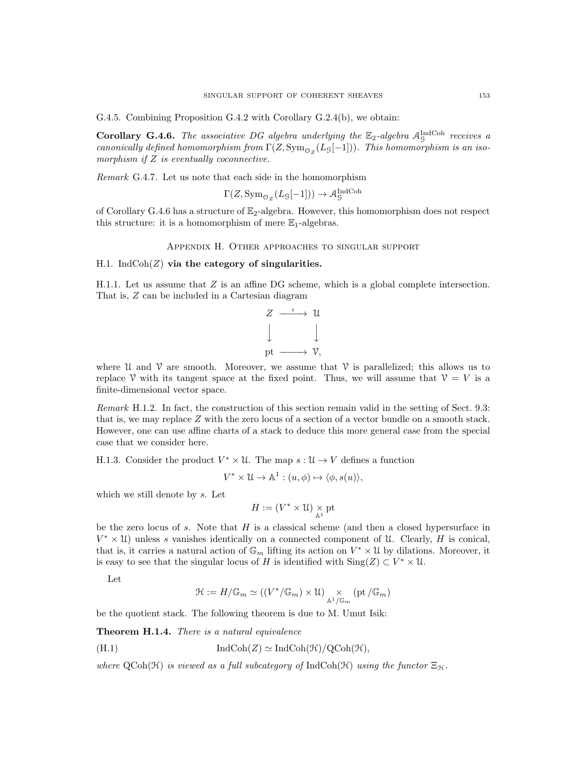G.4.5. Combining Proposition G.4.2 with Corollary G.2.4(b), we obtain:

**Corollary G.4.6.** The associative DG algebra underlying the  $\mathbb{E}_2$ -algebra  $\mathcal{A}_\mathcal{G}^{\text{IndCoh}}$  receives a canonically defined homomorphism from  $\Gamma(Z, \mathrm{Sym}_{\mathcal{O}_Z}(L_\mathcal{G}[-1]))$ . This homomorphism is an isomorphism if  $Z$  is eventually coconnective.

Remark G.4.7. Let us note that each side in the homomorphism

$$
\Gamma(Z, \text{Sym}_{\mathcal{O}_Z}(L_{\mathcal{G}}[-1])) \to \mathcal{A}_{\mathcal{G}}^{\text{IndCoh}}
$$

of Corollary G.4.6 has a structure of  $\mathbb{E}_2$ -algebra. However, this homomorphism does not respect this structure: it is a homomorphism of mere  $\mathbb{E}_1$ -algebras.

#### Appendix H. Other approaches to singular support

### H.1. Ind $\text{Coh}(Z)$  via the category of singularities.

H.1.1. Let us assume that  $Z$  is an affine DG scheme, which is a global complete intersection. That is, Z can be included in a Cartesian diagram



where U and V are smooth. Moreover, we assume that V is parallelized; this allows us to replace V with its tangent space at the fixed point. Thus, we will assume that  $V = V$  is a finite-dimensional vector space.

Remark H.1.2. In fact, the construction of this section remain valid in the setting of Sect. 9.3: that is, we may replace Z with the zero locus of a section of a vector bundle on a smooth stack. However, one can use affine charts of a stack to deduce this more general case from the special case that we consider here.

H.1.3. Consider the product  $V^* \times \mathcal{U}$ . The map  $s : \mathcal{U} \to V$  defines a function

$$
V^* \times \mathcal{U} \to \mathbb{A}^1 : (u, \phi) \mapsto \langle \phi, s(u) \rangle,
$$

which we still denote by s. Let

$$
H:=(V^*\times\mathfrak{U})\underset{\mathbb{A}^1}{\times}\mathrm{pt}
$$

be the zero locus of s. Note that  $H$  is a classical scheme (and then a closed hypersurface in  $V^* \times \mathcal{U}$ ) unless s vanishes identically on a connected component of  $\mathcal{U}$ . Clearly, H is conical, that is, it carries a natural action of  $\mathbb{G}_m$  lifting its action on  $V^* \times \mathcal{U}$  by dilations. Moreover, it is easy to see that the singular locus of H is identified with  $\text{Sing}(Z) \subset V^* \times \mathfrak{U}$ .

Let

$$
\mathcal{H}:=H/\mathbb{G}_m\simeq ((V^*/\mathbb{G}_m)\times\mathcal{U})\underset{\mathbb{A}^1/\mathbb{G}_m}{\times} (\mathrm{pt}\,/\mathbb{G}_m)
$$

be the quotient stack. The following theorem is due to M. Umut Isik:

Theorem H.1.4. There is a natural equivalence

(H.1) 
$$
\operatorname{IndCoh}(Z) \simeq \operatorname{IndCoh}(\mathcal{H})/\operatorname{QCoh}(\mathcal{H}),
$$

where  $\text{QCoh}(\mathcal{H})$  is viewed as a full subcategory of IndCoh( $\mathcal{H}$ ) using the functor  $\Xi_{\mathcal{H}}$ .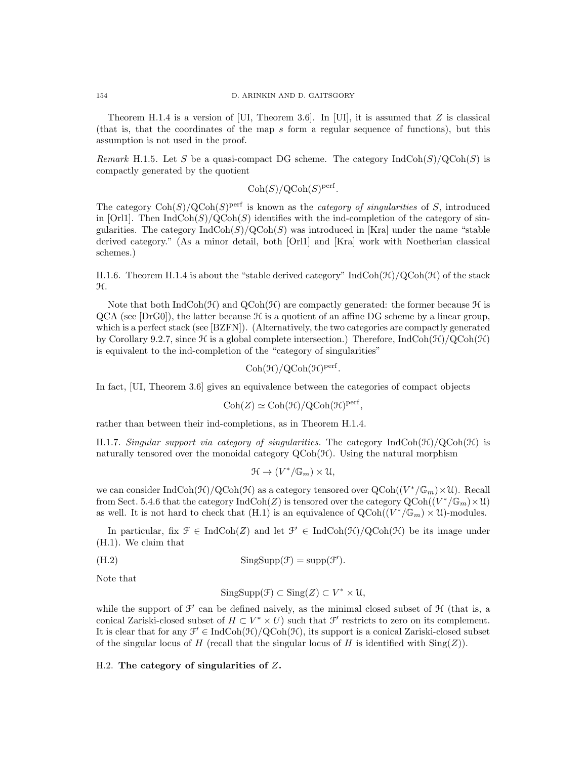Theorem H.1.4 is a version of [UI, Theorem 3.6]. In [UI], it is assumed that  $Z$  is classical (that is, that the coordinates of the map s form a regular sequence of functions), but this assumption is not used in the proof.

Remark H.1.5. Let S be a quasi-compact DG scheme. The category  $IndCoh(S)/QCoh(S)$  is compactly generated by the quotient

 $\mathrm{Coh}(S)/\mathrm{QCoh}(S)^{\mathrm{perf}}$ .

The category  $\text{Coh}(S)/\text{QCoh}(S)$ <sup>perf</sup> is known as the *category of singularities* of S, introduced in [Orl1]. Then  $IndCoh(S)/QCoh(S)$  identifies with the ind-completion of the category of singularities. The category  $\text{IndCoh}(S)/\text{QCoh}(S)$  was introduced in [Kra] under the name "stable derived category." (As a minor detail, both [Orl1] and [Kra] work with Noetherian classical schemes.)

H.1.6. Theorem H.1.4 is about the "stable derived category"  $IndCoh(\mathcal{H})/QCoh(\mathcal{H})$  of the stack H.

Note that both  $IndCoh(\mathcal{H})$  and  $QCoh(\mathcal{H})$  are compactly generated: the former because  $\mathcal H$  is  $QCA$  (see [DrG0]), the latter because  $H$  is a quotient of an affine DG scheme by a linear group, which is a perfect stack (see [BZFN]). (Alternatively, the two categories are compactly generated by Corollary 9.2.7, since  $\mathcal H$  is a global complete intersection.) Therefore, IndCoh( $\mathcal H$ )/QCoh( $\mathcal H$ ) is equivalent to the ind-completion of the "category of singularities"

$$
Coh(\mathcal{H})/QCoh(\mathcal{H})^{perf}.
$$

In fact, [UI, Theorem 3.6] gives an equivalence between the categories of compact objects

$$
Coh(Z) \simeq Coh(\mathcal{H})/QCoh(\mathcal{H})perf,
$$

rather than between their ind-completions, as in Theorem H.1.4.

H.1.7. Singular support via category of singularities. The category IndCoh( $\mathcal{H}$ )/QCoh( $\mathcal{H}$ ) is naturally tensored over the monoidal category  $QCoh(\mathcal{H})$ . Using the natural morphism

$$
\mathfrak{H} \to (V^*/\mathbb{G}_m) \times \mathfrak{U},
$$

we can consider  $\text{IndCoh}(\mathcal{H})/\text{QCoh}(\mathcal{H})$  as a category tensored over  $\text{QCoh}((V^*/\mathbb{G}_m)\times \mathcal{U})$ . Recall from Sect. 5.4.6 that the category  $\text{IndCoh}(Z)$  is tensored over the category  $\text{QCoh}((V^*/\mathbb{G}_m)\times \mathcal{U})$ as well. It is not hard to check that (H.1) is an equivalence of  $QCoh((V^*/\mathbb{G}_m) \times \mathcal{U})$ -modules.

In particular, fix  $\mathcal{F} \in \text{IndCoh}(Z)$  and let  $\mathcal{F}' \in \text{IndCoh}(\mathcal{H})/Q\text{Coh}(\mathcal{H})$  be its image under (H.1). We claim that

(H.2) 
$$
\text{SingSupp}(\mathcal{F}) = \text{supp}(\mathcal{F}').
$$

Note that

$$
SingSupp(\mathcal{F}) \subset Sing(Z) \subset V^* \times \mathcal{U},
$$

while the support of  $\mathcal{F}'$  can be defined naively, as the minimal closed subset of  $\mathcal{H}$  (that is, a conical Zariski-closed subset of  $H \subset V^* \times U$  such that  $\mathcal{F}'$  restricts to zero on its complement. It is clear that for any  $\mathcal{F}' \in \text{IndCoh}(\mathcal{H})/\text{QCoh}(\mathcal{H})$ , its support is a conical Zariski-closed subset of the singular locus of H (recall that the singular locus of H is identified with  $\text{Sing}(Z)$ ).

### H.2. The category of singularities of  $Z$ .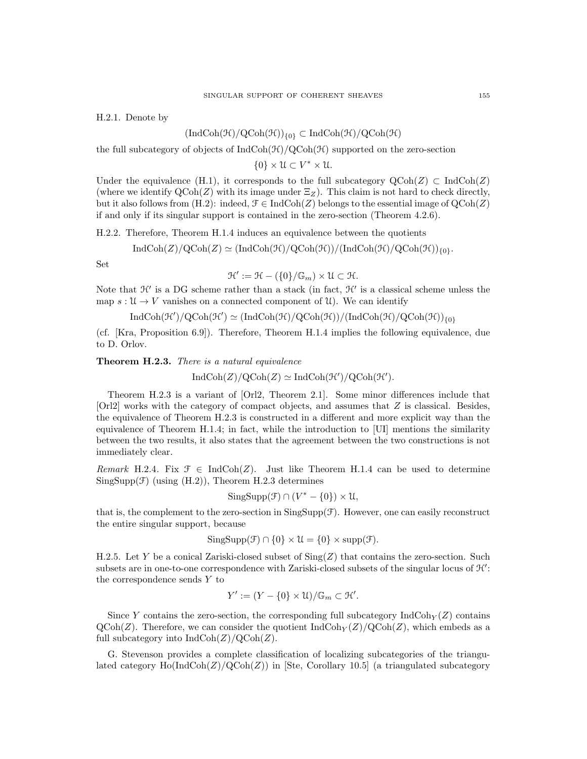H.2.1. Denote by

### $(\text{IndCoh}(\mathcal{H})/Q\text{Coh}(\mathcal{H}))_{\{0\}} \subset \text{IndCoh}(\mathcal{H})/Q\text{Coh}(\mathcal{H})$

the full subcategory of objects of  $IndCoh(\mathcal{H})/QCoh(\mathcal{H})$  supported on the zero-section

 $\{0\} \times \mathcal{U} \subset V^* \times \mathcal{U}.$ 

Under the equivalence (H.1), it corresponds to the full subcategory  $\text{QCoh}(Z) \subset \text{IndCoh}(Z)$ (where we identify  $\text{QCoh}(Z)$  with its image under  $\Xi_Z$ ). This claim is not hard to check directly, but it also follows from (H.2): indeed,  $\mathcal{F} \in \text{IndCoh}(Z)$  belongs to the essential image of  $\text{QCoh}(Z)$ if and only if its singular support is contained in the zero-section (Theorem 4.2.6).

H.2.2. Therefore, Theorem H.1.4 induces an equivalence between the quotients

 $IndCoh(Z)/QCoh(Z) \simeq (IndCoh(\mathcal{H})/QCoh(\mathcal{H}))/(IndCoh(\mathcal{H})/QCoh(\mathcal{H}))_{\{0\}}.$ 

Set

$$
\mathcal{H}' := \mathcal{H} - (\{0\}/\mathbb{G}_m) \times \mathcal{U} \subset \mathcal{H}.
$$

Note that  $\mathcal{H}'$  is a DG scheme rather than a stack (in fact,  $\mathcal{H}'$  is a classical scheme unless the map  $s: \mathcal{U} \to V$  vanishes on a connected component of  $\mathcal{U}$ ). We can identify

$$
\operatorname{IndCoh}(\mathcal{H}')/Q\text{Coh}(\mathcal{H}') \simeq (\operatorname{IndCoh}(\mathcal{H})/Q\text{Coh}(\mathcal{H}))/(\operatorname{IndCoh}(\mathcal{H})/Q\text{Coh}(\mathcal{H}))_{\{0\}}
$$

(cf. [Kra, Proposition 6.9]). Therefore, Theorem H.1.4 implies the following equivalence, due to D. Orlov.

#### Theorem H.2.3. There is a natural equivalence

 $\text{IndCoh}(Z)/\text{QCoh}(Z) \simeq \text{IndCoh}(\mathcal{H}')/\text{QCoh}(\mathcal{H}').$ 

Theorem H.2.3 is a variant of [Orl2, Theorem 2.1]. Some minor differences include that [Orl2] works with the category of compact objects, and assumes that Z is classical. Besides, the equivalence of Theorem H.2.3 is constructed in a different and more explicit way than the equivalence of Theorem H.1.4; in fact, while the introduction to [UI] mentions the similarity between the two results, it also states that the agreement between the two constructions is not immediately clear.

Remark H.2.4. Fix  $\mathcal{F} \in \text{IndCoh}(Z)$ . Just like Theorem H.1.4 can be used to determine  $SingSupp(F)$  (using  $(H.2)$ ), Theorem H.2.3 determines

$$
SingSupp(\mathcal{F}) \cap (V^* - \{0\}) \times \mathcal{U},
$$

that is, the complement to the zero-section in  $\text{SingSupp}(\mathcal{F})$ . However, one can easily reconstruct the entire singular support, because

$$
SingSupp(\mathcal{F}) \cap \{0\} \times \mathcal{U} = \{0\} \times supp(\mathcal{F}).
$$

H.2.5. Let Y be a conical Zariski-closed subset of  $\text{Sing}(Z)$  that contains the zero-section. Such subsets are in one-to-one correspondence with Zariski-closed subsets of the singular locus of  $\mathcal{H}'$ : the correspondence sends Y to

$$
Y' := (Y - \{0\} \times \mathcal{U}) / \mathbb{G}_m \subset \mathcal{H}'.
$$

Since Y contains the zero-section, the corresponding full subcategory  $\text{IndCoh}_Y(Z)$  contains  $\text{QCoh}(Z)$ . Therefore, we can consider the quotient  $\text{IndCoh}_Y(Z)/\text{QCoh}(Z)$ , which embeds as a full subcategory into  $\text{IndCoh}(Z)/\text{QCoh}(Z)$ .

G. Stevenson provides a complete classification of localizing subcategories of the triangulated category  $\text{Ho}(\text{IndCoh}(Z)/\text{QCoh}(Z))$  in [Ste, Corollary 10.5] (a triangulated subcategory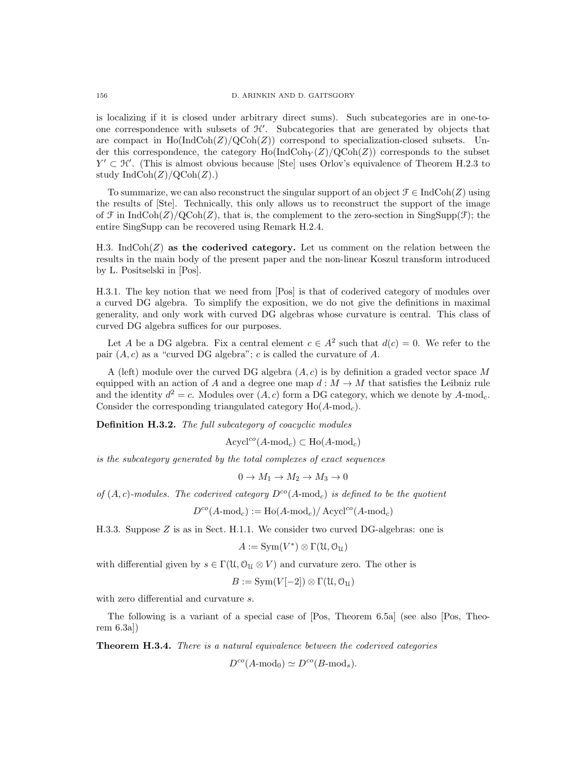is localizing if it is closed under arbitrary direct sums). Such subcategories are in one-toone correspondence with subsets of  $\mathcal{H}'$ . Subcategories that are generated by objects that are compact in  $\text{Ho}(\text{IndCoh}(Z)/\text{QCoh}(Z))$  correspond to specialization-closed subsets. Under this correspondence, the category  $\text{Ho}(\text{IndCoh}_{Y}(Z)/\text{QCoh}(Z))$  corresponds to the subset  $Y' \subset \mathcal{H}'$ . (This is almost obvious because Stel uses Orlov's equivalence of Theorem H.2.3 to study  $\text{IndCoh}(Z)/\text{QCoh}(Z)$ .)

To summarize, we can also reconstruct the singular support of an object  $\mathcal{F} \in \text{IndCoh}(Z)$  using the results of [Ste]. Technically, this only allows us to reconstruct the support of the image of F in IndCoh(Z)/QCoh(Z), that is, the complement to the zero-section in SingSupp(F); the entire SingSupp can be recovered using Remark H.2.4.

H.3. IndCoh $(Z)$  as the coderived category. Let us comment on the relation between the results in the main body of the present paper and the non-linear Koszul transform introduced by L. Positselski in [Pos].

H.3.1. The key notion that we need from [Pos] is that of coderived category of modules over a curved DG algebra. To simplify the exposition, we do not give the definitions in maximal generality, and only work with curved DG algebras whose curvature is central. This class of curved DG algebra suffices for our purposes.

Let A be a DG algebra. Fix a central element  $c \in A^2$  such that  $d(c) = 0$ . We refer to the pair  $(A, c)$  as a "curved DG algebra"; c is called the curvature of A.

A (left) module over the curved DG algebra  $(A, c)$  is by definition a graded vector space M equipped with an action of A and a degree one map  $d : M \to M$  that satisfies the Leibniz rule and the identity  $d^2 = c$ . Modules over  $(A, c)$  form a DG category, which we denote by A-mod<sub>c</sub>. Consider the corresponding triangulated category  $Ho(A\text{-mod}_c)$ .

Definition H.3.2. The full subcategory of coacyclic modules

 $Acycl^{co}(A\text{-mod}_c) \subset Ho(A\text{-mod}_c)$ 

is the subcategory generated by the total complexes of exact sequences

 $0 \rightarrow M_1 \rightarrow M_2 \rightarrow M_3 \rightarrow 0$ 

of  $(A, c)$ -modules. The coderived category  $D^{co}(A \text{-mod}_c)$  is defined to be the quotient

$$
D^{co}(A\text{-mod}_c) := \text{Ho}(A\text{-mod}_c) / \text{Acycl}^{co}(A\text{-mod}_c)
$$

H.3.3. Suppose  $Z$  is as in Sect. H.1.1. We consider two curved DG-algebras: one is

 $A := \text{Sym}(V^*) \otimes \Gamma(\mathfrak{U}, \mathfrak{O}_\mathfrak{U})$ 

with differential given by  $s \in \Gamma(\mathfrak{U}, \mathfrak{O}_{\mathfrak{U}} \otimes V)$  and curvature zero. The other is

$$
B := \mathrm{Sym}(V[-2]) \otimes \Gamma(\mathfrak{U}, \mathfrak{O}_{\mathfrak{U}})
$$

with zero differential and curvature s.

The following is a variant of a special case of [Pos, Theorem 6.5a] (see also [Pos, Theorem 6.3a])

Theorem H.3.4. There is a natural equivalence between the coderived categories

 $D^{co}(A\text{-mod}_0) \simeq D^{co}(B\text{-mod}_s).$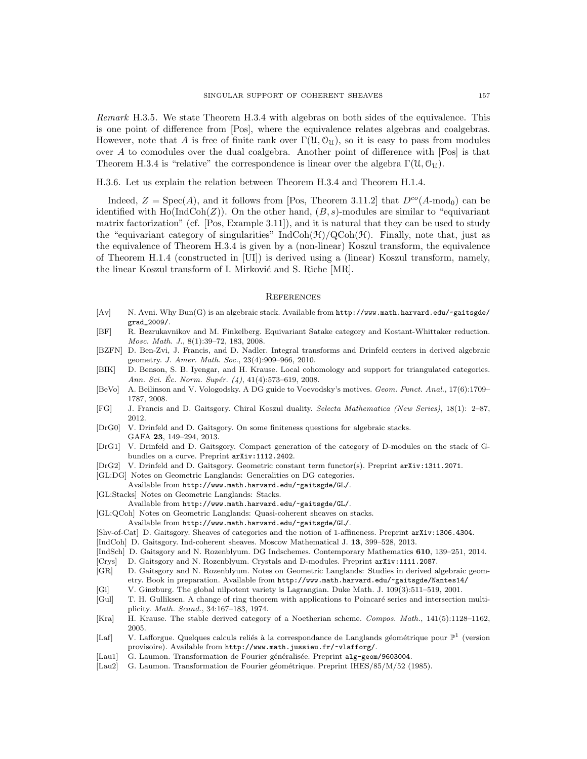Remark H.3.5. We state Theorem H.3.4 with algebras on both sides of the equivalence. This is one point of difference from [Pos], where the equivalence relates algebras and coalgebras. However, note that A is free of finite rank over  $\Gamma(\mathfrak{U},\mathfrak{O}_\mathfrak{U})$ , so it is easy to pass from modules over A to comodules over the dual coalgebra. Another point of difference with [Pos] is that Theorem H.3.4 is "relative" the correspondence is linear over the algebra  $\Gamma(\mathfrak{U}, \mathcal{O}_{\mathfrak{U}})$ .

H.3.6. Let us explain the relation between Theorem H.3.4 and Theorem H.1.4.

Indeed,  $Z = \text{Spec}(A)$ , and it follows from [Pos, Theorem 3.11.2] that  $D^{co}(A\text{-mod}_0)$  can be identified with  $\text{Ho}(\text{Ind}\text{Coh}(Z))$ . On the other hand,  $(B, s)$ -modules are similar to "equivariant matrix factorization" (cf. [Pos, Example 3.11]), and it is natural that they can be used to study the "equivariant category of singularities" IndCoh( $\mathcal{H}$ )/QCoh( $\mathcal{H}$ ). Finally, note that, just as the equivalence of Theorem H.3.4 is given by a (non-linear) Koszul transform, the equivalence of Theorem H.1.4 (constructed in [UI]) is derived using a (linear) Koszul transform, namely, the linear Koszul transform of I. Mirković and S. Riche [MR].

#### **REFERENCES**

- [Av] N. Avni. Why Bun(G) is an algebraic stack. Available from http://www.math.harvard.edu/~gaitsgde/ grad\_2009/.
- [BF] R. Bezrukavnikov and M. Finkelberg. Equivariant Satake category and Kostant-Whittaker reduction. Mosc. Math. J., 8(1):39–72, 183, 2008.
- [BZFN] D. Ben-Zvi, J. Francis, and D. Nadler. Integral transforms and Drinfeld centers in derived algebraic geometry. J. Amer. Math. Soc., 23(4):909–966, 2010.
- [BIK] D. Benson, S. B. Iyengar, and H. Krause. Local cohomology and support for triangulated categories. Ann. Sci. Éc. Norm. Supér.  $(4)$ , 41(4):573-619, 2008.
- [BeVo] A. Beilinson and V. Vologodsky. A DG guide to Voevodsky's motives. Geom. Funct. Anal., 17(6):1709– 1787, 2008.
- [FG] J. Francis and D. Gaitsgory. Chiral Koszul duality. Selecta Mathematica (New Series), 18(1): 2–87, 2012.
- [DrG0] V. Drinfeld and D. Gaitsgory. On some finiteness questions for algebraic stacks. GAFA 23, 149–294, 2013.
- [DrG1] V. Drinfeld and D. Gaitsgory. Compact generation of the category of D-modules on the stack of Gbundles on a curve. Preprint arXiv:1112.2402.
- [DrG2] V. Drinfeld and D. Gaitsgory. Geometric constant term functor(s). Preprint arXiv:1311.2071.
- [GL:DG] Notes on Geometric Langlands: Generalities on DG categories.
- Available from http://www.math.harvard.edu/~gaitsgde/GL/.
- [GL:Stacks] Notes on Geometric Langlands: Stacks.
- Available from http://www.math.harvard.edu/~gaitsgde/GL/.
- [GL:QCoh] Notes on Geometric Langlands: Quasi-coherent sheaves on stacks.
	- Available from http://www.math.harvard.edu/~gaitsgde/GL/.
- [Shv-of-Cat] D. Gaitsgory. Sheaves of categories and the notion of 1-affineness. Preprint arXiv:1306.4304.
- [IndCoh] D. Gaitsgory. Ind-coherent sheaves. Moscow Mathematical J. 13, 399–528, 2013.
- [IndSch] D. Gaitsgory and N. Rozenblyum. DG Indschemes. Contemporary Mathematics 610, 139–251, 2014.
- [Crys] D. Gaitsgory and N. Rozenblyum. Crystals and D-modules. Preprint arXiv:1111.2087.
- [GR] D. Gaitsgory and N. Rozenblyum. Notes on Geometric Langlands: Studies in derived algebraic geometry. Book in preparation. Available from http://www.math.harvard.edu/~gaitsgde/Nantes14/
- [Gi] V. Ginzburg. The global nilpotent variety is Lagrangian. Duke Math. J. 109(3):511–519, 2001.
- [Gul] T. H. Gulliksen. A change of ring theorem with applications to Poincaré series and intersection multiplicity. Math. Scand., 34:167–183, 1974.
- [Kra] H. Krause. The stable derived category of a Noetherian scheme. Compos. Math., 141(5):1128–1162, 2005.
- [Laf] V. Lafforgue. Quelques calculs reliés à la correspondance de Langlands géométrique pour  $\mathbb{P}^1$  (version provisoire). Available from http://www.math.jussieu.fr/~vlafforg/.
- [Lau1] G. Laumon. Transformation de Fourier généralisée. Preprint alg-geom/9603004.
- [Lau2] G. Laumon. Transformation de Fourier géométrique. Preprint IHES/85/M/52 (1985).